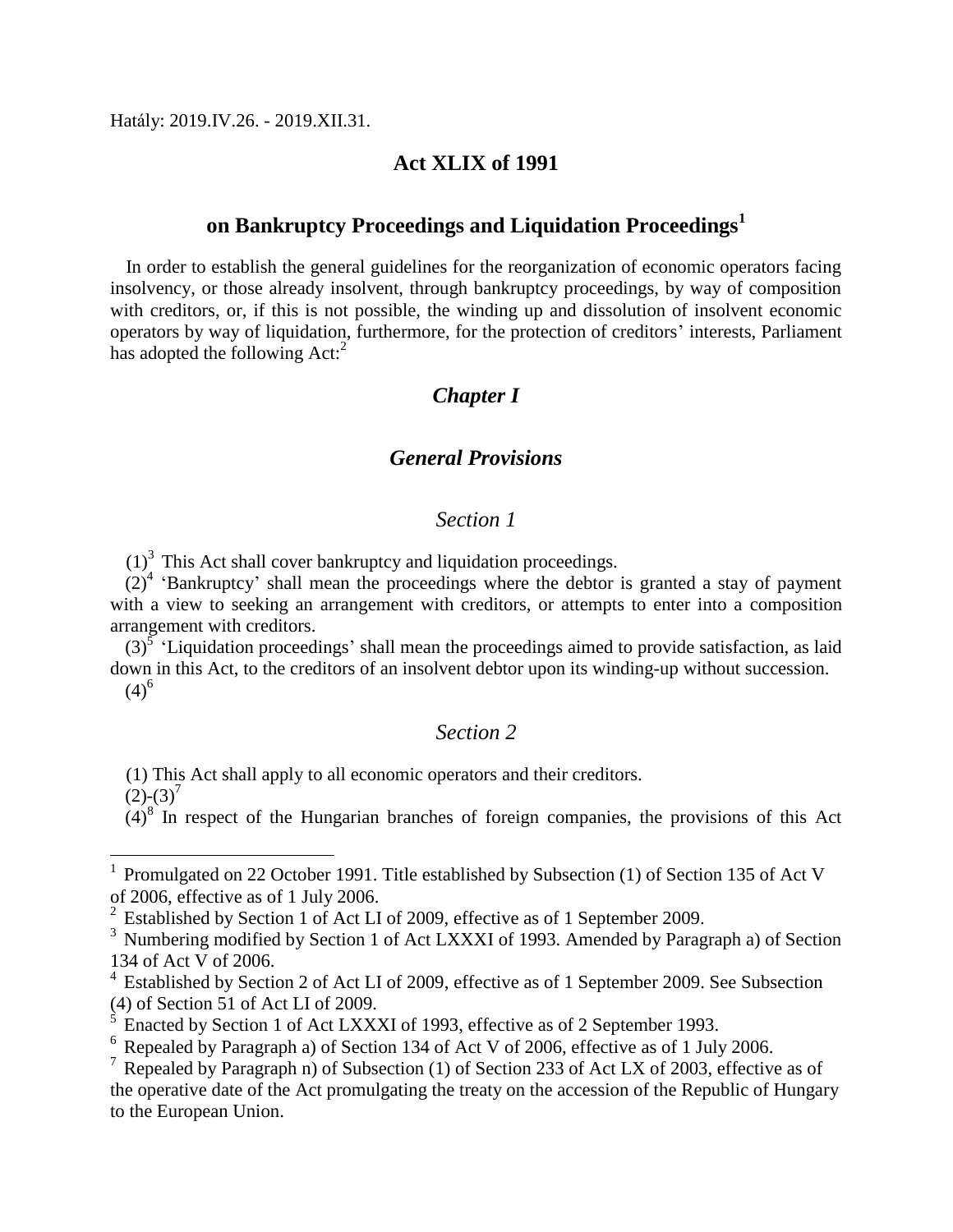Hatály: 2019.IV.26. - 2019.XII.31.

#### **Act XLIX of 1991**

#### **on Bankruptcy Proceedings and Liquidation Proceedings<sup>1</sup>**

In order to establish the general guidelines for the reorganization of economic operators facing insolvency, or those already insolvent, through bankruptcy proceedings, by way of composition with creditors, or, if this is not possible, the winding up and dissolution of insolvent economic operators by way of liquidation, furthermore, for the protection of creditors' interests, Parliament has adopted the following  $Act:^{2}$ 

#### *Chapter I*

#### *General Provisions*

#### *Section 1*

 $(1)^3$  This Act shall cover bankruptcy and liquidation proceedings.

 $(2)^4$  'Bankruptcy' shall mean the proceedings where the debtor is granted a stay of payment with a view to seeking an arrangement with creditors, or attempts to enter into a composition arrangement with creditors.

 $(3)$ <sup>5</sup> 'Liquidation proceedings' shall mean the proceedings aimed to provide satisfaction, as laid down in this Act, to the creditors of an insolvent debtor upon its winding-up without succession.  $(4)^{6}$ 

#### *Section 2*

(1) This Act shall apply to all economic operators and their creditors.

 $(2)-(3)^7$ 

 $\overline{a}$ 

 $(4)^8$  In respect of the Hungarian branches of foreign companies, the provisions of this Act

<sup>1</sup> Promulgated on 22 October 1991. Title established by Subsection (1) of Section 135 of Act V of 2006, effective as of 1 July 2006.

<sup>&</sup>lt;sup>2</sup> Established by Section 1 of Act LI of 2009, effective as of 1 September 2009.

<sup>&</sup>lt;sup>3</sup> Numbering modified by Section 1 of Act LXXXI of 1993. Amended by Paragraph a) of Section 134 of Act V of 2006.

<sup>&</sup>lt;sup>4</sup> Established by Section 2 of Act LI of 2009, effective as of 1 September 2009. See Subsection (4) of Section 51 of Act LI of 2009.

 $\frac{5}{5}$  Enacted by Section 1 of Act LXXXI of 1993, effective as of 2 September 1993.

<sup>6</sup> Repealed by Paragraph a) of Section 134 of Act V of 2006, effective as of 1 July 2006.

 $<sup>7</sup>$  Repealed by Paragraph n) of Subsection (1) of Section 233 of Act LX of 2003, effective as of</sup> the operative date of the Act promulgating the treaty on the accession of the Republic of Hungary to the European Union.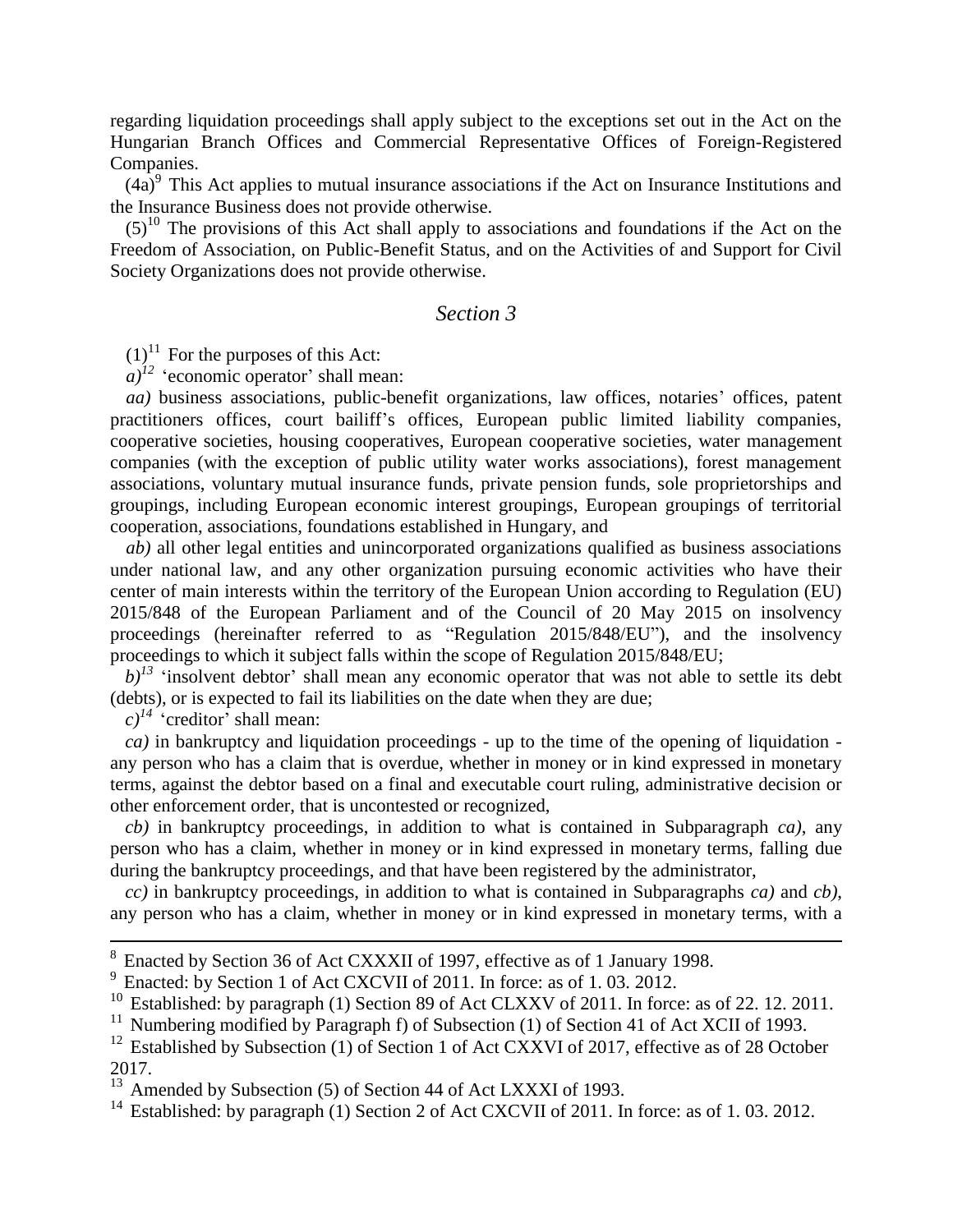regarding liquidation proceedings shall apply subject to the exceptions set out in the Act on the Hungarian Branch Offices and Commercial Representative Offices of Foreign-Registered Companies.

 $(4a)^9$  This Act applies to mutual insurance associations if the Act on Insurance Institutions and the Insurance Business does not provide otherwise.

 $(5)^{10}$  The provisions of this Act shall apply to associations and foundations if the Act on the Freedom of Association, on Public-Benefit Status, and on the Activities of and Support for Civil Society Organizations does not provide otherwise.

#### *Section 3*

 $(1)^{11}$  For the purposes of this Act:

 $a)^{12}$  'economic operator' shall mean:

*aa*) business associations, public-benefit organizations, law offices, notaries' offices, patent practitioners offices, court bailiff's offices, European public limited liability companies, cooperative societies, housing cooperatives, European cooperative societies, water management companies (with the exception of public utility water works associations), forest management associations, voluntary mutual insurance funds, private pension funds, sole proprietorships and groupings, including European economic interest groupings, European groupings of territorial cooperation, associations, foundations established in Hungary, and

*ab)* all other legal entities and unincorporated organizations qualified as business associations under national law, and any other organization pursuing economic activities who have their center of main interests within the territory of the European Union according to Regulation (EU) 2015/848 of the European Parliament and of the Council of 20 May 2015 on insolvency proceedings (hereinafter referred to as "Regulation 2015/848/EU"), and the insolvency proceedings to which it subject falls within the scope of Regulation 2015/848/EU;

 $b$ <sup> $j$ <sup>3</sup> 'insolvent debtor' shall mean any economic operator that was not able to settle its debt</sup> (debts), or is expected to fail its liabilities on the date when they are due;

 $c)^{14}$  'creditor' shall mean:

1

*ca)* in bankruptcy and liquidation proceedings - up to the time of the opening of liquidation any person who has a claim that is overdue, whether in money or in kind expressed in monetary terms, against the debtor based on a final and executable court ruling, administrative decision or other enforcement order, that is uncontested or recognized,

*cb)* in bankruptcy proceedings, in addition to what is contained in Subparagraph *ca)*, any person who has a claim, whether in money or in kind expressed in monetary terms, falling due during the bankruptcy proceedings, and that have been registered by the administrator,

*cc)* in bankruptcy proceedings, in addition to what is contained in Subparagraphs *ca)* and *cb)*, any person who has a claim, whether in money or in kind expressed in monetary terms, with a

<sup>&</sup>lt;sup>8</sup> Enacted by Section 36 of Act CXXXII of 1997, effective as of 1 January 1998.

<sup>&</sup>lt;sup>9</sup> Enacted: by Section 1 of Act CXCVII of 2011. In force: as of 1.03. 2012.

 $10$  Established: by paragraph (1) Section 89 of Act CLXXV of 2011. In force: as of 22. 12. 2011.

<sup>&</sup>lt;sup>11</sup> Numbering modified by Paragraph f) of Subsection (1) of Section 41 of Act XCII of 1993.

<sup>&</sup>lt;sup>12</sup> Established by Subsection (1) of Section 1 of Act CXXVI of 2017, effective as of 28 October 2017.

<sup>&</sup>lt;sup>13</sup> Amended by Subsection (5) of Section 44 of Act LXXXI of 1993.

<sup>&</sup>lt;sup>14</sup> Established: by paragraph (1) Section 2 of Act CXCVII of 2011. In force: as of 1.03. 2012.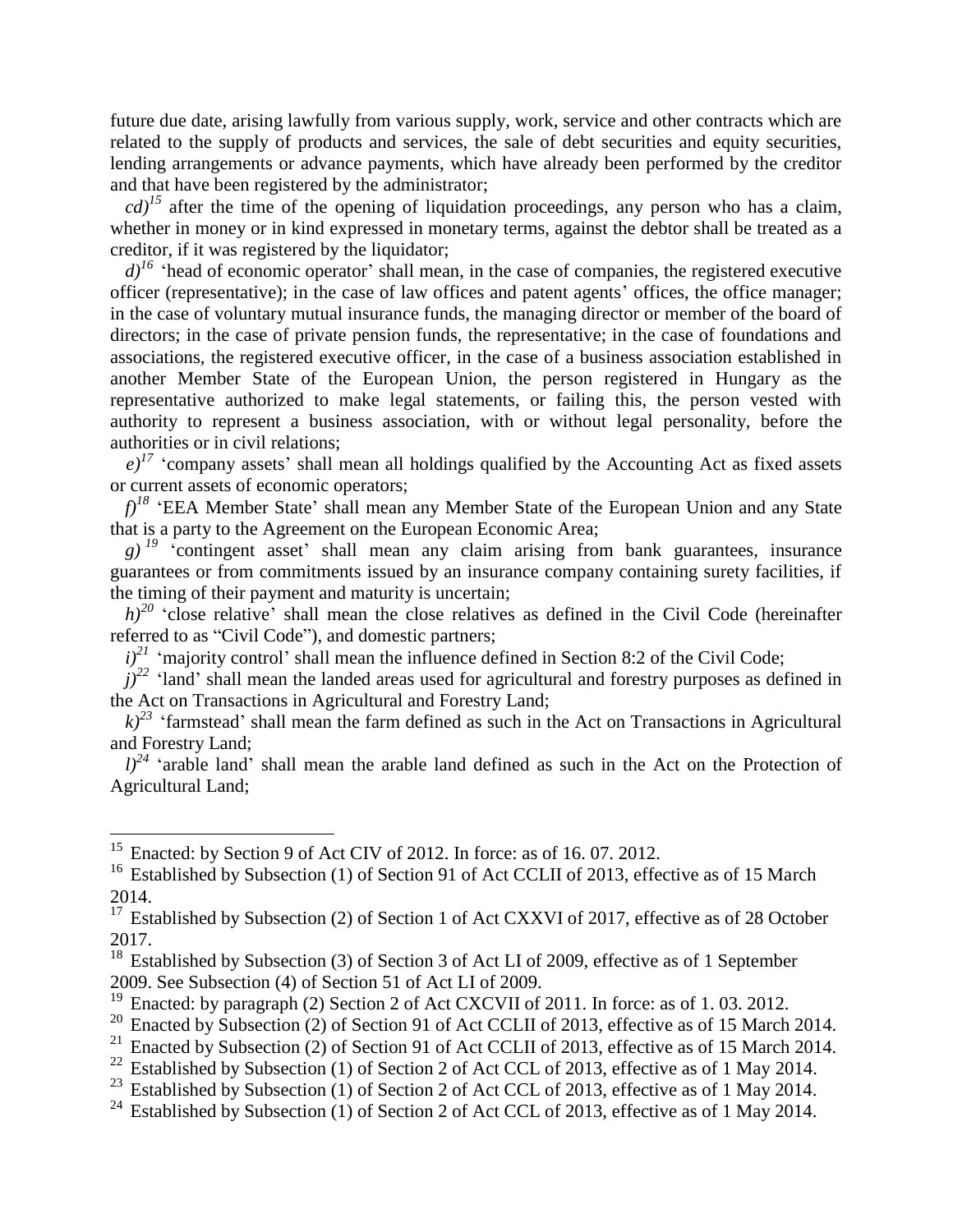future due date, arising lawfully from various supply, work, service and other contracts which are related to the supply of products and services, the sale of debt securities and equity securities, lending arrangements or advance payments, which have already been performed by the creditor and that have been registered by the administrator;

 $cd$ <sup> $15$ </sup> after the time of the opening of liquidation proceedings, any person who has a claim, whether in money or in kind expressed in monetary terms, against the debtor shall be treated as a creditor, if it was registered by the liquidator;

 $d^{16}$  'head of economic operator' shall mean, in the case of companies, the registered executive officer (representative); in the case of law offices and patent agents' offices, the office manager; in the case of voluntary mutual insurance funds, the managing director or member of the board of directors; in the case of private pension funds, the representative; in the case of foundations and associations, the registered executive officer, in the case of a business association established in another Member State of the European Union, the person registered in Hungary as the representative authorized to make legal statements, or failing this, the person vested with authority to represent a business association, with or without legal personality, before the authorities or in civil relations;

 $e^{j7}$  'company assets' shall mean all holdings qualified by the Accounting Act as fixed assets or current assets of economic operators;

*f)<sup>18</sup>* 'EEA Member State' shall mean any Member State of the European Union and any State that is a party to the Agreement on the European Economic Area;

 $g$ <sup> $19$ </sup> 'contingent asset' shall mean any claim arising from bank guarantees, insurance guarantees or from commitments issued by an insurance company containing surety facilities, if the timing of their payment and maturity is uncertain;

 $h$ <sup>20</sup> 'close relative' shall mean the close relatives as defined in the Civil Code (hereinafter referred to as "Civil Code"), and domestic partners;

 $i)^{21}$  'majority control' shall mean the influence defined in Section 8:2 of the Civil Code;

 $j^{22}$  'land' shall mean the landed areas used for agricultural and forestry purposes as defined in the Act on Transactions in Agricultural and Forestry Land;

 $k$ <sup>23</sup> 'farmstead' shall mean the farm defined as such in the Act on Transactions in Agricultural and Forestry Land;

 $l^{24}$  'arable land' shall mean the arable land defined as such in the Act on the Protection of Agricultural Land;

 $\overline{a}$ 

Enacted by Subsection (2) of Section 91 of Act CCLII of 2013, effective as of 15 March 2014.

<sup>&</sup>lt;sup>15</sup> Enacted: by Section 9 of Act CIV of 2012. In force: as of 16.07. 2012.

<sup>&</sup>lt;sup>16</sup> Established by Subsection (1) of Section 91 of Act CCLII of 2013, effective as of 15 March 2014.

<sup>&</sup>lt;sup>17</sup> Established by Subsection (2) of Section 1 of Act CXXVI of 2017, effective as of 28 October 2017.

<sup>&</sup>lt;sup>18</sup> Established by Subsection (3) of Section 3 of Act LI of 2009, effective as of 1 September 2009. See Subsection (4) of Section 51 of Act LI of 2009.

<sup>&</sup>lt;sup>19</sup> Enacted: by paragraph (2) Section 2 of Act CXCVII of 2011. In force: as of 1.03. 2012.

<sup>&</sup>lt;sup>20</sup> Enacted by Subsection (2) of Section 91 of Act CCLII of 2013, effective as of 15 March 2014.<br><sup>21</sup> Enacted by Subsection (2) of Section 91 of Act CCLII of 2013, effective as of 15 March 2014.

<sup>&</sup>lt;sup>22</sup> Established by Subsection (1) of Section 2 of Act CCL of 2013, effective as of 1 May 2014.

<sup>&</sup>lt;sup>23</sup> Established by Subsection (1) of Section 2 of Act CCL of 2013, effective as of 1 May 2014.

<sup>&</sup>lt;sup>24</sup> Established by Subsection (1) of Section 2 of Act CCL of 2013, effective as of 1 May 2014.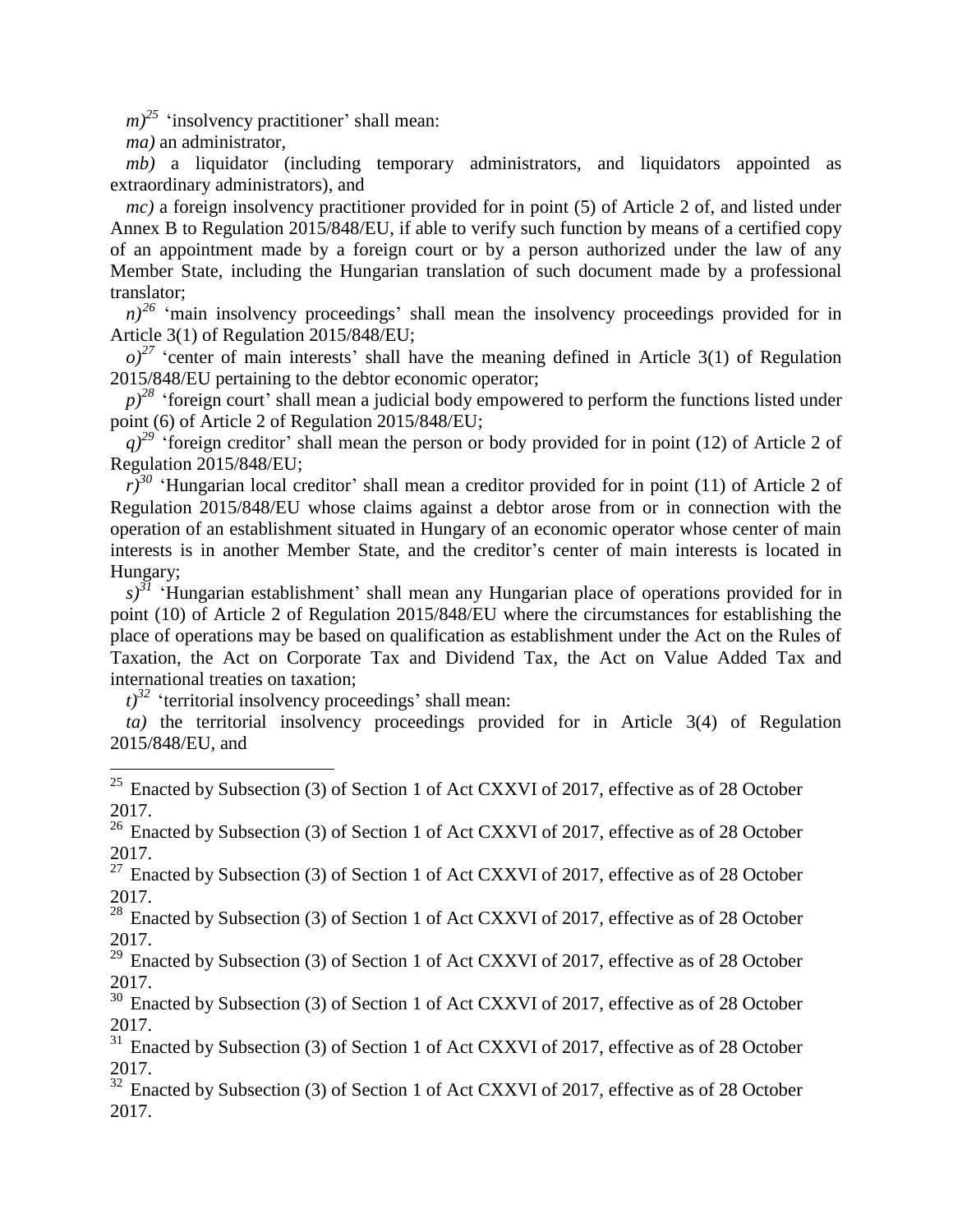$(m)^{25}$  'insolvency practitioner' shall mean:

*ma)* an administrator,

 $\overline{a}$ 

*mb)* a liquidator (including temporary administrators, and liquidators appointed as extraordinary administrators), and

*mc*) a foreign insolvency practitioner provided for in point (5) of Article 2 of, and listed under Annex B to Regulation 2015/848/EU, if able to verify such function by means of a certified copy of an appointment made by a foreign court or by a person authorized under the law of any Member State, including the Hungarian translation of such document made by a professional translator;

 $n^{26}$  'main insolvency proceedings' shall mean the insolvency proceedings provided for in Article 3(1) of Regulation 2015/848/EU;

 $o^{27}$  'center of main interests' shall have the meaning defined in Article 3(1) of Regulation 2015/848/EU pertaining to the debtor economic operator;

 $p$ <sup>28</sup> 'foreign court' shall mean a judicial body empowered to perform the functions listed under point (6) of Article 2 of Regulation 2015/848/EU;

*q*)<sup>29</sup> 'foreign creditor' shall mean the person or body provided for in point (12) of Article 2 of Regulation 2015/848/EU;

 $r^{30}$  'Hungarian local creditor' shall mean a creditor provided for in point (11) of Article 2 of Regulation 2015/848/EU whose claims against a debtor arose from or in connection with the operation of an establishment situated in Hungary of an economic operator whose center of main interests is in another Member State, and the creditor's center of main interests is located in Hungary;

*s)<sup>31</sup>* 'Hungarian establishment' shall mean any Hungarian place of operations provided for in point (10) of Article 2 of Regulation 2015/848/EU where the circumstances for establishing the place of operations may be based on qualification as establishment under the Act on the Rules of Taxation, the Act on Corporate Tax and Dividend Tax, the Act on Value Added Tax and international treaties on taxation;

 $(t)^{32}$  'territorial insolvency proceedings' shall mean:

*ta)* the territorial insolvency proceedings provided for in Article 3(4) of Regulation 2015/848/EU, and

<sup>25</sup> Enacted by Subsection (3) of Section 1 of Act CXXVI of 2017, effective as of 28 October 2017.

 $26$  Enacted by Subsection (3) of Section 1 of Act CXXVI of 2017, effective as of 28 October 2017.

 $27$  Enacted by Subsection (3) of Section 1 of Act CXXVI of 2017, effective as of 28 October 2017.

<sup>28</sup> Enacted by Subsection (3) of Section 1 of Act CXXVI of 2017, effective as of 28 October 2017.

 $29$  Enacted by Subsection (3) of Section 1 of Act CXXVI of 2017, effective as of 28 October 2017.

<sup>30</sup> Enacted by Subsection (3) of Section 1 of Act CXXVI of 2017, effective as of 28 October 2017.

 $31$  Enacted by Subsection (3) of Section 1 of Act CXXVI of 2017, effective as of 28 October 2017.

<sup>32</sup> Enacted by Subsection (3) of Section 1 of Act CXXVI of 2017, effective as of 28 October 2017.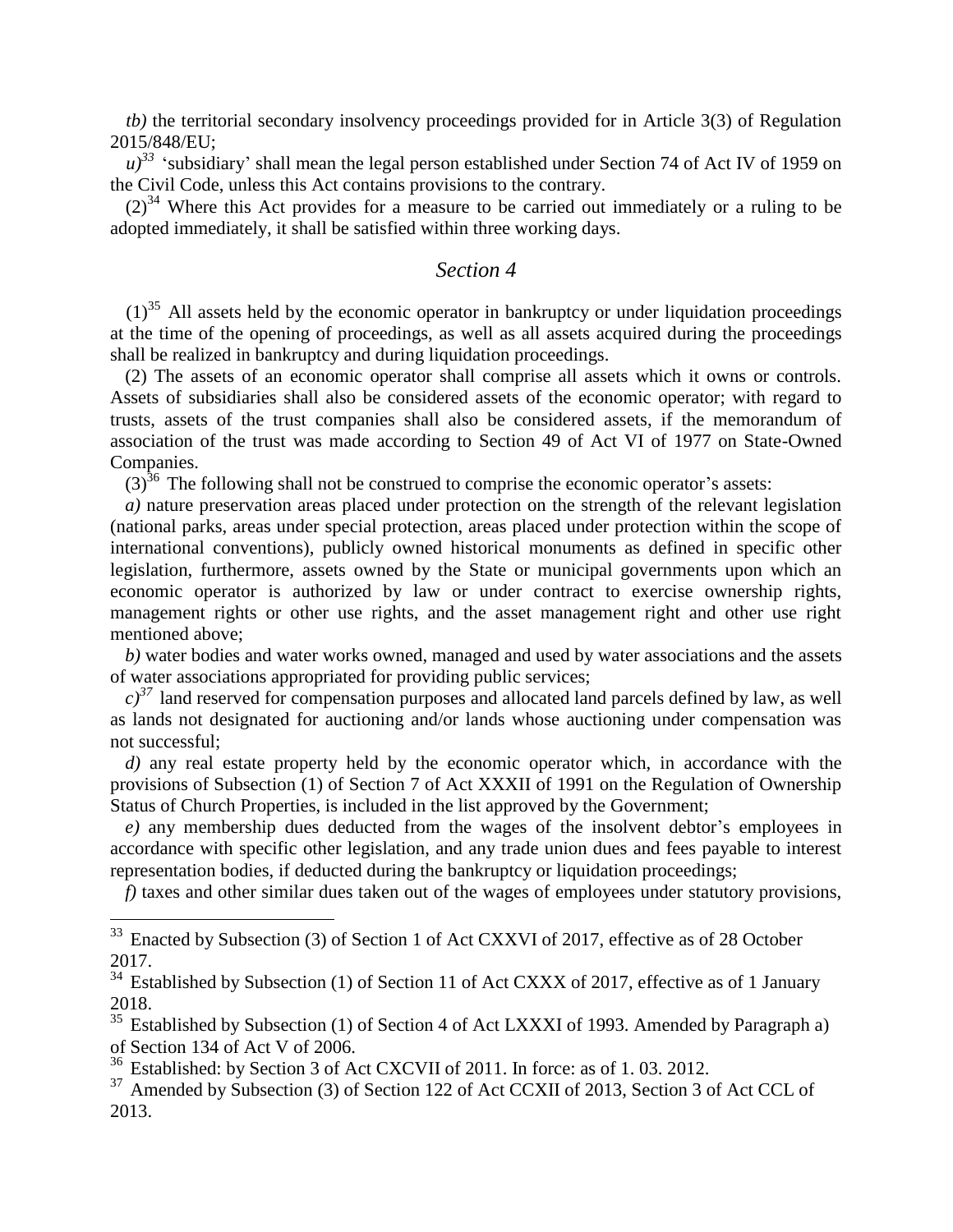*tb)* the territorial secondary insolvency proceedings provided for in Article 3(3) of Regulation 2015/848/EU;

 $u$ <sup>33</sup> 'subsidiary' shall mean the legal person established under Section 74 of Act IV of 1959 on the Civil Code, unless this Act contains provisions to the contrary.

 $(2)^{34}$  Where this Act provides for a measure to be carried out immediately or a ruling to be adopted immediately, it shall be satisfied within three working days.

#### *Section 4*

 $(1)^{35}$  All assets held by the economic operator in bankruptcy or under liquidation proceedings at the time of the opening of proceedings, as well as all assets acquired during the proceedings shall be realized in bankruptcy and during liquidation proceedings.

(2) The assets of an economic operator shall comprise all assets which it owns or controls. Assets of subsidiaries shall also be considered assets of the economic operator; with regard to trusts, assets of the trust companies shall also be considered assets, if the memorandum of association of the trust was made according to Section 49 of Act VI of 1977 on State-Owned Companies.

 $(3)^{36}$  The following shall not be construed to comprise the economic operator's assets:

*a)* nature preservation areas placed under protection on the strength of the relevant legislation (national parks, areas under special protection, areas placed under protection within the scope of international conventions), publicly owned historical monuments as defined in specific other legislation, furthermore, assets owned by the State or municipal governments upon which an economic operator is authorized by law or under contract to exercise ownership rights, management rights or other use rights, and the asset management right and other use right mentioned above;

*b)* water bodies and water works owned, managed and used by water associations and the assets of water associations appropriated for providing public services;

 $c$ <sup>37</sup> land reserved for compensation purposes and allocated land parcels defined by law, as well as lands not designated for auctioning and/or lands whose auctioning under compensation was not successful;

*d)* any real estate property held by the economic operator which, in accordance with the provisions of Subsection (1) of Section 7 of Act XXXII of 1991 on the Regulation of Ownership Status of Church Properties, is included in the list approved by the Government;

*e)* any membership dues deducted from the wages of the insolvent debtor's employees in accordance with specific other legislation, and any trade union dues and fees payable to interest representation bodies, if deducted during the bankruptcy or liquidation proceedings;

*f)* taxes and other similar dues taken out of the wages of employees under statutory provisions,

<sup>36</sup> Established: by Section 3 of Act CXCVII of 2011. In force: as of 1. 03. 2012.

<sup>&</sup>lt;sup>33</sup> Enacted by Subsection (3) of Section 1 of Act CXXVI of 2017, effective as of 28 October 2017.

 $34$  Established by Subsection (1) of Section 11 of Act CXXX of 2017, effective as of 1 January 2018.

 $35$  Established by Subsection (1) of Section 4 of Act LXXXI of 1993. Amended by Paragraph a) of Section 134 of Act V of 2006.

<sup>&</sup>lt;sup>37</sup> Amended by Subsection (3) of Section 122 of Act CCXII of 2013, Section 3 of Act CCL of 2013.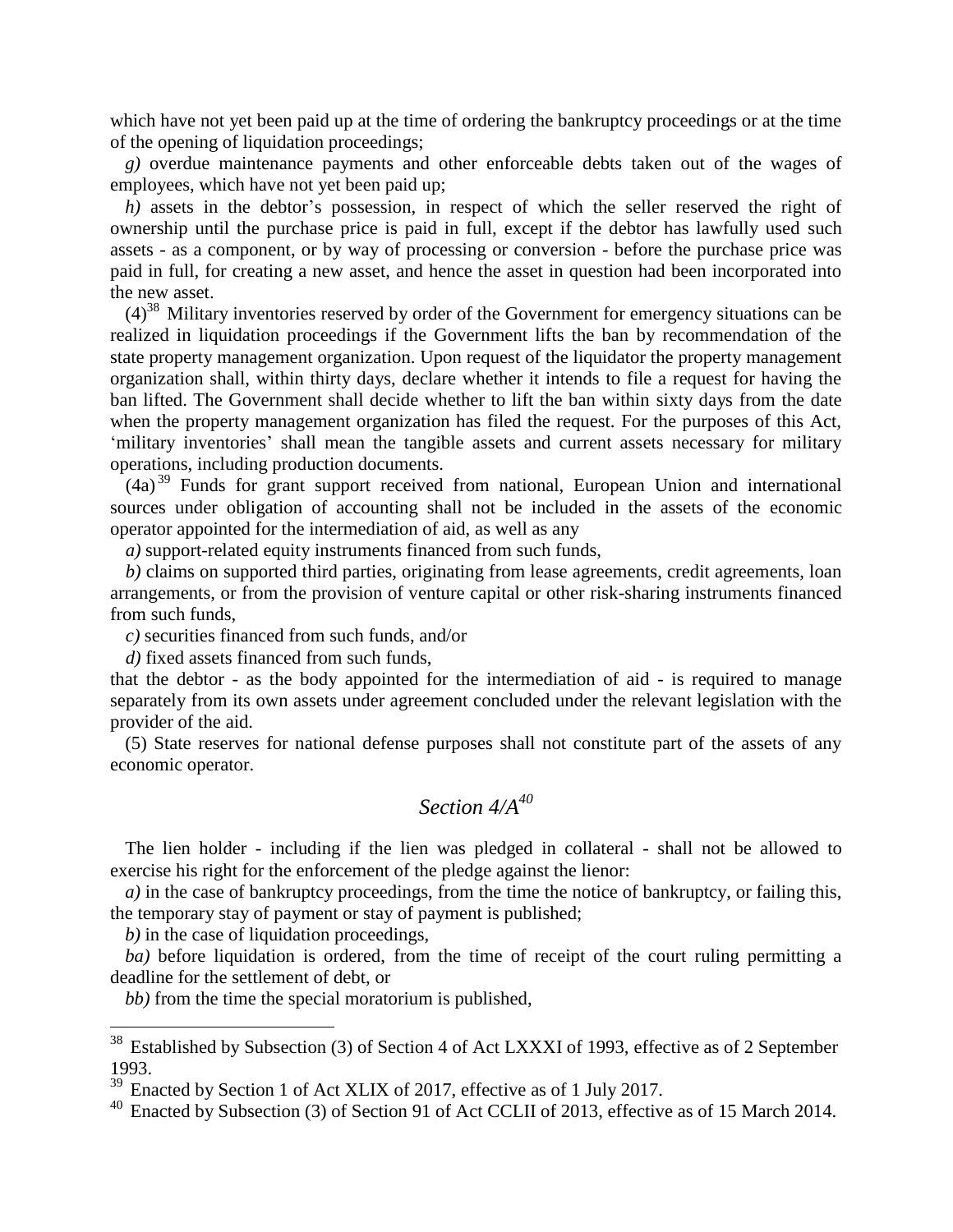which have not yet been paid up at the time of ordering the bankruptcy proceedings or at the time of the opening of liquidation proceedings;

*g)* overdue maintenance payments and other enforceable debts taken out of the wages of employees, which have not yet been paid up;

*h*) assets in the debtor's possession, in respect of which the seller reserved the right of ownership until the purchase price is paid in full, except if the debtor has lawfully used such assets - as a component, or by way of processing or conversion - before the purchase price was paid in full, for creating a new asset, and hence the asset in question had been incorporated into the new asset.

 $(4)^{38}$  Military inventories reserved by order of the Government for emergency situations can be realized in liquidation proceedings if the Government lifts the ban by recommendation of the state property management organization. Upon request of the liquidator the property management organization shall, within thirty days, declare whether it intends to file a request for having the ban lifted. The Government shall decide whether to lift the ban within sixty days from the date when the property management organization has filed the request. For the purposes of this Act, 'military inventories' shall mean the tangible assets and current assets necessary for military operations, including production documents.

 $(4a)^{39}$  Funds for grant support received from national, European Union and international sources under obligation of accounting shall not be included in the assets of the economic operator appointed for the intermediation of aid, as well as any

*a)* support-related equity instruments financed from such funds,

*b)* claims on supported third parties, originating from lease agreements, credit agreements, loan arrangements, or from the provision of venture capital or other risk-sharing instruments financed from such funds,

*c)* securities financed from such funds, and/or

*d)* fixed assets financed from such funds,

that the debtor - as the body appointed for the intermediation of aid - is required to manage separately from its own assets under agreement concluded under the relevant legislation with the provider of the aid.

(5) State reserves for national defense purposes shall not constitute part of the assets of any economic operator.

# *Section 4/A<sup>40</sup>*

The lien holder - including if the lien was pledged in collateral - shall not be allowed to exercise his right for the enforcement of the pledge against the lienor:

*a*) in the case of bankruptcy proceedings, from the time the notice of bankruptcy, or failing this, the temporary stay of payment or stay of payment is published;

*b)* in the case of liquidation proceedings,

 $\overline{a}$ 

*ba)* before liquidation is ordered, from the time of receipt of the court ruling permitting a deadline for the settlement of debt, or

*bb)* from the time the special moratorium is published,

 $38$  Established by Subsection (3) of Section 4 of Act LXXXI of 1993, effective as of 2 September 1993.

<sup>&</sup>lt;sup>39</sup> Enacted by Section 1 of Act XLIX of 2017, effective as of 1 July 2017.

<sup>&</sup>lt;sup>40</sup> Enacted by Subsection (3) of Section 91 of Act CCLII of 2013, effective as of 15 March 2014.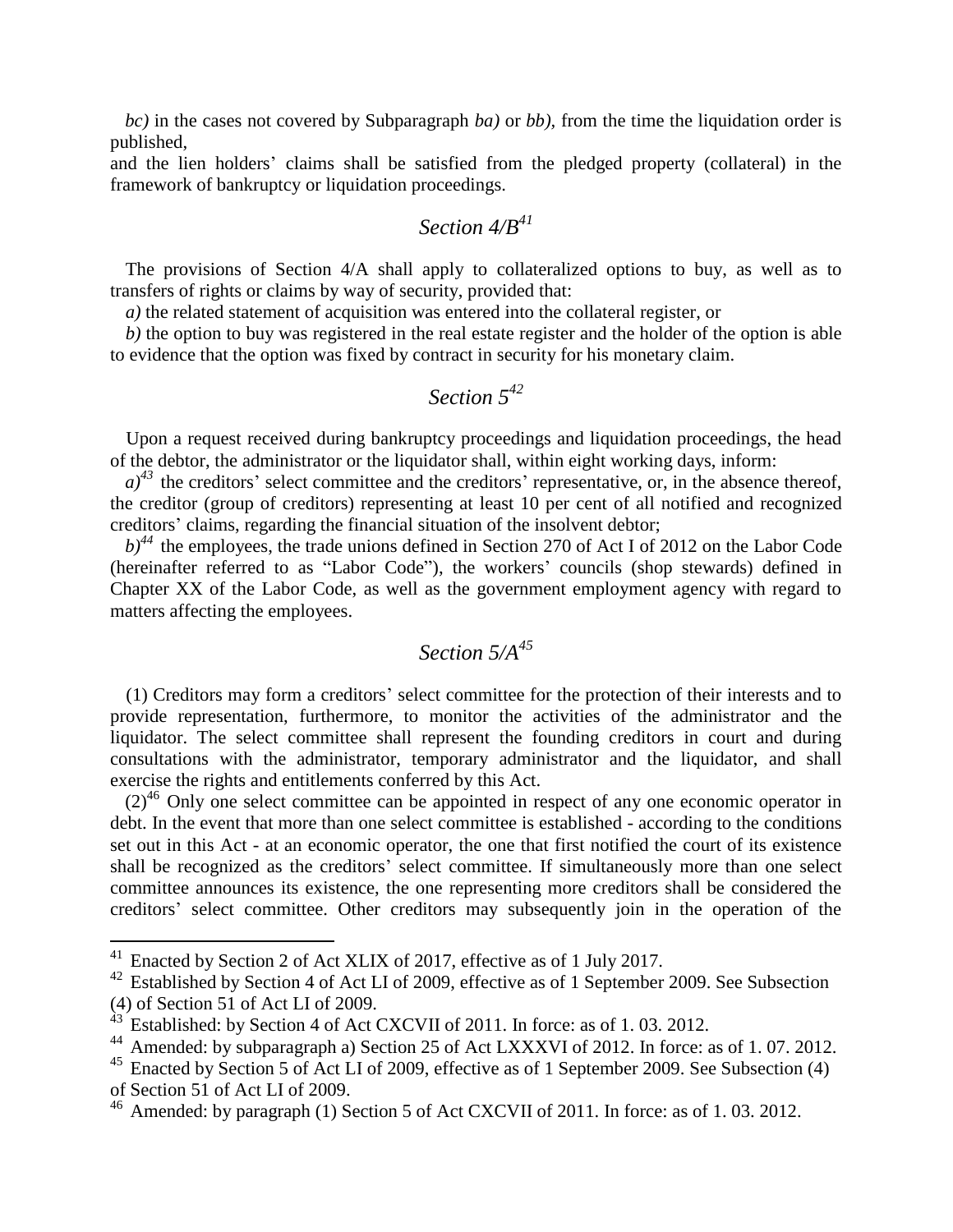*bc)* in the cases not covered by Subparagraph *ba)* or *bb),* from the time the liquidation order is published,

and the lien holders' claims shall be satisfied from the pledged property (collateral) in the framework of bankruptcy or liquidation proceedings.

#### *Section 4/B<sup>41</sup>*

The provisions of Section 4/A shall apply to collateralized options to buy, as well as to transfers of rights or claims by way of security, provided that:

*a)* the related statement of acquisition was entered into the collateral register, or

*b)* the option to buy was registered in the real estate register and the holder of the option is able to evidence that the option was fixed by contract in security for his monetary claim.

#### *Section 5<sup>42</sup>*

Upon a request received during bankruptcy proceedings and liquidation proceedings, the head of the debtor, the administrator or the liquidator shall, within eight working days, inform:

 $a^{3}$ <sup>43</sup> the creditors' select committee and the creditors' representative, or, in the absence thereof, the creditor (group of creditors) representing at least 10 per cent of all notified and recognized creditors' claims, regarding the financial situation of the insolvent debtor;

 $b)$ <sup>44</sup> the employees, the trade unions defined in Section 270 of Act I of 2012 on the Labor Code (hereinafter referred to as "Labor Code"), the workers' councils (shop stewards) defined in Chapter XX of the Labor Code, as well as the government employment agency with regard to matters affecting the employees.

# *Section 5/A<sup>45</sup>*

(1) Creditors may form a creditors' select committee for the protection of their interests and to provide representation, furthermore, to monitor the activities of the administrator and the liquidator. The select committee shall represent the founding creditors in court and during consultations with the administrator, temporary administrator and the liquidator, and shall exercise the rights and entitlements conferred by this Act.

 $(2)^{46}$  Only one select committee can be appointed in respect of any one economic operator in debt. In the event that more than one select committee is established - according to the conditions set out in this Act - at an economic operator, the one that first notified the court of its existence shall be recognized as the creditors' select committee. If simultaneously more than one select committee announces its existence, the one representing more creditors shall be considered the creditors' select committee. Other creditors may subsequently join in the operation of the

<sup>&</sup>lt;sup>41</sup> Enacted by Section 2 of Act XLIX of 2017, effective as of 1 July 2017.

<sup>&</sup>lt;sup>42</sup> Established by Section 4 of Act LI of 2009, effective as of 1 September 2009. See Subsection (4) of Section 51 of Act LI of 2009.

<sup>43</sup> Established: by Section 4 of Act CXCVII of 2011. In force: as of 1.03. 2012.

Amended: by subparagraph a) Section 25 of Act LXXXVI of 2012. In force: as of 1.07.2012.

<sup>&</sup>lt;sup>45</sup> Enacted by Section 5 of Act LI of 2009, effective as of 1 September 2009. See Subsection (4) of Section 51 of Act LI of 2009.

<sup>46</sup> Amended: by paragraph (1) Section 5 of Act CXCVII of 2011. In force: as of 1. 03. 2012.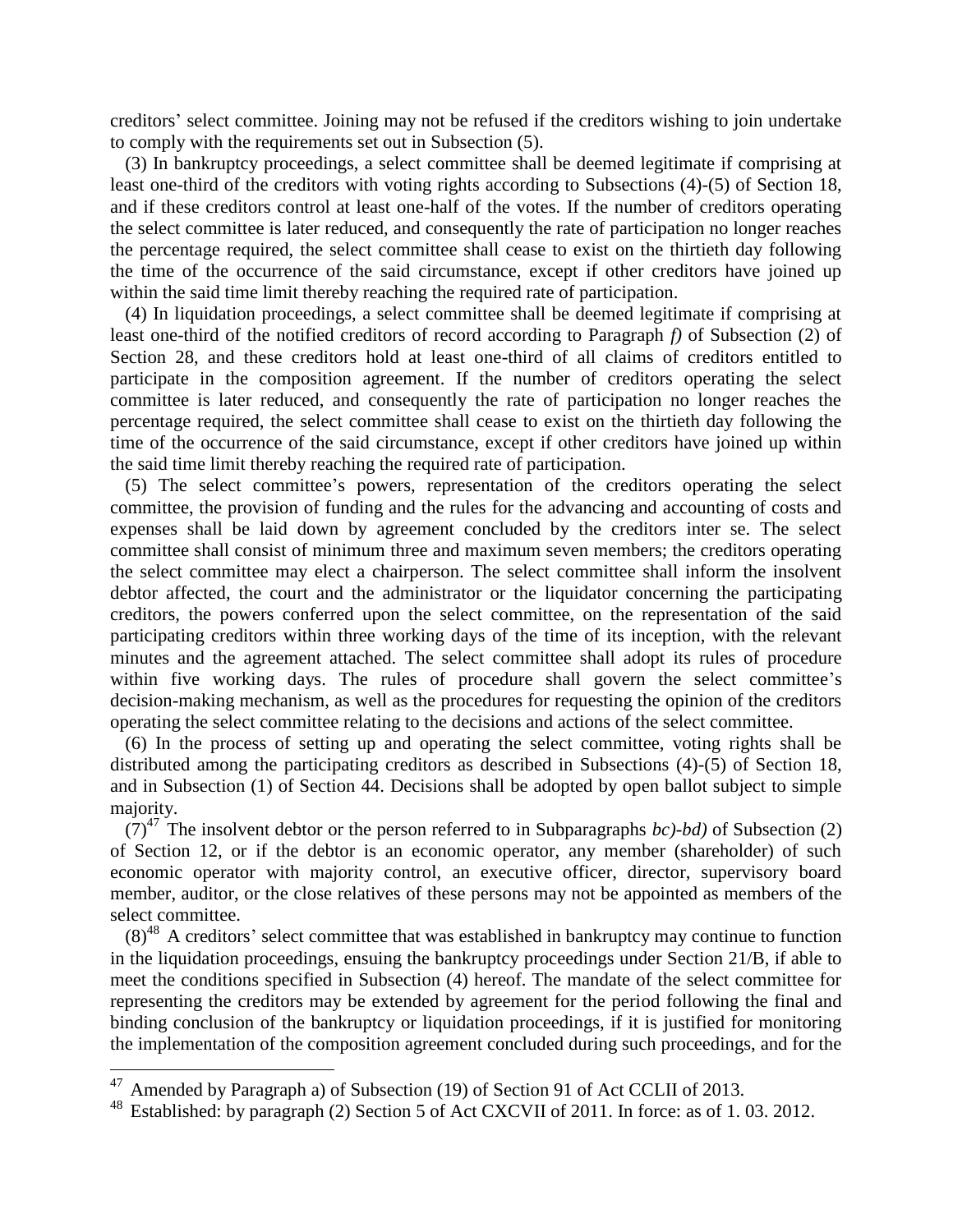creditors' select committee. Joining may not be refused if the creditors wishing to join undertake to comply with the requirements set out in Subsection (5).

(3) In bankruptcy proceedings, a select committee shall be deemed legitimate if comprising at least one-third of the creditors with voting rights according to Subsections (4)-(5) of Section 18, and if these creditors control at least one-half of the votes. If the number of creditors operating the select committee is later reduced, and consequently the rate of participation no longer reaches the percentage required, the select committee shall cease to exist on the thirtieth day following the time of the occurrence of the said circumstance, except if other creditors have joined up within the said time limit thereby reaching the required rate of participation.

(4) In liquidation proceedings, a select committee shall be deemed legitimate if comprising at least one-third of the notified creditors of record according to Paragraph *f)* of Subsection (2) of Section 28, and these creditors hold at least one-third of all claims of creditors entitled to participate in the composition agreement. If the number of creditors operating the select committee is later reduced, and consequently the rate of participation no longer reaches the percentage required, the select committee shall cease to exist on the thirtieth day following the time of the occurrence of the said circumstance, except if other creditors have joined up within the said time limit thereby reaching the required rate of participation.

(5) The select committee's powers, representation of the creditors operating the select committee, the provision of funding and the rules for the advancing and accounting of costs and expenses shall be laid down by agreement concluded by the creditors inter se. The select committee shall consist of minimum three and maximum seven members; the creditors operating the select committee may elect a chairperson. The select committee shall inform the insolvent debtor affected, the court and the administrator or the liquidator concerning the participating creditors, the powers conferred upon the select committee, on the representation of the said participating creditors within three working days of the time of its inception, with the relevant minutes and the agreement attached. The select committee shall adopt its rules of procedure within five working days. The rules of procedure shall govern the select committee's decision-making mechanism, as well as the procedures for requesting the opinion of the creditors operating the select committee relating to the decisions and actions of the select committee.

(6) In the process of setting up and operating the select committee, voting rights shall be distributed among the participating creditors as described in Subsections (4)-(5) of Section 18, and in Subsection (1) of Section 44. Decisions shall be adopted by open ballot subject to simple majority.

 $(7)^{47}$  The insolvent debtor or the person referred to in Subparagraphs *bc*)-*bd*) of Subsection (2) of Section 12, or if the debtor is an economic operator, any member (shareholder) of such economic operator with majority control, an executive officer, director, supervisory board member, auditor, or the close relatives of these persons may not be appointed as members of the select committee.

 $(8)^{48}$  A creditors' select committee that was established in bankruptcy may continue to function in the liquidation proceedings, ensuing the bankruptcy proceedings under Section 21/B, if able to meet the conditions specified in Subsection (4) hereof. The mandate of the select committee for representing the creditors may be extended by agreement for the period following the final and binding conclusion of the bankruptcy or liquidation proceedings, if it is justified for monitoring the implementation of the composition agreement concluded during such proceedings, and for the

<sup>&</sup>lt;sup>47</sup> Amended by Paragraph a) of Subsection (19) of Section 91 of Act CCLII of 2013.

Established: by paragraph (2) Section 5 of Act CXCVII of 2011. In force: as of 1.03. 2012.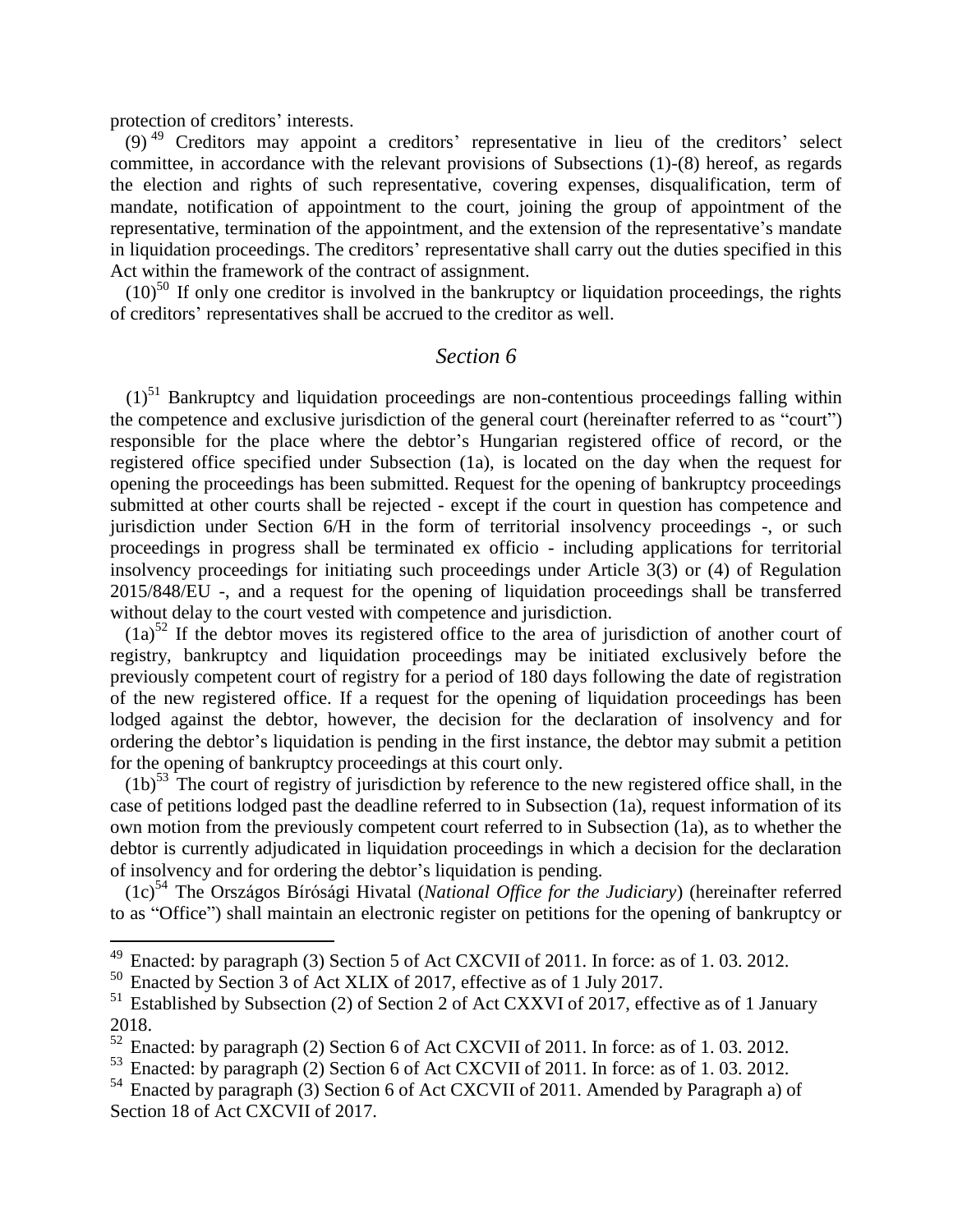protection of creditors' interests.

 $\overline{a}$ 

(9) <sup>49</sup> Creditors may appoint a creditors' representative in lieu of the creditors' select committee, in accordance with the relevant provisions of Subsections (1)-(8) hereof, as regards the election and rights of such representative, covering expenses, disqualification, term of mandate, notification of appointment to the court, joining the group of appointment of the representative, termination of the appointment, and the extension of the representative's mandate in liquidation proceedings. The creditors' representative shall carry out the duties specified in this Act within the framework of the contract of assignment.

 $(10)^{50}$  If only one creditor is involved in the bankruptcy or liquidation proceedings, the rights of creditors' representatives shall be accrued to the creditor as well.

#### *Section 6*

 $(1)^{51}$  Bankruptcy and liquidation proceedings are non-contentious proceedings falling within the competence and exclusive jurisdiction of the general court (hereinafter referred to as "court") responsible for the place where the debtor's Hungarian registered office of record, or the registered office specified under Subsection (1a), is located on the day when the request for opening the proceedings has been submitted. Request for the opening of bankruptcy proceedings submitted at other courts shall be rejected - except if the court in question has competence and jurisdiction under Section 6/H in the form of territorial insolvency proceedings -, or such proceedings in progress shall be terminated ex officio - including applications for territorial insolvency proceedings for initiating such proceedings under Article 3(3) or (4) of Regulation 2015/848/EU -, and a request for the opening of liquidation proceedings shall be transferred without delay to the court vested with competence and jurisdiction.

 $(1a)^{52}$  If the debtor moves its registered office to the area of jurisdiction of another court of registry, bankruptcy and liquidation proceedings may be initiated exclusively before the previously competent court of registry for a period of 180 days following the date of registration of the new registered office. If a request for the opening of liquidation proceedings has been lodged against the debtor, however, the decision for the declaration of insolvency and for ordering the debtor's liquidation is pending in the first instance, the debtor may submit a petition for the opening of bankruptcy proceedings at this court only.

 $(1b)^{53}$  The court of registry of jurisdiction by reference to the new registered office shall, in the case of petitions lodged past the deadline referred to in Subsection (1a), request information of its own motion from the previously competent court referred to in Subsection (1a), as to whether the debtor is currently adjudicated in liquidation proceedings in which a decision for the declaration of insolvency and for ordering the debtor's liquidation is pending.

(1c)<sup>54</sup> The Országos Bírósági Hivatal (*National Office for the Judiciary*) (hereinafter referred to as "Office") shall maintain an electronic register on petitions for the opening of bankruptcy or

<sup>&</sup>lt;sup>49</sup> Enacted: by paragraph (3) Section 5 of Act CXCVII of 2011. In force: as of 1.03. 2012.<br><sup>50</sup> Enacted by Section 3 of Act XI IX of 2017, effective as of 1 July 2017

Enacted by Section 3 of Act XLIX of 2017, effective as of 1 July 2017.

<sup>&</sup>lt;sup>51</sup> Established by Subsection (2) of Section 2 of Act CXXVI of 2017, effective as of 1 January  $^{2018.}_{52}$ 

<sup>52</sup> Enacted: by paragraph (2) Section 6 of Act CXCVII of 2011. In force: as of 1. 03. 2012.

<sup>53</sup> Enacted: by paragraph (2) Section 6 of Act CXCVII of 2011. In force: as of 1. 03. 2012.

<sup>54</sup> Enacted by paragraph (3) Section 6 of Act CXCVII of 2011. Amended by Paragraph a) of Section 18 of Act CXCVII of 2017.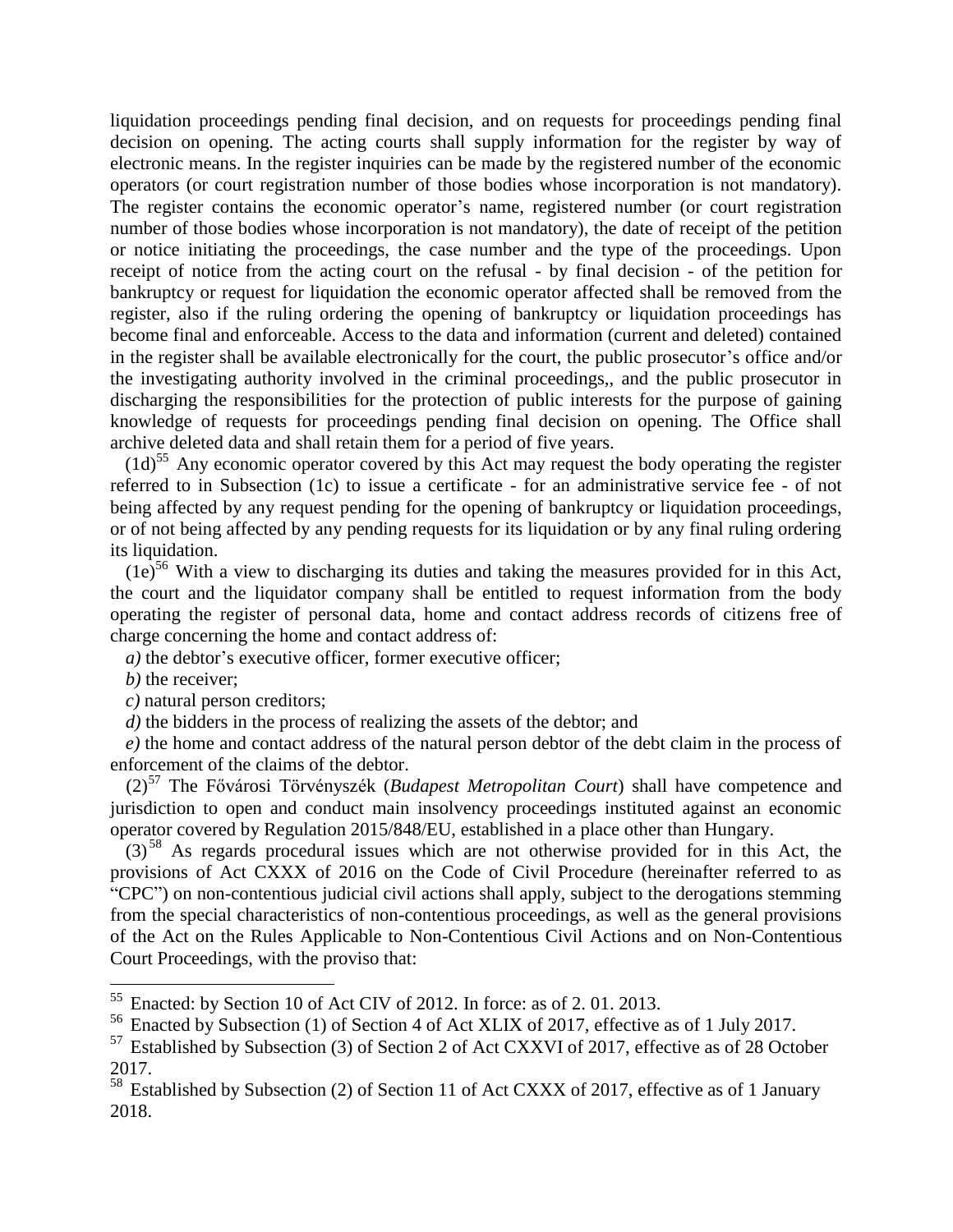liquidation proceedings pending final decision, and on requests for proceedings pending final decision on opening. The acting courts shall supply information for the register by way of electronic means. In the register inquiries can be made by the registered number of the economic operators (or court registration number of those bodies whose incorporation is not mandatory). The register contains the economic operator's name, registered number (or court registration number of those bodies whose incorporation is not mandatory), the date of receipt of the petition or notice initiating the proceedings, the case number and the type of the proceedings. Upon receipt of notice from the acting court on the refusal - by final decision - of the petition for bankruptcy or request for liquidation the economic operator affected shall be removed from the register, also if the ruling ordering the opening of bankruptcy or liquidation proceedings has become final and enforceable. Access to the data and information (current and deleted) contained in the register shall be available electronically for the court, the public prosecutor's office and/or the investigating authority involved in the criminal proceedings,, and the public prosecutor in discharging the responsibilities for the protection of public interests for the purpose of gaining knowledge of requests for proceedings pending final decision on opening. The Office shall archive deleted data and shall retain them for a period of five years.

 $(1d)$ <sup>55</sup> Any economic operator covered by this Act may request the body operating the register referred to in Subsection (1c) to issue a certificate - for an administrative service fee - of not being affected by any request pending for the opening of bankruptcy or liquidation proceedings, or of not being affected by any pending requests for its liquidation or by any final ruling ordering its liquidation.

 $(1e)^{56}$  With a view to discharging its duties and taking the measures provided for in this Act, the court and the liquidator company shall be entitled to request information from the body operating the register of personal data, home and contact address records of citizens free of charge concerning the home and contact address of:

*a)* the debtor's executive officer, former executive officer;

*b)* the receiver;

 $\overline{a}$ 

*c)* natural person creditors;

*d)* the bidders in the process of realizing the assets of the debtor; and

*e)* the home and contact address of the natural person debtor of the debt claim in the process of enforcement of the claims of the debtor.

(2)<sup>57</sup> The Fővárosi Törvényszék (*Budapest Metropolitan Court*) shall have competence and jurisdiction to open and conduct main insolvency proceedings instituted against an economic operator covered by Regulation 2015/848/EU, established in a place other than Hungary.

 $(3)^{58}$  As regards procedural issues which are not otherwise provided for in this Act, the provisions of Act CXXX of 2016 on the Code of Civil Procedure (hereinafter referred to as "CPC") on non-contentious judicial civil actions shall apply, subject to the derogations stemming from the special characteristics of non-contentious proceedings, as well as the general provisions of the Act on the Rules Applicable to Non-Contentious Civil Actions and on Non-Contentious Court Proceedings, with the proviso that:

<sup>55</sup> Enacted: by Section 10 of Act CIV of 2012. In force: as of 2. 01. 2013.

<sup>56</sup> Enacted by Subsection (1) of Section 4 of Act XLIX of 2017, effective as of 1 July 2017.

<sup>&</sup>lt;sup>57</sup> Established by Subsection (3) of Section 2 of Act CXXVI of 2017, effective as of 28 October 2017.

<sup>&</sup>lt;sup>58</sup> Established by Subsection (2) of Section 11 of Act CXXX of 2017, effective as of 1 January 2018.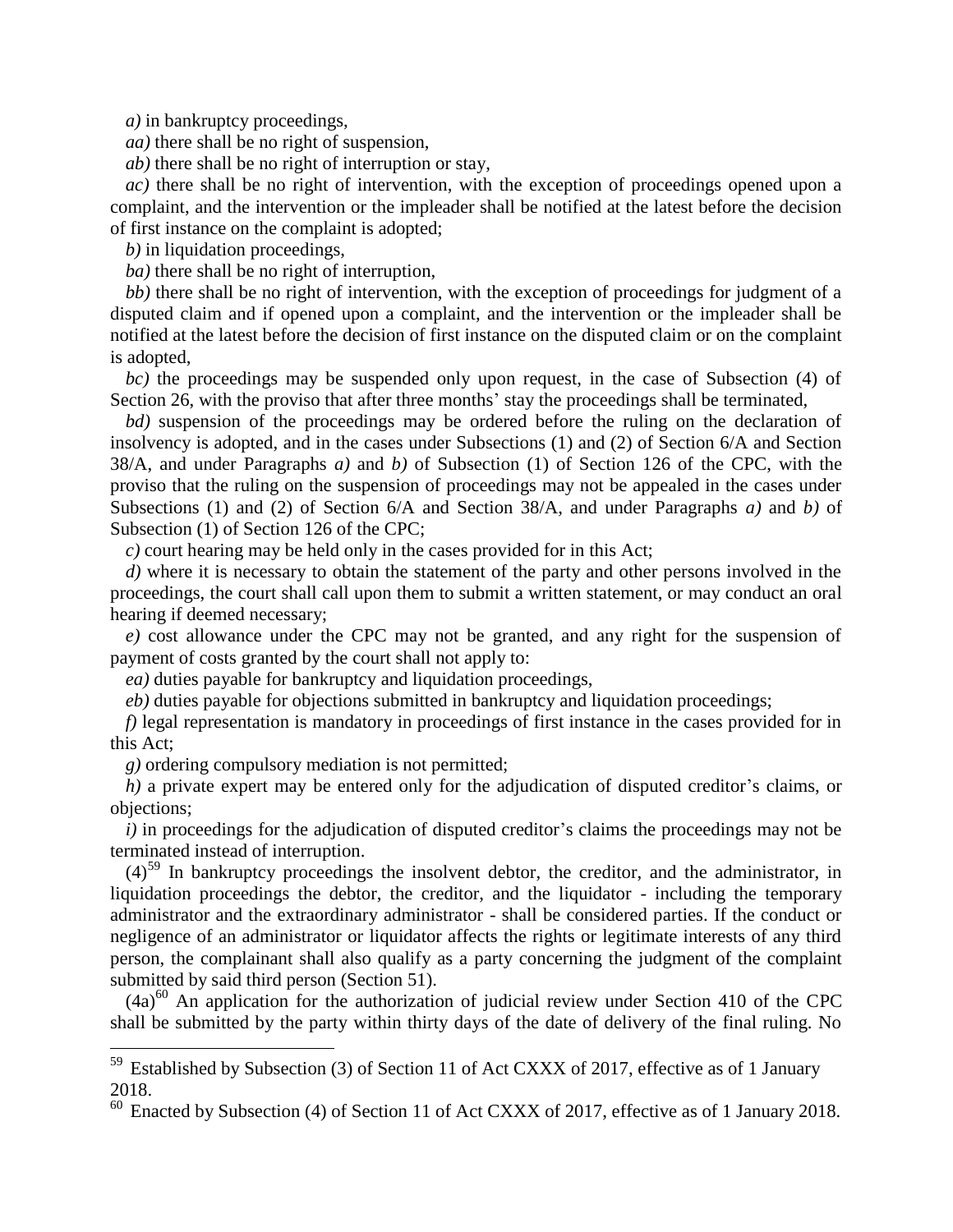*a)* in bankruptcy proceedings,

*aa)* there shall be no right of suspension,

*ab)* there shall be no right of interruption or stay,

*ac)* there shall be no right of intervention, with the exception of proceedings opened upon a complaint, and the intervention or the impleader shall be notified at the latest before the decision of first instance on the complaint is adopted;

*b)* in liquidation proceedings,

*ba)* there shall be no right of interruption,

*bb)* there shall be no right of intervention, with the exception of proceedings for judgment of a disputed claim and if opened upon a complaint, and the intervention or the impleader shall be notified at the latest before the decision of first instance on the disputed claim or on the complaint is adopted,

*bc*) the proceedings may be suspended only upon request, in the case of Subsection (4) of Section 26, with the proviso that after three months' stay the proceedings shall be terminated,

*bd)* suspension of the proceedings may be ordered before the ruling on the declaration of insolvency is adopted, and in the cases under Subsections (1) and (2) of Section 6/A and Section 38/A, and under Paragraphs *a)* and *b)* of Subsection (1) of Section 126 of the CPC, with the proviso that the ruling on the suspension of proceedings may not be appealed in the cases under Subsections (1) and (2) of Section 6/A and Section 38/A, and under Paragraphs *a)* and *b)* of Subsection (1) of Section 126 of the CPC;

*c)* court hearing may be held only in the cases provided for in this Act;

*d)* where it is necessary to obtain the statement of the party and other persons involved in the proceedings, the court shall call upon them to submit a written statement, or may conduct an oral hearing if deemed necessary;

*e)* cost allowance under the CPC may not be granted, and any right for the suspension of payment of costs granted by the court shall not apply to:

*ea)* duties payable for bankruptcy and liquidation proceedings,

*eb)* duties payable for objections submitted in bankruptcy and liquidation proceedings;

*f)* legal representation is mandatory in proceedings of first instance in the cases provided for in this Act;

*g)* ordering compulsory mediation is not permitted;

 $\overline{a}$ 

*h)* a private expert may be entered only for the adjudication of disputed creditor's claims, or objections;

*i*) in proceedings for the adjudication of disputed creditor's claims the proceedings may not be terminated instead of interruption.

 $(4)$ <sup>59</sup> In bankruptcy proceedings the insolvent debtor, the creditor, and the administrator, in liquidation proceedings the debtor, the creditor, and the liquidator - including the temporary administrator and the extraordinary administrator - shall be considered parties. If the conduct or negligence of an administrator or liquidator affects the rights or legitimate interests of any third person, the complainant shall also qualify as a party concerning the judgment of the complaint submitted by said third person (Section 51).

 $(4a)^{60}$  An application for the authorization of judicial review under Section 410 of the CPC shall be submitted by the party within thirty days of the date of delivery of the final ruling. No

 $59$  Established by Subsection (3) of Section 11 of Act CXXX of 2017, effective as of 1 January 2018.

 $60$  Enacted by Subsection (4) of Section 11 of Act CXXX of 2017, effective as of 1 January 2018.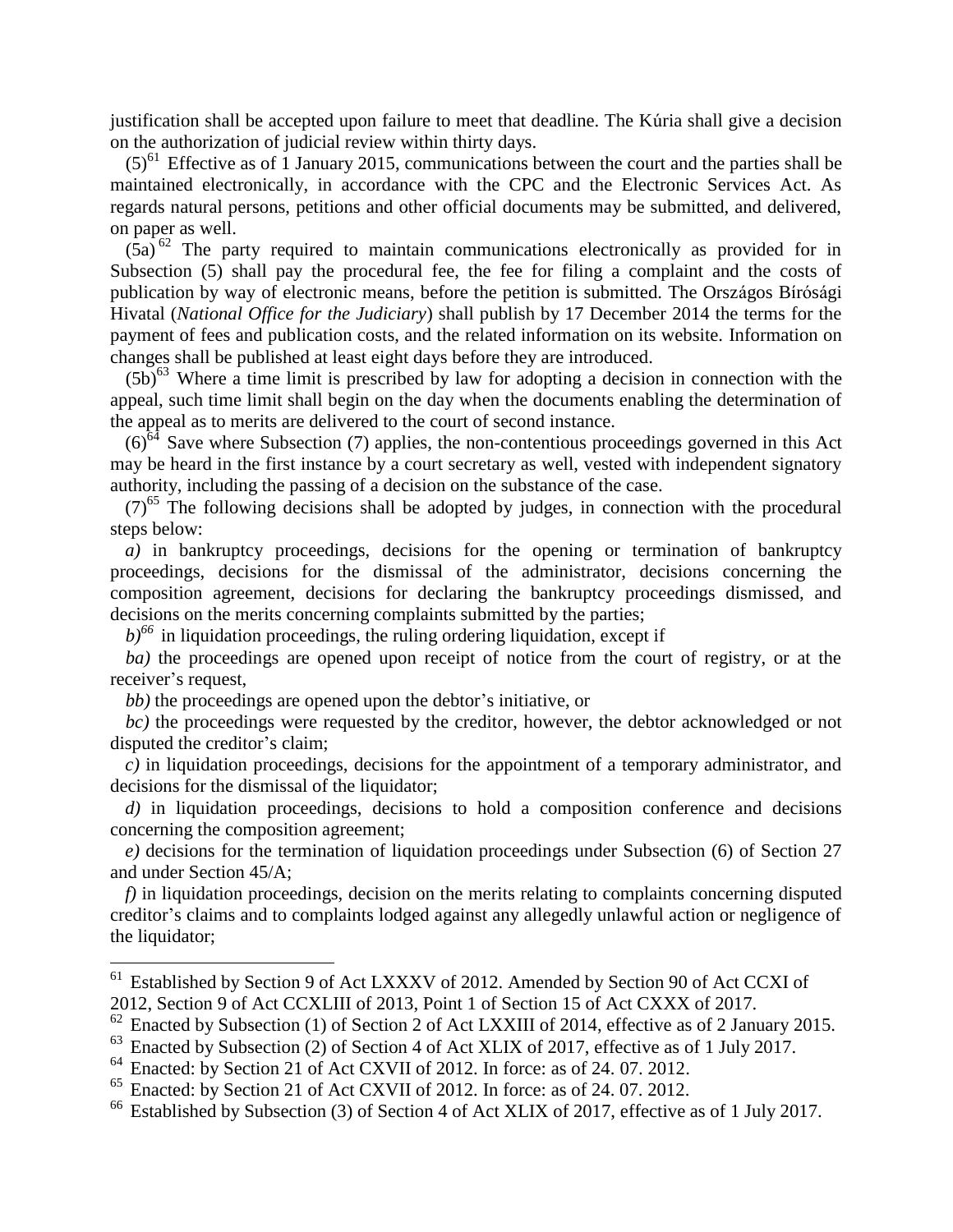justification shall be accepted upon failure to meet that deadline. The Kúria shall give a decision on the authorization of judicial review within thirty days.

 $(5)^{61}$  Effective as of 1 January 2015, communications between the court and the parties shall be maintained electronically, in accordance with the CPC and the Electronic Services Act. As regards natural persons, petitions and other official documents may be submitted, and delivered, on paper as well.

 $(5a)$ <sup>62</sup> The party required to maintain communications electronically as provided for in Subsection (5) shall pay the procedural fee, the fee for filing a complaint and the costs of publication by way of electronic means, before the petition is submitted. The Országos Bírósági Hivatal (*National Office for the Judiciary*) shall publish by 17 December 2014 the terms for the payment of fees and publication costs, and the related information on its website. Information on changes shall be published at least eight days before they are introduced.

 $(5b)^{63}$  Where a time limit is prescribed by law for adopting a decision in connection with the appeal, such time limit shall begin on the day when the documents enabling the determination of the appeal as to merits are delivered to the court of second instance.

 $(6)^{64}$  Save where Subsection (7) applies, the non-contentious proceedings governed in this Act may be heard in the first instance by a court secretary as well, vested with independent signatory authority, including the passing of a decision on the substance of the case.

 $(7)^{65}$  The following decisions shall be adopted by judges, in connection with the procedural steps below:

*a*) in bankruptcy proceedings, decisions for the opening or termination of bankruptcy proceedings, decisions for the dismissal of the administrator, decisions concerning the composition agreement, decisions for declaring the bankruptcy proceedings dismissed, and decisions on the merits concerning complaints submitted by the parties;

 $b$ <sup> $66$ </sup> in liquidation proceedings, the ruling ordering liquidation, except if

*ba)* the proceedings are opened upon receipt of notice from the court of registry, or at the receiver's request,

*bb)* the proceedings are opened upon the debtor's initiative, or

 $\overline{a}$ 

*bc)* the proceedings were requested by the creditor, however, the debtor acknowledged or not disputed the creditor's claim;

*c)* in liquidation proceedings, decisions for the appointment of a temporary administrator, and decisions for the dismissal of the liquidator;

*d)* in liquidation proceedings, decisions to hold a composition conference and decisions concerning the composition agreement;

*e)* decisions for the termination of liquidation proceedings under Subsection (6) of Section 27 and under Section 45/A;

*f*) in liquidation proceedings, decision on the merits relating to complaints concerning disputed creditor's claims and to complaints lodged against any allegedly unlawful action or negligence of the liquidator;

<sup>&</sup>lt;sup>61</sup> Established by Section 9 of Act LXXXV of 2012. Amended by Section 90 of Act CCXI of 2012, Section 9 of Act CCXLIII of 2013, Point 1 of Section 15 of Act CXXX of 2017.

 $62$  Enacted by Subsection (1) of Section 2 of Act LXXIII of 2014, effective as of 2 January 2015.

<sup>&</sup>lt;sup>63</sup> Enacted by Subsection (2) of Section 4 of Act XLIX of 2017, effective as of 1 July 2017.

<sup>&</sup>lt;sup>64</sup> Enacted: by Section 21 of Act CXVII of 2012. In force: as of 24. 07. 2012.

<sup>65</sup> Enacted: by Section 21 of Act CXVII of 2012. In force: as of 24. 07. 2012.

<sup>&</sup>lt;sup>66</sup> Established by Subsection (3) of Section 4 of Act XLIX of 2017, effective as of 1 July 2017.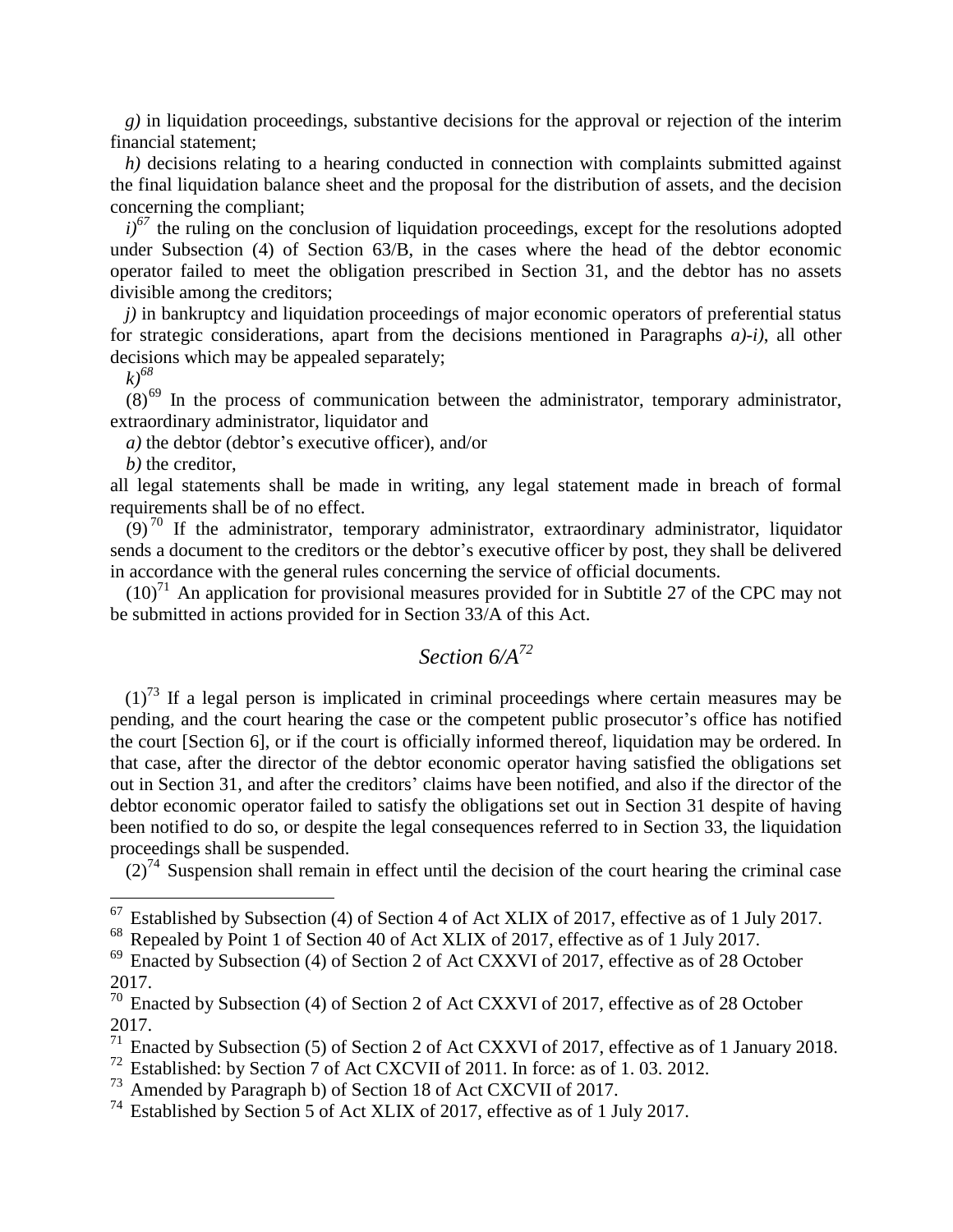*g)* in liquidation proceedings, substantive decisions for the approval or rejection of the interim financial statement;

*h*) decisions relating to a hearing conducted in connection with complaints submitted against the final liquidation balance sheet and the proposal for the distribution of assets, and the decision concerning the compliant;

 $i$ <sup> $\delta$ 7</sup> the ruling on the conclusion of liquidation proceedings, except for the resolutions adopted under Subsection (4) of Section 63/B, in the cases where the head of the debtor economic operator failed to meet the obligation prescribed in Section 31, and the debtor has no assets divisible among the creditors;

*j*) in bankruptcy and liquidation proceedings of major economic operators of preferential status for strategic considerations, apart from the decisions mentioned in Paragraphs *a)-i)*, all other decisions which may be appealed separately;

*k)<sup>68</sup>*

 $\overline{a}$ 

 $(8)^{69}$  In the process of communication between the administrator, temporary administrator, extraordinary administrator, liquidator and

*a)* the debtor (debtor's executive officer), and/or

*b)* the creditor,

all legal statements shall be made in writing, any legal statement made in breach of formal requirements shall be of no effect.

 $(9)^{70}$  If the administrator, temporary administrator, extraordinary administrator, liquidator sends a document to the creditors or the debtor's executive officer by post, they shall be delivered in accordance with the general rules concerning the service of official documents.

 $(10)^{71}$  An application for provisional measures provided for in Subtitle 27 of the CPC may not be submitted in actions provided for in Section 33/A of this Act.

# *Section 6/A<sup>72</sup>*

 $(1)^{73}$  If a legal person is implicated in criminal proceedings where certain measures may be pending, and the court hearing the case or the competent public prosecutor's office has notified the court [Section 6], or if the court is officially informed thereof, liquidation may be ordered. In that case, after the director of the debtor economic operator having satisfied the obligations set out in Section 31, and after the creditors' claims have been notified, and also if the director of the debtor economic operator failed to satisfy the obligations set out in Section 31 despite of having been notified to do so, or despite the legal consequences referred to in Section 33, the liquidation proceedings shall be suspended.

 $(2)^{74}$  Suspension shall remain in effect until the decision of the court hearing the criminal case

<sup>&</sup>lt;sup>67</sup> Established by Subsection (4) of Section 4 of Act XLIX of 2017, effective as of 1 July 2017.<br><sup>68</sup> Repealed by Point 1 of Section 40 of Act XLIX of 2017, effective as of 1 July 2017.

Repealed by Point 1 of Section 40 of Act XLIX of 2017, effective as of 1 July 2017.

 $69$  Enacted by Subsection (4) of Section 2 of Act CXXVI of 2017, effective as of 28 October 2017.

<sup>70</sup> Enacted by Subsection (4) of Section 2 of Act CXXVI of 2017, effective as of 28 October 2017.

Enacted by Subsection (5) of Section 2 of Act CXXVI of 2017, effective as of 1 January 2018.

<sup>72</sup> Established: by Section 7 of Act CXCVII of 2011. In force: as of 1. 03. 2012.

<sup>73</sup> Amended by Paragraph b) of Section 18 of Act CXCVII of 2017.

<sup>&</sup>lt;sup>74</sup> Established by Section 5 of Act XLIX of 2017, effective as of 1 July 2017.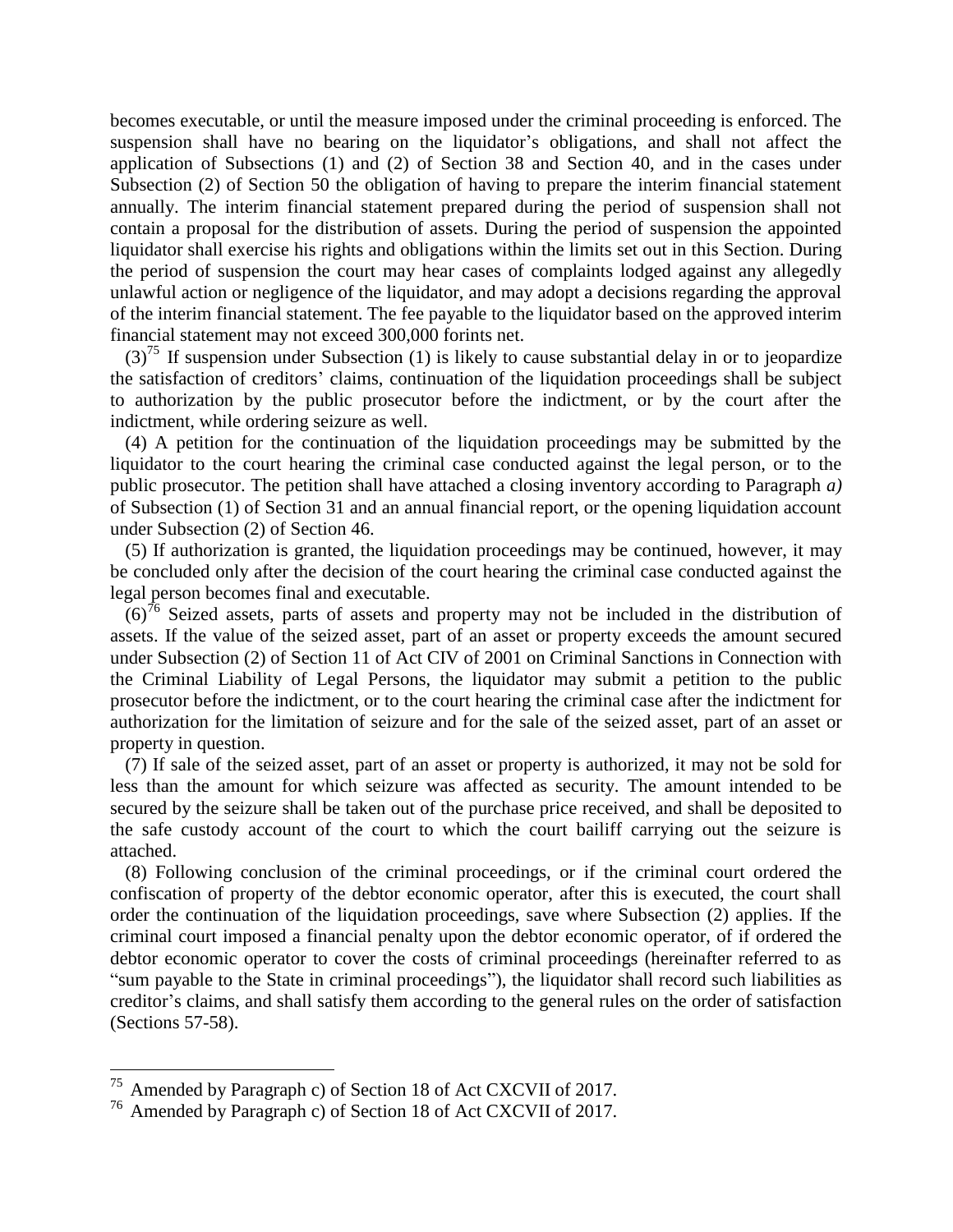becomes executable, or until the measure imposed under the criminal proceeding is enforced. The suspension shall have no bearing on the liquidator's obligations, and shall not affect the application of Subsections (1) and (2) of Section 38 and Section 40, and in the cases under Subsection (2) of Section 50 the obligation of having to prepare the interim financial statement annually. The interim financial statement prepared during the period of suspension shall not contain a proposal for the distribution of assets. During the period of suspension the appointed liquidator shall exercise his rights and obligations within the limits set out in this Section. During the period of suspension the court may hear cases of complaints lodged against any allegedly unlawful action or negligence of the liquidator, and may adopt a decisions regarding the approval of the interim financial statement. The fee payable to the liquidator based on the approved interim financial statement may not exceed 300,000 forints net.

 $(3)^{75}$  If suspension under Subsection (1) is likely to cause substantial delay in or to jeopardize the satisfaction of creditors' claims, continuation of the liquidation proceedings shall be subject to authorization by the public prosecutor before the indictment, or by the court after the indictment, while ordering seizure as well.

(4) A petition for the continuation of the liquidation proceedings may be submitted by the liquidator to the court hearing the criminal case conducted against the legal person, or to the public prosecutor. The petition shall have attached a closing inventory according to Paragraph *a)* of Subsection (1) of Section 31 and an annual financial report, or the opening liquidation account under Subsection (2) of Section 46.

(5) If authorization is granted, the liquidation proceedings may be continued, however, it may be concluded only after the decision of the court hearing the criminal case conducted against the legal person becomes final and executable.

 $(6)^{76}$  Seized assets, parts of assets and property may not be included in the distribution of assets. If the value of the seized asset, part of an asset or property exceeds the amount secured under Subsection (2) of Section 11 of Act CIV of 2001 on Criminal Sanctions in Connection with the Criminal Liability of Legal Persons, the liquidator may submit a petition to the public prosecutor before the indictment, or to the court hearing the criminal case after the indictment for authorization for the limitation of seizure and for the sale of the seized asset, part of an asset or property in question.

(7) If sale of the seized asset, part of an asset or property is authorized, it may not be sold for less than the amount for which seizure was affected as security. The amount intended to be secured by the seizure shall be taken out of the purchase price received, and shall be deposited to the safe custody account of the court to which the court bailiff carrying out the seizure is attached.

(8) Following conclusion of the criminal proceedings, or if the criminal court ordered the confiscation of property of the debtor economic operator, after this is executed, the court shall order the continuation of the liquidation proceedings, save where Subsection (2) applies. If the criminal court imposed a financial penalty upon the debtor economic operator, of if ordered the debtor economic operator to cover the costs of criminal proceedings (hereinafter referred to as "sum payable to the State in criminal proceedings"), the liquidator shall record such liabilities as creditor's claims, and shall satisfy them according to the general rules on the order of satisfaction (Sections 57-58).

<sup>75</sup> Amended by Paragraph c) of Section 18 of Act CXCVII of 2017.

<sup>76</sup> Amended by Paragraph c) of Section 18 of Act CXCVII of 2017.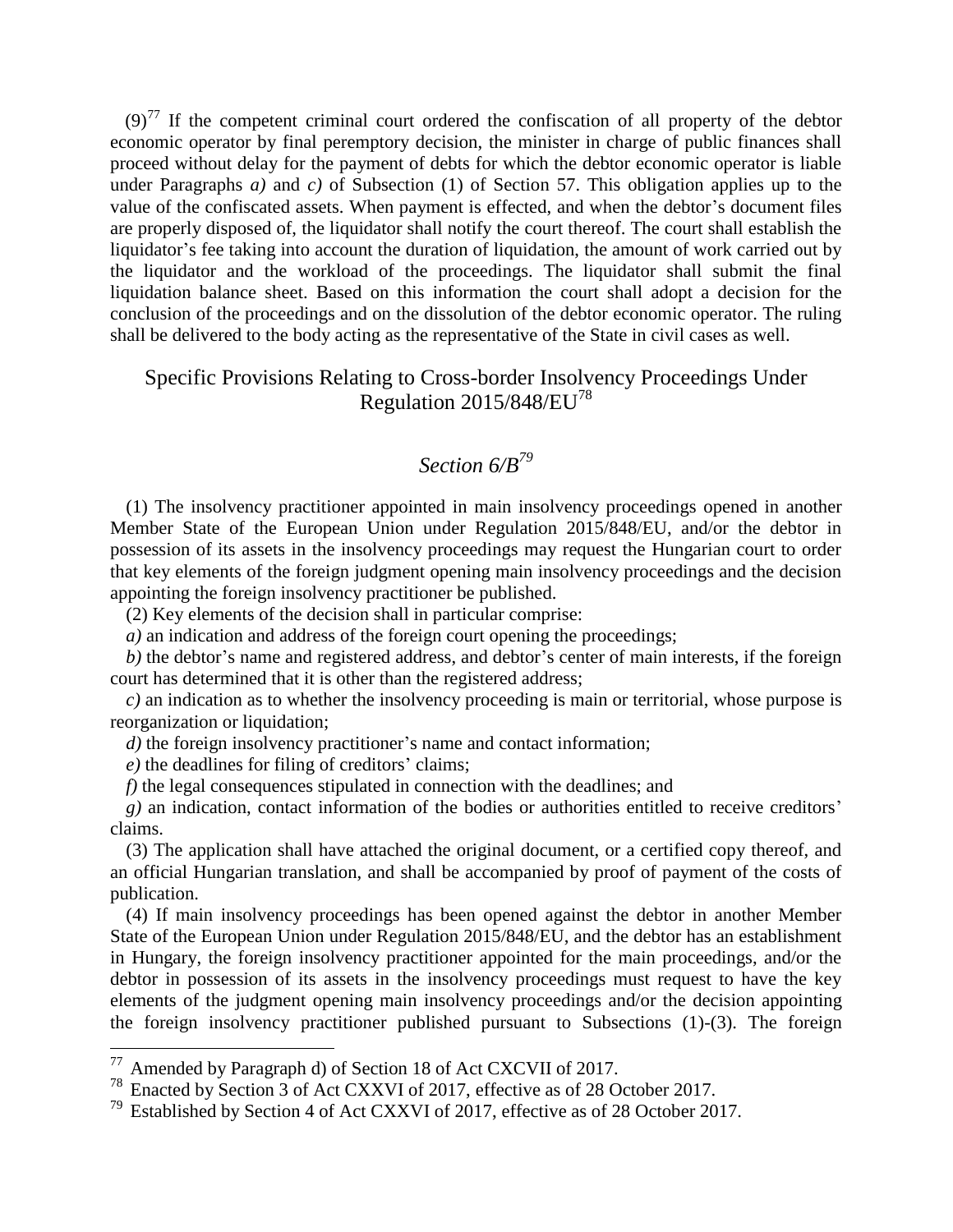$(9)^{77}$  If the competent criminal court ordered the confiscation of all property of the debtor economic operator by final peremptory decision, the minister in charge of public finances shall proceed without delay for the payment of debts for which the debtor economic operator is liable under Paragraphs *a)* and *c)* of Subsection (1) of Section 57. This obligation applies up to the value of the confiscated assets. When payment is effected, and when the debtor's document files are properly disposed of, the liquidator shall notify the court thereof. The court shall establish the liquidator's fee taking into account the duration of liquidation, the amount of work carried out by the liquidator and the workload of the proceedings. The liquidator shall submit the final liquidation balance sheet. Based on this information the court shall adopt a decision for the conclusion of the proceedings and on the dissolution of the debtor economic operator. The ruling shall be delivered to the body acting as the representative of the State in civil cases as well.

#### Specific Provisions Relating to Cross-border Insolvency Proceedings Under Regulation 2015/848/EU<sup>78</sup>

## *Section 6/B<sup>79</sup>*

(1) The insolvency practitioner appointed in main insolvency proceedings opened in another Member State of the European Union under Regulation 2015/848/EU, and/or the debtor in possession of its assets in the insolvency proceedings may request the Hungarian court to order that key elements of the foreign judgment opening main insolvency proceedings and the decision appointing the foreign insolvency practitioner be published.

(2) Key elements of the decision shall in particular comprise:

*a)* an indication and address of the foreign court opening the proceedings;

*b)* the debtor's name and registered address, and debtor's center of main interests, if the foreign court has determined that it is other than the registered address;

*c)* an indication as to whether the insolvency proceeding is main or territorial, whose purpose is reorganization or liquidation;

*d*) the foreign insolvency practitioner's name and contact information;

*e)* the deadlines for filing of creditors' claims;

 $\overline{a}$ 

*f)* the legal consequences stipulated in connection with the deadlines; and

*g)* an indication, contact information of the bodies or authorities entitled to receive creditors' claims.

(3) The application shall have attached the original document, or a certified copy thereof, and an official Hungarian translation, and shall be accompanied by proof of payment of the costs of publication.

(4) If main insolvency proceedings has been opened against the debtor in another Member State of the European Union under Regulation 2015/848/EU, and the debtor has an establishment in Hungary, the foreign insolvency practitioner appointed for the main proceedings, and/or the debtor in possession of its assets in the insolvency proceedings must request to have the key elements of the judgment opening main insolvency proceedings and/or the decision appointing the foreign insolvency practitioner published pursuant to Subsections (1)-(3). The foreign

 $77$  Amended by Paragraph d) of Section 18 of Act CXCVII of 2017.

<sup>78</sup> Enacted by Section 3 of Act CXXVI of 2017, effective as of 28 October 2017.

<sup>79</sup> Established by Section 4 of Act CXXVI of 2017, effective as of 28 October 2017.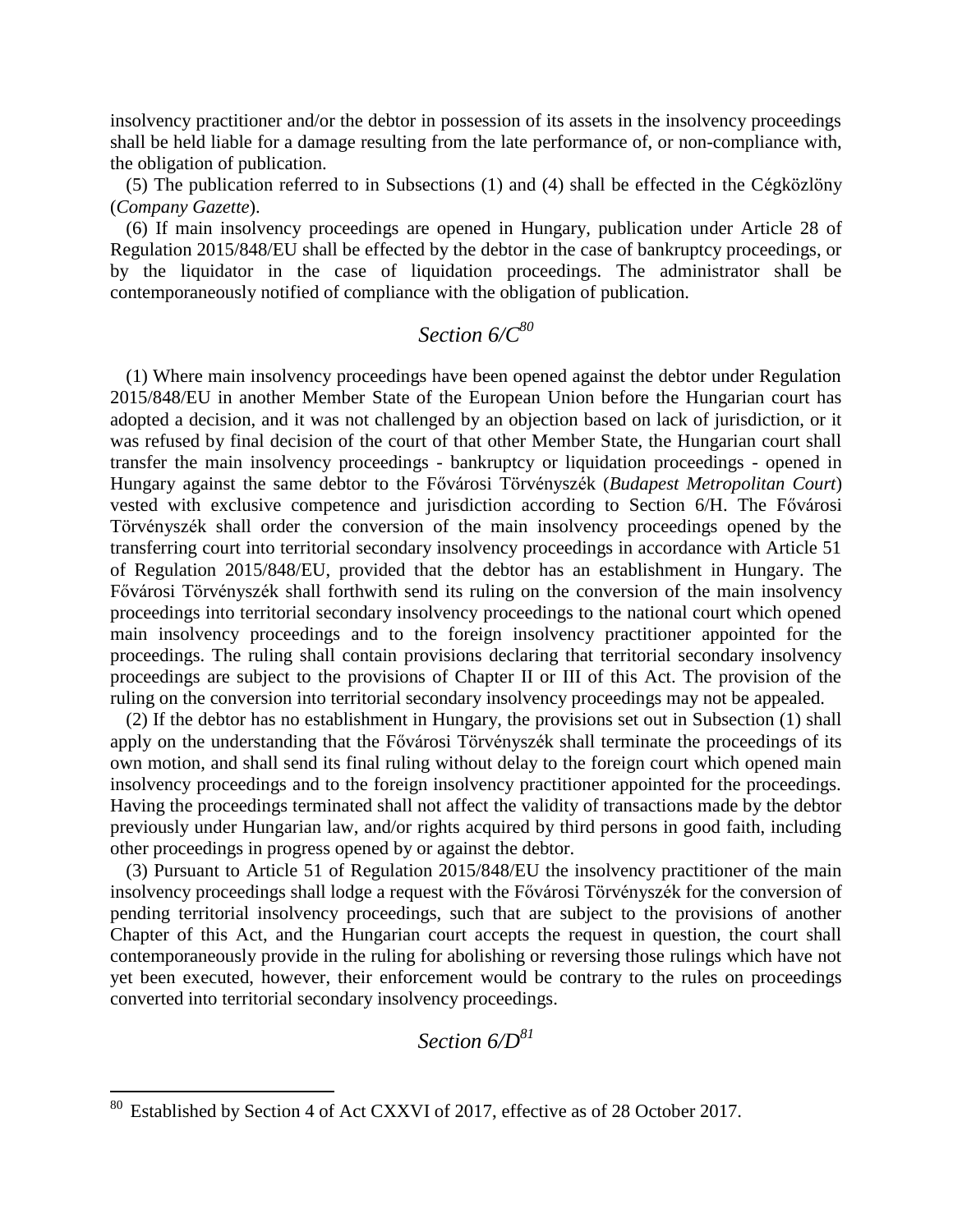insolvency practitioner and/or the debtor in possession of its assets in the insolvency proceedings shall be held liable for a damage resulting from the late performance of, or non-compliance with, the obligation of publication.

(5) The publication referred to in Subsections (1) and (4) shall be effected in the Cégközlöny (*Company Gazette*).

(6) If main insolvency proceedings are opened in Hungary, publication under Article 28 of Regulation 2015/848/EU shall be effected by the debtor in the case of bankruptcy proceedings, or by the liquidator in the case of liquidation proceedings. The administrator shall be contemporaneously notified of compliance with the obligation of publication.

### *Section 6/C<sup>80</sup>*

(1) Where main insolvency proceedings have been opened against the debtor under Regulation 2015/848/EU in another Member State of the European Union before the Hungarian court has adopted a decision, and it was not challenged by an objection based on lack of jurisdiction, or it was refused by final decision of the court of that other Member State, the Hungarian court shall transfer the main insolvency proceedings - bankruptcy or liquidation proceedings - opened in Hungary against the same debtor to the Fővárosi Törvényszék (*Budapest Metropolitan Court*) vested with exclusive competence and jurisdiction according to Section 6/H. The Fővárosi Törvényszék shall order the conversion of the main insolvency proceedings opened by the transferring court into territorial secondary insolvency proceedings in accordance with Article 51 of Regulation 2015/848/EU, provided that the debtor has an establishment in Hungary. The Fővárosi Törvényszék shall forthwith send its ruling on the conversion of the main insolvency proceedings into territorial secondary insolvency proceedings to the national court which opened main insolvency proceedings and to the foreign insolvency practitioner appointed for the proceedings. The ruling shall contain provisions declaring that territorial secondary insolvency proceedings are subject to the provisions of Chapter II or III of this Act. The provision of the ruling on the conversion into territorial secondary insolvency proceedings may not be appealed.

(2) If the debtor has no establishment in Hungary, the provisions set out in Subsection (1) shall apply on the understanding that the Fővárosi Törvényszék shall terminate the proceedings of its own motion, and shall send its final ruling without delay to the foreign court which opened main insolvency proceedings and to the foreign insolvency practitioner appointed for the proceedings. Having the proceedings terminated shall not affect the validity of transactions made by the debtor previously under Hungarian law, and/or rights acquired by third persons in good faith, including other proceedings in progress opened by or against the debtor.

(3) Pursuant to Article 51 of Regulation 2015/848/EU the insolvency practitioner of the main insolvency proceedings shall lodge a request with the Fővárosi Törvényszék for the conversion of pending territorial insolvency proceedings, such that are subject to the provisions of another Chapter of this Act, and the Hungarian court accepts the request in question, the court shall contemporaneously provide in the ruling for abolishing or reversing those rulings which have not yet been executed, however, their enforcement would be contrary to the rules on proceedings converted into territorial secondary insolvency proceedings.

## *Section 6/D<sup>81</sup>*

Established by Section 4 of Act CXXVI of 2017, effective as of 28 October 2017.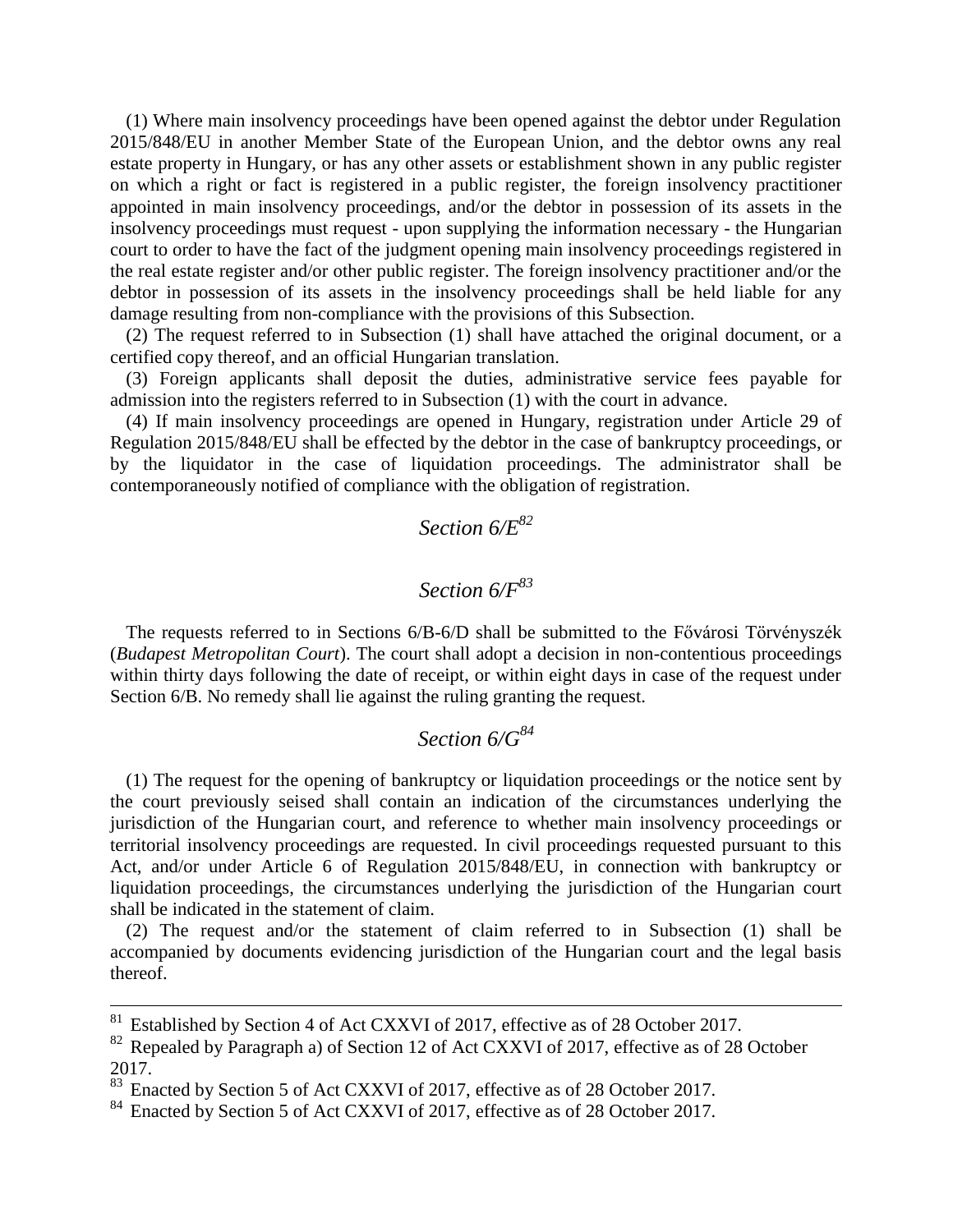(1) Where main insolvency proceedings have been opened against the debtor under Regulation 2015/848/EU in another Member State of the European Union, and the debtor owns any real estate property in Hungary, or has any other assets or establishment shown in any public register on which a right or fact is registered in a public register, the foreign insolvency practitioner appointed in main insolvency proceedings, and/or the debtor in possession of its assets in the insolvency proceedings must request - upon supplying the information necessary - the Hungarian court to order to have the fact of the judgment opening main insolvency proceedings registered in the real estate register and/or other public register. The foreign insolvency practitioner and/or the debtor in possession of its assets in the insolvency proceedings shall be held liable for any damage resulting from non-compliance with the provisions of this Subsection.

(2) The request referred to in Subsection (1) shall have attached the original document, or a certified copy thereof, and an official Hungarian translation.

(3) Foreign applicants shall deposit the duties, administrative service fees payable for admission into the registers referred to in Subsection (1) with the court in advance.

(4) If main insolvency proceedings are opened in Hungary, registration under Article 29 of Regulation 2015/848/EU shall be effected by the debtor in the case of bankruptcy proceedings, or by the liquidator in the case of liquidation proceedings. The administrator shall be contemporaneously notified of compliance with the obligation of registration.

## *Section 6/E<sup>82</sup>*

# *Section 6/F<sup>83</sup>*

The requests referred to in Sections 6/B-6/D shall be submitted to the Fővárosi Törvényszék (*Budapest Metropolitan Court*). The court shall adopt a decision in non-contentious proceedings within thirty days following the date of receipt, or within eight days in case of the request under Section 6/B. No remedy shall lie against the ruling granting the request.

## *Section 6/G<sup>84</sup>*

(1) The request for the opening of bankruptcy or liquidation proceedings or the notice sent by the court previously seised shall contain an indication of the circumstances underlying the jurisdiction of the Hungarian court, and reference to whether main insolvency proceedings or territorial insolvency proceedings are requested. In civil proceedings requested pursuant to this Act, and/or under Article 6 of Regulation 2015/848/EU, in connection with bankruptcy or liquidation proceedings, the circumstances underlying the jurisdiction of the Hungarian court shall be indicated in the statement of claim.

(2) The request and/or the statement of claim referred to in Subsection (1) shall be accompanied by documents evidencing jurisdiction of the Hungarian court and the legal basis thereof.

1

 $81$  Established by Section 4 of Act CXXVI of 2017, effective as of 28 October 2017.

<sup>&</sup>lt;sup>82</sup> Repealed by Paragraph a) of Section 12 of Act CXXVI of 2017, effective as of 28 October 2017.

 $^{83}$  Enacted by Section 5 of Act CXXVI of 2017, effective as of 28 October 2017.

Enacted by Section 5 of Act CXXVI of 2017, effective as of 28 October 2017.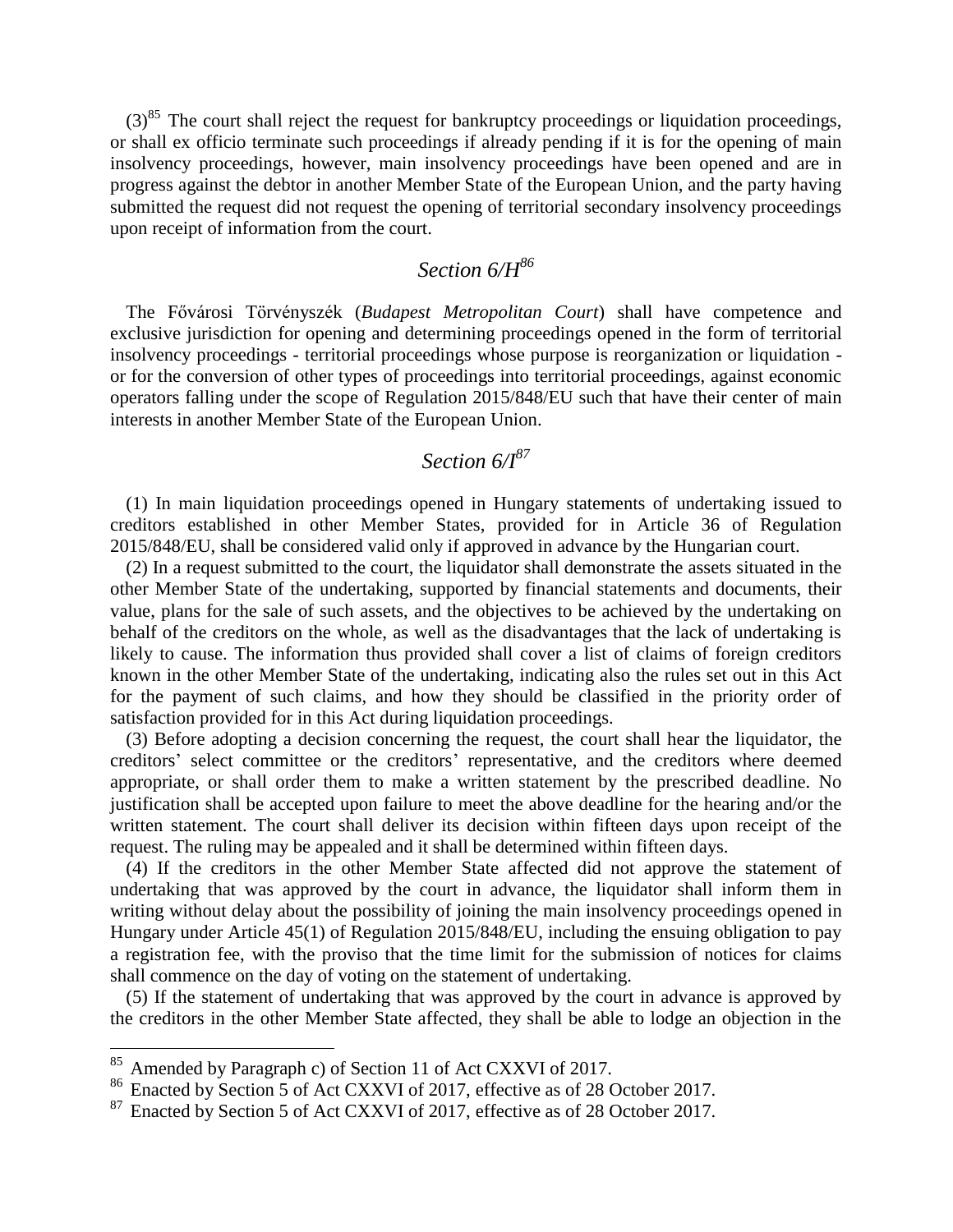$(3)^{85}$  The court shall reject the request for bankruptcy proceedings or liquidation proceedings, or shall ex officio terminate such proceedings if already pending if it is for the opening of main insolvency proceedings, however, main insolvency proceedings have been opened and are in progress against the debtor in another Member State of the European Union, and the party having submitted the request did not request the opening of territorial secondary insolvency proceedings upon receipt of information from the court.

# *Section 6/H<sup>86</sup>*

The Fővárosi Törvényszék (*Budapest Metropolitan Court*) shall have competence and exclusive jurisdiction for opening and determining proceedings opened in the form of territorial insolvency proceedings - territorial proceedings whose purpose is reorganization or liquidation or for the conversion of other types of proceedings into territorial proceedings, against economic operators falling under the scope of Regulation 2015/848/EU such that have their center of main interests in another Member State of the European Union.

### *Section 6/I<sup>87</sup>*

(1) In main liquidation proceedings opened in Hungary statements of undertaking issued to creditors established in other Member States, provided for in Article 36 of Regulation 2015/848/EU, shall be considered valid only if approved in advance by the Hungarian court.

(2) In a request submitted to the court, the liquidator shall demonstrate the assets situated in the other Member State of the undertaking, supported by financial statements and documents, their value, plans for the sale of such assets, and the objectives to be achieved by the undertaking on behalf of the creditors on the whole, as well as the disadvantages that the lack of undertaking is likely to cause. The information thus provided shall cover a list of claims of foreign creditors known in the other Member State of the undertaking, indicating also the rules set out in this Act for the payment of such claims, and how they should be classified in the priority order of satisfaction provided for in this Act during liquidation proceedings.

(3) Before adopting a decision concerning the request, the court shall hear the liquidator, the creditors' select committee or the creditors' representative, and the creditors where deemed appropriate, or shall order them to make a written statement by the prescribed deadline. No justification shall be accepted upon failure to meet the above deadline for the hearing and/or the written statement. The court shall deliver its decision within fifteen days upon receipt of the request. The ruling may be appealed and it shall be determined within fifteen days.

(4) If the creditors in the other Member State affected did not approve the statement of undertaking that was approved by the court in advance, the liquidator shall inform them in writing without delay about the possibility of joining the main insolvency proceedings opened in Hungary under Article 45(1) of Regulation 2015/848/EU, including the ensuing obligation to pay a registration fee, with the proviso that the time limit for the submission of notices for claims shall commence on the day of voting on the statement of undertaking.

(5) If the statement of undertaking that was approved by the court in advance is approved by the creditors in the other Member State affected, they shall be able to lodge an objection in the

<sup>&</sup>lt;sup>85</sup> Amended by Paragraph c) of Section 11 of Act CXXVI of 2017.

<sup>&</sup>lt;sup>86</sup> Enacted by Section 5 of Act CXXVI of 2017, effective as of 28 October 2017.<br><sup>87</sup> Enacted by Section 5 of Act CXXVI of 2017, effective as of 28 October 2017.

Enacted by Section 5 of Act CXXVI of 2017, effective as of 28 October 2017.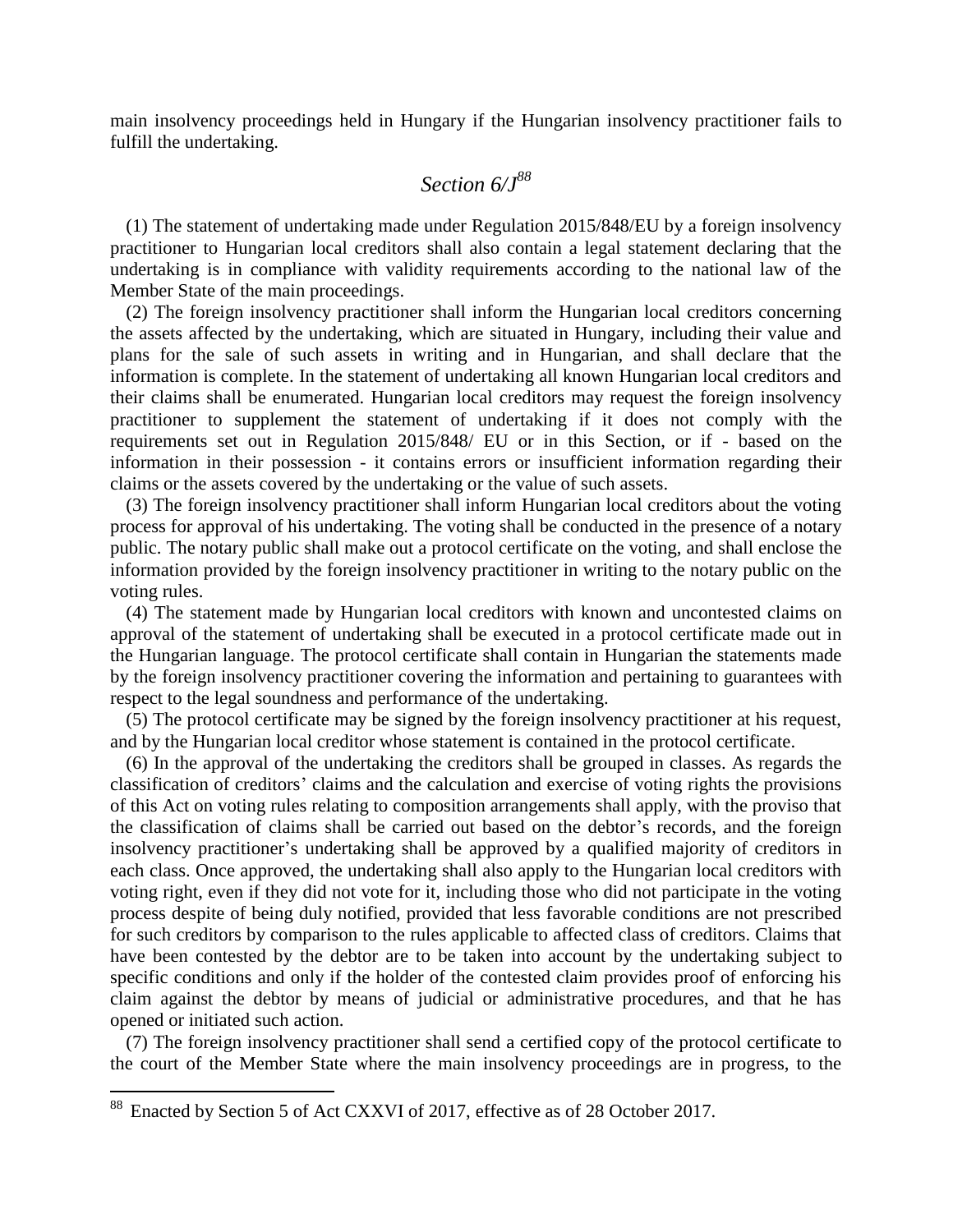main insolvency proceedings held in Hungary if the Hungarian insolvency practitioner fails to fulfill the undertaking.

#### *Section 6/J<sup>88</sup>*

(1) The statement of undertaking made under Regulation 2015/848/EU by a foreign insolvency practitioner to Hungarian local creditors shall also contain a legal statement declaring that the undertaking is in compliance with validity requirements according to the national law of the Member State of the main proceedings.

(2) The foreign insolvency practitioner shall inform the Hungarian local creditors concerning the assets affected by the undertaking, which are situated in Hungary, including their value and plans for the sale of such assets in writing and in Hungarian, and shall declare that the information is complete. In the statement of undertaking all known Hungarian local creditors and their claims shall be enumerated. Hungarian local creditors may request the foreign insolvency practitioner to supplement the statement of undertaking if it does not comply with the requirements set out in Regulation 2015/848/ EU or in this Section, or if - based on the information in their possession - it contains errors or insufficient information regarding their claims or the assets covered by the undertaking or the value of such assets.

(3) The foreign insolvency practitioner shall inform Hungarian local creditors about the voting process for approval of his undertaking. The voting shall be conducted in the presence of a notary public. The notary public shall make out a protocol certificate on the voting, and shall enclose the information provided by the foreign insolvency practitioner in writing to the notary public on the voting rules.

(4) The statement made by Hungarian local creditors with known and uncontested claims on approval of the statement of undertaking shall be executed in a protocol certificate made out in the Hungarian language. The protocol certificate shall contain in Hungarian the statements made by the foreign insolvency practitioner covering the information and pertaining to guarantees with respect to the legal soundness and performance of the undertaking.

(5) The protocol certificate may be signed by the foreign insolvency practitioner at his request, and by the Hungarian local creditor whose statement is contained in the protocol certificate.

(6) In the approval of the undertaking the creditors shall be grouped in classes. As regards the classification of creditors' claims and the calculation and exercise of voting rights the provisions of this Act on voting rules relating to composition arrangements shall apply, with the proviso that the classification of claims shall be carried out based on the debtor's records, and the foreign insolvency practitioner's undertaking shall be approved by a qualified majority of creditors in each class. Once approved, the undertaking shall also apply to the Hungarian local creditors with voting right, even if they did not vote for it, including those who did not participate in the voting process despite of being duly notified, provided that less favorable conditions are not prescribed for such creditors by comparison to the rules applicable to affected class of creditors. Claims that have been contested by the debtor are to be taken into account by the undertaking subject to specific conditions and only if the holder of the contested claim provides proof of enforcing his claim against the debtor by means of judicial or administrative procedures, and that he has opened or initiated such action.

(7) The foreign insolvency practitioner shall send a certified copy of the protocol certificate to the court of the Member State where the main insolvency proceedings are in progress, to the

<sup>&</sup>lt;sup>88</sup> Enacted by Section 5 of Act CXXVI of 2017, effective as of 28 October 2017.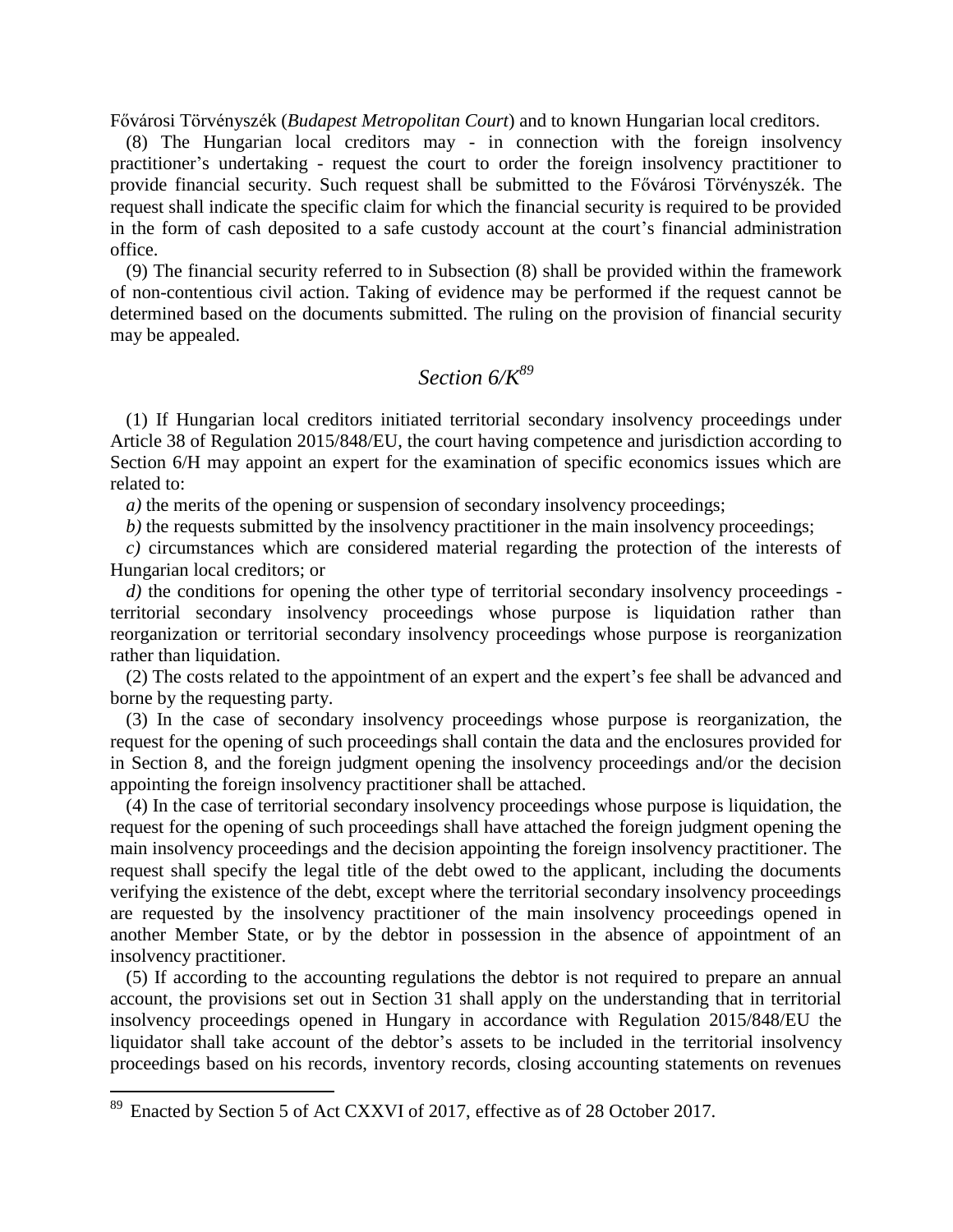Fővárosi Törvényszék (*Budapest Metropolitan Court*) and to known Hungarian local creditors.

(8) The Hungarian local creditors may - in connection with the foreign insolvency practitioner's undertaking - request the court to order the foreign insolvency practitioner to provide financial security. Such request shall be submitted to the Fővárosi Törvényszék. The request shall indicate the specific claim for which the financial security is required to be provided in the form of cash deposited to a safe custody account at the court's financial administration office.

(9) The financial security referred to in Subsection (8) shall be provided within the framework of non-contentious civil action. Taking of evidence may be performed if the request cannot be determined based on the documents submitted. The ruling on the provision of financial security may be appealed.

### *Section 6/K<sup>89</sup>*

(1) If Hungarian local creditors initiated territorial secondary insolvency proceedings under Article 38 of Regulation 2015/848/EU, the court having competence and jurisdiction according to Section 6/H may appoint an expert for the examination of specific economics issues which are related to:

*a*) the merits of the opening or suspension of secondary insolvency proceedings;

*b)* the requests submitted by the insolvency practitioner in the main insolvency proceedings;

*c)* circumstances which are considered material regarding the protection of the interests of Hungarian local creditors; or

*d*) the conditions for opening the other type of territorial secondary insolvency proceedings territorial secondary insolvency proceedings whose purpose is liquidation rather than reorganization or territorial secondary insolvency proceedings whose purpose is reorganization rather than liquidation.

(2) The costs related to the appointment of an expert and the expert's fee shall be advanced and borne by the requesting party.

(3) In the case of secondary insolvency proceedings whose purpose is reorganization, the request for the opening of such proceedings shall contain the data and the enclosures provided for in Section 8, and the foreign judgment opening the insolvency proceedings and/or the decision appointing the foreign insolvency practitioner shall be attached.

(4) In the case of territorial secondary insolvency proceedings whose purpose is liquidation, the request for the opening of such proceedings shall have attached the foreign judgment opening the main insolvency proceedings and the decision appointing the foreign insolvency practitioner. The request shall specify the legal title of the debt owed to the applicant, including the documents verifying the existence of the debt, except where the territorial secondary insolvency proceedings are requested by the insolvency practitioner of the main insolvency proceedings opened in another Member State, or by the debtor in possession in the absence of appointment of an insolvency practitioner.

(5) If according to the accounting regulations the debtor is not required to prepare an annual account, the provisions set out in Section 31 shall apply on the understanding that in territorial insolvency proceedings opened in Hungary in accordance with Regulation 2015/848/EU the liquidator shall take account of the debtor's assets to be included in the territorial insolvency proceedings based on his records, inventory records, closing accounting statements on revenues

<sup>&</sup>lt;sup>89</sup> Enacted by Section 5 of Act CXXVI of 2017, effective as of 28 October 2017.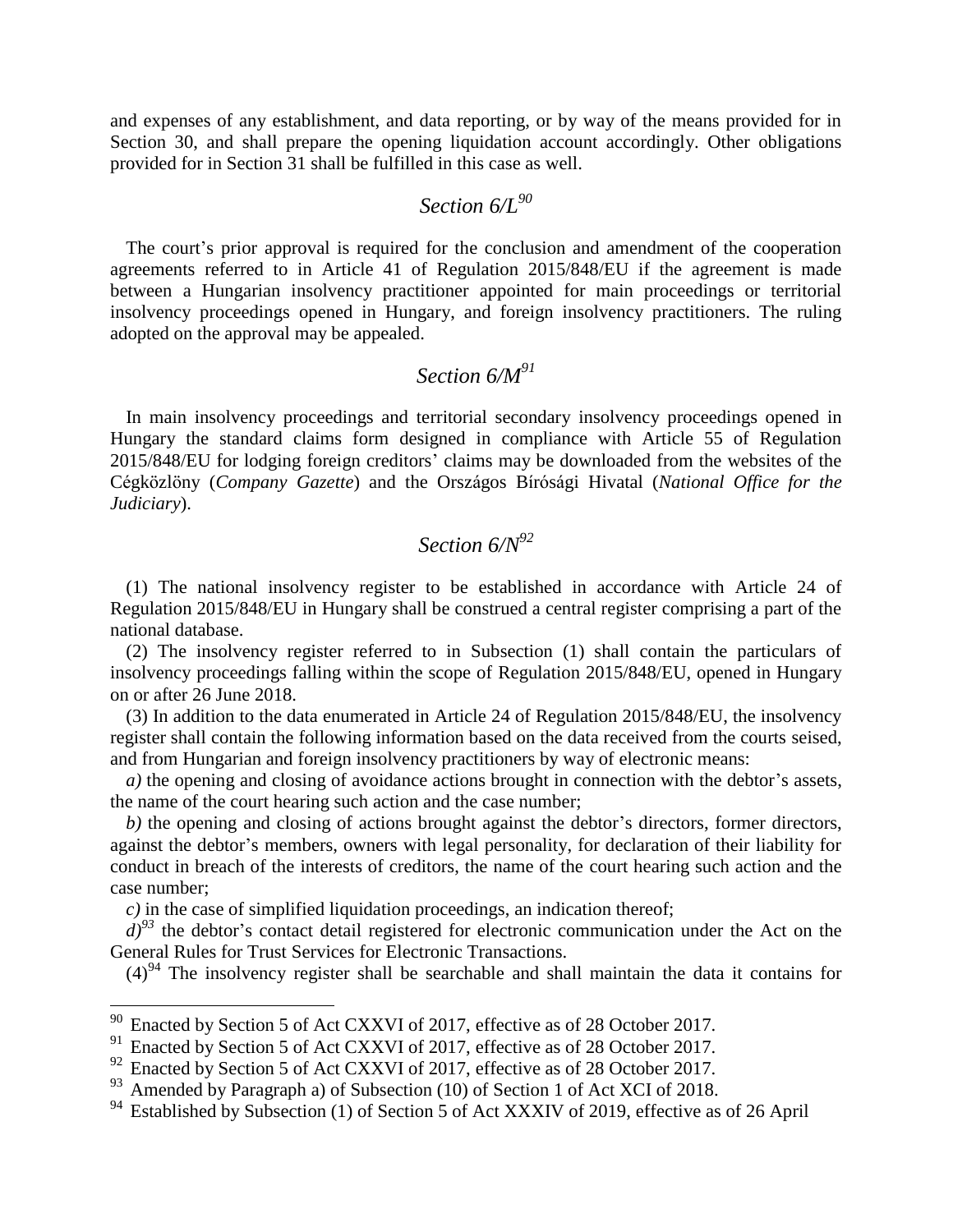and expenses of any establishment, and data reporting, or by way of the means provided for in Section 30, and shall prepare the opening liquidation account accordingly. Other obligations provided for in Section 31 shall be fulfilled in this case as well.

#### *Section 6/L<sup>90</sup>*

The court's prior approval is required for the conclusion and amendment of the cooperation agreements referred to in Article 41 of Regulation 2015/848/EU if the agreement is made between a Hungarian insolvency practitioner appointed for main proceedings or territorial insolvency proceedings opened in Hungary, and foreign insolvency practitioners. The ruling adopted on the approval may be appealed.

# *Section 6/M<sup>91</sup>*

In main insolvency proceedings and territorial secondary insolvency proceedings opened in Hungary the standard claims form designed in compliance with Article 55 of Regulation 2015/848/EU for lodging foreign creditors' claims may be downloaded from the websites of the Cégközlöny (*Company Gazette*) and the Országos Bírósági Hivatal (*National Office for the Judiciary*).

# *Section 6/N<sup>92</sup>*

(1) The national insolvency register to be established in accordance with Article 24 of Regulation 2015/848/EU in Hungary shall be construed a central register comprising a part of the national database.

(2) The insolvency register referred to in Subsection (1) shall contain the particulars of insolvency proceedings falling within the scope of Regulation 2015/848/EU, opened in Hungary on or after 26 June 2018.

(3) In addition to the data enumerated in Article 24 of Regulation 2015/848/EU, the insolvency register shall contain the following information based on the data received from the courts seised, and from Hungarian and foreign insolvency practitioners by way of electronic means:

*a)* the opening and closing of avoidance actions brought in connection with the debtor's assets, the name of the court hearing such action and the case number;

*b)* the opening and closing of actions brought against the debtor's directors, former directors, against the debtor's members, owners with legal personality, for declaration of their liability for conduct in breach of the interests of creditors, the name of the court hearing such action and the case number;

*c)* in the case of simplified liquidation proceedings, an indication thereof;

 $d^{93}$  the debtor's contact detail registered for electronic communication under the Act on the General Rules for Trust Services for Electronic Transactions.

 $(4)^{94}$  The insolvency register shall be searchable and shall maintain the data it contains for

 $90$  Enacted by Section 5 of Act CXXVI of 2017, effective as of 28 October 2017.

<sup>&</sup>lt;sup>91</sup> Enacted by Section 5 of Act CXXVI of 2017, effective as of 28 October 2017.

<sup>&</sup>lt;sup>92</sup> Enacted by Section 5 of Act CXXVI of 2017, effective as of 28 October 2017.

 $93$  Amended by Paragraph a) of Subsection (10) of Section 1 of Act XCI of 2018.

<sup>&</sup>lt;sup>94</sup> Established by Subsection (1) of Section 5 of Act XXXIV of 2019, effective as of 26 April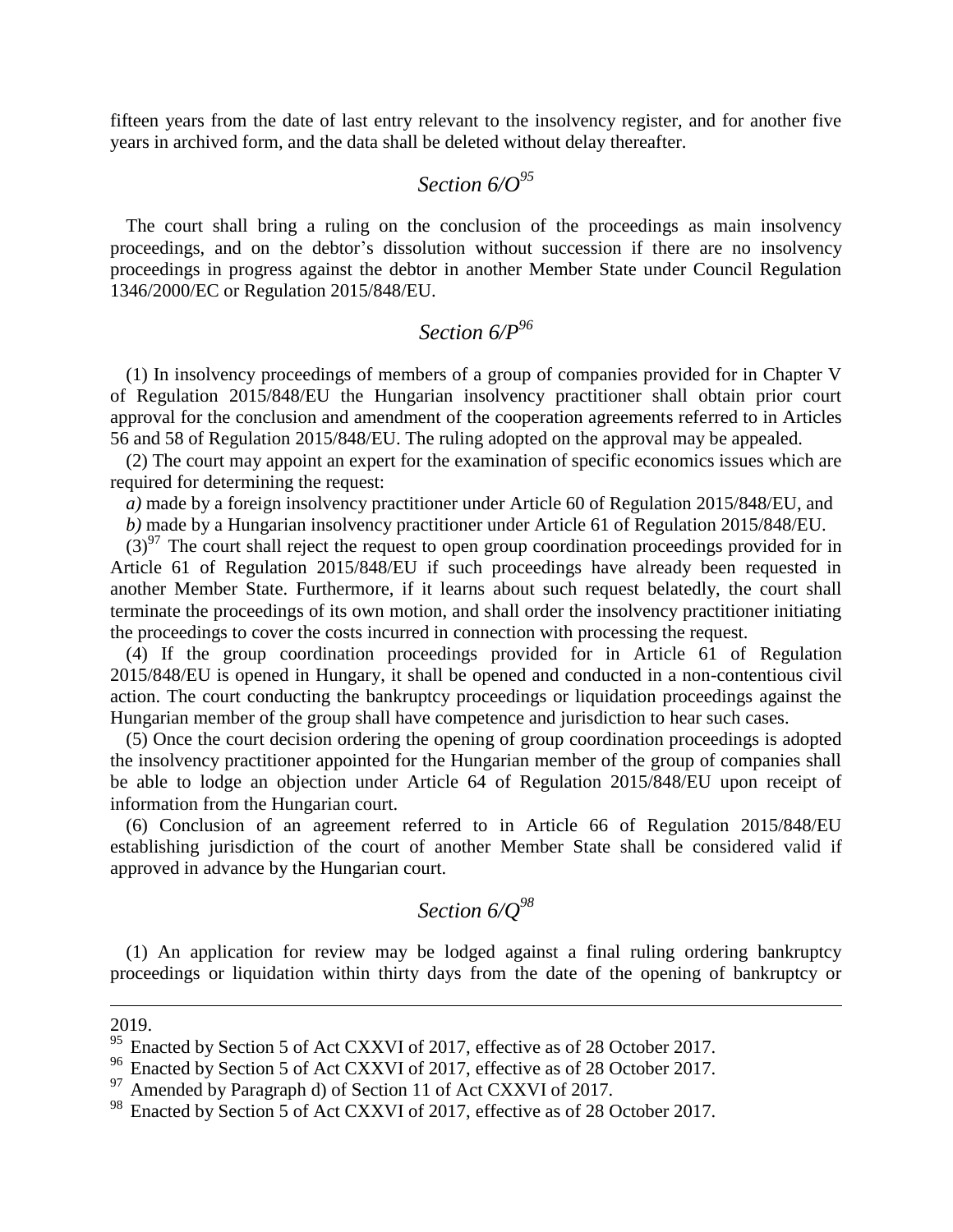fifteen years from the date of last entry relevant to the insolvency register, and for another five years in archived form, and the data shall be deleted without delay thereafter.

# *Section 6/O<sup>95</sup>*

The court shall bring a ruling on the conclusion of the proceedings as main insolvency proceedings, and on the debtor's dissolution without succession if there are no insolvency proceedings in progress against the debtor in another Member State under Council Regulation 1346/2000/EC or Regulation 2015/848/EU.

### *Section 6/P<sup>96</sup>*

(1) In insolvency proceedings of members of a group of companies provided for in Chapter V of Regulation 2015/848/EU the Hungarian insolvency practitioner shall obtain prior court approval for the conclusion and amendment of the cooperation agreements referred to in Articles 56 and 58 of Regulation 2015/848/EU. The ruling adopted on the approval may be appealed.

(2) The court may appoint an expert for the examination of specific economics issues which are required for determining the request:

*a)* made by a foreign insolvency practitioner under Article 60 of Regulation 2015/848/EU, and *b)* made by a Hungarian insolvency practitioner under Article 61 of Regulation 2015/848/EU.

 $(3)^{97}$  The court shall reject the request to open group coordination proceedings provided for in Article 61 of Regulation 2015/848/EU if such proceedings have already been requested in another Member State. Furthermore, if it learns about such request belatedly, the court shall terminate the proceedings of its own motion, and shall order the insolvency practitioner initiating the proceedings to cover the costs incurred in connection with processing the request.

(4) If the group coordination proceedings provided for in Article 61 of Regulation 2015/848/EU is opened in Hungary, it shall be opened and conducted in a non-contentious civil action. The court conducting the bankruptcy proceedings or liquidation proceedings against the Hungarian member of the group shall have competence and jurisdiction to hear such cases.

(5) Once the court decision ordering the opening of group coordination proceedings is adopted the insolvency practitioner appointed for the Hungarian member of the group of companies shall be able to lodge an objection under Article 64 of Regulation 2015/848/EU upon receipt of information from the Hungarian court.

(6) Conclusion of an agreement referred to in Article 66 of Regulation 2015/848/EU establishing jurisdiction of the court of another Member State shall be considered valid if approved in advance by the Hungarian court.

## *Section 6/Q<sup>98</sup>*

(1) An application for review may be lodged against a final ruling ordering bankruptcy proceedings or liquidation within thirty days from the date of the opening of bankruptcy or

#### 2019.

1

<sup>&</sup>lt;sup>95</sup> Enacted by Section 5 of Act CXXVI of 2017, effective as of 28 October 2017.

<sup>96</sup> Enacted by Section 5 of Act CXXVI of 2017, effective as of 28 October 2017.

<sup>&</sup>lt;sup>97</sup> Amended by Paragraph d) of Section 11 of Act CXXVI of 2017.<br><sup>98</sup> Enacted by Section 5 of Act CXXVI of 2017 effective as of 28 C

Enacted by Section 5 of Act CXXVI of 2017, effective as of 28 October 2017.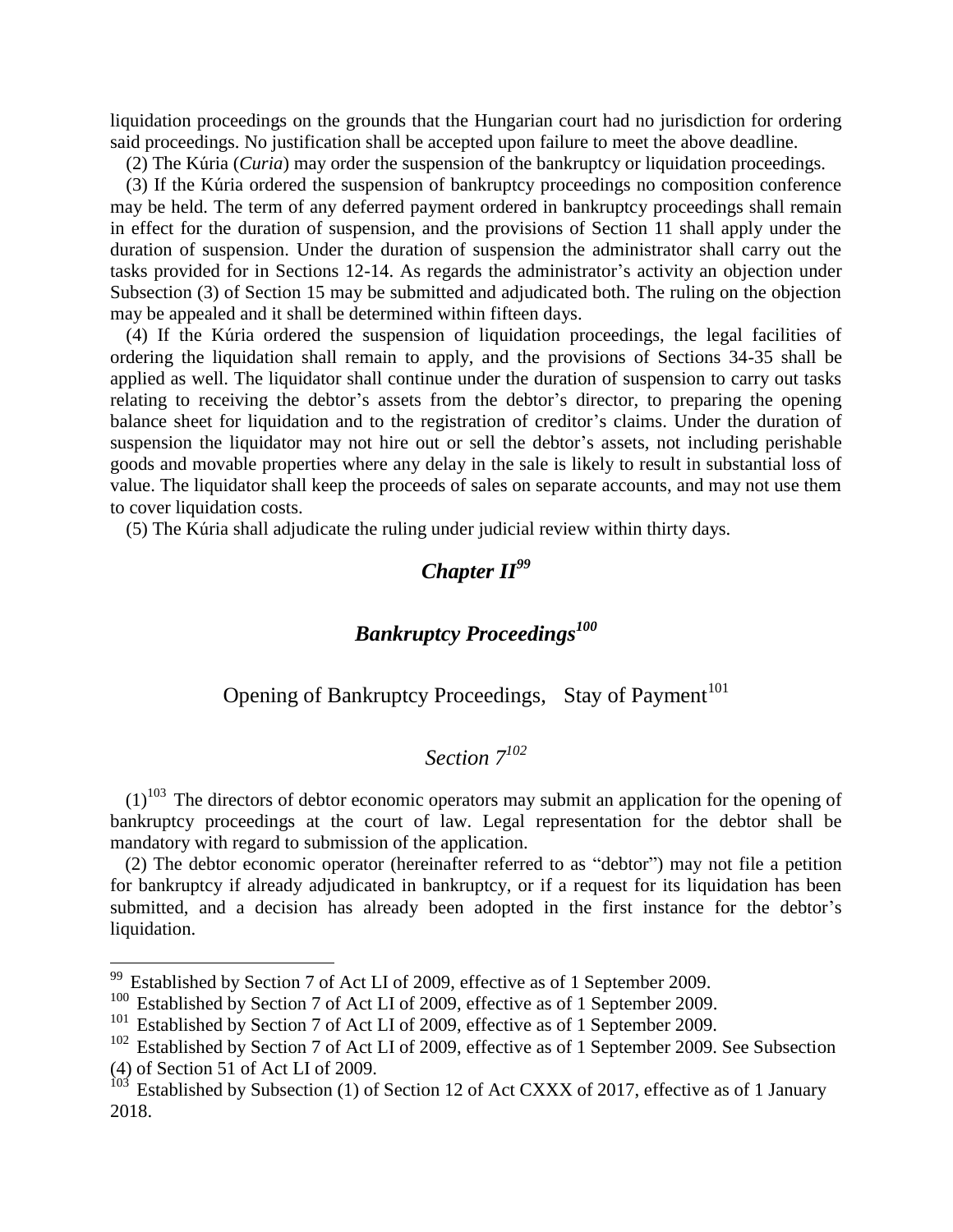liquidation proceedings on the grounds that the Hungarian court had no jurisdiction for ordering said proceedings. No justification shall be accepted upon failure to meet the above deadline.

(2) The Kúria (*Curia*) may order the suspension of the bankruptcy or liquidation proceedings.

(3) If the Kúria ordered the suspension of bankruptcy proceedings no composition conference may be held. The term of any deferred payment ordered in bankruptcy proceedings shall remain in effect for the duration of suspension, and the provisions of Section 11 shall apply under the duration of suspension. Under the duration of suspension the administrator shall carry out the tasks provided for in Sections 12-14. As regards the administrator's activity an objection under Subsection (3) of Section 15 may be submitted and adjudicated both. The ruling on the objection may be appealed and it shall be determined within fifteen days.

(4) If the Kúria ordered the suspension of liquidation proceedings, the legal facilities of ordering the liquidation shall remain to apply, and the provisions of Sections 34-35 shall be applied as well. The liquidator shall continue under the duration of suspension to carry out tasks relating to receiving the debtor's assets from the debtor's director, to preparing the opening balance sheet for liquidation and to the registration of creditor's claims. Under the duration of suspension the liquidator may not hire out or sell the debtor's assets, not including perishable goods and movable properties where any delay in the sale is likely to result in substantial loss of value. The liquidator shall keep the proceeds of sales on separate accounts, and may not use them to cover liquidation costs.

(5) The Kúria shall adjudicate the ruling under judicial review within thirty days.

# *Chapter II<sup>99</sup>*

### *Bankruptcy Proceedings<sup>100</sup>*

#### Opening of Bankruptcy Proceedings, Stay of Payment<sup>101</sup>

#### *Section 7<sup>102</sup>*

 $(1)^{103}$  The directors of debtor economic operators may submit an application for the opening of bankruptcy proceedings at the court of law. Legal representation for the debtor shall be mandatory with regard to submission of the application.

(2) The debtor economic operator (hereinafter referred to as "debtor") may not file a petition for bankruptcy if already adjudicated in bankruptcy, or if a request for its liquidation has been submitted, and a decision has already been adopted in the first instance for the debtor's liquidation.

 $99$  Established by Section 7 of Act LI of 2009, effective as of 1 September 2009.

<sup>&</sup>lt;sup>100</sup> Established by Section 7 of Act LI of 2009, effective as of 1 September 2009.

<sup>&</sup>lt;sup>101</sup> Established by Section 7 of Act LI of 2009, effective as of 1 September 2009.

<sup>&</sup>lt;sup>102</sup> Established by Section 7 of Act LI of 2009, effective as of 1 September 2009. See Subsection (4) of Section 51 of Act LI of 2009.

 $103$  Established by Subsection (1) of Section 12 of Act CXXX of 2017, effective as of 1 January 2018.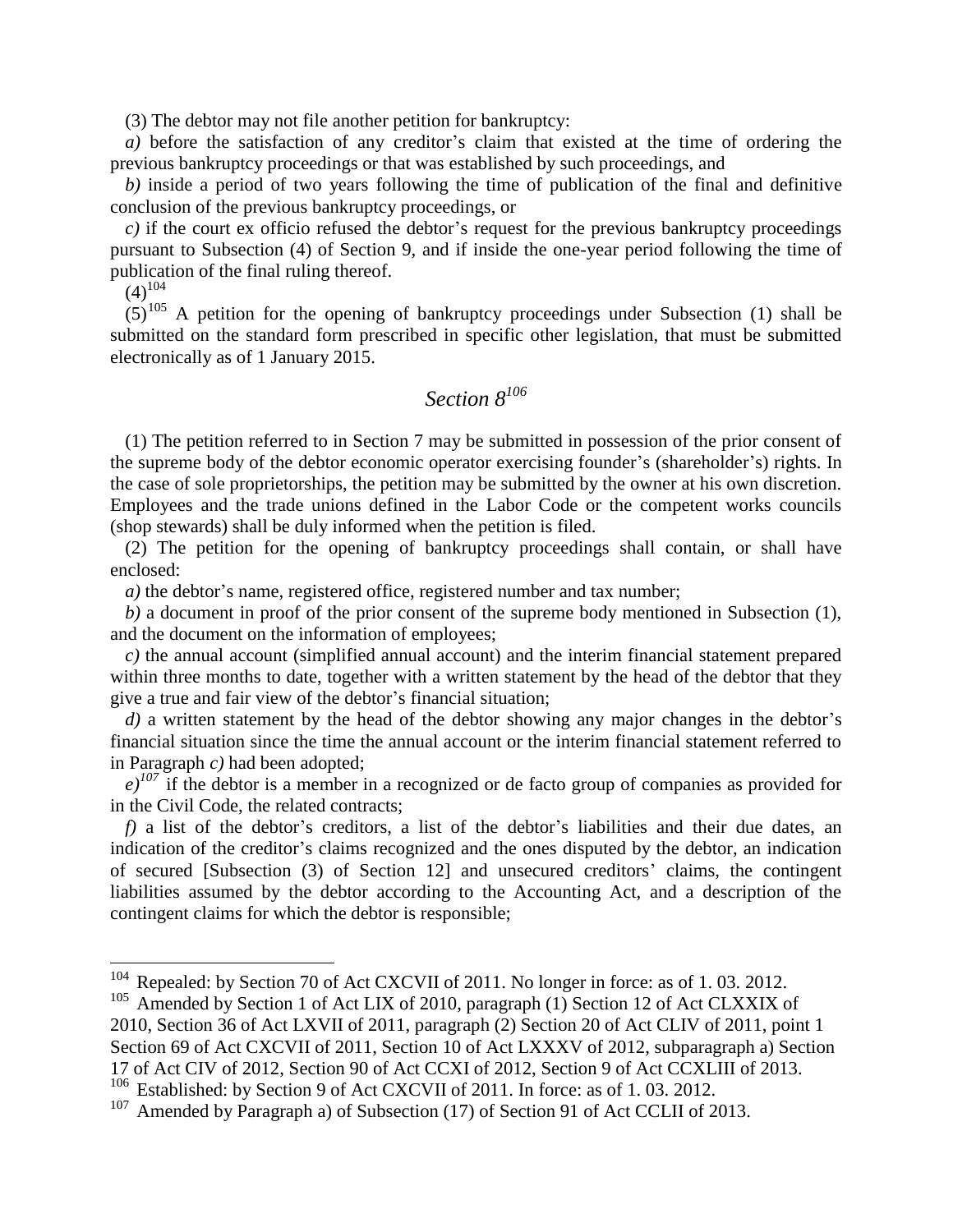(3) The debtor may not file another petition for bankruptcy:

*a)* before the satisfaction of any creditor's claim that existed at the time of ordering the previous bankruptcy proceedings or that was established by such proceedings, and

*b)* inside a period of two years following the time of publication of the final and definitive conclusion of the previous bankruptcy proceedings, or

*c)* if the court ex officio refused the debtor's request for the previous bankruptcy proceedings pursuant to Subsection (4) of Section 9, and if inside the one-year period following the time of publication of the final ruling thereof.

 $(4)^{104}$ 

 $\overline{a}$ 

 $(5)^{105}$  A petition for the opening of bankruptcy proceedings under Subsection (1) shall be submitted on the standard form prescribed in specific other legislation, that must be submitted electronically as of 1 January 2015.

#### *Section 8<sup>106</sup>*

(1) The petition referred to in Section 7 may be submitted in possession of the prior consent of the supreme body of the debtor economic operator exercising founder's (shareholder's) rights. In the case of sole proprietorships, the petition may be submitted by the owner at his own discretion. Employees and the trade unions defined in the Labor Code or the competent works councils (shop stewards) shall be duly informed when the petition is filed.

(2) The petition for the opening of bankruptcy proceedings shall contain, or shall have enclosed:

*a*) the debtor's name, registered office, registered number and tax number;

*b)* a document in proof of the prior consent of the supreme body mentioned in Subsection (1), and the document on the information of employees;

*c)* the annual account (simplified annual account) and the interim financial statement prepared within three months to date, together with a written statement by the head of the debtor that they give a true and fair view of the debtor's financial situation;

*d)* a written statement by the head of the debtor showing any major changes in the debtor's financial situation since the time the annual account or the interim financial statement referred to in Paragraph *c)* had been adopted;

*e)<sup>107</sup>* if the debtor is a member in a recognized or de facto group of companies as provided for in the Civil Code, the related contracts;

*f)* a list of the debtor's creditors, a list of the debtor's liabilities and their due dates, an indication of the creditor's claims recognized and the ones disputed by the debtor, an indication of secured [Subsection (3) of Section 12] and unsecured creditors' claims, the contingent liabilities assumed by the debtor according to the Accounting Act, and a description of the contingent claims for which the debtor is responsible;

 $104$  Repealed: by Section 70 of Act CXCVII of 2011. No longer in force: as of 1.03. 2012.

<sup>&</sup>lt;sup>105</sup> Amended by Section 1 of Act LIX of 2010, paragraph (1) Section 12 of Act CLXXIX of 2010, Section 36 of Act LXVII of 2011, paragraph (2) Section 20 of Act CLIV of 2011, point 1 Section 69 of Act CXCVII of 2011, Section 10 of Act LXXXV of 2012, subparagraph a) Section 17 of Act CIV of 2012, Section 90 of Act CCXI of 2012, Section 9 of Act CCXLIII of 2013.

<sup>&</sup>lt;sup>106</sup> Established: by Section 9 of Act CXCVII of 2011. In force: as of 1.03. 2012.

<sup>&</sup>lt;sup>107</sup> Amended by Paragraph a) of Subsection (17) of Section 91 of Act CCLII of 2013.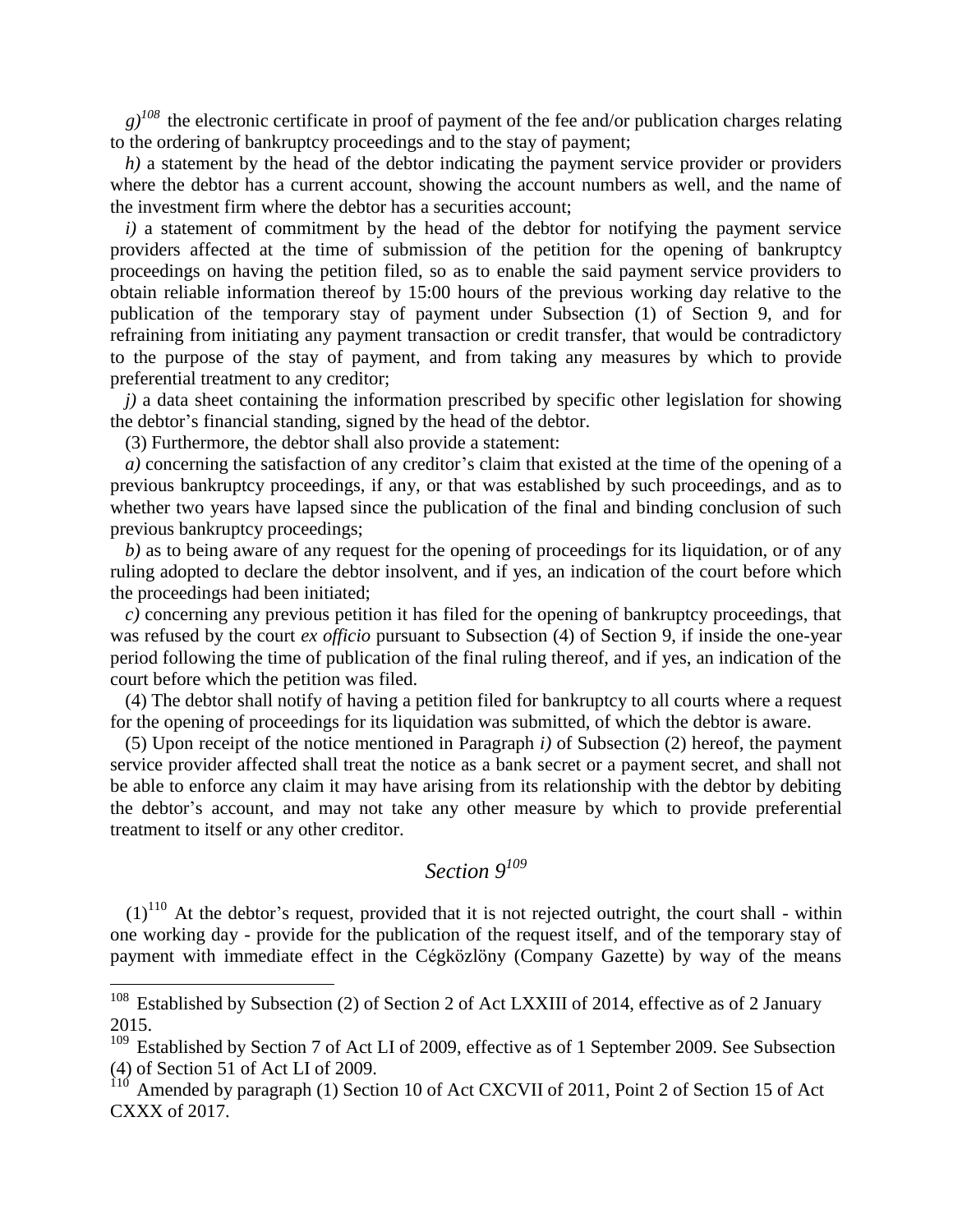$g$ <sup> $108$ </sup> the electronic certificate in proof of payment of the fee and/or publication charges relating to the ordering of bankruptcy proceedings and to the stay of payment;

*h*) a statement by the head of the debtor indicating the payment service provider or providers where the debtor has a current account, showing the account numbers as well, and the name of the investment firm where the debtor has a securities account;

*i)* a statement of commitment by the head of the debtor for notifying the payment service providers affected at the time of submission of the petition for the opening of bankruptcy proceedings on having the petition filed, so as to enable the said payment service providers to obtain reliable information thereof by 15:00 hours of the previous working day relative to the publication of the temporary stay of payment under Subsection (1) of Section 9, and for refraining from initiating any payment transaction or credit transfer, that would be contradictory to the purpose of the stay of payment, and from taking any measures by which to provide preferential treatment to any creditor;

*j)* a data sheet containing the information prescribed by specific other legislation for showing the debtor's financial standing, signed by the head of the debtor.

(3) Furthermore, the debtor shall also provide a statement:

 $\overline{a}$ 

*a)* concerning the satisfaction of any creditor's claim that existed at the time of the opening of a previous bankruptcy proceedings, if any, or that was established by such proceedings, and as to whether two years have lapsed since the publication of the final and binding conclusion of such previous bankruptcy proceedings;

*b)* as to being aware of any request for the opening of proceedings for its liquidation, or of any ruling adopted to declare the debtor insolvent, and if yes, an indication of the court before which the proceedings had been initiated;

*c)* concerning any previous petition it has filed for the opening of bankruptcy proceedings, that was refused by the court *ex officio* pursuant to Subsection (4) of Section 9, if inside the one-year period following the time of publication of the final ruling thereof, and if yes, an indication of the court before which the petition was filed.

(4) The debtor shall notify of having a petition filed for bankruptcy to all courts where a request for the opening of proceedings for its liquidation was submitted, of which the debtor is aware.

(5) Upon receipt of the notice mentioned in Paragraph *i)* of Subsection (2) hereof, the payment service provider affected shall treat the notice as a bank secret or a payment secret, and shall not be able to enforce any claim it may have arising from its relationship with the debtor by debiting the debtor's account, and may not take any other measure by which to provide preferential treatment to itself or any other creditor.

## *Section 9<sup>109</sup>*

 $(1)^{110}$  At the debtor's request, provided that it is not rejected outright, the court shall - within one working day - provide for the publication of the request itself, and of the temporary stay of payment with immediate effect in the Cégközlöny (Company Gazette) by way of the means

 $108$  Established by Subsection (2) of Section 2 of Act LXXIII of 2014, effective as of 2 January 2015.

<sup>&</sup>lt;sup>109</sup> Established by Section 7 of Act LI of 2009, effective as of 1 September 2009. See Subsection (4) of Section 51 of Act LI of 2009.

 $110$  Amended by paragraph (1) Section 10 of Act CXCVII of 2011, Point 2 of Section 15 of Act CXXX of 2017.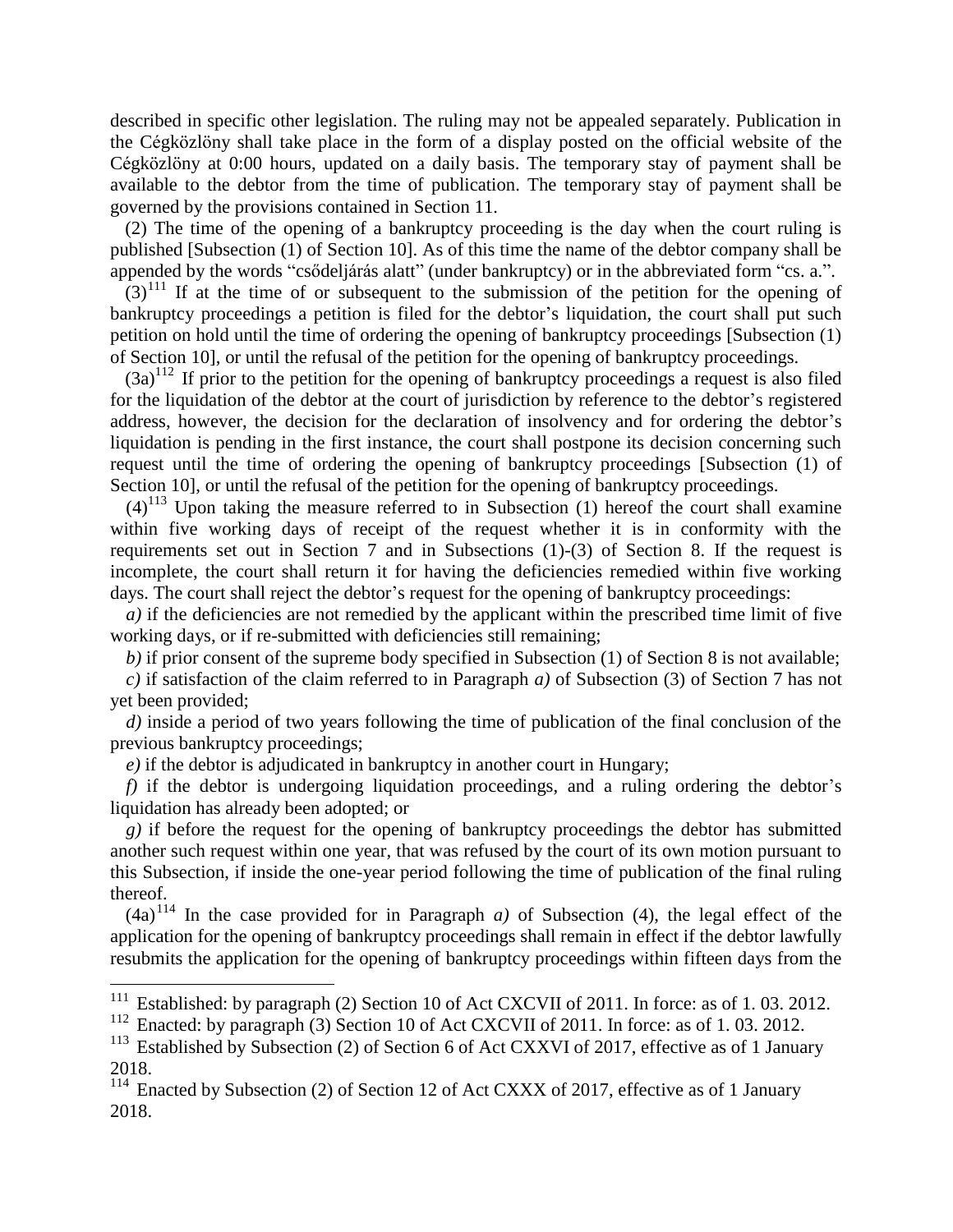described in specific other legislation. The ruling may not be appealed separately. Publication in the Cégközlöny shall take place in the form of a display posted on the official website of the Cégközlöny at 0:00 hours, updated on a daily basis. The temporary stay of payment shall be available to the debtor from the time of publication. The temporary stay of payment shall be governed by the provisions contained in Section 11.

(2) The time of the opening of a bankruptcy proceeding is the day when the court ruling is published [Subsection (1) of Section 10]. As of this time the name of the debtor company shall be appended by the words "csődeljárás alatt" (under bankruptcy) or in the abbreviated form "cs. a.".

 $(3)^{111}$  If at the time of or subsequent to the submission of the petition for the opening of bankruptcy proceedings a petition is filed for the debtor's liquidation, the court shall put such petition on hold until the time of ordering the opening of bankruptcy proceedings [Subsection (1) of Section 10], or until the refusal of the petition for the opening of bankruptcy proceedings.

 $(3a)^{112}$  If prior to the petition for the opening of bankruptcy proceedings a request is also filed for the liquidation of the debtor at the court of jurisdiction by reference to the debtor's registered address, however, the decision for the declaration of insolvency and for ordering the debtor's liquidation is pending in the first instance, the court shall postpone its decision concerning such request until the time of ordering the opening of bankruptcy proceedings [Subsection (1) of Section 10], or until the refusal of the petition for the opening of bankruptcy proceedings.

 $(4)^{113}$  Upon taking the measure referred to in Subsection (1) hereof the court shall examine within five working days of receipt of the request whether it is in conformity with the requirements set out in Section 7 and in Subsections (1)-(3) of Section 8. If the request is incomplete, the court shall return it for having the deficiencies remedied within five working days. The court shall reject the debtor's request for the opening of bankruptcy proceedings:

*a*) if the deficiencies are not remedied by the applicant within the prescribed time limit of five working days, or if re-submitted with deficiencies still remaining;

*b)* if prior consent of the supreme body specified in Subsection (1) of Section 8 is not available;

*c)* if satisfaction of the claim referred to in Paragraph *a)* of Subsection (3) of Section 7 has not yet been provided;

*d)* inside a period of two years following the time of publication of the final conclusion of the previous bankruptcy proceedings;

*e)* if the debtor is adjudicated in bankruptcy in another court in Hungary;

 $\overline{a}$ 

*f)* if the debtor is undergoing liquidation proceedings, and a ruling ordering the debtor's liquidation has already been adopted; or

*g)* if before the request for the opening of bankruptcy proceedings the debtor has submitted another such request within one year, that was refused by the court of its own motion pursuant to this Subsection, if inside the one-year period following the time of publication of the final ruling thereof.

 $(4a)^{114}$  In the case provided for in Paragraph *a*) of Subsection (4), the legal effect of the application for the opening of bankruptcy proceedings shall remain in effect if the debtor lawfully resubmits the application for the opening of bankruptcy proceedings within fifteen days from the

<sup>&</sup>lt;sup>111</sup> Established: by paragraph (2) Section 10 of Act CXCVII of 2011. In force: as of 1.03. 2012.

<sup>&</sup>lt;sup>112</sup> Enacted: by paragraph (3) Section 10 of Act CXCVII of 2011. In force: as of 1.03. 2012.

<sup>&</sup>lt;sup>113</sup> Established by Subsection (2) of Section 6 of Act CXXVI of 2017, effective as of 1 January 2018.

 $114$  Enacted by Subsection (2) of Section 12 of Act CXXX of 2017, effective as of 1 January 2018.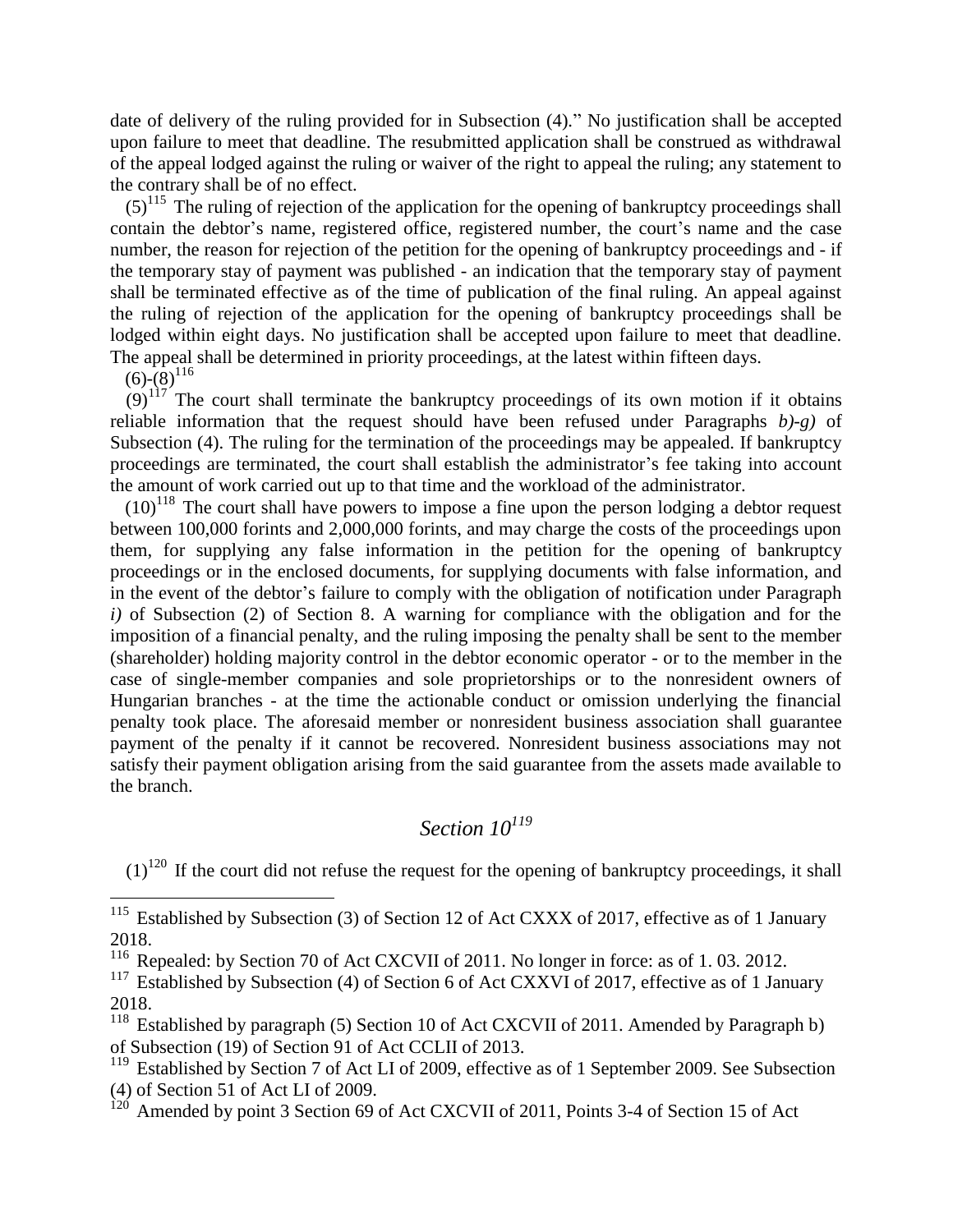date of delivery of the ruling provided for in Subsection (4)." No justification shall be accepted upon failure to meet that deadline. The resubmitted application shall be construed as withdrawal of the appeal lodged against the ruling or waiver of the right to appeal the ruling; any statement to the contrary shall be of no effect.

 $(5)^{115}$  The ruling of rejection of the application for the opening of bankruptcy proceedings shall contain the debtor's name, registered office, registered number, the court's name and the case number, the reason for rejection of the petition for the opening of bankruptcy proceedings and - if the temporary stay of payment was published - an indication that the temporary stay of payment shall be terminated effective as of the time of publication of the final ruling. An appeal against the ruling of rejection of the application for the opening of bankruptcy proceedings shall be lodged within eight days. No justification shall be accepted upon failure to meet that deadline. The appeal shall be determined in priority proceedings, at the latest within fifteen days.

 $(6)-(8)^{116}$ 

 $\overline{a}$ 

 $(9)^{117}$  The court shall terminate the bankruptcy proceedings of its own motion if it obtains reliable information that the request should have been refused under Paragraphs *b)-g)* of Subsection (4). The ruling for the termination of the proceedings may be appealed. If bankruptcy proceedings are terminated, the court shall establish the administrator's fee taking into account the amount of work carried out up to that time and the workload of the administrator.

 $(10)^{118}$  The court shall have powers to impose a fine upon the person lodging a debtor request between 100,000 forints and 2,000,000 forints, and may charge the costs of the proceedings upon them, for supplying any false information in the petition for the opening of bankruptcy proceedings or in the enclosed documents, for supplying documents with false information, and in the event of the debtor's failure to comply with the obligation of notification under Paragraph *i)* of Subsection (2) of Section 8. A warning for compliance with the obligation and for the imposition of a financial penalty, and the ruling imposing the penalty shall be sent to the member (shareholder) holding majority control in the debtor economic operator - or to the member in the case of single-member companies and sole proprietorships or to the nonresident owners of Hungarian branches - at the time the actionable conduct or omission underlying the financial penalty took place. The aforesaid member or nonresident business association shall guarantee payment of the penalty if it cannot be recovered. Nonresident business associations may not satisfy their payment obligation arising from the said guarantee from the assets made available to the branch.

### *Section 10<sup>119</sup>*

 $(1)^{120}$  If the court did not refuse the request for the opening of bankruptcy proceedings, it shall

<sup>117</sup> Established by Subsection (4) of Section 6 of Act CXXVI of 2017, effective as of 1 January 2018.

<sup>118</sup> Established by paragraph (5) Section 10 of Act CXCVII of 2011. Amended by Paragraph b) of Subsection (19) of Section 91 of Act CCLII of 2013.

<sup>119</sup> Established by Section 7 of Act LI of 2009, effective as of 1 September 2009. See Subsection (4) of Section 51 of Act LI of 2009.

Amended by point 3 Section 69 of Act CXCVII of 2011, Points 3-4 of Section 15 of Act

 $115$  Established by Subsection (3) of Section 12 of Act CXXX of 2017, effective as of 1 January 2018.

<sup>&</sup>lt;sup>116</sup> Repealed: by Section 70 of Act CXCVII of 2011. No longer in force: as of 1.03. 2012.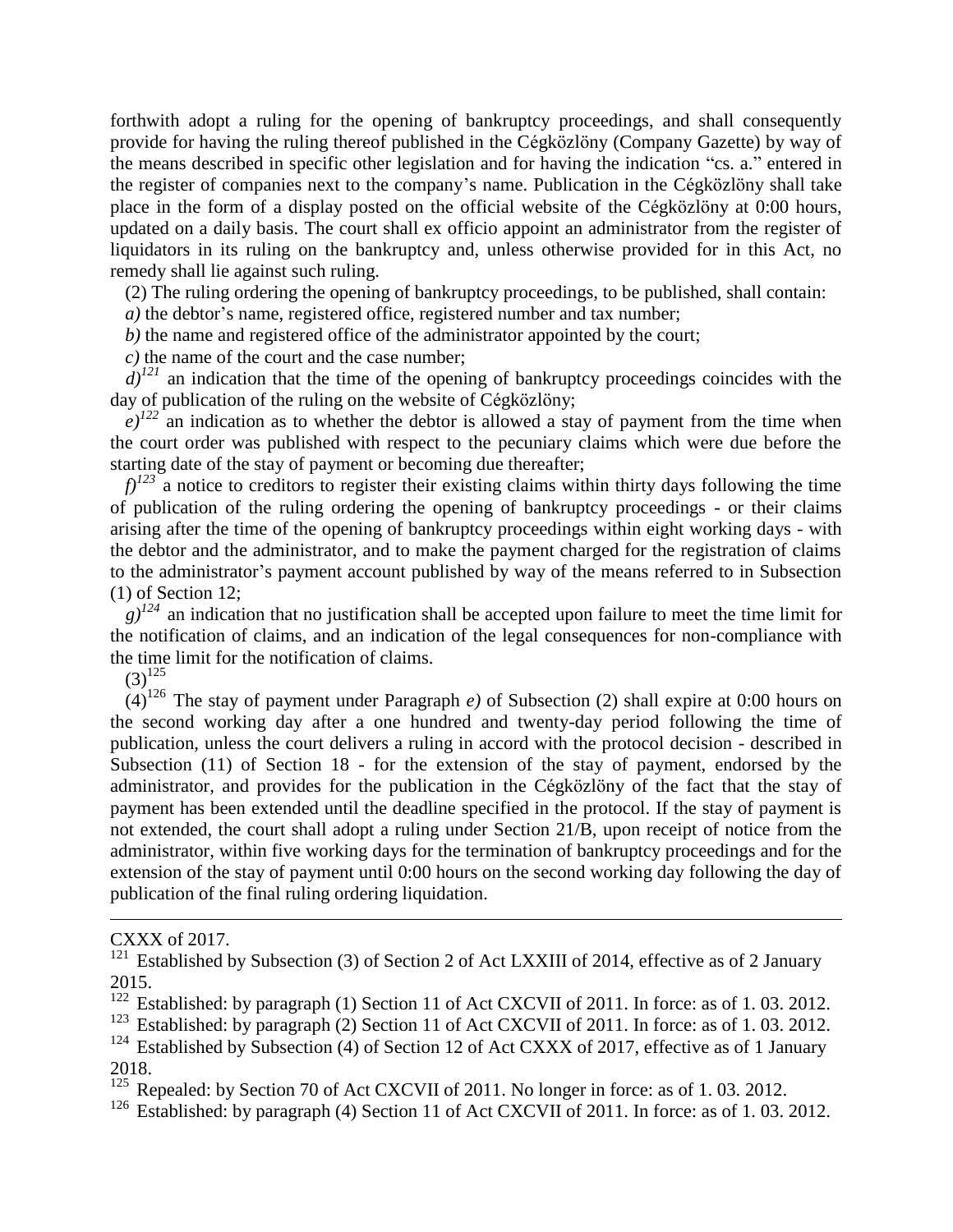forthwith adopt a ruling for the opening of bankruptcy proceedings, and shall consequently provide for having the ruling thereof published in the Cégközlöny (Company Gazette) by way of the means described in specific other legislation and for having the indication "cs. a." entered in the register of companies next to the company's name. Publication in the Cégközlöny shall take place in the form of a display posted on the official website of the Cégközlöny at 0:00 hours, updated on a daily basis. The court shall ex officio appoint an administrator from the register of liquidators in its ruling on the bankruptcy and, unless otherwise provided for in this Act, no remedy shall lie against such ruling.

(2) The ruling ordering the opening of bankruptcy proceedings, to be published, shall contain:

*a*) the debtor's name, registered office, registered number and tax number;

*b)* the name and registered office of the administrator appointed by the court;

*c)* the name of the court and the case number;

 $d^{121}$  an indication that the time of the opening of bankruptcy proceedings coincides with the day of publication of the ruling on the website of Cégközlöny;

 $e^{j^{22}}$  an indication as to whether the debtor is allowed a stay of payment from the time when the court order was published with respect to the pecuniary claims which were due before the starting date of the stay of payment or becoming due thereafter;

 $f$ <sup> $123$ </sup> a notice to creditors to register their existing claims within thirty days following the time of publication of the ruling ordering the opening of bankruptcy proceedings - or their claims arising after the time of the opening of bankruptcy proceedings within eight working days - with the debtor and the administrator, and to make the payment charged for the registration of claims to the administrator's payment account published by way of the means referred to in Subsection (1) of Section 12;

 $g^{124}$  an indication that no justification shall be accepted upon failure to meet the time limit for the notification of claims, and an indication of the legal consequences for non-compliance with the time limit for the notification of claims.

 $(3)^{125}$ 

 $(4)^{126}$  The stay of payment under Paragraph *e*) of Subsection (2) shall expire at 0:00 hours on the second working day after a one hundred and twenty-day period following the time of publication, unless the court delivers a ruling in accord with the protocol decision - described in Subsection (11) of Section 18 - for the extension of the stay of payment, endorsed by the administrator, and provides for the publication in the Cégközlöny of the fact that the stay of payment has been extended until the deadline specified in the protocol. If the stay of payment is not extended, the court shall adopt a ruling under Section 21/B, upon receipt of notice from the administrator, within five working days for the termination of bankruptcy proceedings and for the extension of the stay of payment until 0:00 hours on the second working day following the day of publication of the final ruling ordering liquidation.

1

CXXX of 2017.

<sup>&</sup>lt;sup>121</sup> Established by Subsection (3) of Section 2 of Act LXXIII of 2014, effective as of 2 January 2015.

<sup>&</sup>lt;sup>122</sup> Established: by paragraph (1) Section 11 of Act CXCVII of 2011. In force: as of 1.03. 2012.

<sup>&</sup>lt;sup>123</sup> Established: by paragraph (2) Section 11 of Act CXCVII of 2011. In force: as of 1.03. 2012.

<sup>&</sup>lt;sup>124</sup> Established by Subsection (4) of Section 12 of Act CXXX of 2017, effective as of 1 January 2018.

<sup>&</sup>lt;sup>125</sup> Repealed: by Section 70 of Act CXCVII of 2011. No longer in force: as of 1.03. 2012.

<sup>&</sup>lt;sup>126</sup> Established: by paragraph (4) Section 11 of Act CXCVII of 2011. In force: as of 1.03. 2012.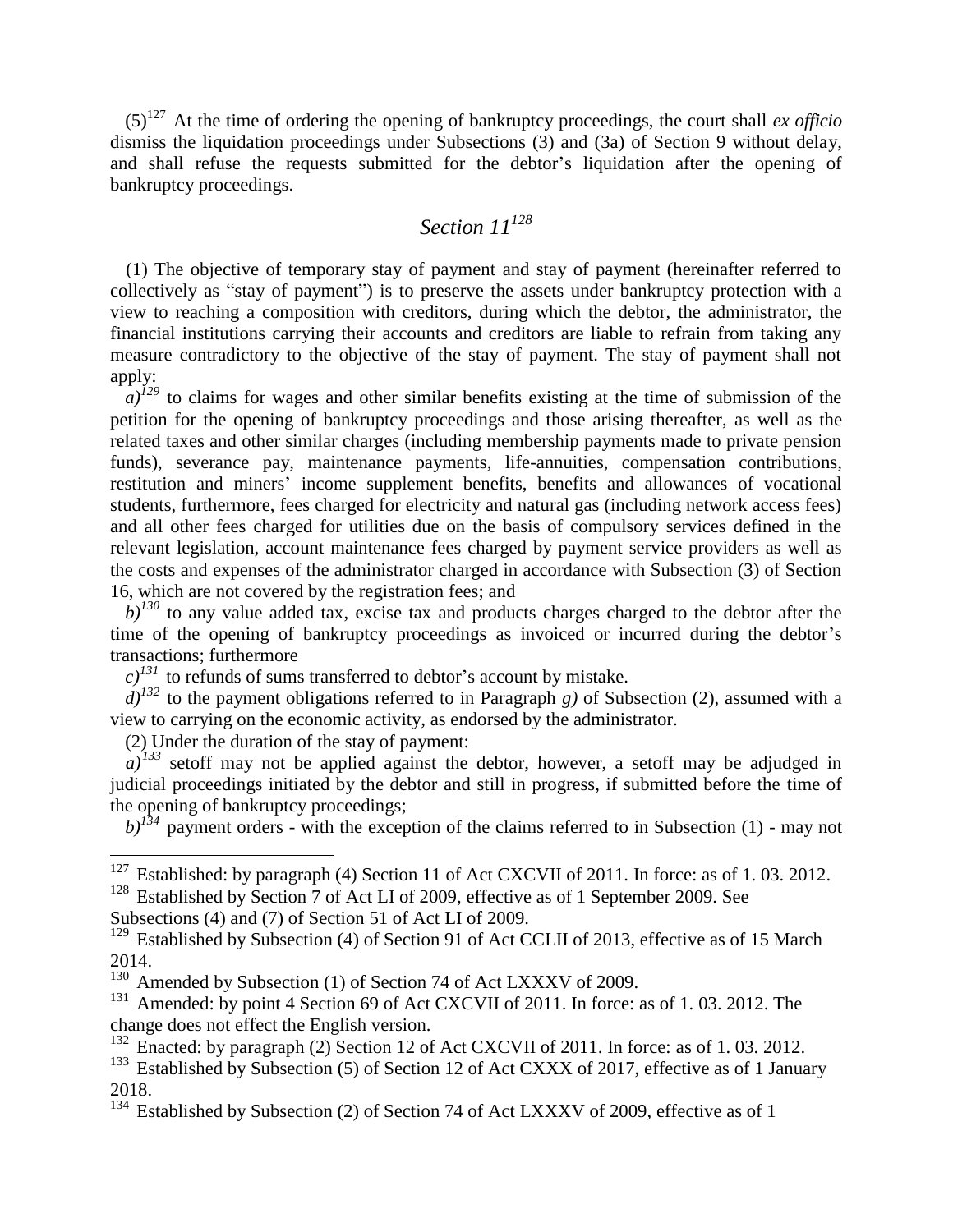(5)<sup>127</sup> At the time of ordering the opening of bankruptcy proceedings, the court shall *ex officio* dismiss the liquidation proceedings under Subsections (3) and (3a) of Section 9 without delay, and shall refuse the requests submitted for the debtor's liquidation after the opening of bankruptcy proceedings.

#### *Section 11<sup>128</sup>*

(1) The objective of temporary stay of payment and stay of payment (hereinafter referred to collectively as "stay of payment") is to preserve the assets under bankruptcy protection with a view to reaching a composition with creditors, during which the debtor, the administrator, the financial institutions carrying their accounts and creditors are liable to refrain from taking any measure contradictory to the objective of the stay of payment. The stay of payment shall not apply:

 $\int_a^1 i^{1/29}$  to claims for wages and other similar benefits existing at the time of submission of the petition for the opening of bankruptcy proceedings and those arising thereafter, as well as the related taxes and other similar charges (including membership payments made to private pension funds), severance pay, maintenance payments, life-annuities, compensation contributions, restitution and miners' income supplement benefits, benefits and allowances of vocational students, furthermore, fees charged for electricity and natural gas (including network access fees) and all other fees charged for utilities due on the basis of compulsory services defined in the relevant legislation, account maintenance fees charged by payment service providers as well as the costs and expenses of the administrator charged in accordance with Subsection (3) of Section 16, which are not covered by the registration fees; and

 $b$ <sup> $130$ </sup> to any value added tax, excise tax and products charges charged to the debtor after the time of the opening of bankruptcy proceedings as invoiced or incurred during the debtor's transactions; furthermore

 $c)^{131}$  to refunds of sums transferred to debtor's account by mistake.

 $d^{j^{132}}$  to the payment obligations referred to in Paragraph *g*) of Subsection (2), assumed with a view to carrying on the economic activity, as endorsed by the administrator.

(2) Under the duration of the stay of payment:

 $a)^{133}$  setoff may not be applied against the debtor, however, a setoff may be adjudged in judicial proceedings initiated by the debtor and still in progress, if submitted before the time of the opening of bankruptcy proceedings;

 $b$ <sup> $134$ </sup> payment orders - with the exception of the claims referred to in Subsection (1) - may not

<sup>128</sup> Established by Section 7 of Act LI of 2009, effective as of 1 September 2009. See Subsections (4) and (7) of Section 51 of Act LI of 2009.

 $\overline{a}$ <sup>127</sup> Established: by paragraph (4) Section 11 of Act CXCVII of 2011. In force: as of 1.03. 2012.

<sup>&</sup>lt;sup>129</sup> Established by Subsection (4) of Section 91 of Act CCLII of 2013, effective as of 15 March 2014.

<sup>&</sup>lt;sup>130</sup> Amended by Subsection (1) of Section 74 of Act LXXXV of 2009.

<sup>&</sup>lt;sup>131</sup> Amended: by point 4 Section 69 of Act CXCVII of 2011. In force: as of 1.03. 2012. The change does not effect the English version.

 $^{132}$  Enacted: by paragraph (2) Section 12 of Act CXCVII of 2011. In force: as of 1.03. 2012.

<sup>&</sup>lt;sup>133</sup> Established by Subsection (5) of Section 12 of Act CXXX of 2017, effective as of 1 January 2018.

<sup>&</sup>lt;sup>134</sup> Established by Subsection (2) of Section 74 of Act LXXXV of 2009, effective as of 1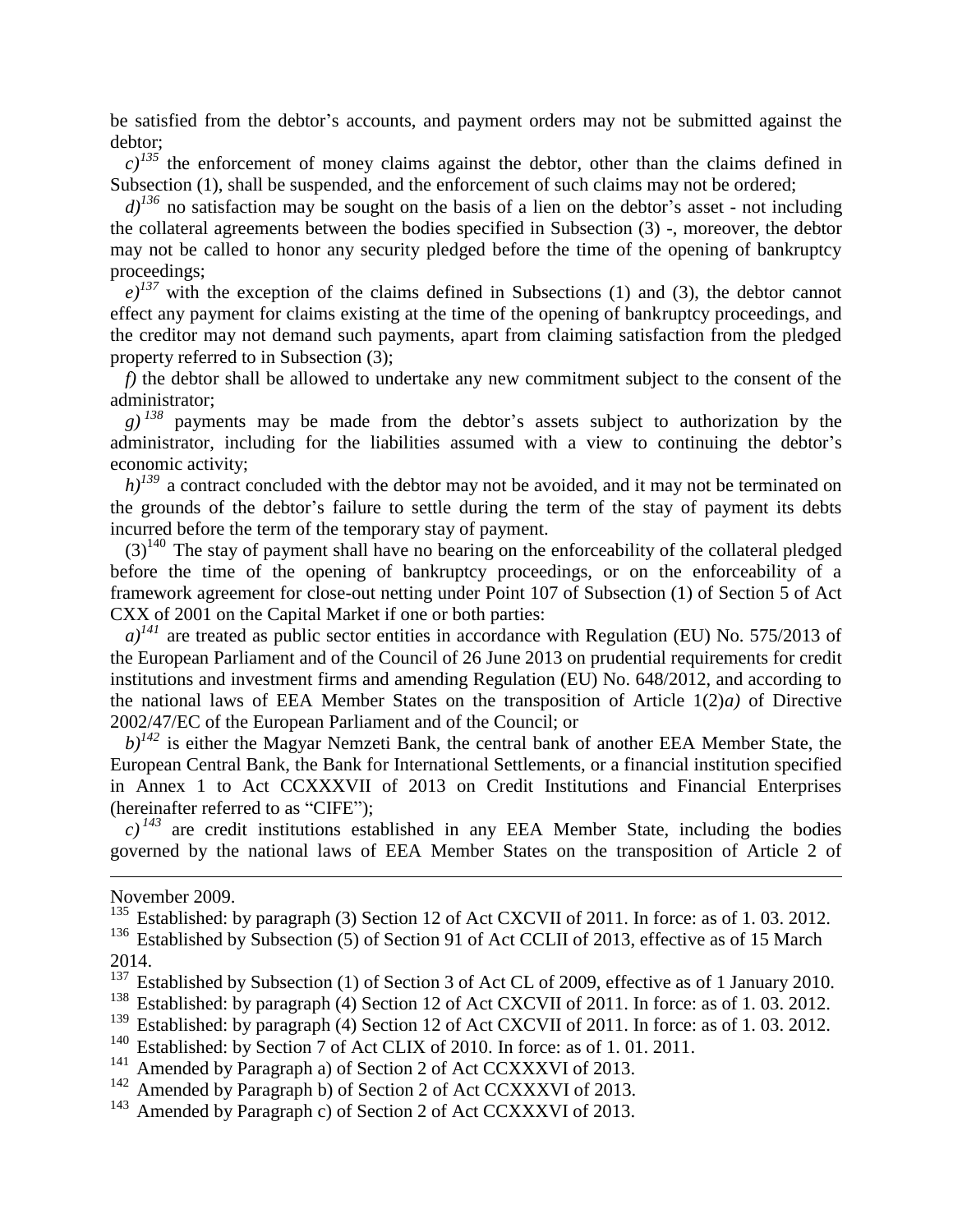be satisfied from the debtor's accounts, and payment orders may not be submitted against the debtor;

 $c)^{135}$  the enforcement of money claims against the debtor, other than the claims defined in Subsection (1), shall be suspended, and the enforcement of such claims may not be ordered;

 $d$ <sup> $j^{136}$ </sup> no satisfaction may be sought on the basis of a lien on the debtor's asset - not including the collateral agreements between the bodies specified in Subsection (3) -, moreover, the debtor may not be called to honor any security pledged before the time of the opening of bankruptcy proceedings;

 $e^{j37}$  with the exception of the claims defined in Subsections (1) and (3), the debtor cannot effect any payment for claims existing at the time of the opening of bankruptcy proceedings, and the creditor may not demand such payments, apart from claiming satisfaction from the pledged property referred to in Subsection (3);

*f)* the debtor shall be allowed to undertake any new commitment subject to the consent of the administrator;

 $g$ )<sup> $138$ </sup> payments may be made from the debtor's assets subject to authorization by the administrator, including for the liabilities assumed with a view to continuing the debtor's economic activity;

 $h$ <sup> $j^{139}$ </sup> a contract concluded with the debtor may not be avoided, and it may not be terminated on the grounds of the debtor's failure to settle during the term of the stay of payment its debts incurred before the term of the temporary stay of payment.

 $(3)^{140}$  The stay of payment shall have no bearing on the enforceability of the collateral pledged before the time of the opening of bankruptcy proceedings, or on the enforceability of a framework agreement for close-out netting under Point 107 of Subsection (1) of Section 5 of Act CXX of 2001 on the Capital Market if one or both parties:

 $a)^{141}$  are treated as public sector entities in accordance with Regulation (EU) No. 575/2013 of the European Parliament and of the Council of 26 June 2013 on prudential requirements for credit institutions and investment firms and amending Regulation (EU) No. 648/2012, and according to the national laws of EEA Member States on the transposition of Article 1(2)*a)* of Directive 2002/47/EC of the European Parliament and of the Council; or

 $b)^{142}$  is either the Magyar Nemzeti Bank, the central bank of another EEA Member State, the European Central Bank, the Bank for International Settlements, or a financial institution specified in Annex 1 to Act CCXXXVII of 2013 on Credit Institutions and Financial Enterprises (hereinafter referred to as "CIFE");

 $c)^{143}$  are credit institutions established in any EEA Member State, including the bodies governed by the national laws of EEA Member States on the transposition of Article 2 of

November 2009.

1

<sup>136</sup> Established by Subsection (5) of Section 91 of Act CCLII of 2013, effective as of 15 March 2014.

Established: by Section 7 of Act CLIX of 2010. In force: as of 1.01.2011.

<sup>&</sup>lt;sup>135</sup> Established: by paragraph (3) Section 12 of Act CXCVII of 2011. In force: as of 1.03. 2012.

 $137 \text{ }$  Established by Subsection (1) of Section 3 of Act CL of 2009, effective as of 1 January 2010.

<sup>&</sup>lt;sup>138</sup> Established: by paragraph (4) Section 12 of Act CXCVII of 2011. In force: as of 1.03. 2012.

<sup>&</sup>lt;sup>139</sup> Established: by paragraph (4) Section 12 of Act CXCVII of 2011. In force: as of 1.03. 2012.<br><sup>140</sup> Established: by Section 7 of Act CLIX of 2010. In force: as of 1.01.2011

<sup>&</sup>lt;sup>141</sup> Amended by Paragraph a) of Section 2 of Act CCXXXVI of 2013.

<sup>&</sup>lt;sup>142</sup> Amended by Paragraph b) of Section 2 of Act CCXXXVI of 2013.

<sup>&</sup>lt;sup>143</sup> Amended by Paragraph c) of Section 2 of Act CCXXXVI of 2013.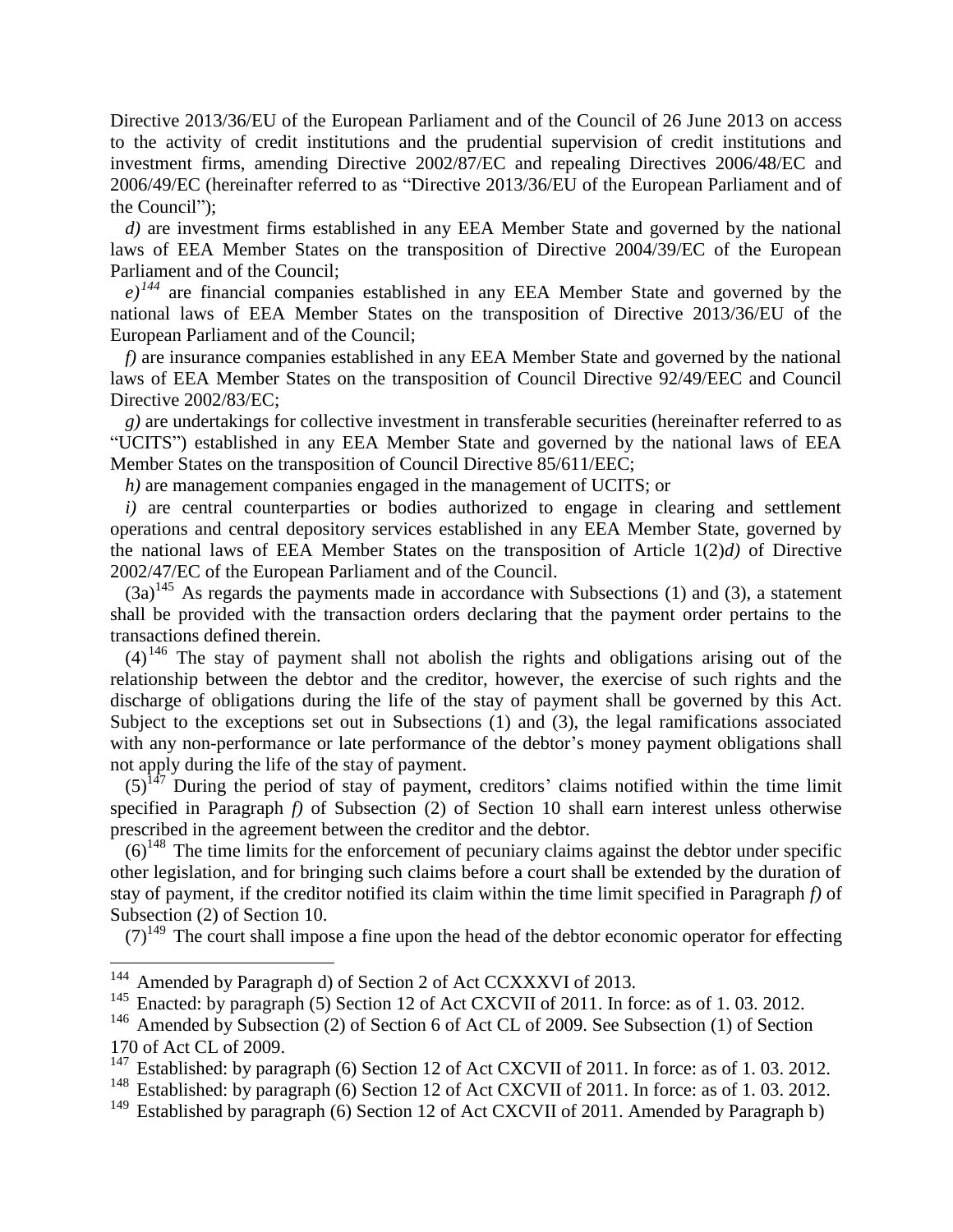Directive 2013/36/EU of the European Parliament and of the Council of 26 June 2013 on access to the activity of credit institutions and the prudential supervision of credit institutions and investment firms, amending Directive 2002/87/EC and repealing Directives 2006/48/EC and 2006/49/EC (hereinafter referred to as "Directive 2013/36/EU of the European Parliament and of the Council");

*d)* are investment firms established in any EEA Member State and governed by the national laws of EEA Member States on the transposition of Directive 2004/39/EC of the European Parliament and of the Council;

 $e^{j^{144}}$  are financial companies established in any EEA Member State and governed by the national laws of EEA Member States on the transposition of Directive 2013/36/EU of the European Parliament and of the Council;

*f)* are insurance companies established in any EEA Member State and governed by the national laws of EEA Member States on the transposition of Council Directive 92/49/EEC and Council Directive 2002/83/EC;

*g)* are undertakings for collective investment in transferable securities (hereinafter referred to as "UCITS") established in any EEA Member State and governed by the national laws of EEA Member States on the transposition of Council Directive 85/611/EEC;

*h)* are management companies engaged in the management of UCITS; or

*i*) are central counterparties or bodies authorized to engage in clearing and settlement operations and central depository services established in any EEA Member State, governed by the national laws of EEA Member States on the transposition of Article 1(2)*d)* of Directive 2002/47/EC of the European Parliament and of the Council.

 $(3a)^{145}$  As regards the payments made in accordance with Subsections (1) and (3), a statement shall be provided with the transaction orders declaring that the payment order pertains to the transactions defined therein.

 $(4)$ <sup>146</sup> The stay of payment shall not abolish the rights and obligations arising out of the relationship between the debtor and the creditor, however, the exercise of such rights and the discharge of obligations during the life of the stay of payment shall be governed by this Act. Subject to the exceptions set out in Subsections (1) and (3), the legal ramifications associated with any non-performance or late performance of the debtor's money payment obligations shall not apply during the life of the stay of payment.

 $(5)^{147}$  During the period of stay of payment, creditors' claims notified within the time limit specified in Paragraph *f)* of Subsection (2) of Section 10 shall earn interest unless otherwise prescribed in the agreement between the creditor and the debtor.

 $(6)^{148}$  The time limits for the enforcement of pecuniary claims against the debtor under specific other legislation, and for bringing such claims before a court shall be extended by the duration of stay of payment, if the creditor notified its claim within the time limit specified in Paragraph *f)* of Subsection (2) of Section 10.

 $(7)^{149}$  The court shall impose a fine upon the head of the debtor economic operator for effecting

<sup>&</sup>lt;sup>144</sup> Amended by Paragraph d) of Section 2 of Act CCXXXVI of 2013.

<sup>&</sup>lt;sup>145</sup> Enacted: by paragraph (5) Section 12 of Act CXCVII of 2011. In force: as of 1.03. 2012.

<sup>&</sup>lt;sup>146</sup> Amended by Subsection (2) of Section 6 of Act CL of 2009. See Subsection (1) of Section 170 of Act CL of 2009.

<sup>&</sup>lt;sup>147</sup> Established: by paragraph (6) Section 12 of Act CXCVII of 2011. In force: as of 1.03. 2012.

<sup>&</sup>lt;sup>148</sup> Established: by paragraph (6) Section 12 of Act CXCVII of 2011. In force: as of 1.03. 2012.

<sup>&</sup>lt;sup>149</sup> Established by paragraph (6) Section 12 of Act CXCVII of 2011. Amended by Paragraph b)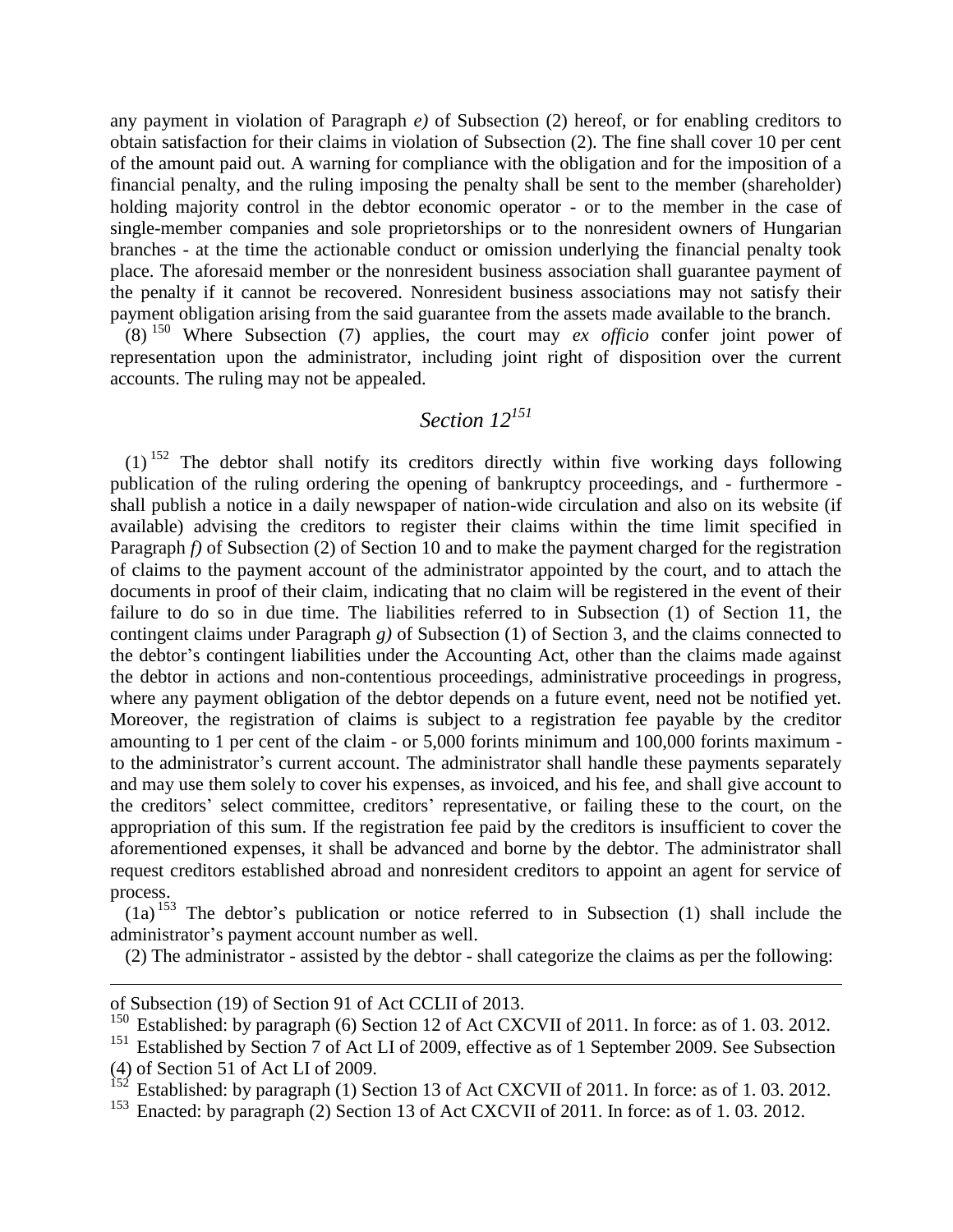any payment in violation of Paragraph *e)* of Subsection (2) hereof, or for enabling creditors to obtain satisfaction for their claims in violation of Subsection (2). The fine shall cover 10 per cent of the amount paid out. A warning for compliance with the obligation and for the imposition of a financial penalty, and the ruling imposing the penalty shall be sent to the member (shareholder) holding majority control in the debtor economic operator - or to the member in the case of single-member companies and sole proprietorships or to the nonresident owners of Hungarian branches - at the time the actionable conduct or omission underlying the financial penalty took place. The aforesaid member or the nonresident business association shall guarantee payment of the penalty if it cannot be recovered. Nonresident business associations may not satisfy their payment obligation arising from the said guarantee from the assets made available to the branch.

(8) <sup>150</sup> Where Subsection (7) applies, the court may *ex officio* confer joint power of representation upon the administrator, including joint right of disposition over the current accounts. The ruling may not be appealed.

### *Section 12<sup>151</sup>*

 $(1)$ <sup>152</sup> The debtor shall notify its creditors directly within five working days following publication of the ruling ordering the opening of bankruptcy proceedings, and - furthermore shall publish a notice in a daily newspaper of nation-wide circulation and also on its website (if available) advising the creditors to register their claims within the time limit specified in Paragraph *f)* of Subsection (2) of Section 10 and to make the payment charged for the registration of claims to the payment account of the administrator appointed by the court, and to attach the documents in proof of their claim, indicating that no claim will be registered in the event of their failure to do so in due time. The liabilities referred to in Subsection (1) of Section 11, the contingent claims under Paragraph *g)* of Subsection (1) of Section 3, and the claims connected to the debtor's contingent liabilities under the Accounting Act, other than the claims made against the debtor in actions and non-contentious proceedings, administrative proceedings in progress, where any payment obligation of the debtor depends on a future event, need not be notified yet. Moreover, the registration of claims is subject to a registration fee payable by the creditor amounting to 1 per cent of the claim - or 5,000 forints minimum and 100,000 forints maximum to the administrator's current account. The administrator shall handle these payments separately and may use them solely to cover his expenses, as invoiced, and his fee, and shall give account to the creditors' select committee, creditors' representative, or failing these to the court, on the appropriation of this sum. If the registration fee paid by the creditors is insufficient to cover the aforementioned expenses, it shall be advanced and borne by the debtor. The administrator shall request creditors established abroad and nonresident creditors to appoint an agent for service of process.

 $(1a)$ <sup>153</sup> The debtor's publication or notice referred to in Subsection (1) shall include the administrator's payment account number as well.

(2) The administrator - assisted by the debtor - shall categorize the claims as per the following:

1

of Subsection (19) of Section 91 of Act CCLII of 2013.

<sup>&</sup>lt;sup>150</sup> Established: by paragraph (6) Section 12 of Act CXCVII of 2011. In force: as of 1.03. 2012.<br><sup>151</sup> Established by Section 7 of Act LL of 2009, effective as of 1 September 2009, See Subsection

Established by Section 7 of Act LI of 2009, effective as of 1 September 2009. See Subsection (4) of Section 51 of Act LI of 2009.

 $152$  Established: by paragraph (1) Section 13 of Act CXCVII of 2011. In force: as of 1.03. 2012.

<sup>&</sup>lt;sup>153</sup> Enacted: by paragraph (2) Section 13 of Act CXCVII of 2011. In force: as of 1.03. 2012.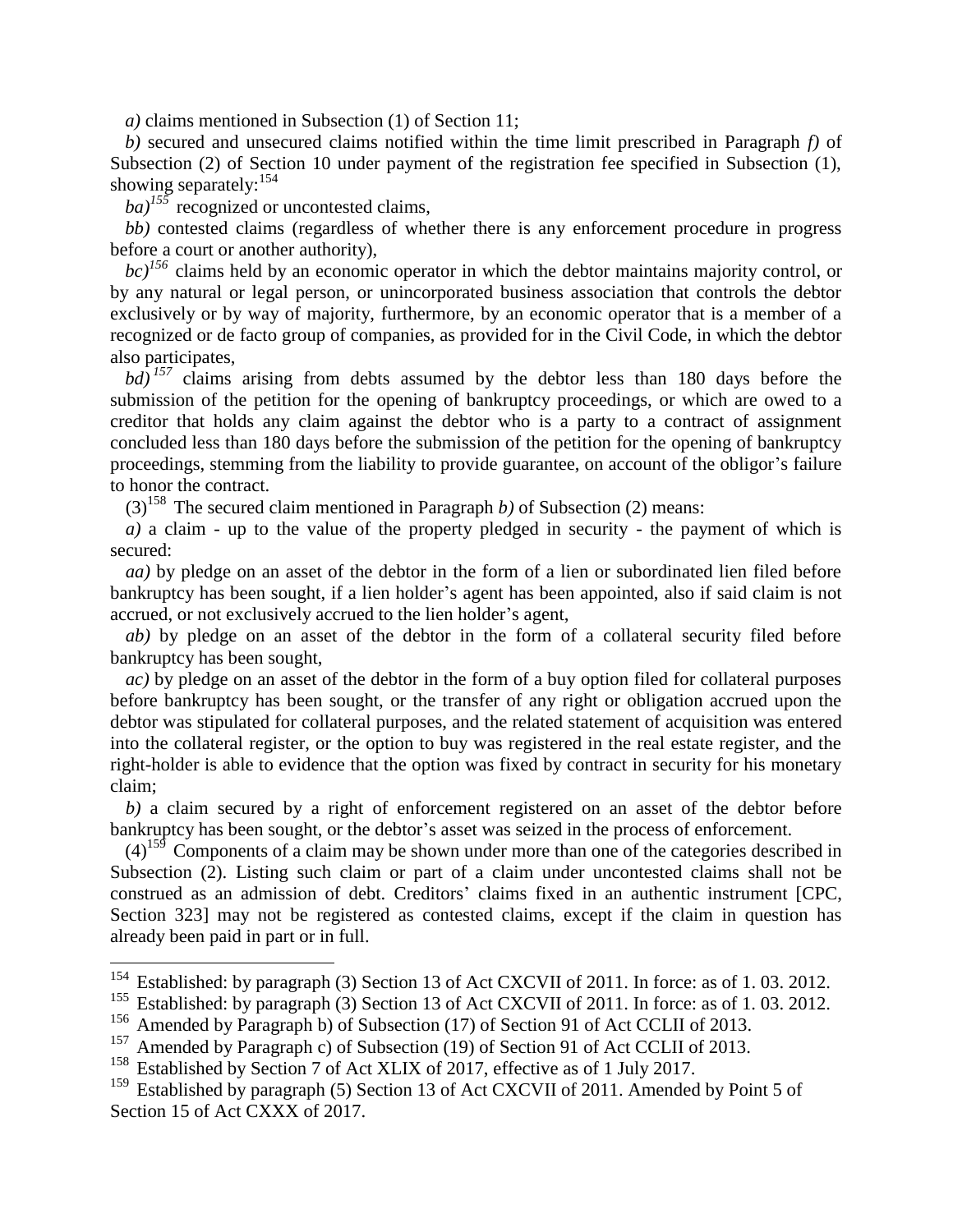*a)* claims mentioned in Subsection (1) of Section 11;

*b)* secured and unsecured claims notified within the time limit prescribed in Paragraph *f)* of Subsection (2) of Section 10 under payment of the registration fee specified in Subsection (1), showing separately:  $154$ 

*ba)<sup>155</sup>* recognized or uncontested claims,

*bb)* contested claims (regardless of whether there is any enforcement procedure in progress before a court or another authority),

*bc)<sup>156</sup>* claims held by an economic operator in which the debtor maintains majority control, or by any natural or legal person, or unincorporated business association that controls the debtor exclusively or by way of majority, furthermore, by an economic operator that is a member of a recognized or de facto group of companies, as provided for in the Civil Code, in which the debtor also participates,

*bd) <sup>157</sup>* claims arising from debts assumed by the debtor less than 180 days before the submission of the petition for the opening of bankruptcy proceedings, or which are owed to a creditor that holds any claim against the debtor who is a party to a contract of assignment concluded less than 180 days before the submission of the petition for the opening of bankruptcy proceedings, stemming from the liability to provide guarantee, on account of the obligor's failure to honor the contract.

 $(3)^{158}$  The secured claim mentioned in Paragraph *b*) of Subsection (2) means:

*a)* a claim - up to the value of the property pledged in security - the payment of which is secured:

*aa)* by pledge on an asset of the debtor in the form of a lien or subordinated lien filed before bankruptcy has been sought, if a lien holder's agent has been appointed, also if said claim is not accrued, or not exclusively accrued to the lien holder's agent,

*ab)* by pledge on an asset of the debtor in the form of a collateral security filed before bankruptcy has been sought,

*ac)* by pledge on an asset of the debtor in the form of a buy option filed for collateral purposes before bankruptcy has been sought, or the transfer of any right or obligation accrued upon the debtor was stipulated for collateral purposes, and the related statement of acquisition was entered into the collateral register, or the option to buy was registered in the real estate register, and the right-holder is able to evidence that the option was fixed by contract in security for his monetary claim;

*b)* a claim secured by a right of enforcement registered on an asset of the debtor before bankruptcy has been sought, or the debtor's asset was seized in the process of enforcement.

 $(4)$ <sup>159</sup> Components of a claim may be shown under more than one of the categories described in Subsection (2). Listing such claim or part of a claim under uncontested claims shall not be construed as an admission of debt. Creditors' claims fixed in an authentic instrument [CPC, Section 323] may not be registered as contested claims, except if the claim in question has already been paid in part or in full.

<sup>&</sup>lt;sup>154</sup> Established: by paragraph (3) Section 13 of Act CXCVII of 2011. In force: as of 1.03. 2012.

<sup>&</sup>lt;sup>155</sup> Established: by paragraph (3) Section 13 of Act CXCVII of 2011. In force: as of 1.03. 2012.

<sup>&</sup>lt;sup>156</sup> Amended by Paragraph b) of Subsection (17) of Section 91 of Act CCLII of 2013.<br><sup>157</sup> Amended by Paragraph c) of Subsection (19) of Section 91 of Act CCLII of 2013.

Amended by Paragraph c) of Subsection (19) of Section 91 of Act CCLII of 2013.

<sup>&</sup>lt;sup>158</sup> Established by Section 7 of Act XLIX of 2017, effective as of 1 July 2017.

<sup>&</sup>lt;sup>159</sup> Established by paragraph (5) Section 13 of Act CXCVII of 2011. Amended by Point 5 of Section 15 of Act CXXX of 2017.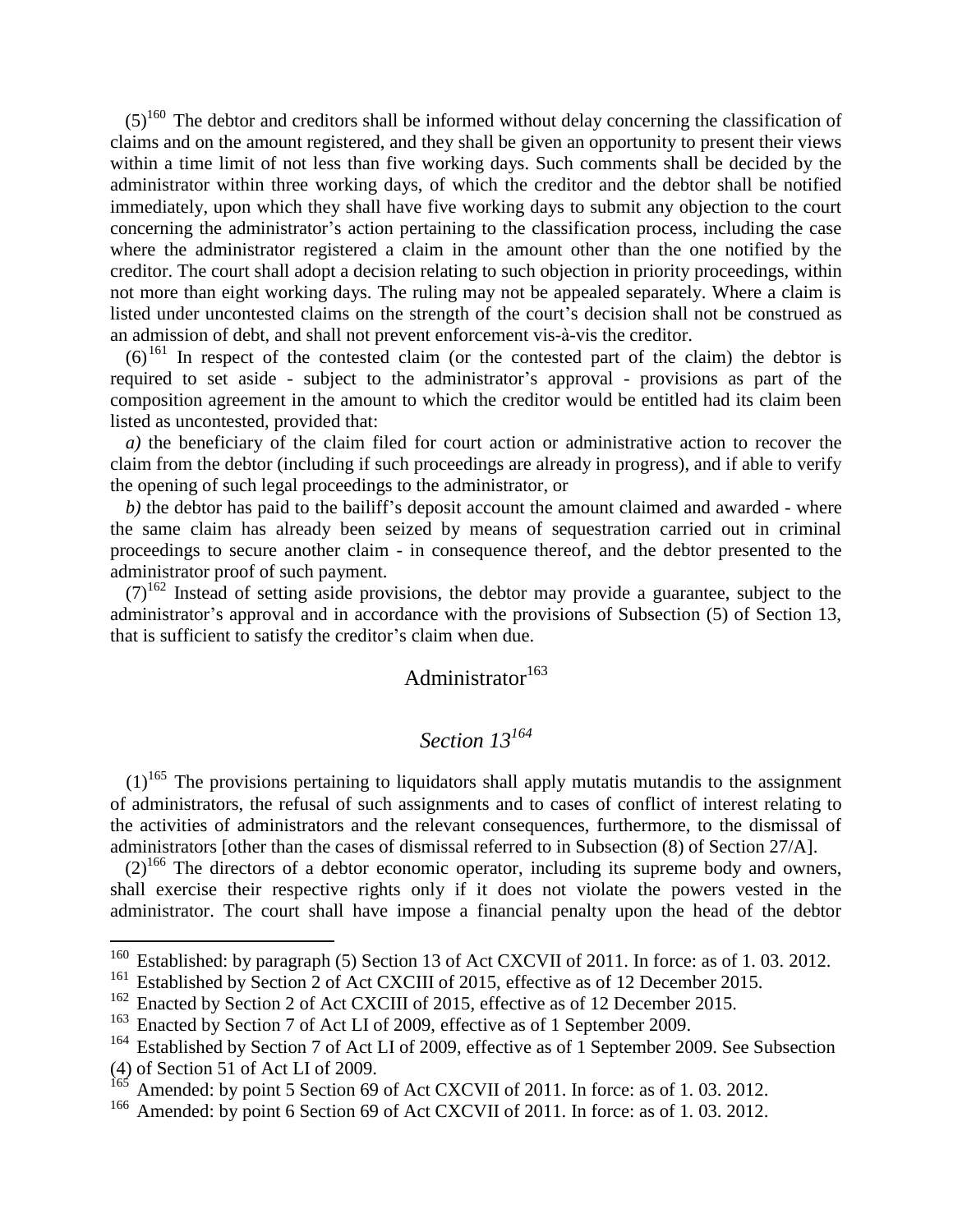$(5)^{160}$  The debtor and creditors shall be informed without delay concerning the classification of claims and on the amount registered, and they shall be given an opportunity to present their views within a time limit of not less than five working days. Such comments shall be decided by the administrator within three working days, of which the creditor and the debtor shall be notified immediately, upon which they shall have five working days to submit any objection to the court concerning the administrator's action pertaining to the classification process, including the case where the administrator registered a claim in the amount other than the one notified by the creditor. The court shall adopt a decision relating to such objection in priority proceedings, within not more than eight working days. The ruling may not be appealed separately. Where a claim is listed under uncontested claims on the strength of the court's decision shall not be construed as an admission of debt, and shall not prevent enforcement vis-à-vis the creditor.

 $(6)^{161}$  In respect of the contested claim (or the contested part of the claim) the debtor is required to set aside - subject to the administrator's approval - provisions as part of the composition agreement in the amount to which the creditor would be entitled had its claim been listed as uncontested, provided that:

*a)* the beneficiary of the claim filed for court action or administrative action to recover the claim from the debtor (including if such proceedings are already in progress), and if able to verify the opening of such legal proceedings to the administrator, or

*b)* the debtor has paid to the bailiff's deposit account the amount claimed and awarded - where the same claim has already been seized by means of sequestration carried out in criminal proceedings to secure another claim - in consequence thereof, and the debtor presented to the administrator proof of such payment.

 $(7)^{162}$  Instead of setting aside provisions, the debtor may provide a guarantee, subject to the administrator's approval and in accordance with the provisions of Subsection (5) of Section 13, that is sufficient to satisfy the creditor's claim when due.

# Administrator<sup>163</sup>

#### *Section 13<sup>164</sup>*

 $(1)^{165}$  The provisions pertaining to liquidators shall apply mutatis mutandis to the assignment of administrators, the refusal of such assignments and to cases of conflict of interest relating to the activities of administrators and the relevant consequences, furthermore, to the dismissal of administrators [other than the cases of dismissal referred to in Subsection (8) of Section 27/A].

 $(2)^{166}$  The directors of a debtor economic operator, including its supreme body and owners, shall exercise their respective rights only if it does not violate the powers vested in the administrator. The court shall have impose a financial penalty upon the head of the debtor

<sup>&</sup>lt;sup>160</sup> Established: by paragraph (5) Section 13 of Act CXCVII of 2011. In force: as of 1.03. 2012.

<sup>&</sup>lt;sup>161</sup> Established by Section 2 of Act CXCIII of 2015, effective as of 12 December 2015.

<sup>&</sup>lt;sup>162</sup> Enacted by Section 2 of Act CXCIII of 2015, effective as of 12 December 2015.

<sup>&</sup>lt;sup>163</sup> Enacted by Section 7 of Act LI of 2009, effective as of 1 September 2009.<br><sup>164</sup> Established by Section 7 of Act LI of 2009, effective as of 1 September 200

Established by Section 7 of Act LI of 2009, effective as of 1 September 2009. See Subsection

<sup>(4)</sup> of Section 51 of Act LI of 2009.

 $165$  Amended: by point 5 Section 69 of Act CXCVII of 2011. In force: as of 1.03. 2012.

<sup>&</sup>lt;sup>166</sup> Amended: by point 6 Section 69 of Act CXCVII of 2011. In force: as of 1.03. 2012.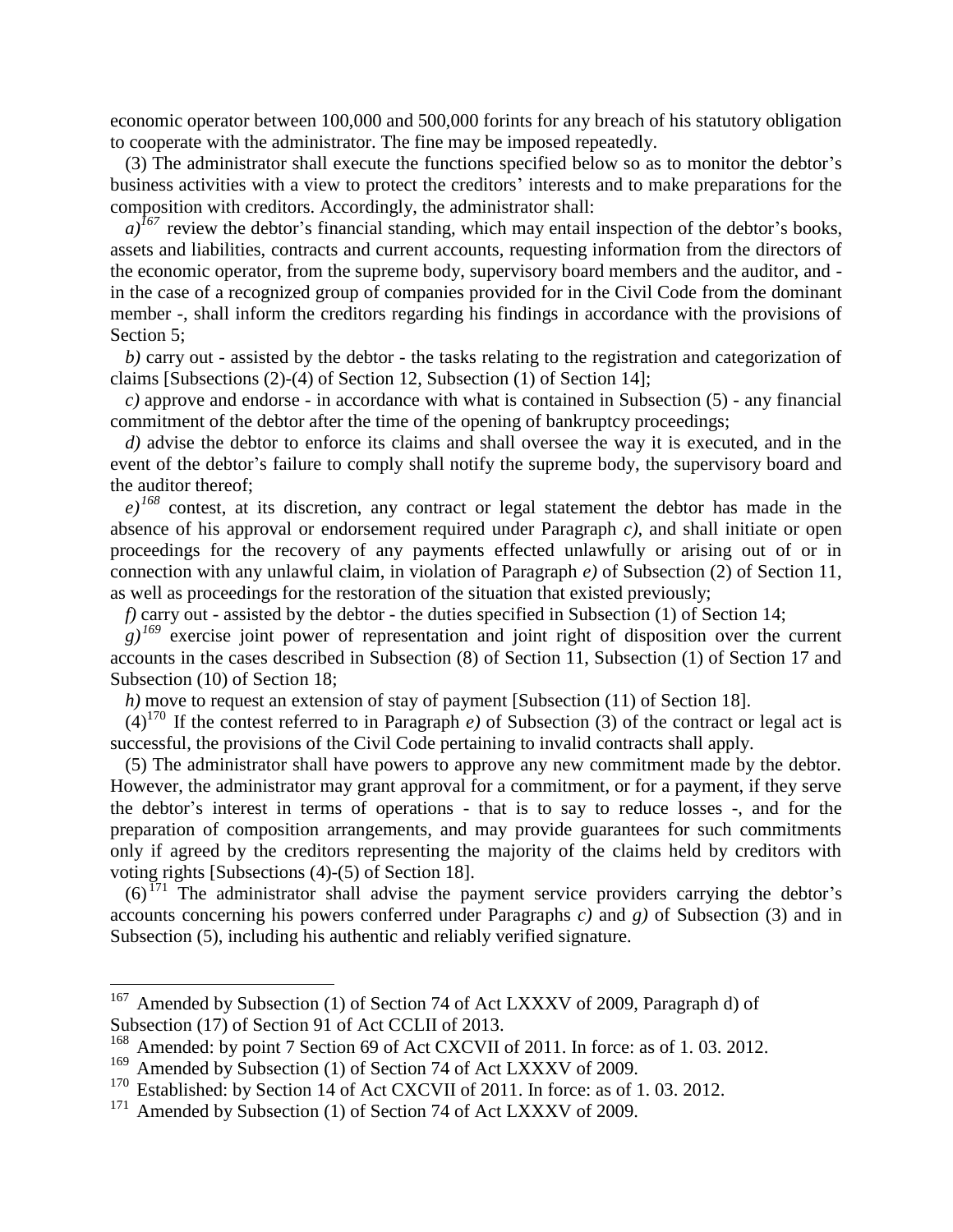economic operator between 100,000 and 500,000 forints for any breach of his statutory obligation to cooperate with the administrator. The fine may be imposed repeatedly.

(3) The administrator shall execute the functions specified below so as to monitor the debtor's business activities with a view to protect the creditors' interests and to make preparations for the composition with creditors. Accordingly, the administrator shall:

 $a$ <sup> $167$ </sup> review the debtor's financial standing, which may entail inspection of the debtor's books, assets and liabilities, contracts and current accounts, requesting information from the directors of the economic operator, from the supreme body, supervisory board members and the auditor, and in the case of a recognized group of companies provided for in the Civil Code from the dominant member -, shall inform the creditors regarding his findings in accordance with the provisions of Section 5:

*b)* carry out - assisted by the debtor - the tasks relating to the registration and categorization of claims [Subsections (2)-(4) of Section 12, Subsection (1) of Section 14];

*c)* approve and endorse - in accordance with what is contained in Subsection (5) - any financial commitment of the debtor after the time of the opening of bankruptcy proceedings;

*d)* advise the debtor to enforce its claims and shall oversee the way it is executed, and in the event of the debtor's failure to comply shall notify the supreme body, the supervisory board and the auditor thereof;

*e)<sup>168</sup>* contest, at its discretion, any contract or legal statement the debtor has made in the absence of his approval or endorsement required under Paragraph *c)*, and shall initiate or open proceedings for the recovery of any payments effected unlawfully or arising out of or in connection with any unlawful claim, in violation of Paragraph *e)* of Subsection (2) of Section 11, as well as proceedings for the restoration of the situation that existed previously;

*f)* carry out - assisted by the debtor - the duties specified in Subsection (1) of Section 14;

 $g^{169}$  exercise joint power of representation and joint right of disposition over the current accounts in the cases described in Subsection (8) of Section 11, Subsection (1) of Section 17 and Subsection (10) of Section 18;

*h)* move to request an extension of stay of payment [Subsection (11) of Section 18].

 $(4)^{170}$  If the contest referred to in Paragraph *e*) of Subsection (3) of the contract or legal act is successful, the provisions of the Civil Code pertaining to invalid contracts shall apply.

(5) The administrator shall have powers to approve any new commitment made by the debtor. However, the administrator may grant approval for a commitment, or for a payment, if they serve the debtor's interest in terms of operations - that is to say to reduce losses -, and for the preparation of composition arrangements, and may provide guarantees for such commitments only if agreed by the creditors representing the majority of the claims held by creditors with voting rights [Subsections (4)-(5) of Section 18].

 $(6)$ <sup> $171$ </sup> The administrator shall advise the payment service providers carrying the debtor's accounts concerning his powers conferred under Paragraphs *c)* and *g)* of Subsection (3) and in Subsection (5), including his authentic and reliably verified signature.

<sup>&</sup>lt;sup>167</sup> Amended by Subsection (1) of Section 74 of Act LXXXV of 2009, Paragraph d) of Subsection (17) of Section 91 of Act CCLII of 2013.

<sup>&</sup>lt;sup>168</sup> Amended: by point 7 Section 69 of Act CXCVII of 2011. In force: as of 1.03. 2012.

<sup>&</sup>lt;sup>169</sup> Amended by Subsection (1) of Section 74 of Act LXXXV of 2009.

<sup>&</sup>lt;sup>170</sup> Established: by Section 14 of Act CXCVII of 2011. In force: as of 1.03. 2012.

<sup>&</sup>lt;sup>171</sup> Amended by Subsection (1) of Section 74 of Act LXXXV of 2009.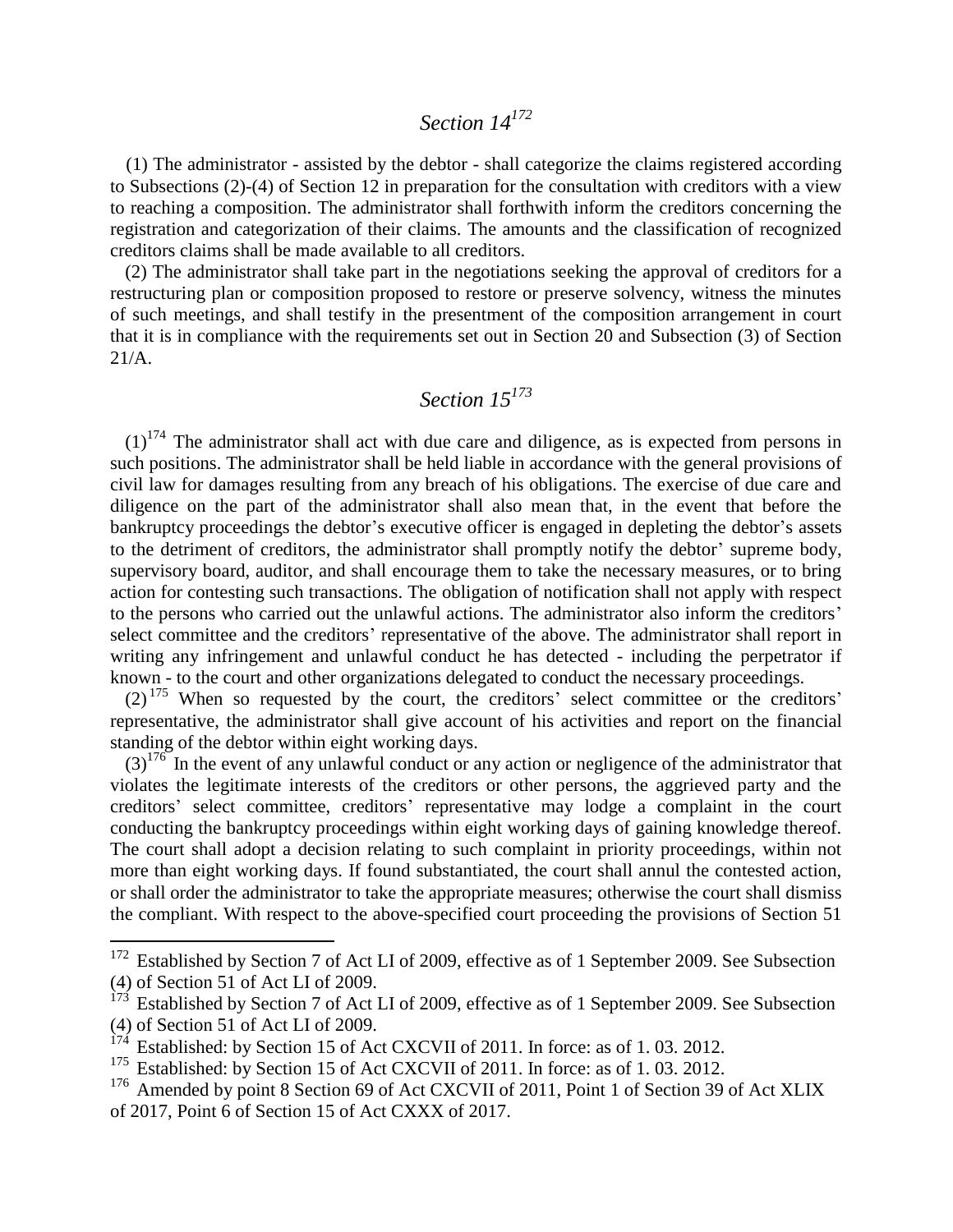## *Section 14<sup>172</sup>*

(1) The administrator - assisted by the debtor - shall categorize the claims registered according to Subsections (2)-(4) of Section 12 in preparation for the consultation with creditors with a view to reaching a composition. The administrator shall forthwith inform the creditors concerning the registration and categorization of their claims. The amounts and the classification of recognized creditors claims shall be made available to all creditors.

(2) The administrator shall take part in the negotiations seeking the approval of creditors for a restructuring plan or composition proposed to restore or preserve solvency, witness the minutes of such meetings, and shall testify in the presentment of the composition arrangement in court that it is in compliance with the requirements set out in Section 20 and Subsection (3) of Section 21/A.

## *Section 15<sup>173</sup>*

 $(1)^{174}$  The administrator shall act with due care and diligence, as is expected from persons in such positions. The administrator shall be held liable in accordance with the general provisions of civil law for damages resulting from any breach of his obligations. The exercise of due care and diligence on the part of the administrator shall also mean that, in the event that before the bankruptcy proceedings the debtor's executive officer is engaged in depleting the debtor's assets to the detriment of creditors, the administrator shall promptly notify the debtor' supreme body, supervisory board, auditor, and shall encourage them to take the necessary measures, or to bring action for contesting such transactions. The obligation of notification shall not apply with respect to the persons who carried out the unlawful actions. The administrator also inform the creditors' select committee and the creditors' representative of the above. The administrator shall report in writing any infringement and unlawful conduct he has detected - including the perpetrator if known - to the court and other organizations delegated to conduct the necessary proceedings.

(2) <sup>175</sup> When so requested by the court, the creditors' select committee or the creditors' representative, the administrator shall give account of his activities and report on the financial standing of the debtor within eight working days.

 $(3)^{176}$  In the event of any unlawful conduct or any action or negligence of the administrator that violates the legitimate interests of the creditors or other persons, the aggrieved party and the creditors' select committee, creditors' representative may lodge a complaint in the court conducting the bankruptcy proceedings within eight working days of gaining knowledge thereof. The court shall adopt a decision relating to such complaint in priority proceedings, within not more than eight working days. If found substantiated, the court shall annul the contested action, or shall order the administrator to take the appropriate measures; otherwise the court shall dismiss the compliant. With respect to the above-specified court proceeding the provisions of Section 51

<sup>&</sup>lt;sup>172</sup> Established by Section 7 of Act LI of 2009, effective as of 1 September 2009. See Subsection (4) of Section 51 of Act LI of 2009.

 $173$  Established by Section 7 of Act LI of 2009, effective as of 1 September 2009. See Subsection (4) of Section 51 of Act LI of 2009.

Established: by Section 15 of Act CXCVII of 2011. In force: as of 1.03. 2012.

<sup>&</sup>lt;sup>175</sup> Established: by Section 15 of Act CXCVII of 2011. In force: as of 1.03. 2012.

<sup>&</sup>lt;sup>176</sup> Amended by point 8 Section 69 of Act CXCVII of 2011, Point 1 of Section 39 of Act XLIX of 2017, Point 6 of Section 15 of Act CXXX of 2017.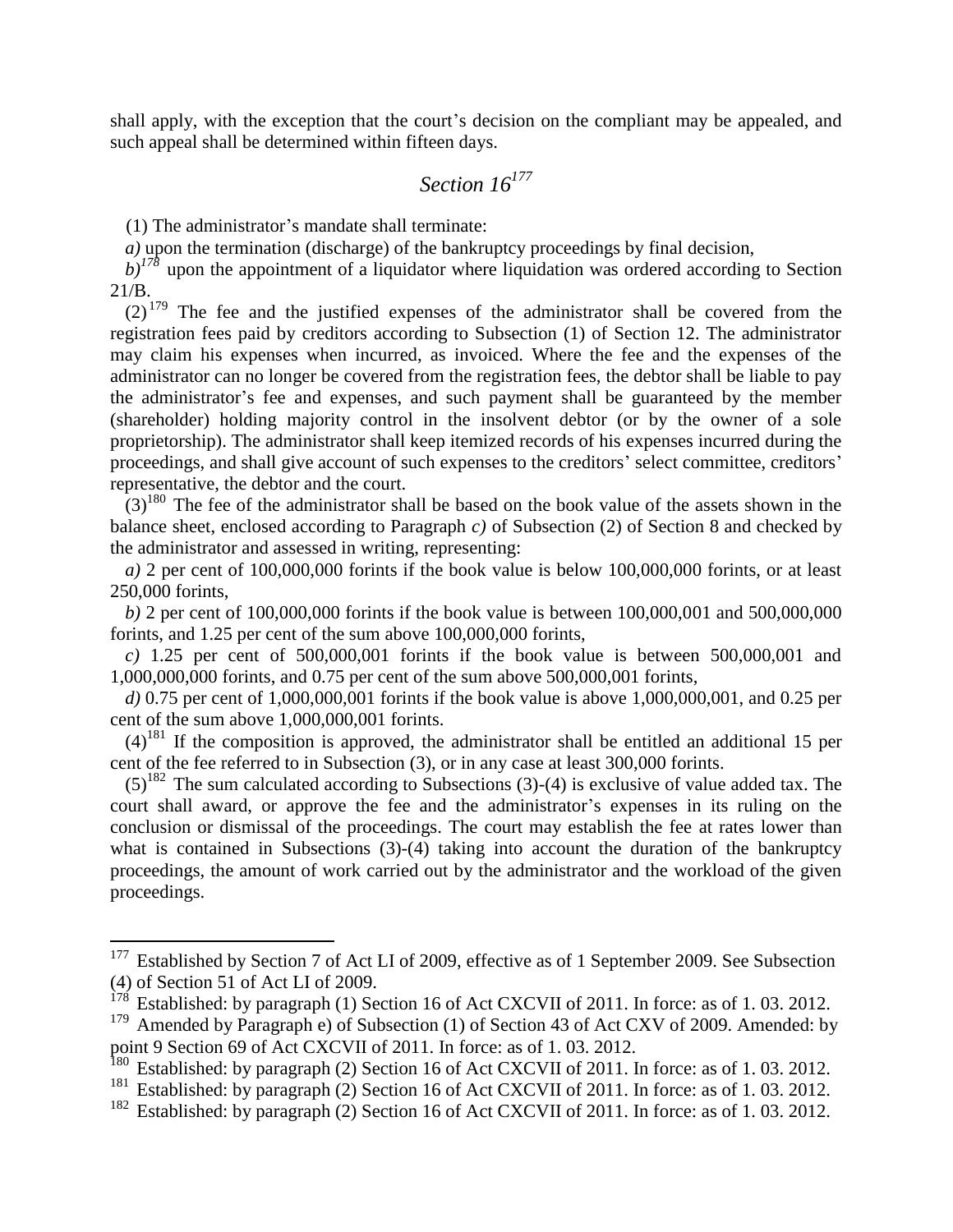shall apply, with the exception that the court's decision on the compliant may be appealed, and such appeal shall be determined within fifteen days.

#### *Section 16<sup>177</sup>*

(1) The administrator's mandate shall terminate:

 $\overline{a}$ 

*a*) upon the termination (discharge) of the bankruptcy proceedings by final decision,

 $b$ <sup> $178$ </sup> upon the appointment of a liquidator where liquidation was ordered according to Section 21/B.

 $(2)^{179}$  The fee and the justified expenses of the administrator shall be covered from the registration fees paid by creditors according to Subsection (1) of Section 12. The administrator may claim his expenses when incurred, as invoiced. Where the fee and the expenses of the administrator can no longer be covered from the registration fees, the debtor shall be liable to pay the administrator's fee and expenses, and such payment shall be guaranteed by the member (shareholder) holding majority control in the insolvent debtor (or by the owner of a sole proprietorship). The administrator shall keep itemized records of his expenses incurred during the proceedings, and shall give account of such expenses to the creditors' select committee, creditors' representative, the debtor and the court.

 $(3)^{180}$  The fee of the administrator shall be based on the book value of the assets shown in the balance sheet, enclosed according to Paragraph *c)* of Subsection (2) of Section 8 and checked by the administrator and assessed in writing, representing:

*a)* 2 per cent of 100,000,000 forints if the book value is below 100,000,000 forints, or at least 250,000 forints,

*b)* 2 per cent of 100,000,000 forints if the book value is between 100,000,001 and 500,000,000 forints, and 1.25 per cent of the sum above 100,000,000 forints,

*c)* 1.25 per cent of 500,000,001 forints if the book value is between 500,000,001 and 1,000,000,000 forints, and 0.75 per cent of the sum above 500,000,001 forints,

*d)* 0.75 per cent of 1,000,000,001 forints if the book value is above 1,000,000,001, and 0.25 per cent of the sum above 1,000,000,001 forints.

 $(4)$ <sup>181</sup> If the composition is approved, the administrator shall be entitled an additional 15 per cent of the fee referred to in Subsection (3), or in any case at least 300,000 forints.

 $(5)^{182}$  The sum calculated according to Subsections (3)-(4) is exclusive of value added tax. The court shall award, or approve the fee and the administrator's expenses in its ruling on the conclusion or dismissal of the proceedings. The court may establish the fee at rates lower than what is contained in Subsections (3)-(4) taking into account the duration of the bankruptcy proceedings, the amount of work carried out by the administrator and the workload of the given proceedings.

 $177$  Established by Section 7 of Act LI of 2009, effective as of 1 September 2009. See Subsection (4) of Section 51 of Act LI of 2009.

 $178$  Established: by paragraph (1) Section 16 of Act CXCVII of 2011. In force: as of 1.03. 2012.

<sup>&</sup>lt;sup>179</sup> Amended by Paragraph e) of Subsection (1) of Section 43 of Act CXV of 2009. Amended: by point 9 Section 69 of Act CXCVII of 2011. In force: as of 1. 03. 2012.

<sup>&</sup>lt;sup>180</sup> Established: by paragraph (2) Section 16 of Act CXCVII of 2011. In force: as of 1.03. 2012.

<sup>&</sup>lt;sup>181</sup> Established: by paragraph (2) Section 16 of Act CXCVII of 2011. In force: as of 1.03. 2012.

<sup>&</sup>lt;sup>182</sup> Established: by paragraph (2) Section 16 of Act CXCVII of 2011. In force: as of 1.03. 2012.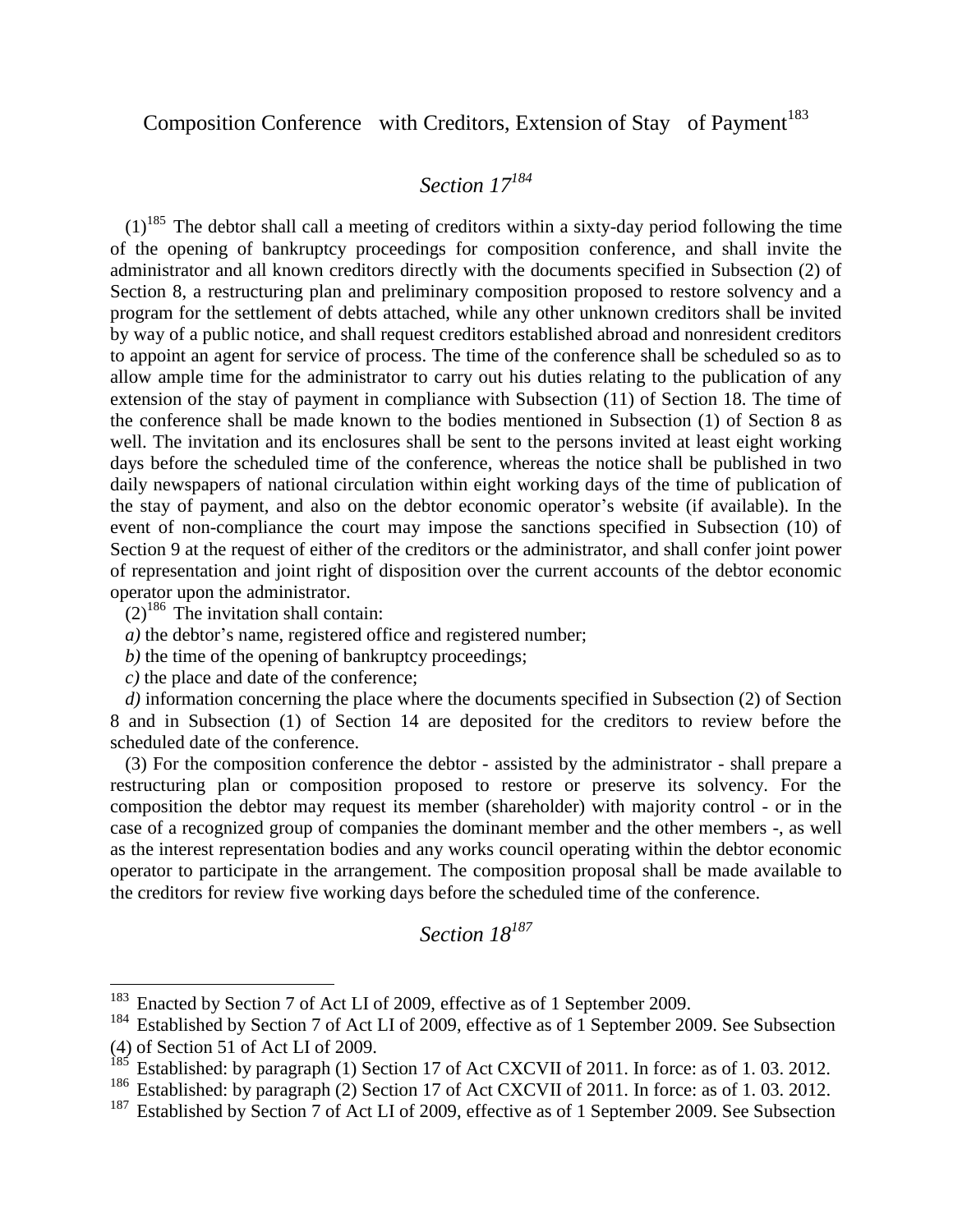### Composition Conference with Creditors, Extension of Stay of Payment<sup>183</sup>

### *Section 17<sup>184</sup>*

 $(1)^{185}$  The debtor shall call a meeting of creditors within a sixty-day period following the time of the opening of bankruptcy proceedings for composition conference, and shall invite the administrator and all known creditors directly with the documents specified in Subsection (2) of Section 8, a restructuring plan and preliminary composition proposed to restore solvency and a program for the settlement of debts attached, while any other unknown creditors shall be invited by way of a public notice, and shall request creditors established abroad and nonresident creditors to appoint an agent for service of process. The time of the conference shall be scheduled so as to allow ample time for the administrator to carry out his duties relating to the publication of any extension of the stay of payment in compliance with Subsection (11) of Section 18. The time of the conference shall be made known to the bodies mentioned in Subsection (1) of Section 8 as well. The invitation and its enclosures shall be sent to the persons invited at least eight working days before the scheduled time of the conference, whereas the notice shall be published in two daily newspapers of national circulation within eight working days of the time of publication of the stay of payment, and also on the debtor economic operator's website (if available). In the event of non-compliance the court may impose the sanctions specified in Subsection (10) of Section 9 at the request of either of the creditors or the administrator, and shall confer joint power of representation and joint right of disposition over the current accounts of the debtor economic operator upon the administrator.

 $(2)^{186}$  The invitation shall contain:

 $\overline{a}$ 

- *a)* the debtor's name, registered office and registered number;
- *b)* the time of the opening of bankruptcy proceedings;
- *c)* the place and date of the conference;

*d)* information concerning the place where the documents specified in Subsection (2) of Section 8 and in Subsection (1) of Section 14 are deposited for the creditors to review before the scheduled date of the conference.

(3) For the composition conference the debtor - assisted by the administrator - shall prepare a restructuring plan or composition proposed to restore or preserve its solvency. For the composition the debtor may request its member (shareholder) with majority control - or in the case of a recognized group of companies the dominant member and the other members -, as well as the interest representation bodies and any works council operating within the debtor economic operator to participate in the arrangement. The composition proposal shall be made available to the creditors for review five working days before the scheduled time of the conference.

# *Section 18<sup>187</sup>*

<sup>&</sup>lt;sup>183</sup> Enacted by Section 7 of Act LI of 2009, effective as of 1 September 2009.

<sup>&</sup>lt;sup>184</sup> Established by Section 7 of Act LI of 2009, effective as of 1 September 2009. See Subsection (4) of Section 51 of Act LI of 2009.

 $185$  Established: by paragraph (1) Section 17 of Act CXCVII of 2011. In force: as of 1.03. 2012.

<sup>&</sup>lt;sup>186</sup> Established: by paragraph (2) Section 17 of Act CXCVII of 2011. In force: as of 1.03. 2012.

<sup>&</sup>lt;sup>187</sup> Established by Section 7 of Act LI of 2009, effective as of 1 September 2009. See Subsection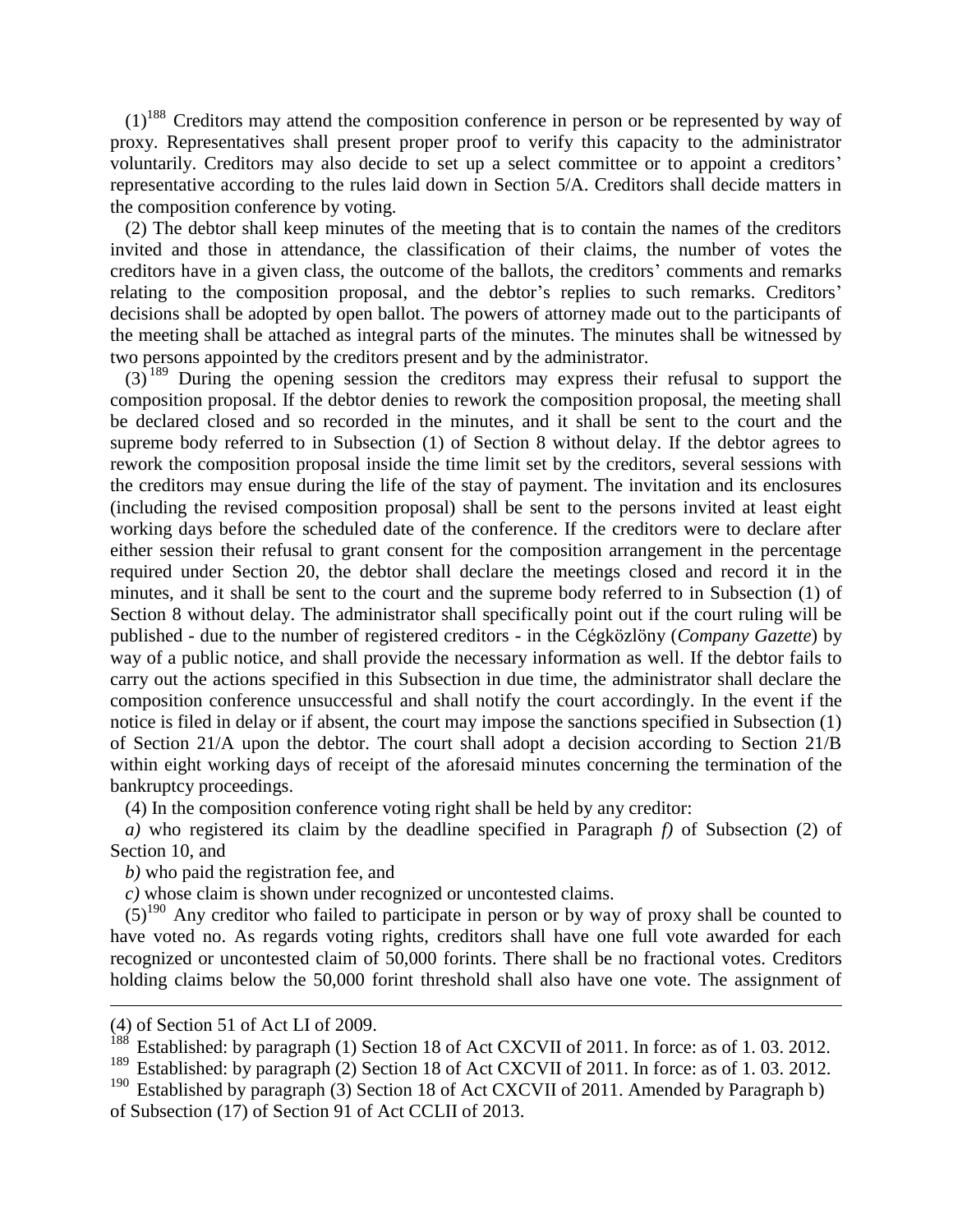$(1)^{188}$  Creditors may attend the composition conference in person or be represented by way of proxy. Representatives shall present proper proof to verify this capacity to the administrator voluntarily. Creditors may also decide to set up a select committee or to appoint a creditors' representative according to the rules laid down in Section 5/A. Creditors shall decide matters in the composition conference by voting.

(2) The debtor shall keep minutes of the meeting that is to contain the names of the creditors invited and those in attendance, the classification of their claims, the number of votes the creditors have in a given class, the outcome of the ballots, the creditors' comments and remarks relating to the composition proposal, and the debtor's replies to such remarks. Creditors' decisions shall be adopted by open ballot. The powers of attorney made out to the participants of the meeting shall be attached as integral parts of the minutes. The minutes shall be witnessed by two persons appointed by the creditors present and by the administrator.

(3) <sup>189</sup> During the opening session the creditors may express their refusal to support the composition proposal. If the debtor denies to rework the composition proposal, the meeting shall be declared closed and so recorded in the minutes, and it shall be sent to the court and the supreme body referred to in Subsection (1) of Section 8 without delay. If the debtor agrees to rework the composition proposal inside the time limit set by the creditors, several sessions with the creditors may ensue during the life of the stay of payment. The invitation and its enclosures (including the revised composition proposal) shall be sent to the persons invited at least eight working days before the scheduled date of the conference. If the creditors were to declare after either session their refusal to grant consent for the composition arrangement in the percentage required under Section 20, the debtor shall declare the meetings closed and record it in the minutes, and it shall be sent to the court and the supreme body referred to in Subsection (1) of Section 8 without delay. The administrator shall specifically point out if the court ruling will be published - due to the number of registered creditors - in the Cégközlöny (*Company Gazette*) by way of a public notice, and shall provide the necessary information as well. If the debtor fails to carry out the actions specified in this Subsection in due time, the administrator shall declare the composition conference unsuccessful and shall notify the court accordingly. In the event if the notice is filed in delay or if absent, the court may impose the sanctions specified in Subsection (1) of Section 21/A upon the debtor. The court shall adopt a decision according to Section 21/B within eight working days of receipt of the aforesaid minutes concerning the termination of the bankruptcy proceedings.

(4) In the composition conference voting right shall be held by any creditor:

*a)* who registered its claim by the deadline specified in Paragraph *f)* of Subsection (2) of Section 10, and

*b)* who paid the registration fee, and

*c)* whose claim is shown under recognized or uncontested claims.

 $(5)^{190}$  Any creditor who failed to participate in person or by way of proxy shall be counted to have voted no. As regards voting rights, creditors shall have one full vote awarded for each recognized or uncontested claim of 50,000 forints. There shall be no fractional votes. Creditors holding claims below the 50,000 forint threshold shall also have one vote. The assignment of

1

<sup>(4)</sup> of Section 51 of Act LI of 2009.<br> $188$  Established: by parameter (1) Sec

Established: by paragraph (1) Section 18 of Act CXCVII of 2011. In force: as of 1.03. 2012.

<sup>&</sup>lt;sup>189</sup> Established: by paragraph (2) Section 18 of Act CXCVII of 2011. In force: as of 1.03. 2012.

<sup>&</sup>lt;sup>190</sup> Established by paragraph (3) Section 18 of Act CXCVII of 2011. Amended by Paragraph b) of Subsection (17) of Section 91 of Act CCLII of 2013.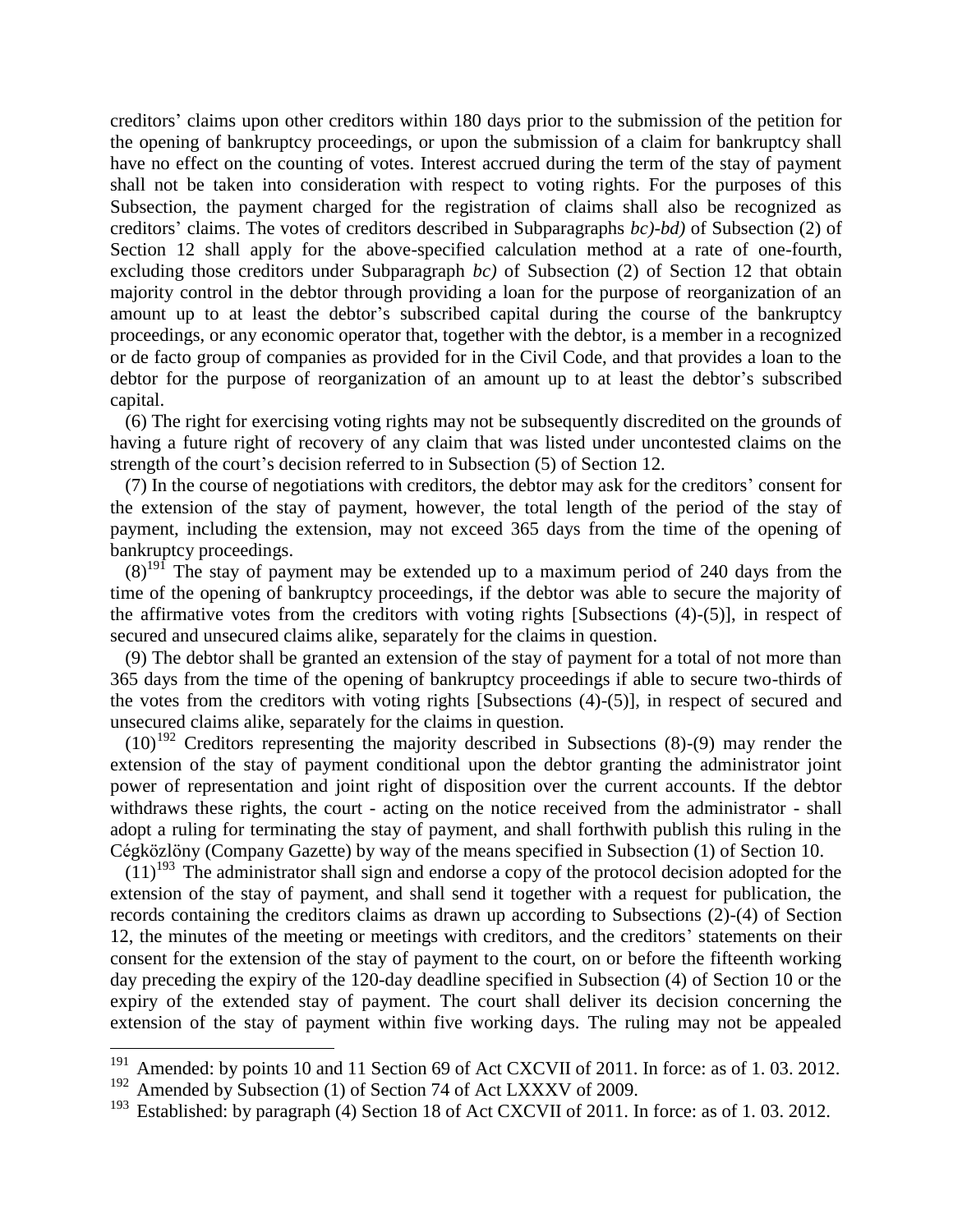creditors' claims upon other creditors within 180 days prior to the submission of the petition for the opening of bankruptcy proceedings, or upon the submission of a claim for bankruptcy shall have no effect on the counting of votes. Interest accrued during the term of the stay of payment shall not be taken into consideration with respect to voting rights. For the purposes of this Subsection, the payment charged for the registration of claims shall also be recognized as creditors' claims. The votes of creditors described in Subparagraphs *bc)-bd)* of Subsection (2) of Section 12 shall apply for the above-specified calculation method at a rate of one-fourth, excluding those creditors under Subparagraph *bc)* of Subsection (2) of Section 12 that obtain majority control in the debtor through providing a loan for the purpose of reorganization of an amount up to at least the debtor's subscribed capital during the course of the bankruptcy proceedings, or any economic operator that, together with the debtor, is a member in a recognized or de facto group of companies as provided for in the Civil Code, and that provides a loan to the debtor for the purpose of reorganization of an amount up to at least the debtor's subscribed capital.

(6) The right for exercising voting rights may not be subsequently discredited on the grounds of having a future right of recovery of any claim that was listed under uncontested claims on the strength of the court's decision referred to in Subsection (5) of Section 12.

(7) In the course of negotiations with creditors, the debtor may ask for the creditors' consent for the extension of the stay of payment, however, the total length of the period of the stay of payment, including the extension, may not exceed 365 days from the time of the opening of bankruptcy proceedings.

 $(8)^{191}$  The stay of payment may be extended up to a maximum period of 240 days from the time of the opening of bankruptcy proceedings, if the debtor was able to secure the majority of the affirmative votes from the creditors with voting rights  $\lceil \text{Subsections (4)-(5)} \rceil$ , in respect of secured and unsecured claims alike, separately for the claims in question.

(9) The debtor shall be granted an extension of the stay of payment for a total of not more than 365 days from the time of the opening of bankruptcy proceedings if able to secure two-thirds of the votes from the creditors with voting rights [Subsections (4)-(5)], in respect of secured and unsecured claims alike, separately for the claims in question.

 $(10)^{192}$  Creditors representing the majority described in Subsections (8)-(9) may render the extension of the stay of payment conditional upon the debtor granting the administrator joint power of representation and joint right of disposition over the current accounts. If the debtor withdraws these rights, the court - acting on the notice received from the administrator - shall adopt a ruling for terminating the stay of payment, and shall forthwith publish this ruling in the Cégközlöny (Company Gazette) by way of the means specified in Subsection (1) of Section 10.

 $(11)^{193}$  The administrator shall sign and endorse a copy of the protocol decision adopted for the extension of the stay of payment, and shall send it together with a request for publication, the records containing the creditors claims as drawn up according to Subsections (2)-(4) of Section 12, the minutes of the meeting or meetings with creditors, and the creditors' statements on their consent for the extension of the stay of payment to the court, on or before the fifteenth working day preceding the expiry of the 120-day deadline specified in Subsection (4) of Section 10 or the expiry of the extended stay of payment. The court shall deliver its decision concerning the extension of the stay of payment within five working days. The ruling may not be appealed

<sup>&</sup>lt;sup>191</sup> Amended: by points 10 and 11 Section 69 of Act CXCVII of 2011. In force: as of 1.03. 2012.

 $192$  Amended by Subsection (1) of Section 74 of Act LXXXV of 2009.

<sup>&</sup>lt;sup>193</sup> Established: by paragraph (4) Section 18 of Act CXCVII of 2011. In force: as of 1.03. 2012.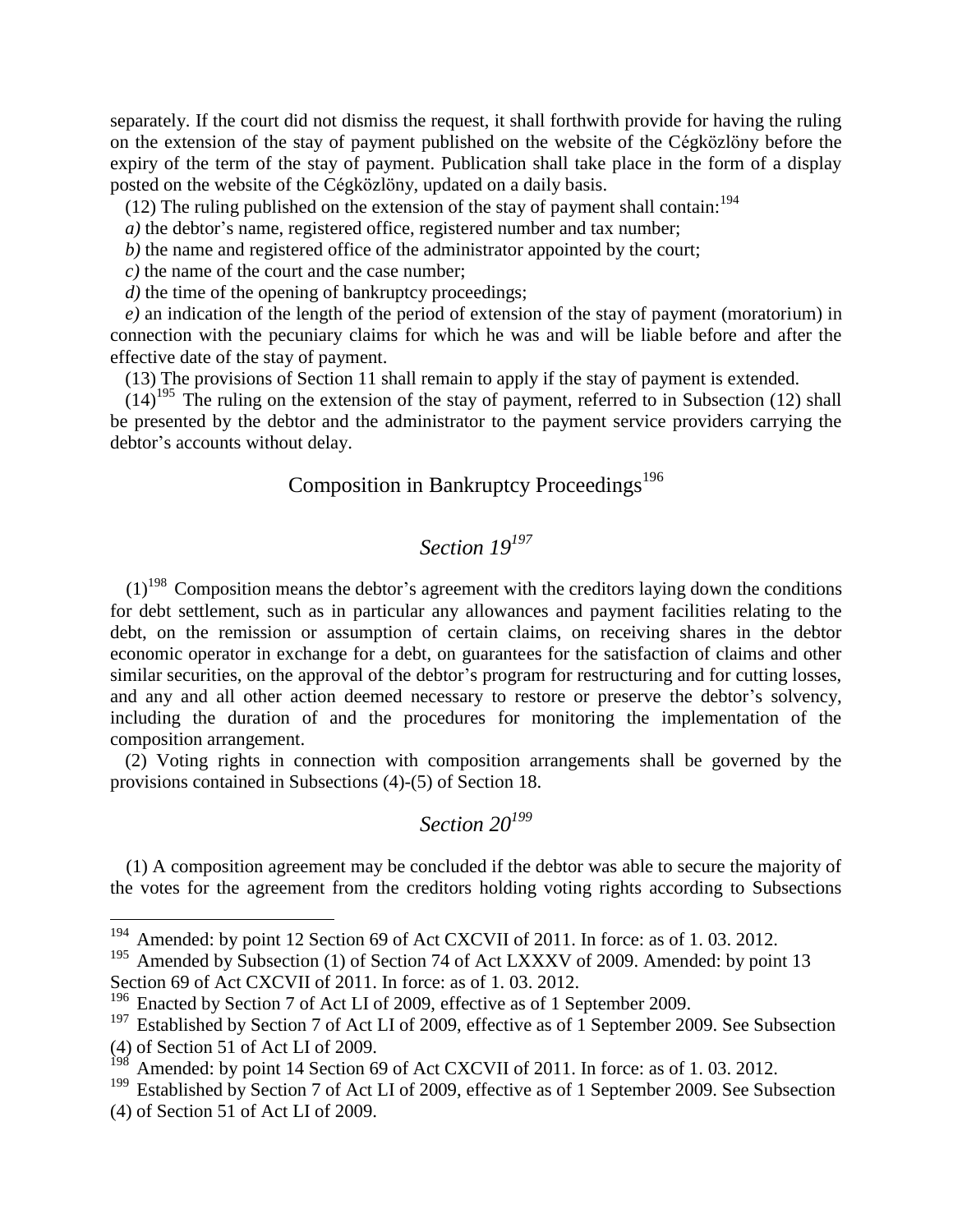separately. If the court did not dismiss the request, it shall forthwith provide for having the ruling on the extension of the stay of payment published on the website of the Cégközlöny before the expiry of the term of the stay of payment. Publication shall take place in the form of a display posted on the website of the Cégközlöny, updated on a daily basis.

(12) The ruling published on the extension of the stay of payment shall contain:<sup>194</sup>

*a*) the debtor's name, registered office, registered number and tax number;

*b)* the name and registered office of the administrator appointed by the court;

*c)* the name of the court and the case number;

*d*) the time of the opening of bankruptcy proceedings;

*e)* an indication of the length of the period of extension of the stay of payment (moratorium) in connection with the pecuniary claims for which he was and will be liable before and after the effective date of the stay of payment.

(13) The provisions of Section 11 shall remain to apply if the stay of payment is extended.

 $(14)^{195}$  The ruling on the extension of the stay of payment, referred to in Subsection (12) shall be presented by the debtor and the administrator to the payment service providers carrying the debtor's accounts without delay.

### Composition in Bankruptcy Proceedings<sup>196</sup>

### *Section 19<sup>197</sup>*

 $(1)^{198}$  Composition means the debtor's agreement with the creditors laying down the conditions for debt settlement, such as in particular any allowances and payment facilities relating to the debt, on the remission or assumption of certain claims, on receiving shares in the debtor economic operator in exchange for a debt, on guarantees for the satisfaction of claims and other similar securities, on the approval of the debtor's program for restructuring and for cutting losses, and any and all other action deemed necessary to restore or preserve the debtor's solvency, including the duration of and the procedures for monitoring the implementation of the composition arrangement.

(2) Voting rights in connection with composition arrangements shall be governed by the provisions contained in Subsections (4)-(5) of Section 18.

### *Section 20<sup>199</sup>*

(1) A composition agreement may be concluded if the debtor was able to secure the majority of the votes for the agreement from the creditors holding voting rights according to Subsections

<sup>&</sup>lt;sup>194</sup> Amended: by point 12 Section 69 of Act CXCVII of 2011. In force: as of 1.03. 2012.

<sup>&</sup>lt;sup>195</sup> Amended by Subsection (1) of Section 74 of Act LXXXV of 2009. Amended: by point 13 Section 69 of Act CXCVII of 2011. In force: as of 1. 03. 2012.

<sup>&</sup>lt;sup>196</sup> Enacted by Section 7 of Act LI of 2009, effective as of 1 September 2009.

 $197$  Established by Section 7 of Act LI of 2009, effective as of 1 September 2009. See Subsection (4) of Section 51 of Act LI of 2009.

 $198$  Amended: by point 14 Section 69 of Act CXCVII of 2011. In force: as of 1.03. 2012.

<sup>&</sup>lt;sup>199</sup> Established by Section 7 of Act LI of 2009, effective as of 1 September 2009. See Subsection (4) of Section 51 of Act LI of 2009.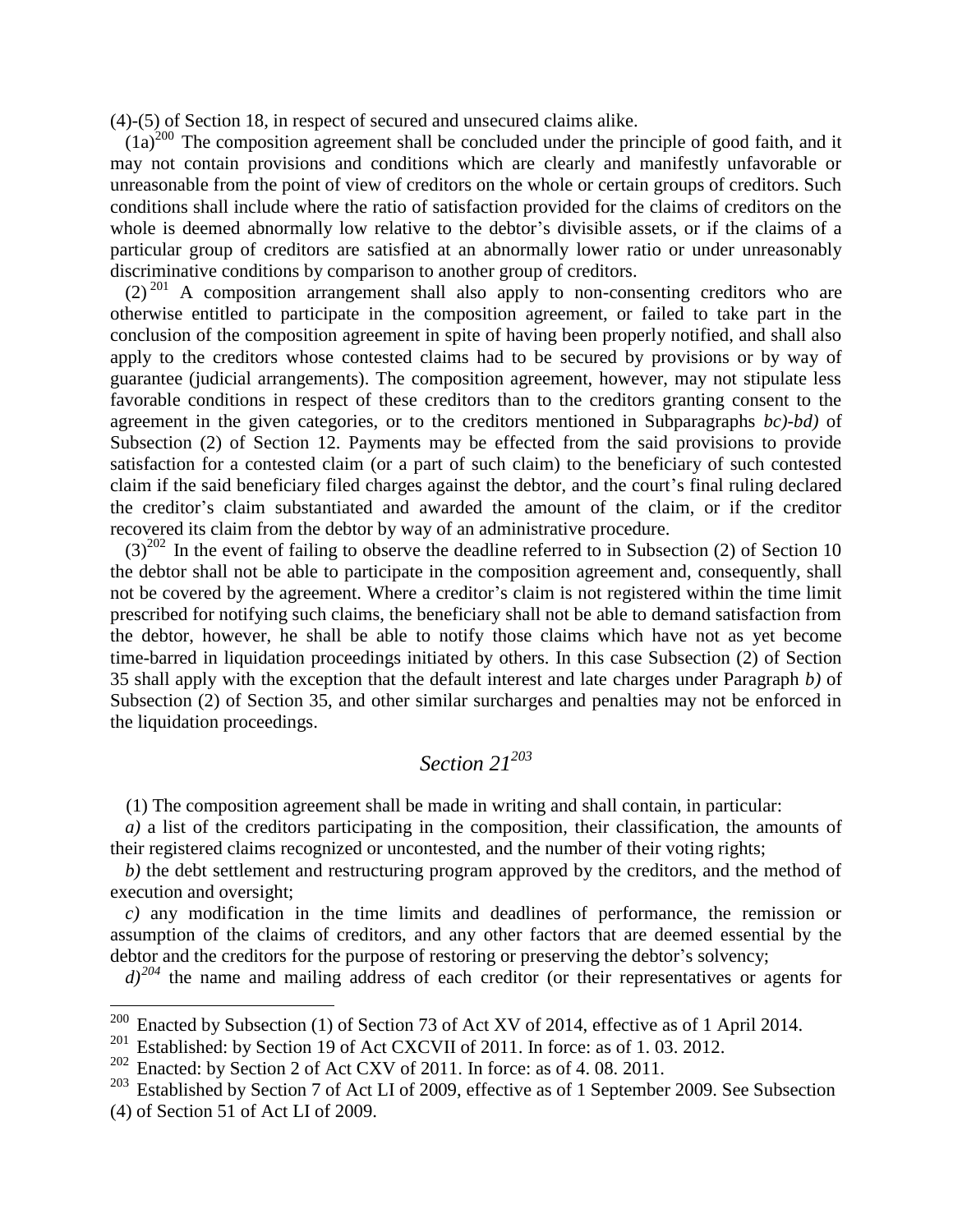(4)-(5) of Section 18, in respect of secured and unsecured claims alike.

 $(1a)^{200}$  The composition agreement shall be concluded under the principle of good faith, and it may not contain provisions and conditions which are clearly and manifestly unfavorable or unreasonable from the point of view of creditors on the whole or certain groups of creditors. Such conditions shall include where the ratio of satisfaction provided for the claims of creditors on the whole is deemed abnormally low relative to the debtor's divisible assets, or if the claims of a particular group of creditors are satisfied at an abnormally lower ratio or under unreasonably discriminative conditions by comparison to another group of creditors.

 $(2)^{201}$  A composition arrangement shall also apply to non-consenting creditors who are otherwise entitled to participate in the composition agreement, or failed to take part in the conclusion of the composition agreement in spite of having been properly notified, and shall also apply to the creditors whose contested claims had to be secured by provisions or by way of guarantee (judicial arrangements). The composition agreement, however, may not stipulate less favorable conditions in respect of these creditors than to the creditors granting consent to the agreement in the given categories, or to the creditors mentioned in Subparagraphs *bc)-bd)* of Subsection (2) of Section 12. Payments may be effected from the said provisions to provide satisfaction for a contested claim (or a part of such claim) to the beneficiary of such contested claim if the said beneficiary filed charges against the debtor, and the court's final ruling declared the creditor's claim substantiated and awarded the amount of the claim, or if the creditor recovered its claim from the debtor by way of an administrative procedure.

 $(3)^{202}$  In the event of failing to observe the deadline referred to in Subsection (2) of Section 10 the debtor shall not be able to participate in the composition agreement and, consequently, shall not be covered by the agreement. Where a creditor's claim is not registered within the time limit prescribed for notifying such claims, the beneficiary shall not be able to demand satisfaction from the debtor, however, he shall be able to notify those claims which have not as yet become time-barred in liquidation proceedings initiated by others. In this case Subsection (2) of Section 35 shall apply with the exception that the default interest and late charges under Paragraph *b)* of Subsection (2) of Section 35, and other similar surcharges and penalties may not be enforced in the liquidation proceedings.

# *Section 21<sup>203</sup>*

(1) The composition agreement shall be made in writing and shall contain, in particular:

*a)* a list of the creditors participating in the composition, their classification, the amounts of their registered claims recognized or uncontested, and the number of their voting rights;

*b)* the debt settlement and restructuring program approved by the creditors, and the method of execution and oversight;

*c)* any modification in the time limits and deadlines of performance, the remission or assumption of the claims of creditors, and any other factors that are deemed essential by the debtor and the creditors for the purpose of restoring or preserving the debtor's solvency;

 $d^{204}$  the name and mailing address of each creditor (or their representatives or agents for

<sup>&</sup>lt;sup>200</sup> Enacted by Subsection (1) of Section 73 of Act XV of 2014, effective as of 1 April 2014.

 $201$  Established: by Section 19 of Act CXCVII of 2011. In force: as of 1.03. 2012.

 $202$  Enacted: by Section 2 of Act CXV of 2011. In force: as of 4.08.2011.

<sup>&</sup>lt;sup>203</sup> Established by Section 7 of Act LI of 2009, effective as of 1 September 2009. See Subsection (4) of Section 51 of Act LI of 2009.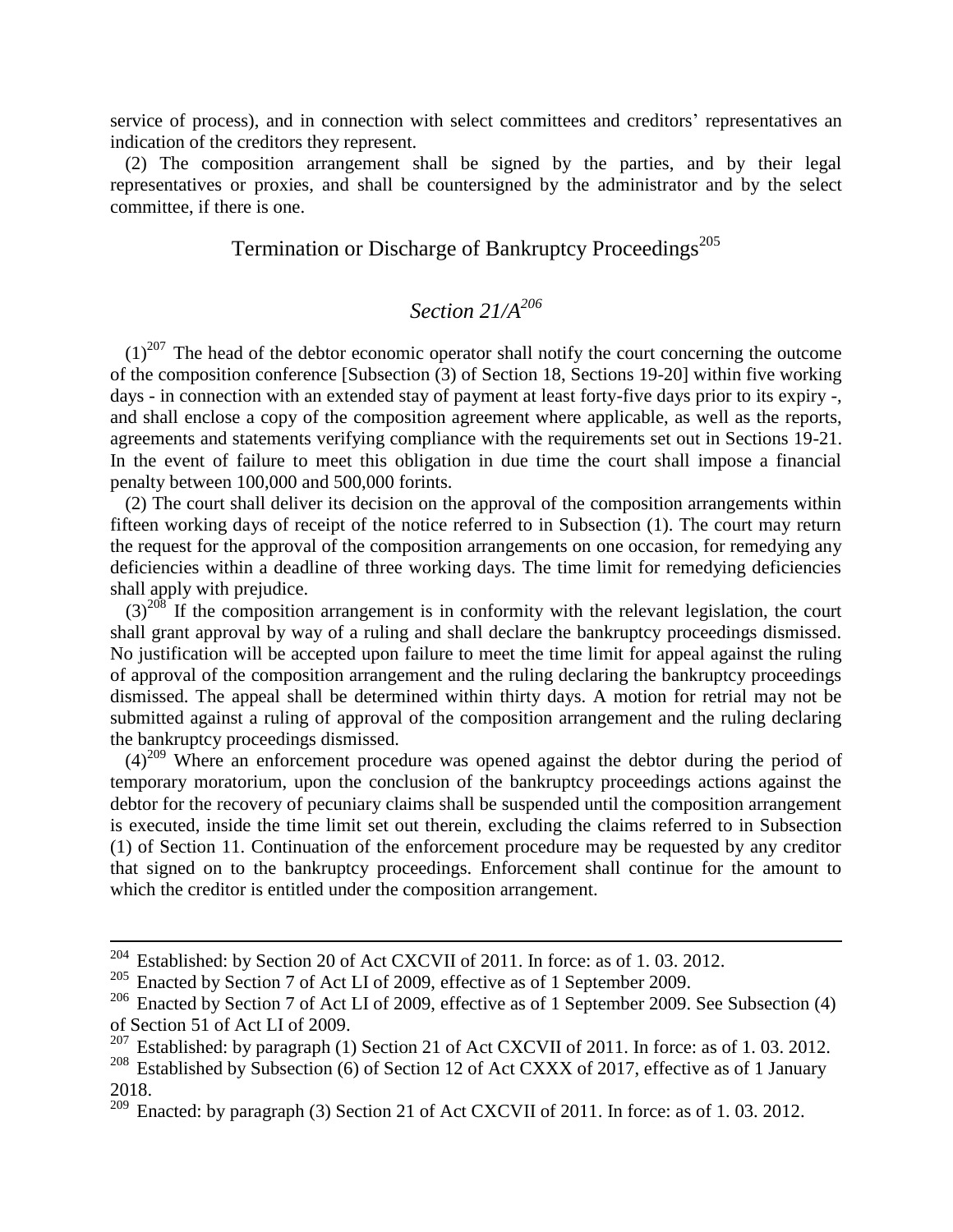service of process), and in connection with select committees and creditors' representatives an indication of the creditors they represent.

(2) The composition arrangement shall be signed by the parties, and by their legal representatives or proxies, and shall be countersigned by the administrator and by the select committee, if there is one.

### Termination or Discharge of Bankruptcy Proceedings<sup>205</sup>

# *Section 21/A<sup>206</sup>*

 $(1)^{207}$  The head of the debtor economic operator shall notify the court concerning the outcome of the composition conference [Subsection (3) of Section 18, Sections 19-20] within five working days - in connection with an extended stay of payment at least forty-five days prior to its expiry -, and shall enclose a copy of the composition agreement where applicable, as well as the reports, agreements and statements verifying compliance with the requirements set out in Sections 19-21. In the event of failure to meet this obligation in due time the court shall impose a financial penalty between 100,000 and 500,000 forints.

(2) The court shall deliver its decision on the approval of the composition arrangements within fifteen working days of receipt of the notice referred to in Subsection (1). The court may return the request for the approval of the composition arrangements on one occasion, for remedying any deficiencies within a deadline of three working days. The time limit for remedying deficiencies shall apply with prejudice.

 $(3)^{208}$  If the composition arrangement is in conformity with the relevant legislation, the court shall grant approval by way of a ruling and shall declare the bankruptcy proceedings dismissed. No justification will be accepted upon failure to meet the time limit for appeal against the ruling of approval of the composition arrangement and the ruling declaring the bankruptcy proceedings dismissed. The appeal shall be determined within thirty days. A motion for retrial may not be submitted against a ruling of approval of the composition arrangement and the ruling declaring the bankruptcy proceedings dismissed.

 $(4)^{209}$  Where an enforcement procedure was opened against the debtor during the period of temporary moratorium, upon the conclusion of the bankruptcy proceedings actions against the debtor for the recovery of pecuniary claims shall be suspended until the composition arrangement is executed, inside the time limit set out therein, excluding the claims referred to in Subsection (1) of Section 11. Continuation of the enforcement procedure may be requested by any creditor that signed on to the bankruptcy proceedings. Enforcement shall continue for the amount to which the creditor is entitled under the composition arrangement.

1

 $204$  Established: by Section 20 of Act CXCVII of 2011. In force: as of 1.03. 2012.

<sup>&</sup>lt;sup>205</sup> Enacted by Section 7 of Act LI of 2009, effective as of 1 September 2009.

<sup>&</sup>lt;sup>206</sup> Enacted by Section 7 of Act LI of 2009, effective as of 1 September 2009. See Subsection (4) of Section 51 of Act LI of 2009.<br> $^{207}$  Established: by paragraph (1)

Established: by paragraph (1) Section 21 of Act CXCVII of 2011. In force: as of 1.03. 2012.

<sup>&</sup>lt;sup>208</sup> Established by Subsection (6) of Section 12 of Act CXXX of 2017, effective as of 1 January 2018.

 $\frac{209}{209}$  Enacted: by paragraph (3) Section 21 of Act CXCVII of 2011. In force: as of 1.03. 2012.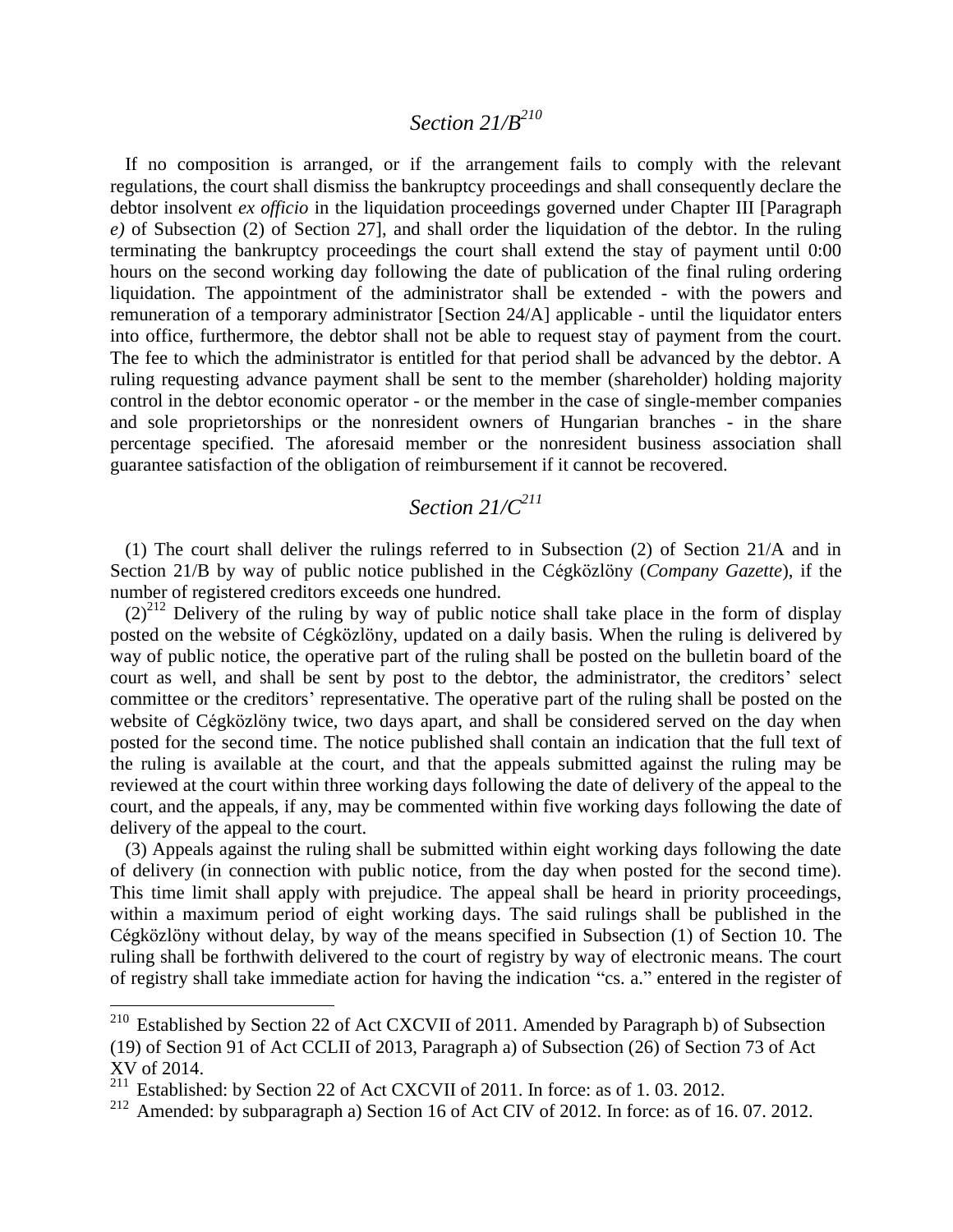# *Section 21/B<sup>210</sup>*

If no composition is arranged, or if the arrangement fails to comply with the relevant regulations, the court shall dismiss the bankruptcy proceedings and shall consequently declare the debtor insolvent *ex officio* in the liquidation proceedings governed under Chapter III [Paragraph *e)* of Subsection (2) of Section 27], and shall order the liquidation of the debtor. In the ruling terminating the bankruptcy proceedings the court shall extend the stay of payment until 0:00 hours on the second working day following the date of publication of the final ruling ordering liquidation. The appointment of the administrator shall be extended - with the powers and remuneration of a temporary administrator [Section 24/A] applicable - until the liquidator enters into office, furthermore, the debtor shall not be able to request stay of payment from the court. The fee to which the administrator is entitled for that period shall be advanced by the debtor. A ruling requesting advance payment shall be sent to the member (shareholder) holding majority control in the debtor economic operator - or the member in the case of single-member companies and sole proprietorships or the nonresident owners of Hungarian branches - in the share percentage specified. The aforesaid member or the nonresident business association shall guarantee satisfaction of the obligation of reimbursement if it cannot be recovered.

### *Section 21/C<sup>211</sup>*

(1) The court shall deliver the rulings referred to in Subsection (2) of Section 21/A and in Section 21/B by way of public notice published in the Cégközlöny (*Company Gazette*), if the number of registered creditors exceeds one hundred.

 $(2)^{212}$  Delivery of the ruling by way of public notice shall take place in the form of display posted on the website of Cégközlöny, updated on a daily basis. When the ruling is delivered by way of public notice, the operative part of the ruling shall be posted on the bulletin board of the court as well, and shall be sent by post to the debtor, the administrator, the creditors' select committee or the creditors' representative. The operative part of the ruling shall be posted on the website of Cégközlöny twice, two days apart, and shall be considered served on the day when posted for the second time. The notice published shall contain an indication that the full text of the ruling is available at the court, and that the appeals submitted against the ruling may be reviewed at the court within three working days following the date of delivery of the appeal to the court, and the appeals, if any, may be commented within five working days following the date of delivery of the appeal to the court.

(3) Appeals against the ruling shall be submitted within eight working days following the date of delivery (in connection with public notice, from the day when posted for the second time). This time limit shall apply with prejudice. The appeal shall be heard in priority proceedings, within a maximum period of eight working days. The said rulings shall be published in the Cégközlöny without delay, by way of the means specified in Subsection (1) of Section 10. The ruling shall be forthwith delivered to the court of registry by way of electronic means. The court of registry shall take immediate action for having the indication "cs. a." entered in the register of

<sup>&</sup>lt;sup>210</sup> Established by Section 22 of Act CXCVII of 2011. Amended by Paragraph b) of Subsection (19) of Section 91 of Act CCLII of 2013, Paragraph a) of Subsection (26) of Section 73 of Act XV of 2014.

<sup>211</sup> Established: by Section 22 of Act CXCVII of 2011. In force: as of 1. 03. 2012.

<sup>&</sup>lt;sup>212</sup> Amended: by subparagraph a) Section 16 of Act CIV of 2012. In force: as of 16.07. 2012.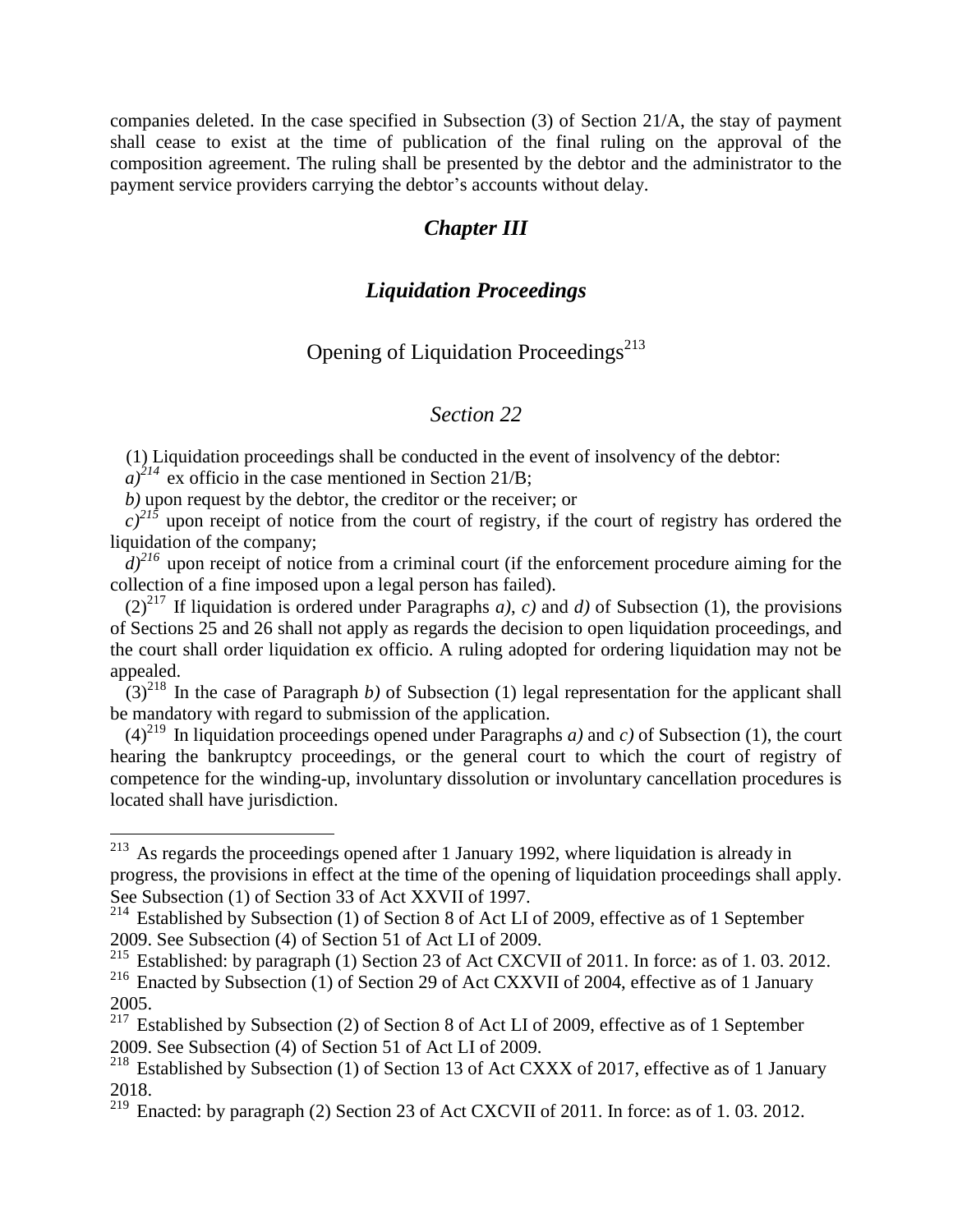companies deleted. In the case specified in Subsection (3) of Section 21/A, the stay of payment shall cease to exist at the time of publication of the final ruling on the approval of the composition agreement. The ruling shall be presented by the debtor and the administrator to the payment service providers carrying the debtor's accounts without delay.

### *Chapter III*

#### *Liquidation Proceedings*

### Opening of Liquidation Proceedings<sup> $213$ </sup>

### *Section 22*

(1) Liquidation proceedings shall be conducted in the event of insolvency of the debtor:

 $a)^{214}$  ex officio in the case mentioned in Section 21/B;

 $\overline{a}$ 

*b)* upon request by the debtor, the creditor or the receiver; or

 $c^{215}$  upon receipt of notice from the court of registry, if the court of registry has ordered the liquidation of the company;

 $d^{216}$  upon receipt of notice from a criminal court (if the enforcement procedure aiming for the collection of a fine imposed upon a legal person has failed).

 $(2)^{217}$  If liquidation is ordered under Paragraphs *a*), *c*) and *d*) of Subsection (1), the provisions of Sections 25 and 26 shall not apply as regards the decision to open liquidation proceedings, and the court shall order liquidation ex officio. A ruling adopted for ordering liquidation may not be appealed.

 $(3)^{218}$  In the case of Paragraph *b*) of Subsection (1) legal representation for the applicant shall be mandatory with regard to submission of the application.

 $(4)^{219}$  In liquidation proceedings opened under Paragraphs *a*) and *c*) of Subsection (1), the court hearing the bankruptcy proceedings, or the general court to which the court of registry of competence for the winding-up, involuntary dissolution or involuntary cancellation procedures is located shall have jurisdiction.

 $213$  As regards the proceedings opened after 1 January 1992, where liquidation is already in progress, the provisions in effect at the time of the opening of liquidation proceedings shall apply. See Subsection (1) of Section 33 of Act XXVII of 1997.

 $^{214}$  Established by Subsection (1) of Section 8 of Act LI of 2009, effective as of 1 September 2009. See Subsection (4) of Section 51 of Act LI of 2009.

<sup>&</sup>lt;sup>215</sup> Established: by paragraph (1) Section 23 of Act CXCVII of 2011. In force: as of 1.03. 2012. <sup>216</sup> Enacted by Subsection (1) of Section 29 of Act CXXVII of 2004, effective as of 1 January 2005.

 $217$  Established by Subsection (2) of Section 8 of Act LI of 2009, effective as of 1 September 2009. See Subsection (4) of Section 51 of Act LI of 2009.

<sup>&</sup>lt;sup>218</sup> Established by Subsection (1) of Section 13 of Act CXXX of 2017, effective as of 1 January 2018.

 $\frac{219}{219}$  Enacted: by paragraph (2) Section 23 of Act CXCVII of 2011. In force: as of 1.03. 2012.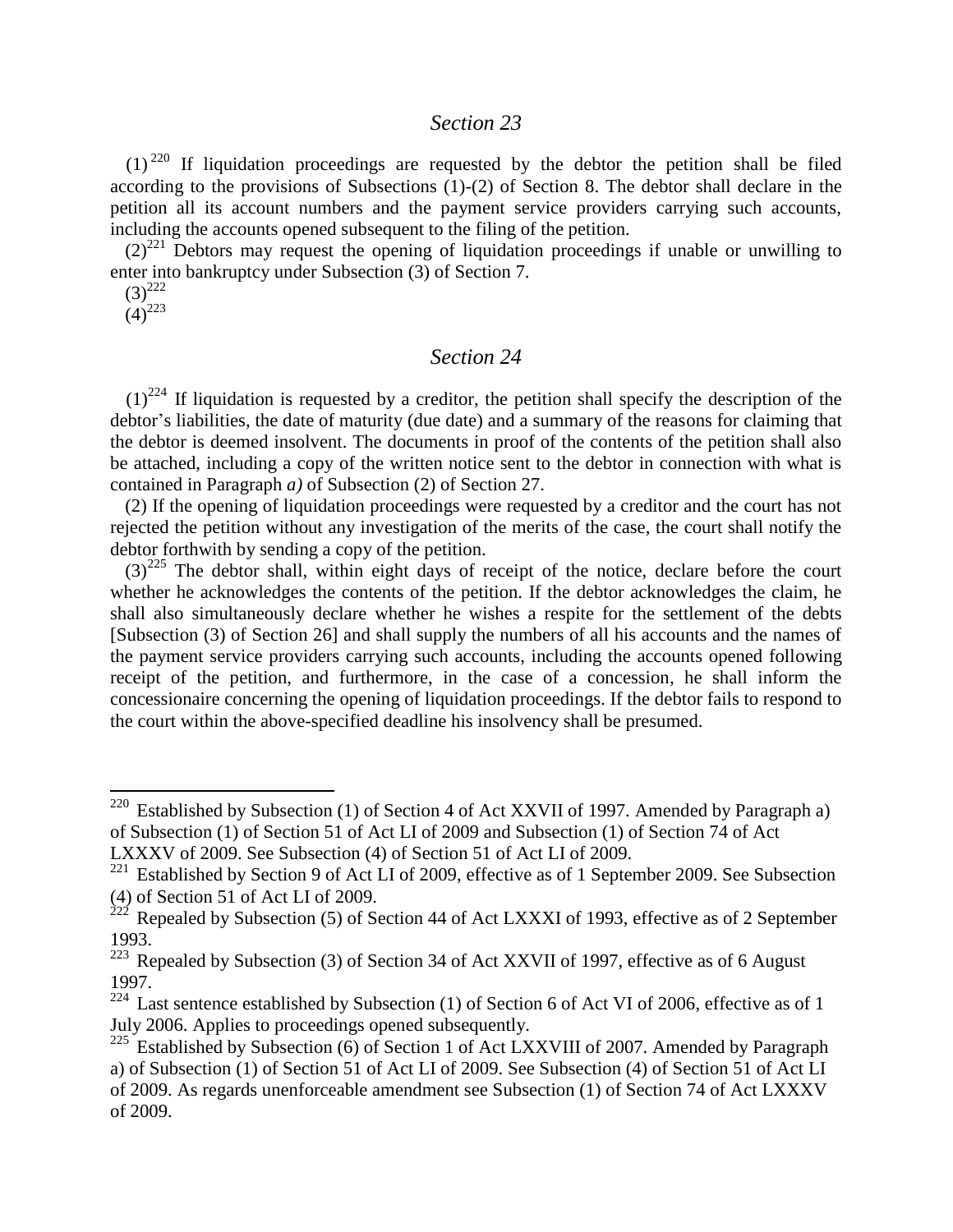#### *Section 23*

 $(1)^{220}$  If liquidation proceedings are requested by the debtor the petition shall be filed according to the provisions of Subsections (1)-(2) of Section 8. The debtor shall declare in the petition all its account numbers and the payment service providers carrying such accounts, including the accounts opened subsequent to the filing of the petition.

 $(2)^{221}$  Debtors may request the opening of liquidation proceedings if unable or unwilling to enter into bankruptcy under Subsection (3) of Section 7.

 $(3)^{222}$ 

 $(4)^{223}$ 

 $\overline{a}$ 

#### *Section 24*

 $(1)^{224}$  If liquidation is requested by a creditor, the petition shall specify the description of the debtor's liabilities, the date of maturity (due date) and a summary of the reasons for claiming that the debtor is deemed insolvent. The documents in proof of the contents of the petition shall also be attached, including a copy of the written notice sent to the debtor in connection with what is contained in Paragraph *a)* of Subsection (2) of Section 27.

(2) If the opening of liquidation proceedings were requested by a creditor and the court has not rejected the petition without any investigation of the merits of the case, the court shall notify the debtor forthwith by sending a copy of the petition.

 $(3)^{225}$  The debtor shall, within eight days of receipt of the notice, declare before the court whether he acknowledges the contents of the petition. If the debtor acknowledges the claim, he shall also simultaneously declare whether he wishes a respite for the settlement of the debts [Subsection (3) of Section 26] and shall supply the numbers of all his accounts and the names of the payment service providers carrying such accounts, including the accounts opened following receipt of the petition, and furthermore, in the case of a concession, he shall inform the concessionaire concerning the opening of liquidation proceedings. If the debtor fails to respond to the court within the above-specified deadline his insolvency shall be presumed.

<sup>&</sup>lt;sup>220</sup> Established by Subsection (1) of Section 4 of Act XXVII of 1997. Amended by Paragraph a) of Subsection (1) of Section 51 of Act LI of 2009 and Subsection (1) of Section 74 of Act

LXXXV of 2009. See Subsection (4) of Section 51 of Act LI of 2009.

<sup>&</sup>lt;sup>221</sup> Established by Section 9 of Act LI of 2009, effective as of 1 September 2009. See Subsection (4) of Section 51 of Act LI of 2009.

 $^{222}$  Repealed by Subsection (5) of Section 44 of Act LXXXI of 1993, effective as of 2 September 1993.

 $223$  Repealed by Subsection (3) of Section 34 of Act XXVII of 1997, effective as of 6 August 1997.

 $224$  Last sentence established by Subsection (1) of Section 6 of Act VI of 2006, effective as of 1 July 2006. Applies to proceedings opened subsequently.

 $225$  Established by Subsection (6) of Section 1 of Act LXXVIII of 2007. Amended by Paragraph a) of Subsection (1) of Section 51 of Act LI of 2009. See Subsection (4) of Section 51 of Act LI of 2009. As regards unenforceable amendment see Subsection (1) of Section 74 of Act LXXXV of 2009.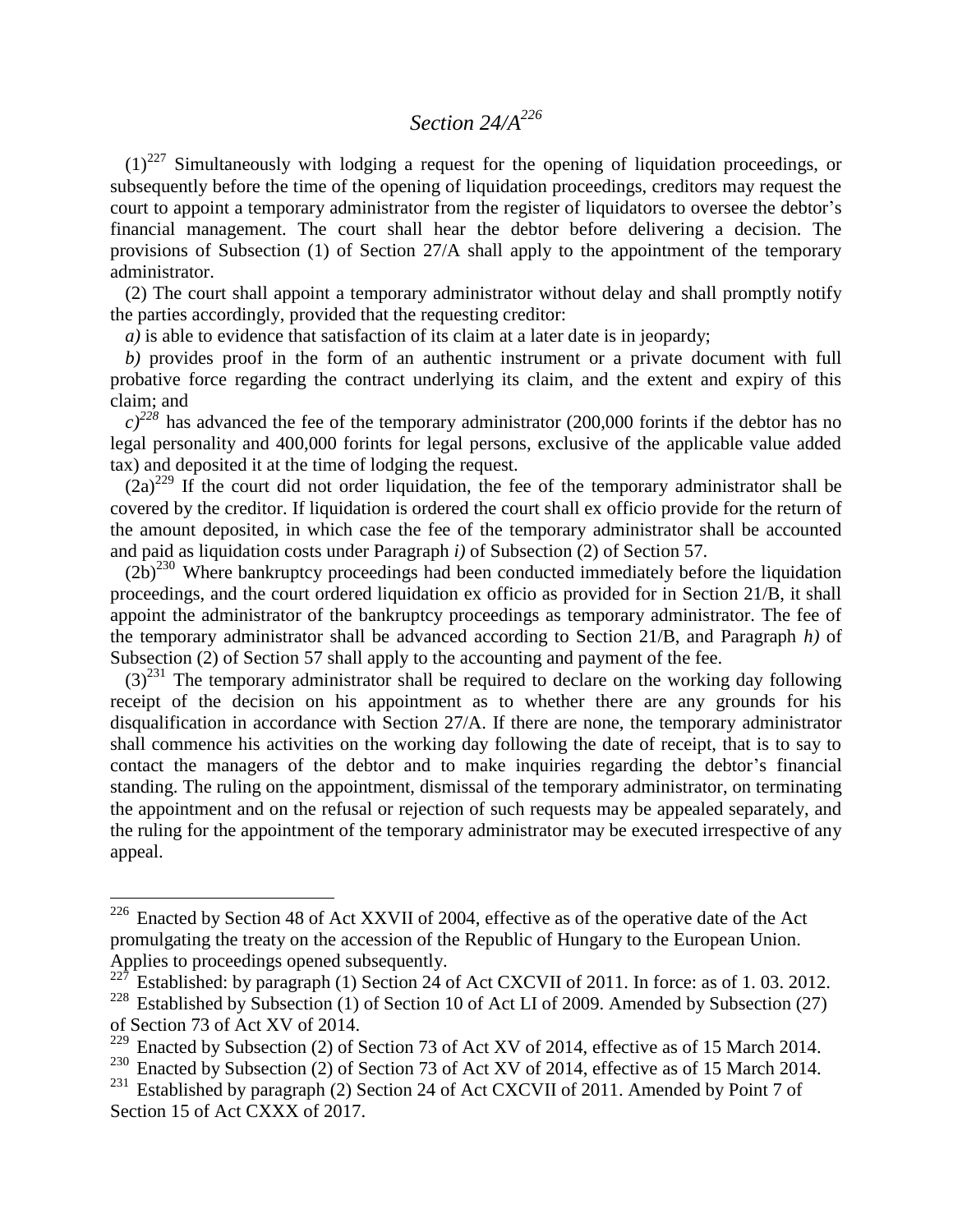### *Section 24/A<sup>226</sup>*

 $(1)^{227}$  Simultaneously with lodging a request for the opening of liquidation proceedings, or subsequently before the time of the opening of liquidation proceedings, creditors may request the court to appoint a temporary administrator from the register of liquidators to oversee the debtor's financial management. The court shall hear the debtor before delivering a decision. The provisions of Subsection (1) of Section 27/A shall apply to the appointment of the temporary administrator.

(2) The court shall appoint a temporary administrator without delay and shall promptly notify the parties accordingly, provided that the requesting creditor:

*a)* is able to evidence that satisfaction of its claim at a later date is in jeopardy;

*b)* provides proof in the form of an authentic instrument or a private document with full probative force regarding the contract underlying its claim, and the extent and expiry of this claim; and

 $c^{228}$  has advanced the fee of the temporary administrator (200,000 forints if the debtor has no legal personality and 400,000 forints for legal persons, exclusive of the applicable value added tax) and deposited it at the time of lodging the request.

 $(2a)^{229}$  If the court did not order liquidation, the fee of the temporary administrator shall be covered by the creditor. If liquidation is ordered the court shall ex officio provide for the return of the amount deposited, in which case the fee of the temporary administrator shall be accounted and paid as liquidation costs under Paragraph *i)* of Subsection (2) of Section 57.

 $(2b)^{230}$  Where bankruptcy proceedings had been conducted immediately before the liquidation proceedings, and the court ordered liquidation ex officio as provided for in Section 21/B, it shall appoint the administrator of the bankruptcy proceedings as temporary administrator. The fee of the temporary administrator shall be advanced according to Section 21/B, and Paragraph *h)* of Subsection (2) of Section 57 shall apply to the accounting and payment of the fee.

 $(3)^{231}$  The temporary administrator shall be required to declare on the working day following receipt of the decision on his appointment as to whether there are any grounds for his disqualification in accordance with Section 27/A. If there are none, the temporary administrator shall commence his activities on the working day following the date of receipt, that is to say to contact the managers of the debtor and to make inquiries regarding the debtor's financial standing. The ruling on the appointment, dismissal of the temporary administrator, on terminating the appointment and on the refusal or rejection of such requests may be appealed separately, and the ruling for the appointment of the temporary administrator may be executed irrespective of any appeal.

 $226$  Enacted by Section 48 of Act XXVII of 2004, effective as of the operative date of the Act promulgating the treaty on the accession of the Republic of Hungary to the European Union. Applies to proceedings opened subsequently.

Established: by paragraph (1) Section 24 of Act CXCVII of 2011. In force: as of 1.03. 2012.

<sup>&</sup>lt;sup>228</sup> Established by Subsection (1) of Section 10 of Act LI of 2009. Amended by Subsection (27) of Section 73 of Act XV of 2014.<br><sup>229</sup> Engeted by Subsection (2) of 5

Enacted by Subsection (2) of Section 73 of Act XV of 2014, effective as of 15 March 2014.

<sup>&</sup>lt;sup>230</sup> Enacted by Subsection (2) of Section 73 of Act XV of 2014, effective as of 15 March 2014.

<sup>&</sup>lt;sup>231</sup> Established by paragraph (2) Section 24 of Act CXCVII of 2011. Amended by Point 7 of Section 15 of Act CXXX of 2017.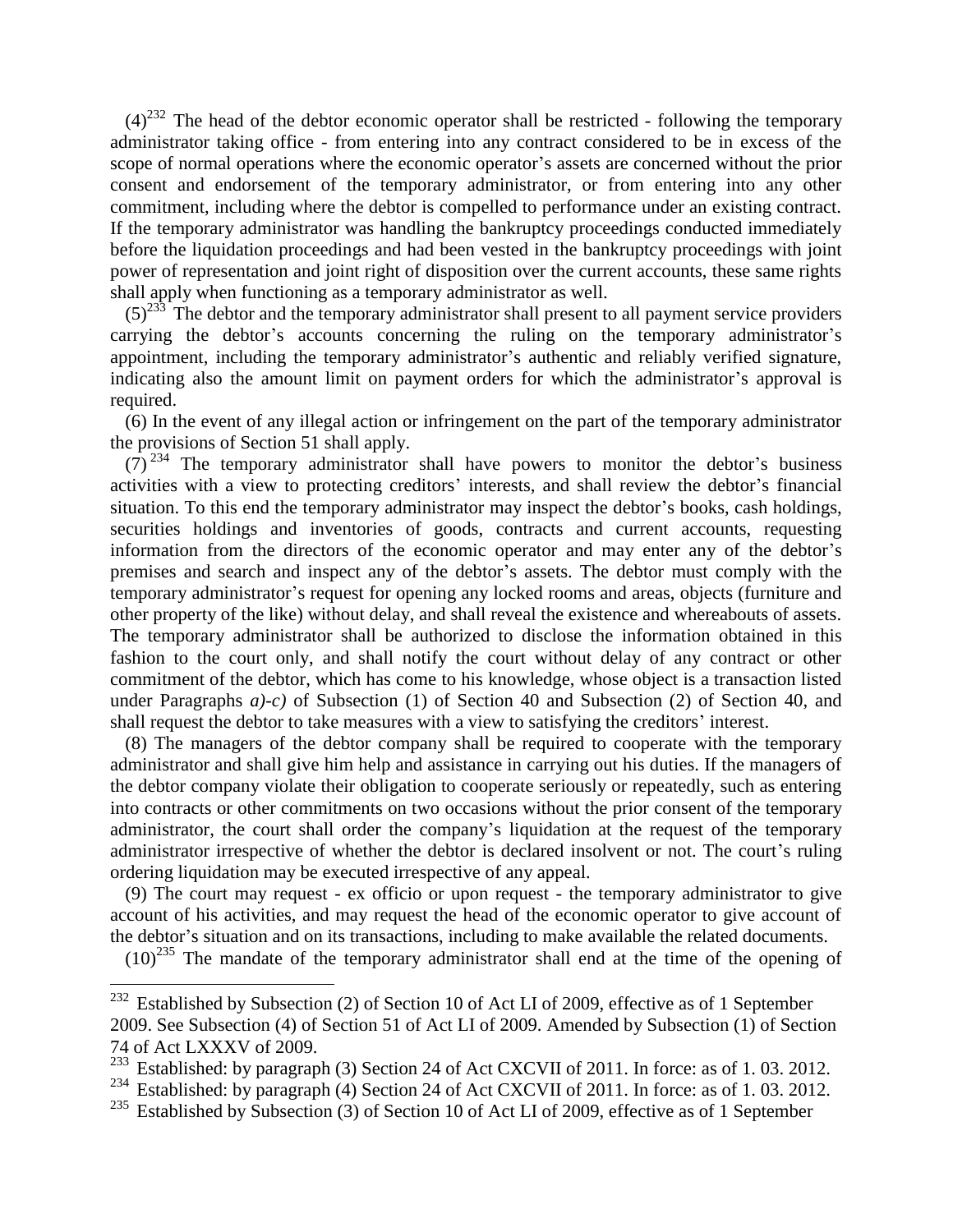$(4)^{232}$  The head of the debtor economic operator shall be restricted - following the temporary administrator taking office - from entering into any contract considered to be in excess of the scope of normal operations where the economic operator's assets are concerned without the prior consent and endorsement of the temporary administrator, or from entering into any other commitment, including where the debtor is compelled to performance under an existing contract. If the temporary administrator was handling the bankruptcy proceedings conducted immediately before the liquidation proceedings and had been vested in the bankruptcy proceedings with joint power of representation and joint right of disposition over the current accounts, these same rights shall apply when functioning as a temporary administrator as well.

 $(5)^{233}$ . The debtor and the temporary administrator shall present to all payment service providers carrying the debtor's accounts concerning the ruling on the temporary administrator's appointment, including the temporary administrator's authentic and reliably verified signature, indicating also the amount limit on payment orders for which the administrator's approval is required.

(6) In the event of any illegal action or infringement on the part of the temporary administrator the provisions of Section 51 shall apply.

 $(7)^{234}$  The temporary administrator shall have powers to monitor the debtor's business activities with a view to protecting creditors' interests, and shall review the debtor's financial situation. To this end the temporary administrator may inspect the debtor's books, cash holdings, securities holdings and inventories of goods, contracts and current accounts, requesting information from the directors of the economic operator and may enter any of the debtor's premises and search and inspect any of the debtor's assets. The debtor must comply with the temporary administrator's request for opening any locked rooms and areas, objects (furniture and other property of the like) without delay, and shall reveal the existence and whereabouts of assets. The temporary administrator shall be authorized to disclose the information obtained in this fashion to the court only, and shall notify the court without delay of any contract or other commitment of the debtor, which has come to his knowledge, whose object is a transaction listed under Paragraphs *a)-c)* of Subsection (1) of Section 40 and Subsection (2) of Section 40, and shall request the debtor to take measures with a view to satisfying the creditors' interest.

(8) The managers of the debtor company shall be required to cooperate with the temporary administrator and shall give him help and assistance in carrying out his duties. If the managers of the debtor company violate their obligation to cooperate seriously or repeatedly, such as entering into contracts or other commitments on two occasions without the prior consent of the temporary administrator, the court shall order the company's liquidation at the request of the temporary administrator irrespective of whether the debtor is declared insolvent or not. The court's ruling ordering liquidation may be executed irrespective of any appeal.

(9) The court may request - ex officio or upon request - the temporary administrator to give account of his activities, and may request the head of the economic operator to give account of the debtor's situation and on its transactions, including to make available the related documents.

 $(10)^{235}$  The mandate of the temporary administrator shall end at the time of the opening of

 $232$  Established by Subsection (2) of Section 10 of Act LI of 2009, effective as of 1 September 2009. See Subsection (4) of Section 51 of Act LI of 2009. Amended by Subsection (1) of Section 74 of Act LXXXV of 2009.

<sup>&</sup>lt;sup>233</sup> Established: by paragraph (3) Section 24 of Act CXCVII of 2011. In force: as of 1.03. 2012.

<sup>&</sup>lt;sup>234</sup> Established: by paragraph (4) Section 24 of Act CXCVII of 2011. In force: as of 1.03. 2012.

<sup>&</sup>lt;sup>235</sup> Established by Subsection (3) of Section 10 of Act LI of 2009, effective as of 1 September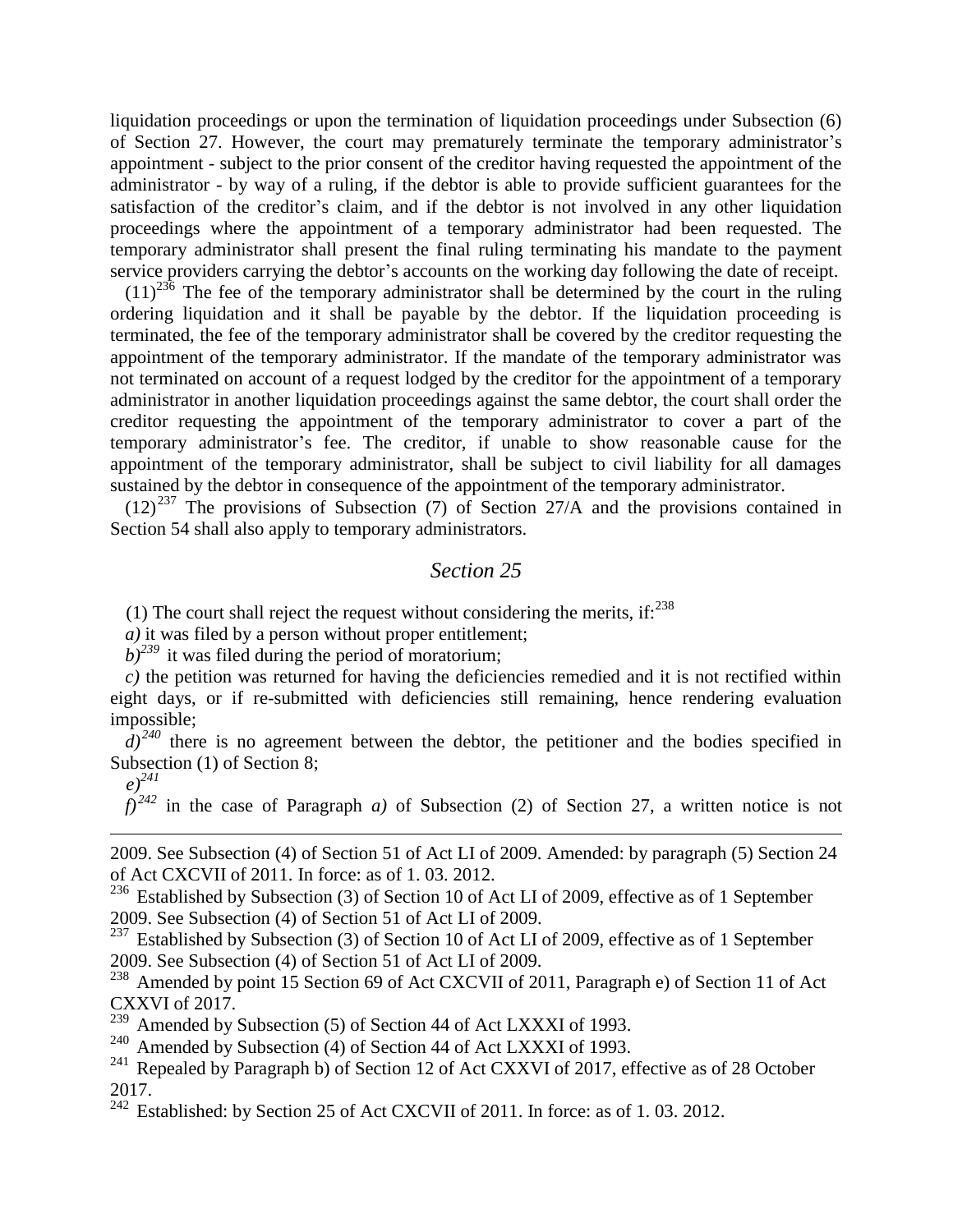liquidation proceedings or upon the termination of liquidation proceedings under Subsection (6) of Section 27. However, the court may prematurely terminate the temporary administrator's appointment - subject to the prior consent of the creditor having requested the appointment of the administrator - by way of a ruling, if the debtor is able to provide sufficient guarantees for the satisfaction of the creditor's claim, and if the debtor is not involved in any other liquidation proceedings where the appointment of a temporary administrator had been requested. The temporary administrator shall present the final ruling terminating his mandate to the payment service providers carrying the debtor's accounts on the working day following the date of receipt.

 $(11)^{236}$  The fee of the temporary administrator shall be determined by the court in the ruling ordering liquidation and it shall be payable by the debtor. If the liquidation proceeding is terminated, the fee of the temporary administrator shall be covered by the creditor requesting the appointment of the temporary administrator. If the mandate of the temporary administrator was not terminated on account of a request lodged by the creditor for the appointment of a temporary administrator in another liquidation proceedings against the same debtor, the court shall order the creditor requesting the appointment of the temporary administrator to cover a part of the temporary administrator's fee. The creditor, if unable to show reasonable cause for the appointment of the temporary administrator, shall be subject to civil liability for all damages sustained by the debtor in consequence of the appointment of the temporary administrator.

 $(12)^{237}$  The provisions of Subsection (7) of Section 27/A and the provisions contained in Section 54 shall also apply to temporary administrators.

#### *Section 25*

(1) The court shall reject the request without considering the merits, if: $238$ 

*a)* it was filed by a person without proper entitlement;

 $b$ <sup>239</sup> it was filed during the period of moratorium;

*c)* the petition was returned for having the deficiencies remedied and it is not rectified within eight days, or if re-submitted with deficiencies still remaining, hence rendering evaluation impossible;

 $d^{240}$  there is no agreement between the debtor, the petitioner and the bodies specified in Subsection (1) of Section 8;

1

 $f^{242}$  in the case of Paragraph *a*) of Subsection (2) of Section 27, a written notice is not

2009. See Subsection (4) of Section 51 of Act LI of 2009. Amended: by paragraph (5) Section 24 of Act CXCVII of 2011. In force: as of 1. 03. 2012.

<sup>236</sup> Established by Subsection (3) of Section 10 of Act LI of 2009, effective as of 1 September 2009. See Subsection (4) of Section 51 of Act LI of 2009.

<sup>237</sup> Established by Subsection (3) of Section 10 of Act LI of 2009, effective as of 1 September 2009. See Subsection (4) of Section 51 of Act LI of 2009.

<sup>238</sup> Amended by point 15 Section 69 of Act CXCVII of 2011, Paragraph e) of Section 11 of Act CXXVI of 2017.

<sup>239</sup> Amended by Subsection (5) of Section 44 of Act LXXXI of 1993.

<sup>240</sup> Amended by Subsection (4) of Section 44 of Act LXXXI of 1993.

 $^{241}$  Repealed by Paragraph b) of Section 12 of Act CXXVI of 2017, effective as of 28 October 2017.

 $\frac{242}{242}$  Established: by Section 25 of Act CXCVII of 2011. In force: as of 1.03. 2012.

*e)<sup>241</sup>*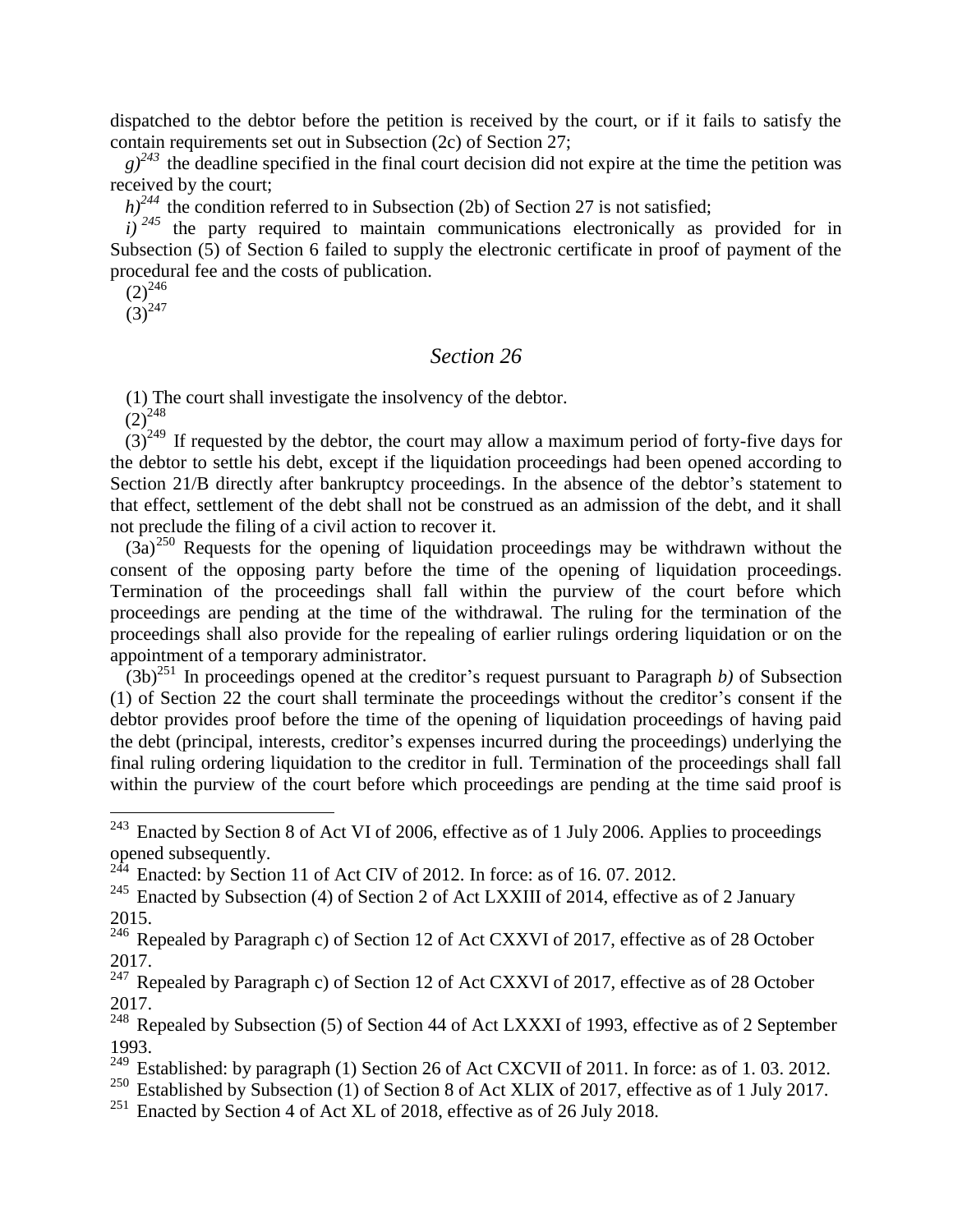dispatched to the debtor before the petition is received by the court, or if it fails to satisfy the contain requirements set out in Subsection (2c) of Section 27;

 $g^{243}$  the deadline specified in the final court decision did not expire at the time the petition was received by the court;

 $h$ <sup>244</sup> the condition referred to in Subsection (2b) of Section 27 is not satisfied;

 $i^{245}$  the party required to maintain communications electronically as provided for in Subsection (5) of Section 6 failed to supply the electronic certificate in proof of payment of the procedural fee and the costs of publication.

 $(2)^{246}$ 

 $(3)^{247}$ 

#### *Section 26*

(1) The court shall investigate the insolvency of the debtor.

 $(2)^{248}$ 

 $(3)^{249}$  If requested by the debtor, the court may allow a maximum period of forty-five days for the debtor to settle his debt, except if the liquidation proceedings had been opened according to Section 21/B directly after bankruptcy proceedings. In the absence of the debtor's statement to that effect, settlement of the debt shall not be construed as an admission of the debt, and it shall not preclude the filing of a civil action to recover it.

 $(3a)^{250}$  Requests for the opening of liquidation proceedings may be withdrawn without the consent of the opposing party before the time of the opening of liquidation proceedings. Termination of the proceedings shall fall within the purview of the court before which proceedings are pending at the time of the withdrawal. The ruling for the termination of the proceedings shall also provide for the repealing of earlier rulings ordering liquidation or on the appointment of a temporary administrator.

 $(3b)^{251}$  In proceedings opened at the creditor's request pursuant to Paragraph *b*) of Subsection (1) of Section 22 the court shall terminate the proceedings without the creditor's consent if the debtor provides proof before the time of the opening of liquidation proceedings of having paid the debt (principal, interests, creditor's expenses incurred during the proceedings) underlying the final ruling ordering liquidation to the creditor in full. Termination of the proceedings shall fall within the purview of the court before which proceedings are pending at the time said proof is

<sup>243</sup> Enacted by Section 8 of Act VI of 2006, effective as of 1 July 2006. Applies to proceedings opened subsequently.

 $244$  Enacted: by Section 11 of Act CIV of 2012. In force: as of 16.07.2012.

<sup>&</sup>lt;sup>245</sup> Enacted by Subsection (4) of Section 2 of Act LXXIII of 2014, effective as of 2 January 2015.

<sup>&</sup>lt;sup>246</sup> Repealed by Paragraph c) of Section 12 of Act CXXVI of 2017, effective as of 28 October 2017.

 $247$  Repealed by Paragraph c) of Section 12 of Act CXXVI of 2017, effective as of 28 October 2017.

<sup>&</sup>lt;sup>248</sup> Repealed by Subsection (5) of Section 44 of Act LXXXI of 1993, effective as of 2 September 1993.

<sup>&</sup>lt;sup>249</sup> Established: by paragraph (1) Section 26 of Act CXCVII of 2011. In force: as of 1.03. 2012.

<sup>&</sup>lt;sup>250</sup> Established by Subsection (1) of Section 8 of Act XLIX of 2017, effective as of 1 July 2017.

<sup>&</sup>lt;sup>251</sup> Enacted by Section 4 of Act XL of 2018, effective as of 26 July 2018.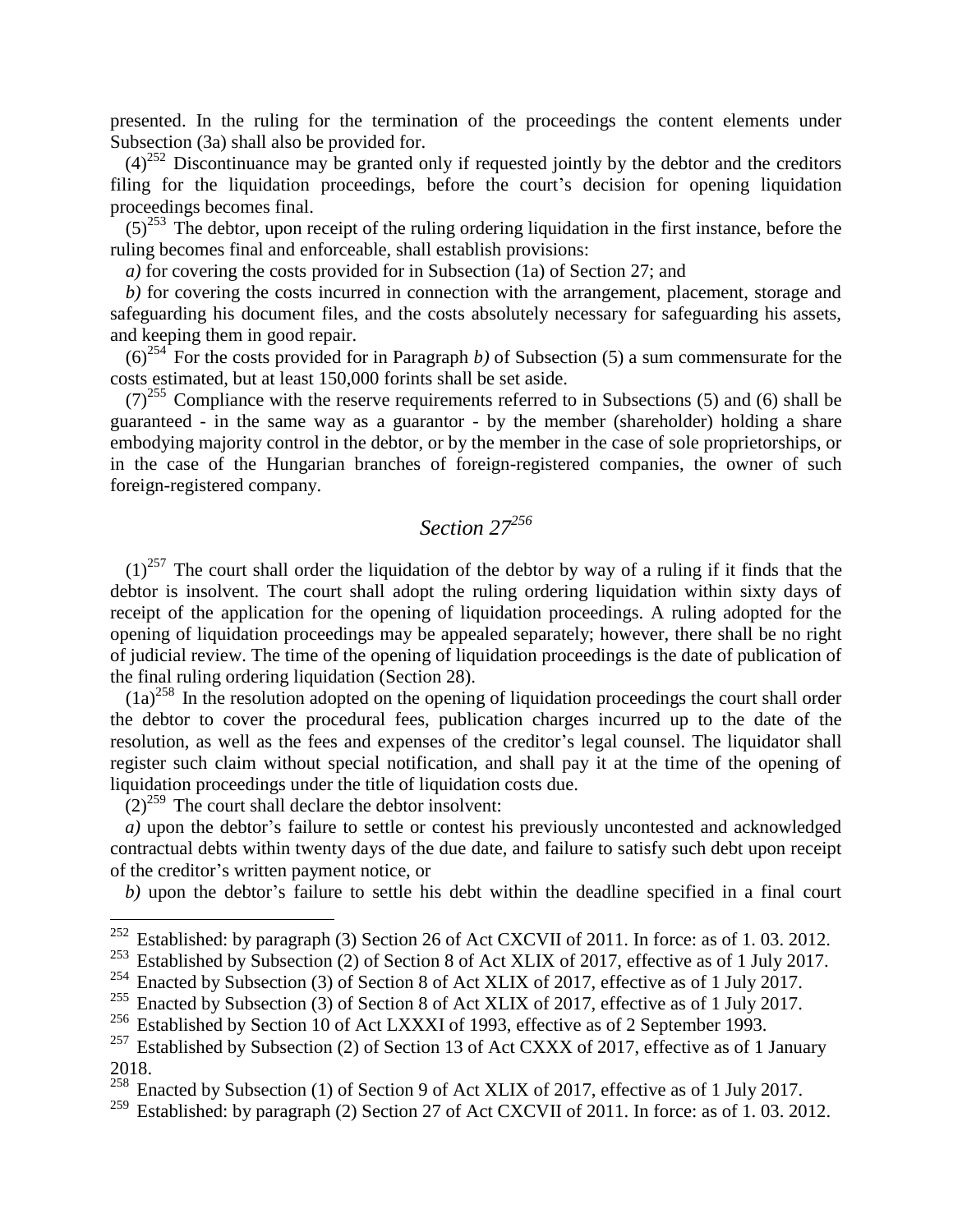presented. In the ruling for the termination of the proceedings the content elements under Subsection (3a) shall also be provided for.

 $(4)^{252}$  Discontinuance may be granted only if requested jointly by the debtor and the creditors filing for the liquidation proceedings, before the court's decision for opening liquidation proceedings becomes final.

 $(5)^{253}$  The debtor, upon receipt of the ruling ordering liquidation in the first instance, before the ruling becomes final and enforceable, shall establish provisions:

*a)* for covering the costs provided for in Subsection (1a) of Section 27; and

*b)* for covering the costs incurred in connection with the arrangement, placement, storage and safeguarding his document files, and the costs absolutely necessary for safeguarding his assets, and keeping them in good repair.

 $(6)^{254}$  For the costs provided for in Paragraph *b*) of Subsection (5) a sum commensurate for the costs estimated, but at least 150,000 forints shall be set aside.

 $(7)^{255}$  Compliance with the reserve requirements referred to in Subsections (5) and (6) shall be guaranteed - in the same way as a guarantor - by the member (shareholder) holding a share embodying majority control in the debtor, or by the member in the case of sole proprietorships, or in the case of the Hungarian branches of foreign-registered companies, the owner of such foreign-registered company.

# *Section 27<sup>256</sup>*

 $(1)^{257}$  The court shall order the liquidation of the debtor by way of a ruling if it finds that the debtor is insolvent. The court shall adopt the ruling ordering liquidation within sixty days of receipt of the application for the opening of liquidation proceedings. A ruling adopted for the opening of liquidation proceedings may be appealed separately; however, there shall be no right of judicial review. The time of the opening of liquidation proceedings is the date of publication of the final ruling ordering liquidation (Section 28).

 $(1a)^{258}$  In the resolution adopted on the opening of liquidation proceedings the court shall order the debtor to cover the procedural fees, publication charges incurred up to the date of the resolution, as well as the fees and expenses of the creditor's legal counsel. The liquidator shall register such claim without special notification, and shall pay it at the time of the opening of liquidation proceedings under the title of liquidation costs due.

 $(2)^{259}$  The court shall declare the debtor insolvent:

 $\overline{a}$ 

 $\alpha$ ) upon the debtor's failure to settle or contest his previously uncontested and acknowledged contractual debts within twenty days of the due date, and failure to satisfy such debt upon receipt of the creditor's written payment notice, or

*b)* upon the debtor's failure to settle his debt within the deadline specified in a final court

<sup>&</sup>lt;sup>252</sup> Established: by paragraph (3) Section 26 of Act CXCVII of 2011. In force: as of 1.03. 2012.

<sup>&</sup>lt;sup>253</sup> Established by Subsection (2) of Section 8 of Act XLIX of 2017, effective as of 1 July 2017.

<sup>&</sup>lt;sup>254</sup> Enacted by Subsection (3) of Section 8 of Act XLIX of 2017, effective as of 1 July 2017.

<sup>&</sup>lt;sup>255</sup> Enacted by Subsection  $(3)$  of Section 8 of Act XLIX of 2017, effective as of 1 July 2017.

<sup>&</sup>lt;sup>256</sup> Established by Section 10 of Act LXXXI of 1993, effective as of 2 September 1993.

<sup>&</sup>lt;sup>257</sup> Established by Subsection (2) of Section 13 of Act CXXX of 2017, effective as of 1 January 2018.

<sup>&</sup>lt;sup>258</sup> Enacted by Subsection (1) of Section 9 of Act XLIX of 2017, effective as of 1 July 2017.

<sup>&</sup>lt;sup>259</sup> Established: by paragraph (2) Section 27 of Act CXCVII of 2011. In force: as of 1.03. 2012.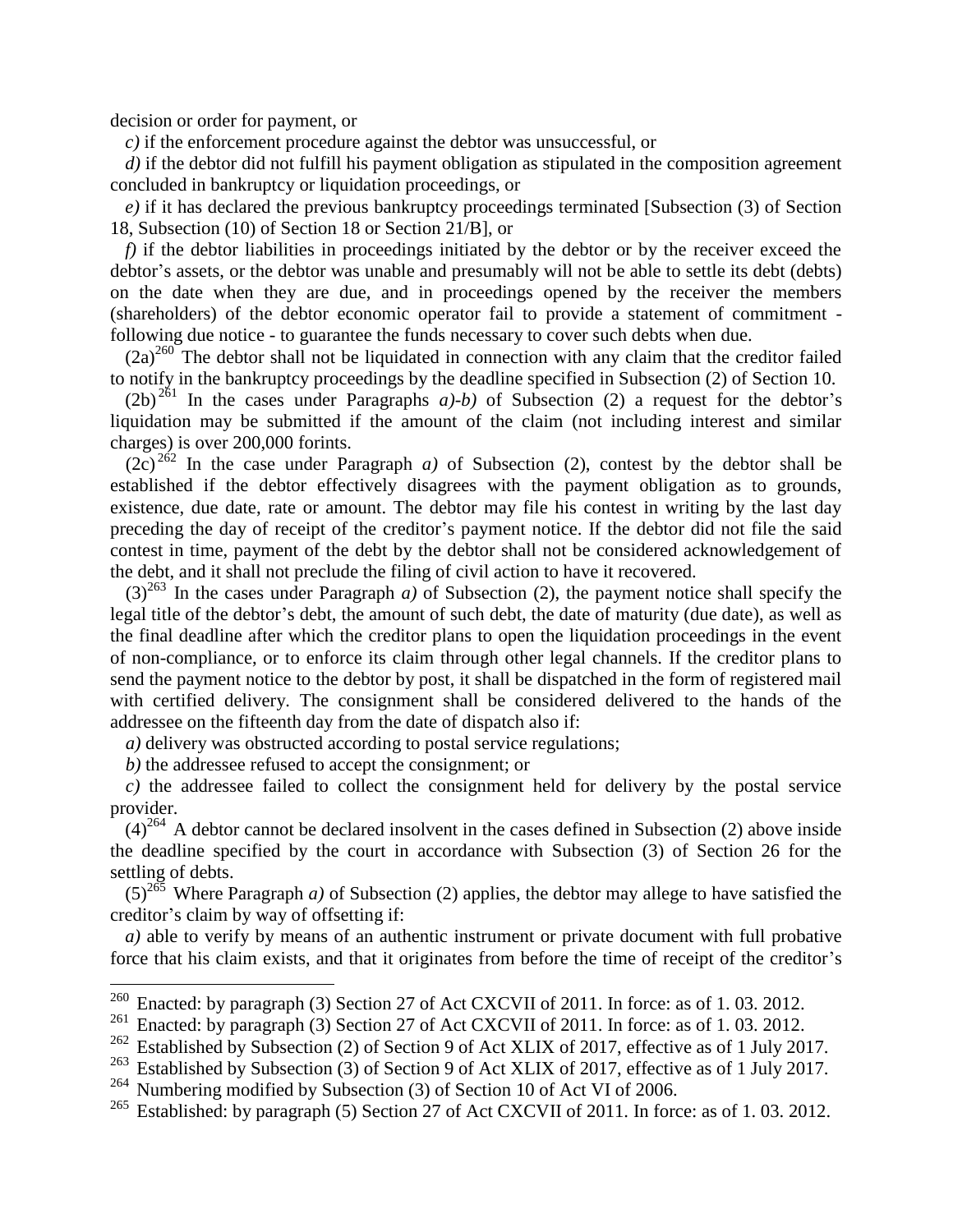decision or order for payment, or

*c)* if the enforcement procedure against the debtor was unsuccessful, or

*d*) if the debtor did not fulfill his payment obligation as stipulated in the composition agreement concluded in bankruptcy or liquidation proceedings, or

*e)* if it has declared the previous bankruptcy proceedings terminated [Subsection (3) of Section 18, Subsection (10) of Section 18 or Section 21/B], or

*f*) if the debtor liabilities in proceedings initiated by the debtor or by the receiver exceed the debtor's assets, or the debtor was unable and presumably will not be able to settle its debt (debts) on the date when they are due, and in proceedings opened by the receiver the members (shareholders) of the debtor economic operator fail to provide a statement of commitment following due notice - to guarantee the funds necessary to cover such debts when due.

 $(2a)^{260}$  The debtor shall not be liquidated in connection with any claim that the creditor failed to notify in the bankruptcy proceedings by the deadline specified in Subsection (2) of Section 10.

 $(2b)^{261}$  In the cases under Paragraphs *a)-b)* of Subsection (2) a request for the debtor's liquidation may be submitted if the amount of the claim (not including interest and similar charges) is over 200,000 forints.

 $(2c)^{262}$  In the case under Paragraph *a*) of Subsection (2), contest by the debtor shall be established if the debtor effectively disagrees with the payment obligation as to grounds, existence, due date, rate or amount. The debtor may file his contest in writing by the last day preceding the day of receipt of the creditor's payment notice. If the debtor did not file the said contest in time, payment of the debt by the debtor shall not be considered acknowledgement of the debt, and it shall not preclude the filing of civil action to have it recovered.

 $(3)^{263}$  In the cases under Paragraph *a*) of Subsection (2), the payment notice shall specify the legal title of the debtor's debt, the amount of such debt, the date of maturity (due date), as well as the final deadline after which the creditor plans to open the liquidation proceedings in the event of non-compliance, or to enforce its claim through other legal channels. If the creditor plans to send the payment notice to the debtor by post, it shall be dispatched in the form of registered mail with certified delivery. The consignment shall be considered delivered to the hands of the addressee on the fifteenth day from the date of dispatch also if:

*a)* delivery was obstructed according to postal service regulations;

*b)* the addressee refused to accept the consignment; or

 $\overline{a}$ 

*c)* the addressee failed to collect the consignment held for delivery by the postal service provider.

 $(4)^{264}$  A debtor cannot be declared insolvent in the cases defined in Subsection (2) above inside the deadline specified by the court in accordance with Subsection (3) of Section 26 for the settling of debts.

 $(5)^{265}$  Where Paragraph *a*) of Subsection (2) applies, the debtor may allege to have satisfied the creditor's claim by way of offsetting if:

*a)* able to verify by means of an authentic instrument or private document with full probative force that his claim exists, and that it originates from before the time of receipt of the creditor's

<sup>&</sup>lt;sup>260</sup> Enacted: by paragraph (3) Section 27 of Act CXCVII of 2011. In force: as of 1.03. 2012.

<sup>&</sup>lt;sup>261</sup> Enacted: by paragraph (3) Section 27 of Act CXCVII of 2011. In force: as of 1. 03. 2012.

Established by Subsection (2) of Section 9 of Act XLIX of 2017, effective as of 1 July 2017.

<sup>&</sup>lt;sup>263</sup> Established by Subsection (3) of Section 9 of Act XLIX of 2017, effective as of 1 July 2017.

<sup>&</sup>lt;sup>264</sup> Numbering modified by Subsection (3) of Section 10 of Act VI of 2006.<br><sup>265</sup> Established: by paragraph (5) Section 27 of Act CXCVII of 2011. In force

Established: by paragraph (5) Section 27 of Act CXCVII of 2011. In force: as of 1.03. 2012.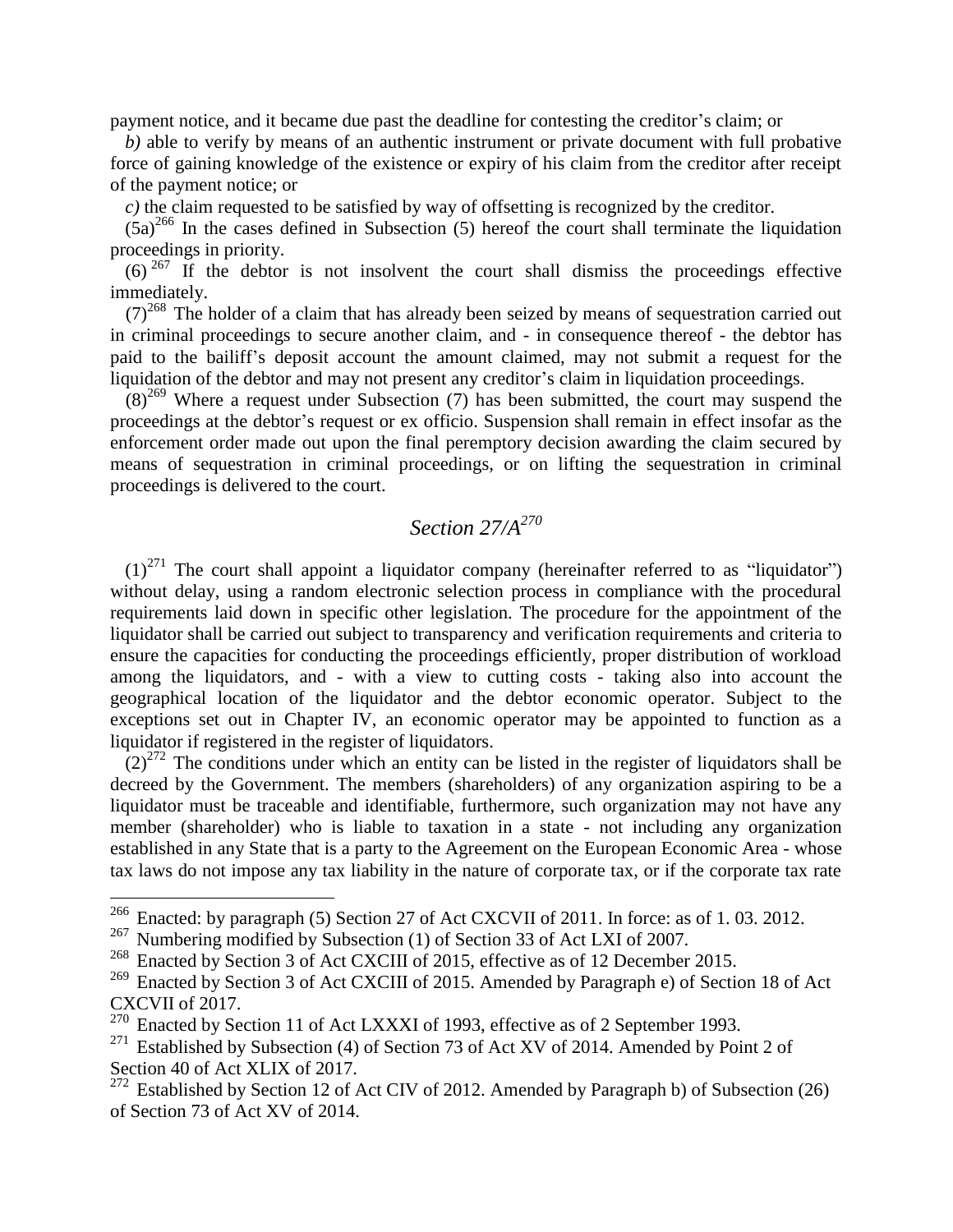payment notice, and it became due past the deadline for contesting the creditor's claim; or

*b)* able to verify by means of an authentic instrument or private document with full probative force of gaining knowledge of the existence or expiry of his claim from the creditor after receipt of the payment notice; or

*c)* the claim requested to be satisfied by way of offsetting is recognized by the creditor.

 $(5a)^{266}$  In the cases defined in Subsection (5) hereof the court shall terminate the liquidation proceedings in priority.

 $(6)^{267}$  If the debtor is not insolvent the court shall dismiss the proceedings effective immediately.

 $(7)^{268}$  The holder of a claim that has already been seized by means of sequestration carried out in criminal proceedings to secure another claim, and - in consequence thereof - the debtor has paid to the bailiff's deposit account the amount claimed, may not submit a request for the liquidation of the debtor and may not present any creditor's claim in liquidation proceedings.

 $(8)^{269}$  Where a request under Subsection (7) has been submitted, the court may suspend the proceedings at the debtor's request or ex officio. Suspension shall remain in effect insofar as the enforcement order made out upon the final peremptory decision awarding the claim secured by means of sequestration in criminal proceedings, or on lifting the sequestration in criminal proceedings is delivered to the court.

## *Section 27/A<sup>270</sup>*

 $(1)^{271}$  The court shall appoint a liquidator company (hereinafter referred to as "liquidator") without delay, using a random electronic selection process in compliance with the procedural requirements laid down in specific other legislation. The procedure for the appointment of the liquidator shall be carried out subject to transparency and verification requirements and criteria to ensure the capacities for conducting the proceedings efficiently, proper distribution of workload among the liquidators, and - with a view to cutting costs - taking also into account the geographical location of the liquidator and the debtor economic operator. Subject to the exceptions set out in Chapter IV, an economic operator may be appointed to function as a liquidator if registered in the register of liquidators.

 $(2)^{272}$  The conditions under which an entity can be listed in the register of liquidators shall be decreed by the Government. The members (shareholders) of any organization aspiring to be a liquidator must be traceable and identifiable, furthermore, such organization may not have any member (shareholder) who is liable to taxation in a state - not including any organization established in any State that is a party to the Agreement on the European Economic Area - whose tax laws do not impose any tax liability in the nature of corporate tax, or if the corporate tax rate

<sup>&</sup>lt;sup>266</sup> Enacted: by paragraph (5) Section 27 of Act CXCVII of 2011. In force: as of 1.03. 2012.

<sup>&</sup>lt;sup>267</sup> Numbering modified by Subsection (1) of Section 33 of Act LXI of 2007.

<sup>&</sup>lt;sup>268</sup> Enacted by Section 3 of Act CXCIII of 2015, effective as of 12 December 2015.

<sup>&</sup>lt;sup>269</sup> Enacted by Section 3 of Act CXCIII of 2015. Amended by Paragraph e) of Section 18 of Act CXCVII of 2017.

<sup>&</sup>lt;sup>270</sup> Enacted by Section 11 of Act LXXXI of 1993, effective as of 2 September 1993.

 $271$  Established by Subsection (4) of Section 73 of Act XV of 2014. Amended by Point 2 of Section 40 of Act XLIX of 2017.

<sup>&</sup>lt;sup>272</sup> Established by Section 12 of Act CIV of 2012. Amended by Paragraph b) of Subsection (26) of Section 73 of Act XV of 2014.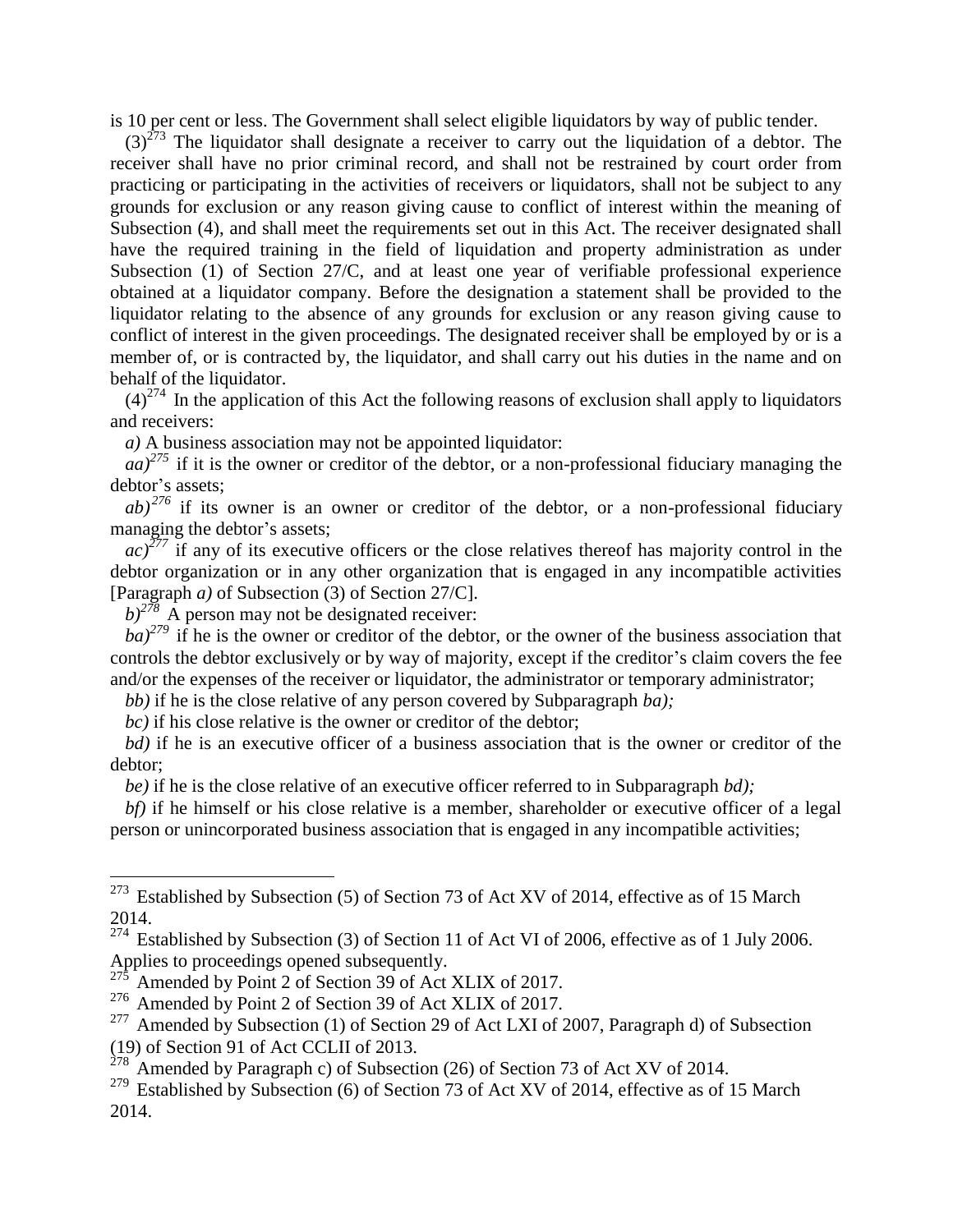is 10 per cent or less. The Government shall select eligible liquidators by way of public tender.

 $(3)^{273}$  The liquidator shall designate a receiver to carry out the liquidation of a debtor. The receiver shall have no prior criminal record, and shall not be restrained by court order from practicing or participating in the activities of receivers or liquidators, shall not be subject to any grounds for exclusion or any reason giving cause to conflict of interest within the meaning of Subsection (4), and shall meet the requirements set out in this Act. The receiver designated shall have the required training in the field of liquidation and property administration as under Subsection (1) of Section 27/C, and at least one year of verifiable professional experience obtained at a liquidator company. Before the designation a statement shall be provided to the liquidator relating to the absence of any grounds for exclusion or any reason giving cause to conflict of interest in the given proceedings. The designated receiver shall be employed by or is a member of, or is contracted by, the liquidator, and shall carry out his duties in the name and on behalf of the liquidator.

 $(4)^{274}$  In the application of this Act the following reasons of exclusion shall apply to liquidators and receivers:

*a)* A business association may not be appointed liquidator:

 $aa$ <sup>275</sup> if it is the owner or creditor of the debtor, or a non-professional fiduciary managing the debtor's assets;

 $ab)^{276}$  if its owner is an owner or creditor of the debtor, or a non-professional fiduciary managing the debtor's assets;

*ac)<sup>277</sup>* if any of its executive officers or the close relatives thereof has majority control in the debtor organization or in any other organization that is engaged in any incompatible activities [Paragraph *a)* of Subsection (3) of Section 27/C].

 $b$ <sup>278</sup> A person may not be designated receiver:

 $\overline{a}$ 

 $ba$ <sup> $279$ </sup> if he is the owner or creditor of the debtor, or the owner of the business association that controls the debtor exclusively or by way of majority, except if the creditor's claim covers the fee and/or the expenses of the receiver or liquidator, the administrator or temporary administrator;

*bb)* if he is the close relative of any person covered by Subparagraph *ba);*

*bc)* if his close relative is the owner or creditor of the debtor;

*bd)* if he is an executive officer of a business association that is the owner or creditor of the debtor;

*be)* if he is the close relative of an executive officer referred to in Subparagraph *bd);*

*bf*) if he himself or his close relative is a member, shareholder or executive officer of a legal person or unincorporated business association that is engaged in any incompatible activities;

<sup>277</sup> Amended by Subsection (1) of Section 29 of Act LXI of 2007, Paragraph d) of Subsection (19) of Section 91 of Act CCLII of 2013.

 $273$  Established by Subsection (5) of Section 73 of Act XV of 2014, effective as of 15 March 2014.

 $274$  Established by Subsection (3) of Section 11 of Act VI of 2006, effective as of 1 July 2006. Applies to proceedings opened subsequently.

Amended by Point 2 of Section 39 of Act XLIX of 2017.

 $276$  Amended by Point 2 of Section 39 of Act XLIX of 2017.

 $278$  Amended by Paragraph c) of Subsection (26) of Section 73 of Act XV of 2014.

<sup>&</sup>lt;sup>279</sup> Established by Subsection (6) of Section 73 of Act XV of 2014, effective as of 15 March 2014.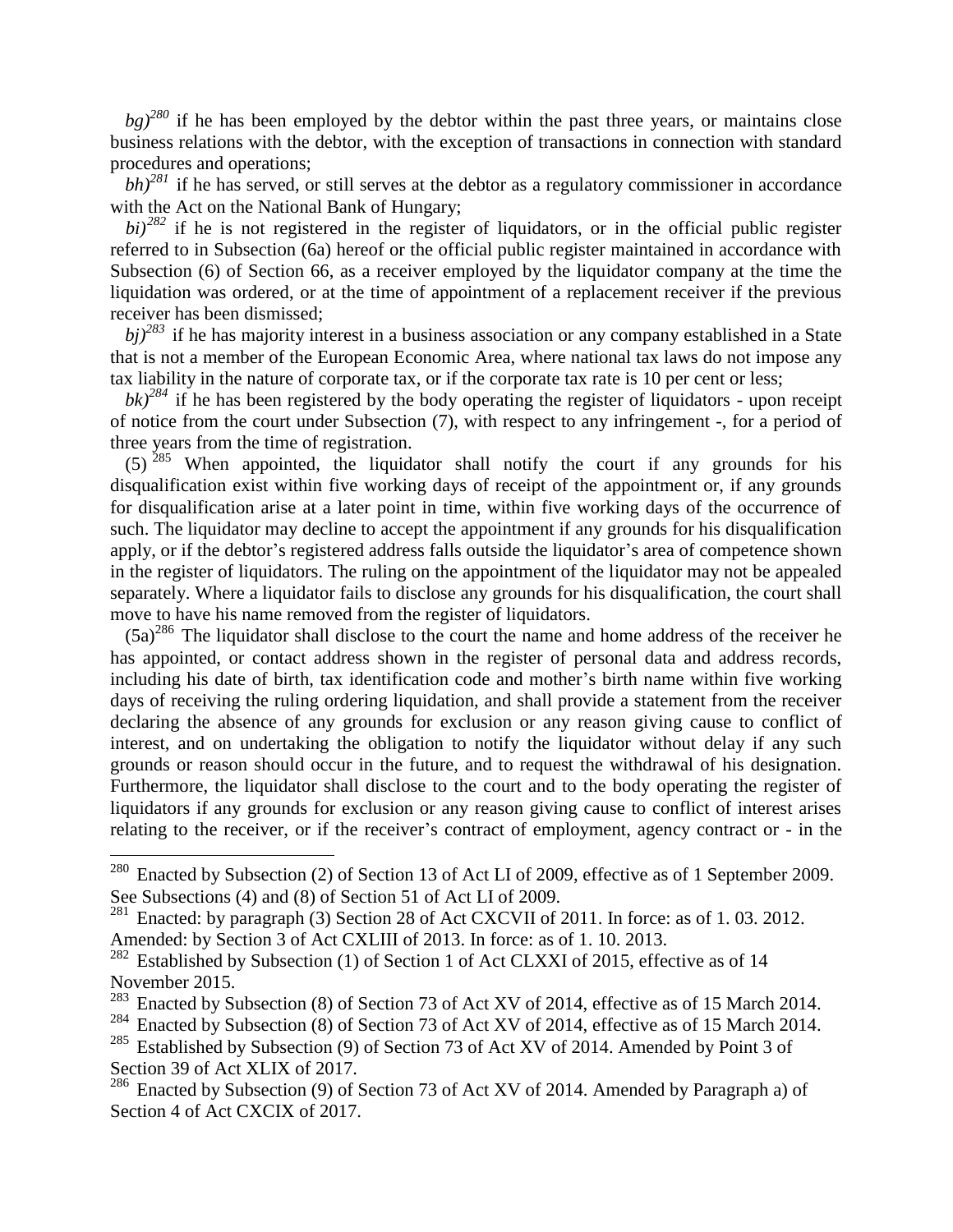$bg)^{280}$  if he has been employed by the debtor within the past three years, or maintains close business relations with the debtor, with the exception of transactions in connection with standard procedures and operations;

 $bh)^{281}$  if he has served, or still serves at the debtor as a regulatory commissioner in accordance with the Act on the National Bank of Hungary;

 $b_i$ <sup>282</sup> if he is not registered in the register of liquidators, or in the official public register referred to in Subsection (6a) hereof or the official public register maintained in accordance with Subsection (6) of Section 66, as a receiver employed by the liquidator company at the time the liquidation was ordered, or at the time of appointment of a replacement receiver if the previous receiver has been dismissed;

*bj)<sup>283</sup>* if he has majority interest in a business association or any company established in a State that is not a member of the European Economic Area, where national tax laws do not impose any tax liability in the nature of corporate tax, or if the corporate tax rate is 10 per cent or less;

 $bk)^{284}$  if he has been registered by the body operating the register of liquidators - upon receipt of notice from the court under Subsection (7), with respect to any infringement -, for a period of three years from the time of registration.

 $(5)$ <sup>285</sup> When appointed, the liquidator shall notify the court if any grounds for his disqualification exist within five working days of receipt of the appointment or, if any grounds for disqualification arise at a later point in time, within five working days of the occurrence of such. The liquidator may decline to accept the appointment if any grounds for his disqualification apply, or if the debtor's registered address falls outside the liquidator's area of competence shown in the register of liquidators. The ruling on the appointment of the liquidator may not be appealed separately. Where a liquidator fails to disclose any grounds for his disqualification, the court shall move to have his name removed from the register of liquidators.

 $(5a)^{286}$  The liquidator shall disclose to the court the name and home address of the receiver he has appointed, or contact address shown in the register of personal data and address records, including his date of birth, tax identification code and mother's birth name within five working days of receiving the ruling ordering liquidation, and shall provide a statement from the receiver declaring the absence of any grounds for exclusion or any reason giving cause to conflict of interest, and on undertaking the obligation to notify the liquidator without delay if any such grounds or reason should occur in the future, and to request the withdrawal of his designation. Furthermore, the liquidator shall disclose to the court and to the body operating the register of liquidators if any grounds for exclusion or any reason giving cause to conflict of interest arises relating to the receiver, or if the receiver's contract of employment, agency contract or - in the

<sup>&</sup>lt;sup>280</sup> Enacted by Subsection (2) of Section 13 of Act LI of 2009, effective as of 1 September 2009. See Subsections (4) and (8) of Section 51 of Act LI of 2009.

<sup>&</sup>lt;sup>281</sup> Enacted: by paragraph (3) Section 28 of Act CXCVII of 2011. In force: as of 1.03. 2012. Amended: by Section 3 of Act CXLIII of 2013. In force: as of 1. 10. 2013.

 $282$  Established by Subsection (1) of Section 1 of Act CLXXI of 2015, effective as of 14 November 2015.

<sup>&</sup>lt;sup>283</sup> Enacted by Subsection (8) of Section 73 of Act XV of 2014, effective as of 15 March 2014.

<sup>&</sup>lt;sup>284</sup> Enacted by Subsection (8) of Section 73 of Act XV of 2014, effective as of 15 March 2014.

<sup>&</sup>lt;sup>285</sup> Established by Subsection (9) of Section 73 of Act XV of 2014. Amended by Point 3 of Section 39 of Act XLIX of 2017.

<sup>&</sup>lt;sup>286</sup> Enacted by Subsection (9) of Section 73 of Act XV of 2014. Amended by Paragraph a) of Section 4 of Act CXCIX of 2017.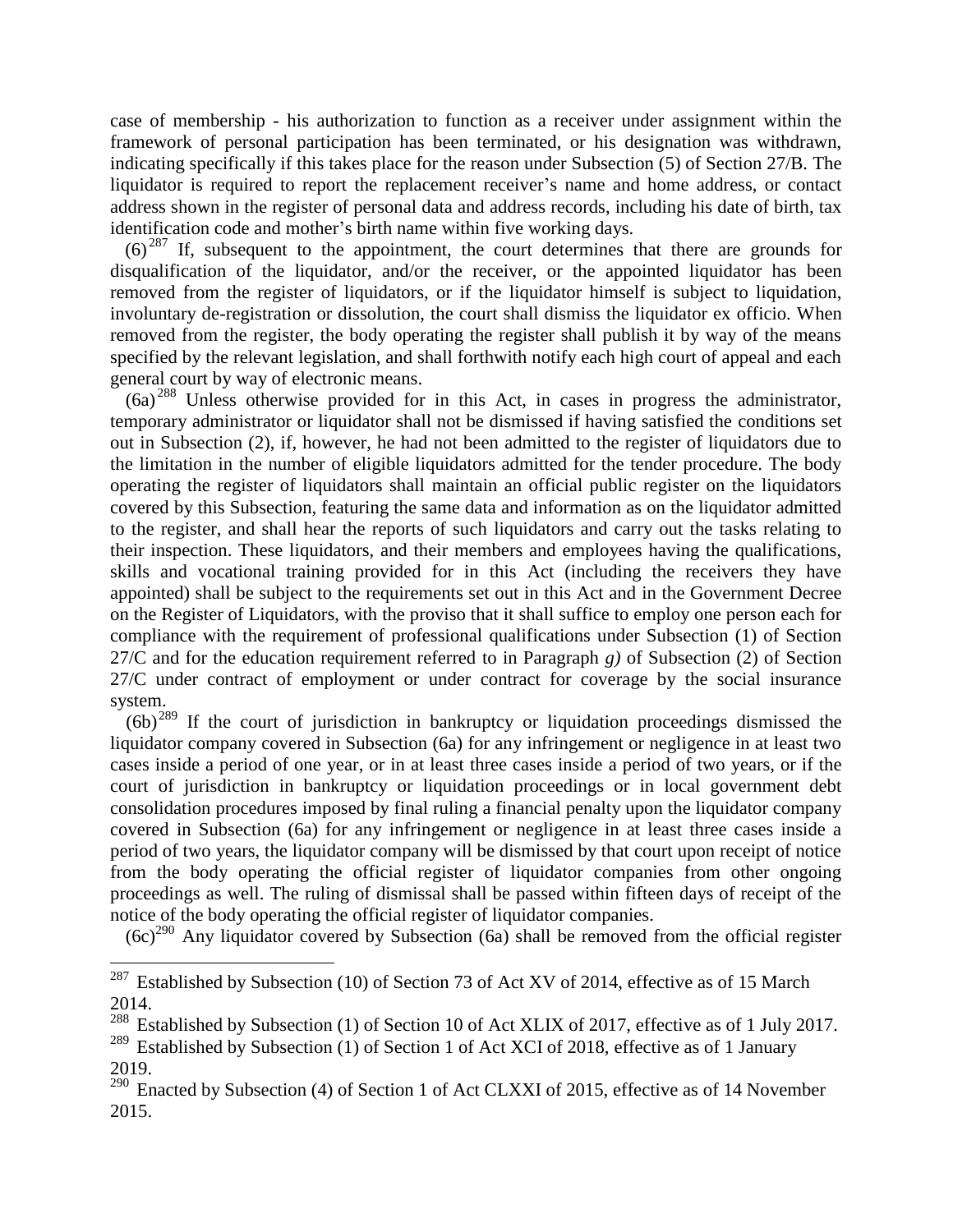case of membership - his authorization to function as a receiver under assignment within the framework of personal participation has been terminated, or his designation was withdrawn, indicating specifically if this takes place for the reason under Subsection (5) of Section 27/B. The liquidator is required to report the replacement receiver's name and home address, or contact address shown in the register of personal data and address records, including his date of birth, tax identification code and mother's birth name within five working days.

 $(6)^{287}$  If, subsequent to the appointment, the court determines that there are grounds for disqualification of the liquidator, and/or the receiver, or the appointed liquidator has been removed from the register of liquidators, or if the liquidator himself is subject to liquidation, involuntary de-registration or dissolution, the court shall dismiss the liquidator ex officio. When removed from the register, the body operating the register shall publish it by way of the means specified by the relevant legislation, and shall forthwith notify each high court of appeal and each general court by way of electronic means.

(6a) <sup>288</sup> Unless otherwise provided for in this Act, in cases in progress the administrator, temporary administrator or liquidator shall not be dismissed if having satisfied the conditions set out in Subsection (2), if, however, he had not been admitted to the register of liquidators due to the limitation in the number of eligible liquidators admitted for the tender procedure. The body operating the register of liquidators shall maintain an official public register on the liquidators covered by this Subsection, featuring the same data and information as on the liquidator admitted to the register, and shall hear the reports of such liquidators and carry out the tasks relating to their inspection. These liquidators, and their members and employees having the qualifications, skills and vocational training provided for in this Act (including the receivers they have appointed) shall be subject to the requirements set out in this Act and in the Government Decree on the Register of Liquidators, with the proviso that it shall suffice to employ one person each for compliance with the requirement of professional qualifications under Subsection (1) of Section 27/C and for the education requirement referred to in Paragraph *g)* of Subsection (2) of Section 27/C under contract of employment or under contract for coverage by the social insurance system.

 $(6b)^{289}$  If the court of jurisdiction in bankruptcy or liquidation proceedings dismissed the liquidator company covered in Subsection (6a) for any infringement or negligence in at least two cases inside a period of one year, or in at least three cases inside a period of two years, or if the court of jurisdiction in bankruptcy or liquidation proceedings or in local government debt consolidation procedures imposed by final ruling a financial penalty upon the liquidator company covered in Subsection (6a) for any infringement or negligence in at least three cases inside a period of two years, the liquidator company will be dismissed by that court upon receipt of notice from the body operating the official register of liquidator companies from other ongoing proceedings as well. The ruling of dismissal shall be passed within fifteen days of receipt of the notice of the body operating the official register of liquidator companies.

 $(6c)^{290}$  Any liquidator covered by Subsection (6a) shall be removed from the official register

<sup>&</sup>lt;sup>287</sup> Established by Subsection (10) of Section 73 of Act XV of 2014, effective as of 15 March 2014.

<sup>&</sup>lt;sup>288</sup> Established by Subsection (1) of Section 10 of Act XLIX of 2017, effective as of 1 July 2017.

<sup>&</sup>lt;sup>289</sup> Established by Subsection (1) of Section 1 of Act XCI of 2018, effective as of 1 January 2019.

 $290$  Enacted by Subsection (4) of Section 1 of Act CLXXI of 2015, effective as of 14 November 2015.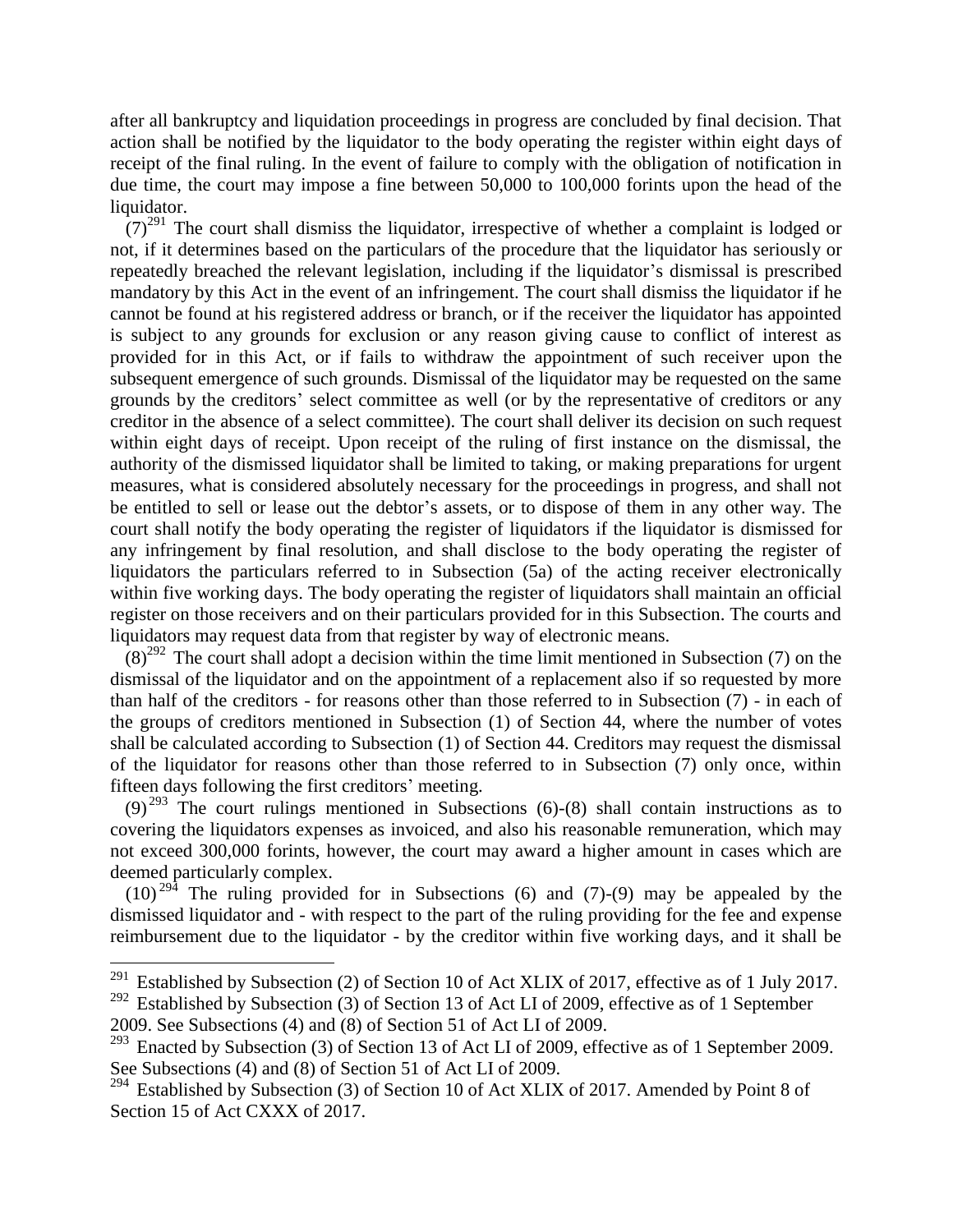after all bankruptcy and liquidation proceedings in progress are concluded by final decision. That action shall be notified by the liquidator to the body operating the register within eight days of receipt of the final ruling. In the event of failure to comply with the obligation of notification in due time, the court may impose a fine between 50,000 to 100,000 forints upon the head of the liquidator.

 $(7)^{291}$  The court shall dismiss the liquidator, irrespective of whether a complaint is lodged or not, if it determines based on the particulars of the procedure that the liquidator has seriously or repeatedly breached the relevant legislation, including if the liquidator's dismissal is prescribed mandatory by this Act in the event of an infringement. The court shall dismiss the liquidator if he cannot be found at his registered address or branch, or if the receiver the liquidator has appointed is subject to any grounds for exclusion or any reason giving cause to conflict of interest as provided for in this Act, or if fails to withdraw the appointment of such receiver upon the subsequent emergence of such grounds. Dismissal of the liquidator may be requested on the same grounds by the creditors' select committee as well (or by the representative of creditors or any creditor in the absence of a select committee). The court shall deliver its decision on such request within eight days of receipt. Upon receipt of the ruling of first instance on the dismissal, the authority of the dismissed liquidator shall be limited to taking, or making preparations for urgent measures, what is considered absolutely necessary for the proceedings in progress, and shall not be entitled to sell or lease out the debtor's assets, or to dispose of them in any other way. The court shall notify the body operating the register of liquidators if the liquidator is dismissed for any infringement by final resolution, and shall disclose to the body operating the register of liquidators the particulars referred to in Subsection (5a) of the acting receiver electronically within five working days. The body operating the register of liquidators shall maintain an official register on those receivers and on their particulars provided for in this Subsection. The courts and liquidators may request data from that register by way of electronic means.

 $(8)^{292}$  The court shall adopt a decision within the time limit mentioned in Subsection (7) on the dismissal of the liquidator and on the appointment of a replacement also if so requested by more than half of the creditors - for reasons other than those referred to in Subsection (7) - in each of the groups of creditors mentioned in Subsection (1) of Section 44, where the number of votes shall be calculated according to Subsection (1) of Section 44. Creditors may request the dismissal of the liquidator for reasons other than those referred to in Subsection (7) only once, within fifteen days following the first creditors' meeting.

 $(9)^{293}$  The court rulings mentioned in Subsections (6)-(8) shall contain instructions as to covering the liquidators expenses as invoiced, and also his reasonable remuneration, which may not exceed 300,000 forints, however, the court may award a higher amount in cases which are deemed particularly complex.

 $(10)^{294}$  The ruling provided for in Subsections (6) and (7)-(9) may be appealed by the dismissed liquidator and - with respect to the part of the ruling providing for the fee and expense reimbursement due to the liquidator - by the creditor within five working days, and it shall be

<sup>&</sup>lt;sup>291</sup> Established by Subsection (2) of Section 10 of Act XLIX of 2017, effective as of 1 July 2017.

<sup>&</sup>lt;sup>292</sup> Established by Subsection (3) of Section 13 of Act LI of 2009, effective as of 1 September 2009. See Subsections (4) and (8) of Section 51 of Act LI of 2009.

Enacted by Subsection (3) of Section 13 of Act LI of 2009, effective as of 1 September 2009. See Subsections (4) and (8) of Section 51 of Act LI of 2009.

<sup>&</sup>lt;sup>294</sup> Established by Subsection (3) of Section 10 of Act XLIX of 2017. Amended by Point 8 of Section 15 of Act CXXX of 2017.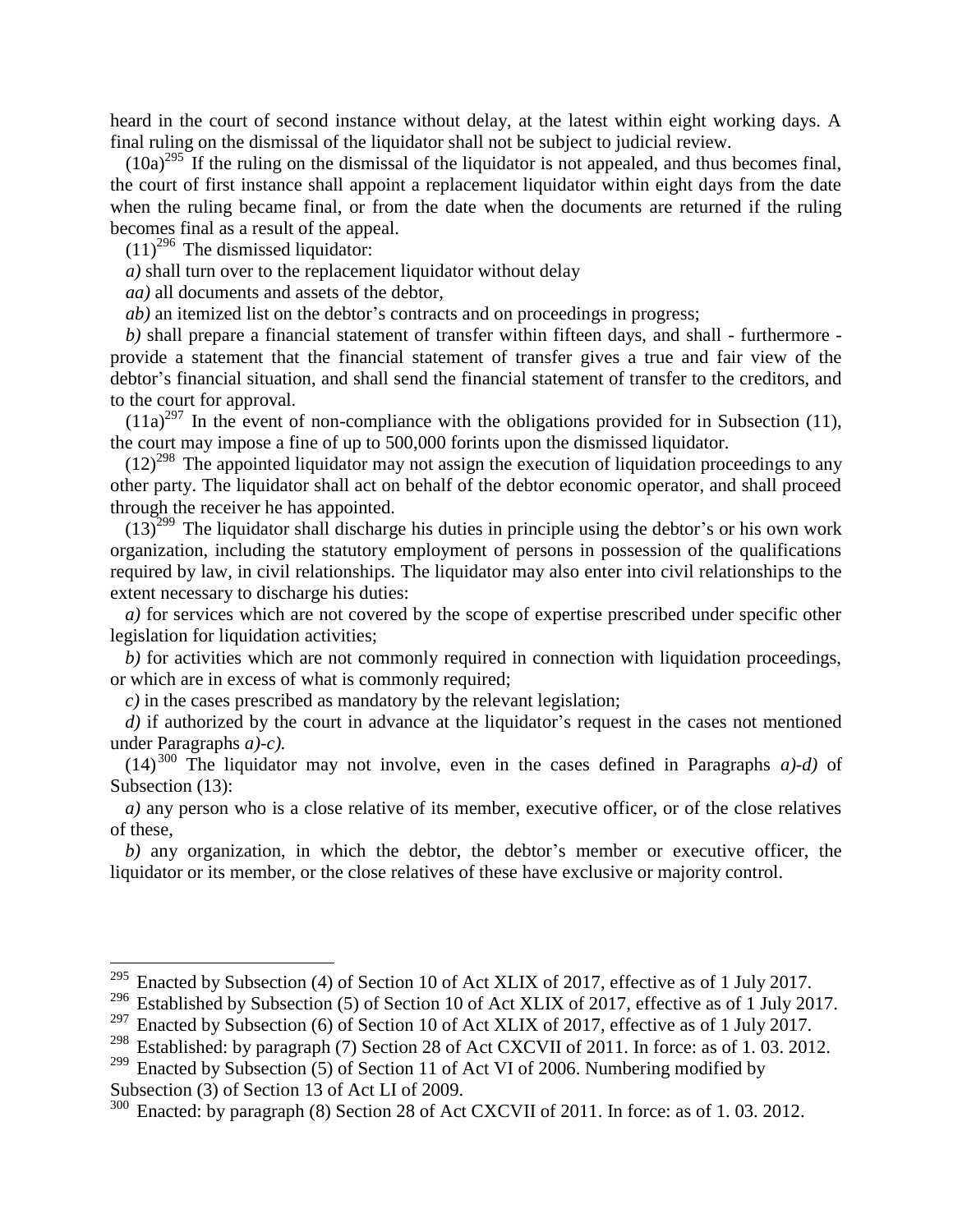heard in the court of second instance without delay, at the latest within eight working days. A final ruling on the dismissal of the liquidator shall not be subject to judicial review.

 $(10a)^{295}$  If the ruling on the dismissal of the liquidator is not appealed, and thus becomes final, the court of first instance shall appoint a replacement liquidator within eight days from the date when the ruling became final, or from the date when the documents are returned if the ruling becomes final as a result of the appeal.

 $(11)^{296}$  The dismissed liquidator:

 $\overline{a}$ 

*a)* shall turn over to the replacement liquidator without delay

*aa)* all documents and assets of the debtor,

*ab)* an itemized list on the debtor's contracts and on proceedings in progress;

*b)* shall prepare a financial statement of transfer within fifteen days, and shall - furthermore provide a statement that the financial statement of transfer gives a true and fair view of the debtor's financial situation, and shall send the financial statement of transfer to the creditors, and to the court for approval.

 $(11a)^{297}$  In the event of non-compliance with the obligations provided for in Subsection (11), the court may impose a fine of up to 500,000 forints upon the dismissed liquidator.

 $(12)^{298}$  The appointed liquidator may not assign the execution of liquidation proceedings to any other party. The liquidator shall act on behalf of the debtor economic operator, and shall proceed through the receiver he has appointed.

 $(13)^{299}$  The liquidator shall discharge his duties in principle using the debtor's or his own work organization, including the statutory employment of persons in possession of the qualifications required by law, in civil relationships. The liquidator may also enter into civil relationships to the extent necessary to discharge his duties:

*a)* for services which are not covered by the scope of expertise prescribed under specific other legislation for liquidation activities;

*b)* for activities which are not commonly required in connection with liquidation proceedings, or which are in excess of what is commonly required;

*c)* in the cases prescribed as mandatory by the relevant legislation;

*d*) if authorized by the court in advance at the liquidator's request in the cases not mentioned under Paragraphs *a)*-*c).*

 $(14)^{300}$  The liquidator may not involve, even in the cases defined in Paragraphs *a*)-*d*) of Subsection (13):

*a)* any person who is a close relative of its member, executive officer, or of the close relatives of these,

*b)* any organization, in which the debtor, the debtor's member or executive officer, the liquidator or its member, or the close relatives of these have exclusive or majority control.

<sup>&</sup>lt;sup>295</sup> Enacted by Subsection (4) of Section 10 of Act XLIX of 2017, effective as of 1 July 2017.

<sup>&</sup>lt;sup>296</sup> Established by Subsection (5) of Section 10 of Act XLIX of 2017, effective as of 1 July 2017.

<sup>&</sup>lt;sup>297</sup> Enacted by Subsection (6) of Section 10 of Act XLIX of 2017, effective as of 1 July 2017.<br><sup>298</sup> Established: by paragraph (7) Section 28 of Act CXCVII of 2011. In force: as of 1, 03, 201

Established: by paragraph (7) Section 28 of Act CXCVII of 2011. In force: as of 1.03. 2012.

 $299$  Enacted by Subsection (5) of Section 11 of Act VI of 2006. Numbering modified by Subsection (3) of Section 13 of Act LI of 2009.<br> $300$  Enacted: by paragraph  $(8)$  Section 28 of Act

Enacted: by paragraph (8) Section 28 of Act CXCVII of 2011. In force: as of 1.03. 2012.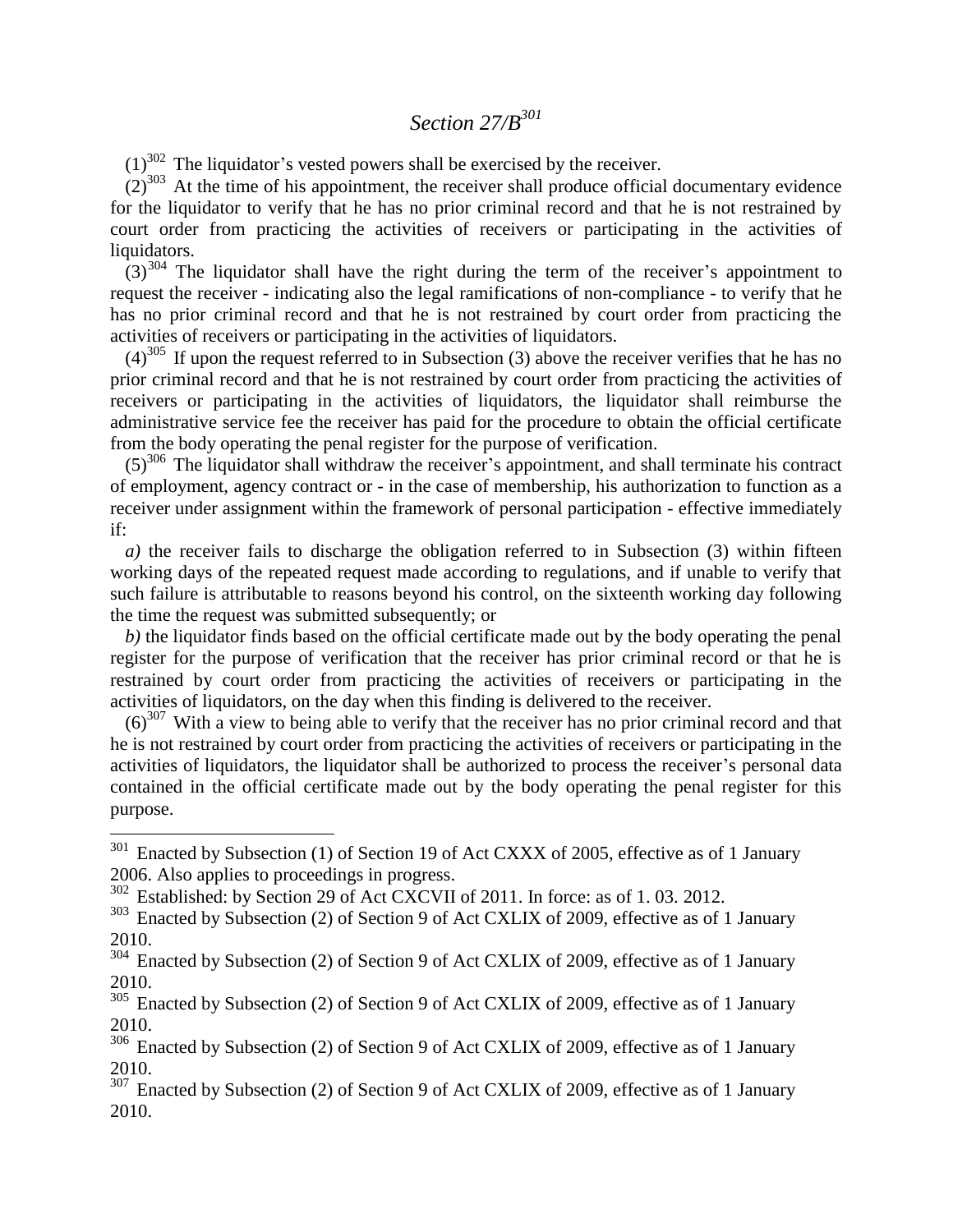# *Section 27/B<sup>301</sup>*

 $(1)^{302}$  The liquidator's vested powers shall be exercised by the receiver.

 $(2)^{303}$  At the time of his appointment, the receiver shall produce official documentary evidence for the liquidator to verify that he has no prior criminal record and that he is not restrained by court order from practicing the activities of receivers or participating in the activities of liquidators.

 $(3)^{304}$  The liquidator shall have the right during the term of the receiver's appointment to request the receiver - indicating also the legal ramifications of non-compliance - to verify that he has no prior criminal record and that he is not restrained by court order from practicing the activities of receivers or participating in the activities of liquidators.

 $(4)^{305}$  If upon the request referred to in Subsection (3) above the receiver verifies that he has no prior criminal record and that he is not restrained by court order from practicing the activities of receivers or participating in the activities of liquidators, the liquidator shall reimburse the administrative service fee the receiver has paid for the procedure to obtain the official certificate from the body operating the penal register for the purpose of verification.

 $(5)^{306}$  The liquidator shall withdraw the receiver's appointment, and shall terminate his contract of employment, agency contract or - in the case of membership, his authorization to function as a receiver under assignment within the framework of personal participation - effective immediately if:

*a)* the receiver fails to discharge the obligation referred to in Subsection (3) within fifteen working days of the repeated request made according to regulations, and if unable to verify that such failure is attributable to reasons beyond his control, on the sixteenth working day following the time the request was submitted subsequently; or

*b)* the liquidator finds based on the official certificate made out by the body operating the penal register for the purpose of verification that the receiver has prior criminal record or that he is restrained by court order from practicing the activities of receivers or participating in the activities of liquidators, on the day when this finding is delivered to the receiver.

 $(6)^{307}$  With a view to being able to verify that the receiver has no prior criminal record and that he is not restrained by court order from practicing the activities of receivers or participating in the activities of liquidators, the liquidator shall be authorized to process the receiver's personal data contained in the official certificate made out by the body operating the penal register for this purpose.

 $301$  Enacted by Subsection (1) of Section 19 of Act CXXX of 2005, effective as of 1 January 2006. Also applies to proceedings in progress.

<sup>&</sup>lt;sup>302</sup> Established: by Section 29 of Act CXCVII of 2011. In force: as of 1.03. 2012.

<sup>&</sup>lt;sup>303</sup> Enacted by Subsection (2) of Section 9 of Act CXLIX of 2009, effective as of 1 January 2010.

<sup>&</sup>lt;sup>304</sup> Enacted by Subsection (2) of Section 9 of Act CXLIX of 2009, effective as of 1 January 2010.

<sup>&</sup>lt;sup>305</sup> Enacted by Subsection (2) of Section 9 of Act CXLIX of 2009, effective as of 1 January 2010.

<sup>&</sup>lt;sup>306</sup> Enacted by Subsection (2) of Section 9 of Act CXLIX of 2009, effective as of 1 January 2010.

 $307$  Enacted by Subsection (2) of Section 9 of Act CXLIX of 2009, effective as of 1 January 2010.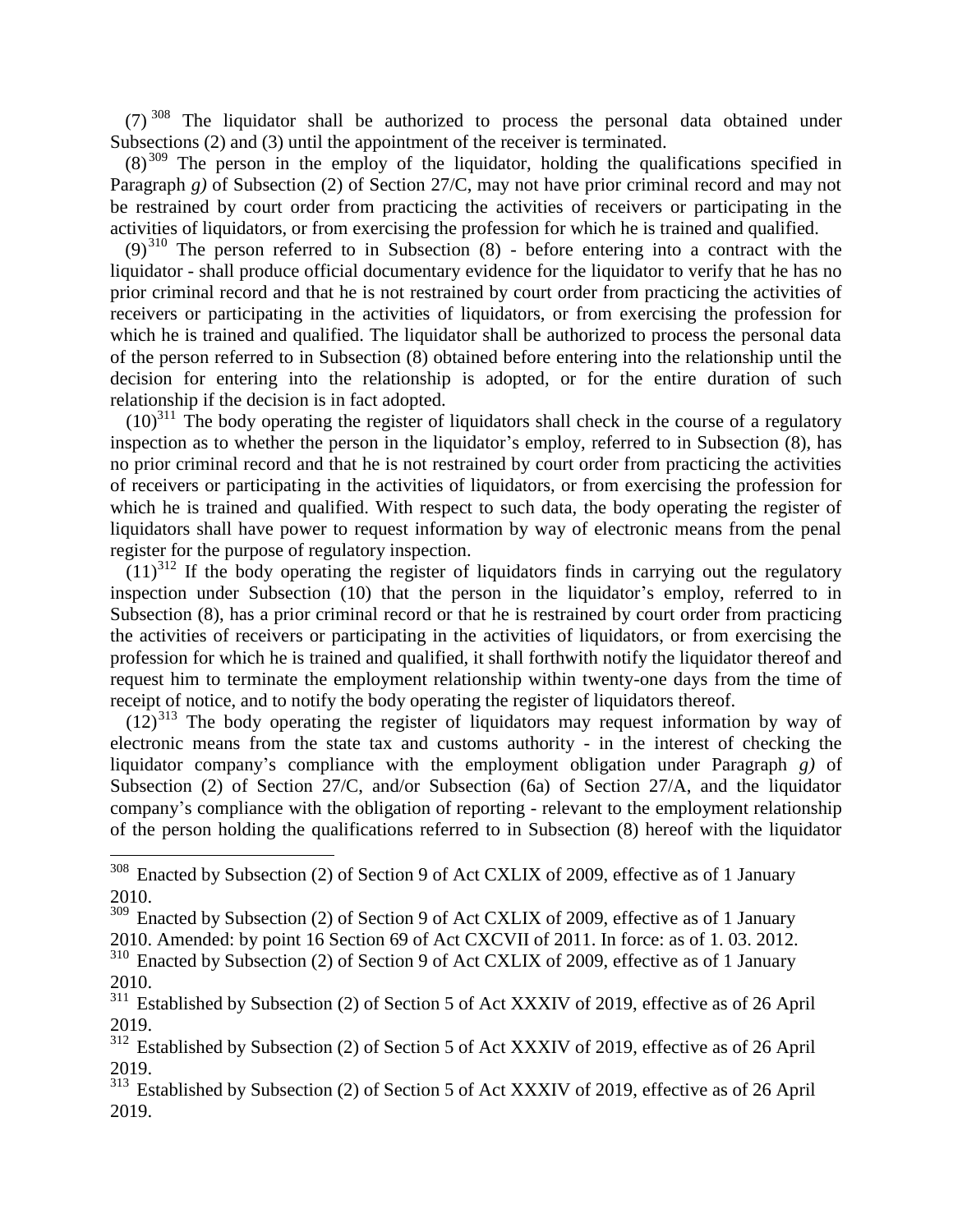$(7)$ <sup>308</sup> The liquidator shall be authorized to process the personal data obtained under Subsections (2) and (3) until the appointment of the receiver is terminated.

 $(8)^{309}$  The person in the employ of the liquidator, holding the qualifications specified in Paragraph *g*) of Subsection (2) of Section 27/C, may not have prior criminal record and may not be restrained by court order from practicing the activities of receivers or participating in the activities of liquidators, or from exercising the profession for which he is trained and qualified.

 $(9)^{310}$  The person referred to in Subsection (8) - before entering into a contract with the liquidator - shall produce official documentary evidence for the liquidator to verify that he has no prior criminal record and that he is not restrained by court order from practicing the activities of receivers or participating in the activities of liquidators, or from exercising the profession for which he is trained and qualified. The liquidator shall be authorized to process the personal data of the person referred to in Subsection (8) obtained before entering into the relationship until the decision for entering into the relationship is adopted, or for the entire duration of such relationship if the decision is in fact adopted.

 $(10)^{311}$  The body operating the register of liquidators shall check in the course of a regulatory inspection as to whether the person in the liquidator's employ, referred to in Subsection (8), has no prior criminal record and that he is not restrained by court order from practicing the activities of receivers or participating in the activities of liquidators, or from exercising the profession for which he is trained and qualified. With respect to such data, the body operating the register of liquidators shall have power to request information by way of electronic means from the penal register for the purpose of regulatory inspection.

 $(11)^{312}$  If the body operating the register of liquidators finds in carrying out the regulatory inspection under Subsection (10) that the person in the liquidator's employ, referred to in Subsection (8), has a prior criminal record or that he is restrained by court order from practicing the activities of receivers or participating in the activities of liquidators, or from exercising the profession for which he is trained and qualified, it shall forthwith notify the liquidator thereof and request him to terminate the employment relationship within twenty-one days from the time of receipt of notice, and to notify the body operating the register of liquidators thereof.

 $(12)^{313}$  The body operating the register of liquidators may request information by way of electronic means from the state tax and customs authority - in the interest of checking the liquidator company's compliance with the employment obligation under Paragraph *g)* of Subsection (2) of Section 27/C, and/or Subsection (6a) of Section 27/A, and the liquidator company's compliance with the obligation of reporting - relevant to the employment relationship of the person holding the qualifications referred to in Subsection (8) hereof with the liquidator

 $308$  Enacted by Subsection (2) of Section 9 of Act CXLIX of 2009, effective as of 1 January 2010.

<sup>&</sup>lt;sup>309</sup> Enacted by Subsection (2) of Section 9 of Act CXLIX of 2009, effective as of 1 January

<sup>2010.</sup> Amended: by point 16 Section 69 of Act CXCVII of 2011. In force: as of 1. 03. 2012.

<sup>&</sup>lt;sup>310</sup> Enacted by Subsection (2) of Section 9 of Act CXLIX of 2009, effective as of 1 January 2010.

<sup>&</sup>lt;sup>311</sup> Established by Subsection (2) of Section 5 of Act XXXIV of 2019, effective as of 26 April  $\frac{2019}{312}$  Es

Established by Subsection (2) of Section 5 of Act XXXIV of 2019, effective as of 26 April 2019.

<sup>&</sup>lt;sup>313</sup> Established by Subsection (2) of Section 5 of Act XXXIV of 2019, effective as of 26 April 2019.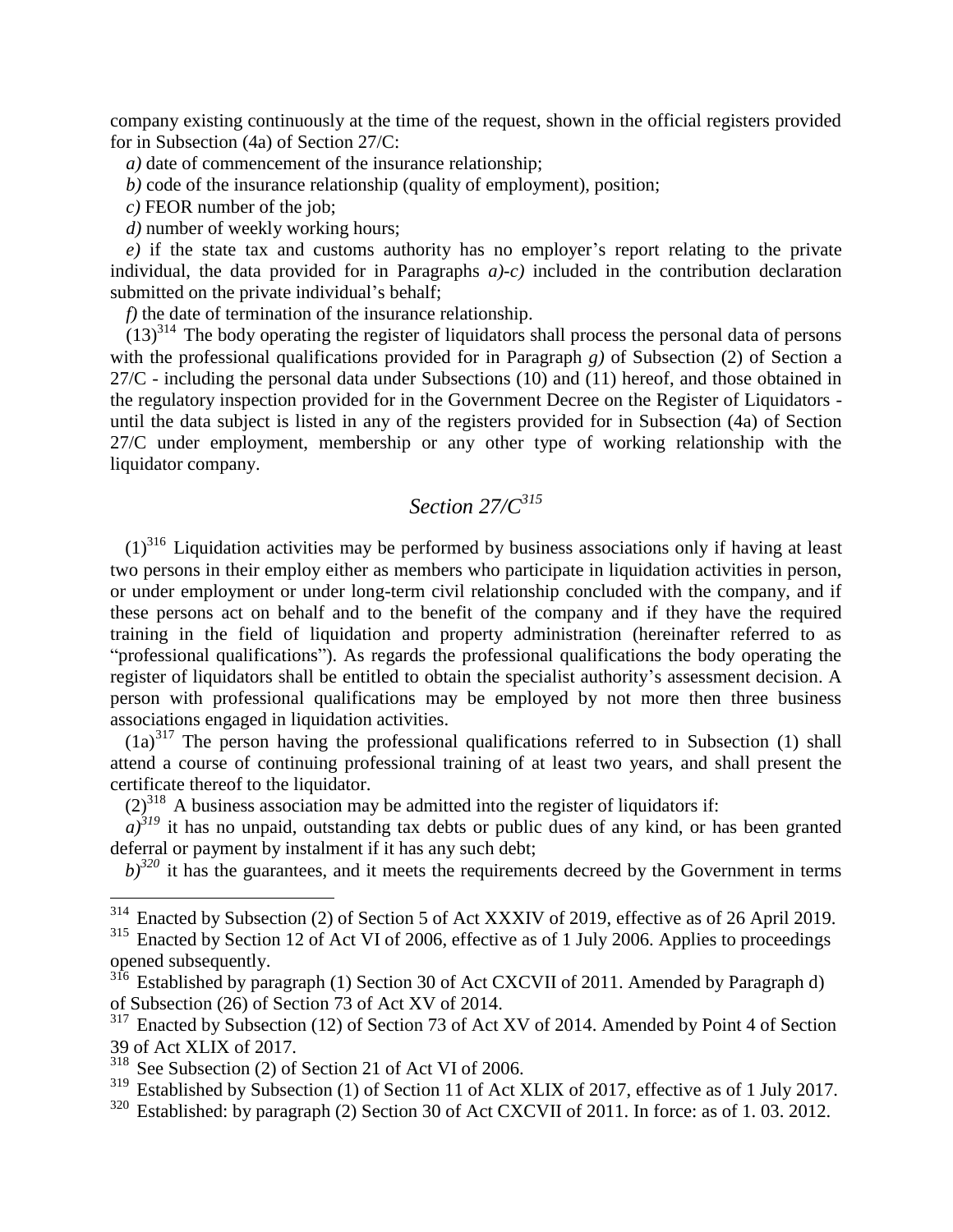company existing continuously at the time of the request, shown in the official registers provided for in Subsection (4a) of Section 27/C:

*a)* date of commencement of the insurance relationship;

*b)* code of the insurance relationship (quality of employment), position;

*c)* FEOR number of the job;

*d)* number of weekly working hours;

*e)* if the state tax and customs authority has no employer's report relating to the private individual, the data provided for in Paragraphs *a)-c)* included in the contribution declaration submitted on the private individual's behalf;

*f)* the date of termination of the insurance relationship.

 $(13)^{314}$  The body operating the register of liquidators shall process the personal data of persons with the professional qualifications provided for in Paragraph *g*) of Subsection (2) of Section a 27/C - including the personal data under Subsections (10) and (11) hereof, and those obtained in the regulatory inspection provided for in the Government Decree on the Register of Liquidators until the data subject is listed in any of the registers provided for in Subsection (4a) of Section 27/C under employment, membership or any other type of working relationship with the liquidator company.

## *Section 27/C<sup>315</sup>*

 $(1)^{316}$  Liquidation activities may be performed by business associations only if having at least two persons in their employ either as members who participate in liquidation activities in person, or under employment or under long-term civil relationship concluded with the company, and if these persons act on behalf and to the benefit of the company and if they have the required training in the field of liquidation and property administration (hereinafter referred to as "professional qualifications"). As regards the professional qualifications the body operating the register of liquidators shall be entitled to obtain the specialist authority's assessment decision. A person with professional qualifications may be employed by not more then three business associations engaged in liquidation activities.

 $(1a)^{317}$  The person having the professional qualifications referred to in Subsection (1) shall attend a course of continuing professional training of at least two years, and shall present the certificate thereof to the liquidator.

 $(2)^{318}$  A business association may be admitted into the register of liquidators if:

 $a^{319}$  it has no unpaid, outstanding tax debts or public dues of any kind, or has been granted deferral or payment by instalment if it has any such debt;

 $b$ <sup>320</sup> it has the guarantees, and it meets the requirements decreed by the Government in terms

<sup>&</sup>lt;sup>314</sup> Enacted by Subsection (2) of Section 5 of Act XXXIV of 2019, effective as of 26 April 2019.

<sup>&</sup>lt;sup>315</sup> Enacted by Section 12 of Act VI of 2006, effective as of 1 July 2006. Applies to proceedings opened subsequently.

<sup>&</sup>lt;sup>316</sup> Established by paragraph (1) Section 30 of Act CXCVII of 2011. Amended by Paragraph d) of Subsection (26) of Section 73 of Act XV of 2014.

<sup>&</sup>lt;sup>317</sup> Enacted by Subsection (12) of Section 73 of Act XV of 2014. Amended by Point 4 of Section 39 of Act XLIX of 2017.

<sup>318</sup> See Subsection (2) of Section 21 of Act VI of 2006.

<sup>&</sup>lt;sup>319</sup> Established by Subsection (1) of Section 11 of Act XLIX of 2017, effective as of 1 July 2017.

 $320$  Established: by paragraph (2) Section 30 of Act CXCVII of 2011. In force: as of 1.03. 2012.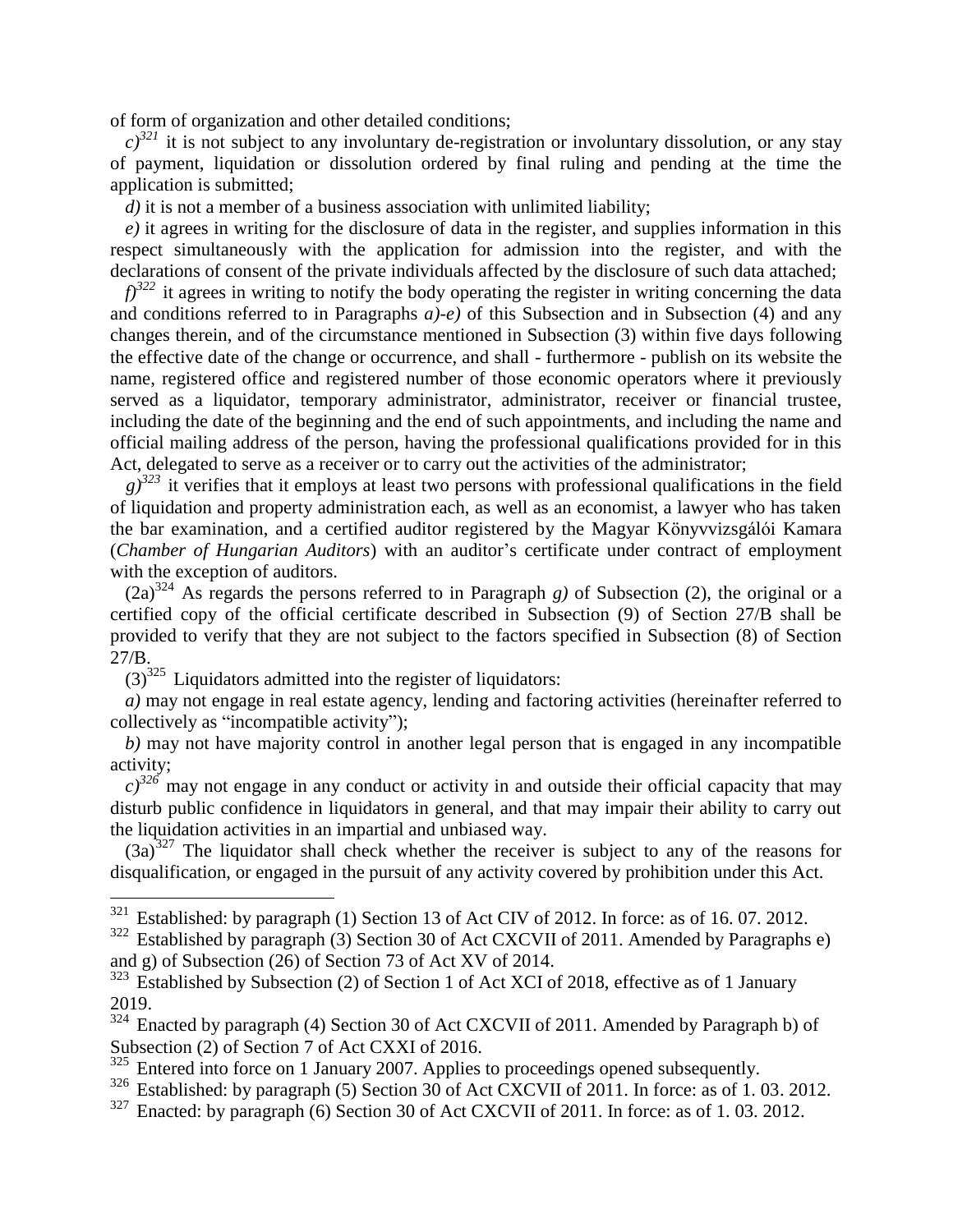of form of organization and other detailed conditions;

 $c$ <sup>321</sup> it is not subject to any involuntary de-registration or involuntary dissolution, or any stay of payment, liquidation or dissolution ordered by final ruling and pending at the time the application is submitted;

*d*) it is not a member of a business association with unlimited liability;

*e)* it agrees in writing for the disclosure of data in the register, and supplies information in this respect simultaneously with the application for admission into the register, and with the declarations of consent of the private individuals affected by the disclosure of such data attached;

 $f$ <sup>322</sup> it agrees in writing to notify the body operating the register in writing concerning the data and conditions referred to in Paragraphs *a)-e)* of this Subsection and in Subsection (4) and any changes therein, and of the circumstance mentioned in Subsection (3) within five days following the effective date of the change or occurrence, and shall - furthermore - publish on its website the name, registered office and registered number of those economic operators where it previously served as a liquidator, temporary administrator, administrator, receiver or financial trustee, including the date of the beginning and the end of such appointments, and including the name and official mailing address of the person, having the professional qualifications provided for in this Act, delegated to serve as a receiver or to carry out the activities of the administrator;

 $g^{323}$  it verifies that it employs at least two persons with professional qualifications in the field of liquidation and property administration each, as well as an economist, a lawyer who has taken the bar examination, and a certified auditor registered by the Magyar Könyvvizsgálói Kamara (*Chamber of Hungarian Auditors*) with an auditor's certificate under contract of employment with the exception of auditors.

 $(2a)^{324}$  As regards the persons referred to in Paragraph *g*) of Subsection (2), the original or a certified copy of the official certificate described in Subsection (9) of Section 27/B shall be provided to verify that they are not subject to the factors specified in Subsection (8) of Section 27/B.

 $(3)^{325}$  Liquidators admitted into the register of liquidators:

 $\overline{a}$ 

*a)* may not engage in real estate agency, lending and factoring activities (hereinafter referred to collectively as "incompatible activity");

*b)* may not have majority control in another legal person that is engaged in any incompatible activity;

 $c^{326}$  may not engage in any conduct or activity in and outside their official capacity that may disturb public confidence in liquidators in general, and that may impair their ability to carry out the liquidation activities in an impartial and unbiased way.

 $(3a)^{327}$  The liquidator shall check whether the receiver is subject to any of the reasons for disqualification, or engaged in the pursuit of any activity covered by prohibition under this Act.

 $321$  Established: by paragraph (1) Section 13 of Act CIV of 2012. In force: as of 16.07.2012.

 $322$  Established by paragraph (3) Section 30 of Act CXCVII of 2011. Amended by Paragraphs e) and g) of Subsection (26) of Section 73 of Act XV of 2014.

 $323$  Established by Subsection (2) of Section 1 of Act XCI of 2018, effective as of 1 January 2019.

<sup>&</sup>lt;sup>324</sup> Enacted by paragraph (4) Section 30 of Act CXCVII of 2011. Amended by Paragraph b) of Subsection (2) of Section 7 of Act CXXI of 2016.

<sup>&</sup>lt;sup>325</sup> Entered into force on 1 January 2007. Applies to proceedings opened subsequently.

 $326$  Established: by paragraph (5) Section 30 of Act CXCVII of 2011. In force: as of 1.03. 2012.

<sup>&</sup>lt;sup>327</sup> Enacted: by paragraph (6) Section 30 of Act CXCVII of 2011. In force: as of 1.03. 2012.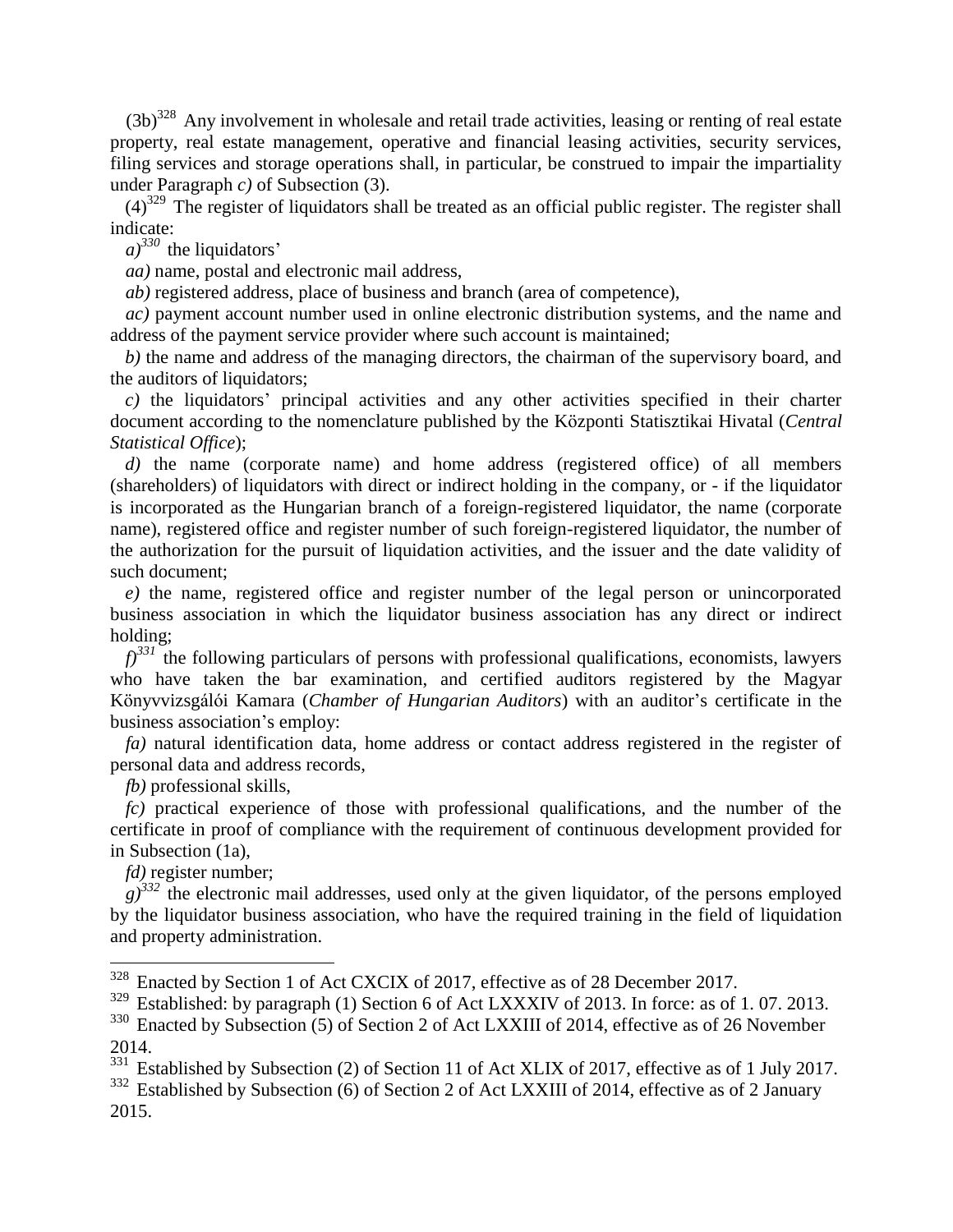$(3b)^{328}$  Any involvement in wholesale and retail trade activities, leasing or renting of real estate property, real estate management, operative and financial leasing activities, security services, filing services and storage operations shall, in particular, be construed to impair the impartiality under Paragraph *c)* of Subsection (3).

 $(4)^{329}$  The register of liquidators shall be treated as an official public register. The register shall indicate:

 $a)^{330}$  the liquidators'

*aa)* name, postal and electronic mail address,

*ab)* registered address, place of business and branch (area of competence),

*ac)* payment account number used in online electronic distribution systems, and the name and address of the payment service provider where such account is maintained;

*b)* the name and address of the managing directors, the chairman of the supervisory board, and the auditors of liquidators;

*c)* the liquidators' principal activities and any other activities specified in their charter document according to the nomenclature published by the Központi Statisztikai Hivatal (*Central Statistical Office*);

*d)* the name (corporate name) and home address (registered office) of all members (shareholders) of liquidators with direct or indirect holding in the company, or - if the liquidator is incorporated as the Hungarian branch of a foreign-registered liquidator, the name (corporate name), registered office and register number of such foreign-registered liquidator, the number of the authorization for the pursuit of liquidation activities, and the issuer and the date validity of such document;

*e)* the name, registered office and register number of the legal person or unincorporated business association in which the liquidator business association has any direct or indirect holding;

 $f^{331}$  the following particulars of persons with professional qualifications, economists, lawyers who have taken the bar examination, and certified auditors registered by the Magyar Könyvvizsgálói Kamara (*Chamber of Hungarian Auditors*) with an auditor's certificate in the business association's employ:

*fa)* natural identification data, home address or contact address registered in the register of personal data and address records,

*fb)* professional skills,

*fc)* practical experience of those with professional qualifications, and the number of the certificate in proof of compliance with the requirement of continuous development provided for in Subsection (1a),

*fd)* register number;

 $g^{332}$  the electronic mail addresses, used only at the given liquidator, of the persons employed by the liquidator business association, who have the required training in the field of liquidation and property administration.

 $328$  Enacted by Section 1 of Act CXCIX of 2017, effective as of 28 December 2017.

<sup>&</sup>lt;sup>329</sup> Established: by paragraph (1) Section 6 of Act LXXXIV of 2013. In force: as of 1.07. 2013.

 $330$  Enacted by Subsection (5) of Section 2 of Act LXXIII of 2014, effective as of 26 November 2014.

<sup>&</sup>lt;sup>331</sup> Established by Subsection (2) of Section 11 of Act XLIX of 2017, effective as of 1 July 2017. <sup>332</sup> Established by Subsection (6) of Section 2 of Act LXXIII of 2014, effective as of 2 January

<sup>2015.</sup>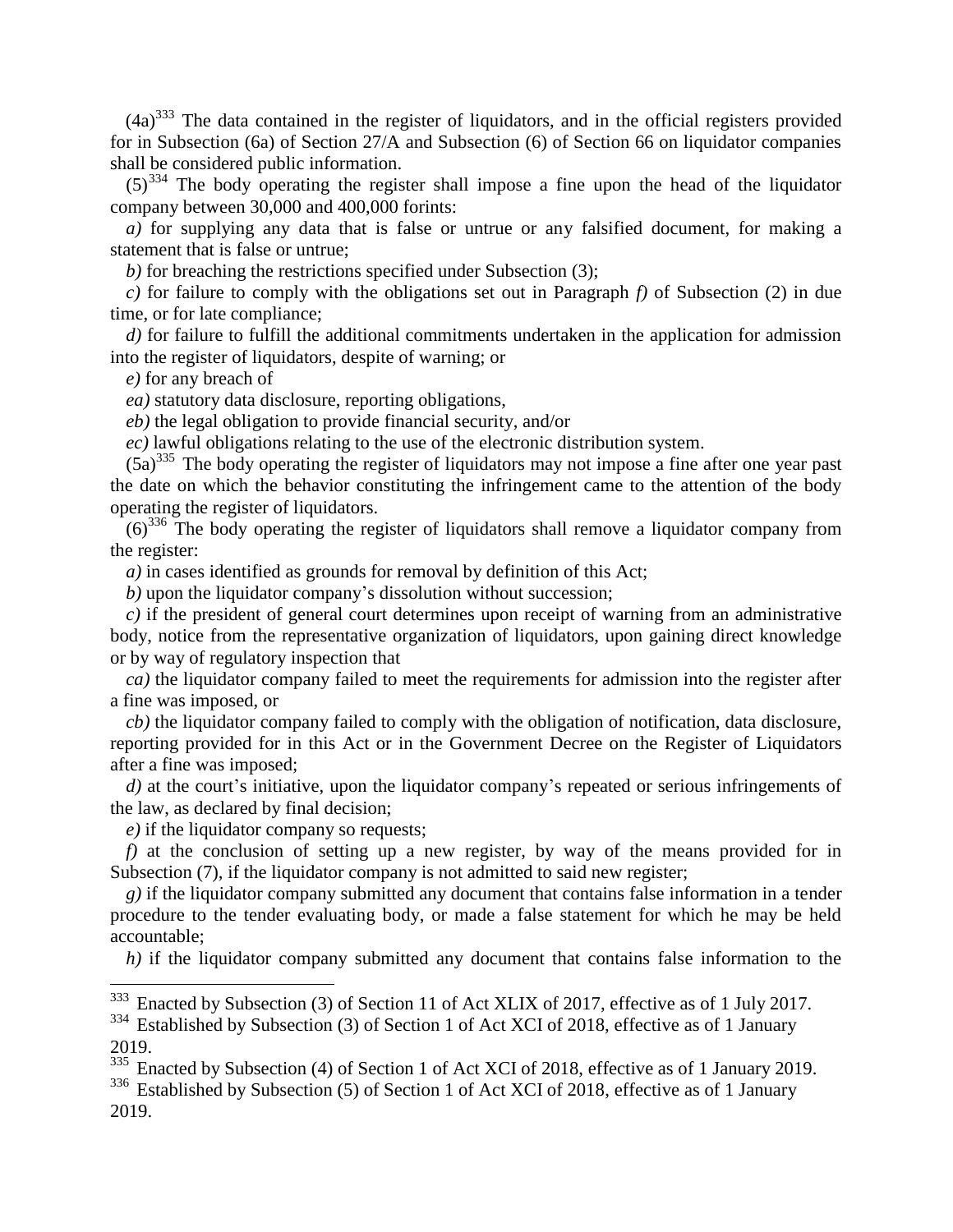$(4a)^{333}$  The data contained in the register of liquidators, and in the official registers provided for in Subsection (6a) of Section 27/A and Subsection (6) of Section 66 on liquidator companies shall be considered public information.

 $(5)^{334}$  The body operating the register shall impose a fine upon the head of the liquidator company between 30,000 and 400,000 forints:

*a)* for supplying any data that is false or untrue or any falsified document, for making a statement that is false or untrue;

*b)* for breaching the restrictions specified under Subsection (3);

*c)* for failure to comply with the obligations set out in Paragraph *f)* of Subsection (2) in due time, or for late compliance;

*d)* for failure to fulfill the additional commitments undertaken in the application for admission into the register of liquidators, despite of warning; or

*e)* for any breach of

*ea)* statutory data disclosure, reporting obligations,

*eb)* the legal obligation to provide financial security, and/or

*ec)* lawful obligations relating to the use of the electronic distribution system.

 $(5a)^{335}$  The body operating the register of liquidators may not impose a fine after one year past the date on which the behavior constituting the infringement came to the attention of the body operating the register of liquidators.

 $(6)^{336}$  The body operating the register of liquidators shall remove a liquidator company from the register:

*a)* in cases identified as grounds for removal by definition of this Act;

*b)* upon the liquidator company's dissolution without succession;

*c)* if the president of general court determines upon receipt of warning from an administrative body, notice from the representative organization of liquidators, upon gaining direct knowledge or by way of regulatory inspection that

*ca)* the liquidator company failed to meet the requirements for admission into the register after a fine was imposed, or

*cb)* the liquidator company failed to comply with the obligation of notification, data disclosure, reporting provided for in this Act or in the Government Decree on the Register of Liquidators after a fine was imposed;

*d*) at the court's initiative, upon the liquidator company's repeated or serious infringements of the law, as declared by final decision;

*e)* if the liquidator company so requests;

 $\overline{a}$ 

*f)* at the conclusion of setting up a new register, by way of the means provided for in Subsection (7), if the liquidator company is not admitted to said new register;

*g)* if the liquidator company submitted any document that contains false information in a tender procedure to the tender evaluating body, or made a false statement for which he may be held accountable;

*h)* if the liquidator company submitted any document that contains false information to the

<sup>&</sup>lt;sup>333</sup> Enacted by Subsection (3) of Section 11 of Act XLIX of 2017, effective as of 1 July 2017.

<sup>&</sup>lt;sup>334</sup> Established by Subsection (3) of Section 1 of Act XCI of 2018, effective as of 1 January 2019.

<sup>&</sup>lt;sup>335</sup> Enacted by Subsection (4) of Section 1 of Act XCI of 2018, effective as of 1 January 2019.

<sup>&</sup>lt;sup>336</sup> Established by Subsection (5) of Section 1 of Act XCI of 2018, effective as of 1 January 2019.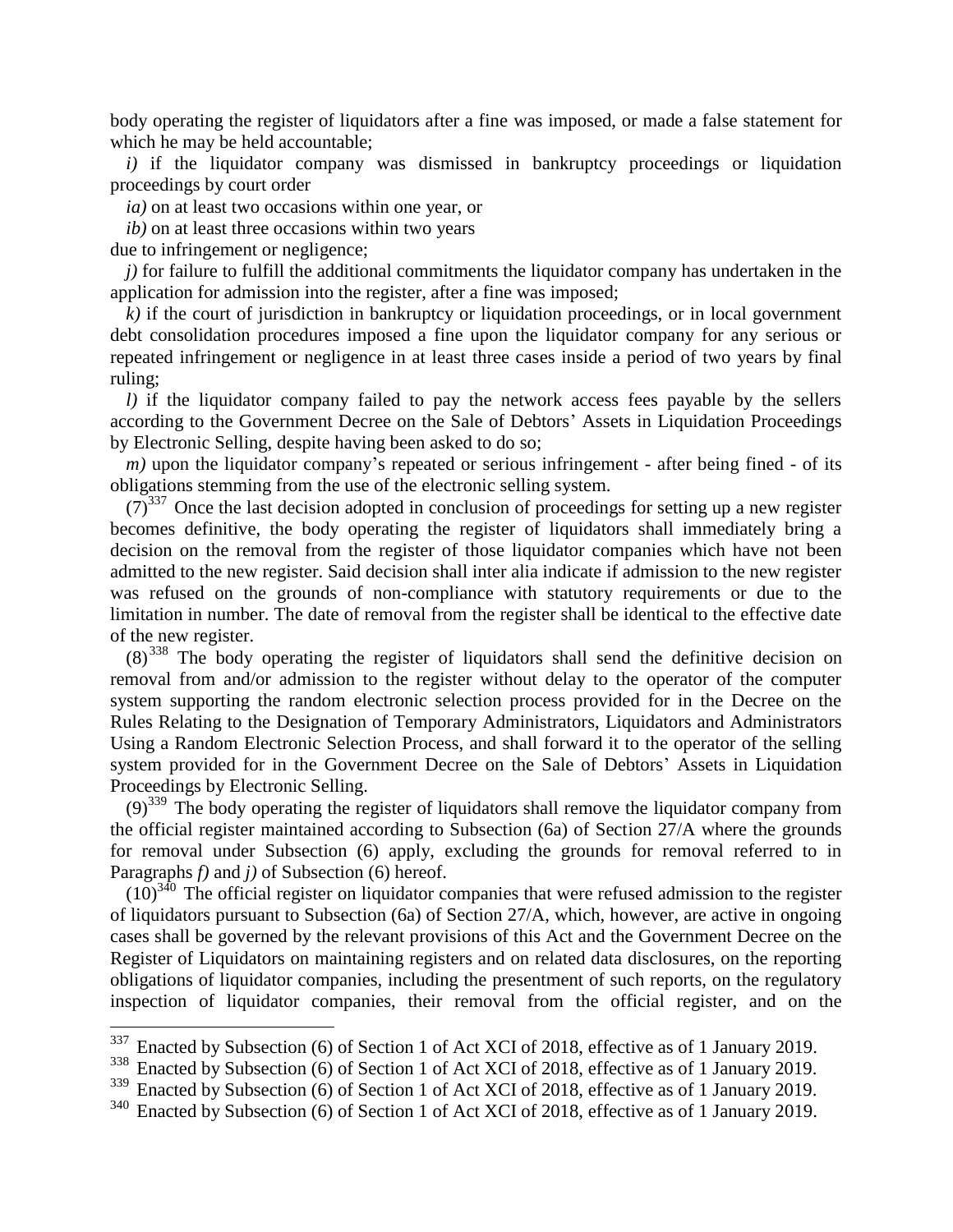body operating the register of liquidators after a fine was imposed, or made a false statement for which he may be held accountable;

*i*) if the liquidator company was dismissed in bankruptcy proceedings or liquidation proceedings by court order

*ia)* on at least two occasions within one year, or

*ib)* on at least three occasions within two years

due to infringement or negligence;

 $\overline{a}$ 

*j)* for failure to fulfill the additional commitments the liquidator company has undertaken in the application for admission into the register, after a fine was imposed;

 $k$ ) if the court of jurisdiction in bankruptcy or liquidation proceedings, or in local government debt consolidation procedures imposed a fine upon the liquidator company for any serious or repeated infringement or negligence in at least three cases inside a period of two years by final ruling;

*l)* if the liquidator company failed to pay the network access fees payable by the sellers according to the Government Decree on the Sale of Debtors' Assets in Liquidation Proceedings by Electronic Selling, despite having been asked to do so;

*m*) upon the liquidator company's repeated or serious infringement - after being fined - of its obligations stemming from the use of the electronic selling system.

 $(7)^{337}$  Once the last decision adopted in conclusion of proceedings for setting up a new register becomes definitive, the body operating the register of liquidators shall immediately bring a decision on the removal from the register of those liquidator companies which have not been admitted to the new register. Said decision shall inter alia indicate if admission to the new register was refused on the grounds of non-compliance with statutory requirements or due to the limitation in number. The date of removal from the register shall be identical to the effective date of the new register.

(8) <sup>338</sup> The body operating the register of liquidators shall send the definitive decision on removal from and/or admission to the register without delay to the operator of the computer system supporting the random electronic selection process provided for in the Decree on the Rules Relating to the Designation of Temporary Administrators, Liquidators and Administrators Using a Random Electronic Selection Process, and shall forward it to the operator of the selling system provided for in the Government Decree on the Sale of Debtors' Assets in Liquidation Proceedings by Electronic Selling.

 $(9)^{339}$  The body operating the register of liquidators shall remove the liquidator company from the official register maintained according to Subsection (6a) of Section 27/A where the grounds for removal under Subsection (6) apply, excluding the grounds for removal referred to in Paragraphs *f)* and *j)* of Subsection (6) hereof.

 $(10)^{340}$  The official register on liquidator companies that were refused admission to the register of liquidators pursuant to Subsection (6a) of Section 27/A, which, however, are active in ongoing cases shall be governed by the relevant provisions of this Act and the Government Decree on the Register of Liquidators on maintaining registers and on related data disclosures, on the reporting obligations of liquidator companies, including the presentment of such reports, on the regulatory inspection of liquidator companies, their removal from the official register, and on the

<sup>&</sup>lt;sup>337</sup> Enacted by Subsection (6) of Section 1 of Act XCI of 2018, effective as of 1 January 2019.

<sup>&</sup>lt;sup>338</sup> Enacted by Subsection (6) of Section 1 of Act XCI of 2018, effective as of 1 January 2019.

<sup>&</sup>lt;sup>339</sup> Enacted by Subsection (6) of Section 1 of Act XCI of 2018, effective as of 1 January 2019.

<sup>&</sup>lt;sup>340</sup> Enacted by Subsection (6) of Section 1 of Act XCI of 2018, effective as of 1 January 2019.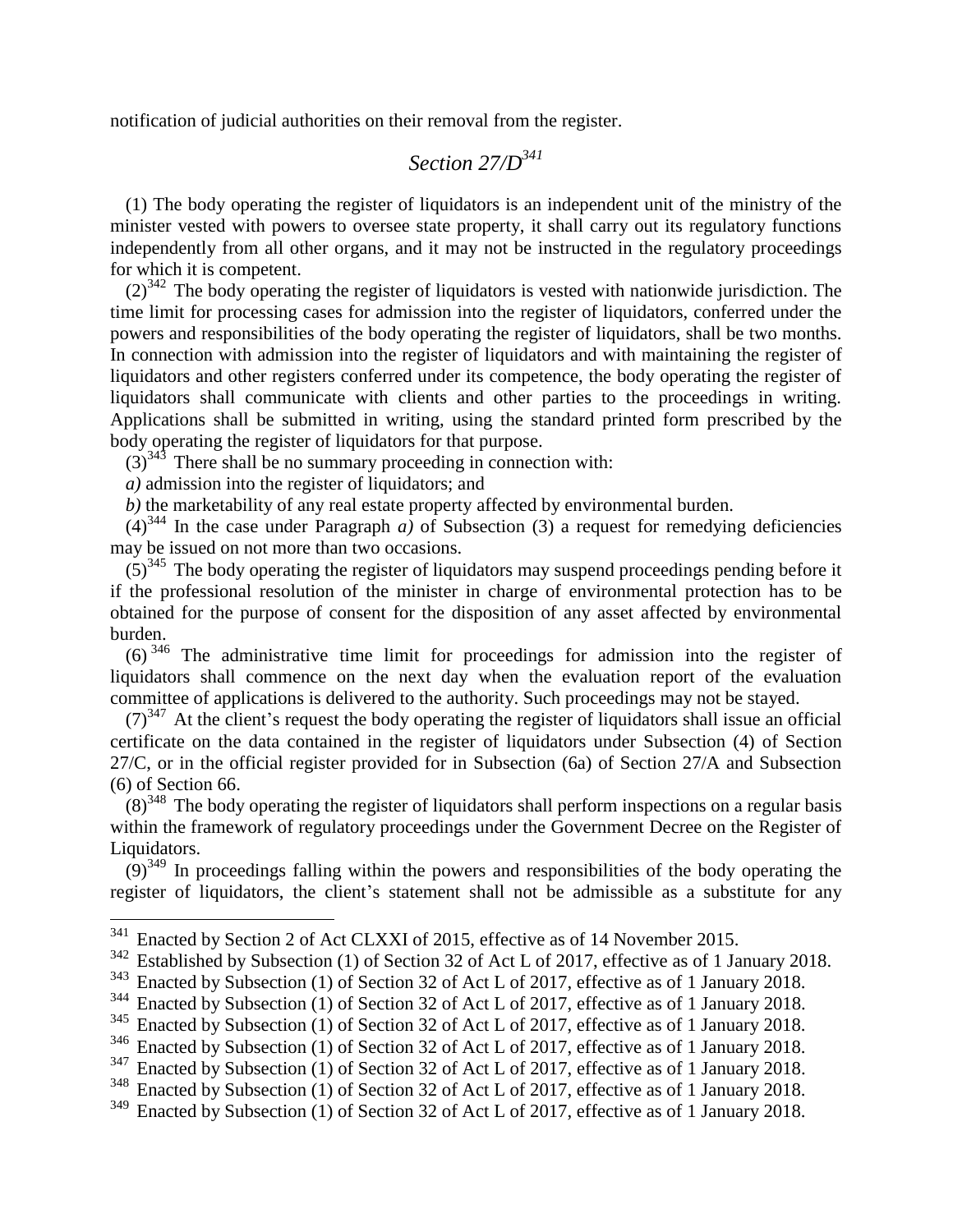notification of judicial authorities on their removal from the register.

### *Section 27/D<sup>341</sup>*

(1) The body operating the register of liquidators is an independent unit of the ministry of the minister vested with powers to oversee state property, it shall carry out its regulatory functions independently from all other organs, and it may not be instructed in the regulatory proceedings for which it is competent.

 $(2)^{342}$  The body operating the register of liquidators is vested with nationwide jurisdiction. The time limit for processing cases for admission into the register of liquidators, conferred under the powers and responsibilities of the body operating the register of liquidators, shall be two months. In connection with admission into the register of liquidators and with maintaining the register of liquidators and other registers conferred under its competence, the body operating the register of liquidators shall communicate with clients and other parties to the proceedings in writing. Applications shall be submitted in writing, using the standard printed form prescribed by the body operating the register of liquidators for that purpose.

 $(3)^{343}$  There shall be no summary proceeding in connection with:

*a)* admission into the register of liquidators; and

 $\overline{a}$ 

*b)* the marketability of any real estate property affected by environmental burden.

 $(4)^{344}$  In the case under Paragraph *a*) of Subsection (3) a request for remedying deficiencies may be issued on not more than two occasions.

 $(5)^{345}$  The body operating the register of liquidators may suspend proceedings pending before it if the professional resolution of the minister in charge of environmental protection has to be obtained for the purpose of consent for the disposition of any asset affected by environmental burden.

 $(6)^{346}$  The administrative time limit for proceedings for admission into the register of liquidators shall commence on the next day when the evaluation report of the evaluation committee of applications is delivered to the authority. Such proceedings may not be stayed.

 $(7)^{347}$  At the client's request the body operating the register of liquidators shall issue an official certificate on the data contained in the register of liquidators under Subsection (4) of Section 27/C, or in the official register provided for in Subsection (6a) of Section 27/A and Subsection (6) of Section 66.

 $(8)^{348}$  The body operating the register of liquidators shall perform inspections on a regular basis within the framework of regulatory proceedings under the Government Decree on the Register of Liquidators.

 $(9)^{349}$  In proceedings falling within the powers and responsibilities of the body operating the register of liquidators, the client's statement shall not be admissible as a substitute for any

 $341$  Enacted by Section 2 of Act CLXXI of 2015, effective as of 14 November 2015.

<sup>&</sup>lt;sup>342</sup> Established by Subsection (1) of Section 32 of Act L of 2017, effective as of 1 January 2018.

<sup>&</sup>lt;sup>343</sup> Enacted by Subsection (1) of Section 32 of Act L of 2017, effective as of 1 January 2018.

<sup>&</sup>lt;sup>344</sup> Enacted by Subsection (1) of Section 32 of Act L of 2017, effective as of 1 January 2018.

<sup>&</sup>lt;sup>345</sup> Enacted by Subsection (1) of Section 32 of Act L of 2017, effective as of 1 January 2018.

<sup>&</sup>lt;sup>346</sup> Enacted by Subsection (1) of Section 32 of Act L of 2017, effective as of 1 January 2018.

 $347$  Enacted by Subsection (1) of Section 32 of Act L of 2017, effective as of 1 January 2018.

<sup>&</sup>lt;sup>348</sup> Enacted by Subsection (1) of Section 32 of Act L of 2017, effective as of 1 January 2018.<br><sup>349</sup> Enacted by Subsection (1) of Section 32 of Act L of 2017, effective as of 1 January 2018.

Enacted by Subsection (1) of Section 32 of Act L of 2017, effective as of 1 January 2018.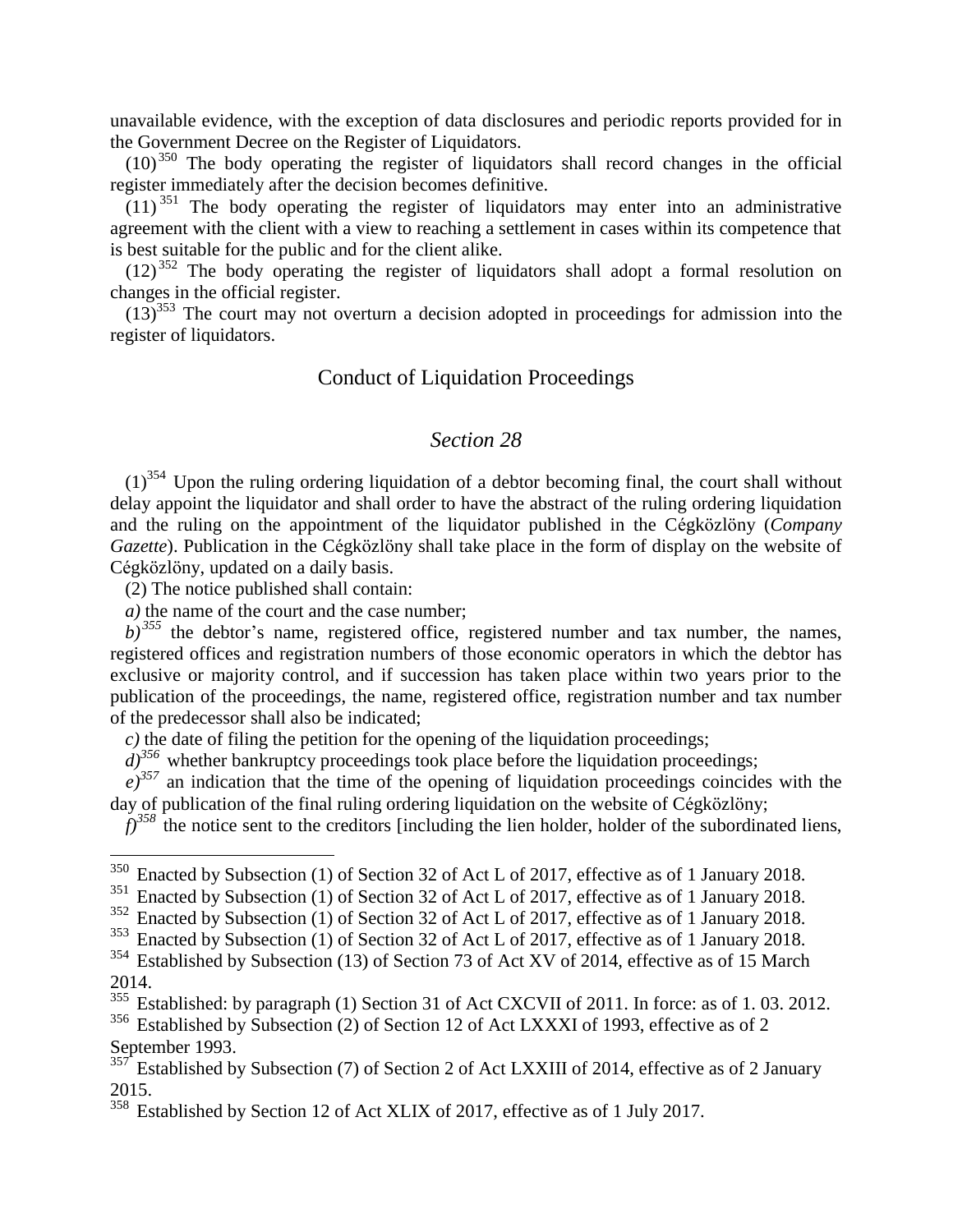unavailable evidence, with the exception of data disclosures and periodic reports provided for in the Government Decree on the Register of Liquidators.

 $(10)^{350}$  The body operating the register of liquidators shall record changes in the official register immediately after the decision becomes definitive.

 $(11)^{351}$  The body operating the register of liquidators may enter into an administrative agreement with the client with a view to reaching a settlement in cases within its competence that is best suitable for the public and for the client alike.

(12) <sup>352</sup> The body operating the register of liquidators shall adopt a formal resolution on changes in the official register.

 $(13)^{353}$  The court may not overturn a decision adopted in proceedings for admission into the register of liquidators.

#### Conduct of Liquidation Proceedings

#### *Section 28*

 $(1)^{354}$  Upon the ruling ordering liquidation of a debtor becoming final, the court shall without delay appoint the liquidator and shall order to have the abstract of the ruling ordering liquidation and the ruling on the appointment of the liquidator published in the Cégközlöny (*Company Gazette*). Publication in the Cégközlöny shall take place in the form of display on the website of Cégközlöny, updated on a daily basis.

(2) The notice published shall contain:

 $\overline{a}$ 

*a)* the name of the court and the case number;

 $b)$ <sup>355</sup> the debtor's name, registered office, registered number and tax number, the names, registered offices and registration numbers of those economic operators in which the debtor has exclusive or majority control, and if succession has taken place within two years prior to the publication of the proceedings, the name, registered office, registration number and tax number of the predecessor shall also be indicated;

*c)* the date of filing the petition for the opening of the liquidation proceedings;

 $d$ <sup>356</sup> whether bankruptcy proceedings took place before the liquidation proceedings;

 $e^{j^{357}}$  an indication that the time of the opening of liquidation proceedings coincides with the day of publication of the final ruling ordering liquidation on the website of Cégközlöny;

 $f$ <sup>358</sup> the notice sent to the creditors [including the lien holder, holder of the subordinated liens,

September 1993.

<sup>&</sup>lt;sup>350</sup> Enacted by Subsection (1) of Section 32 of Act L of 2017, effective as of 1 January 2018.

 $351$  Enacted by Subsection (1) of Section 32 of Act L of 2017, effective as of 1 January 2018.

<sup>&</sup>lt;sup>352</sup> Enacted by Subsection (1) of Section 32 of Act L of 2017, effective as of 1 January 2018.

 $353$  Enacted by Subsection (1) of Section 32 of Act L of 2017, effective as of 1 January 2018.

<sup>&</sup>lt;sup>354</sup> Established by Subsection (13) of Section 73 of Act XV of 2014, effective as of 15 March 2014.

<sup>&</sup>lt;sup>355</sup> Established: by paragraph (1) Section 31 of Act CXCVII of 2011. In force: as of 1.03. 2012. <sup>356</sup> Established by Subsection (2) of Section 12 of Act LXXXI of 1993, effective as of 2

 $357$  Established by Subsection (7) of Section 2 of Act LXXIII of 2014, effective as of 2 January 2015.

<sup>&</sup>lt;sup>358</sup> Established by Section 12 of Act XLIX of 2017, effective as of 1 July 2017.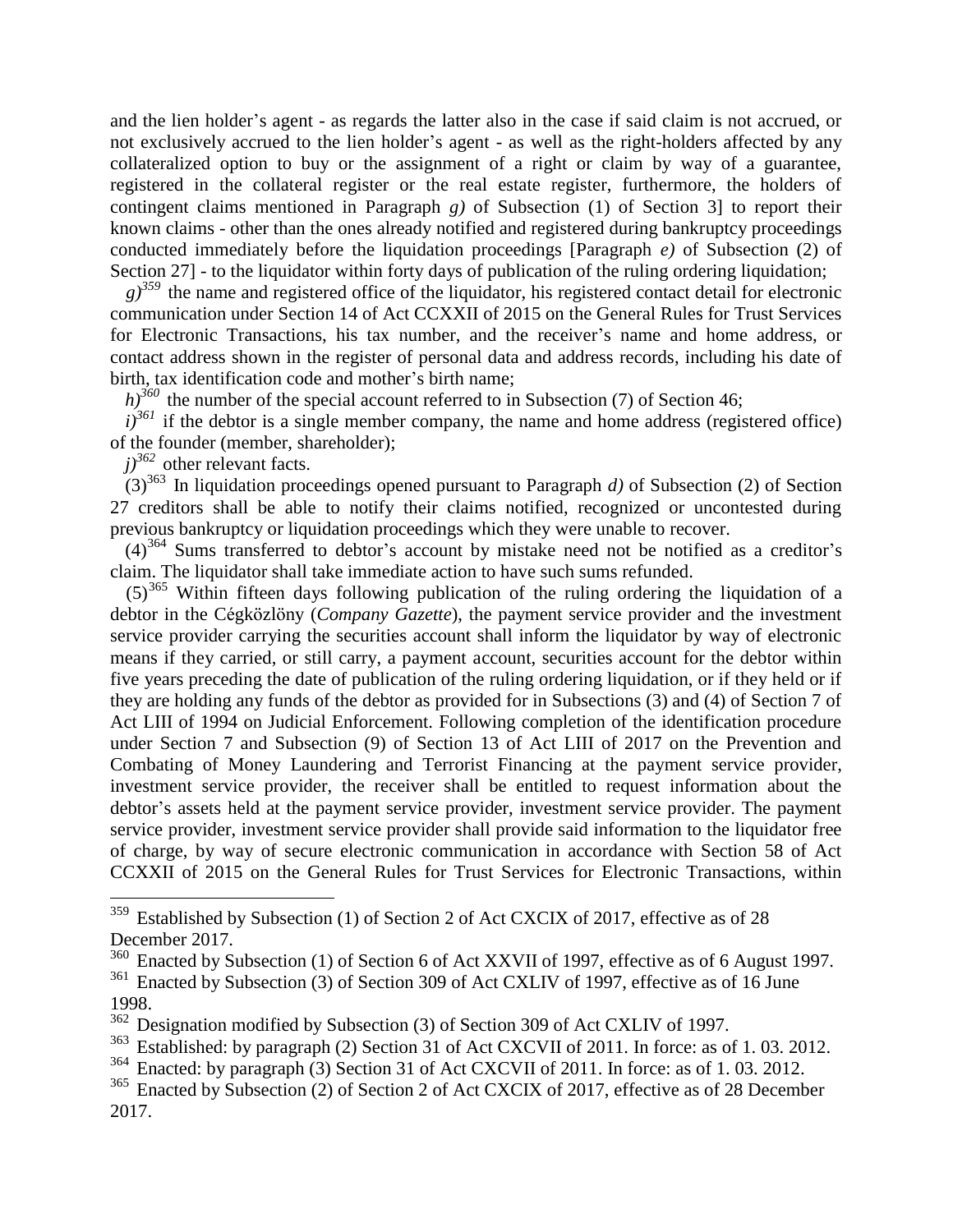and the lien holder's agent - as regards the latter also in the case if said claim is not accrued, or not exclusively accrued to the lien holder's agent - as well as the right-holders affected by any collateralized option to buy or the assignment of a right or claim by way of a guarantee, registered in the collateral register or the real estate register, furthermore, the holders of contingent claims mentioned in Paragraph *g)* of Subsection (1) of Section 3] to report their known claims - other than the ones already notified and registered during bankruptcy proceedings conducted immediately before the liquidation proceedings [Paragraph *e)* of Subsection (2) of Section 27] - to the liquidator within forty days of publication of the ruling ordering liquidation;

 $g^{359}$  the name and registered office of the liquidator, his registered contact detail for electronic communication under Section 14 of Act CCXXII of 2015 on the General Rules for Trust Services for Electronic Transactions, his tax number, and the receiver's name and home address, or contact address shown in the register of personal data and address records, including his date of birth, tax identification code and mother's birth name;

 $h$ <sup>360</sup> the number of the special account referred to in Subsection (7) of Section 46;

 $i$ <sup>361</sup> if the debtor is a single member company, the name and home address (registered office) of the founder (member, shareholder);

*j)<sup>362</sup>* other relevant facts.

 $\overline{a}$ 

 $(3)^{363}$  In liquidation proceedings opened pursuant to Paragraph *d*) of Subsection (2) of Section 27 creditors shall be able to notify their claims notified, recognized or uncontested during previous bankruptcy or liquidation proceedings which they were unable to recover.

(4)<sup>364</sup> Sums transferred to debtor's account by mistake need not be notified as a creditor's claim. The liquidator shall take immediate action to have such sums refunded.

 $(5)^{365}$  Within fifteen days following publication of the ruling ordering the liquidation of a debtor in the Cégközlöny (*Company Gazette*), the payment service provider and the investment service provider carrying the securities account shall inform the liquidator by way of electronic means if they carried, or still carry, a payment account, securities account for the debtor within five years preceding the date of publication of the ruling ordering liquidation, or if they held or if they are holding any funds of the debtor as provided for in Subsections (3) and (4) of Section 7 of Act LIII of 1994 on Judicial Enforcement. Following completion of the identification procedure under Section 7 and Subsection (9) of Section 13 of Act LIII of 2017 on the Prevention and Combating of Money Laundering and Terrorist Financing at the payment service provider, investment service provider, the receiver shall be entitled to request information about the debtor's assets held at the payment service provider, investment service provider. The payment service provider, investment service provider shall provide said information to the liquidator free of charge, by way of secure electronic communication in accordance with Section 58 of Act CCXXII of 2015 on the General Rules for Trust Services for Electronic Transactions, within

<sup>&</sup>lt;sup>359</sup> Established by Subsection (1) of Section 2 of Act CXCIX of 2017, effective as of 28 December 2017.

<sup>&</sup>lt;sup>360</sup> Enacted by Subsection (1) of Section 6 of Act XXVII of 1997, effective as of 6 August 1997. <sup>361</sup> Enacted by Subsection (3) of Section 309 of Act CXLIV of 1997, effective as of 16 June 1998.

<sup>&</sup>lt;sup>362</sup> Designation modified by Subsection (3) of Section 309 of Act CXLIV of 1997.<br><sup>363</sup> Established: by paragraph (2) Section 31 of Act CXCVII of 2011. In force: as of

Established: by paragraph (2) Section 31 of Act CXCVII of 2011. In force: as of 1.03. 2012.

<sup>364</sup> Enacted: by paragraph (3) Section 31 of Act CXCVII of 2011. In force: as of 1. 03. 2012.

<sup>&</sup>lt;sup>365</sup> Enacted by Subsection (2) of Section 2 of Act CXCIX of 2017, effective as of 28 December 2017.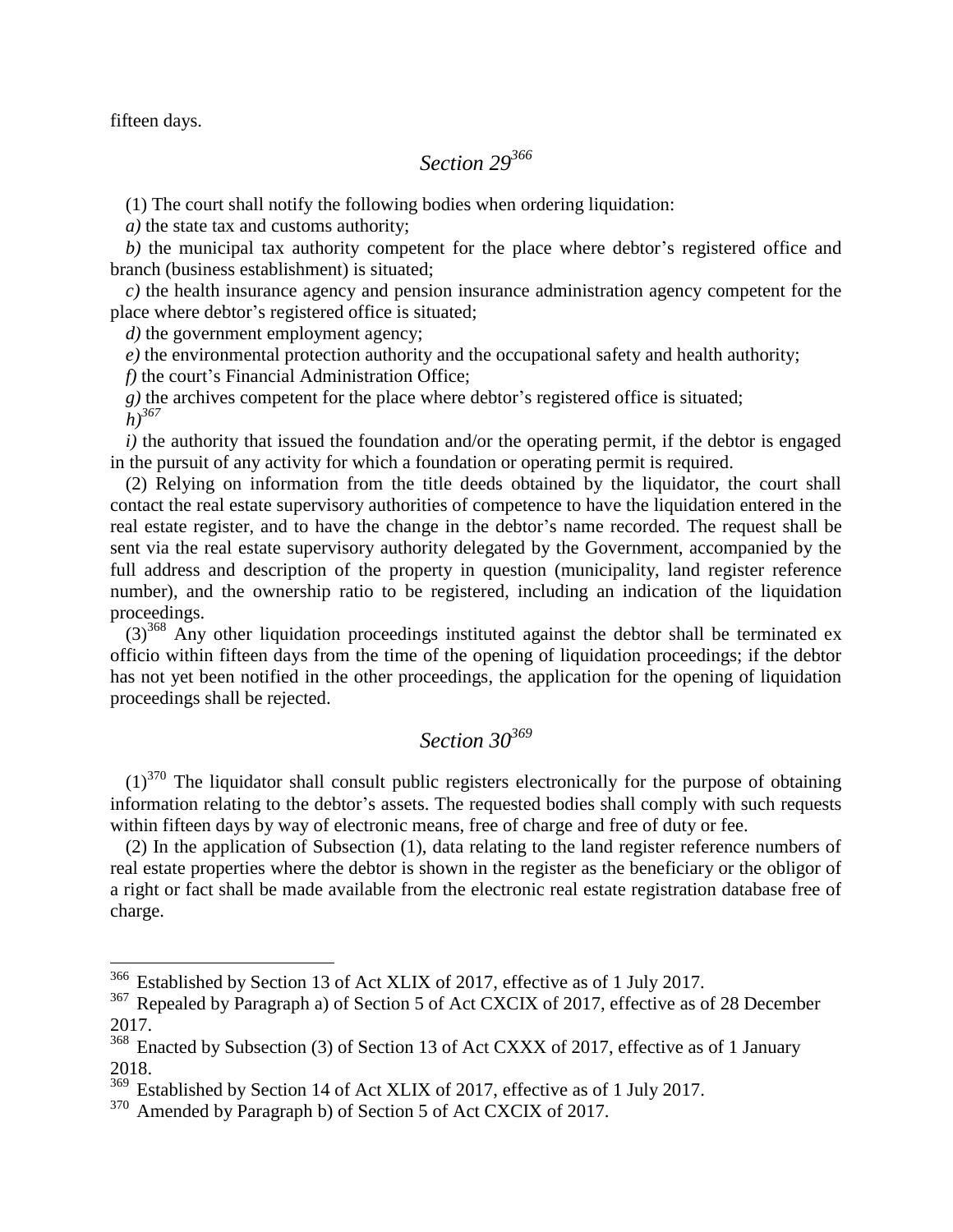fifteen days.

# *Section 29<sup>366</sup>*

(1) The court shall notify the following bodies when ordering liquidation:

*a)* the state tax and customs authority;

*b)* the municipal tax authority competent for the place where debtor's registered office and branch (business establishment) is situated;

*c)* the health insurance agency and pension insurance administration agency competent for the place where debtor's registered office is situated;

*d*) the government employment agency;

*e)* the environmental protection authority and the occupational safety and health authority;

*f)* the court's Financial Administration Office;

*g)* the archives competent for the place where debtor's registered office is situated;

*h)<sup>367</sup>*

 $\overline{a}$ 

*i*) the authority that issued the foundation and/or the operating permit, if the debtor is engaged in the pursuit of any activity for which a foundation or operating permit is required.

(2) Relying on information from the title deeds obtained by the liquidator, the court shall contact the real estate supervisory authorities of competence to have the liquidation entered in the real estate register, and to have the change in the debtor's name recorded. The request shall be sent via the real estate supervisory authority delegated by the Government, accompanied by the full address and description of the property in question (municipality, land register reference number), and the ownership ratio to be registered, including an indication of the liquidation proceedings.

 $(3)^{368}$  Any other liquidation proceedings instituted against the debtor shall be terminated ex officio within fifteen days from the time of the opening of liquidation proceedings; if the debtor has not yet been notified in the other proceedings, the application for the opening of liquidation proceedings shall be rejected.

### *Section 30<sup>369</sup>*

 $(1)^{370}$  The liquidator shall consult public registers electronically for the purpose of obtaining information relating to the debtor's assets. The requested bodies shall comply with such requests within fifteen days by way of electronic means, free of charge and free of duty or fee.

(2) In the application of Subsection (1), data relating to the land register reference numbers of real estate properties where the debtor is shown in the register as the beneficiary or the obligor of a right or fact shall be made available from the electronic real estate registration database free of charge.

 $366$  Established by Section 13 of Act XLIX of 2017, effective as of 1 July 2017.

<sup>&</sup>lt;sup>367</sup> Repealed by Paragraph a) of Section 5 of Act CXCIX of 2017, effective as of 28 December 2017.

<sup>&</sup>lt;sup>368</sup> Enacted by Subsection (3) of Section 13 of Act CXXX of 2017, effective as of 1 January 2018.

<sup>369</sup> Established by Section 14 of Act XLIX of 2017, effective as of 1 July 2017.

<sup>&</sup>lt;sup>370</sup> Amended by Paragraph b) of Section 5 of Act CXCIX of 2017.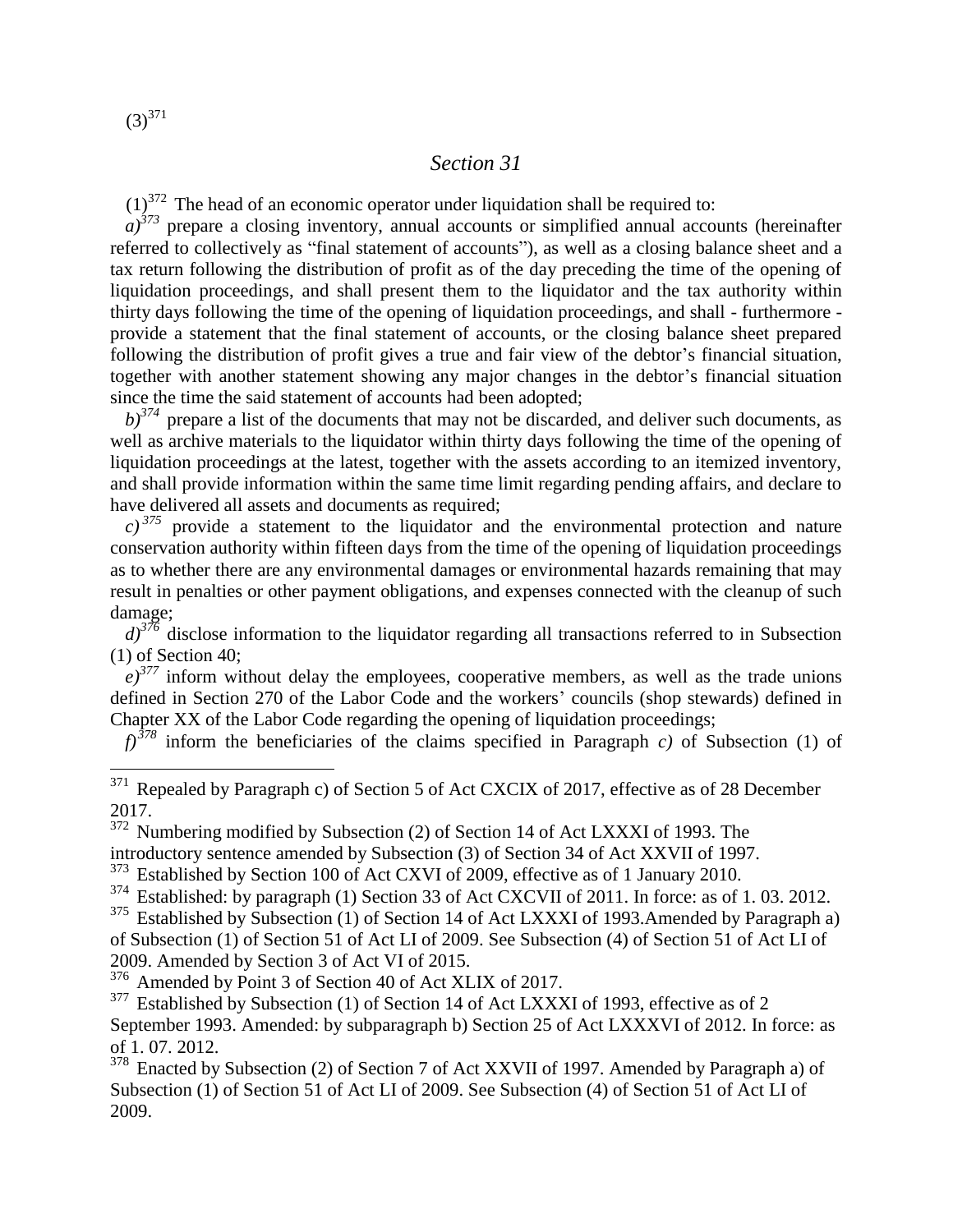$(3)^{371}$ 

 $\overline{a}$ 

#### *Section 31*

 $(1)^{372}$  The head of an economic operator under liquidation shall be required to:

 $a)$ <sup>373</sup> prepare a closing inventory, annual accounts or simplified annual accounts (hereinafter referred to collectively as "final statement of accounts"), as well as a closing balance sheet and a tax return following the distribution of profit as of the day preceding the time of the opening of liquidation proceedings, and shall present them to the liquidator and the tax authority within thirty days following the time of the opening of liquidation proceedings, and shall - furthermore provide a statement that the final statement of accounts, or the closing balance sheet prepared following the distribution of profit gives a true and fair view of the debtor's financial situation, together with another statement showing any major changes in the debtor's financial situation since the time the said statement of accounts had been adopted;

 $b$ <sup>374</sup> prepare a list of the documents that may not be discarded, and deliver such documents, as well as archive materials to the liquidator within thirty days following the time of the opening of liquidation proceedings at the latest, together with the assets according to an itemized inventory, and shall provide information within the same time limit regarding pending affairs, and declare to have delivered all assets and documents as required;

 $c)$ <sup>375</sup> provide a statement to the liquidator and the environmental protection and nature conservation authority within fifteen days from the time of the opening of liquidation proceedings as to whether there are any environmental damages or environmental hazards remaining that may result in penalties or other payment obligations, and expenses connected with the cleanup of such damage;

 $d$ <sup>376</sup> disclose information to the liquidator regarding all transactions referred to in Subsection (1) of Section 40;

 $e^{377}$  inform without delay the employees, cooperative members, as well as the trade unions defined in Section 270 of the Labor Code and the workers' councils (shop stewards) defined in Chapter XX of the Labor Code regarding the opening of liquidation proceedings;

*f)<sup>378</sup>* inform the beneficiaries of the claims specified in Paragraph *c)* of Subsection (1) of

<sup>372</sup> Numbering modified by Subsection (2) of Section 14 of Act LXXXI of 1993. The introductory sentence amended by Subsection (3) of Section 34 of Act XXVII of 1997.

<sup>373</sup> Established by Section 100 of Act CXVI of 2009, effective as of 1 January 2010.

<sup>374</sup> Established: by paragraph (1) Section 33 of Act CXCVII of 2011. In force: as of 1.03. 2012.

<sup>375</sup> Established by Subsection (1) of Section 14 of Act LXXXI of 1993. Amended by Paragraph a) of Subsection (1) of Section 51 of Act LI of 2009. See Subsection (4) of Section 51 of Act LI of 2009. Amended by Section 3 of Act VI of 2015.

<sup>376</sup> Amended by Point 3 of Section 40 of Act XLIX of 2017.

 $377$  Established by Subsection (1) of Section 14 of Act LXXXI of 1993, effective as of 2 September 1993. Amended: by subparagraph b) Section 25 of Act LXXXVI of 2012. In force: as of 1. 07. 2012.

<sup>378</sup> Enacted by Subsection (2) of Section 7 of Act XXVII of 1997. Amended by Paragraph a) of Subsection (1) of Section 51 of Act LI of 2009. See Subsection (4) of Section 51 of Act LI of 2009.

 $371$  Repealed by Paragraph c) of Section 5 of Act CXCIX of 2017, effective as of 28 December 2017.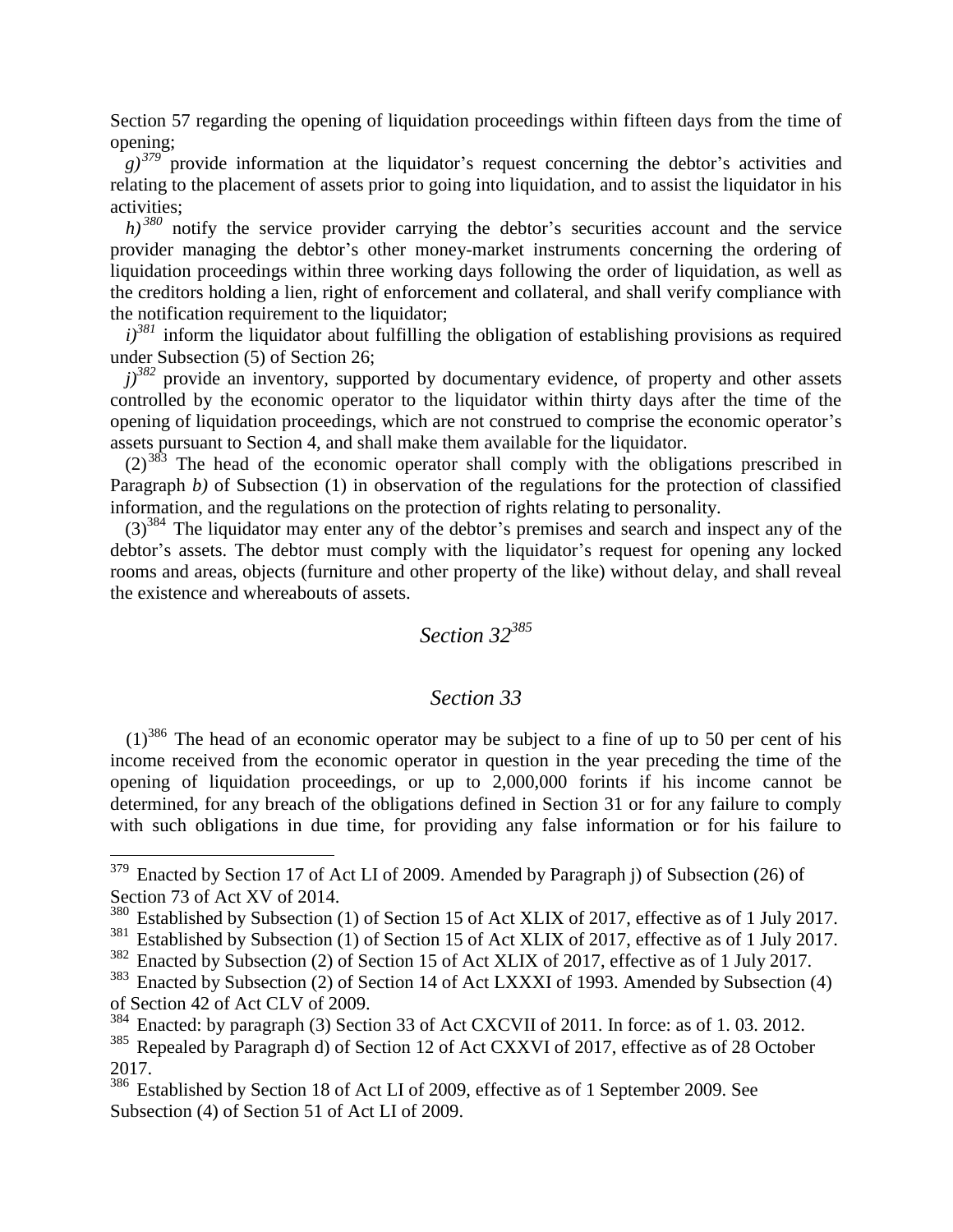Section 57 regarding the opening of liquidation proceedings within fifteen days from the time of opening;

 $(g)^{379}$  provide information at the liquidator's request concerning the debtor's activities and relating to the placement of assets prior to going into liquidation, and to assist the liquidator in his activities;

*h*)<sup>380</sup> notify the service provider carrying the debtor's securities account and the service provider managing the debtor's other money-market instruments concerning the ordering of liquidation proceedings within three working days following the order of liquidation, as well as the creditors holding a lien, right of enforcement and collateral, and shall verify compliance with the notification requirement to the liquidator;

 $i$ <sup>381</sup> inform the liquidator about fulfilling the obligation of establishing provisions as required under Subsection (5) of Section 26;

 $j$ <sup>382</sup> provide an inventory, supported by documentary evidence, of property and other assets controlled by the economic operator to the liquidator within thirty days after the time of the opening of liquidation proceedings, which are not construed to comprise the economic operator's assets pursuant to Section 4, and shall make them available for the liquidator.

 $(2)^{383}$  The head of the economic operator shall comply with the obligations prescribed in Paragraph *b*) of Subsection (1) in observation of the regulations for the protection of classified information, and the regulations on the protection of rights relating to personality.

(3)<sup>384</sup> The liquidator may enter any of the debtor's premises and search and inspect any of the debtor's assets. The debtor must comply with the liquidator's request for opening any locked rooms and areas, objects (furniture and other property of the like) without delay, and shall reveal the existence and whereabouts of assets.

### *Section 32<sup>385</sup>*

#### *Section 33*

 $(1)^{386}$  The head of an economic operator may be subject to a fine of up to 50 per cent of his income received from the economic operator in question in the year preceding the time of the opening of liquidation proceedings, or up to 2,000,000 forints if his income cannot be determined, for any breach of the obligations defined in Section 31 or for any failure to comply with such obligations in due time, for providing any false information or for his failure to

 $379$  Enacted by Section 17 of Act LI of 2009. Amended by Paragraph j) of Subsection (26) of Section 73 of Act XV of 2014.

<sup>&</sup>lt;sup>380</sup> Established by Subsection (1) of Section 15 of Act XLIX of 2017, effective as of 1 July 2017.

 $381$  Established by Subsection (1) of Section 15 of Act XLIX of 2017, effective as of 1 July 2017.

<sup>382</sup> Enacted by Subsection (2) of Section 15 of Act XLIX of 2017, effective as of 1 July 2017.

<sup>&</sup>lt;sup>383</sup> Enacted by Subsection (2) of Section 14 of Act LXXXI of 1993. Amended by Subsection (4) of Section 42 of Act CLV of 2009.

<sup>&</sup>lt;sup>384</sup> Enacted: by paragraph (3) Section 33 of Act CXCVII of 2011. In force: as of 1.03. 2012.

<sup>&</sup>lt;sup>385</sup> Repealed by Paragraph d) of Section 12 of Act CXXVI of 2017, effective as of 28 October 2017.

<sup>&</sup>lt;sup>386</sup> Established by Section 18 of Act LI of 2009, effective as of 1 September 2009. See Subsection (4) of Section 51 of Act LI of 2009.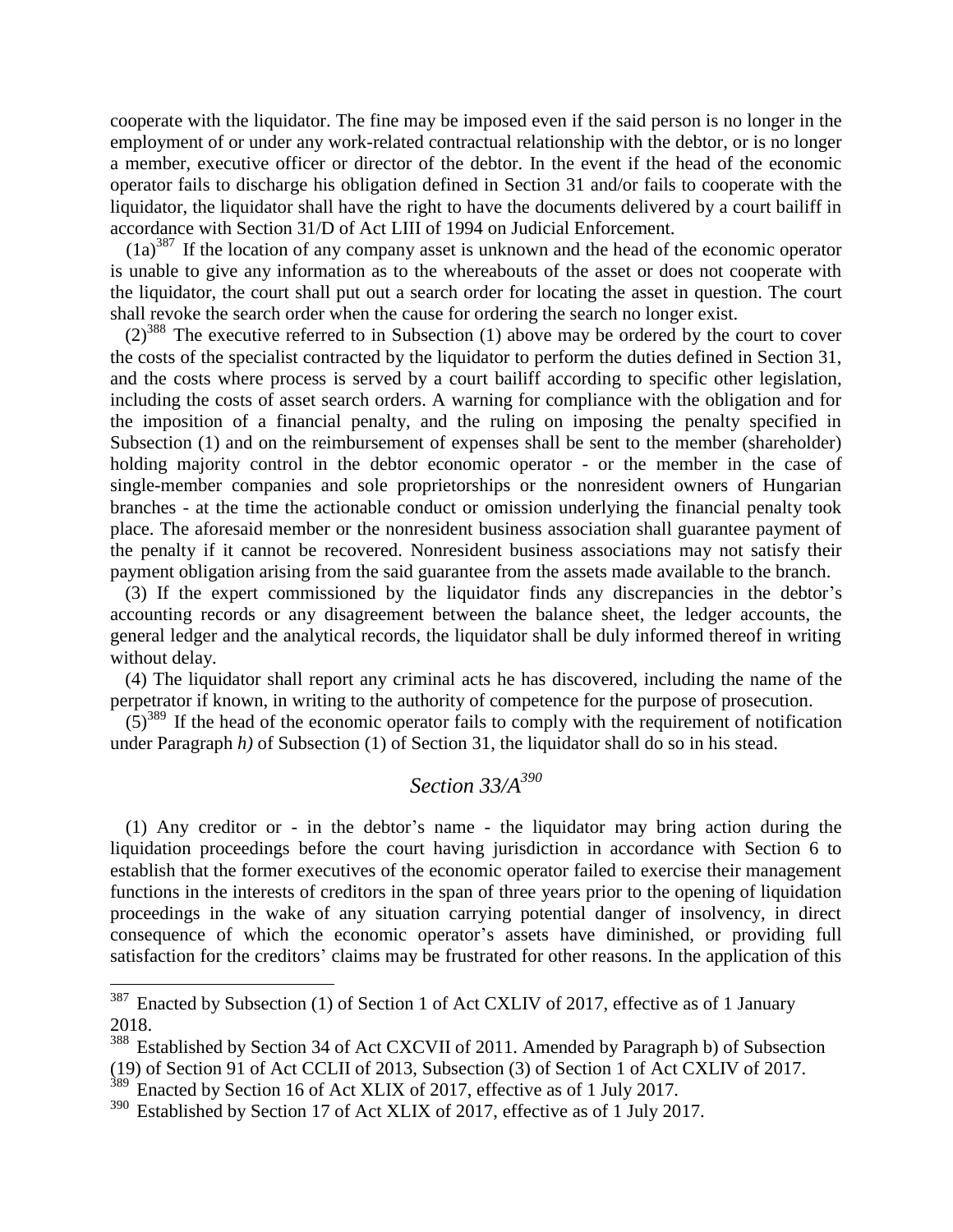cooperate with the liquidator. The fine may be imposed even if the said person is no longer in the employment of or under any work-related contractual relationship with the debtor, or is no longer a member, executive officer or director of the debtor. In the event if the head of the economic operator fails to discharge his obligation defined in Section 31 and/or fails to cooperate with the liquidator, the liquidator shall have the right to have the documents delivered by a court bailiff in accordance with Section 31/D of Act LIII of 1994 on Judicial Enforcement.

 $(1a)^{387}$  If the location of any company asset is unknown and the head of the economic operator is unable to give any information as to the whereabouts of the asset or does not cooperate with the liquidator, the court shall put out a search order for locating the asset in question. The court shall revoke the search order when the cause for ordering the search no longer exist.

 $(2)^{388}$  The executive referred to in Subsection (1) above may be ordered by the court to cover the costs of the specialist contracted by the liquidator to perform the duties defined in Section 31, and the costs where process is served by a court bailiff according to specific other legislation, including the costs of asset search orders. A warning for compliance with the obligation and for the imposition of a financial penalty, and the ruling on imposing the penalty specified in Subsection (1) and on the reimbursement of expenses shall be sent to the member (shareholder) holding majority control in the debtor economic operator - or the member in the case of single-member companies and sole proprietorships or the nonresident owners of Hungarian branches - at the time the actionable conduct or omission underlying the financial penalty took place. The aforesaid member or the nonresident business association shall guarantee payment of the penalty if it cannot be recovered. Nonresident business associations may not satisfy their payment obligation arising from the said guarantee from the assets made available to the branch.

(3) If the expert commissioned by the liquidator finds any discrepancies in the debtor's accounting records or any disagreement between the balance sheet, the ledger accounts, the general ledger and the analytical records, the liquidator shall be duly informed thereof in writing without delay.

(4) The liquidator shall report any criminal acts he has discovered, including the name of the perpetrator if known, in writing to the authority of competence for the purpose of prosecution.

 $(5)^{389}$  If the head of the economic operator fails to comply with the requirement of notification under Paragraph *h*) of Subsection (1) of Section 31, the liquidator shall do so in his stead.

### *Section 33/A<sup>390</sup>*

(1) Any creditor or - in the debtor's name - the liquidator may bring action during the liquidation proceedings before the court having jurisdiction in accordance with Section 6 to establish that the former executives of the economic operator failed to exercise their management functions in the interests of creditors in the span of three years prior to the opening of liquidation proceedings in the wake of any situation carrying potential danger of insolvency, in direct consequence of which the economic operator's assets have diminished, or providing full satisfaction for the creditors' claims may be frustrated for other reasons. In the application of this

 $387$  Enacted by Subsection (1) of Section 1 of Act CXLIV of 2017, effective as of 1 January 2018.

Established by Section 34 of Act CXCVII of 2011. Amended by Paragraph b) of Subsection (19) of Section 91 of Act CCLII of 2013, Subsection (3) of Section 1 of Act CXLIV of 2017.

<sup>&</sup>lt;sup>389</sup> Enacted by Section 16 of Act XLIX of 2017, effective as of 1 July 2017.

<sup>390</sup> Established by Section 17 of Act XLIX of 2017, effective as of 1 July 2017.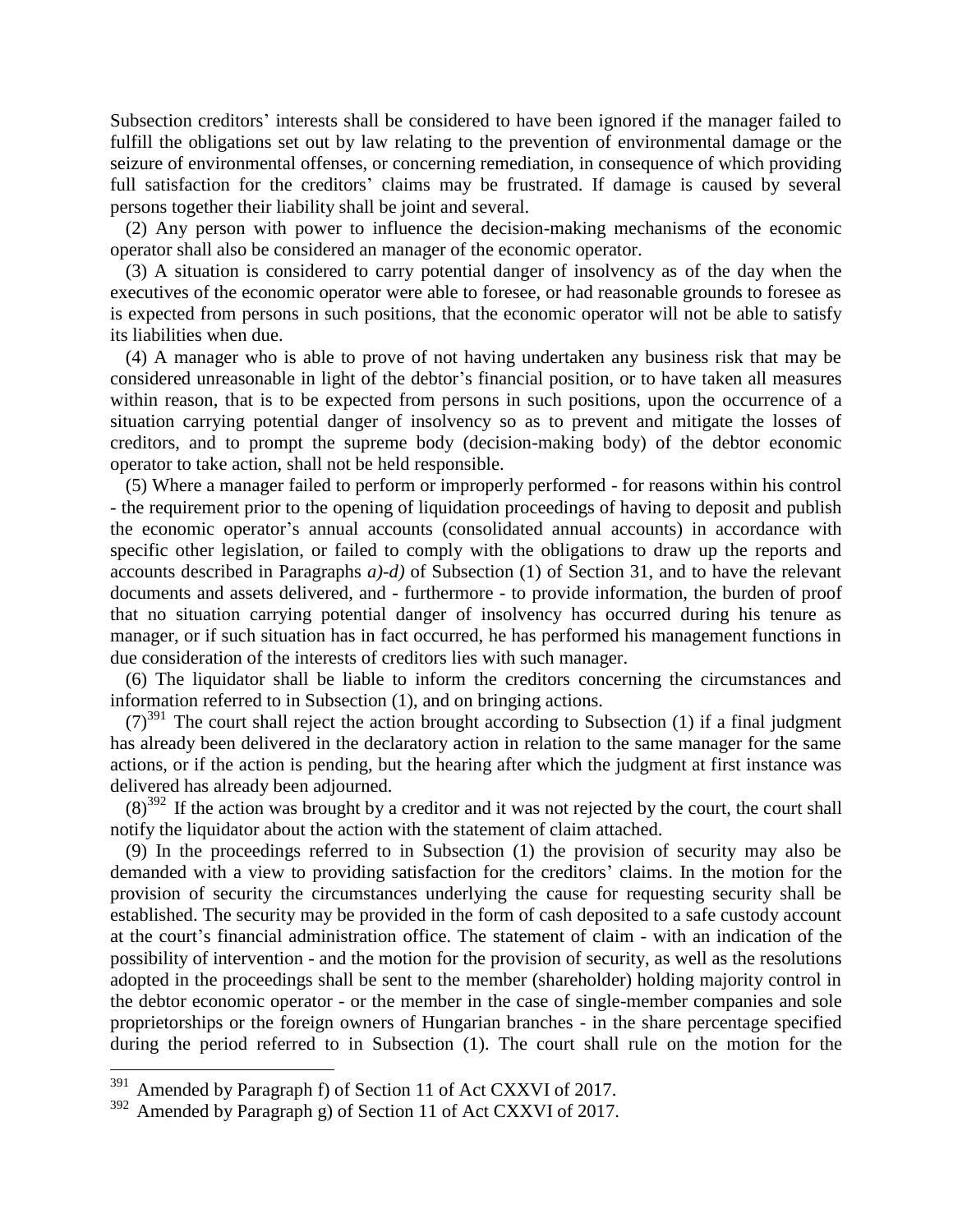Subsection creditors' interests shall be considered to have been ignored if the manager failed to fulfill the obligations set out by law relating to the prevention of environmental damage or the seizure of environmental offenses, or concerning remediation, in consequence of which providing full satisfaction for the creditors' claims may be frustrated. If damage is caused by several persons together their liability shall be joint and several.

(2) Any person with power to influence the decision-making mechanisms of the economic operator shall also be considered an manager of the economic operator.

(3) A situation is considered to carry potential danger of insolvency as of the day when the executives of the economic operator were able to foresee, or had reasonable grounds to foresee as is expected from persons in such positions, that the economic operator will not be able to satisfy its liabilities when due.

(4) A manager who is able to prove of not having undertaken any business risk that may be considered unreasonable in light of the debtor's financial position, or to have taken all measures within reason, that is to be expected from persons in such positions, upon the occurrence of a situation carrying potential danger of insolvency so as to prevent and mitigate the losses of creditors, and to prompt the supreme body (decision-making body) of the debtor economic operator to take action, shall not be held responsible.

(5) Where a manager failed to perform or improperly performed - for reasons within his control - the requirement prior to the opening of liquidation proceedings of having to deposit and publish the economic operator's annual accounts (consolidated annual accounts) in accordance with specific other legislation, or failed to comply with the obligations to draw up the reports and accounts described in Paragraphs *a)-d)* of Subsection (1) of Section 31, and to have the relevant documents and assets delivered, and - furthermore - to provide information, the burden of proof that no situation carrying potential danger of insolvency has occurred during his tenure as manager, or if such situation has in fact occurred, he has performed his management functions in due consideration of the interests of creditors lies with such manager.

(6) The liquidator shall be liable to inform the creditors concerning the circumstances and information referred to in Subsection (1), and on bringing actions.

 $(7)^{391}$  The court shall reject the action brought according to Subsection (1) if a final judgment has already been delivered in the declaratory action in relation to the same manager for the same actions, or if the action is pending, but the hearing after which the judgment at first instance was delivered has already been adjourned.

 $(8)^{392}$  If the action was brought by a creditor and it was not rejected by the court, the court shall notify the liquidator about the action with the statement of claim attached.

(9) In the proceedings referred to in Subsection (1) the provision of security may also be demanded with a view to providing satisfaction for the creditors' claims. In the motion for the provision of security the circumstances underlying the cause for requesting security shall be established. The security may be provided in the form of cash deposited to a safe custody account at the court's financial administration office. The statement of claim - with an indication of the possibility of intervention - and the motion for the provision of security, as well as the resolutions adopted in the proceedings shall be sent to the member (shareholder) holding majority control in the debtor economic operator - or the member in the case of single-member companies and sole proprietorships or the foreign owners of Hungarian branches - in the share percentage specified during the period referred to in Subsection (1). The court shall rule on the motion for the

 $391$  Amended by Paragraph f) of Section 11 of Act CXXVI of 2017.

 $392$  Amended by Paragraph g) of Section 11 of Act CXXVI of 2017.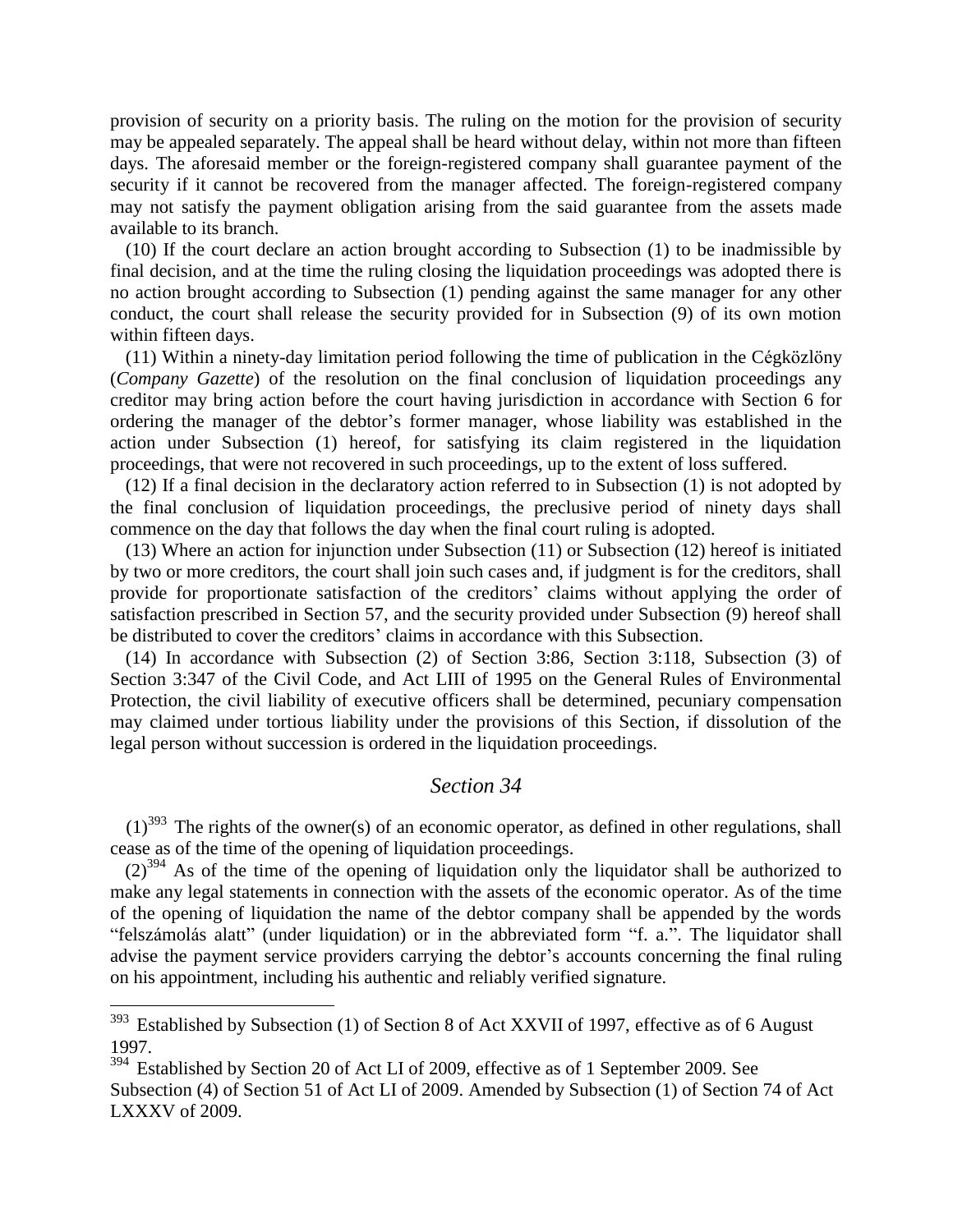provision of security on a priority basis. The ruling on the motion for the provision of security may be appealed separately. The appeal shall be heard without delay, within not more than fifteen days. The aforesaid member or the foreign-registered company shall guarantee payment of the security if it cannot be recovered from the manager affected. The foreign-registered company may not satisfy the payment obligation arising from the said guarantee from the assets made available to its branch.

(10) If the court declare an action brought according to Subsection (1) to be inadmissible by final decision, and at the time the ruling closing the liquidation proceedings was adopted there is no action brought according to Subsection (1) pending against the same manager for any other conduct, the court shall release the security provided for in Subsection (9) of its own motion within fifteen days.

(11) Within a ninety-day limitation period following the time of publication in the Cégközlöny (*Company Gazette*) of the resolution on the final conclusion of liquidation proceedings any creditor may bring action before the court having jurisdiction in accordance with Section 6 for ordering the manager of the debtor's former manager, whose liability was established in the action under Subsection (1) hereof, for satisfying its claim registered in the liquidation proceedings, that were not recovered in such proceedings, up to the extent of loss suffered.

(12) If a final decision in the declaratory action referred to in Subsection (1) is not adopted by the final conclusion of liquidation proceedings, the preclusive period of ninety days shall commence on the day that follows the day when the final court ruling is adopted.

(13) Where an action for injunction under Subsection (11) or Subsection (12) hereof is initiated by two or more creditors, the court shall join such cases and, if judgment is for the creditors, shall provide for proportionate satisfaction of the creditors' claims without applying the order of satisfaction prescribed in Section 57, and the security provided under Subsection (9) hereof shall be distributed to cover the creditors' claims in accordance with this Subsection.

(14) In accordance with Subsection (2) of Section 3:86, Section 3:118, Subsection (3) of Section 3:347 of the Civil Code, and Act LIII of 1995 on the General Rules of Environmental Protection, the civil liability of executive officers shall be determined, pecuniary compensation may claimed under tortious liability under the provisions of this Section, if dissolution of the legal person without succession is ordered in the liquidation proceedings.

#### *Section 34*

 $(1)^{393}$  The rights of the owner(s) of an economic operator, as defined in other regulations, shall cease as of the time of the opening of liquidation proceedings.

 $(2)^{394}$  As of the time of the opening of liquidation only the liquidator shall be authorized to make any legal statements in connection with the assets of the economic operator. As of the time of the opening of liquidation the name of the debtor company shall be appended by the words "felszámolás alatt" (under liquidation) or in the abbreviated form "f. a.". The liquidator shall advise the payment service providers carrying the debtor's accounts concerning the final ruling on his appointment, including his authentic and reliably verified signature.

 $393$  Established by Subsection (1) of Section 8 of Act XXVII of 1997, effective as of 6 August 1997.

<sup>&</sup>lt;sup>394</sup> Established by Section 20 of Act LI of 2009, effective as of 1 September 2009. See Subsection (4) of Section 51 of Act LI of 2009. Amended by Subsection (1) of Section 74 of Act LXXXV of 2009.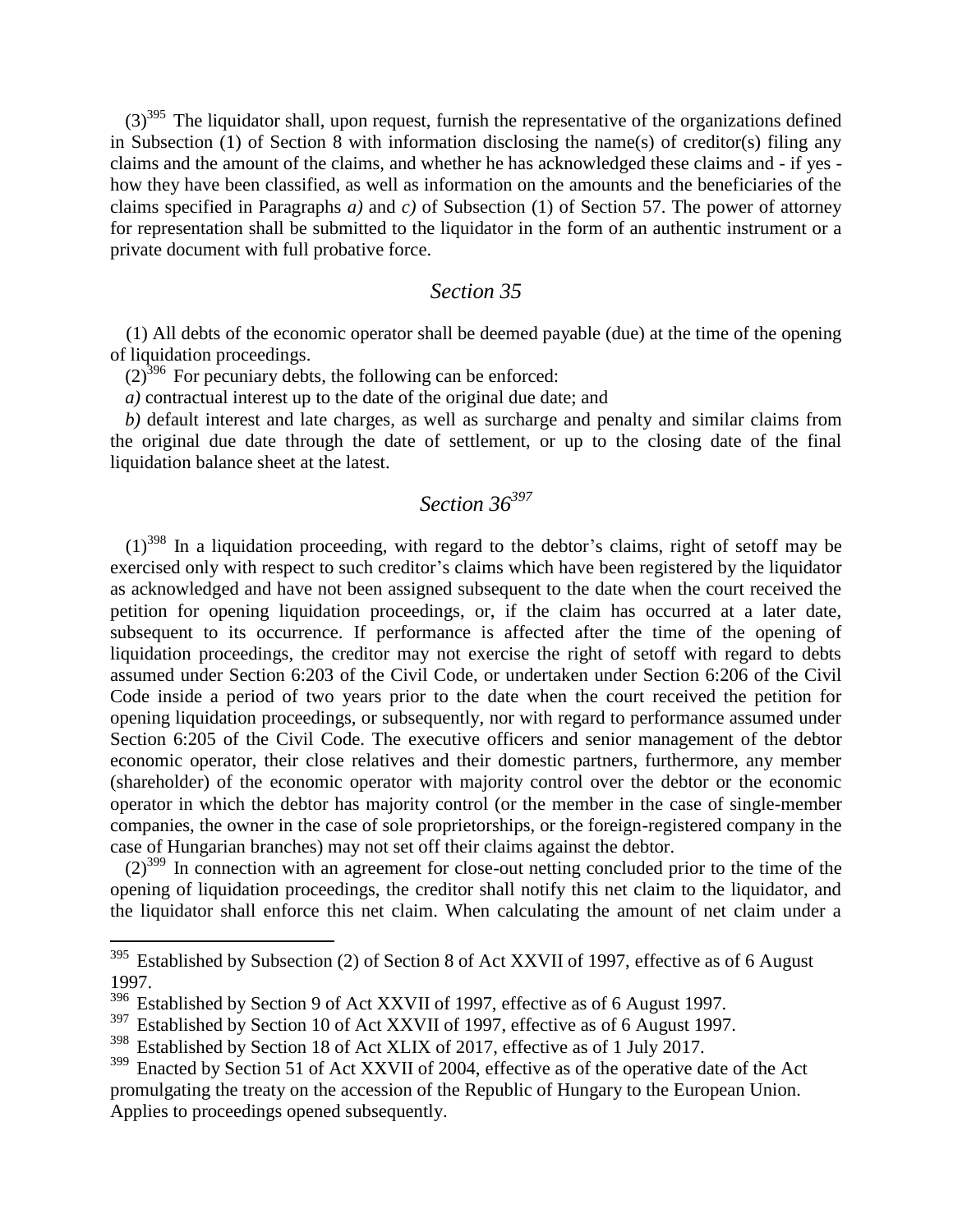$(3)^{395}$  The liquidator shall, upon request, furnish the representative of the organizations defined in Subsection (1) of Section 8 with information disclosing the name(s) of creditor(s) filing any claims and the amount of the claims, and whether he has acknowledged these claims and - if yes how they have been classified, as well as information on the amounts and the beneficiaries of the claims specified in Paragraphs *a)* and *c)* of Subsection (1) of Section 57. The power of attorney for representation shall be submitted to the liquidator in the form of an authentic instrument or a private document with full probative force.

### *Section 35*

(1) All debts of the economic operator shall be deemed payable (due) at the time of the opening of liquidation proceedings.

 $(2)^{396}$  For pecuniary debts, the following can be enforced:

*a)* contractual interest up to the date of the original due date; and

*b)* default interest and late charges, as well as surcharge and penalty and similar claims from the original due date through the date of settlement, or up to the closing date of the final liquidation balance sheet at the latest.

# *Section 36<sup>397</sup>*

 $(1)^{398}$  In a liquidation proceeding, with regard to the debtor's claims, right of setoff may be exercised only with respect to such creditor's claims which have been registered by the liquidator as acknowledged and have not been assigned subsequent to the date when the court received the petition for opening liquidation proceedings, or, if the claim has occurred at a later date, subsequent to its occurrence. If performance is affected after the time of the opening of liquidation proceedings, the creditor may not exercise the right of setoff with regard to debts assumed under Section 6:203 of the Civil Code, or undertaken under Section 6:206 of the Civil Code inside a period of two years prior to the date when the court received the petition for opening liquidation proceedings, or subsequently, nor with regard to performance assumed under Section 6:205 of the Civil Code. The executive officers and senior management of the debtor economic operator, their close relatives and their domestic partners, furthermore, any member (shareholder) of the economic operator with majority control over the debtor or the economic operator in which the debtor has majority control (or the member in the case of single-member companies, the owner in the case of sole proprietorships, or the foreign-registered company in the case of Hungarian branches) may not set off their claims against the debtor.

 $(2)^{399}$  In connection with an agreement for close-out netting concluded prior to the time of the opening of liquidation proceedings, the creditor shall notify this net claim to the liquidator, and the liquidator shall enforce this net claim. When calculating the amount of net claim under a

 $395$  Established by Subsection (2) of Section 8 of Act XXVII of 1997, effective as of 6 August 1997.

<sup>&</sup>lt;sup>396</sup> Established by Section 9 of Act XXVII of 1997, effective as of 6 August 1997.

<sup>&</sup>lt;sup>397</sup> Established by Section 10 of Act XXVII of 1997, effective as of 6 August 1997.

<sup>&</sup>lt;sup>398</sup> Established by Section 18 of Act XLIX of 2017, effective as of 1 July 2017.

<sup>&</sup>lt;sup>399</sup> Enacted by Section 51 of Act XXVII of 2004, effective as of the operative date of the Act promulgating the treaty on the accession of the Republic of Hungary to the European Union. Applies to proceedings opened subsequently.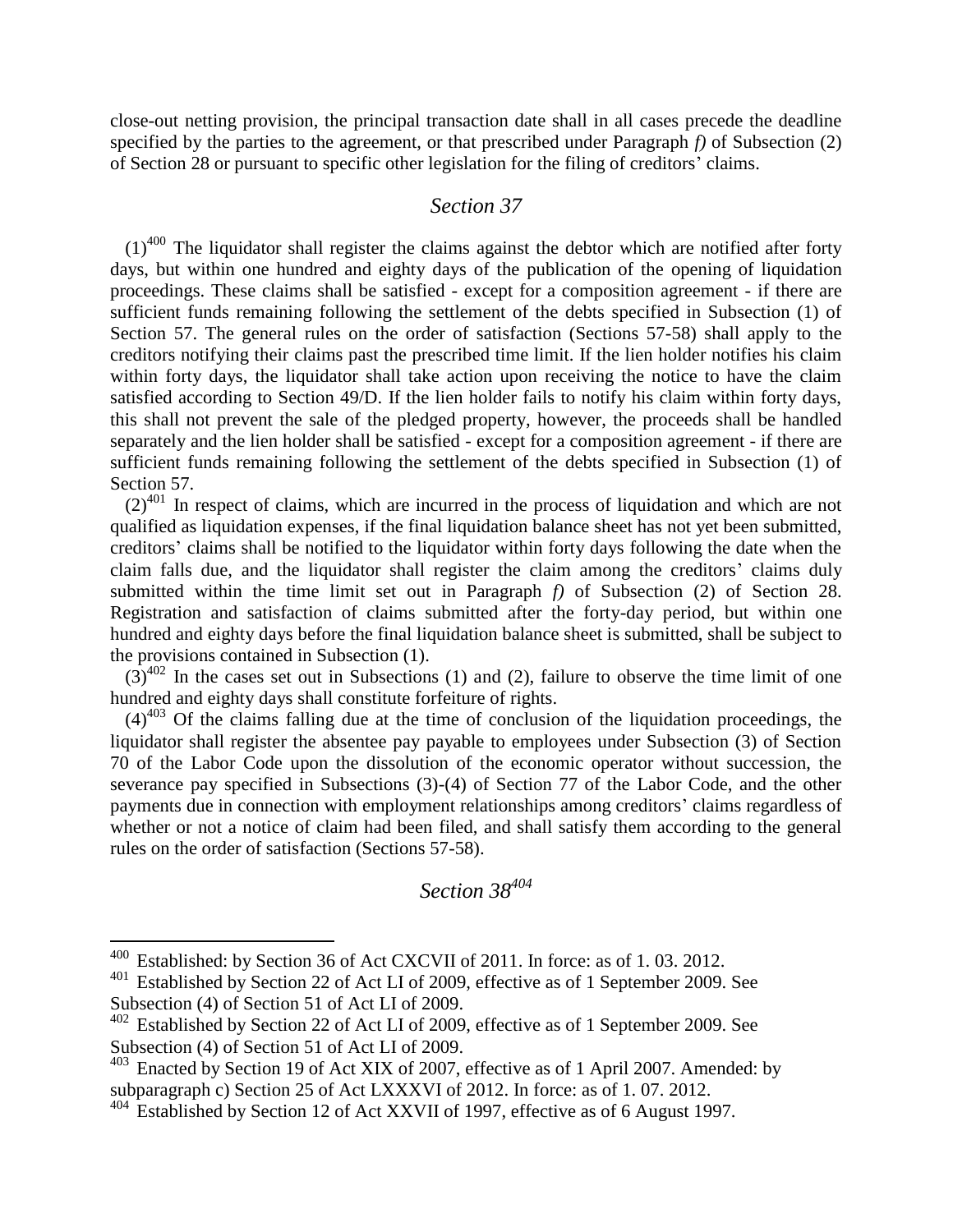close-out netting provision, the principal transaction date shall in all cases precede the deadline specified by the parties to the agreement, or that prescribed under Paragraph *f)* of Subsection (2) of Section 28 or pursuant to specific other legislation for the filing of creditors' claims.

### *Section 37*

 $(1)^{400}$  The liquidator shall register the claims against the debtor which are notified after forty days, but within one hundred and eighty days of the publication of the opening of liquidation proceedings. These claims shall be satisfied - except for a composition agreement - if there are sufficient funds remaining following the settlement of the debts specified in Subsection (1) of Section 57. The general rules on the order of satisfaction (Sections 57-58) shall apply to the creditors notifying their claims past the prescribed time limit. If the lien holder notifies his claim within forty days, the liquidator shall take action upon receiving the notice to have the claim satisfied according to Section 49/D. If the lien holder fails to notify his claim within forty days, this shall not prevent the sale of the pledged property, however, the proceeds shall be handled separately and the lien holder shall be satisfied - except for a composition agreement - if there are sufficient funds remaining following the settlement of the debts specified in Subsection (1) of Section 57.

 $(2)^{401}$  In respect of claims, which are incurred in the process of liquidation and which are not qualified as liquidation expenses, if the final liquidation balance sheet has not yet been submitted, creditors' claims shall be notified to the liquidator within forty days following the date when the claim falls due, and the liquidator shall register the claim among the creditors' claims duly submitted within the time limit set out in Paragraph *f)* of Subsection (2) of Section 28. Registration and satisfaction of claims submitted after the forty-day period, but within one hundred and eighty days before the final liquidation balance sheet is submitted, shall be subject to the provisions contained in Subsection (1).

 $(3)^{402}$  In the cases set out in Subsections (1) and (2), failure to observe the time limit of one hundred and eighty days shall constitute forfeiture of rights.

 $(4)^{403}$  Of the claims falling due at the time of conclusion of the liquidation proceedings, the liquidator shall register the absentee pay payable to employees under Subsection (3) of Section 70 of the Labor Code upon the dissolution of the economic operator without succession, the severance pay specified in Subsections (3)-(4) of Section 77 of the Labor Code, and the other payments due in connection with employment relationships among creditors' claims regardless of whether or not a notice of claim had been filed, and shall satisfy them according to the general rules on the order of satisfaction (Sections 57-58).

*Section 38<sup>404</sup>*

<sup>400</sup> Established: by Section 36 of Act CXCVII of 2011. In force: as of 1. 03. 2012.

<sup>&</sup>lt;sup>401</sup> Established by Section 22 of Act LI of 2009, effective as of 1 September 2009. See Subsection (4) of Section 51 of Act LI of 2009.

<sup>&</sup>lt;sup>402</sup> Established by Section 22 of Act LI of 2009, effective as of 1 September 2009. See Subsection (4) of Section 51 of Act LI of 2009.

<sup>&</sup>lt;sup>403</sup> Enacted by Section 19 of Act XIX of 2007, effective as of 1 April 2007. Amended: by subparagraph c) Section 25 of Act LXXXVI of 2012. In force: as of 1.07. 2012.

<sup>404</sup> Established by Section 12 of Act XXVII of 1997, effective as of 6 August 1997.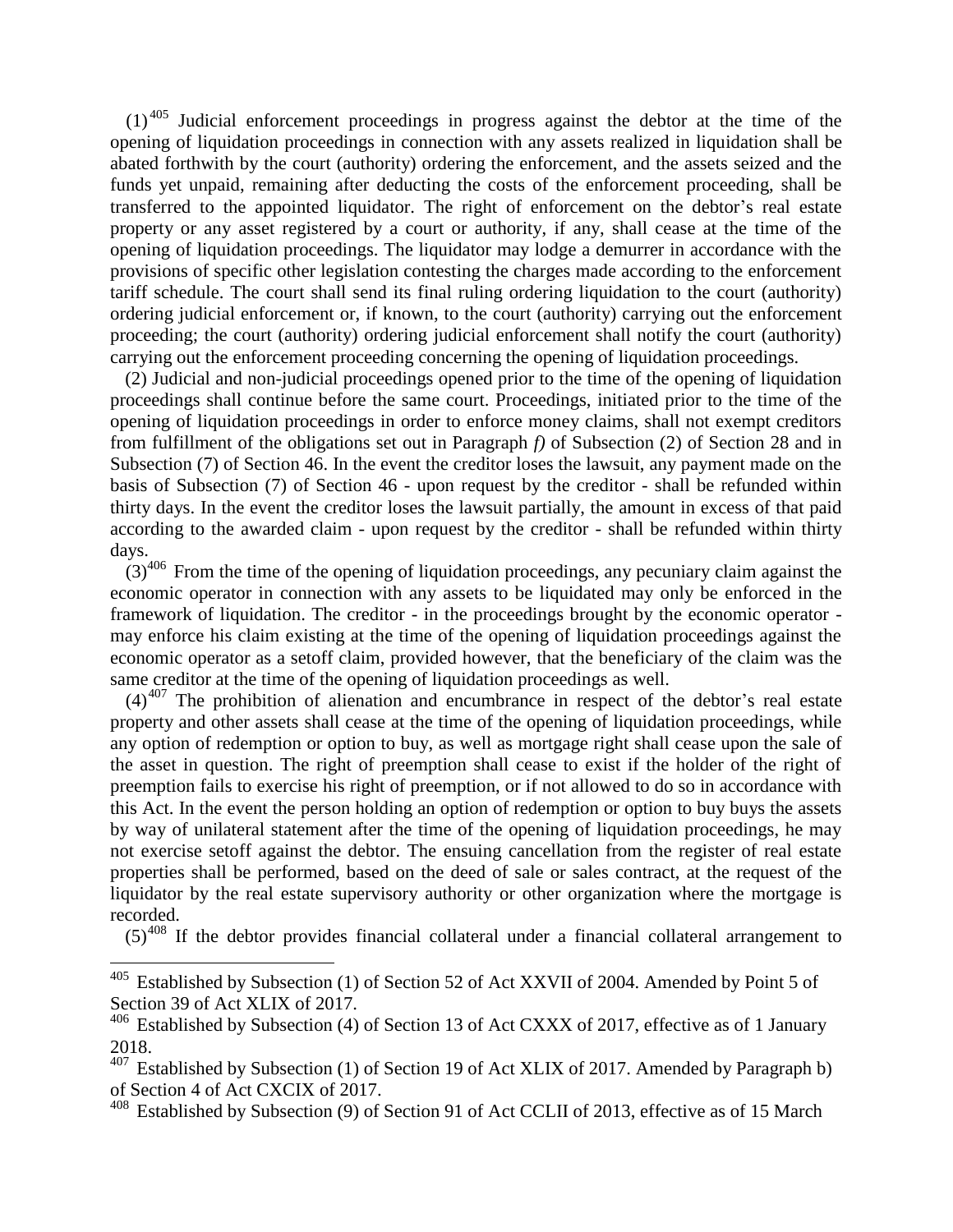(1) <sup>405</sup> Judicial enforcement proceedings in progress against the debtor at the time of the opening of liquidation proceedings in connection with any assets realized in liquidation shall be abated forthwith by the court (authority) ordering the enforcement, and the assets seized and the funds yet unpaid, remaining after deducting the costs of the enforcement proceeding, shall be transferred to the appointed liquidator. The right of enforcement on the debtor's real estate property or any asset registered by a court or authority, if any, shall cease at the time of the opening of liquidation proceedings. The liquidator may lodge a demurrer in accordance with the provisions of specific other legislation contesting the charges made according to the enforcement tariff schedule. The court shall send its final ruling ordering liquidation to the court (authority) ordering judicial enforcement or, if known, to the court (authority) carrying out the enforcement proceeding; the court (authority) ordering judicial enforcement shall notify the court (authority) carrying out the enforcement proceeding concerning the opening of liquidation proceedings.

(2) Judicial and non-judicial proceedings opened prior to the time of the opening of liquidation proceedings shall continue before the same court. Proceedings, initiated prior to the time of the opening of liquidation proceedings in order to enforce money claims, shall not exempt creditors from fulfillment of the obligations set out in Paragraph *f)* of Subsection (2) of Section 28 and in Subsection (7) of Section 46. In the event the creditor loses the lawsuit, any payment made on the basis of Subsection (7) of Section 46 - upon request by the creditor - shall be refunded within thirty days. In the event the creditor loses the lawsuit partially, the amount in excess of that paid according to the awarded claim - upon request by the creditor - shall be refunded within thirty days.

 $(3)^{406}$  From the time of the opening of liquidation proceedings, any pecuniary claim against the economic operator in connection with any assets to be liquidated may only be enforced in the framework of liquidation. The creditor - in the proceedings brought by the economic operator may enforce his claim existing at the time of the opening of liquidation proceedings against the economic operator as a setoff claim, provided however, that the beneficiary of the claim was the same creditor at the time of the opening of liquidation proceedings as well.

 $(4)^{407}$  The prohibition of alienation and encumbrance in respect of the debtor's real estate property and other assets shall cease at the time of the opening of liquidation proceedings, while any option of redemption or option to buy, as well as mortgage right shall cease upon the sale of the asset in question. The right of preemption shall cease to exist if the holder of the right of preemption fails to exercise his right of preemption, or if not allowed to do so in accordance with this Act. In the event the person holding an option of redemption or option to buy buys the assets by way of unilateral statement after the time of the opening of liquidation proceedings, he may not exercise setoff against the debtor. The ensuing cancellation from the register of real estate properties shall be performed, based on the deed of sale or sales contract, at the request of the liquidator by the real estate supervisory authority or other organization where the mortgage is recorded.

 $(5)^{408}$  If the debtor provides financial collateral under a financial collateral arrangement to

<sup>&</sup>lt;sup>405</sup> Established by Subsection (1) of Section 52 of Act XXVII of 2004. Amended by Point 5 of Section 39 of Act XLIX of 2017.

 $406$  Established by Subsection (4) of Section 13 of Act CXXX of 2017, effective as of 1 January 2018.

 $407$  Established by Subsection (1) of Section 19 of Act XLIX of 2017. Amended by Paragraph b) of Section 4 of Act CXCIX of 2017.

<sup>&</sup>lt;sup>408</sup> Established by Subsection (9) of Section 91 of Act CCLII of 2013, effective as of 15 March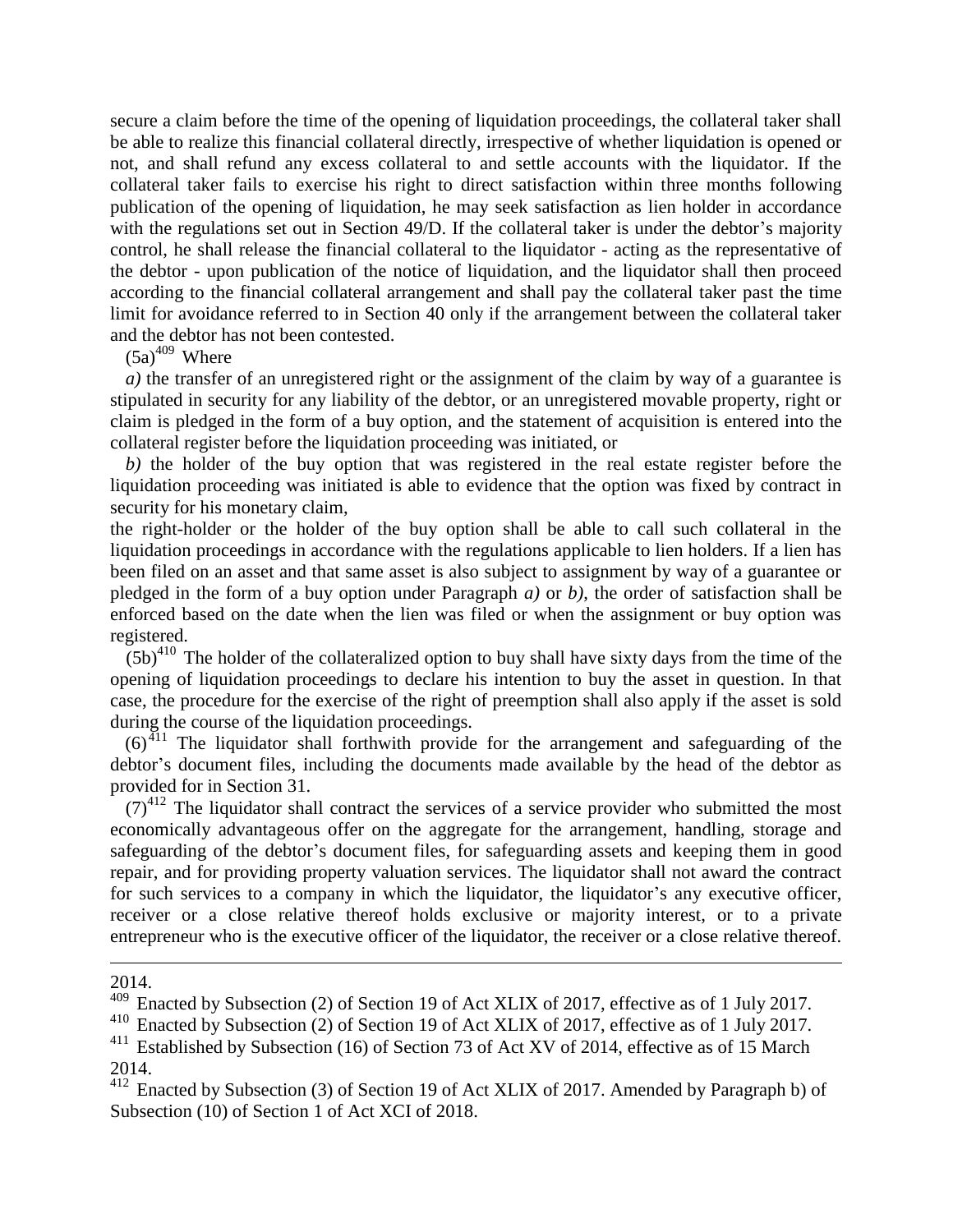secure a claim before the time of the opening of liquidation proceedings, the collateral taker shall be able to realize this financial collateral directly, irrespective of whether liquidation is opened or not, and shall refund any excess collateral to and settle accounts with the liquidator. If the collateral taker fails to exercise his right to direct satisfaction within three months following publication of the opening of liquidation, he may seek satisfaction as lien holder in accordance with the regulations set out in Section 49/D. If the collateral taker is under the debtor's majority control, he shall release the financial collateral to the liquidator - acting as the representative of the debtor - upon publication of the notice of liquidation, and the liquidator shall then proceed according to the financial collateral arrangement and shall pay the collateral taker past the time limit for avoidance referred to in Section 40 only if the arrangement between the collateral taker and the debtor has not been contested.

 $(5a)^{409}$  Where

*a*) the transfer of an unregistered right or the assignment of the claim by way of a guarantee is stipulated in security for any liability of the debtor, or an unregistered movable property, right or claim is pledged in the form of a buy option, and the statement of acquisition is entered into the collateral register before the liquidation proceeding was initiated, or

*b)* the holder of the buy option that was registered in the real estate register before the liquidation proceeding was initiated is able to evidence that the option was fixed by contract in security for his monetary claim,

the right-holder or the holder of the buy option shall be able to call such collateral in the liquidation proceedings in accordance with the regulations applicable to lien holders. If a lien has been filed on an asset and that same asset is also subject to assignment by way of a guarantee or pledged in the form of a buy option under Paragraph *a)* or *b)*, the order of satisfaction shall be enforced based on the date when the lien was filed or when the assignment or buy option was registered.

 $(5b)^{410}$  The holder of the collateralized option to buy shall have sixty days from the time of the opening of liquidation proceedings to declare his intention to buy the asset in question. In that case, the procedure for the exercise of the right of preemption shall also apply if the asset is sold during the course of the liquidation proceedings.

 $(6)^{411}$  The liquidator shall forthwith provide for the arrangement and safeguarding of the debtor's document files, including the documents made available by the head of the debtor as provided for in Section 31.

 $(7)^{412}$  The liquidator shall contract the services of a service provider who submitted the most economically advantageous offer on the aggregate for the arrangement, handling, storage and safeguarding of the debtor's document files, for safeguarding assets and keeping them in good repair, and for providing property valuation services. The liquidator shall not award the contract for such services to a company in which the liquidator, the liquidator's any executive officer, receiver or a close relative thereof holds exclusive or majority interest, or to a private entrepreneur who is the executive officer of the liquidator, the receiver or a close relative thereof.

2014.

<u>.</u>

<sup>&</sup>lt;sup>409</sup> Enacted by Subsection (2) of Section 19 of Act XLIX of 2017, effective as of 1 July 2017.

<sup>410</sup> Enacted by Subsection (2) of Section 19 of Act XLIX of 2017, effective as of 1 July 2017.

Established by Subsection (16) of Section 73 of Act XV of 2014, effective as of 15 March 2014.

<sup>412</sup> Enacted by Subsection (3) of Section 19 of Act XLIX of 2017. Amended by Paragraph b) of Subsection (10) of Section 1 of Act XCI of 2018.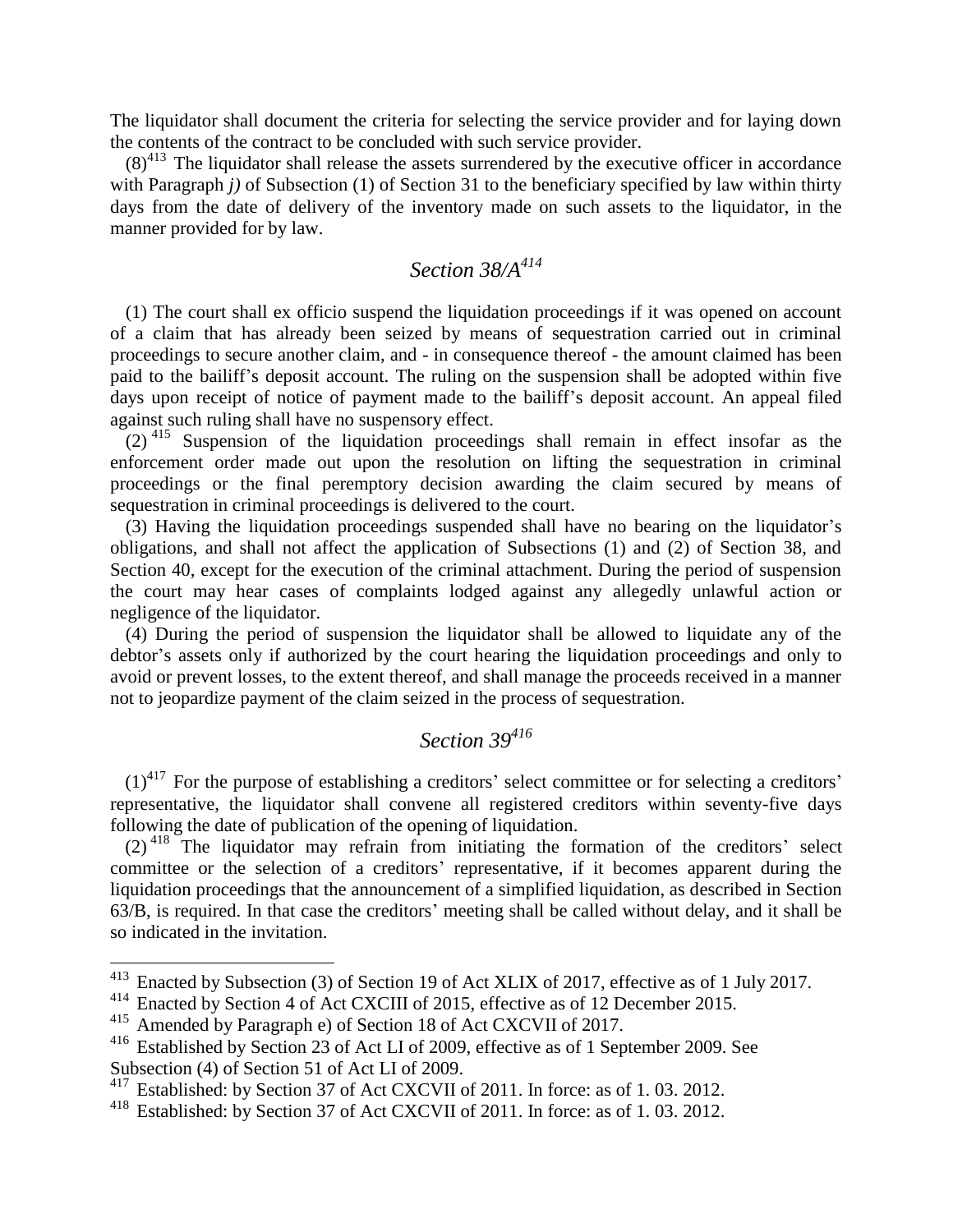The liquidator shall document the criteria for selecting the service provider and for laying down the contents of the contract to be concluded with such service provider.

 $(8)^{413}$  The liquidator shall release the assets surrendered by the executive officer in accordance with Paragraph *j*) of Subsection (1) of Section 31 to the beneficiary specified by law within thirty days from the date of delivery of the inventory made on such assets to the liquidator, in the manner provided for by law.

# *Section 38/A<sup>414</sup>*

(1) The court shall ex officio suspend the liquidation proceedings if it was opened on account of a claim that has already been seized by means of sequestration carried out in criminal proceedings to secure another claim, and - in consequence thereof - the amount claimed has been paid to the bailiff's deposit account. The ruling on the suspension shall be adopted within five days upon receipt of notice of payment made to the bailiff's deposit account. An appeal filed against such ruling shall have no suspensory effect.

 $(2)$ <sup>415</sup> Suspension of the liquidation proceedings shall remain in effect insofar as the enforcement order made out upon the resolution on lifting the sequestration in criminal proceedings or the final peremptory decision awarding the claim secured by means of sequestration in criminal proceedings is delivered to the court.

(3) Having the liquidation proceedings suspended shall have no bearing on the liquidator's obligations, and shall not affect the application of Subsections (1) and (2) of Section 38, and Section 40, except for the execution of the criminal attachment. During the period of suspension the court may hear cases of complaints lodged against any allegedly unlawful action or negligence of the liquidator.

(4) During the period of suspension the liquidator shall be allowed to liquidate any of the debtor's assets only if authorized by the court hearing the liquidation proceedings and only to avoid or prevent losses, to the extent thereof, and shall manage the proceeds received in a manner not to jeopardize payment of the claim seized in the process of sequestration.

# *Section 39<sup>416</sup>*

 $(1)^{417}$  For the purpose of establishing a creditors' select committee or for selecting a creditors' representative, the liquidator shall convene all registered creditors within seventy-five days following the date of publication of the opening of liquidation.

(2) <sup>418</sup> The liquidator may refrain from initiating the formation of the creditors' select committee or the selection of a creditors' representative, if it becomes apparent during the liquidation proceedings that the announcement of a simplified liquidation, as described in Section 63/B, is required. In that case the creditors' meeting shall be called without delay, and it shall be so indicated in the invitation.

 $413$  Enacted by Subsection (3) of Section 19 of Act XLIX of 2017, effective as of 1 July 2017.

<sup>&</sup>lt;sup>414</sup> Enacted by Section 4 of Act CXCIII of 2015, effective as of 12 December 2015.

<sup>&</sup>lt;sup>415</sup> Amended by Paragraph e) of Section 18 of Act CXCVII of 2017.

<sup>&</sup>lt;sup>416</sup> Established by Section 23 of Act LI of 2009, effective as of 1 September 2009. See Subsection (4) of Section 51 of Act LI of 2009.

<sup>&</sup>lt;sup>417</sup> Established: by Section 37 of Act CXCVII of 2011. In force: as of 1.03. 2012.

<sup>418</sup> Established: by Section 37 of Act CXCVII of 2011. In force: as of 1. 03. 2012.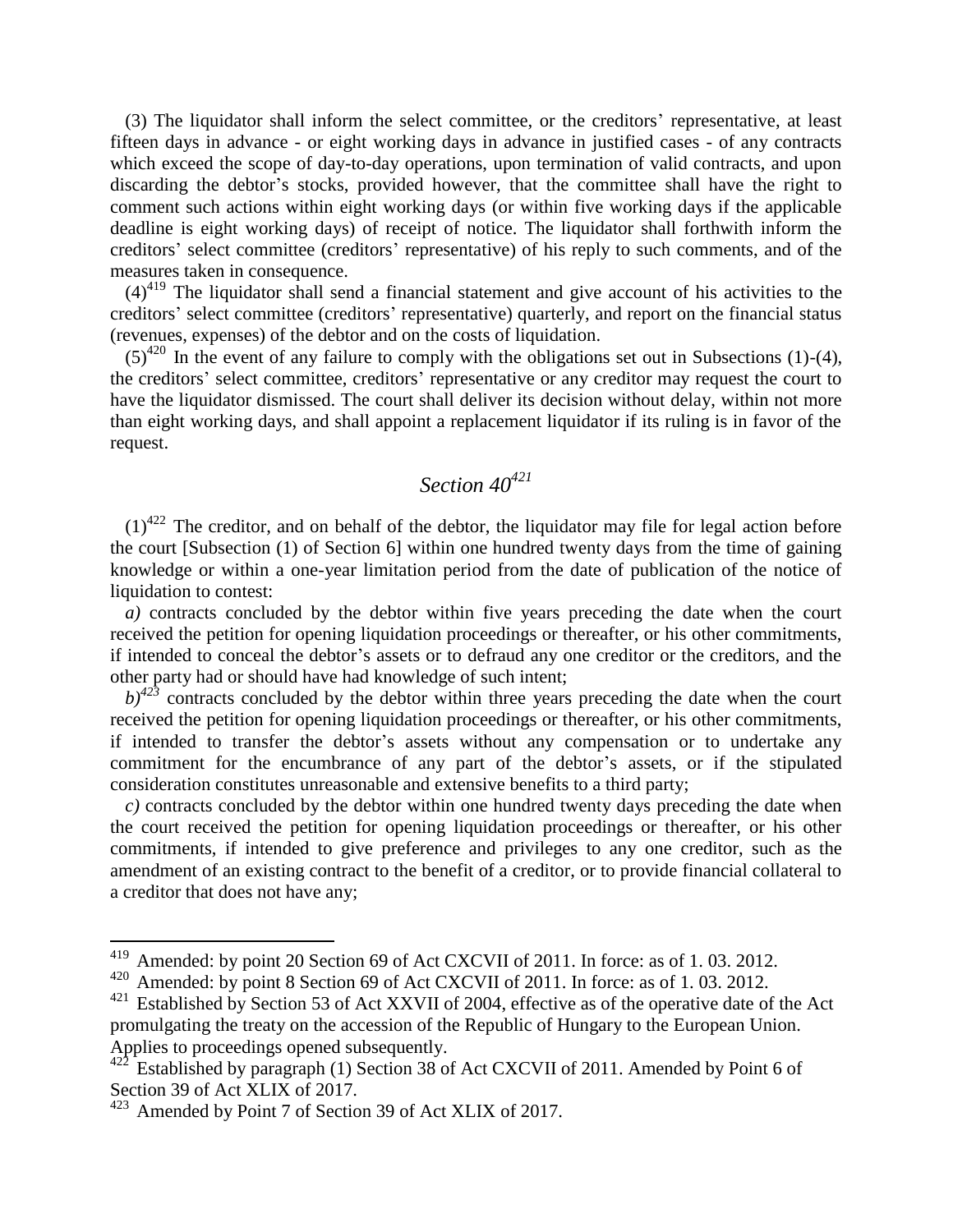(3) The liquidator shall inform the select committee, or the creditors' representative, at least fifteen days in advance - or eight working days in advance in justified cases - of any contracts which exceed the scope of day-to-day operations, upon termination of valid contracts, and upon discarding the debtor's stocks, provided however, that the committee shall have the right to comment such actions within eight working days (or within five working days if the applicable deadline is eight working days) of receipt of notice. The liquidator shall forthwith inform the creditors' select committee (creditors' representative) of his reply to such comments, and of the measures taken in consequence.

 $(4)^{419}$  The liquidator shall send a financial statement and give account of his activities to the creditors' select committee (creditors' representative) quarterly, and report on the financial status (revenues, expenses) of the debtor and on the costs of liquidation.

 $(5)^{420}$  In the event of any failure to comply with the obligations set out in Subsections (1)-(4), the creditors' select committee, creditors' representative or any creditor may request the court to have the liquidator dismissed. The court shall deliver its decision without delay, within not more than eight working days, and shall appoint a replacement liquidator if its ruling is in favor of the request.

# *Section 40<sup>421</sup>*

 $(1)^{422}$  The creditor, and on behalf of the debtor, the liquidator may file for legal action before the court [Subsection (1) of Section 6] within one hundred twenty days from the time of gaining knowledge or within a one-year limitation period from the date of publication of the notice of liquidation to contest:

*a)* contracts concluded by the debtor within five years preceding the date when the court received the petition for opening liquidation proceedings or thereafter, or his other commitments, if intended to conceal the debtor's assets or to defraud any one creditor or the creditors, and the other party had or should have had knowledge of such intent;

 $b)^{423}$  contracts concluded by the debtor within three years preceding the date when the court received the petition for opening liquidation proceedings or thereafter, or his other commitments, if intended to transfer the debtor's assets without any compensation or to undertake any commitment for the encumbrance of any part of the debtor's assets, or if the stipulated consideration constitutes unreasonable and extensive benefits to a third party;

*c)* contracts concluded by the debtor within one hundred twenty days preceding the date when the court received the petition for opening liquidation proceedings or thereafter, or his other commitments, if intended to give preference and privileges to any one creditor, such as the amendment of an existing contract to the benefit of a creditor, or to provide financial collateral to a creditor that does not have any;

<sup>&</sup>lt;sup>419</sup> Amended: by point 20 Section 69 of Act CXCVII of 2011. In force: as of 1.03. 2012.

<sup>&</sup>lt;sup>420</sup> Amended: by point 8 Section 69 of Act CXCVII of 2011. In force: as of 1.03. 2012.

<sup>&</sup>lt;sup>421</sup> Established by Section 53 of Act XXVII of 2004, effective as of the operative date of the Act promulgating the treaty on the accession of the Republic of Hungary to the European Union. Applies to proceedings opened subsequently.

Established by paragraph (1) Section 38 of Act CXCVII of 2011. Amended by Point 6 of Section 39 of Act XLIX of 2017.

<sup>423</sup> Amended by Point 7 of Section 39 of Act XLIX of 2017.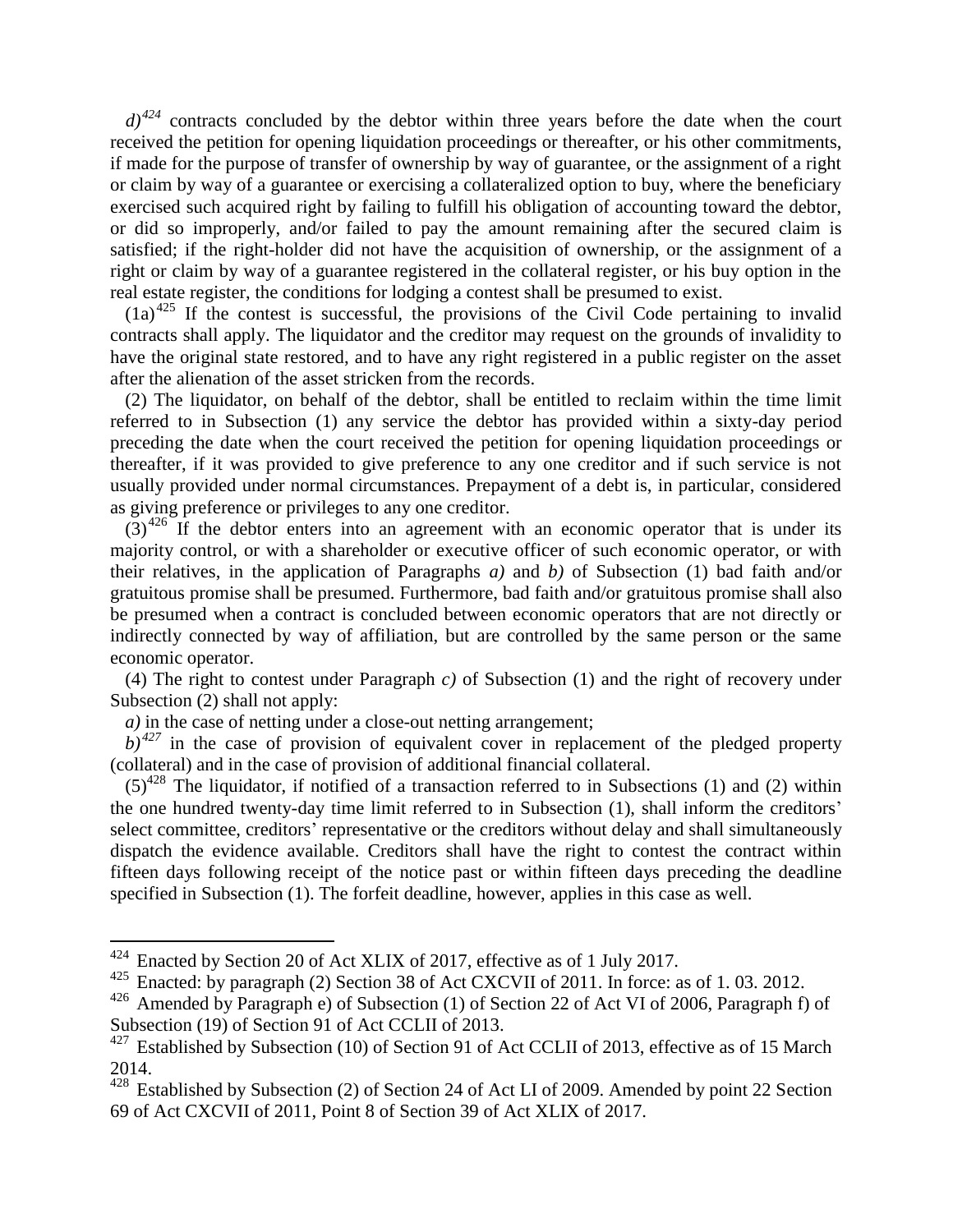$d^{324}$  contracts concluded by the debtor within three years before the date when the court received the petition for opening liquidation proceedings or thereafter, or his other commitments, if made for the purpose of transfer of ownership by way of guarantee, or the assignment of a right or claim by way of a guarantee or exercising a collateralized option to buy, where the beneficiary exercised such acquired right by failing to fulfill his obligation of accounting toward the debtor, or did so improperly, and/or failed to pay the amount remaining after the secured claim is satisfied; if the right-holder did not have the acquisition of ownership, or the assignment of a right or claim by way of a guarantee registered in the collateral register, or his buy option in the real estate register, the conditions for lodging a contest shall be presumed to exist.

 $(1a)^{425}$  If the contest is successful, the provisions of the Civil Code pertaining to invalid contracts shall apply. The liquidator and the creditor may request on the grounds of invalidity to have the original state restored, and to have any right registered in a public register on the asset after the alienation of the asset stricken from the records.

(2) The liquidator, on behalf of the debtor, shall be entitled to reclaim within the time limit referred to in Subsection (1) any service the debtor has provided within a sixty-day period preceding the date when the court received the petition for opening liquidation proceedings or thereafter, if it was provided to give preference to any one creditor and if such service is not usually provided under normal circumstances. Prepayment of a debt is, in particular, considered as giving preference or privileges to any one creditor.

 $(3)^{426}$  If the debtor enters into an agreement with an economic operator that is under its majority control, or with a shareholder or executive officer of such economic operator, or with their relatives, in the application of Paragraphs *a)* and *b)* of Subsection (1) bad faith and/or gratuitous promise shall be presumed. Furthermore, bad faith and/or gratuitous promise shall also be presumed when a contract is concluded between economic operators that are not directly or indirectly connected by way of affiliation, but are controlled by the same person or the same economic operator.

(4) The right to contest under Paragraph *c)* of Subsection (1) and the right of recovery under Subsection (2) shall not apply:

*a*) in the case of netting under a close-out netting arrangement;

 $b)$ <sup>427</sup> in the case of provision of equivalent cover in replacement of the pledged property (collateral) and in the case of provision of additional financial collateral.

 $(5)^{428}$  The liquidator, if notified of a transaction referred to in Subsections (1) and (2) within the one hundred twenty-day time limit referred to in Subsection (1), shall inform the creditors' select committee, creditors' representative or the creditors without delay and shall simultaneously dispatch the evidence available. Creditors shall have the right to contest the contract within fifteen days following receipt of the notice past or within fifteen days preceding the deadline specified in Subsection (1). The forfeit deadline, however, applies in this case as well.

 $424$  Enacted by Section 20 of Act XLIX of 2017, effective as of 1 July 2017.

<sup>&</sup>lt;sup>425</sup> Enacted: by paragraph (2) Section 38 of Act CXCVII of 2011. In force: as of 1.03. 2012.

<sup>&</sup>lt;sup>426</sup> Amended by Paragraph e) of Subsection (1) of Section 22 of Act VI of 2006, Paragraph f) of Subsection (19) of Section 91 of Act CCLII of 2013.

 $427$  Established by Subsection (10) of Section 91 of Act CCLII of 2013, effective as of 15 March 2014.

<sup>&</sup>lt;sup>428</sup> Established by Subsection (2) of Section 24 of Act LI of 2009. Amended by point 22 Section 69 of Act CXCVII of 2011, Point 8 of Section 39 of Act XLIX of 2017.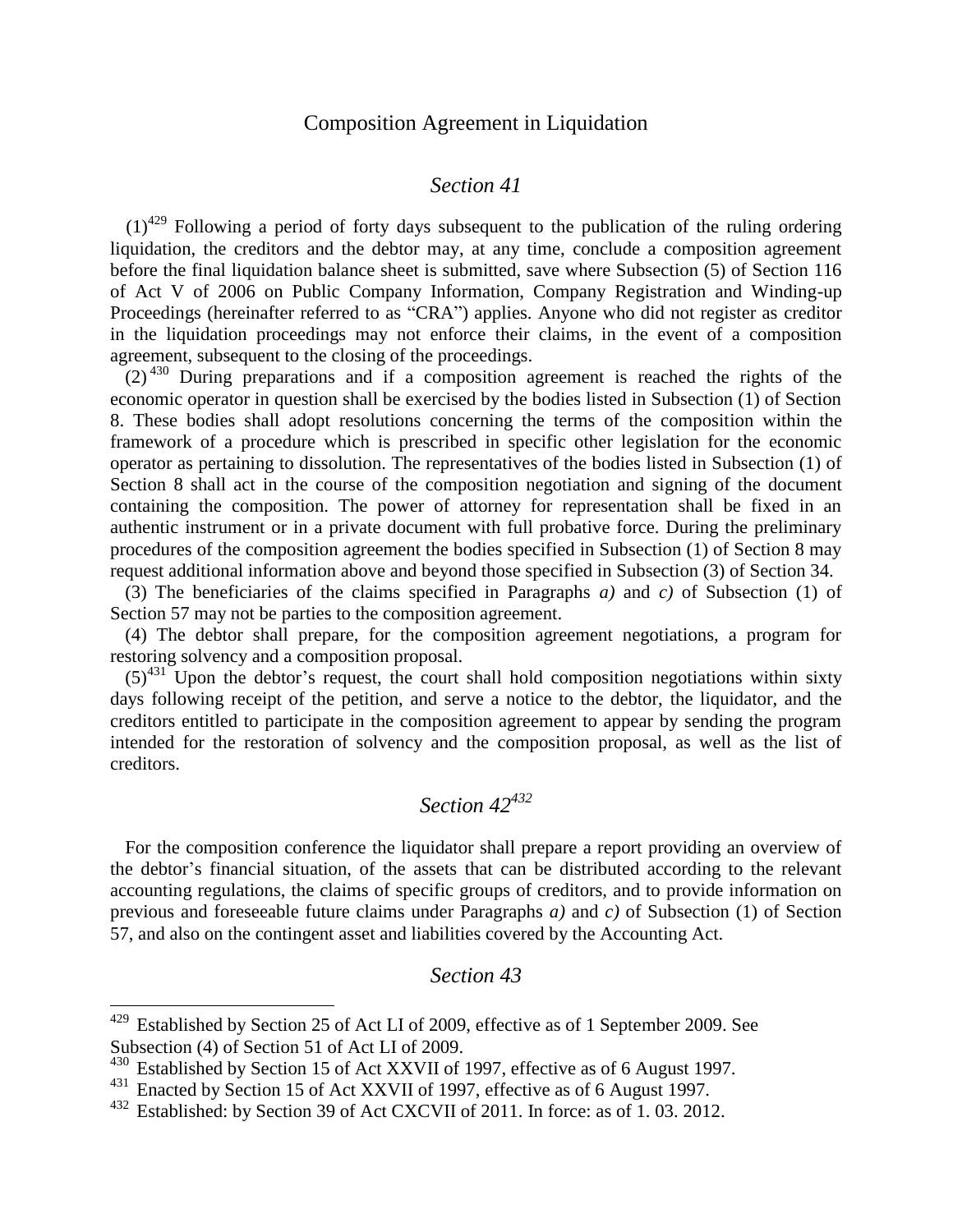## Composition Agreement in Liquidation

#### *Section 41*

 $(1)^{429}$  Following a period of forty days subsequent to the publication of the ruling ordering liquidation, the creditors and the debtor may, at any time, conclude a composition agreement before the final liquidation balance sheet is submitted, save where Subsection (5) of Section 116 of Act V of 2006 on Public Company Information, Company Registration and Winding-up Proceedings (hereinafter referred to as "CRA") applies. Anyone who did not register as creditor in the liquidation proceedings may not enforce their claims, in the event of a composition agreement, subsequent to the closing of the proceedings.

 $(2)^{430}$  During preparations and if a composition agreement is reached the rights of the economic operator in question shall be exercised by the bodies listed in Subsection (1) of Section 8. These bodies shall adopt resolutions concerning the terms of the composition within the framework of a procedure which is prescribed in specific other legislation for the economic operator as pertaining to dissolution. The representatives of the bodies listed in Subsection (1) of Section 8 shall act in the course of the composition negotiation and signing of the document containing the composition. The power of attorney for representation shall be fixed in an authentic instrument or in a private document with full probative force. During the preliminary procedures of the composition agreement the bodies specified in Subsection (1) of Section 8 may request additional information above and beyond those specified in Subsection (3) of Section 34.

(3) The beneficiaries of the claims specified in Paragraphs *a)* and *c)* of Subsection (1) of Section 57 may not be parties to the composition agreement.

(4) The debtor shall prepare, for the composition agreement negotiations, a program for restoring solvency and a composition proposal.

 $(5)^{431}$  Upon the debtor's request, the court shall hold composition negotiations within sixty days following receipt of the petition, and serve a notice to the debtor, the liquidator, and the creditors entitled to participate in the composition agreement to appear by sending the program intended for the restoration of solvency and the composition proposal, as well as the list of creditors.

# *Section 42<sup>432</sup>*

For the composition conference the liquidator shall prepare a report providing an overview of the debtor's financial situation, of the assets that can be distributed according to the relevant accounting regulations, the claims of specific groups of creditors, and to provide information on previous and foreseeable future claims under Paragraphs *a)* and *c)* of Subsection (1) of Section 57, and also on the contingent asset and liabilities covered by the Accounting Act.

#### *Section 43*

 $429$  Established by Section 25 of Act LI of 2009, effective as of 1 September 2009. See Subsection (4) of Section 51 of Act LI of 2009.

<sup>&</sup>lt;sup>430</sup> Established by Section 15 of Act XXVII of 1997, effective as of 6 August 1997.

<sup>431</sup> Enacted by Section 15 of Act XXVII of 1997, effective as of 6 August 1997.

<sup>432</sup> Established: by Section 39 of Act CXCVII of 2011. In force: as of 1. 03. 2012.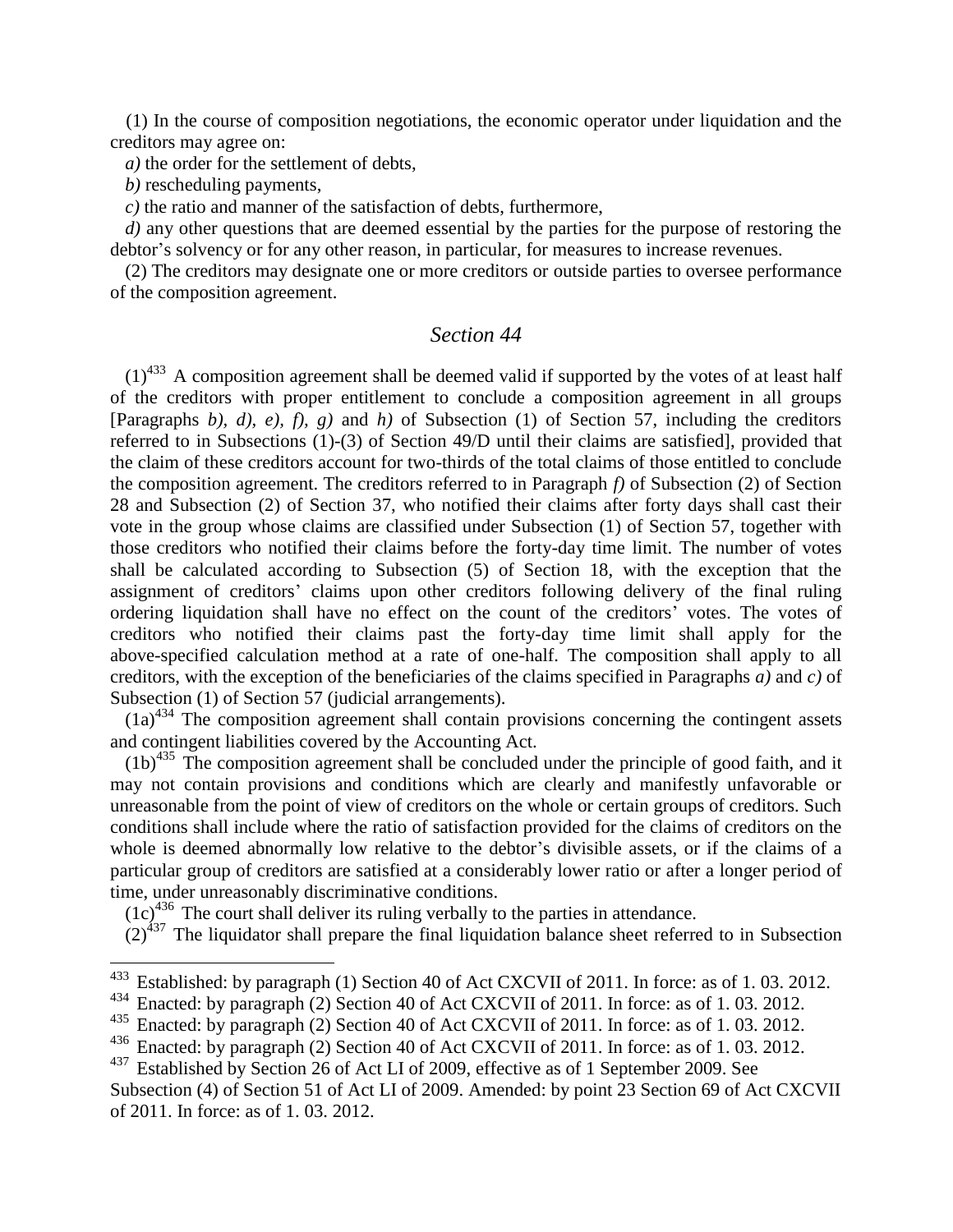(1) In the course of composition negotiations, the economic operator under liquidation and the creditors may agree on:

*a)* the order for the settlement of debts,

*b)* rescheduling payments,

 $\overline{a}$ 

*c)* the ratio and manner of the satisfaction of debts, furthermore,

*d)* any other questions that are deemed essential by the parties for the purpose of restoring the debtor's solvency or for any other reason, in particular, for measures to increase revenues.

(2) The creditors may designate one or more creditors or outside parties to oversee performance of the composition agreement.

### *Section 44*

 $(1)^{433}$  A composition agreement shall be deemed valid if supported by the votes of at least half of the creditors with proper entitlement to conclude a composition agreement in all groups [Paragraphs *b), d), e), f), g)* and *h)* of Subsection (1) of Section 57, including the creditors referred to in Subsections (1)-(3) of Section 49/D until their claims are satisfied], provided that the claim of these creditors account for two-thirds of the total claims of those entitled to conclude the composition agreement. The creditors referred to in Paragraph *f)* of Subsection (2) of Section 28 and Subsection (2) of Section 37, who notified their claims after forty days shall cast their vote in the group whose claims are classified under Subsection (1) of Section 57, together with those creditors who notified their claims before the forty-day time limit. The number of votes shall be calculated according to Subsection (5) of Section 18, with the exception that the assignment of creditors' claims upon other creditors following delivery of the final ruling ordering liquidation shall have no effect on the count of the creditors' votes. The votes of creditors who notified their claims past the forty-day time limit shall apply for the above-specified calculation method at a rate of one-half. The composition shall apply to all creditors, with the exception of the beneficiaries of the claims specified in Paragraphs *a)* and *c)* of Subsection (1) of Section 57 (judicial arrangements).

 $(1a)^{434}$  The composition agreement shall contain provisions concerning the contingent assets and contingent liabilities covered by the Accounting Act.

 $(1b)^{435}$  The composition agreement shall be concluded under the principle of good faith, and it may not contain provisions and conditions which are clearly and manifestly unfavorable or unreasonable from the point of view of creditors on the whole or certain groups of creditors. Such conditions shall include where the ratio of satisfaction provided for the claims of creditors on the whole is deemed abnormally low relative to the debtor's divisible assets, or if the claims of a particular group of creditors are satisfied at a considerably lower ratio or after a longer period of time, under unreasonably discriminative conditions.

 $(1c)^{436}$  The court shall deliver its ruling verbally to the parties in attendance.

 $(2)^{437}$  The liquidator shall prepare the final liquidation balance sheet referred to in Subsection

 $433$  Established: by paragraph (1) Section 40 of Act CXCVII of 2011. In force: as of 1.03. 2012.

<sup>&</sup>lt;sup>434</sup> Enacted: by paragraph (2) Section 40 of Act CXCVII of 2011. In force: as of 1.03. 2012.

<sup>&</sup>lt;sup>435</sup> Enacted: by paragraph (2) Section 40 of Act CXCVII of 2011. In force: as of 1.03. 2012.<br><sup>436</sup> Enacted: by paragraph (2) Section 40 of Act CXCVII of 2011. In force: as of 1.03. 2012.

Enacted: by paragraph (2) Section 40 of Act CXCVII of 2011. In force: as of 1.03. 2012.

<sup>&</sup>lt;sup>437</sup> Established by Section 26 of Act LI of 2009, effective as of 1 September 2009. See

Subsection (4) of Section 51 of Act LI of 2009. Amended: by point 23 Section 69 of Act CXCVII of 2011. In force: as of 1. 03. 2012.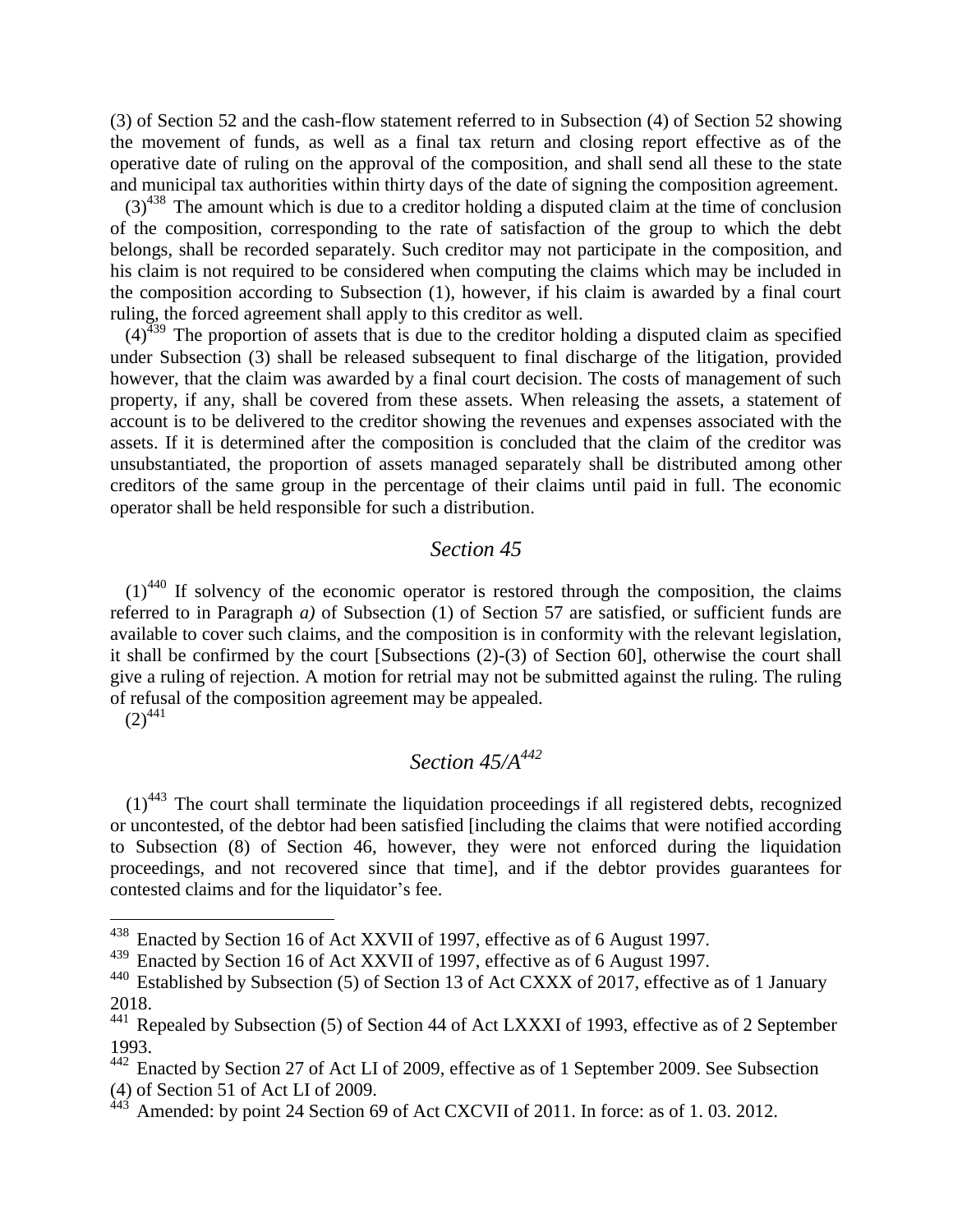(3) of Section 52 and the cash-flow statement referred to in Subsection (4) of Section 52 showing the movement of funds, as well as a final tax return and closing report effective as of the operative date of ruling on the approval of the composition, and shall send all these to the state and municipal tax authorities within thirty days of the date of signing the composition agreement.

 $(3)^{438}$  The amount which is due to a creditor holding a disputed claim at the time of conclusion of the composition, corresponding to the rate of satisfaction of the group to which the debt belongs, shall be recorded separately. Such creditor may not participate in the composition, and his claim is not required to be considered when computing the claims which may be included in the composition according to Subsection (1), however, if his claim is awarded by a final court ruling, the forced agreement shall apply to this creditor as well.

 $(4)^{439}$  The proportion of assets that is due to the creditor holding a disputed claim as specified under Subsection (3) shall be released subsequent to final discharge of the litigation, provided however, that the claim was awarded by a final court decision. The costs of management of such property, if any, shall be covered from these assets. When releasing the assets, a statement of account is to be delivered to the creditor showing the revenues and expenses associated with the assets. If it is determined after the composition is concluded that the claim of the creditor was unsubstantiated, the proportion of assets managed separately shall be distributed among other creditors of the same group in the percentage of their claims until paid in full. The economic operator shall be held responsible for such a distribution.

#### *Section 45*

 $(1)^{440}$  If solvency of the economic operator is restored through the composition, the claims referred to in Paragraph *a)* of Subsection (1) of Section 57 are satisfied, or sufficient funds are available to cover such claims, and the composition is in conformity with the relevant legislation, it shall be confirmed by the court [Subsections (2)-(3) of Section 60], otherwise the court shall give a ruling of rejection. A motion for retrial may not be submitted against the ruling. The ruling of refusal of the composition agreement may be appealed.  $(2)^{441}$ 

## *Section 45/A<sup>442</sup>*

 $(1)$ <sup>443</sup> The court shall terminate the liquidation proceedings if all registered debts, recognized or uncontested, of the debtor had been satisfied [including the claims that were notified according to Subsection (8) of Section 46, however, they were not enforced during the liquidation proceedings, and not recovered since that time], and if the debtor provides guarantees for contested claims and for the liquidator's fee.

 $438$  Enacted by Section 16 of Act XXVII of 1997, effective as of 6 August 1997.

<sup>&</sup>lt;sup>439</sup> Enacted by Section 16 of Act XXVII of 1997, effective as of 6 August 1997.

<sup>440</sup> Established by Subsection (5) of Section 13 of Act CXXX of 2017, effective as of 1 January 2018.

<sup>&</sup>lt;sup>441</sup> Repealed by Subsection (5) of Section 44 of Act LXXXI of 1993, effective as of 2 September 1993.

 $442$  Enacted by Section 27 of Act LI of 2009, effective as of 1 September 2009. See Subsection (4) of Section 51 of Act LI of 2009.

Amended: by point 24 Section 69 of Act CXCVII of 2011. In force: as of 1.03. 2012.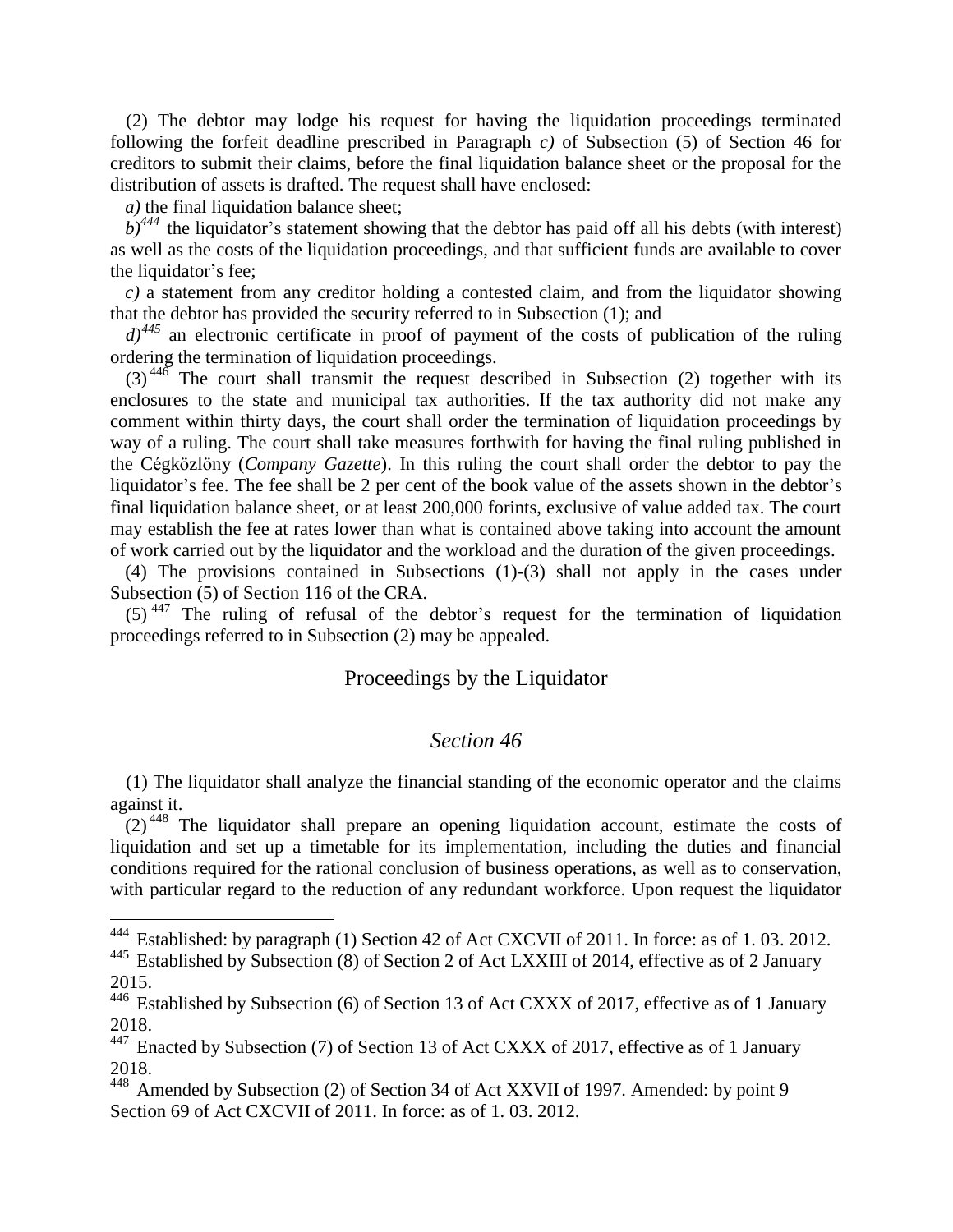(2) The debtor may lodge his request for having the liquidation proceedings terminated following the forfeit deadline prescribed in Paragraph *c)* of Subsection (5) of Section 46 for creditors to submit their claims, before the final liquidation balance sheet or the proposal for the distribution of assets is drafted. The request shall have enclosed:

*a)* the final liquidation balance sheet;

 $\overline{a}$ 

 $b)$ <sup>444</sup> the liquidator's statement showing that the debtor has paid off all his debts (with interest) as well as the costs of the liquidation proceedings, and that sufficient funds are available to cover the liquidator's fee;

*c)* a statement from any creditor holding a contested claim, and from the liquidator showing that the debtor has provided the security referred to in Subsection (1); and

 $d^{1445}$  an electronic certificate in proof of payment of the costs of publication of the ruling ordering the termination of liquidation proceedings.

 $(3)$ <sup>446</sup> The court shall transmit the request described in Subsection (2) together with its enclosures to the state and municipal tax authorities. If the tax authority did not make any comment within thirty days, the court shall order the termination of liquidation proceedings by way of a ruling. The court shall take measures forthwith for having the final ruling published in the Cégközlöny (*Company Gazette*). In this ruling the court shall order the debtor to pay the liquidator's fee. The fee shall be 2 per cent of the book value of the assets shown in the debtor's final liquidation balance sheet, or at least 200,000 forints, exclusive of value added tax. The court may establish the fee at rates lower than what is contained above taking into account the amount of work carried out by the liquidator and the workload and the duration of the given proceedings.

(4) The provisions contained in Subsections (1)-(3) shall not apply in the cases under Subsection (5) of Section 116 of the CRA.

 $(5)$ <sup>447</sup> The ruling of refusal of the debtor's request for the termination of liquidation proceedings referred to in Subsection (2) may be appealed.

### Proceedings by the Liquidator

#### *Section 46*

(1) The liquidator shall analyze the financial standing of the economic operator and the claims against it.

 $(2)^{448}$  The liquidator shall prepare an opening liquidation account, estimate the costs of liquidation and set up a timetable for its implementation, including the duties and financial conditions required for the rational conclusion of business operations, as well as to conservation, with particular regard to the reduction of any redundant workforce. Upon request the liquidator

<sup>&</sup>lt;sup>444</sup> Established: by paragraph (1) Section 42 of Act CXCVII of 2011. In force: as of 1.03. 2012.

<sup>&</sup>lt;sup>445</sup> Established by Subsection (8) of Section 2 of Act LXXIII of 2014, effective as of 2 January 2015.

<sup>446</sup> Established by Subsection (6) of Section 13 of Act CXXX of 2017, effective as of 1 January 2018.

<sup>&</sup>lt;sup>447</sup> Enacted by Subsection (7) of Section 13 of Act CXXX of 2017, effective as of 1 January 2018.

<sup>448</sup> Amended by Subsection (2) of Section 34 of Act XXVII of 1997. Amended: by point 9 Section 69 of Act CXCVII of 2011. In force: as of 1. 03. 2012.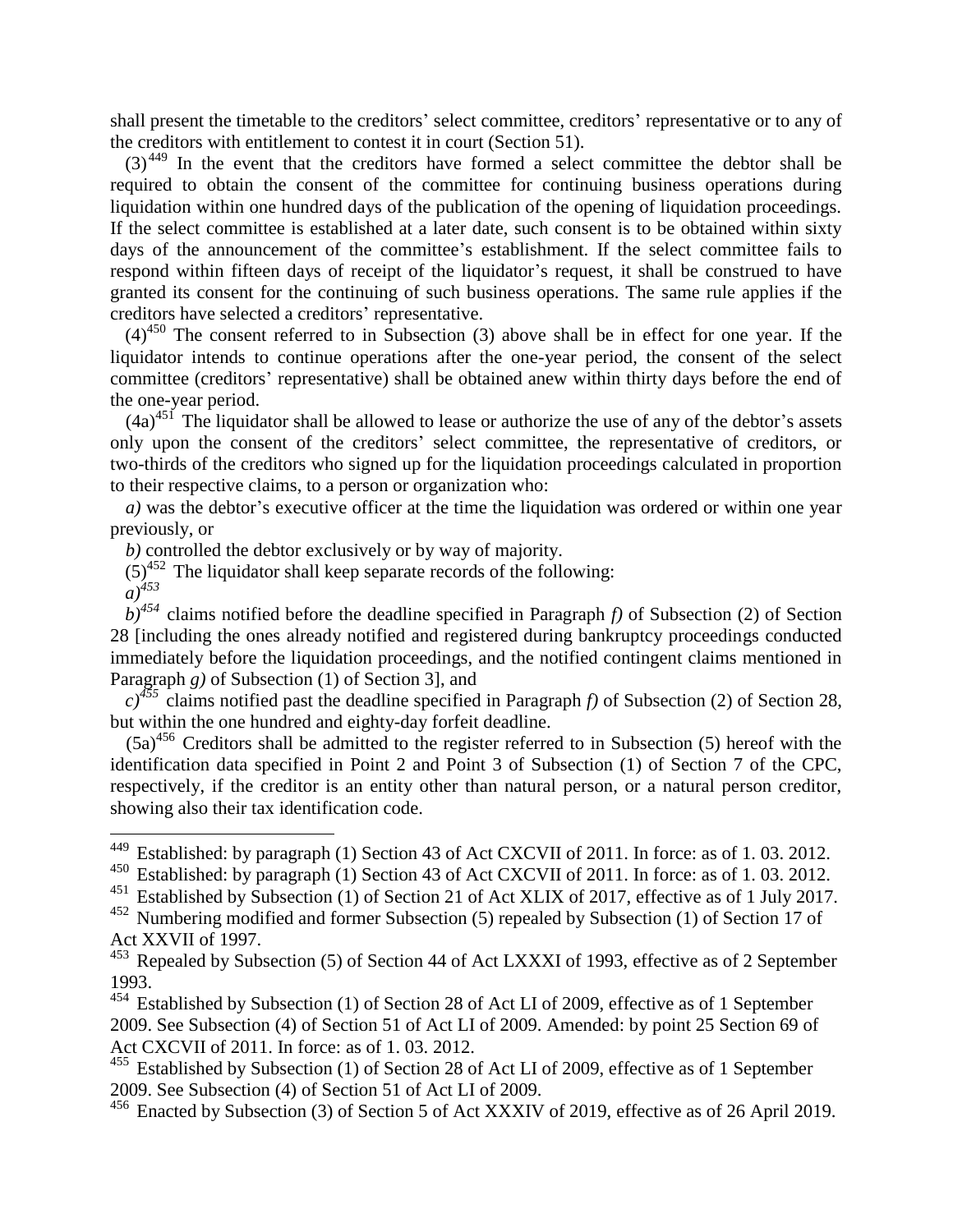shall present the timetable to the creditors' select committee, creditors' representative or to any of the creditors with entitlement to contest it in court (Section 51).

 $(3)$ <sup>449</sup> In the event that the creditors have formed a select committee the debtor shall be required to obtain the consent of the committee for continuing business operations during liquidation within one hundred days of the publication of the opening of liquidation proceedings. If the select committee is established at a later date, such consent is to be obtained within sixty days of the announcement of the committee's establishment. If the select committee fails to respond within fifteen days of receipt of the liquidator's request, it shall be construed to have granted its consent for the continuing of such business operations. The same rule applies if the creditors have selected a creditors' representative.

 $(4)^{450}$  The consent referred to in Subsection (3) above shall be in effect for one year. If the liquidator intends to continue operations after the one-year period, the consent of the select committee (creditors' representative) shall be obtained anew within thirty days before the end of the one-year period.

 $(4a)^{451}$  The liquidator shall be allowed to lease or authorize the use of any of the debtor's assets only upon the consent of the creditors' select committee, the representative of creditors, or two-thirds of the creditors who signed up for the liquidation proceedings calculated in proportion to their respective claims, to a person or organization who:

*a*) was the debtor's executive officer at the time the liquidation was ordered or within one year previously, or

*b)* controlled the debtor exclusively or by way of majority.

 $(5)^{452}$  The liquidator shall keep separate records of the following:

*a)<sup>453</sup>*

 $\overline{a}$ 

 $b)^{454}$  claims notified before the deadline specified in Paragraph *f*) of Subsection (2) of Section 28 [including the ones already notified and registered during bankruptcy proceedings conducted immediately before the liquidation proceedings, and the notified contingent claims mentioned in Paragraph *g)* of Subsection (1) of Section 3], and

 $c^{355}$  claims notified past the deadline specified in Paragraph *f*) of Subsection (2) of Section 28, but within the one hundred and eighty-day forfeit deadline.

 $(5a)^{456}$  Creditors shall be admitted to the register referred to in Subsection (5) hereof with the identification data specified in Point 2 and Point 3 of Subsection (1) of Section 7 of the CPC, respectively, if the creditor is an entity other than natural person, or a natural person creditor, showing also their tax identification code.

<sup>&</sup>lt;sup>449</sup> Established: by paragraph (1) Section 43 of Act CXCVII of 2011. In force: as of 1.03. 2012.

<sup>450</sup> Established: by paragraph (1) Section 43 of Act CXCVII of 2011. In force: as of 1. 03. 2012.

<sup>451</sup> Established by Subsection (1) of Section 21 of Act XLIX of 2017, effective as of 1 July 2017.

<sup>&</sup>lt;sup>452</sup> Numbering modified and former Subsection (5) repealed by Subsection (1) of Section 17 of Act XXVII of 1997.

<sup>&</sup>lt;sup>453</sup> Repealed by Subsection (5) of Section 44 of Act LXXXI of 1993, effective as of 2 September 1993.

<sup>&</sup>lt;sup>454</sup> Established by Subsection (1) of Section 28 of Act LI of 2009, effective as of 1 September 2009. See Subsection (4) of Section 51 of Act LI of 2009. Amended: by point 25 Section 69 of Act CXCVII of 2011. In force: as of 1. 03. 2012.

<sup>&</sup>lt;sup>455</sup> Established by Subsection (1) of Section 28 of Act LI of 2009, effective as of 1 September 2009. See Subsection (4) of Section 51 of Act LI of 2009.

 $456$  Enacted by Subsection (3) of Section 5 of Act XXXIV of 2019, effective as of 26 April 2019.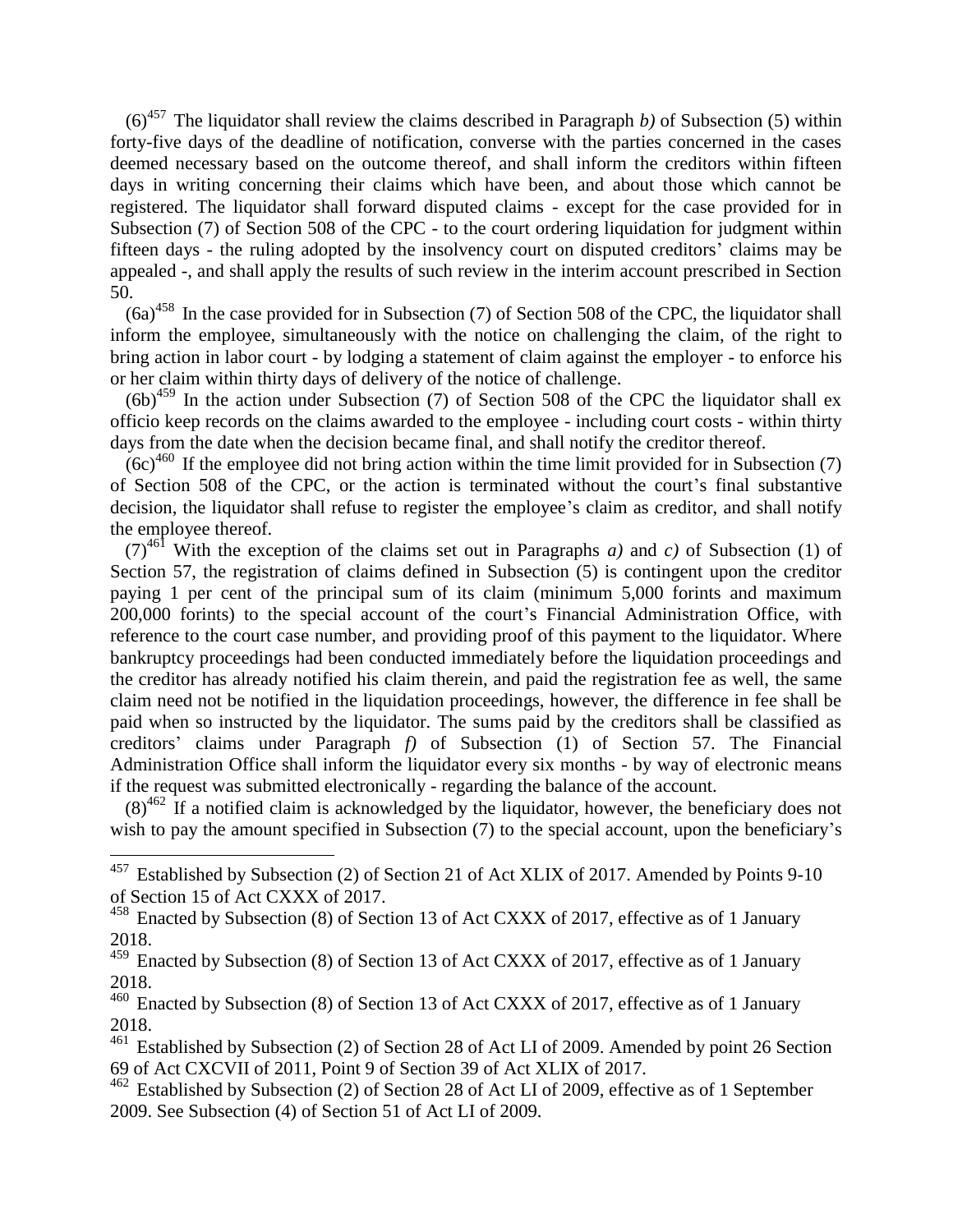(6)<sup>457</sup> The liquidator shall review the claims described in Paragraph *b*) of Subsection (5) within forty-five days of the deadline of notification, converse with the parties concerned in the cases deemed necessary based on the outcome thereof, and shall inform the creditors within fifteen days in writing concerning their claims which have been, and about those which cannot be registered. The liquidator shall forward disputed claims - except for the case provided for in Subsection (7) of Section 508 of the CPC - to the court ordering liquidation for judgment within fifteen days - the ruling adopted by the insolvency court on disputed creditors' claims may be appealed -, and shall apply the results of such review in the interim account prescribed in Section 50.

 $(6a)^{458}$  In the case provided for in Subsection (7) of Section 508 of the CPC, the liquidator shall inform the employee, simultaneously with the notice on challenging the claim, of the right to bring action in labor court - by lodging a statement of claim against the employer - to enforce his or her claim within thirty days of delivery of the notice of challenge.

 $(6b)^{459}$  In the action under Subsection (7) of Section 508 of the CPC the liquidator shall ex officio keep records on the claims awarded to the employee - including court costs - within thirty days from the date when the decision became final, and shall notify the creditor thereof.

 $(6c)^{460}$  If the employee did not bring action within the time limit provided for in Subsection (7) of Section 508 of the CPC, or the action is terminated without the court's final substantive decision, the liquidator shall refuse to register the employee's claim as creditor, and shall notify the employee thereof.

 $(7)^{461}$  With the exception of the claims set out in Paragraphs *a*) and *c*) of Subsection (1) of Section 57, the registration of claims defined in Subsection (5) is contingent upon the creditor paying 1 per cent of the principal sum of its claim (minimum 5,000 forints and maximum 200,000 forints) to the special account of the court's Financial Administration Office, with reference to the court case number, and providing proof of this payment to the liquidator. Where bankruptcy proceedings had been conducted immediately before the liquidation proceedings and the creditor has already notified his claim therein, and paid the registration fee as well, the same claim need not be notified in the liquidation proceedings, however, the difference in fee shall be paid when so instructed by the liquidator. The sums paid by the creditors shall be classified as creditors' claims under Paragraph *f)* of Subsection (1) of Section 57. The Financial Administration Office shall inform the liquidator every six months - by way of electronic means if the request was submitted electronically - regarding the balance of the account.

 $(8)^{462}$  If a notified claim is acknowledged by the liquidator, however, the beneficiary does not wish to pay the amount specified in Subsection (7) to the special account, upon the beneficiary's

<sup>&</sup>lt;sup>457</sup> Established by Subsection (2) of Section 21 of Act XLIX of 2017. Amended by Points 9-10 of Section 15 of Act CXXX of 2017.

<sup>458</sup> Enacted by Subsection (8) of Section 13 of Act CXXX of 2017, effective as of 1 January 2018.

<sup>&</sup>lt;sup>459</sup> Enacted by Subsection (8) of Section 13 of Act CXXX of 2017, effective as of 1 January 2018.

<sup>460</sup> Enacted by Subsection (8) of Section 13 of Act CXXX of 2017, effective as of 1 January 2018.

Established by Subsection (2) of Section 28 of Act LI of 2009. Amended by point 26 Section 69 of Act CXCVII of 2011, Point 9 of Section 39 of Act XLIX of 2017.

 $462$  Established by Subsection (2) of Section 28 of Act LI of 2009, effective as of 1 September 2009. See Subsection (4) of Section 51 of Act LI of 2009.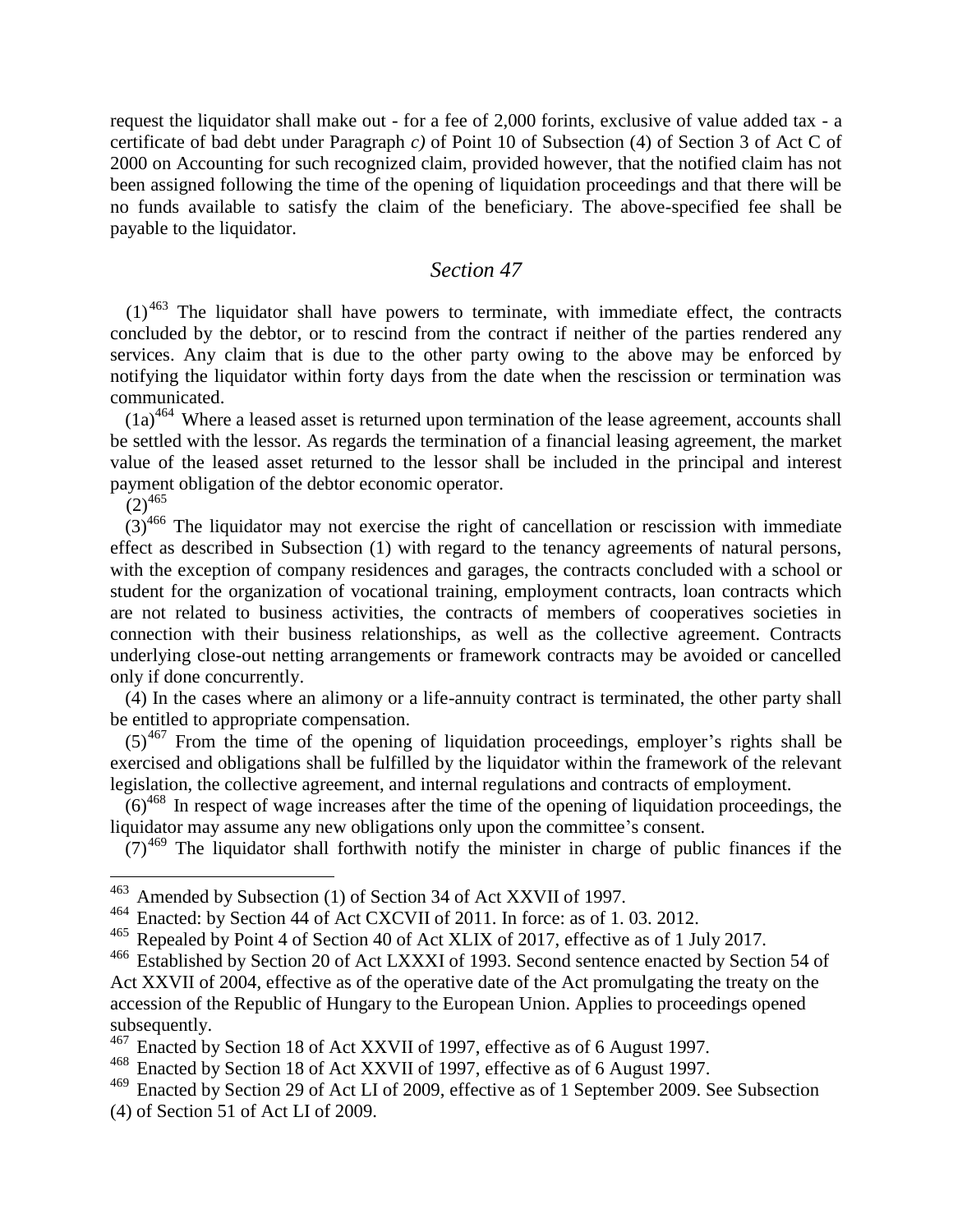request the liquidator shall make out - for a fee of 2,000 forints, exclusive of value added tax - a certificate of bad debt under Paragraph *c)* of Point 10 of Subsection (4) of Section 3 of Act C of 2000 on Accounting for such recognized claim, provided however, that the notified claim has not been assigned following the time of the opening of liquidation proceedings and that there will be no funds available to satisfy the claim of the beneficiary. The above-specified fee shall be payable to the liquidator.

### *Section 47*

 $(1)$ <sup>463</sup> The liquidator shall have powers to terminate, with immediate effect, the contracts concluded by the debtor, or to rescind from the contract if neither of the parties rendered any services. Any claim that is due to the other party owing to the above may be enforced by notifying the liquidator within forty days from the date when the rescission or termination was communicated.

 $(1a)^{464}$  Where a leased asset is returned upon termination of the lease agreement, accounts shall be settled with the lessor. As regards the termination of a financial leasing agreement, the market value of the leased asset returned to the lessor shall be included in the principal and interest payment obligation of the debtor economic operator.

 $(2)^{465}$ 

 $\overline{a}$ 

 $(3)^{466}$  The liquidator may not exercise the right of cancellation or rescission with immediate effect as described in Subsection (1) with regard to the tenancy agreements of natural persons, with the exception of company residences and garages, the contracts concluded with a school or student for the organization of vocational training, employment contracts, loan contracts which are not related to business activities, the contracts of members of cooperatives societies in connection with their business relationships, as well as the collective agreement. Contracts underlying close-out netting arrangements or framework contracts may be avoided or cancelled only if done concurrently.

(4) In the cases where an alimony or a life-annuity contract is terminated, the other party shall be entitled to appropriate compensation.

 $(5)^{467}$  From the time of the opening of liquidation proceedings, employer's rights shall be exercised and obligations shall be fulfilled by the liquidator within the framework of the relevant legislation, the collective agreement, and internal regulations and contracts of employment.

 $(6)^{468}$  In respect of wage increases after the time of the opening of liquidation proceedings, the liquidator may assume any new obligations only upon the committee's consent.

 $(7)^{469}$  The liquidator shall forthwith notify the minister in charge of public finances if the

<sup>463</sup> Amended by Subsection (1) of Section 34 of Act XXVII of 1997.

<sup>464</sup> Enacted: by Section 44 of Act CXCVII of 2011. In force: as of 1. 03. 2012.

<sup>465</sup> Repealed by Point 4 of Section 40 of Act XLIX of 2017, effective as of 1 July 2017.<br><sup>466</sup> Established by Section 20 of Act LXXXI of 1993. Second sentence enacted by Section

Established by Section 20 of Act LXXXI of 1993. Second sentence enacted by Section 54 of Act XXVII of 2004, effective as of the operative date of the Act promulgating the treaty on the accession of the Republic of Hungary to the European Union. Applies to proceedings opened subsequently.

 $^{467}$  Enacted by Section 18 of Act XXVII of 1997, effective as of 6 August 1997.

<sup>468</sup> Enacted by Section 18 of Act XXVII of 1997, effective as of 6 August 1997.

<sup>469</sup> Enacted by Section 29 of Act LI of 2009, effective as of 1 September 2009. See Subsection (4) of Section 51 of Act LI of 2009.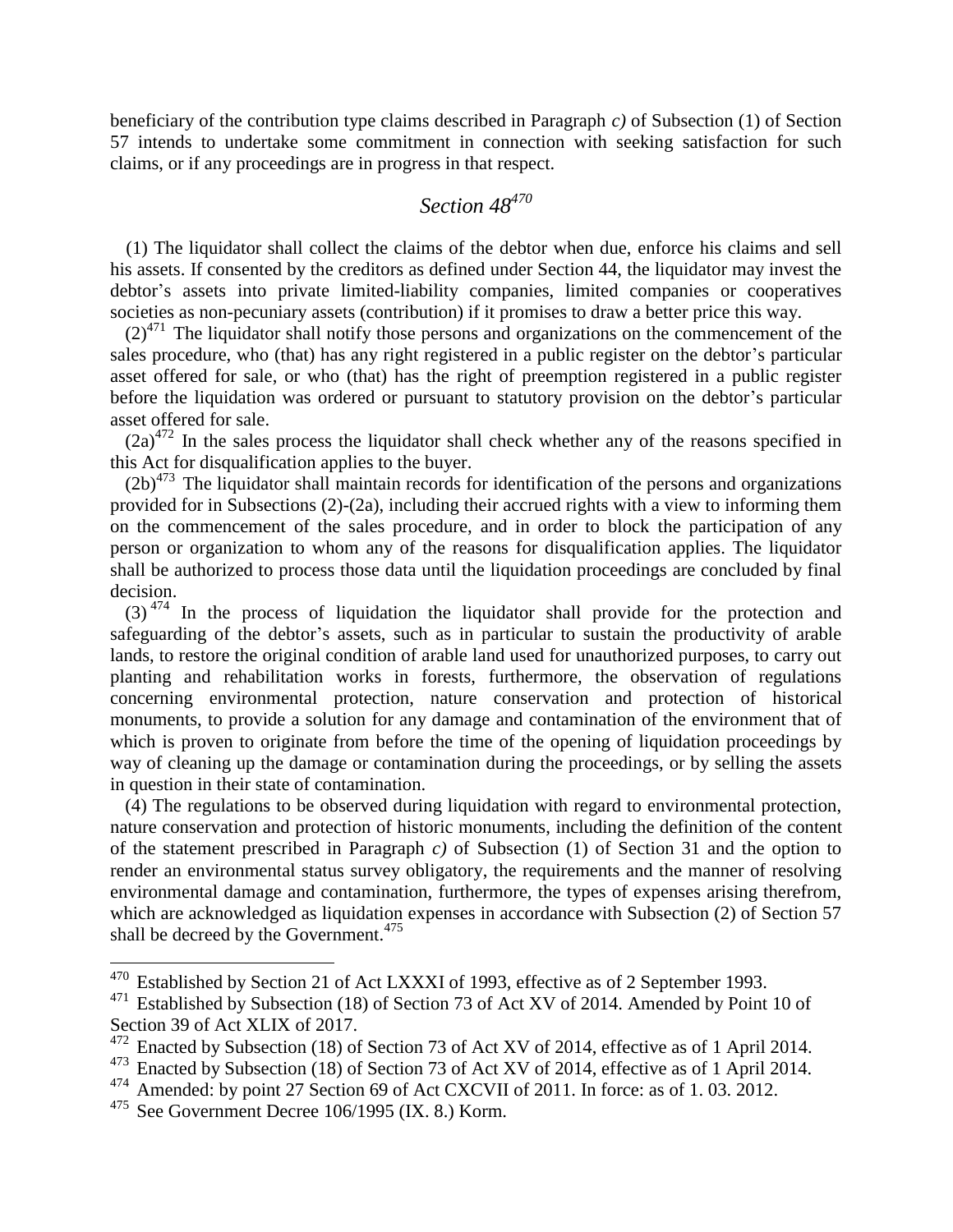beneficiary of the contribution type claims described in Paragraph *c)* of Subsection (1) of Section 57 intends to undertake some commitment in connection with seeking satisfaction for such claims, or if any proceedings are in progress in that respect.

# *Section 48<sup>470</sup>*

(1) The liquidator shall collect the claims of the debtor when due, enforce his claims and sell his assets. If consented by the creditors as defined under Section 44, the liquidator may invest the debtor's assets into private limited-liability companies, limited companies or cooperatives societies as non-pecuniary assets (contribution) if it promises to draw a better price this way.

 $(2)^{471}$  The liquidator shall notify those persons and organizations on the commencement of the sales procedure, who (that) has any right registered in a public register on the debtor's particular asset offered for sale, or who (that) has the right of preemption registered in a public register before the liquidation was ordered or pursuant to statutory provision on the debtor's particular asset offered for sale.

 $(2a)^{472}$  In the sales process the liquidator shall check whether any of the reasons specified in this Act for disqualification applies to the buyer.

 $(2b)^{473}$  The liquidator shall maintain records for identification of the persons and organizations provided for in Subsections (2)-(2a), including their accrued rights with a view to informing them on the commencement of the sales procedure, and in order to block the participation of any person or organization to whom any of the reasons for disqualification applies. The liquidator shall be authorized to process those data until the liquidation proceedings are concluded by final decision.

 $(3)$ <sup>474</sup> In the process of liquidation the liquidator shall provide for the protection and safeguarding of the debtor's assets, such as in particular to sustain the productivity of arable lands, to restore the original condition of arable land used for unauthorized purposes, to carry out planting and rehabilitation works in forests, furthermore, the observation of regulations concerning environmental protection, nature conservation and protection of historical monuments, to provide a solution for any damage and contamination of the environment that of which is proven to originate from before the time of the opening of liquidation proceedings by way of cleaning up the damage or contamination during the proceedings, or by selling the assets in question in their state of contamination.

(4) The regulations to be observed during liquidation with regard to environmental protection, nature conservation and protection of historic monuments, including the definition of the content of the statement prescribed in Paragraph *c)* of Subsection (1) of Section 31 and the option to render an environmental status survey obligatory, the requirements and the manner of resolving environmental damage and contamination, furthermore, the types of expenses arising therefrom, which are acknowledged as liquidation expenses in accordance with Subsection (2) of Section 57 shall be decreed by the Government.<sup>475</sup>

 $470$  Established by Section 21 of Act LXXXI of 1993, effective as of 2 September 1993.

<sup>&</sup>lt;sup>471</sup> Established by Subsection (18) of Section 73 of Act XV of 2014. Amended by Point 10 of Section 39 of Act XLIX of 2017.

<sup>472</sup> Enacted by Subsection (18) of Section 73 of Act XV of 2014, effective as of 1 April 2014.

<sup>&</sup>lt;sup>473</sup> Enacted by Subsection (18) of Section 73 of Act XV of 2014, effective as of 1 April 2014.

<sup>&</sup>lt;sup>474</sup> Amended: by point 27 Section 69 of Act CXCVII of 2011. In force: as of 1.03. 2012.

<sup>475</sup> See Government Decree 106/1995 (IX. 8.) Korm.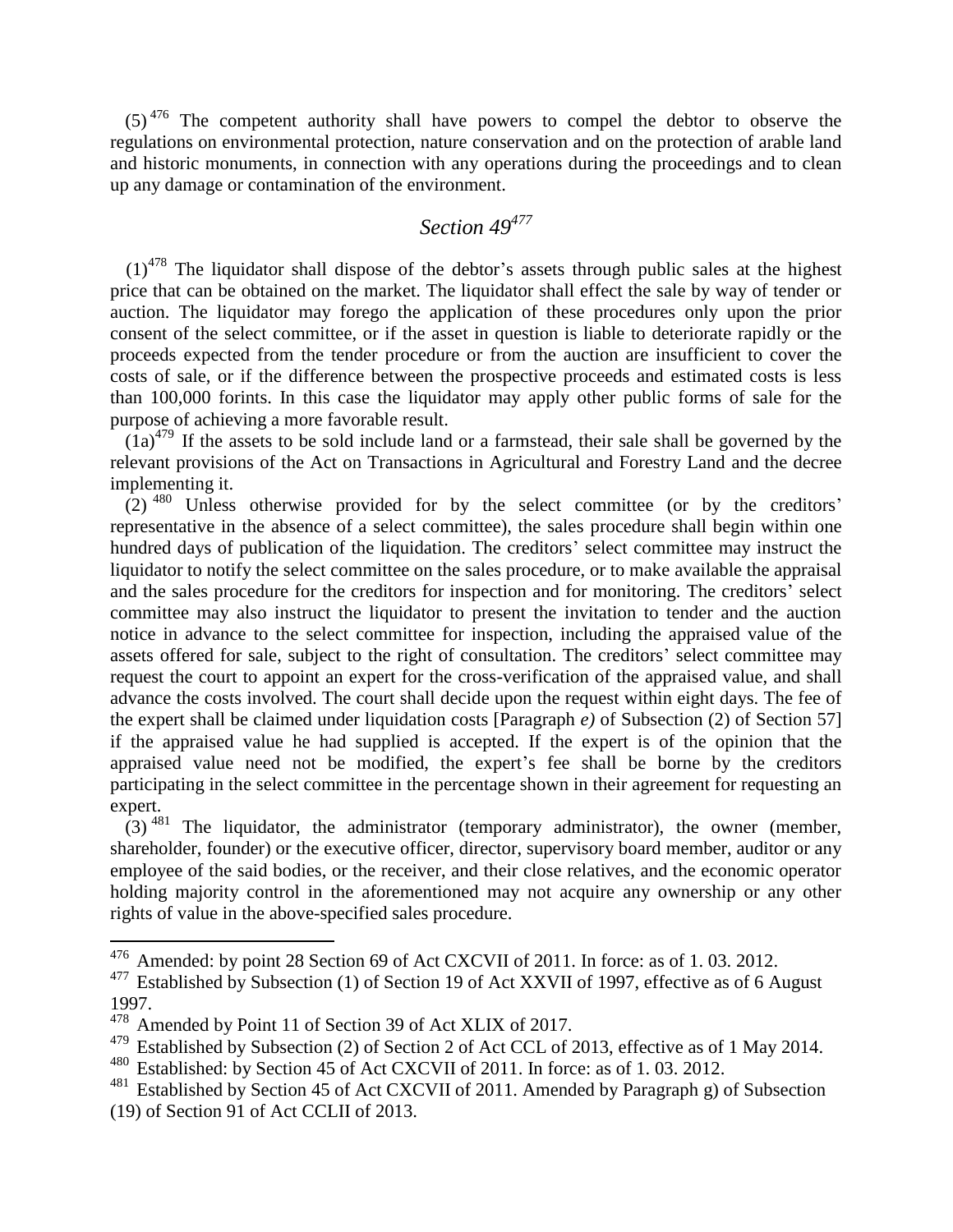$(5)^{476}$  The competent authority shall have powers to compel the debtor to observe the regulations on environmental protection, nature conservation and on the protection of arable land and historic monuments, in connection with any operations during the proceedings and to clean up any damage or contamination of the environment.

### *Section 49<sup>477</sup>*

 $(1)^{478}$  The liquidator shall dispose of the debtor's assets through public sales at the highest price that can be obtained on the market. The liquidator shall effect the sale by way of tender or auction. The liquidator may forego the application of these procedures only upon the prior consent of the select committee, or if the asset in question is liable to deteriorate rapidly or the proceeds expected from the tender procedure or from the auction are insufficient to cover the costs of sale, or if the difference between the prospective proceeds and estimated costs is less than 100,000 forints. In this case the liquidator may apply other public forms of sale for the purpose of achieving a more favorable result.

 $(1a)^{479}$  If the assets to be sold include land or a farmstead, their sale shall be governed by the relevant provisions of the Act on Transactions in Agricultural and Forestry Land and the decree implementing it.

 $(2)$ <sup>480</sup> Unless otherwise provided for by the select committee (or by the creditors' representative in the absence of a select committee), the sales procedure shall begin within one hundred days of publication of the liquidation. The creditors' select committee may instruct the liquidator to notify the select committee on the sales procedure, or to make available the appraisal and the sales procedure for the creditors for inspection and for monitoring. The creditors' select committee may also instruct the liquidator to present the invitation to tender and the auction notice in advance to the select committee for inspection, including the appraised value of the assets offered for sale, subject to the right of consultation. The creditors' select committee may request the court to appoint an expert for the cross-verification of the appraised value, and shall advance the costs involved. The court shall decide upon the request within eight days. The fee of the expert shall be claimed under liquidation costs [Paragraph *e)* of Subsection (2) of Section 57] if the appraised value he had supplied is accepted. If the expert is of the opinion that the appraised value need not be modified, the expert's fee shall be borne by the creditors participating in the select committee in the percentage shown in their agreement for requesting an expert.

 $(3)$ <sup>481</sup> The liquidator, the administrator (temporary administrator), the owner (member, shareholder, founder) or the executive officer, director, supervisory board member, auditor or any employee of the said bodies, or the receiver, and their close relatives, and the economic operator holding majority control in the aforementioned may not acquire any ownership or any other rights of value in the above-specified sales procedure.

<sup>&</sup>lt;sup>476</sup> Amended: by point 28 Section 69 of Act CXCVII of 2011. In force: as of 1.03. 2012.

<sup>477</sup> Established by Subsection (1) of Section 19 of Act XXVII of 1997, effective as of 6 August 1997.

<sup>&</sup>lt;sup>478</sup> Amended by Point 11 of Section 39 of Act XLIX of 2017.

Established by Subsection (2) of Section 2 of Act CCL of 2013, effective as of 1 May 2014.

<sup>480</sup> Established: by Section 45 of Act CXCVII of 2011. In force: as of 1. 03. 2012.

<sup>&</sup>lt;sup>481</sup> Established by Section 45 of Act CXCVII of 2011. Amended by Paragraph g) of Subsection (19) of Section 91 of Act CCLII of 2013.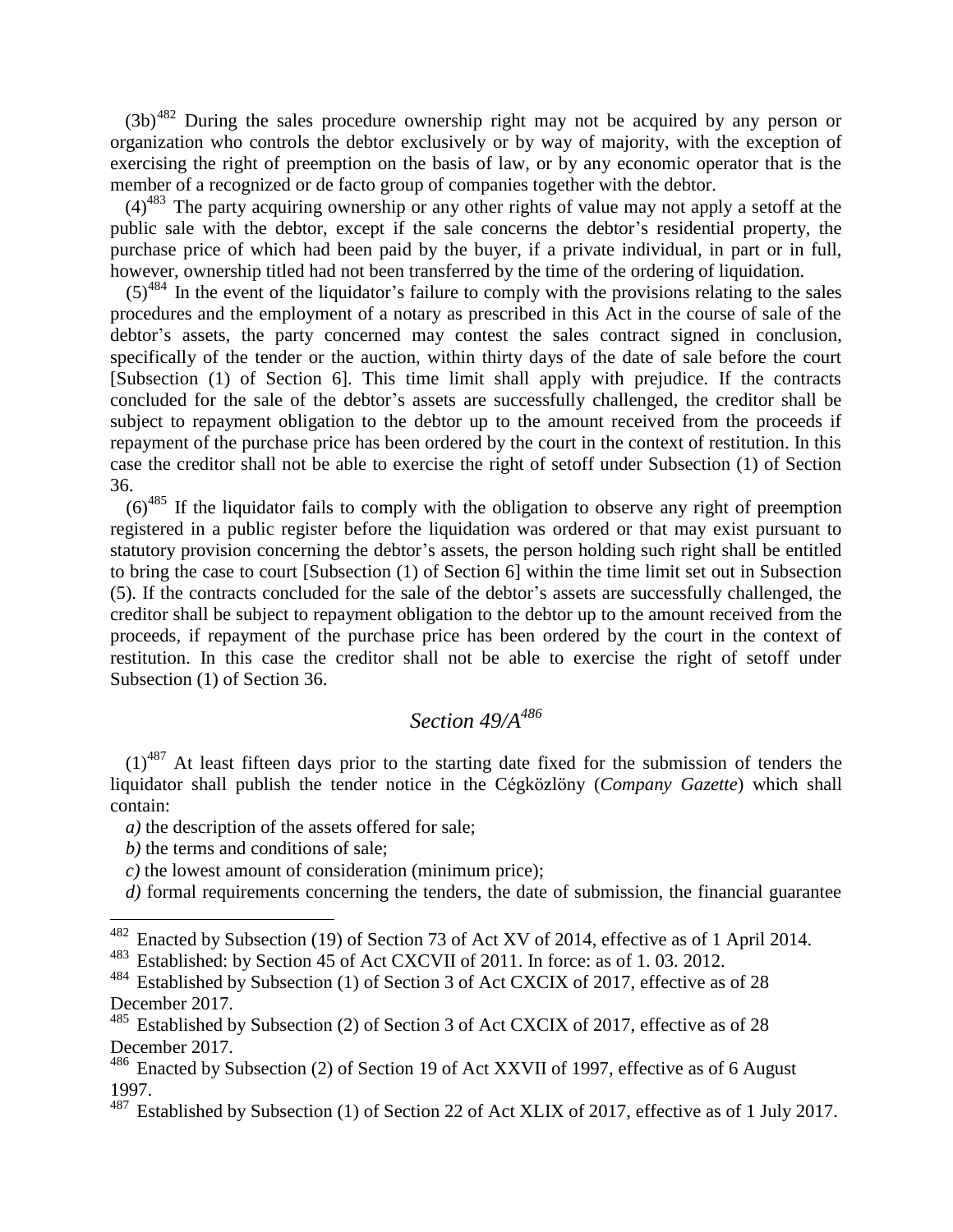$(3b)^{482}$  During the sales procedure ownership right may not be acquired by any person or organization who controls the debtor exclusively or by way of majority, with the exception of exercising the right of preemption on the basis of law, or by any economic operator that is the member of a recognized or de facto group of companies together with the debtor.

 $(4)^{483}$  The party acquiring ownership or any other rights of value may not apply a setoff at the public sale with the debtor, except if the sale concerns the debtor's residential property, the purchase price of which had been paid by the buyer, if a private individual, in part or in full, however, ownership titled had not been transferred by the time of the ordering of liquidation.

 $(5)^{484}$  In the event of the liquidator's failure to comply with the provisions relating to the sales procedures and the employment of a notary as prescribed in this Act in the course of sale of the debtor's assets, the party concerned may contest the sales contract signed in conclusion, specifically of the tender or the auction, within thirty days of the date of sale before the court [Subsection (1) of Section 6]. This time limit shall apply with prejudice. If the contracts concluded for the sale of the debtor's assets are successfully challenged, the creditor shall be subject to repayment obligation to the debtor up to the amount received from the proceeds if repayment of the purchase price has been ordered by the court in the context of restitution. In this case the creditor shall not be able to exercise the right of setoff under Subsection (1) of Section 36.

 $(6)^{485}$  If the liquidator fails to comply with the obligation to observe any right of preemption registered in a public register before the liquidation was ordered or that may exist pursuant to statutory provision concerning the debtor's assets, the person holding such right shall be entitled to bring the case to court [Subsection (1) of Section 6] within the time limit set out in Subsection (5). If the contracts concluded for the sale of the debtor's assets are successfully challenged, the creditor shall be subject to repayment obligation to the debtor up to the amount received from the proceeds, if repayment of the purchase price has been ordered by the court in the context of restitution. In this case the creditor shall not be able to exercise the right of setoff under Subsection (1) of Section 36.

## *Section 49/A<sup>486</sup>*

 $(1)$ <sup>487</sup> At least fifteen days prior to the starting date fixed for the submission of tenders the liquidator shall publish the tender notice in the Cégközlöny (*Company Gazette*) which shall contain:

*a)* the description of the assets offered for sale;

*b*) the terms and conditions of sale:

 $\overline{a}$ 

*c)* the lowest amount of consideration (minimum price);

*d)* formal requirements concerning the tenders, the date of submission, the financial guarantee

 $482$  Enacted by Subsection (19) of Section 73 of Act XV of 2014, effective as of 1 April 2014.

<sup>483</sup> Established: by Section 45 of Act CXCVII of 2011. In force: as of 1. 03. 2012.

<sup>&</sup>lt;sup>484</sup> Established by Subsection (1) of Section 3 of Act CXCIX of 2017, effective as of 28 December 2017.

<sup>&</sup>lt;sup>485</sup> Established by Subsection (2) of Section 3 of Act CXCIX of 2017, effective as of 28 December 2017.

 $486$  Enacted by Subsection (2) of Section 19 of Act XXVII of 1997, effective as of 6 August 1997.

<sup>&</sup>lt;sup>487</sup> Established by Subsection (1) of Section 22 of Act XLIX of 2017, effective as of 1 July 2017.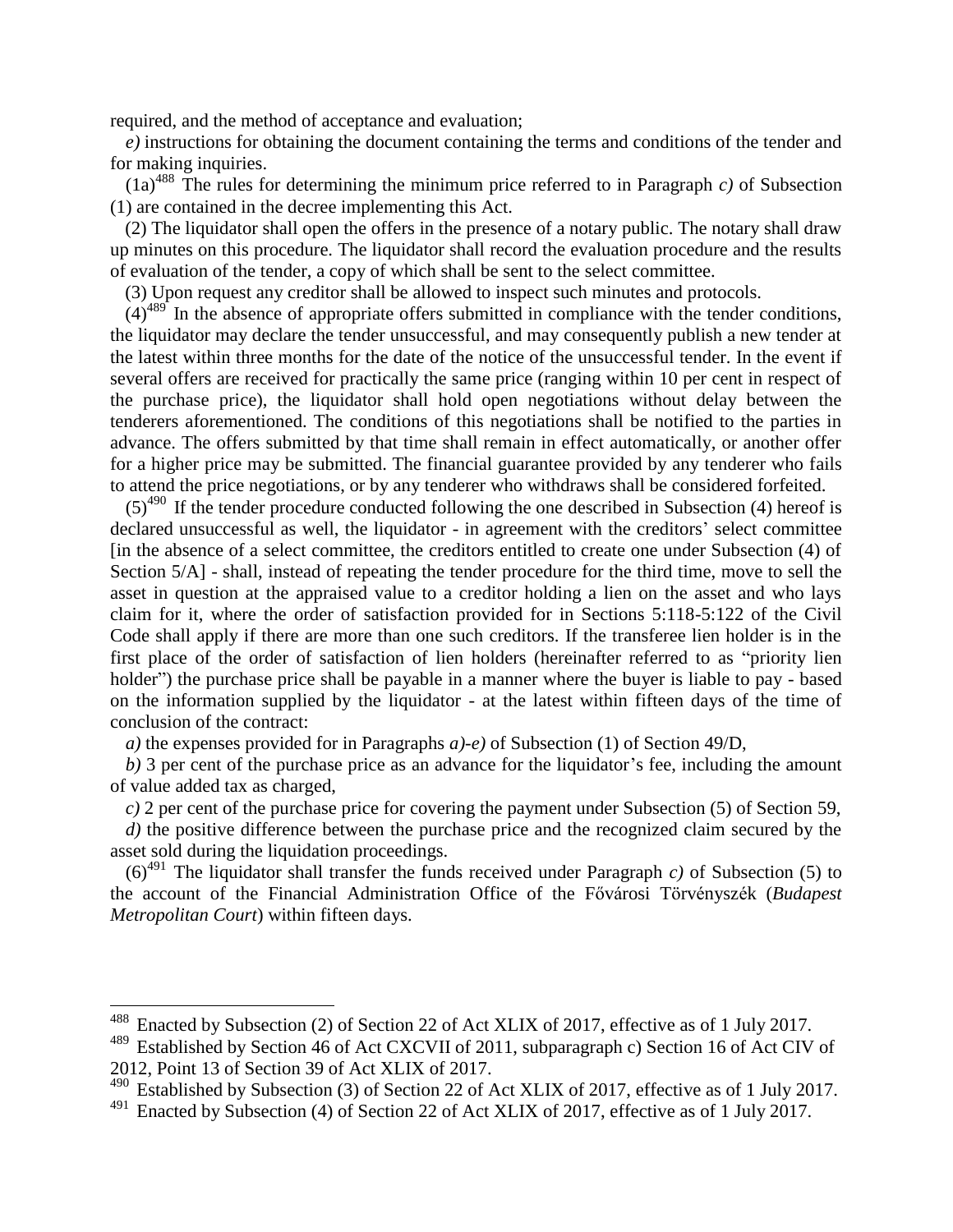required, and the method of acceptance and evaluation;

*e)* instructions for obtaining the document containing the terms and conditions of the tender and for making inquiries.

 $(1a)^{488}$  The rules for determining the minimum price referred to in Paragraph *c*) of Subsection (1) are contained in the decree implementing this Act.

(2) The liquidator shall open the offers in the presence of a notary public. The notary shall draw up minutes on this procedure. The liquidator shall record the evaluation procedure and the results of evaluation of the tender, a copy of which shall be sent to the select committee.

(3) Upon request any creditor shall be allowed to inspect such minutes and protocols.

 $(4)^{489}$  In the absence of appropriate offers submitted in compliance with the tender conditions, the liquidator may declare the tender unsuccessful, and may consequently publish a new tender at the latest within three months for the date of the notice of the unsuccessful tender. In the event if several offers are received for practically the same price (ranging within 10 per cent in respect of the purchase price), the liquidator shall hold open negotiations without delay between the tenderers aforementioned. The conditions of this negotiations shall be notified to the parties in advance. The offers submitted by that time shall remain in effect automatically, or another offer for a higher price may be submitted. The financial guarantee provided by any tenderer who fails to attend the price negotiations, or by any tenderer who withdraws shall be considered forfeited.

 $(5)^{490}$  If the tender procedure conducted following the one described in Subsection (4) hereof is declared unsuccessful as well, the liquidator - in agreement with the creditors' select committee [in the absence of a select committee, the creditors entitled to create one under Subsection (4) of Section  $5/A$ ] - shall, instead of repeating the tender procedure for the third time, move to sell the asset in question at the appraised value to a creditor holding a lien on the asset and who lays claim for it, where the order of satisfaction provided for in Sections 5:118-5:122 of the Civil Code shall apply if there are more than one such creditors. If the transferee lien holder is in the first place of the order of satisfaction of lien holders (hereinafter referred to as "priority lien holder") the purchase price shall be payable in a manner where the buyer is liable to pay - based on the information supplied by the liquidator - at the latest within fifteen days of the time of conclusion of the contract:

*a)* the expenses provided for in Paragraphs *a)-e)* of Subsection (1) of Section 49/D,

*b)* 3 per cent of the purchase price as an advance for the liquidator's fee, including the amount of value added tax as charged,

*c)* 2 per cent of the purchase price for covering the payment under Subsection (5) of Section 59,

*d)* the positive difference between the purchase price and the recognized claim secured by the asset sold during the liquidation proceedings.

 $(6)^{491}$  The liquidator shall transfer the funds received under Paragraph *c*) of Subsection (5) to the account of the Financial Administration Office of the Fővárosi Törvényszék (*Budapest Metropolitan Court*) within fifteen days.

<sup>&</sup>lt;sup>488</sup> Enacted by Subsection (2) of Section 22 of Act XLIX of 2017, effective as of 1 July 2017.

Established by Section 46 of Act CXCVII of 2011, subparagraph c) Section 16 of Act CIV of 2012, Point 13 of Section 39 of Act XLIX of 2017.

<sup>490</sup> Established by Subsection (3) of Section 22 of Act XLIX of 2017, effective as of 1 July 2017.

<sup>&</sup>lt;sup>491</sup> Enacted by Subsection (4) of Section 22 of Act XLIX of 2017, effective as of 1 July 2017.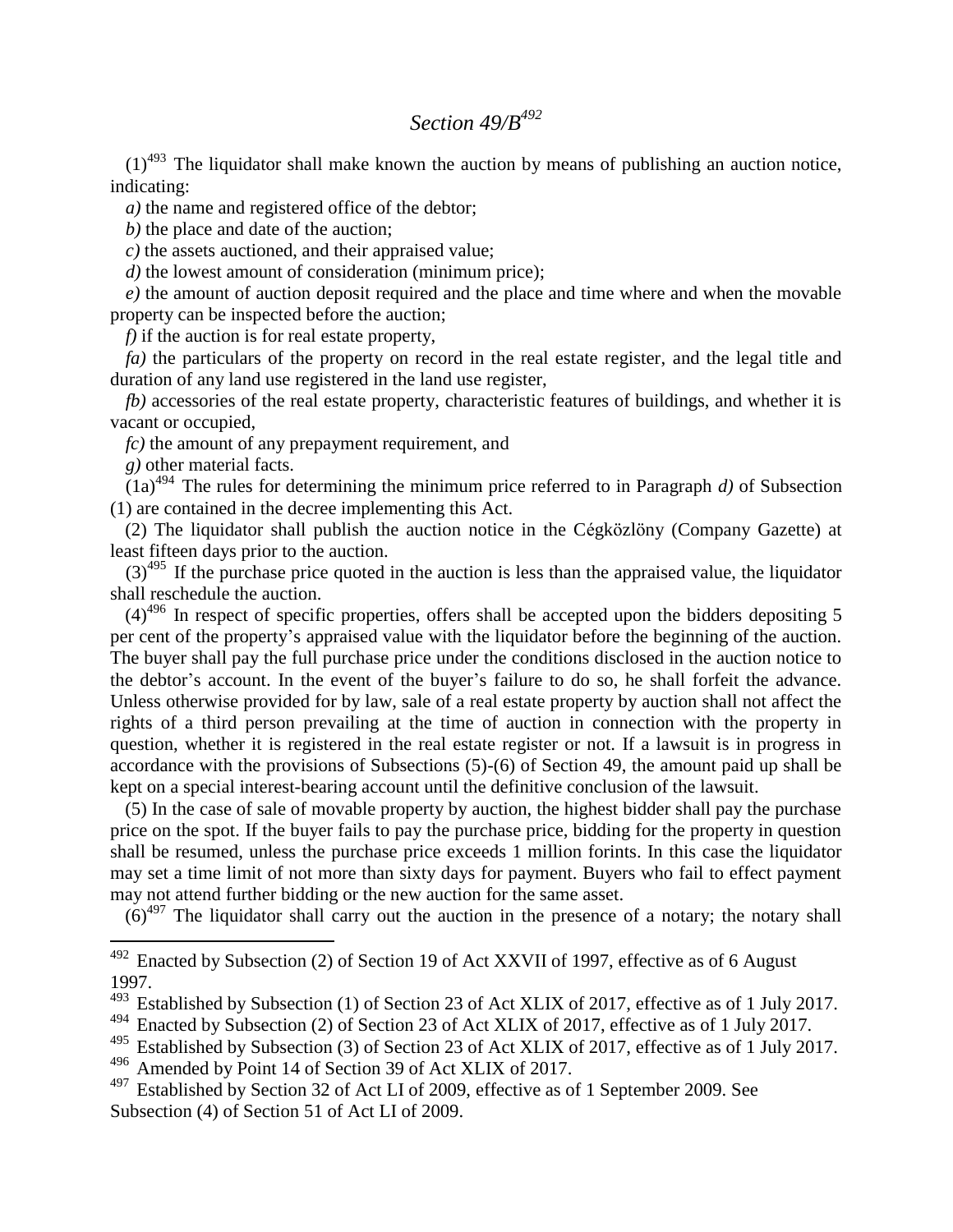## *Section 49/B<sup>492</sup>*

 $(1)^{493}$  The liquidator shall make known the auction by means of publishing an auction notice, indicating:

*a)* the name and registered office of the debtor;

*b)* the place and date of the auction;

*c)* the assets auctioned, and their appraised value;

*d)* the lowest amount of consideration (minimum price);

*e)* the amount of auction deposit required and the place and time where and when the movable property can be inspected before the auction;

*f)* if the auction is for real estate property,

*fa*) the particulars of the property on record in the real estate register, and the legal title and duration of any land use registered in the land use register,

*fb)* accessories of the real estate property, characteristic features of buildings, and whether it is vacant or occupied,

*fc)* the amount of any prepayment requirement, and

*g)* other material facts.

 $\overline{a}$ 

 $(1a)^{494}$  The rules for determining the minimum price referred to in Paragraph *d*) of Subsection (1) are contained in the decree implementing this Act.

(2) The liquidator shall publish the auction notice in the Cégközlöny (Company Gazette) at least fifteen days prior to the auction.

 $(3)^{495}$  If the purchase price quoted in the auction is less than the appraised value, the liquidator shall reschedule the auction.

 $(4)^{496}$  In respect of specific properties, offers shall be accepted upon the bidders depositing 5 per cent of the property's appraised value with the liquidator before the beginning of the auction. The buyer shall pay the full purchase price under the conditions disclosed in the auction notice to the debtor's account. In the event of the buyer's failure to do so, he shall forfeit the advance. Unless otherwise provided for by law, sale of a real estate property by auction shall not affect the rights of a third person prevailing at the time of auction in connection with the property in question, whether it is registered in the real estate register or not. If a lawsuit is in progress in accordance with the provisions of Subsections (5)-(6) of Section 49, the amount paid up shall be kept on a special interest-bearing account until the definitive conclusion of the lawsuit.

(5) In the case of sale of movable property by auction, the highest bidder shall pay the purchase price on the spot. If the buyer fails to pay the purchase price, bidding for the property in question shall be resumed, unless the purchase price exceeds 1 million forints. In this case the liquidator may set a time limit of not more than sixty days for payment. Buyers who fail to effect payment may not attend further bidding or the new auction for the same asset.

 $(6)^{497}$  The liquidator shall carry out the auction in the presence of a notary; the notary shall

 $492$  Enacted by Subsection (2) of Section 19 of Act XXVII of 1997, effective as of 6 August 1997.

<sup>&</sup>lt;sup>493</sup> Established by Subsection (1) of Section 23 of Act XLIX of 2017, effective as of 1 July 2017.

<sup>&</sup>lt;sup>494</sup> Enacted by Subsection (2) of Section 23 of Act XLIX of 2017, effective as of 1 July 2017.<br><sup>495</sup> Established by Subsection (3) of Section 23 of Act XLIX of 2017, effective as of 1 July 20

Established by Subsection (3) of Section 23 of Act XLIX of 2017, effective as of 1 July 2017.

<sup>&</sup>lt;sup>496</sup> Amended by Point 14 of Section 39 of Act XLIX of 2017.

Established by Section 32 of Act LI of 2009, effective as of 1 September 2009. See Subsection (4) of Section 51 of Act LI of 2009.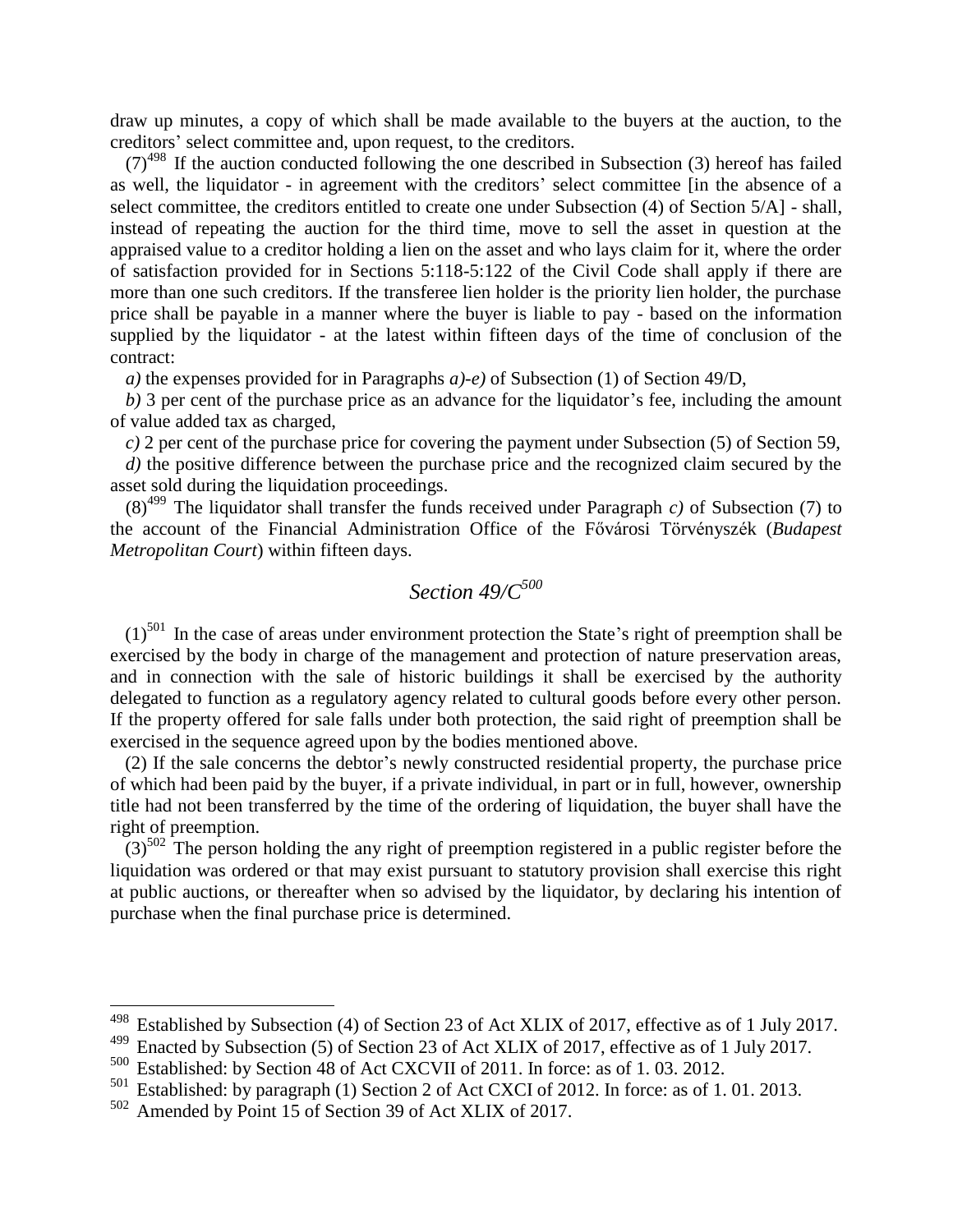draw up minutes, a copy of which shall be made available to the buyers at the auction, to the creditors' select committee and, upon request, to the creditors.

 $(7)^{498}$  If the auction conducted following the one described in Subsection (3) hereof has failed as well, the liquidator - in agreement with the creditors' select committee [in the absence of a select committee, the creditors entitled to create one under Subsection (4) of Section 5/A] - shall, instead of repeating the auction for the third time, move to sell the asset in question at the appraised value to a creditor holding a lien on the asset and who lays claim for it, where the order of satisfaction provided for in Sections 5:118-5:122 of the Civil Code shall apply if there are more than one such creditors. If the transferee lien holder is the priority lien holder, the purchase price shall be payable in a manner where the buyer is liable to pay - based on the information supplied by the liquidator - at the latest within fifteen days of the time of conclusion of the contract:

*a)* the expenses provided for in Paragraphs *a)-e)* of Subsection (1) of Section 49/D,

*b)* 3 per cent of the purchase price as an advance for the liquidator's fee, including the amount of value added tax as charged,

*c)* 2 per cent of the purchase price for covering the payment under Subsection (5) of Section 59,

*d)* the positive difference between the purchase price and the recognized claim secured by the asset sold during the liquidation proceedings.

 $(8)^{499}$  The liquidator shall transfer the funds received under Paragraph *c*) of Subsection (7) to the account of the Financial Administration Office of the Fővárosi Törvényszék (*Budapest Metropolitan Court*) within fifteen days.

# *Section 49/C<sup>500</sup>*

 $(1)$ <sup>501</sup> In the case of areas under environment protection the State's right of preemption shall be exercised by the body in charge of the management and protection of nature preservation areas, and in connection with the sale of historic buildings it shall be exercised by the authority delegated to function as a regulatory agency related to cultural goods before every other person. If the property offered for sale falls under both protection, the said right of preemption shall be exercised in the sequence agreed upon by the bodies mentioned above.

(2) If the sale concerns the debtor's newly constructed residential property, the purchase price of which had been paid by the buyer, if a private individual, in part or in full, however, ownership title had not been transferred by the time of the ordering of liquidation, the buyer shall have the right of preemption.

 $(3)^{502}$  The person holding the any right of preemption registered in a public register before the liquidation was ordered or that may exist pursuant to statutory provision shall exercise this right at public auctions, or thereafter when so advised by the liquidator, by declaring his intention of purchase when the final purchase price is determined.

<sup>&</sup>lt;sup>498</sup> Established by Subsection (4) of Section 23 of Act XLIX of 2017, effective as of 1 July 2017.

<sup>&</sup>lt;sup>499</sup> Enacted by Subsection (5) of Section 23 of Act XLIX of 2017, effective as of 1 July 2017.

Established: by Section 48 of Act CXCVII of 2011. In force: as of 1.03. 2012.

<sup>&</sup>lt;sup>501</sup> Established: by paragraph (1) Section 2 of Act CXCI of 2012. In force: as of 1.01.2013.<br><sup>502</sup> Amended by Point 15 of Section 39 of Act XI IX of 2017

Amended by Point 15 of Section 39 of Act XLIX of 2017.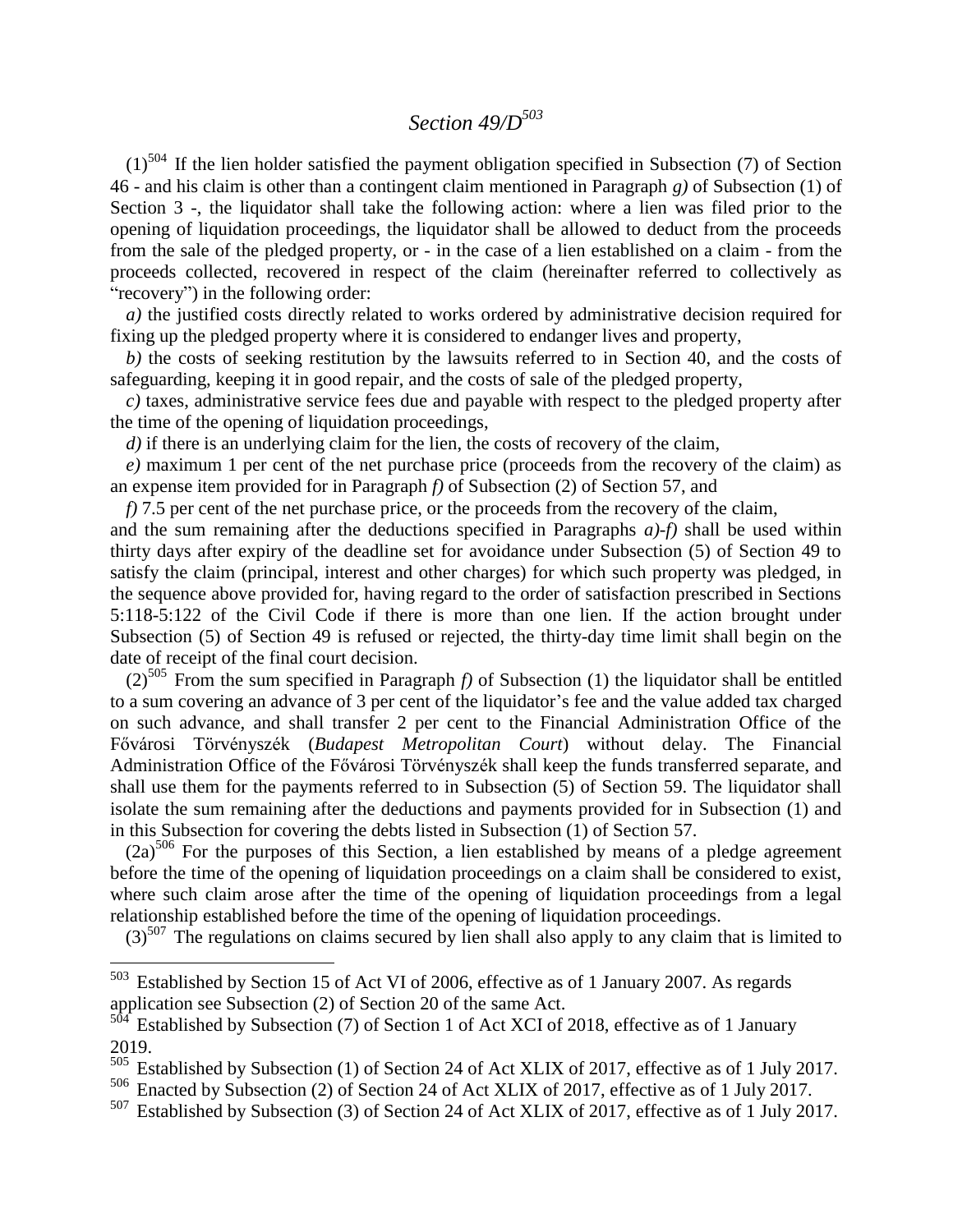# *Section 49/D<sup>503</sup>*

 $(1)^{504}$  If the lien holder satisfied the payment obligation specified in Subsection (7) of Section 46 - and his claim is other than a contingent claim mentioned in Paragraph *g)* of Subsection (1) of Section 3 -, the liquidator shall take the following action: where a lien was filed prior to the opening of liquidation proceedings, the liquidator shall be allowed to deduct from the proceeds from the sale of the pledged property, or - in the case of a lien established on a claim - from the proceeds collected, recovered in respect of the claim (hereinafter referred to collectively as "recovery") in the following order:

*a)* the justified costs directly related to works ordered by administrative decision required for fixing up the pledged property where it is considered to endanger lives and property,

*b)* the costs of seeking restitution by the lawsuits referred to in Section 40, and the costs of safeguarding, keeping it in good repair, and the costs of sale of the pledged property,

*c)* taxes, administrative service fees due and payable with respect to the pledged property after the time of the opening of liquidation proceedings,

*d)* if there is an underlying claim for the lien, the costs of recovery of the claim,

*e)* maximum 1 per cent of the net purchase price (proceeds from the recovery of the claim) as an expense item provided for in Paragraph *f)* of Subsection (2) of Section 57, and

*f*) 7.5 per cent of the net purchase price, or the proceeds from the recovery of the claim,

and the sum remaining after the deductions specified in Paragraphs *a)-f)* shall be used within thirty days after expiry of the deadline set for avoidance under Subsection (5) of Section 49 to satisfy the claim (principal, interest and other charges) for which such property was pledged, in the sequence above provided for, having regard to the order of satisfaction prescribed in Sections 5:118-5:122 of the Civil Code if there is more than one lien. If the action brought under Subsection (5) of Section 49 is refused or rejected, the thirty-day time limit shall begin on the date of receipt of the final court decision.

 $(2)^{505}$  From the sum specified in Paragraph *f*) of Subsection (1) the liquidator shall be entitled to a sum covering an advance of 3 per cent of the liquidator's fee and the value added tax charged on such advance, and shall transfer 2 per cent to the Financial Administration Office of the Fővárosi Törvényszék (*Budapest Metropolitan Court*) without delay. The Financial Administration Office of the Fővárosi Törvényszék shall keep the funds transferred separate, and shall use them for the payments referred to in Subsection (5) of Section 59. The liquidator shall isolate the sum remaining after the deductions and payments provided for in Subsection (1) and in this Subsection for covering the debts listed in Subsection (1) of Section 57.

 $(2a)^{506}$  For the purposes of this Section, a lien established by means of a pledge agreement before the time of the opening of liquidation proceedings on a claim shall be considered to exist, where such claim arose after the time of the opening of liquidation proceedings from a legal relationship established before the time of the opening of liquidation proceedings.

 $(3)$ <sup>507</sup> The regulations on claims secured by lien shall also apply to any claim that is limited to

 $503$  Established by Section 15 of Act VI of 2006, effective as of 1 January 2007. As regards application see Subsection (2) of Section 20 of the same Act.

Established by Subsection (7) of Section 1 of Act XCI of 2018, effective as of 1 January 2019.

<sup>505</sup> Established by Subsection (1) of Section 24 of Act XLIX of 2017, effective as of 1 July 2017.

<sup>506</sup> Enacted by Subsection (2) of Section 24 of Act XLIX of 2017, effective as of 1 July 2017.

<sup>507</sup> Established by Subsection (3) of Section 24 of Act XLIX of 2017, effective as of 1 July 2017.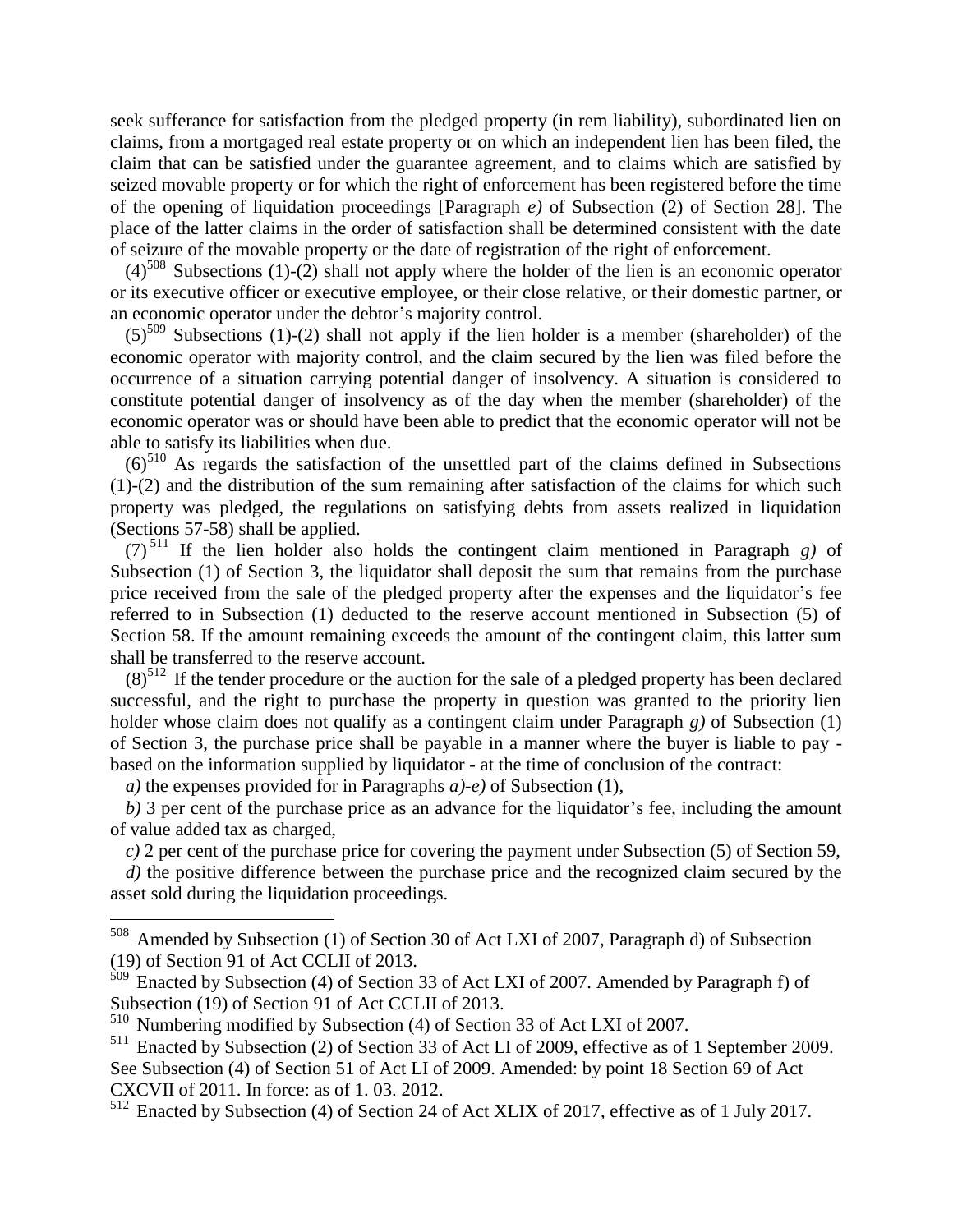seek sufferance for satisfaction from the pledged property (in rem liability), subordinated lien on claims, from a mortgaged real estate property or on which an independent lien has been filed, the claim that can be satisfied under the guarantee agreement, and to claims which are satisfied by seized movable property or for which the right of enforcement has been registered before the time of the opening of liquidation proceedings [Paragraph *e)* of Subsection (2) of Section 28]. The place of the latter claims in the order of satisfaction shall be determined consistent with the date of seizure of the movable property or the date of registration of the right of enforcement.

 $(4)^{508}$  Subsections (1)-(2) shall not apply where the holder of the lien is an economic operator or its executive officer or executive employee, or their close relative, or their domestic partner, or an economic operator under the debtor's majority control.

 $(5)^{509}$  Subsections (1)-(2) shall not apply if the lien holder is a member (shareholder) of the economic operator with majority control, and the claim secured by the lien was filed before the occurrence of a situation carrying potential danger of insolvency. A situation is considered to constitute potential danger of insolvency as of the day when the member (shareholder) of the economic operator was or should have been able to predict that the economic operator will not be able to satisfy its liabilities when due.

 $(6)^{510}$  As regards the satisfaction of the unsettled part of the claims defined in Subsections  $(1)-(2)$  and the distribution of the sum remaining after satisfaction of the claims for which such property was pledged, the regulations on satisfying debts from assets realized in liquidation (Sections 57-58) shall be applied.

(7) <sup>511</sup> If the lien holder also holds the contingent claim mentioned in Paragraph *g)* of Subsection (1) of Section 3, the liquidator shall deposit the sum that remains from the purchase price received from the sale of the pledged property after the expenses and the liquidator's fee referred to in Subsection (1) deducted to the reserve account mentioned in Subsection (5) of Section 58. If the amount remaining exceeds the amount of the contingent claim, this latter sum shall be transferred to the reserve account.

 $(8)^{512}$  If the tender procedure or the auction for the sale of a pledged property has been declared successful, and the right to purchase the property in question was granted to the priority lien holder whose claim does not qualify as a contingent claim under Paragraph *g)* of Subsection (1) of Section 3, the purchase price shall be payable in a manner where the buyer is liable to pay based on the information supplied by liquidator - at the time of conclusion of the contract:

*a)* the expenses provided for in Paragraphs *a)-e)* of Subsection (1),

*b)* 3 per cent of the purchase price as an advance for the liquidator's fee, including the amount of value added tax as charged,

*c)* 2 per cent of the purchase price for covering the payment under Subsection (5) of Section 59,

*d)* the positive difference between the purchase price and the recognized claim secured by the asset sold during the liquidation proceedings.

 $508\,$ Amended by Subsection (1) of Section 30 of Act LXI of 2007, Paragraph d) of Subsection (19) of Section 91 of Act CCLII of 2013.

 $\frac{509}{509}$  Enacted by Subsection (4) of Section 33 of Act LXI of 2007. Amended by Paragraph f) of Subsection (19) of Section 91 of Act CCLII of 2013.

<sup>510</sup> Numbering modified by Subsection (4) of Section 33 of Act LXI of 2007.

<sup>&</sup>lt;sup>511</sup> Enacted by Subsection (2) of Section 33 of Act LI of 2009, effective as of 1 September 2009. See Subsection (4) of Section 51 of Act LI of 2009. Amended: by point 18 Section 69 of Act CXCVII of 2011. In force: as of 1. 03. 2012.

<sup>512</sup> Enacted by Subsection (4) of Section 24 of Act XLIX of 2017, effective as of 1 July 2017.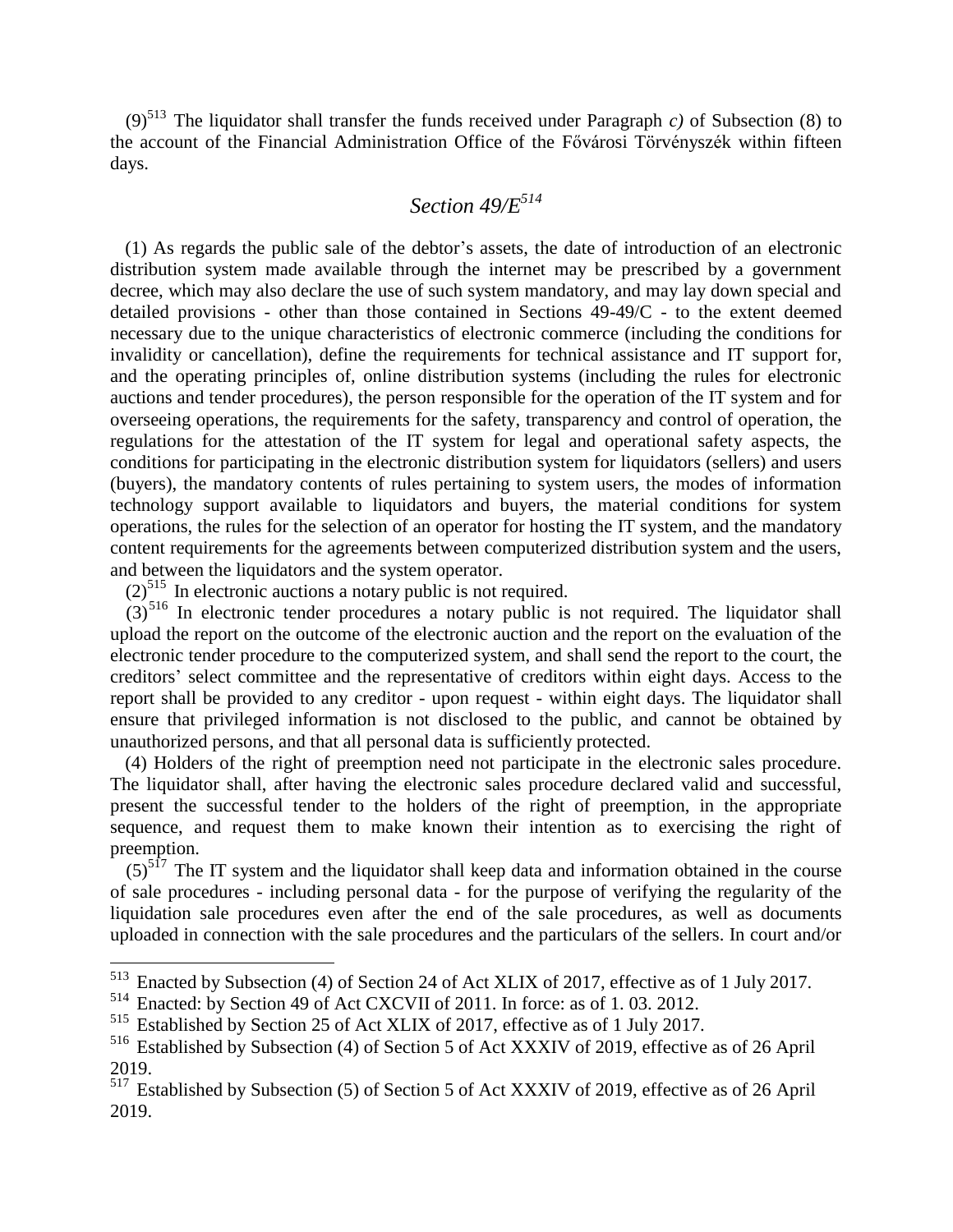(9)<sup>513</sup> The liquidator shall transfer the funds received under Paragraph *c*) of Subsection (8) to the account of the Financial Administration Office of the Fővárosi Törvényszék within fifteen days.

# *Section 49/E<sup>514</sup>*

(1) As regards the public sale of the debtor's assets, the date of introduction of an electronic distribution system made available through the internet may be prescribed by a government decree, which may also declare the use of such system mandatory, and may lay down special and detailed provisions - other than those contained in Sections 49-49/C - to the extent deemed necessary due to the unique characteristics of electronic commerce (including the conditions for invalidity or cancellation), define the requirements for technical assistance and IT support for, and the operating principles of, online distribution systems (including the rules for electronic auctions and tender procedures), the person responsible for the operation of the IT system and for overseeing operations, the requirements for the safety, transparency and control of operation, the regulations for the attestation of the IT system for legal and operational safety aspects, the conditions for participating in the electronic distribution system for liquidators (sellers) and users (buyers), the mandatory contents of rules pertaining to system users, the modes of information technology support available to liquidators and buyers, the material conditions for system operations, the rules for the selection of an operator for hosting the IT system, and the mandatory content requirements for the agreements between computerized distribution system and the users, and between the liquidators and the system operator.

 $(2)^{515}$  In electronic auctions a notary public is not required.

 $(3)^{516}$  In electronic tender procedures a notary public is not required. The liquidator shall upload the report on the outcome of the electronic auction and the report on the evaluation of the electronic tender procedure to the computerized system, and shall send the report to the court, the creditors' select committee and the representative of creditors within eight days. Access to the report shall be provided to any creditor - upon request - within eight days. The liquidator shall ensure that privileged information is not disclosed to the public, and cannot be obtained by unauthorized persons, and that all personal data is sufficiently protected.

(4) Holders of the right of preemption need not participate in the electronic sales procedure. The liquidator shall, after having the electronic sales procedure declared valid and successful, present the successful tender to the holders of the right of preemption, in the appropriate sequence, and request them to make known their intention as to exercising the right of preemption.

 $(5)^{517}$  The IT system and the liquidator shall keep data and information obtained in the course of sale procedures - including personal data - for the purpose of verifying the regularity of the liquidation sale procedures even after the end of the sale procedures, as well as documents uploaded in connection with the sale procedures and the particulars of the sellers. In court and/or

<sup>&</sup>lt;sup>513</sup> Enacted by Subsection (4) of Section 24 of Act XLIX of 2017, effective as of 1 July 2017.

<sup>514</sup> Enacted: by Section 49 of Act CXCVII of 2011. In force: as of 1. 03. 2012.

<sup>515</sup> Established by Section 25 of Act XLIX of 2017, effective as of 1 July 2017.

<sup>516</sup> Established by Subsection (4) of Section 5 of Act XXXIV of 2019, effective as of 26 April 2019.

<sup>&</sup>lt;sup>517</sup> Established by Subsection (5) of Section 5 of Act XXXIV of 2019, effective as of 26 April 2019.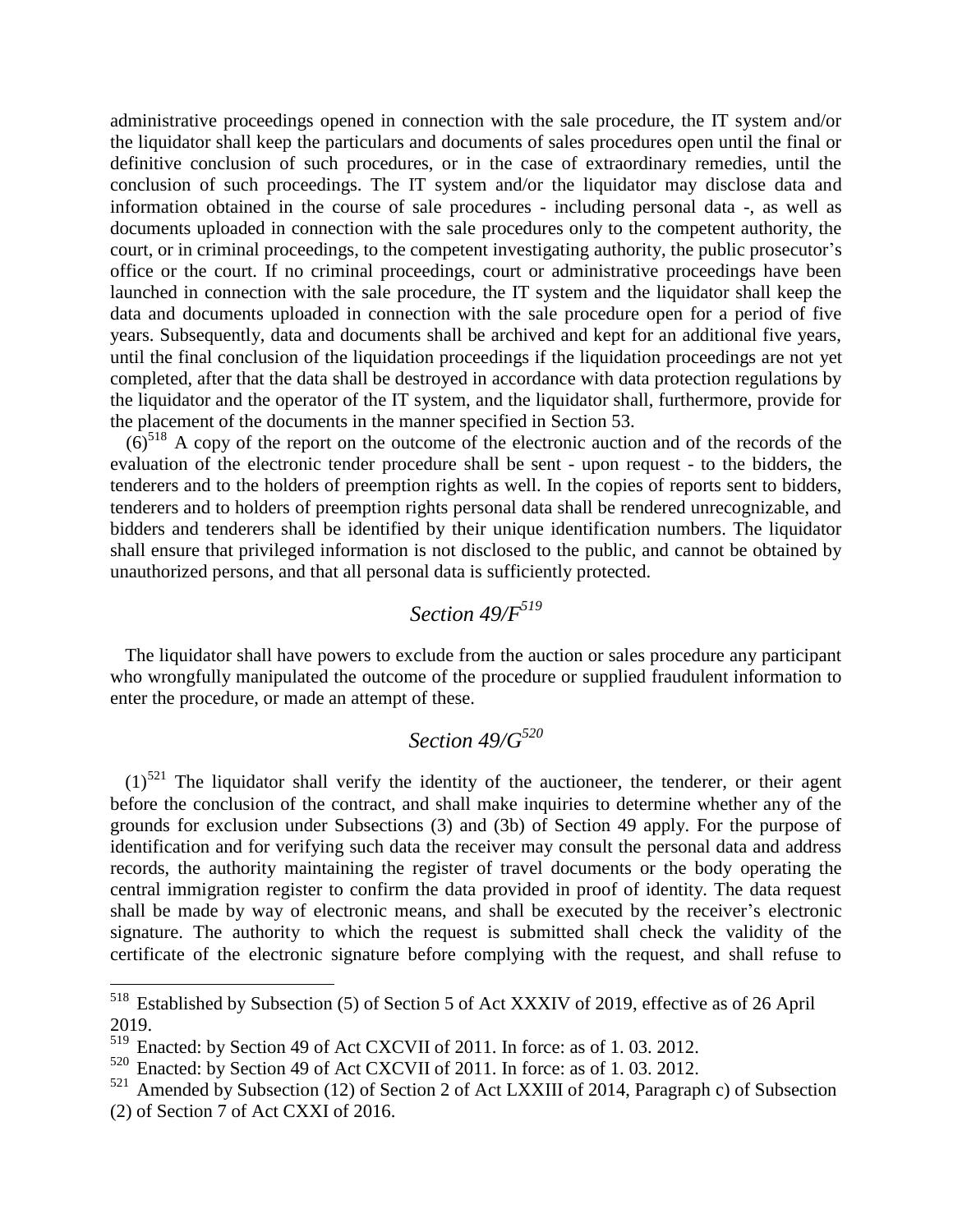administrative proceedings opened in connection with the sale procedure, the IT system and/or the liquidator shall keep the particulars and documents of sales procedures open until the final or definitive conclusion of such procedures, or in the case of extraordinary remedies, until the conclusion of such proceedings. The IT system and/or the liquidator may disclose data and information obtained in the course of sale procedures - including personal data -, as well as documents uploaded in connection with the sale procedures only to the competent authority, the court, or in criminal proceedings, to the competent investigating authority, the public prosecutor's office or the court. If no criminal proceedings, court or administrative proceedings have been launched in connection with the sale procedure, the IT system and the liquidator shall keep the data and documents uploaded in connection with the sale procedure open for a period of five years. Subsequently, data and documents shall be archived and kept for an additional five years, until the final conclusion of the liquidation proceedings if the liquidation proceedings are not yet completed, after that the data shall be destroyed in accordance with data protection regulations by the liquidator and the operator of the IT system, and the liquidator shall, furthermore, provide for the placement of the documents in the manner specified in Section 53.

 $(6)^{518}$  A copy of the report on the outcome of the electronic auction and of the records of the evaluation of the electronic tender procedure shall be sent - upon request - to the bidders, the tenderers and to the holders of preemption rights as well. In the copies of reports sent to bidders, tenderers and to holders of preemption rights personal data shall be rendered unrecognizable, and bidders and tenderers shall be identified by their unique identification numbers. The liquidator shall ensure that privileged information is not disclosed to the public, and cannot be obtained by unauthorized persons, and that all personal data is sufficiently protected.

## *Section 49/F<sup>519</sup>*

The liquidator shall have powers to exclude from the auction or sales procedure any participant who wrongfully manipulated the outcome of the procedure or supplied fraudulent information to enter the procedure, or made an attempt of these.

# *Section 49/G<sup>520</sup>*

 $(1)^{521}$  The liquidator shall verify the identity of the auctioneer, the tenderer, or their agent before the conclusion of the contract, and shall make inquiries to determine whether any of the grounds for exclusion under Subsections (3) and (3b) of Section 49 apply. For the purpose of identification and for verifying such data the receiver may consult the personal data and address records, the authority maintaining the register of travel documents or the body operating the central immigration register to confirm the data provided in proof of identity. The data request shall be made by way of electronic means, and shall be executed by the receiver's electronic signature. The authority to which the request is submitted shall check the validity of the certificate of the electronic signature before complying with the request, and shall refuse to

<sup>&</sup>lt;sup>518</sup> Established by Subsection (5) of Section 5 of Act XXXIV of 2019, effective as of 26 April 2019.

Enacted: by Section 49 of Act CXCVII of 2011. In force: as of 1.03. 2012.

<sup>520</sup> Enacted: by Section 49 of Act CXCVII of 2011. In force: as of 1. 03. 2012.

 $521$  Amended by Subsection (12) of Section 2 of Act LXXIII of 2014, Paragraph c) of Subsection (2) of Section 7 of Act CXXI of 2016.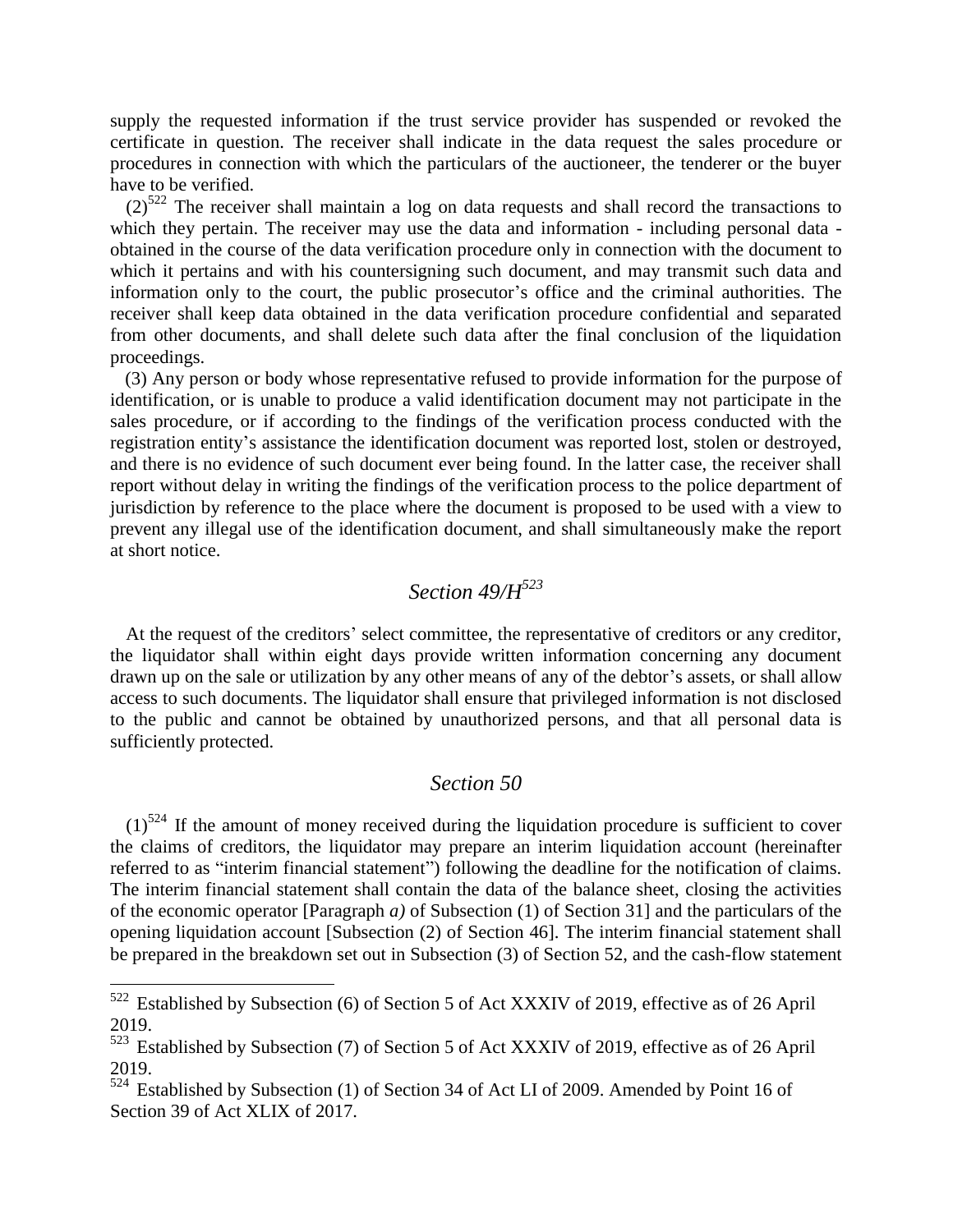supply the requested information if the trust service provider has suspended or revoked the certificate in question. The receiver shall indicate in the data request the sales procedure or procedures in connection with which the particulars of the auctioneer, the tenderer or the buyer have to be verified.

 $(2)^{522}$  The receiver shall maintain a log on data requests and shall record the transactions to which they pertain. The receiver may use the data and information - including personal data obtained in the course of the data verification procedure only in connection with the document to which it pertains and with his countersigning such document, and may transmit such data and information only to the court, the public prosecutor's office and the criminal authorities. The receiver shall keep data obtained in the data verification procedure confidential and separated from other documents, and shall delete such data after the final conclusion of the liquidation proceedings.

(3) Any person or body whose representative refused to provide information for the purpose of identification, or is unable to produce a valid identification document may not participate in the sales procedure, or if according to the findings of the verification process conducted with the registration entity's assistance the identification document was reported lost, stolen or destroyed, and there is no evidence of such document ever being found. In the latter case, the receiver shall report without delay in writing the findings of the verification process to the police department of jurisdiction by reference to the place where the document is proposed to be used with a view to prevent any illegal use of the identification document, and shall simultaneously make the report at short notice.

# *Section 49/H<sup>523</sup>*

At the request of the creditors' select committee, the representative of creditors or any creditor, the liquidator shall within eight days provide written information concerning any document drawn up on the sale or utilization by any other means of any of the debtor's assets, or shall allow access to such documents. The liquidator shall ensure that privileged information is not disclosed to the public and cannot be obtained by unauthorized persons, and that all personal data is sufficiently protected.

### *Section 50*

 $(1)$ <sup>524</sup> If the amount of money received during the liquidation procedure is sufficient to cover the claims of creditors, the liquidator may prepare an interim liquidation account (hereinafter referred to as "interim financial statement") following the deadline for the notification of claims. The interim financial statement shall contain the data of the balance sheet, closing the activities of the economic operator [Paragraph *a)* of Subsection (1) of Section 31] and the particulars of the opening liquidation account [Subsection (2) of Section 46]. The interim financial statement shall be prepared in the breakdown set out in Subsection (3) of Section 52, and the cash-flow statement

 $522$  Established by Subsection (6) of Section 5 of Act XXXIV of 2019, effective as of 26 April  $\frac{2019}{523}$  Fs

Established by Subsection (7) of Section 5 of Act XXXIV of 2019, effective as of 26 April 2019.

 $524$  Established by Subsection (1) of Section 34 of Act LI of 2009. Amended by Point 16 of Section 39 of Act XLIX of 2017.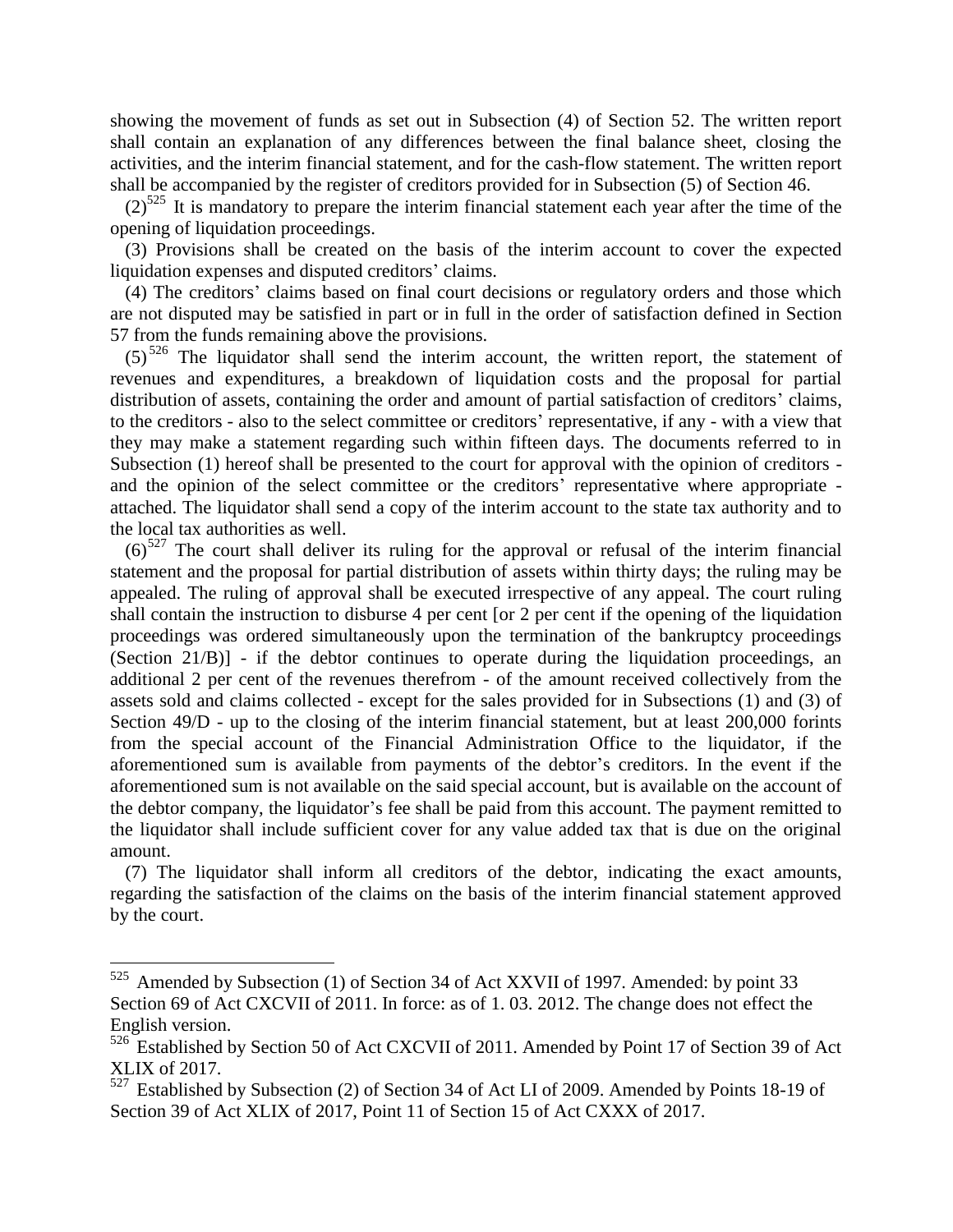showing the movement of funds as set out in Subsection (4) of Section 52. The written report shall contain an explanation of any differences between the final balance sheet, closing the activities, and the interim financial statement, and for the cash-flow statement. The written report shall be accompanied by the register of creditors provided for in Subsection (5) of Section 46.

 $(2)^{525}$  It is mandatory to prepare the interim financial statement each year after the time of the opening of liquidation proceedings.

(3) Provisions shall be created on the basis of the interim account to cover the expected liquidation expenses and disputed creditors' claims.

(4) The creditors' claims based on final court decisions or regulatory orders and those which are not disputed may be satisfied in part or in full in the order of satisfaction defined in Section 57 from the funds remaining above the provisions.

 $(5)^{526}$  The liquidator shall send the interim account, the written report, the statement of revenues and expenditures, a breakdown of liquidation costs and the proposal for partial distribution of assets, containing the order and amount of partial satisfaction of creditors' claims, to the creditors - also to the select committee or creditors' representative, if any - with a view that they may make a statement regarding such within fifteen days. The documents referred to in Subsection (1) hereof shall be presented to the court for approval with the opinion of creditors and the opinion of the select committee or the creditors' representative where appropriate attached. The liquidator shall send a copy of the interim account to the state tax authority and to the local tax authorities as well.

 $(6)^{527}$  The court shall deliver its ruling for the approval or refusal of the interim financial statement and the proposal for partial distribution of assets within thirty days; the ruling may be appealed. The ruling of approval shall be executed irrespective of any appeal. The court ruling shall contain the instruction to disburse 4 per cent [or 2 per cent if the opening of the liquidation proceedings was ordered simultaneously upon the termination of the bankruptcy proceedings (Section 21/B)] - if the debtor continues to operate during the liquidation proceedings, an additional 2 per cent of the revenues therefrom - of the amount received collectively from the assets sold and claims collected - except for the sales provided for in Subsections (1) and (3) of Section 49/D - up to the closing of the interim financial statement, but at least 200,000 forints from the special account of the Financial Administration Office to the liquidator, if the aforementioned sum is available from payments of the debtor's creditors. In the event if the aforementioned sum is not available on the said special account, but is available on the account of the debtor company, the liquidator's fee shall be paid from this account. The payment remitted to the liquidator shall include sufficient cover for any value added tax that is due on the original amount.

(7) The liquidator shall inform all creditors of the debtor, indicating the exact amounts, regarding the satisfaction of the claims on the basis of the interim financial statement approved by the court.

 $525$  Amended by Subsection (1) of Section 34 of Act XXVII of 1997. Amended: by point 33 Section 69 of Act CXCVII of 2011. In force: as of 1.03. 2012. The change does not effect the English version.

<sup>526</sup> Established by Section 50 of Act CXCVII of 2011. Amended by Point 17 of Section 39 of Act XLIX of 2017.

<sup>527</sup> Established by Subsection (2) of Section 34 of Act LI of 2009. Amended by Points 18-19 of Section 39 of Act XLIX of 2017, Point 11 of Section 15 of Act CXXX of 2017.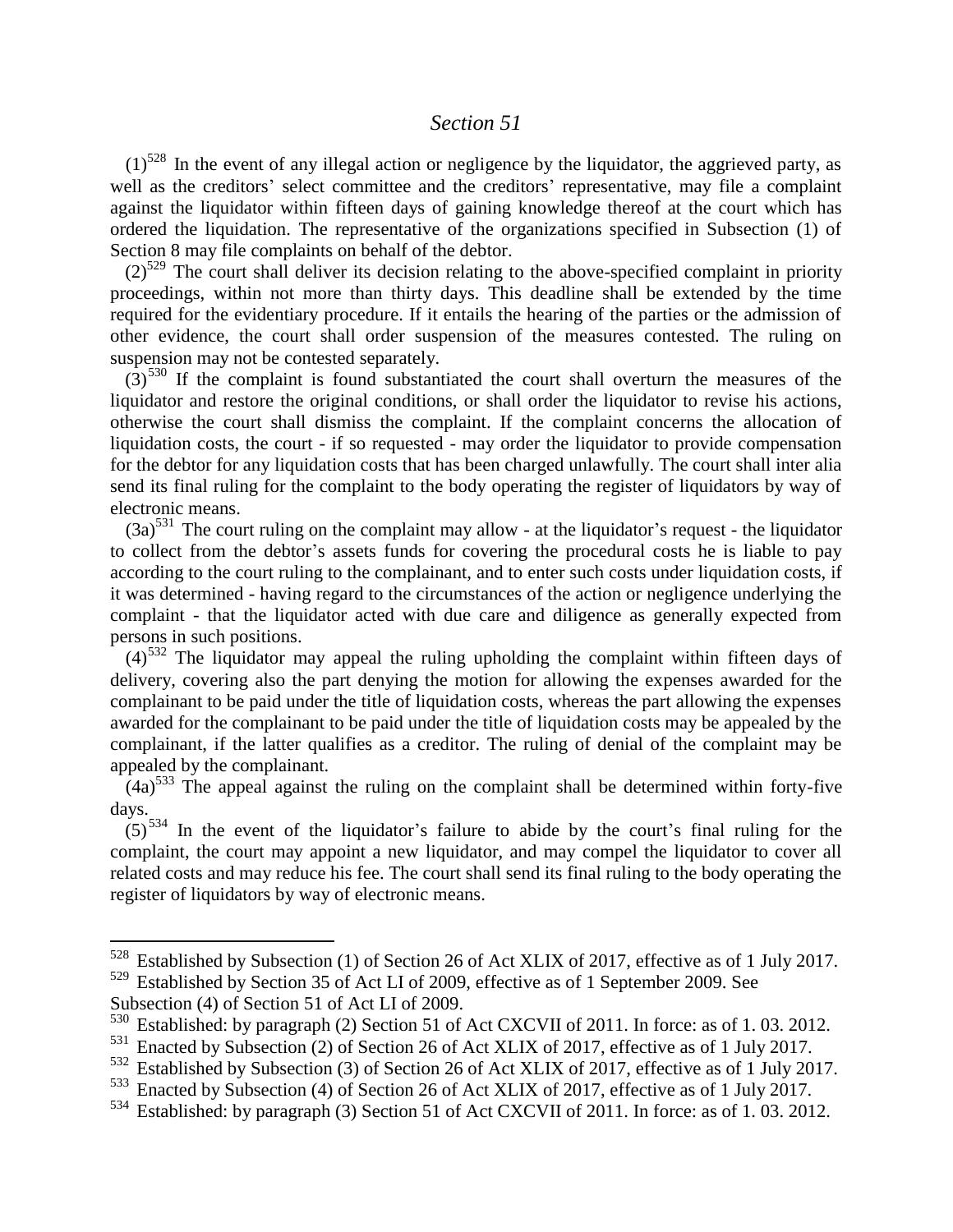#### *Section 51*

 $(1)^{528}$  In the event of any illegal action or negligence by the liquidator, the aggrieved party, as well as the creditors' select committee and the creditors' representative, may file a complaint against the liquidator within fifteen days of gaining knowledge thereof at the court which has ordered the liquidation. The representative of the organizations specified in Subsection (1) of Section 8 may file complaints on behalf of the debtor.

 $(2)^{529}$  The court shall deliver its decision relating to the above-specified complaint in priority proceedings, within not more than thirty days. This deadline shall be extended by the time required for the evidentiary procedure. If it entails the hearing of the parties or the admission of other evidence, the court shall order suspension of the measures contested. The ruling on suspension may not be contested separately.

 $(3)$ <sup>530</sup> If the complaint is found substantiated the court shall overturn the measures of the liquidator and restore the original conditions, or shall order the liquidator to revise his actions, otherwise the court shall dismiss the complaint. If the complaint concerns the allocation of liquidation costs, the court - if so requested - may order the liquidator to provide compensation for the debtor for any liquidation costs that has been charged unlawfully. The court shall inter alia send its final ruling for the complaint to the body operating the register of liquidators by way of electronic means.

 $(3a)^{531}$  The court ruling on the complaint may allow - at the liquidator's request - the liquidator to collect from the debtor's assets funds for covering the procedural costs he is liable to pay according to the court ruling to the complainant, and to enter such costs under liquidation costs, if it was determined - having regard to the circumstances of the action or negligence underlying the complaint - that the liquidator acted with due care and diligence as generally expected from persons in such positions.

 $(4)$ <sup>532</sup> The liquidator may appeal the ruling upholding the complaint within fifteen days of delivery, covering also the part denying the motion for allowing the expenses awarded for the complainant to be paid under the title of liquidation costs, whereas the part allowing the expenses awarded for the complainant to be paid under the title of liquidation costs may be appealed by the complainant, if the latter qualifies as a creditor. The ruling of denial of the complaint may be appealed by the complainant.

 $(4a)^{533}$  The appeal against the ruling on the complaint shall be determined within forty-five days.

 $(5)^{534}$  In the event of the liquidator's failure to abide by the court's final ruling for the complaint, the court may appoint a new liquidator, and may compel the liquidator to cover all related costs and may reduce his fee. The court shall send its final ruling to the body operating the register of liquidators by way of electronic means.

Subsection (4) of Section 51 of Act LI of 2009.

<sup>528</sup> Established by Subsection (1) of Section 26 of Act XLIX of 2017, effective as of 1 July 2017. <sup>529</sup> Established by Section 35 of Act LI of 2009, effective as of 1 September 2009. See

<sup>&</sup>lt;sup>530</sup> Established: by paragraph (2) Section 51 of Act CXCVII of 2011. In force: as of 1.03. 2012.<br><sup>531</sup> Enacted by Subsection (2) of Section 26 of Act XI IX of 2017 effective as of 1 July 2017

Enacted by Subsection (2) of Section 26 of Act XLIX of 2017, effective as of 1 July 2017.

<sup>532</sup> Established by Subsection (3) of Section 26 of Act XLIX of 2017, effective as of 1 July 2017.

<sup>533</sup> Enacted by Subsection (4) of Section 26 of Act XLIX of 2017, effective as of 1 July 2017.

<sup>534</sup> Established: by paragraph (3) Section 51 of Act CXCVII of 2011. In force: as of 1. 03. 2012.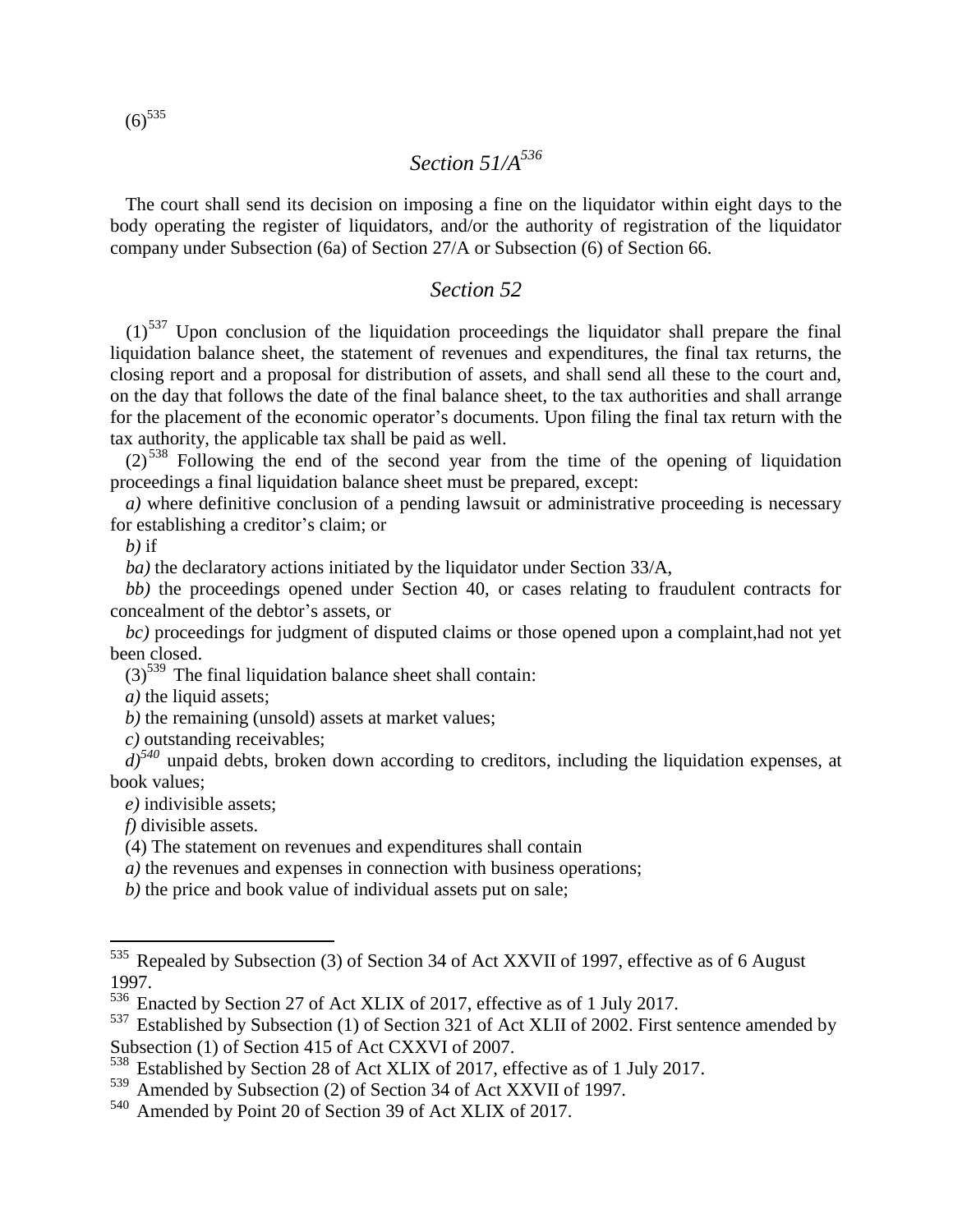$(6)^{535}$ 

# *Section 51/A<sup>536</sup>*

The court shall send its decision on imposing a fine on the liquidator within eight days to the body operating the register of liquidators, and/or the authority of registration of the liquidator company under Subsection (6a) of Section 27/A or Subsection (6) of Section 66.

#### *Section 52*

 $(1)$ <sup>537</sup> Upon conclusion of the liquidation proceedings the liquidator shall prepare the final liquidation balance sheet, the statement of revenues and expenditures, the final tax returns, the closing report and a proposal for distribution of assets, and shall send all these to the court and, on the day that follows the date of the final balance sheet, to the tax authorities and shall arrange for the placement of the economic operator's documents. Upon filing the final tax return with the tax authority, the applicable tax shall be paid as well.

 $(2)^{538}$  Following the end of the second year from the time of the opening of liquidation proceedings a final liquidation balance sheet must be prepared, except:

*a)* where definitive conclusion of a pending lawsuit or administrative proceeding is necessary for establishing a creditor's claim; or

*b)* if

*ba)* the declaratory actions initiated by the liquidator under Section 33/A,

*bb)* the proceedings opened under Section 40, or cases relating to fraudulent contracts for concealment of the debtor's assets, or

*bc)* proceedings for judgment of disputed claims or those opened upon a complaint,had not yet been closed.

 $(3)$ <sup>539</sup> The final liquidation balance sheet shall contain:

*a)* the liquid assets;

*b)* the remaining (unsold) assets at market values;

*c)* outstanding receivables;

 $d^{540}$  unpaid debts, broken down according to creditors, including the liquidation expenses, at book values;

*e)* indivisible assets;

*f)* divisible assets.

 $\overline{a}$ 

(4) The statement on revenues and expenditures shall contain

*a)* the revenues and expenses in connection with business operations;

*b)* the price and book value of individual assets put on sale;

<sup>535</sup> Repealed by Subsection (3) of Section 34 of Act XXVII of 1997, effective as of 6 August 1997.

<sup>536</sup> Enacted by Section 27 of Act XLIX of 2017, effective as of 1 July 2017.

 $537$  Established by Subsection (1) of Section 321 of Act XLII of 2002. First sentence amended by Subsection (1) of Section 415 of Act CXXVI of 2007.

<sup>538</sup> Established by Section 28 of Act XLIX of 2017, effective as of 1 July 2017.

<sup>539</sup> Amended by Subsection (2) of Section 34 of Act XXVII of 1997.

<sup>540</sup> Amended by Point 20 of Section 39 of Act XLIX of 2017.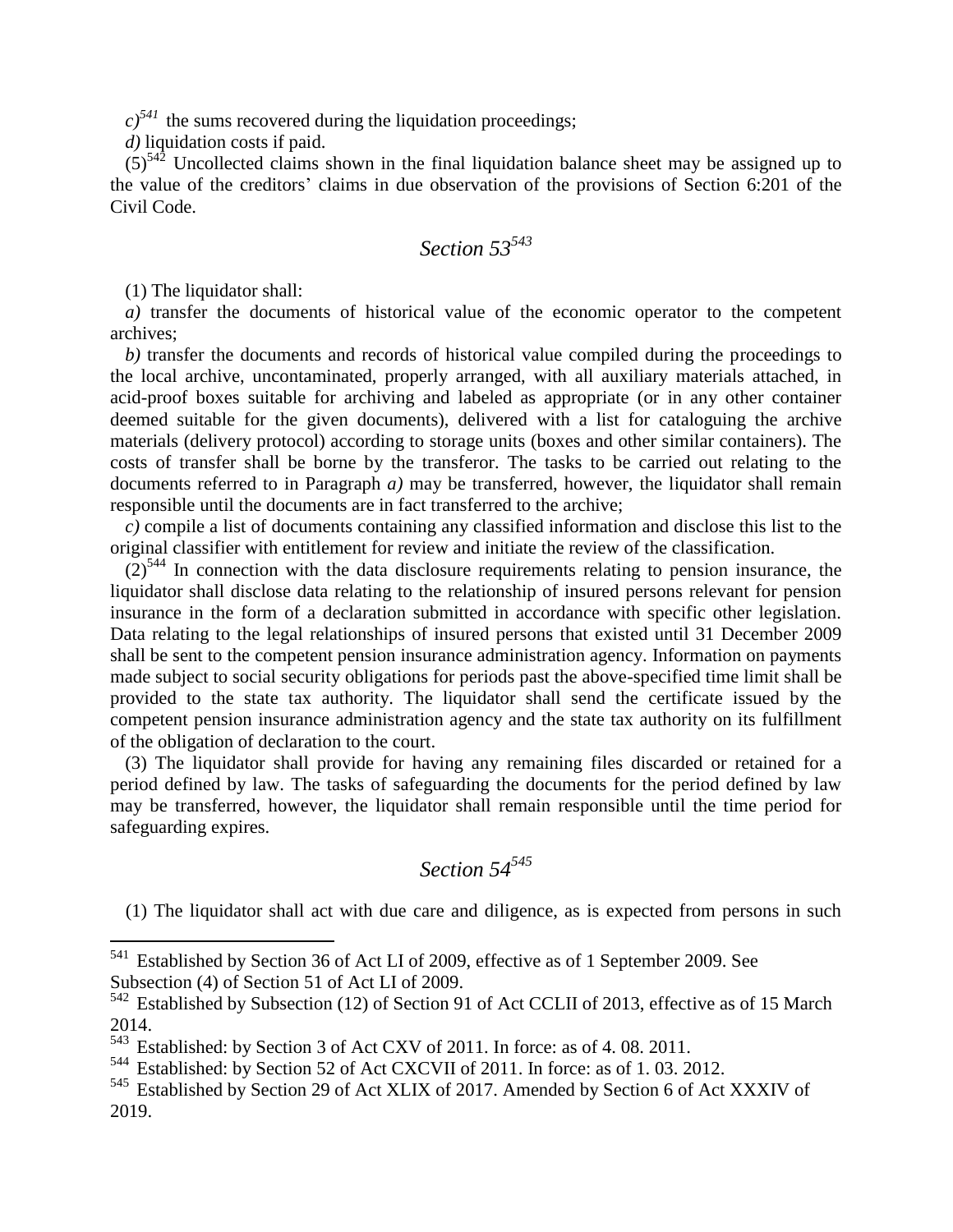$c$ <sup>541</sup> the sums recovered during the liquidation proceedings;

*d)* liquidation costs if paid.

 $(5)^{542}$  Uncollected claims shown in the final liquidation balance sheet may be assigned up to the value of the creditors' claims in due observation of the provisions of Section 6:201 of the Civil Code.

# *Section 53<sup>543</sup>*

(1) The liquidator shall:

 $\overline{a}$ 

*a)* transfer the documents of historical value of the economic operator to the competent archives;

*b)* transfer the documents and records of historical value compiled during the proceedings to the local archive, uncontaminated, properly arranged, with all auxiliary materials attached, in acid-proof boxes suitable for archiving and labeled as appropriate (or in any other container deemed suitable for the given documents), delivered with a list for cataloguing the archive materials (delivery protocol) according to storage units (boxes and other similar containers). The costs of transfer shall be borne by the transferor. The tasks to be carried out relating to the documents referred to in Paragraph *a)* may be transferred, however, the liquidator shall remain responsible until the documents are in fact transferred to the archive;

*c)* compile a list of documents containing any classified information and disclose this list to the original classifier with entitlement for review and initiate the review of the classification.

 $(2)^{544}$  In connection with the data disclosure requirements relating to pension insurance, the liquidator shall disclose data relating to the relationship of insured persons relevant for pension insurance in the form of a declaration submitted in accordance with specific other legislation. Data relating to the legal relationships of insured persons that existed until 31 December 2009 shall be sent to the competent pension insurance administration agency. Information on payments made subject to social security obligations for periods past the above-specified time limit shall be provided to the state tax authority. The liquidator shall send the certificate issued by the competent pension insurance administration agency and the state tax authority on its fulfillment of the obligation of declaration to the court.

(3) The liquidator shall provide for having any remaining files discarded or retained for a period defined by law. The tasks of safeguarding the documents for the period defined by law may be transferred, however, the liquidator shall remain responsible until the time period for safeguarding expires.

## *Section 54<sup>545</sup>*

(1) The liquidator shall act with due care and diligence, as is expected from persons in such

<sup>&</sup>lt;sup>541</sup> Established by Section 36 of Act LI of 2009, effective as of 1 September 2009. See Subsection (4) of Section 51 of Act LI of 2009.

<sup>542</sup> Established by Subsection (12) of Section 91 of Act CCLII of 2013, effective as of 15 March 2014.

<sup>543</sup> Established: by Section 3 of Act CXV of 2011. In force: as of 4.08. 2011.

<sup>544</sup> Established: by Section 52 of Act CXCVII of 2011. In force: as of 1. 03. 2012.

<sup>545</sup> Established by Section 29 of Act XLIX of 2017. Amended by Section 6 of Act XXXIV of 2019.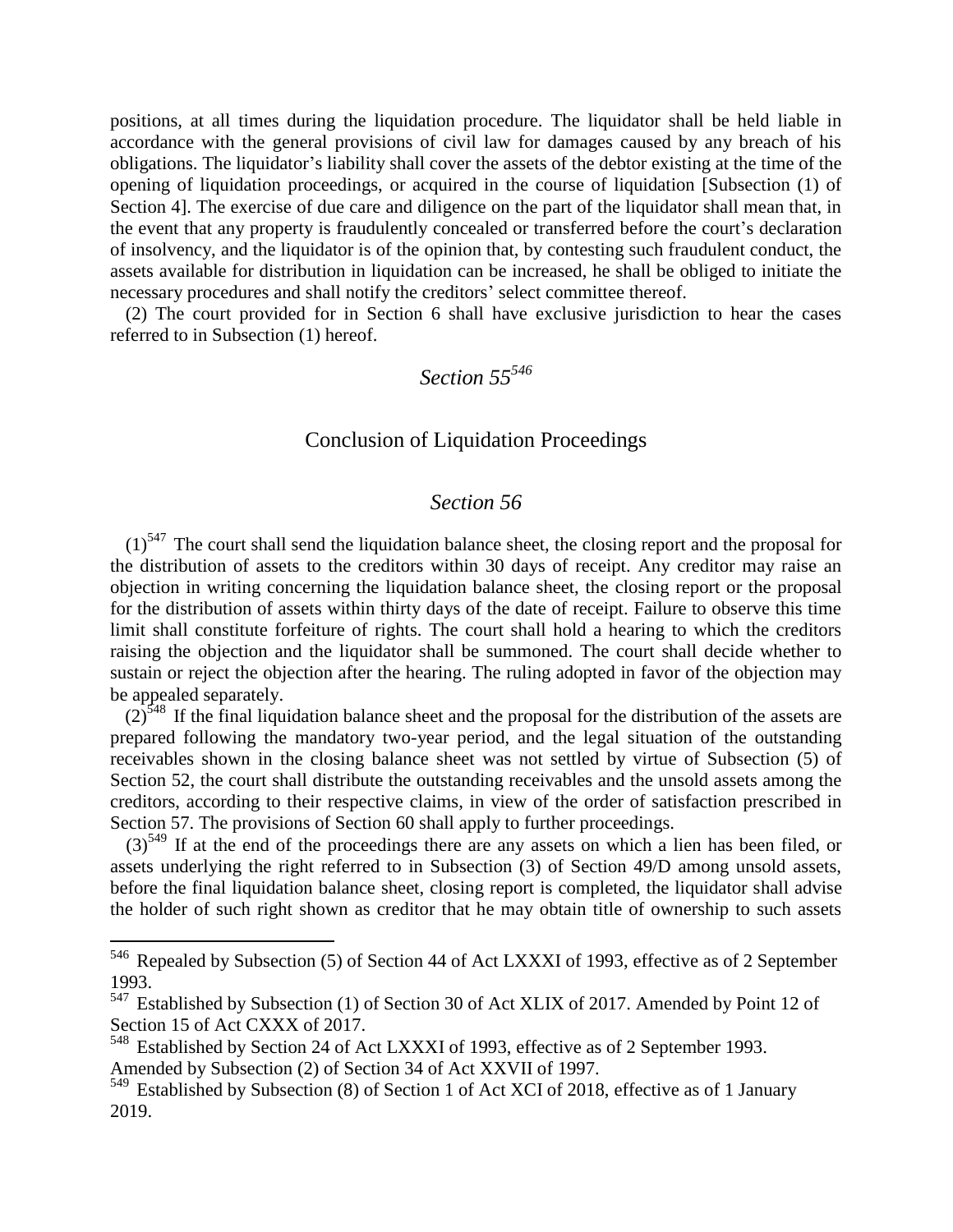positions, at all times during the liquidation procedure. The liquidator shall be held liable in accordance with the general provisions of civil law for damages caused by any breach of his obligations. The liquidator's liability shall cover the assets of the debtor existing at the time of the opening of liquidation proceedings, or acquired in the course of liquidation [Subsection (1) of Section 4]. The exercise of due care and diligence on the part of the liquidator shall mean that, in the event that any property is fraudulently concealed or transferred before the court's declaration of insolvency, and the liquidator is of the opinion that, by contesting such fraudulent conduct, the assets available for distribution in liquidation can be increased, he shall be obliged to initiate the necessary procedures and shall notify the creditors' select committee thereof.

(2) The court provided for in Section 6 shall have exclusive jurisdiction to hear the cases referred to in Subsection (1) hereof.

# *Section 55<sup>546</sup>*

### Conclusion of Liquidation Proceedings

#### *Section 56*

 $(1)$ <sup>547</sup> The court shall send the liquidation balance sheet, the closing report and the proposal for the distribution of assets to the creditors within 30 days of receipt. Any creditor may raise an objection in writing concerning the liquidation balance sheet, the closing report or the proposal for the distribution of assets within thirty days of the date of receipt. Failure to observe this time limit shall constitute forfeiture of rights. The court shall hold a hearing to which the creditors raising the objection and the liquidator shall be summoned. The court shall decide whether to sustain or reject the objection after the hearing. The ruling adopted in favor of the objection may be appealed separately.

 $(2)$ <sup>548</sup> If the final liquidation balance sheet and the proposal for the distribution of the assets are prepared following the mandatory two-year period, and the legal situation of the outstanding receivables shown in the closing balance sheet was not settled by virtue of Subsection (5) of Section 52, the court shall distribute the outstanding receivables and the unsold assets among the creditors, according to their respective claims, in view of the order of satisfaction prescribed in Section 57. The provisions of Section 60 shall apply to further proceedings.

(3)<sup>549</sup> If at the end of the proceedings there are any assets on which a lien has been filed, or assets underlying the right referred to in Subsection (3) of Section 49/D among unsold assets, before the final liquidation balance sheet, closing report is completed, the liquidator shall advise the holder of such right shown as creditor that he may obtain title of ownership to such assets

<sup>&</sup>lt;sup>546</sup> Repealed by Subsection (5) of Section 44 of Act LXXXI of 1993, effective as of 2 September 1993.

<sup>&</sup>lt;sup>547</sup> Established by Subsection (1) of Section 30 of Act XLIX of 2017. Amended by Point 12 of Section 15 of Act CXXX of 2017.

<sup>548</sup> Established by Section 24 of Act LXXXI of 1993, effective as of 2 September 1993. Amended by Subsection (2) of Section 34 of Act XXVII of 1997.

<sup>549</sup> Established by Subsection (8) of Section 1 of Act XCI of 2018, effective as of 1 January 2019.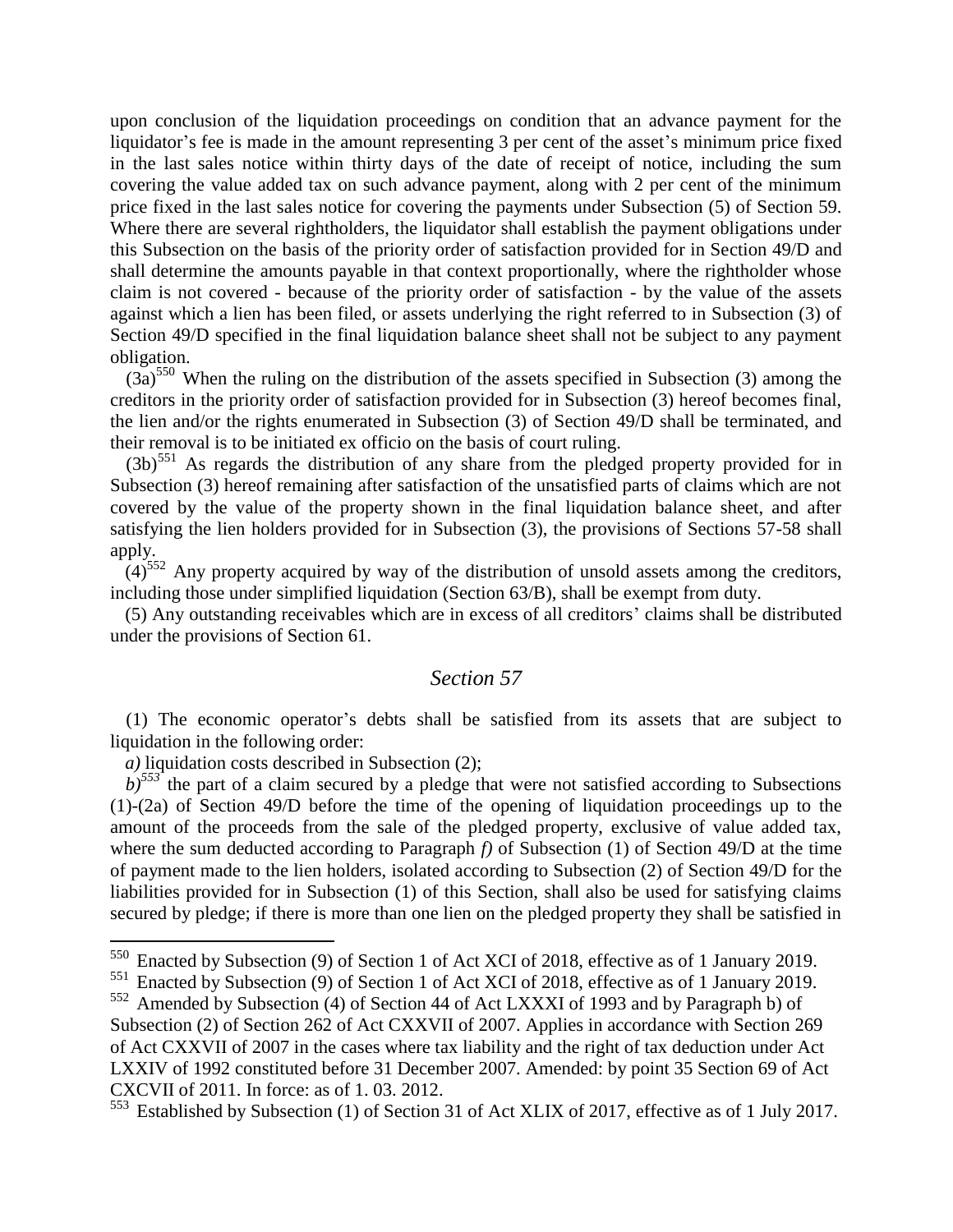upon conclusion of the liquidation proceedings on condition that an advance payment for the liquidator's fee is made in the amount representing 3 per cent of the asset's minimum price fixed in the last sales notice within thirty days of the date of receipt of notice, including the sum covering the value added tax on such advance payment, along with 2 per cent of the minimum price fixed in the last sales notice for covering the payments under Subsection (5) of Section 59. Where there are several rightholders, the liquidator shall establish the payment obligations under this Subsection on the basis of the priority order of satisfaction provided for in Section 49/D and shall determine the amounts payable in that context proportionally, where the rightholder whose claim is not covered - because of the priority order of satisfaction - by the value of the assets against which a lien has been filed, or assets underlying the right referred to in Subsection (3) of Section 49/D specified in the final liquidation balance sheet shall not be subject to any payment obligation.

 $(3a)$ <sup>550</sup> When the ruling on the distribution of the assets specified in Subsection (3) among the creditors in the priority order of satisfaction provided for in Subsection (3) hereof becomes final, the lien and/or the rights enumerated in Subsection (3) of Section 49/D shall be terminated, and their removal is to be initiated ex officio on the basis of court ruling.

 $(3b)^{551}$  As regards the distribution of any share from the pledged property provided for in Subsection (3) hereof remaining after satisfaction of the unsatisfied parts of claims which are not covered by the value of the property shown in the final liquidation balance sheet, and after satisfying the lien holders provided for in Subsection (3), the provisions of Sections 57-58 shall apply.

 $(4)^{552}$  Any property acquired by way of the distribution of unsold assets among the creditors, including those under simplified liquidation (Section 63/B), shall be exempt from duty.

(5) Any outstanding receivables which are in excess of all creditors' claims shall be distributed under the provisions of Section 61.

### *Section 57*

(1) The economic operator's debts shall be satisfied from its assets that are subject to liquidation in the following order:

*a)* liquidation costs described in Subsection (2);

 $\overline{a}$ 

 $b$ <sup>553</sup> the part of a claim secured by a pledge that were not satisfied according to Subsections (1)-(2a) of Section 49/D before the time of the opening of liquidation proceedings up to the amount of the proceeds from the sale of the pledged property, exclusive of value added tax, where the sum deducted according to Paragraph *f)* of Subsection (1) of Section 49/D at the time of payment made to the lien holders, isolated according to Subsection (2) of Section 49/D for the liabilities provided for in Subsection (1) of this Section, shall also be used for satisfying claims secured by pledge; if there is more than one lien on the pledged property they shall be satisfied in

<sup>&</sup>lt;sup>550</sup> Enacted by Subsection (9) of Section 1 of Act XCI of 2018, effective as of 1 January 2019.

<sup>551</sup> Enacted by Subsection (9) of Section 1 of Act XCI of 2018, effective as of 1 January 2019.

<sup>552</sup> Amended by Subsection (4) of Section 44 of Act LXXXI of 1993 and by Paragraph b) of Subsection (2) of Section 262 of Act CXXVII of 2007. Applies in accordance with Section 269 of Act CXXVII of 2007 in the cases where tax liability and the right of tax deduction under Act LXXIV of 1992 constituted before 31 December 2007. Amended: by point 35 Section 69 of Act CXCVII of 2011. In force: as of 1. 03. 2012.

<sup>553</sup> Established by Subsection (1) of Section 31 of Act XLIX of 2017, effective as of 1 July 2017.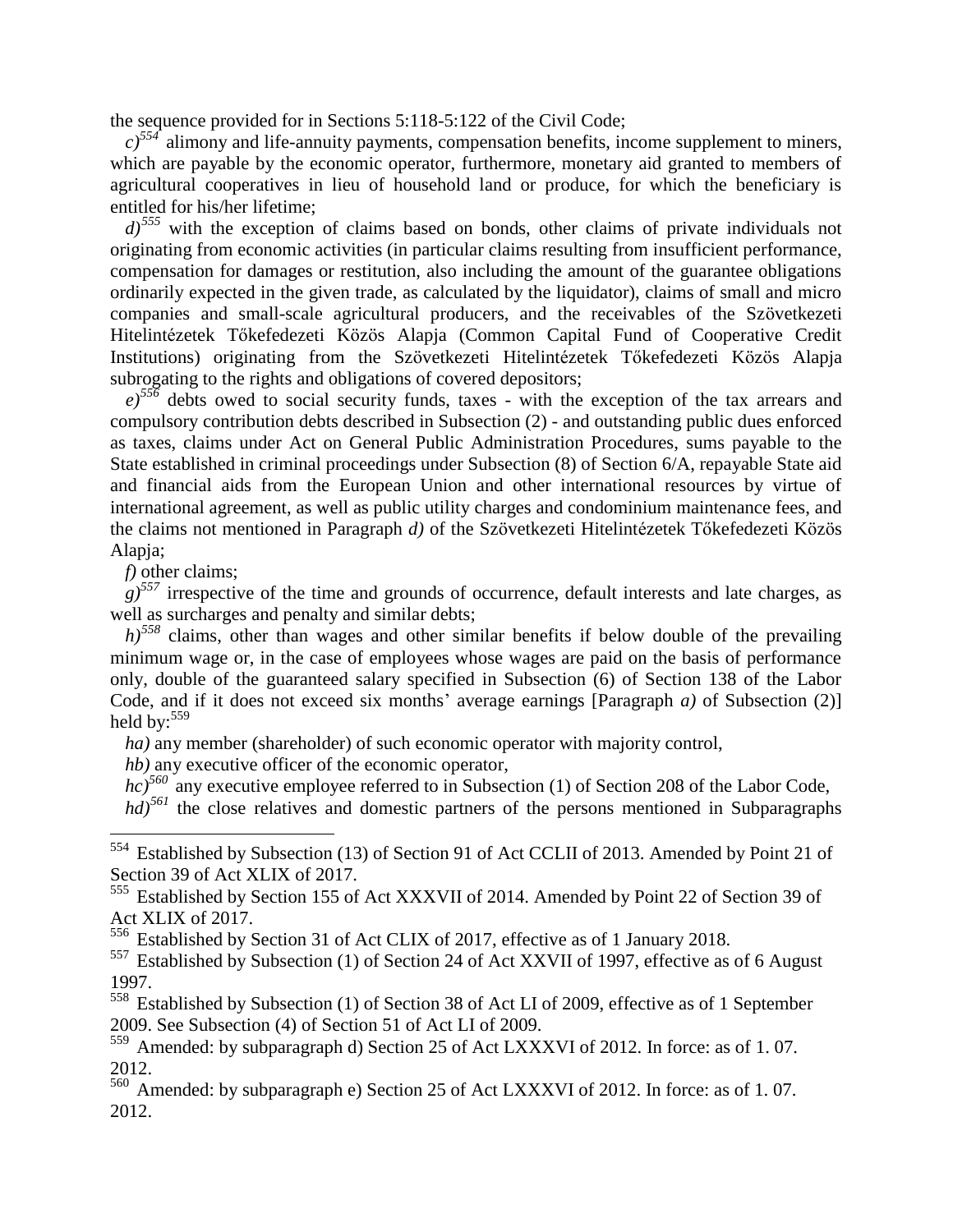the sequence provided for in Sections 5:118-5:122 of the Civil Code;

 $c$ <sup>554</sup> alimony and life-annuity payments, compensation benefits, income supplement to miners, which are payable by the economic operator, furthermore, monetary aid granted to members of agricultural cooperatives in lieu of household land or produce, for which the beneficiary is entitled for his/her lifetime;

*d)<sup>555</sup>* with the exception of claims based on bonds, other claims of private individuals not originating from economic activities (in particular claims resulting from insufficient performance, compensation for damages or restitution, also including the amount of the guarantee obligations ordinarily expected in the given trade, as calculated by the liquidator), claims of small and micro companies and small-scale agricultural producers, and the receivables of the Szövetkezeti Hitelintézetek Tőkefedezeti Közös Alapja (Common Capital Fund of Cooperative Credit Institutions) originating from the Szövetkezeti Hitelintézetek Tőkefedezeti Közös Alapja subrogating to the rights and obligations of covered depositors;

*e)<sup>556</sup>* debts owed to social security funds, taxes - with the exception of the tax arrears and compulsory contribution debts described in Subsection (2) - and outstanding public dues enforced as taxes, claims under Act on General Public Administration Procedures, sums payable to the State established in criminal proceedings under Subsection (8) of Section 6/A, repayable State aid and financial aids from the European Union and other international resources by virtue of international agreement, as well as public utility charges and condominium maintenance fees, and the claims not mentioned in Paragraph *d)* of the Szövetkezeti Hitelintézetek Tőkefedezeti Közös Alapja;

*f)* other claims;

 $\overline{a}$ 

 $g^{557}$  irrespective of the time and grounds of occurrence, default interests and late charges, as well as surcharges and penalty and similar debts;

*h)<sup>558</sup>* claims, other than wages and other similar benefits if below double of the prevailing minimum wage or, in the case of employees whose wages are paid on the basis of performance only, double of the guaranteed salary specified in Subsection (6) of Section 138 of the Labor Code, and if it does not exceed six months' average earnings [Paragraph *a)* of Subsection (2)] held by: $559$ 

*ha)* any member (shareholder) of such economic operator with majority control,

*hb)* any executive officer of the economic operator,

*hc*)<sup>560</sup> any executive employee referred to in Subsection (1) of Section 208 of the Labor Code,

*hd*)<sup>561</sup> the close relatives and domestic partners of the persons mentioned in Subparagraphs

<sup>556</sup> Established by Section 31 of Act CLIX of 2017, effective as of 1 January 2018.

<sup>557</sup> Established by Subsection (1) of Section 24 of Act XXVII of 1997, effective as of 6 August 1997.

<sup>558</sup> Established by Subsection (1) of Section 38 of Act LI of 2009, effective as of 1 September 2009. See Subsection (4) of Section 51 of Act LI of 2009.

<sup>560</sup> Amended: by subparagraph e) Section 25 of Act LXXXVI of 2012. In force: as of 1. 07. 2012.

<sup>554</sup> Established by Subsection (13) of Section 91 of Act CCLII of 2013. Amended by Point 21 of Section 39 of Act XLIX of 2017.

<sup>555</sup> Established by Section 155 of Act XXXVII of 2014. Amended by Point 22 of Section 39 of Act XLIX of 2017.

<sup>559</sup> Amended: by subparagraph d) Section 25 of Act LXXXVI of 2012. In force: as of 1.07. 2012.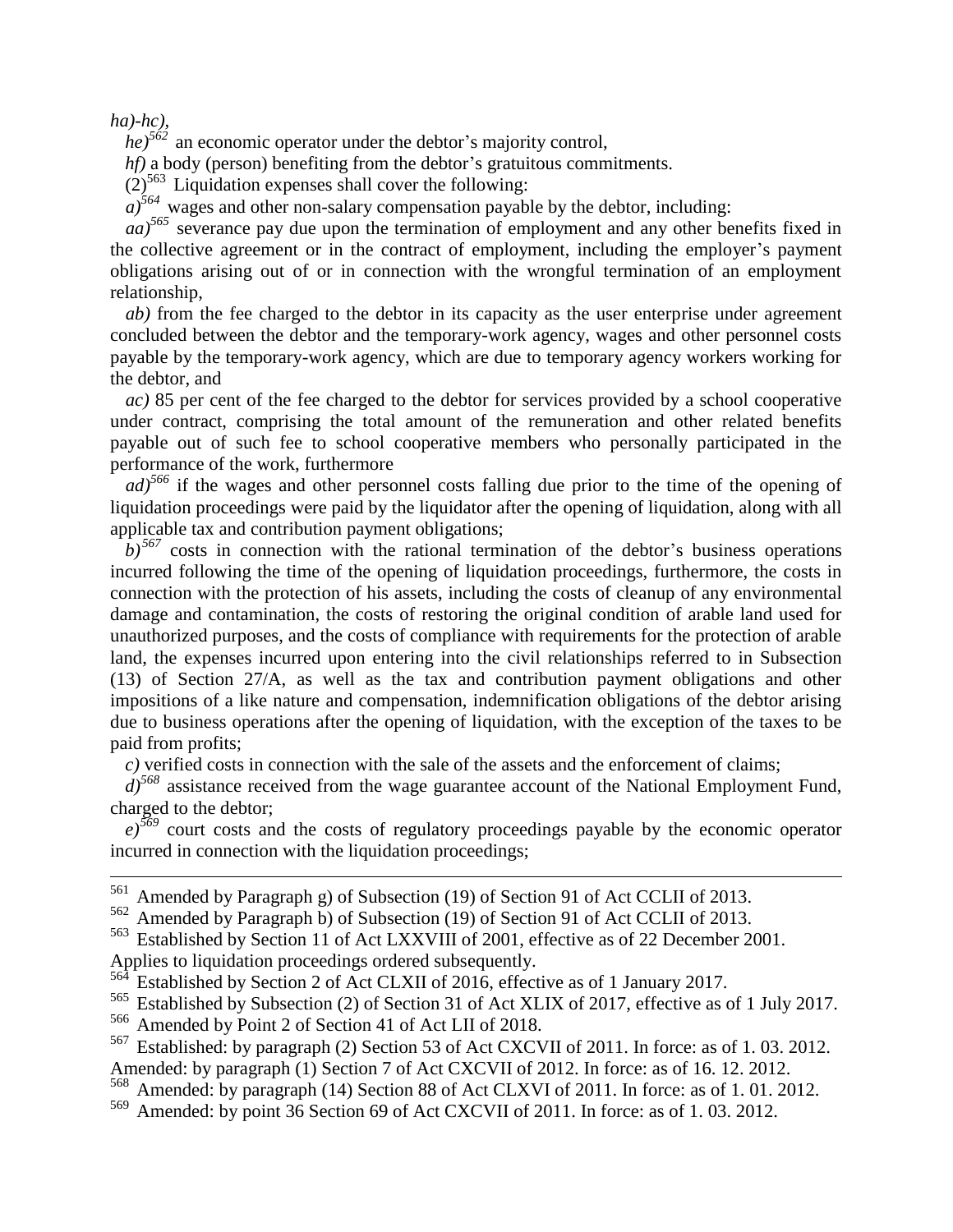*ha)-hc),*

1

*he)<sup>562</sup>* an economic operator under the debtor's majority control,

*hf*) a body (person) benefiting from the debtor's gratuitous commitments.

 $(2)^{563}$  Liquidation expenses shall cover the following:

 $a)$ <sup>564</sup> wages and other non-salary compensation payable by the debtor, including:

*aa)<sup>565</sup>* severance pay due upon the termination of employment and any other benefits fixed in the collective agreement or in the contract of employment, including the employer's payment obligations arising out of or in connection with the wrongful termination of an employment relationship,

*ab)* from the fee charged to the debtor in its capacity as the user enterprise under agreement concluded between the debtor and the temporary-work agency, wages and other personnel costs payable by the temporary-work agency, which are due to temporary agency workers working for the debtor, and

*ac)* 85 per cent of the fee charged to the debtor for services provided by a school cooperative under contract, comprising the total amount of the remuneration and other related benefits payable out of such fee to school cooperative members who personally participated in the performance of the work, furthermore

*ad)<sup>566</sup>* if the wages and other personnel costs falling due prior to the time of the opening of liquidation proceedings were paid by the liquidator after the opening of liquidation, along with all applicable tax and contribution payment obligations;

 $b$ <sup>567</sup> costs in connection with the rational termination of the debtor's business operations incurred following the time of the opening of liquidation proceedings, furthermore, the costs in connection with the protection of his assets, including the costs of cleanup of any environmental damage and contamination, the costs of restoring the original condition of arable land used for unauthorized purposes, and the costs of compliance with requirements for the protection of arable land, the expenses incurred upon entering into the civil relationships referred to in Subsection (13) of Section 27/A, as well as the tax and contribution payment obligations and other impositions of a like nature and compensation, indemnification obligations of the debtor arising due to business operations after the opening of liquidation, with the exception of the taxes to be paid from profits;

*c)* verified costs in connection with the sale of the assets and the enforcement of claims;

*d)<sup>568</sup>* assistance received from the wage guarantee account of the National Employment Fund, charged to the debtor;

 $e^{569}$  court costs and the costs of regulatory proceedings payable by the economic operator incurred in connection with the liquidation proceedings;

<sup>561</sup> Amended by Paragraph g) of Subsection (19) of Section 91 of Act CCLII of 2013.

<sup>562</sup> Amended by Paragraph b) of Subsection (19) of Section 91 of Act CCLII of 2013.

<sup>563</sup> Established by Section 11 of Act LXXVIII of 2001, effective as of 22 December 2001. Applies to liquidation proceedings ordered subsequently.

Established by Section 2 of Act CLXII of 2016, effective as of 1 January 2017.

<sup>565</sup> Established by Subsection (2) of Section 31 of Act XLIX of 2017, effective as of 1 July 2017.

<sup>566</sup> Amended by Point 2 of Section 41 of Act LII of 2018.

Established: by paragraph (2) Section 53 of Act CXCVII of 2011. In force: as of 1.03. 2012. Amended: by paragraph (1) Section 7 of Act CXCVII of 2012. In force: as of 16. 12. 2012.

<sup>568</sup> Amended: by paragraph (14) Section 88 of Act CLXVI of 2011. In force: as of 1. 01. 2012.

Amended: by point 36 Section 69 of Act CXCVII of 2011. In force: as of 1.03. 2012.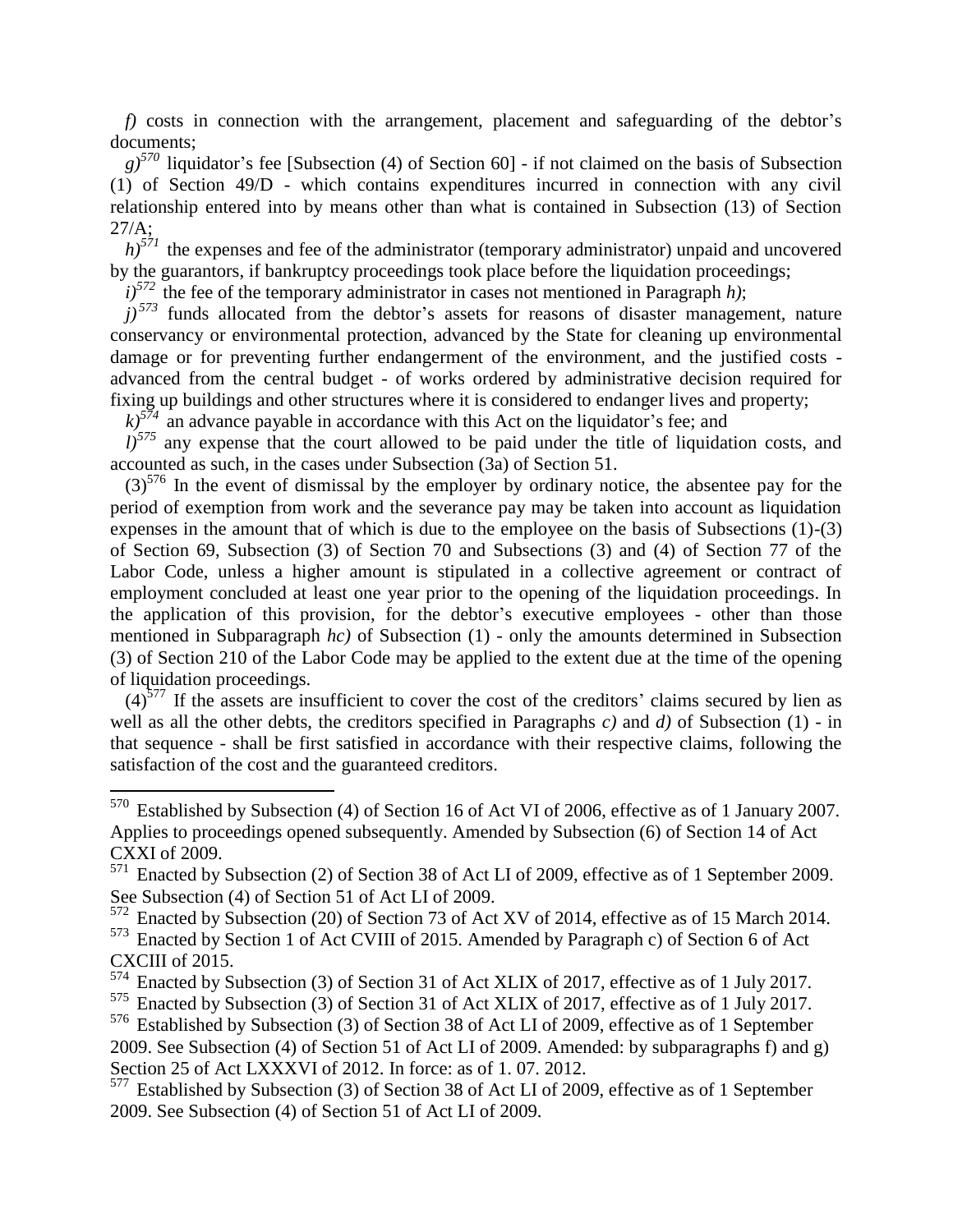*f)* costs in connection with the arrangement, placement and safeguarding of the debtor's documents;

*g)<sup>570</sup>* liquidator's fee [Subsection (4) of Section 60] - if not claimed on the basis of Subsection (1) of Section 49/D - which contains expenditures incurred in connection with any civil relationship entered into by means other than what is contained in Subsection (13) of Section 27/A;

 $h$ <sup>571</sup> the expenses and fee of the administrator (temporary administrator) unpaid and uncovered by the guarantors, if bankruptcy proceedings took place before the liquidation proceedings;

 $i$ <sup>572</sup> the fee of the temporary administrator in cases not mentioned in Paragraph *h*);

 $j$ <sup>573</sup> funds allocated from the debtor's assets for reasons of disaster management, nature conservancy or environmental protection, advanced by the State for cleaning up environmental damage or for preventing further endangerment of the environment, and the justified costs advanced from the central budget - of works ordered by administrative decision required for fixing up buildings and other structures where it is considered to endanger lives and property;

 $k$ <sup>574</sup> an advance payable in accordance with this Act on the liquidator's fee; and

 $l$ <sup>575</sup> any expense that the court allowed to be paid under the title of liquidation costs, and accounted as such, in the cases under Subsection (3a) of Section 51.

 $(3)$ <sup>576</sup> In the event of dismissal by the employer by ordinary notice, the absentee pay for the period of exemption from work and the severance pay may be taken into account as liquidation expenses in the amount that of which is due to the employee on the basis of Subsections (1)-(3) of Section 69, Subsection (3) of Section 70 and Subsections (3) and (4) of Section 77 of the Labor Code, unless a higher amount is stipulated in a collective agreement or contract of employment concluded at least one year prior to the opening of the liquidation proceedings. In the application of this provision, for the debtor's executive employees - other than those mentioned in Subparagraph *hc)* of Subsection (1) - only the amounts determined in Subsection (3) of Section 210 of the Labor Code may be applied to the extent due at the time of the opening of liquidation proceedings.

 $(4)$ <sup>577</sup> If the assets are insufficient to cover the cost of the creditors' claims secured by lien as well as all the other debts, the creditors specified in Paragraphs *c)* and *d)* of Subsection (1) - in that sequence - shall be first satisfied in accordance with their respective claims, following the satisfaction of the cost and the guaranteed creditors.

 $570$  Established by Subsection (4) of Section 16 of Act VI of 2006, effective as of 1 January 2007. Applies to proceedings opened subsequently. Amended by Subsection (6) of Section 14 of Act CXXI of 2009.

<sup>571</sup> Enacted by Subsection (2) of Section 38 of Act LI of 2009, effective as of 1 September 2009. See Subsection (4) of Section 51 of Act LI of 2009.

 $572$  Enacted by Subsection (20) of Section 73 of Act XV of 2014, effective as of 15 March 2014. <sup>573</sup> Enacted by Section 1 of Act CVIII of 2015. Amended by Paragraph c) of Section 6 of Act CXCIII of 2015.

<sup>574</sup> Enacted by Subsection (3) of Section 31 of Act XLIX of 2017, effective as of 1 July 2017.

<sup>575</sup> Enacted by Subsection (3) of Section 31 of Act XLIX of 2017, effective as of 1 July 2017.

<sup>576</sup> Established by Subsection (3) of Section 38 of Act LI of 2009, effective as of 1 September 2009. See Subsection (4) of Section 51 of Act LI of 2009. Amended: by subparagraphs f) and g) Section 25 of Act LXXXVI of 2012. In force: as of 1. 07. 2012.

 $577$  Established by Subsection (3) of Section 38 of Act LI of 2009, effective as of 1 September 2009. See Subsection (4) of Section 51 of Act LI of 2009.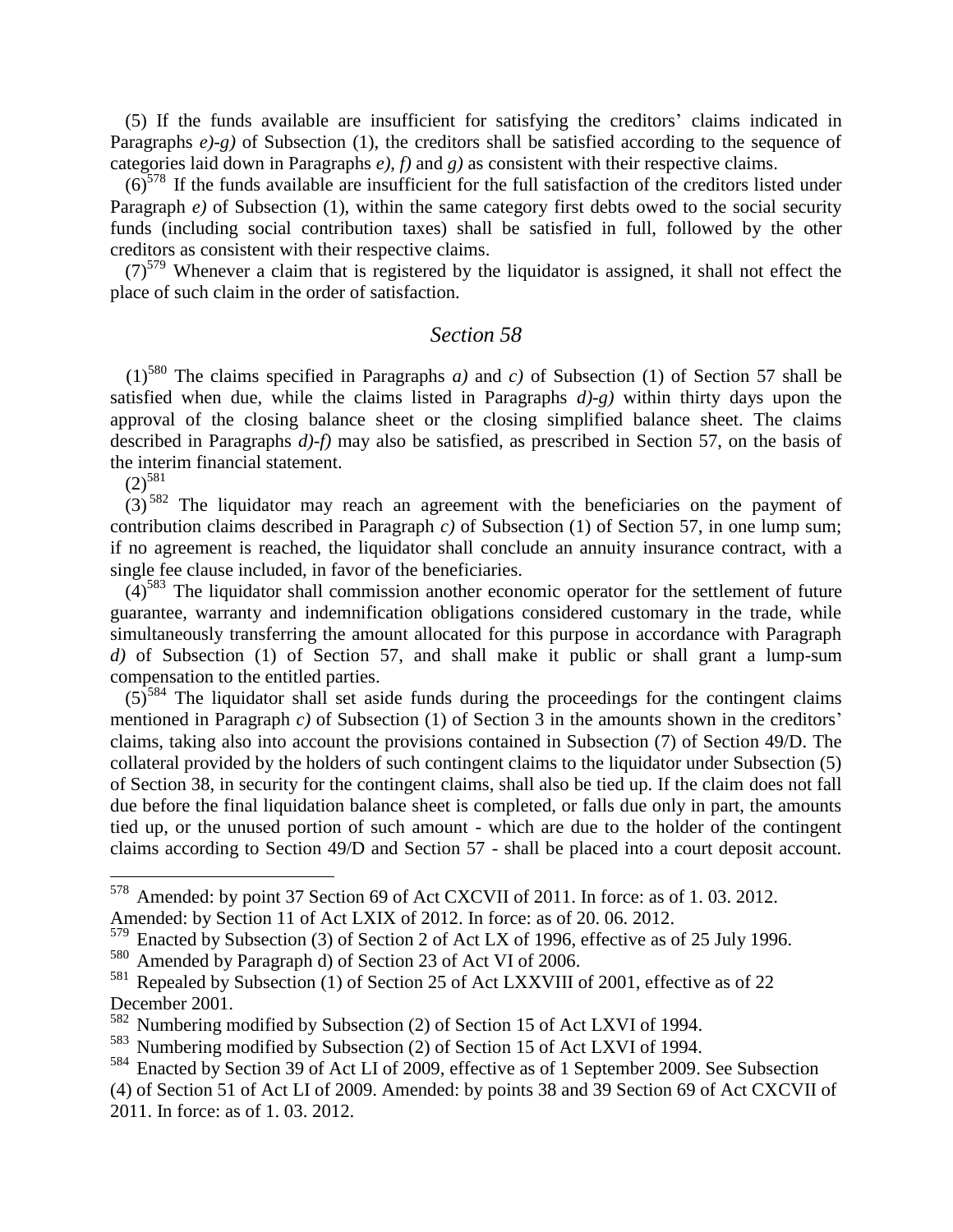(5) If the funds available are insufficient for satisfying the creditors' claims indicated in Paragraphs  $e$ )-g) of Subsection (1), the creditors shall be satisfied according to the sequence of categories laid down in Paragraphs *e)*, *f)* and *g)* as consistent with their respective claims.

 $(6)^{578}$  If the funds available are insufficient for the full satisfaction of the creditors listed under Paragraph *e*) of Subsection (1), within the same category first debts owed to the social security funds (including social contribution taxes) shall be satisfied in full, followed by the other creditors as consistent with their respective claims.

 $(7)^{579}$  Whenever a claim that is registered by the liquidator is assigned, it shall not effect the place of such claim in the order of satisfaction.

#### *Section 58*

 $(1)^{580}$  The claims specified in Paragraphs *a)* and *c)* of Subsection (1) of Section 57 shall be satisfied when due, while the claims listed in Paragraphs *d)-g)* within thirty days upon the approval of the closing balance sheet or the closing simplified balance sheet. The claims described in Paragraphs *d)-f)* may also be satisfied, as prescribed in Section 57, on the basis of the interim financial statement.

 $(2)^{581}$ 

 $\overline{a}$ 

 $(3)$ <sup>582</sup> The liquidator may reach an agreement with the beneficiaries on the payment of contribution claims described in Paragraph *c)* of Subsection (1) of Section 57, in one lump sum; if no agreement is reached, the liquidator shall conclude an annuity insurance contract, with a single fee clause included, in favor of the beneficiaries.

 $(4)$ <sup>583</sup> The liquidator shall commission another economic operator for the settlement of future guarantee, warranty and indemnification obligations considered customary in the trade, while simultaneously transferring the amount allocated for this purpose in accordance with Paragraph *d)* of Subsection (1) of Section 57, and shall make it public or shall grant a lump-sum compensation to the entitled parties.

 $(5)$ <sup>584</sup> The liquidator shall set aside funds during the proceedings for the contingent claims mentioned in Paragraph *c)* of Subsection (1) of Section 3 in the amounts shown in the creditors' claims, taking also into account the provisions contained in Subsection (7) of Section 49/D. The collateral provided by the holders of such contingent claims to the liquidator under Subsection (5) of Section 38, in security for the contingent claims, shall also be tied up. If the claim does not fall due before the final liquidation balance sheet is completed, or falls due only in part, the amounts tied up, or the unused portion of such amount - which are due to the holder of the contingent claims according to Section 49/D and Section 57 - shall be placed into a court deposit account.

<sup>578</sup> Amended: by point 37 Section 69 of Act CXCVII of 2011. In force: as of 1. 03. 2012. Amended: by Section 11 of Act LXIX of 2012. In force: as of 20. 06. 2012.

 $579$  Enacted by Subsection (3) of Section 2 of Act LX of 1996, effective as of 25 July 1996.

<sup>580</sup> Amended by Paragraph d) of Section 23 of Act VI of 2006.

<sup>&</sup>lt;sup>581</sup> Repealed by Subsection (1) of Section 25 of Act LXXVIII of 2001, effective as of 22 December 2001.

<sup>582</sup> Numbering modified by Subsection (2) of Section 15 of Act LXVI of 1994.

<sup>583</sup> Numbering modified by Subsection (2) of Section 15 of Act LXVI of 1994.

<sup>584</sup> Enacted by Section 39 of Act LI of 2009, effective as of 1 September 2009. See Subsection

<sup>(4)</sup> of Section 51 of Act LI of 2009. Amended: by points 38 and 39 Section 69 of Act CXCVII of 2011. In force: as of 1. 03. 2012.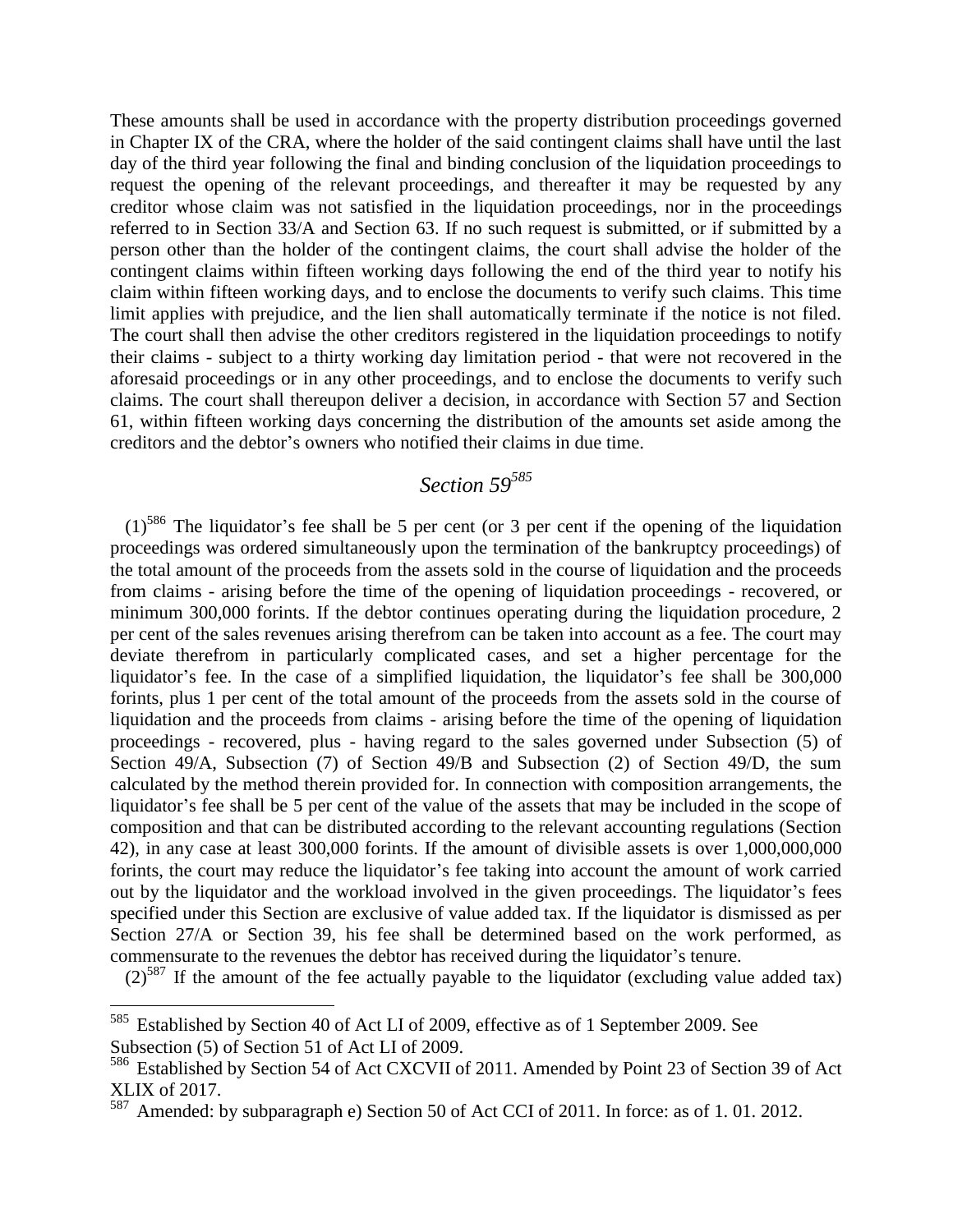These amounts shall be used in accordance with the property distribution proceedings governed in Chapter IX of the CRA, where the holder of the said contingent claims shall have until the last day of the third year following the final and binding conclusion of the liquidation proceedings to request the opening of the relevant proceedings, and thereafter it may be requested by any creditor whose claim was not satisfied in the liquidation proceedings, nor in the proceedings referred to in Section 33/A and Section 63. If no such request is submitted, or if submitted by a person other than the holder of the contingent claims, the court shall advise the holder of the contingent claims within fifteen working days following the end of the third year to notify his claim within fifteen working days, and to enclose the documents to verify such claims. This time limit applies with prejudice, and the lien shall automatically terminate if the notice is not filed. The court shall then advise the other creditors registered in the liquidation proceedings to notify their claims - subject to a thirty working day limitation period - that were not recovered in the aforesaid proceedings or in any other proceedings, and to enclose the documents to verify such claims. The court shall thereupon deliver a decision, in accordance with Section 57 and Section 61, within fifteen working days concerning the distribution of the amounts set aside among the creditors and the debtor's owners who notified their claims in due time.

## *Section 59<sup>585</sup>*

 $(1)$ <sup>586</sup> The liquidator's fee shall be 5 per cent (or 3 per cent if the opening of the liquidation proceedings was ordered simultaneously upon the termination of the bankruptcy proceedings) of the total amount of the proceeds from the assets sold in the course of liquidation and the proceeds from claims - arising before the time of the opening of liquidation proceedings - recovered, or minimum 300,000 forints. If the debtor continues operating during the liquidation procedure, 2 per cent of the sales revenues arising therefrom can be taken into account as a fee. The court may deviate therefrom in particularly complicated cases, and set a higher percentage for the liquidator's fee. In the case of a simplified liquidation, the liquidator's fee shall be 300,000 forints, plus 1 per cent of the total amount of the proceeds from the assets sold in the course of liquidation and the proceeds from claims - arising before the time of the opening of liquidation proceedings - recovered, plus - having regard to the sales governed under Subsection (5) of Section 49/A, Subsection (7) of Section 49/B and Subsection (2) of Section 49/D, the sum calculated by the method therein provided for. In connection with composition arrangements, the liquidator's fee shall be 5 per cent of the value of the assets that may be included in the scope of composition and that can be distributed according to the relevant accounting regulations (Section 42), in any case at least 300,000 forints. If the amount of divisible assets is over 1,000,000,000 forints, the court may reduce the liquidator's fee taking into account the amount of work carried out by the liquidator and the workload involved in the given proceedings. The liquidator's fees specified under this Section are exclusive of value added tax. If the liquidator is dismissed as per Section 27/A or Section 39, his fee shall be determined based on the work performed, as commensurate to the revenues the debtor has received during the liquidator's tenure.

 $(2)^{587}$  If the amount of the fee actually payable to the liquidator (excluding value added tax)

<sup>&</sup>lt;sup>585</sup> Established by Section 40 of Act LI of 2009, effective as of 1 September 2009. See Subsection (5) of Section 51 of Act LI of 2009.

<sup>586</sup> Established by Section 54 of Act CXCVII of 2011. Amended by Point 23 of Section 39 of Act XLIX of 2017.

<sup>587</sup> Amended: by subparagraph e) Section 50 of Act CCI of 2011. In force: as of 1. 01. 2012.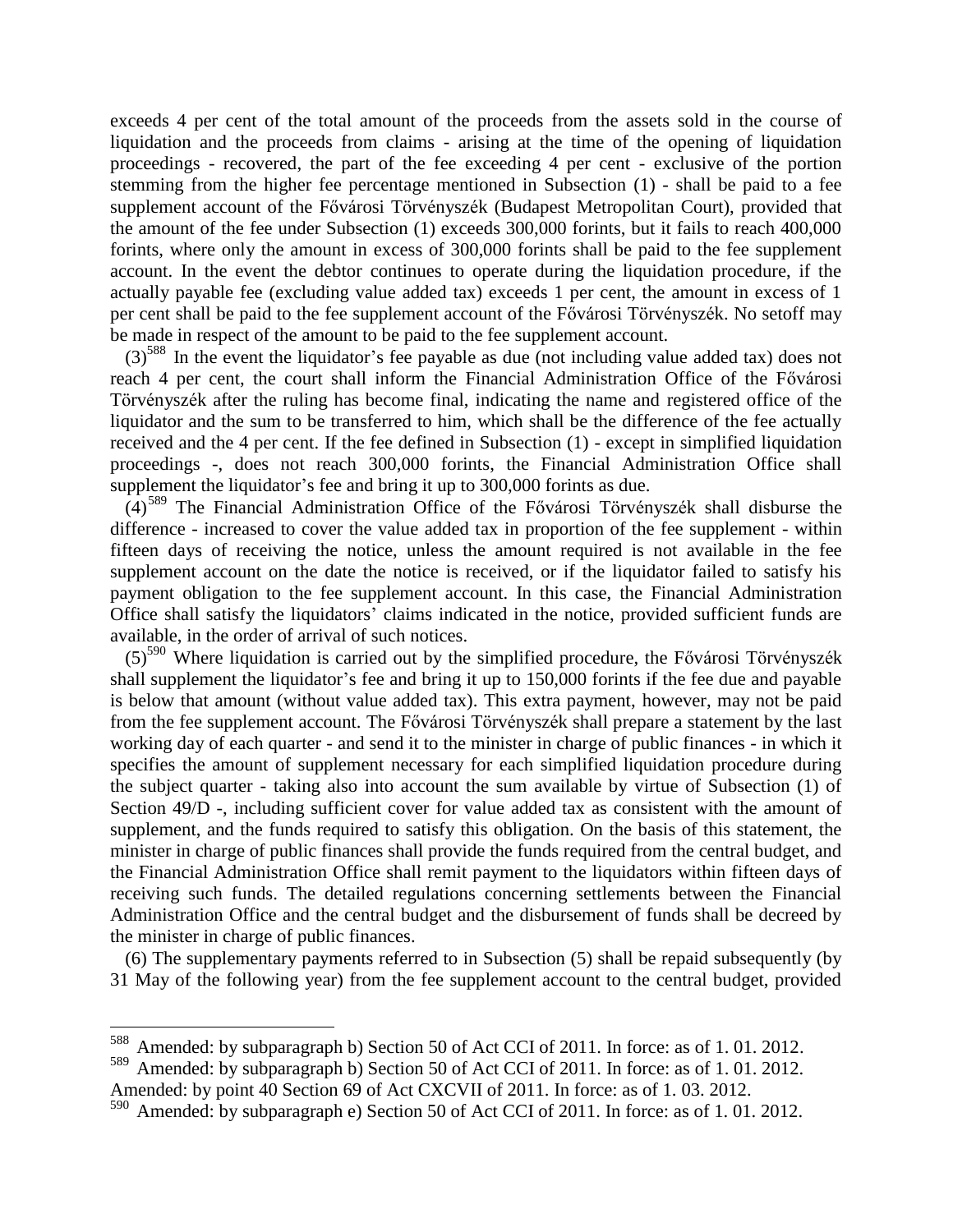exceeds 4 per cent of the total amount of the proceeds from the assets sold in the course of liquidation and the proceeds from claims - arising at the time of the opening of liquidation proceedings - recovered, the part of the fee exceeding 4 per cent - exclusive of the portion stemming from the higher fee percentage mentioned in Subsection (1) - shall be paid to a fee supplement account of the Fővárosi Törvényszék (Budapest Metropolitan Court), provided that the amount of the fee under Subsection (1) exceeds 300,000 forints, but it fails to reach 400,000 forints, where only the amount in excess of 300,000 forints shall be paid to the fee supplement account. In the event the debtor continues to operate during the liquidation procedure, if the actually payable fee (excluding value added tax) exceeds 1 per cent, the amount in excess of 1 per cent shall be paid to the fee supplement account of the Fővárosi Törvényszék. No setoff may be made in respect of the amount to be paid to the fee supplement account.

 $(3)^{588}$  In the event the liquidator's fee payable as due (not including value added tax) does not reach 4 per cent, the court shall inform the Financial Administration Office of the Fővárosi Törvényszék after the ruling has become final, indicating the name and registered office of the liquidator and the sum to be transferred to him, which shall be the difference of the fee actually received and the 4 per cent. If the fee defined in Subsection (1) - except in simplified liquidation proceedings -, does not reach 300,000 forints, the Financial Administration Office shall supplement the liquidator's fee and bring it up to 300,000 forints as due.

 $(4)$ <sup>589</sup> The Financial Administration Office of the Fővárosi Törvényszék shall disburse the difference - increased to cover the value added tax in proportion of the fee supplement - within fifteen days of receiving the notice, unless the amount required is not available in the fee supplement account on the date the notice is received, or if the liquidator failed to satisfy his payment obligation to the fee supplement account. In this case, the Financial Administration Office shall satisfy the liquidators' claims indicated in the notice, provided sufficient funds are available, in the order of arrival of such notices.

 $(5)^{590}$  Where liquidation is carried out by the simplified procedure, the Fővárosi Törvényszék shall supplement the liquidator's fee and bring it up to 150,000 forints if the fee due and payable is below that amount (without value added tax). This extra payment, however, may not be paid from the fee supplement account. The Fővárosi Törvényszék shall prepare a statement by the last working day of each quarter - and send it to the minister in charge of public finances - in which it specifies the amount of supplement necessary for each simplified liquidation procedure during the subject quarter - taking also into account the sum available by virtue of Subsection (1) of Section 49/D -, including sufficient cover for value added tax as consistent with the amount of supplement, and the funds required to satisfy this obligation. On the basis of this statement, the minister in charge of public finances shall provide the funds required from the central budget, and the Financial Administration Office shall remit payment to the liquidators within fifteen days of receiving such funds. The detailed regulations concerning settlements between the Financial Administration Office and the central budget and the disbursement of funds shall be decreed by the minister in charge of public finances.

(6) The supplementary payments referred to in Subsection (5) shall be repaid subsequently (by 31 May of the following year) from the fee supplement account to the central budget, provided

Amended: by subparagraph b) Section 50 of Act CCI of 2011. In force: as of 1.01.2012.

<sup>589</sup> Amended: by subparagraph b) Section 50 of Act CCI of 2011. In force: as of 1. 01. 2012. Amended: by point 40 Section 69 of Act CXCVII of 2011. In force: as of 1. 03. 2012.

<sup>590</sup> Amended: by subparagraph e) Section 50 of Act CCI of 2011. In force: as of 1.01.2012.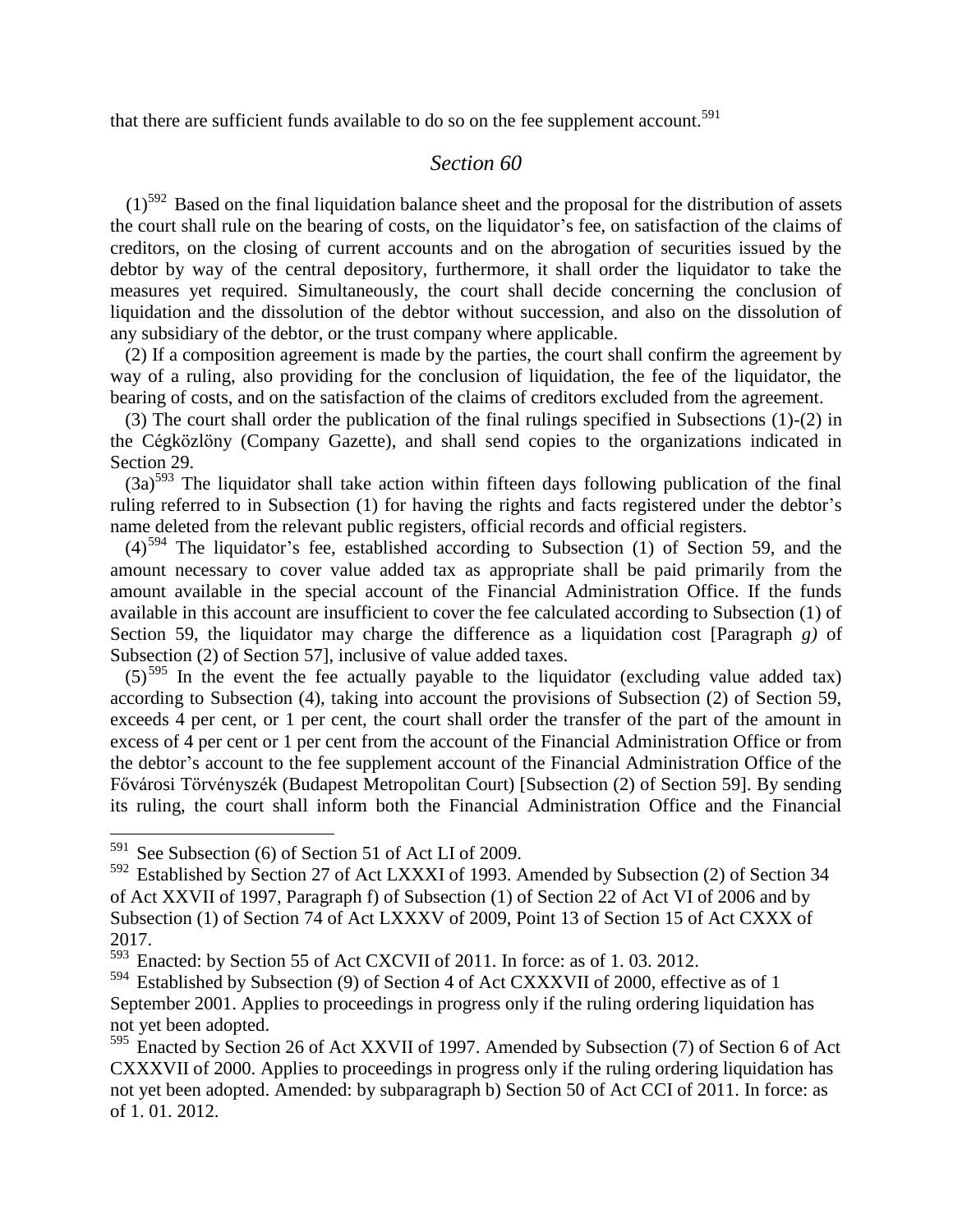that there are sufficient funds available to do so on the fee supplement account.<sup>591</sup>

#### *Section 60*

 $(1)$ <sup>592</sup> Based on the final liquidation balance sheet and the proposal for the distribution of assets the court shall rule on the bearing of costs, on the liquidator's fee, on satisfaction of the claims of creditors, on the closing of current accounts and on the abrogation of securities issued by the debtor by way of the central depository, furthermore, it shall order the liquidator to take the measures yet required. Simultaneously, the court shall decide concerning the conclusion of liquidation and the dissolution of the debtor without succession, and also on the dissolution of any subsidiary of the debtor, or the trust company where applicable.

(2) If a composition agreement is made by the parties, the court shall confirm the agreement by way of a ruling, also providing for the conclusion of liquidation, the fee of the liquidator, the bearing of costs, and on the satisfaction of the claims of creditors excluded from the agreement.

(3) The court shall order the publication of the final rulings specified in Subsections (1)-(2) in the Cégközlöny (Company Gazette), and shall send copies to the organizations indicated in Section 29.

 $(3a)^{593}$  The liquidator shall take action within fifteen days following publication of the final ruling referred to in Subsection (1) for having the rights and facts registered under the debtor's name deleted from the relevant public registers, official records and official registers.

 $(4)$ <sup>594</sup> The liquidator's fee, established according to Subsection (1) of Section 59, and the amount necessary to cover value added tax as appropriate shall be paid primarily from the amount available in the special account of the Financial Administration Office. If the funds available in this account are insufficient to cover the fee calculated according to Subsection (1) of Section 59, the liquidator may charge the difference as a liquidation cost [Paragraph *g)* of Subsection (2) of Section 57], inclusive of value added taxes.

 $(5)^{595}$  In the event the fee actually payable to the liquidator (excluding value added tax) according to Subsection (4), taking into account the provisions of Subsection (2) of Section 59, exceeds 4 per cent, or 1 per cent, the court shall order the transfer of the part of the amount in excess of 4 per cent or 1 per cent from the account of the Financial Administration Office or from the debtor's account to the fee supplement account of the Financial Administration Office of the Fővárosi Törvényszék (Budapest Metropolitan Court) [Subsection (2) of Section 59]. By sending its ruling, the court shall inform both the Financial Administration Office and the Financial

 $591$  See Subsection (6) of Section 51 of Act LI of 2009.

<sup>592</sup> Established by Section 27 of Act LXXXI of 1993. Amended by Subsection (2) of Section 34 of Act XXVII of 1997, Paragraph f) of Subsection (1) of Section 22 of Act VI of 2006 and by Subsection (1) of Section 74 of Act LXXXV of 2009, Point 13 of Section 15 of Act CXXX of 2017.

<sup>593</sup> Enacted: by Section 55 of Act CXCVII of 2011. In force: as of 1. 03. 2012.

<sup>594</sup> Established by Subsection (9) of Section 4 of Act CXXXVII of 2000, effective as of 1 September 2001. Applies to proceedings in progress only if the ruling ordering liquidation has not yet been adopted.

<sup>595</sup> Enacted by Section 26 of Act XXVII of 1997. Amended by Subsection (7) of Section 6 of Act CXXXVII of 2000. Applies to proceedings in progress only if the ruling ordering liquidation has not yet been adopted. Amended: by subparagraph b) Section 50 of Act CCI of 2011. In force: as of 1. 01. 2012.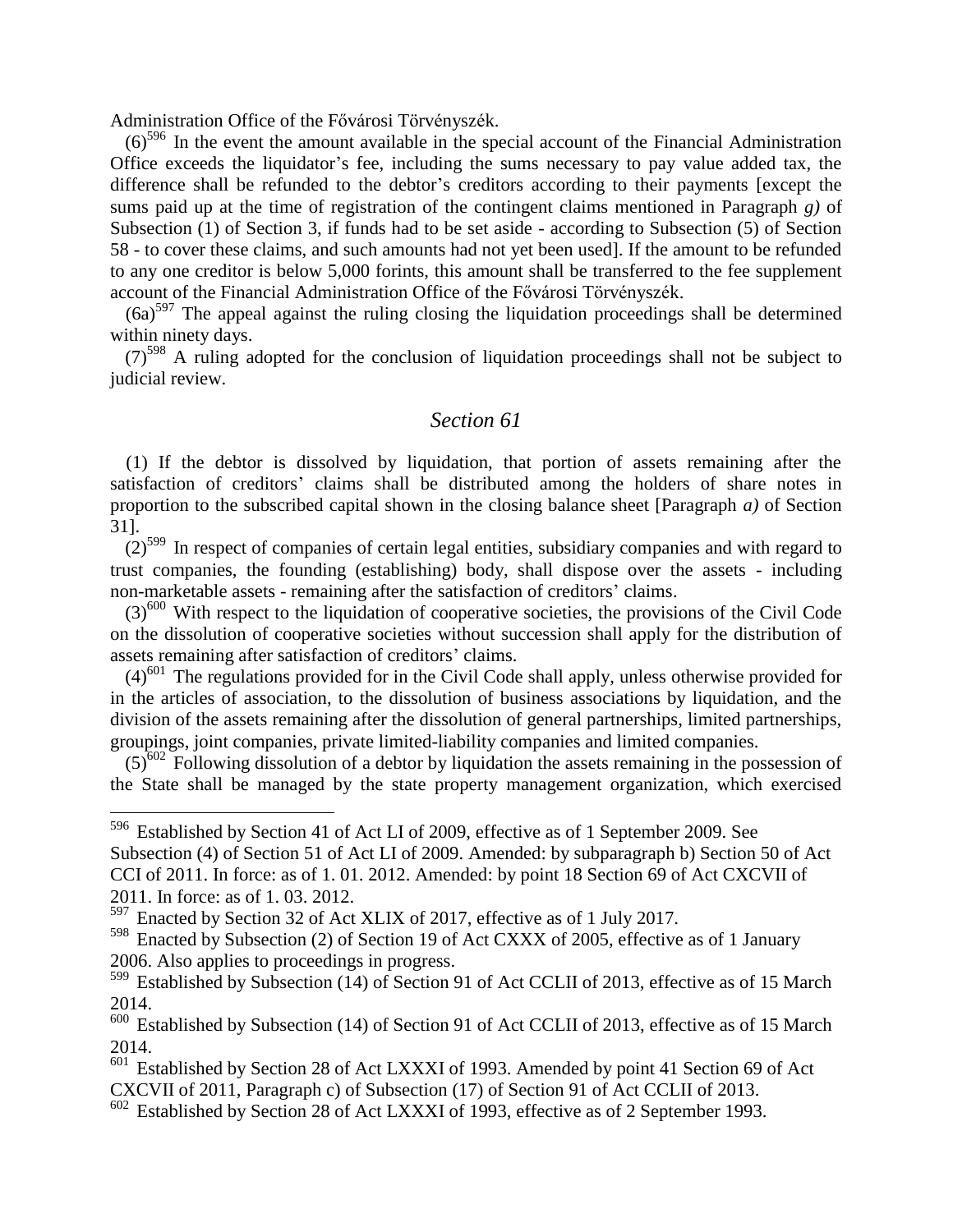Administration Office of the Fővárosi Törvényszék.

 $(6)^{596}$  In the event the amount available in the special account of the Financial Administration Office exceeds the liquidator's fee, including the sums necessary to pay value added tax, the difference shall be refunded to the debtor's creditors according to their payments [except the sums paid up at the time of registration of the contingent claims mentioned in Paragraph *g)* of Subsection (1) of Section 3, if funds had to be set aside - according to Subsection (5) of Section 58 - to cover these claims, and such amounts had not yet been used]. If the amount to be refunded to any one creditor is below 5,000 forints, this amount shall be transferred to the fee supplement account of the Financial Administration Office of the Fővárosi Törvényszék.

 $(6a)^{597}$  The appeal against the ruling closing the liquidation proceedings shall be determined within ninety days.

 $(7)^{598}$  A ruling adopted for the conclusion of liquidation proceedings shall not be subject to judicial review.

#### *Section 61*

(1) If the debtor is dissolved by liquidation, that portion of assets remaining after the satisfaction of creditors' claims shall be distributed among the holders of share notes in proportion to the subscribed capital shown in the closing balance sheet [Paragraph *a)* of Section 31].

 $(2)^{599}$  In respect of companies of certain legal entities, subsidiary companies and with regard to trust companies, the founding (establishing) body, shall dispose over the assets - including non-marketable assets - remaining after the satisfaction of creditors' claims.

 $(3)^{600}$  With respect to the liquidation of cooperative societies, the provisions of the Civil Code on the dissolution of cooperative societies without succession shall apply for the distribution of assets remaining after satisfaction of creditors' claims.

 $(4)^{601}$  The regulations provided for in the Civil Code shall apply, unless otherwise provided for in the articles of association, to the dissolution of business associations by liquidation, and the division of the assets remaining after the dissolution of general partnerships, limited partnerships, groupings, joint companies, private limited-liability companies and limited companies.

 $(5)^{602}$  Following dissolution of a debtor by liquidation the assets remaining in the possession of the State shall be managed by the state property management organization, which exercised

<sup>596</sup> Established by Section 41 of Act LI of 2009, effective as of 1 September 2009. See Subsection (4) of Section 51 of Act LI of 2009. Amended: by subparagraph b) Section 50 of Act CCI of 2011. In force: as of 1. 01. 2012. Amended: by point 18 Section 69 of Act CXCVII of 2011. In force: as of 1. 03. 2012.

<sup>597</sup> Enacted by Section 32 of Act XLIX of 2017, effective as of 1 July 2017.

<sup>598</sup> Enacted by Subsection (2) of Section 19 of Act CXXX of 2005, effective as of 1 January 2006. Also applies to proceedings in progress.

<sup>&</sup>lt;sup>599</sup> Established by Subsection (14) of Section 91 of Act CCLII of 2013, effective as of 15 March 2014.

 $600$  Established by Subsection (14) of Section 91 of Act CCLII of 2013, effective as of 15 March 2014.

 $601$  Established by Section 28 of Act LXXXI of 1993. Amended by point 41 Section 69 of Act CXCVII of 2011, Paragraph c) of Subsection (17) of Section 91 of Act CCLII of 2013.

<sup>602</sup> Established by Section 28 of Act LXXXI of 1993, effective as of 2 September 1993.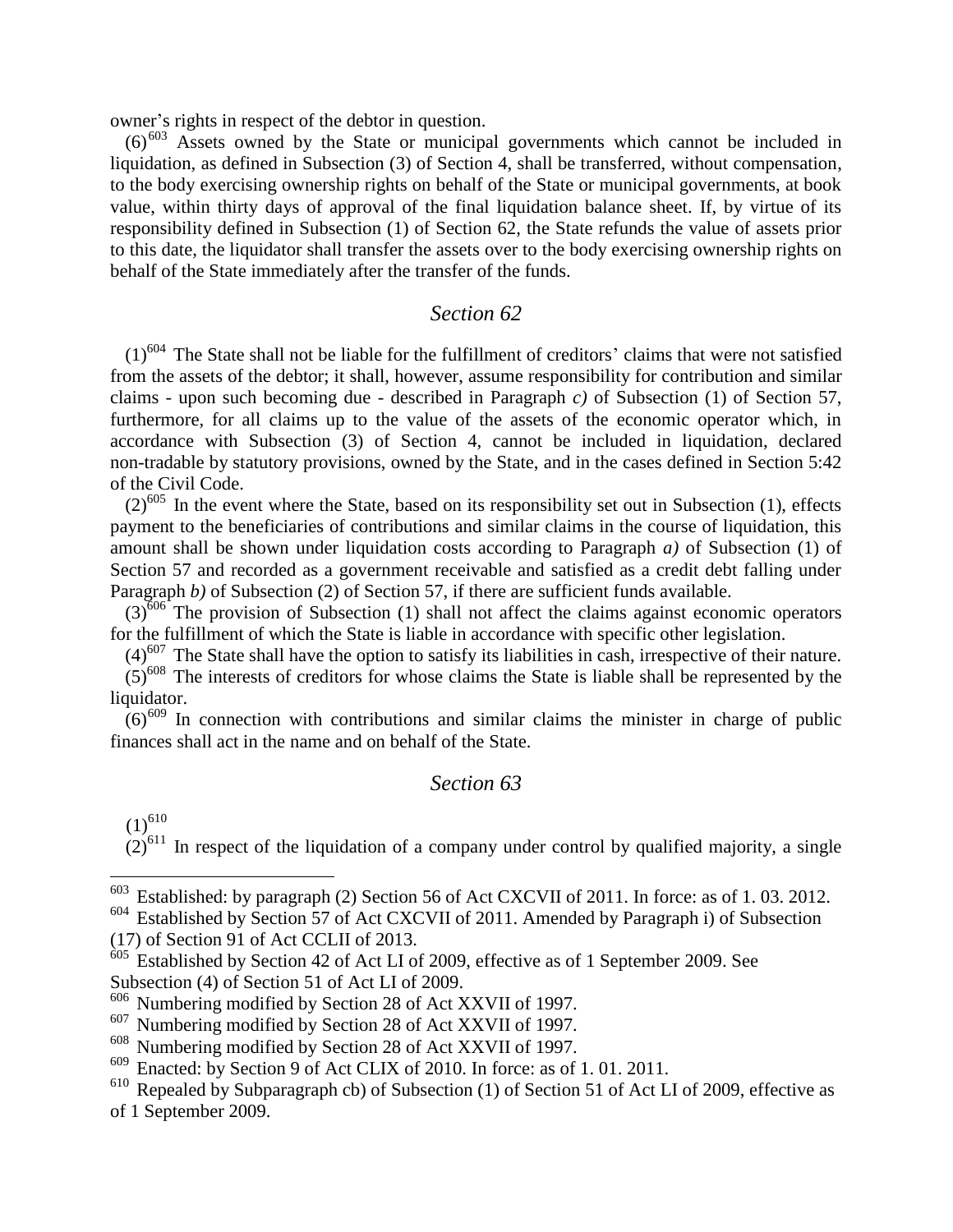owner's rights in respect of the debtor in question.

 $(6)^{603}$  Assets owned by the State or municipal governments which cannot be included in liquidation, as defined in Subsection (3) of Section 4, shall be transferred, without compensation, to the body exercising ownership rights on behalf of the State or municipal governments, at book value, within thirty days of approval of the final liquidation balance sheet. If, by virtue of its responsibility defined in Subsection (1) of Section 62, the State refunds the value of assets prior to this date, the liquidator shall transfer the assets over to the body exercising ownership rights on behalf of the State immediately after the transfer of the funds.

#### *Section 62*

 $(1)$ <sup>604</sup> The State shall not be liable for the fulfillment of creditors' claims that were not satisfied from the assets of the debtor; it shall, however, assume responsibility for contribution and similar claims - upon such becoming due - described in Paragraph *c)* of Subsection (1) of Section 57, furthermore, for all claims up to the value of the assets of the economic operator which, in accordance with Subsection (3) of Section 4, cannot be included in liquidation, declared non-tradable by statutory provisions, owned by the State, and in the cases defined in Section 5:42 of the Civil Code.

 $(2)^{605}$  In the event where the State, based on its responsibility set out in Subsection (1), effects payment to the beneficiaries of contributions and similar claims in the course of liquidation, this amount shall be shown under liquidation costs according to Paragraph *a)* of Subsection (1) of Section 57 and recorded as a government receivable and satisfied as a credit debt falling under Paragraph *b*) of Subsection (2) of Section 57, if there are sufficient funds available.

 $(3)^{606}$  The provision of Subsection (1) shall not affect the claims against economic operators for the fulfillment of which the State is liable in accordance with specific other legislation.

 $(4)^{607}$  The State shall have the option to satisfy its liabilities in cash, irrespective of their nature.

 $(5)^{608}$  The interests of creditors for whose claims the State is liable shall be represented by the liquidator.

 $(6)^{609}$  In connection with contributions and similar claims the minister in charge of public finances shall act in the name and on behalf of the State.

#### *Section 63*

 $(1)^{610}$ 

 $\overline{a}$ 

 $(2)^{611}$  In respect of the liquidation of a company under control by qualified majority, a single

<sup>&</sup>lt;sup>603</sup> Established: by paragraph (2) Section 56 of Act CXCVII of 2011. In force: as of 1.03. 2012.

<sup>604</sup> Established by Section 57 of Act CXCVII of 2011. Amended by Paragraph i) of Subsection (17) of Section 91 of Act CCLII of 2013.

<sup>605</sup> Established by Section 42 of Act LI of 2009, effective as of 1 September 2009. See Subsection (4) of Section 51 of Act LI of 2009.

<sup>606</sup> Numbering modified by Section 28 of Act XXVII of 1997.

<sup>&</sup>lt;sup>607</sup> Numbering modified by Section 28 of Act XXVII of 1997.

<sup>608</sup> Numbering modified by Section 28 of Act XXVII of 1997.

<sup>609</sup> Enacted: by Section 9 of Act CLIX of 2010. In force: as of 1. 01. 2011.

 $610$  Repealed by Subparagraph cb) of Subsection (1) of Section 51 of Act LI of 2009, effective as of 1 September 2009.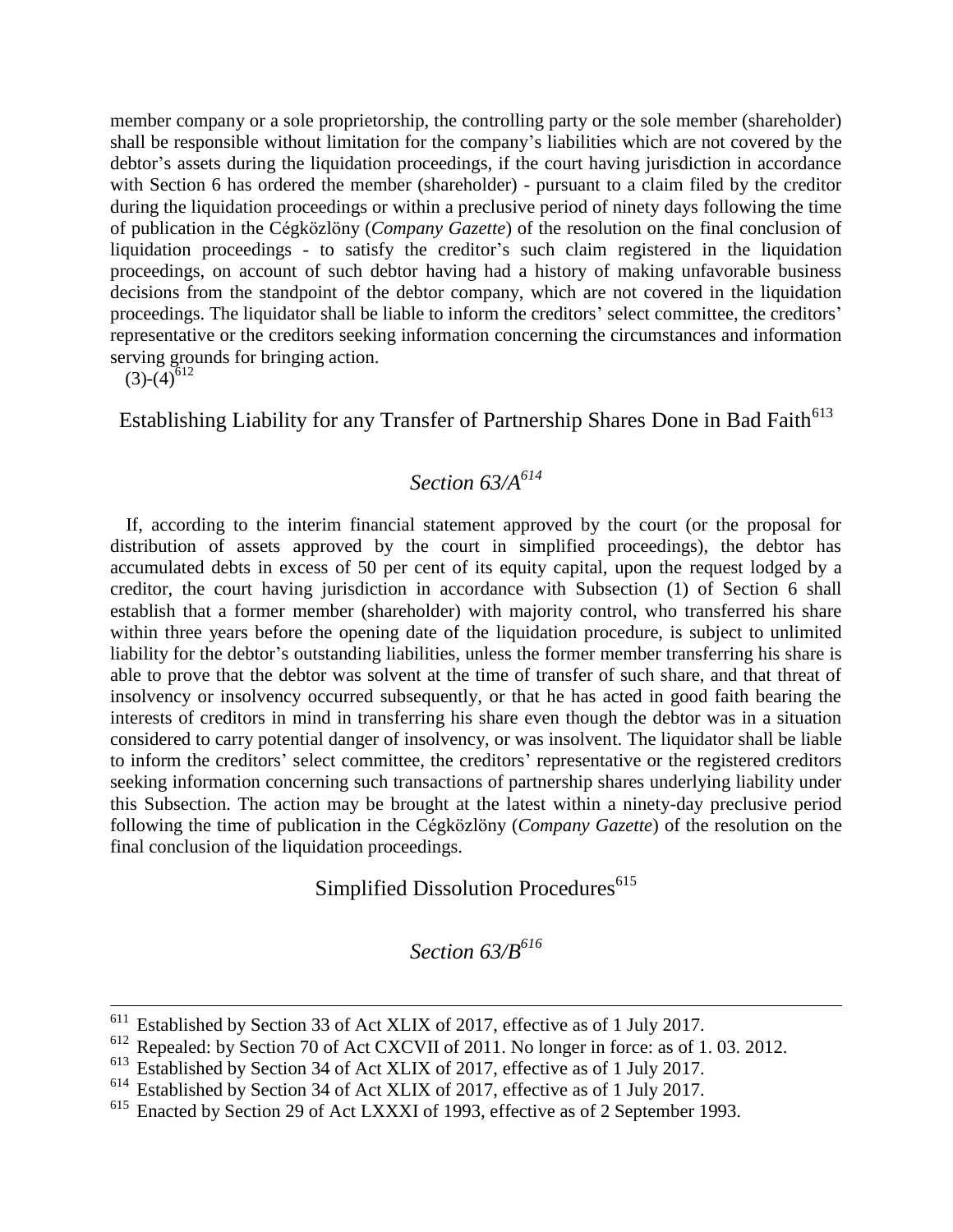member company or a sole proprietorship, the controlling party or the sole member (shareholder) shall be responsible without limitation for the company's liabilities which are not covered by the debtor's assets during the liquidation proceedings, if the court having jurisdiction in accordance with Section 6 has ordered the member (shareholder) - pursuant to a claim filed by the creditor during the liquidation proceedings or within a preclusive period of ninety days following the time of publication in the Cégközlöny (*Company Gazette*) of the resolution on the final conclusion of liquidation proceedings - to satisfy the creditor's such claim registered in the liquidation proceedings, on account of such debtor having had a history of making unfavorable business decisions from the standpoint of the debtor company, which are not covered in the liquidation proceedings. The liquidator shall be liable to inform the creditors' select committee, the creditors' representative or the creditors seeking information concerning the circumstances and information serving grounds for bringing action.

 $(3)-(4)^{612}$ 

1

Establishing Liability for any Transfer of Partnership Shares Done in Bad Faith<sup>613</sup>

### *Section 63/A<sup>614</sup>*

If, according to the interim financial statement approved by the court (or the proposal for distribution of assets approved by the court in simplified proceedings), the debtor has accumulated debts in excess of 50 per cent of its equity capital, upon the request lodged by a creditor, the court having jurisdiction in accordance with Subsection (1) of Section 6 shall establish that a former member (shareholder) with majority control, who transferred his share within three years before the opening date of the liquidation procedure, is subject to unlimited liability for the debtor's outstanding liabilities, unless the former member transferring his share is able to prove that the debtor was solvent at the time of transfer of such share, and that threat of insolvency or insolvency occurred subsequently, or that he has acted in good faith bearing the interests of creditors in mind in transferring his share even though the debtor was in a situation considered to carry potential danger of insolvency, or was insolvent. The liquidator shall be liable to inform the creditors' select committee, the creditors' representative or the registered creditors seeking information concerning such transactions of partnership shares underlying liability under this Subsection. The action may be brought at the latest within a ninety-day preclusive period following the time of publication in the Cégközlöny (*Company Gazette*) of the resolution on the final conclusion of the liquidation proceedings.

Simplified Dissolution Procedures<sup>615</sup>

*Section 63/B<sup>616</sup>*

<sup>&</sup>lt;sup>611</sup> Established by Section 33 of Act XLIX of 2017, effective as of 1 July 2017.

<sup>&</sup>lt;sup>612</sup> Repealed: by Section 70 of Act CXCVII of 2011. No longer in force: as of 1.03. 2012.

<sup>613</sup> Established by Section 34 of Act XLIX of 2017, effective as of 1 July 2017.

<sup>&</sup>lt;sup>614</sup> Established by Section 34 of Act XLIX of 2017, effective as of 1 July 2017.<br><sup>615</sup> Enacted by Section 29 of Act I XXXI of 1993, effective as of 2 September 1

Enacted by Section 29 of Act LXXXI of 1993, effective as of 2 September 1993.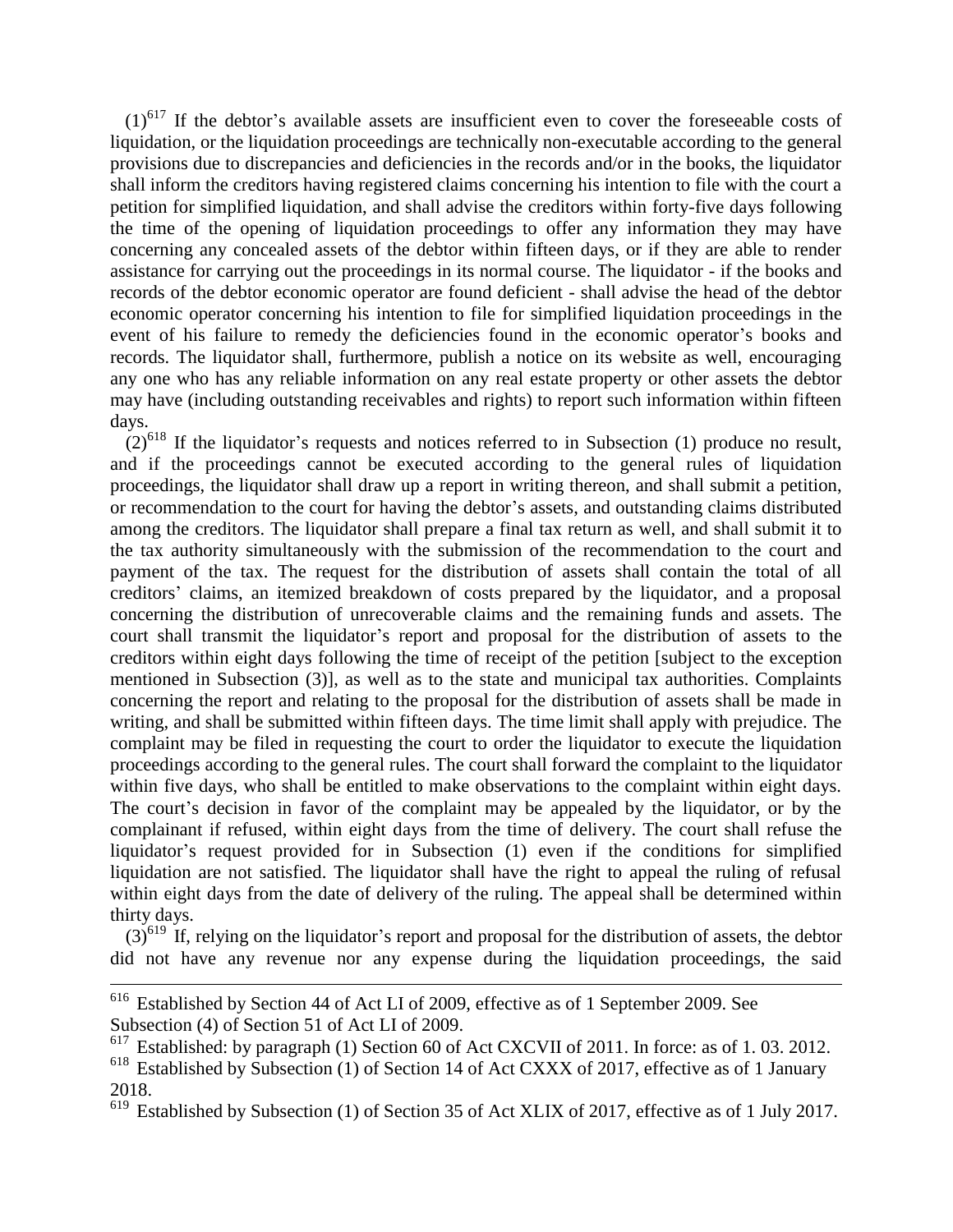$(1)$ <sup>617</sup> If the debtor's available assets are insufficient even to cover the foreseeable costs of liquidation, or the liquidation proceedings are technically non-executable according to the general provisions due to discrepancies and deficiencies in the records and/or in the books, the liquidator shall inform the creditors having registered claims concerning his intention to file with the court a petition for simplified liquidation, and shall advise the creditors within forty-five days following the time of the opening of liquidation proceedings to offer any information they may have concerning any concealed assets of the debtor within fifteen days, or if they are able to render assistance for carrying out the proceedings in its normal course. The liquidator - if the books and records of the debtor economic operator are found deficient - shall advise the head of the debtor economic operator concerning his intention to file for simplified liquidation proceedings in the event of his failure to remedy the deficiencies found in the economic operator's books and records. The liquidator shall, furthermore, publish a notice on its website as well, encouraging any one who has any reliable information on any real estate property or other assets the debtor may have (including outstanding receivables and rights) to report such information within fifteen days.

 $(2)^{618}$  If the liquidator's requests and notices referred to in Subsection (1) produce no result, and if the proceedings cannot be executed according to the general rules of liquidation proceedings, the liquidator shall draw up a report in writing thereon, and shall submit a petition, or recommendation to the court for having the debtor's assets, and outstanding claims distributed among the creditors. The liquidator shall prepare a final tax return as well, and shall submit it to the tax authority simultaneously with the submission of the recommendation to the court and payment of the tax. The request for the distribution of assets shall contain the total of all creditors' claims, an itemized breakdown of costs prepared by the liquidator, and a proposal concerning the distribution of unrecoverable claims and the remaining funds and assets. The court shall transmit the liquidator's report and proposal for the distribution of assets to the creditors within eight days following the time of receipt of the petition [subject to the exception mentioned in Subsection (3)], as well as to the state and municipal tax authorities. Complaints concerning the report and relating to the proposal for the distribution of assets shall be made in writing, and shall be submitted within fifteen days. The time limit shall apply with prejudice. The complaint may be filed in requesting the court to order the liquidator to execute the liquidation proceedings according to the general rules. The court shall forward the complaint to the liquidator within five days, who shall be entitled to make observations to the complaint within eight days. The court's decision in favor of the complaint may be appealed by the liquidator, or by the complainant if refused, within eight days from the time of delivery. The court shall refuse the liquidator's request provided for in Subsection (1) even if the conditions for simplified liquidation are not satisfied. The liquidator shall have the right to appeal the ruling of refusal within eight days from the date of delivery of the ruling. The appeal shall be determined within thirty days.

 $(3)^{619}$  If, relying on the liquidator's report and proposal for the distribution of assets, the debtor did not have any revenue nor any expense during the liquidation proceedings, the said

1

<sup>&</sup>lt;sup>616</sup> Established by Section 44 of Act LI of 2009, effective as of 1 September 2009. See Subsection (4) of Section 51 of Act LI of 2009.

 $617$  Established: by paragraph (1) Section 60 of Act CXCVII of 2011. In force: as of 1.03. 2012.

 $618$  Established by Subsection (1) of Section 14 of Act CXXX of 2017, effective as of 1 January 2018.

 $\frac{619}{619}$  Established by Subsection (1) of Section 35 of Act XLIX of 2017, effective as of 1 July 2017.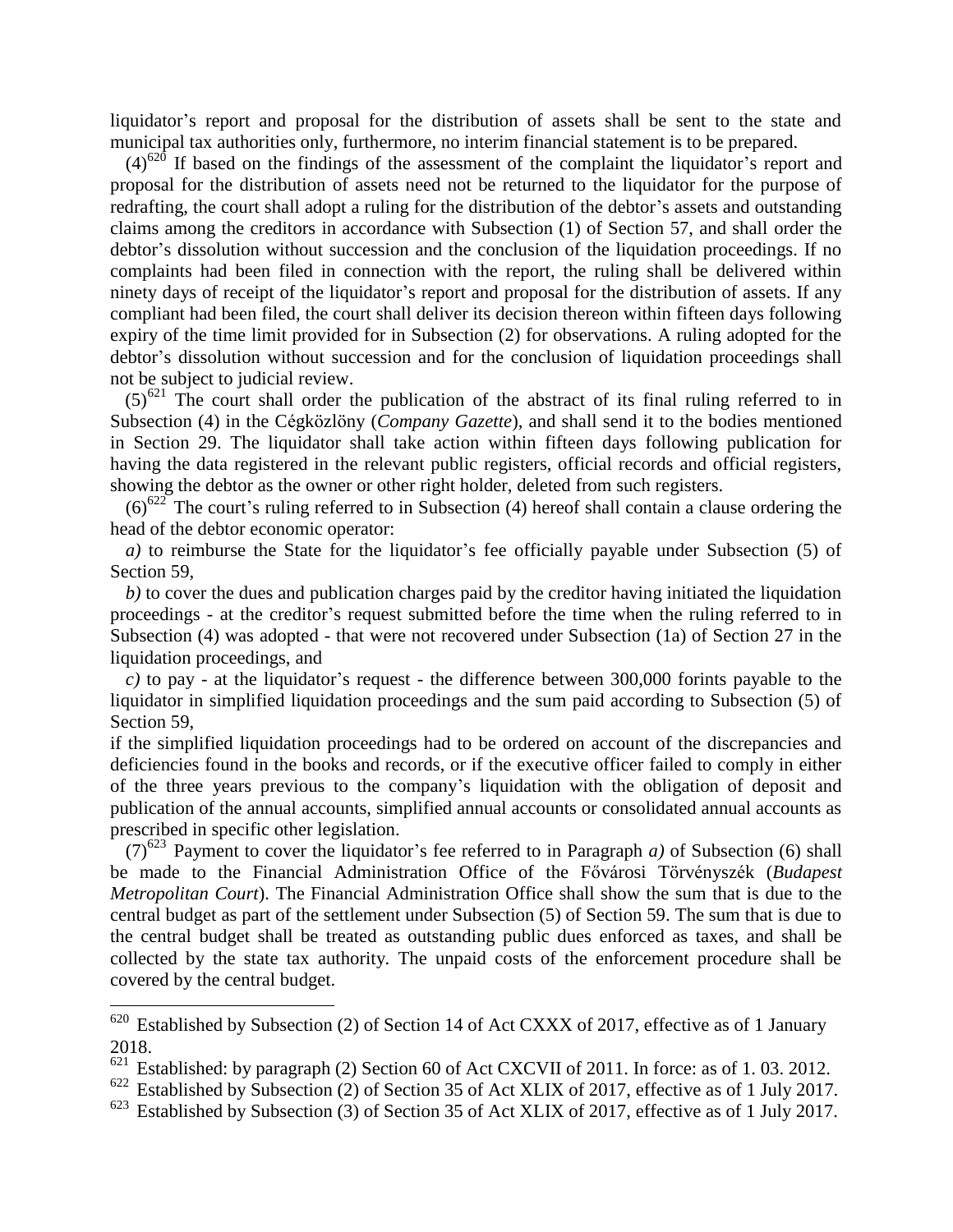liquidator's report and proposal for the distribution of assets shall be sent to the state and municipal tax authorities only, furthermore, no interim financial statement is to be prepared.

 $(4)^{620}$  If based on the findings of the assessment of the complaint the liquidator's report and proposal for the distribution of assets need not be returned to the liquidator for the purpose of redrafting, the court shall adopt a ruling for the distribution of the debtor's assets and outstanding claims among the creditors in accordance with Subsection (1) of Section 57, and shall order the debtor's dissolution without succession and the conclusion of the liquidation proceedings. If no complaints had been filed in connection with the report, the ruling shall be delivered within ninety days of receipt of the liquidator's report and proposal for the distribution of assets. If any compliant had been filed, the court shall deliver its decision thereon within fifteen days following expiry of the time limit provided for in Subsection (2) for observations. A ruling adopted for the debtor's dissolution without succession and for the conclusion of liquidation proceedings shall not be subject to judicial review.

 $(5)^{621}$  The court shall order the publication of the abstract of its final ruling referred to in Subsection (4) in the Cégközlöny (*Company Gazette*), and shall send it to the bodies mentioned in Section 29. The liquidator shall take action within fifteen days following publication for having the data registered in the relevant public registers, official records and official registers, showing the debtor as the owner or other right holder, deleted from such registers.

 $(6)^{622}$  The court's ruling referred to in Subsection (4) hereof shall contain a clause ordering the head of the debtor economic operator:

*a)* to reimburse the State for the liquidator's fee officially payable under Subsection (5) of Section 59.

*b)* to cover the dues and publication charges paid by the creditor having initiated the liquidation proceedings - at the creditor's request submitted before the time when the ruling referred to in Subsection (4) was adopted - that were not recovered under Subsection (1a) of Section 27 in the liquidation proceedings, and

*c)* to pay - at the liquidator's request - the difference between 300,000 forints payable to the liquidator in simplified liquidation proceedings and the sum paid according to Subsection (5) of Section 59,

if the simplified liquidation proceedings had to be ordered on account of the discrepancies and deficiencies found in the books and records, or if the executive officer failed to comply in either of the three years previous to the company's liquidation with the obligation of deposit and publication of the annual accounts, simplified annual accounts or consolidated annual accounts as prescribed in specific other legislation.

(7)<sup>623</sup> Payment to cover the liquidator's fee referred to in Paragraph *a*) of Subsection (6) shall be made to the Financial Administration Office of the Fővárosi Törvényszék (*Budapest Metropolitan Court*). The Financial Administration Office shall show the sum that is due to the central budget as part of the settlement under Subsection (5) of Section 59. The sum that is due to the central budget shall be treated as outstanding public dues enforced as taxes, and shall be collected by the state tax authority. The unpaid costs of the enforcement procedure shall be covered by the central budget.

 $620$  Established by Subsection (2) of Section 14 of Act CXXX of 2017, effective as of 1 January 2018.

 $621$  Established: by paragraph (2) Section 60 of Act CXCVII of 2011. In force: as of 1.03. 2012.

<sup>&</sup>lt;sup>622</sup> Established by Subsection (2) of Section 35 of Act XLIX of 2017, effective as of 1 July 2017.

 $623$  Established by Subsection (3) of Section 35 of Act XLIX of 2017, effective as of 1 July 2017.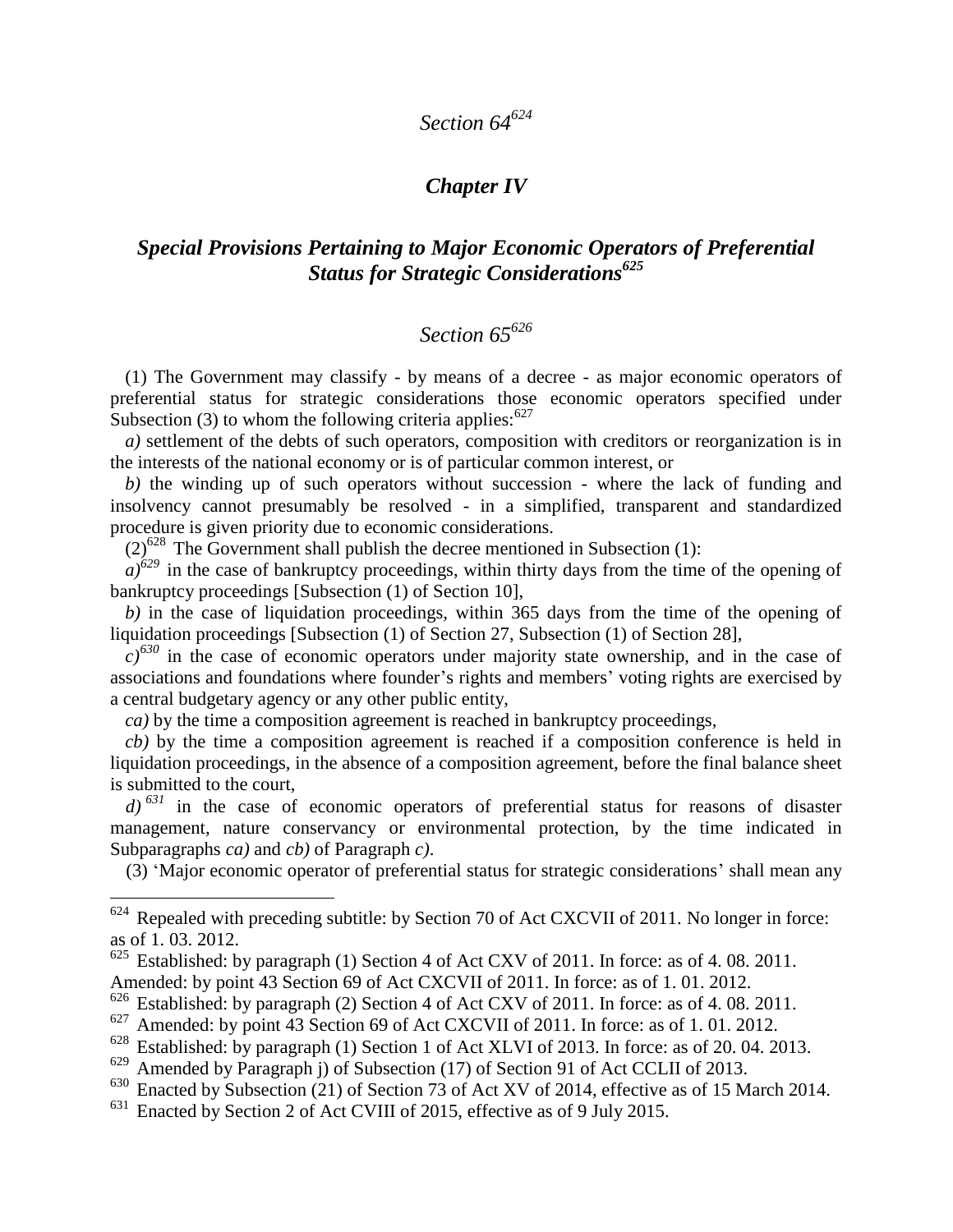# *Section 64<sup>624</sup>*

### *Chapter IV*

#### *Special Provisions Pertaining to Major Economic Operators of Preferential Status for Strategic Considerations<sup>625</sup>*

## *Section 65<sup>626</sup>*

(1) The Government may classify - by means of a decree - as major economic operators of preferential status for strategic considerations those economic operators specified under Subsection (3) to whom the following criteria applies:  $627$ 

*a)* settlement of the debts of such operators, composition with creditors or reorganization is in the interests of the national economy or is of particular common interest, or

*b)* the winding up of such operators without succession - where the lack of funding and insolvency cannot presumably be resolved - in a simplified, transparent and standardized procedure is given priority due to economic considerations.

 $(2)^{628}$  The Government shall publish the decree mentioned in Subsection (1):

 $a^{629}$  in the case of bankruptcy proceedings, within thirty days from the time of the opening of bankruptcy proceedings [Subsection (1) of Section 10],

*b)* in the case of liquidation proceedings, within 365 days from the time of the opening of liquidation proceedings [Subsection (1) of Section 27, Subsection (1) of Section 28],

 $c^{630}$  in the case of economic operators under majority state ownership, and in the case of associations and foundations where founder's rights and members' voting rights are exercised by a central budgetary agency or any other public entity,

*ca)* by the time a composition agreement is reached in bankruptcy proceedings,

*cb)* by the time a composition agreement is reached if a composition conference is held in liquidation proceedings, in the absence of a composition agreement, before the final balance sheet is submitted to the court,

*d) <sup>631</sup>* in the case of economic operators of preferential status for reasons of disaster management, nature conservancy or environmental protection, by the time indicated in Subparagraphs *ca)* and *cb)* of Paragraph *c)*.

(3) 'Major economic operator of preferential status for strategic considerations' shall mean any

 $624$  Repealed with preceding subtitle: by Section 70 of Act CXCVII of 2011. No longer in force: as of 1. 03. 2012.

 $625$  Established: by paragraph (1) Section 4 of Act CXV of 2011. In force: as of 4.08. 2011. Amended: by point 43 Section 69 of Act CXCVII of 2011. In force: as of 1. 01. 2012.

<sup>&</sup>lt;sup>626</sup> Established: by paragraph (2) Section 4 of Act CXV of 2011. In force: as of 4.08. 2011.

<sup>627</sup> Amended: by point 43 Section 69 of Act CXCVII of 2011. In force: as of 1. 01. 2012.

<sup>&</sup>lt;sup>628</sup> Established: by paragraph (1) Section 1 of Act XLVI of 2013. In force: as of 20. 04. 2013.

<sup>&</sup>lt;sup>629</sup> Amended by Paragraph j) of Subsection (17) of Section 91 of Act CCLII of 2013.

<sup>&</sup>lt;sup>630</sup> Enacted by Subsection (21) of Section 73 of Act XV of 2014, effective as of 15 March 2014.

<sup>631</sup> Enacted by Section 2 of Act CVIII of 2015, effective as of 9 July 2015.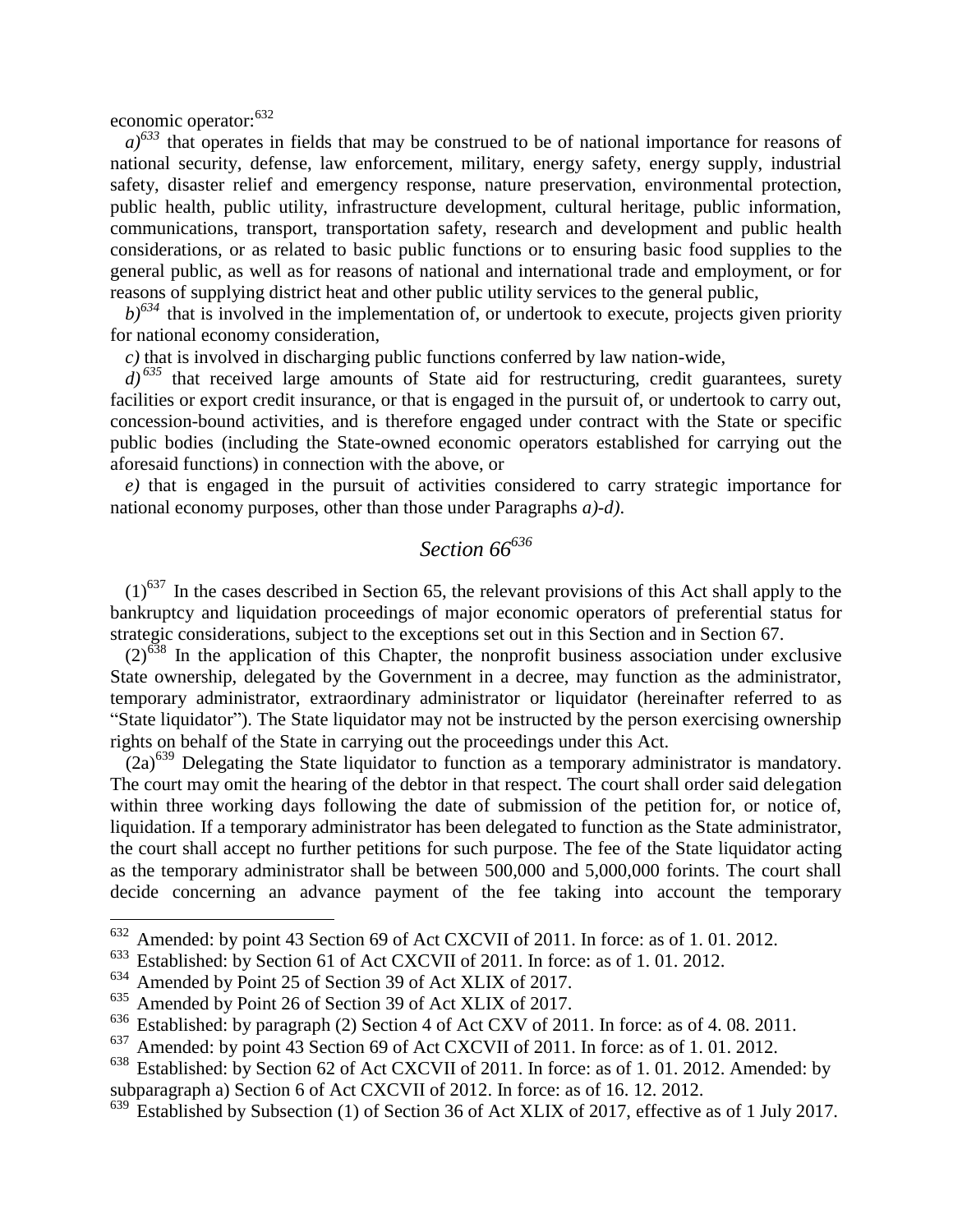economic operator:<sup>632</sup>

 $\overline{a}$ 

 $a^{0.633}$  that operates in fields that may be construed to be of national importance for reasons of national security, defense, law enforcement, military, energy safety, energy supply, industrial safety, disaster relief and emergency response, nature preservation, environmental protection, public health, public utility, infrastructure development, cultural heritage, public information, communications, transport, transportation safety, research and development and public health considerations, or as related to basic public functions or to ensuring basic food supplies to the general public, as well as for reasons of national and international trade and employment, or for reasons of supplying district heat and other public utility services to the general public,

 $b$ <sup> $634$ </sup> that is involved in the implementation of, or undertook to execute, projects given priority for national economy consideration,

*c)* that is involved in discharging public functions conferred by law nation-wide,

 $d$ <sup>635</sup> that received large amounts of State aid for restructuring, credit guarantees, surety facilities or export credit insurance, or that is engaged in the pursuit of, or undertook to carry out, concession-bound activities, and is therefore engaged under contract with the State or specific public bodies (including the State-owned economic operators established for carrying out the aforesaid functions) in connection with the above, or

*e)* that is engaged in the pursuit of activities considered to carry strategic importance for national economy purposes, other than those under Paragraphs *a)-d)*.

## *Section 66<sup>636</sup>*

 $(1)^{637}$  In the cases described in Section 65, the relevant provisions of this Act shall apply to the bankruptcy and liquidation proceedings of major economic operators of preferential status for strategic considerations, subject to the exceptions set out in this Section and in Section 67.

 $(2)^{638}$  In the application of this Chapter, the nonprofit business association under exclusive State ownership, delegated by the Government in a decree, may function as the administrator, temporary administrator, extraordinary administrator or liquidator (hereinafter referred to as "State liquidator"). The State liquidator may not be instructed by the person exercising ownership rights on behalf of the State in carrying out the proceedings under this Act.

 $(2a)^{639}$  Delegating the State liquidator to function as a temporary administrator is mandatory. The court may omit the hearing of the debtor in that respect. The court shall order said delegation within three working days following the date of submission of the petition for, or notice of, liquidation. If a temporary administrator has been delegated to function as the State administrator, the court shall accept no further petitions for such purpose. The fee of the State liquidator acting as the temporary administrator shall be between 500,000 and 5,000,000 forints. The court shall decide concerning an advance payment of the fee taking into account the temporary

 $632$  Amended: by point 43 Section 69 of Act CXCVII of 2011. In force: as of 1.01.2012.

<sup>633</sup> Established: by Section 61 of Act CXCVII of 2011. In force: as of 1. 01. 2012.

<sup>634</sup> Amended by Point 25 of Section 39 of Act XLIX of 2017.

<sup>635</sup> Amended by Point 26 of Section 39 of Act XLIX of 2017.

<sup>&</sup>lt;sup>636</sup> Established: by paragraph (2) Section 4 of Act CXV of 2011. In force: as of 4. 08. 2011.

Amended: by point 43 Section 69 of Act CXCVII of 2011. In force: as of 1.01.2012.

<sup>&</sup>lt;sup>638</sup> Established: by Section 62 of Act CXCVII of 2011. In force: as of 1.01. 2012. Amended: by subparagraph a) Section 6 of Act CXCVII of 2012. In force: as of 16. 12. 2012.<br> $639$  Established by Subsection (1) of Section 36 of Act XI IX of 2017, effective

Established by Subsection (1) of Section 36 of Act XLIX of 2017, effective as of 1 July 2017.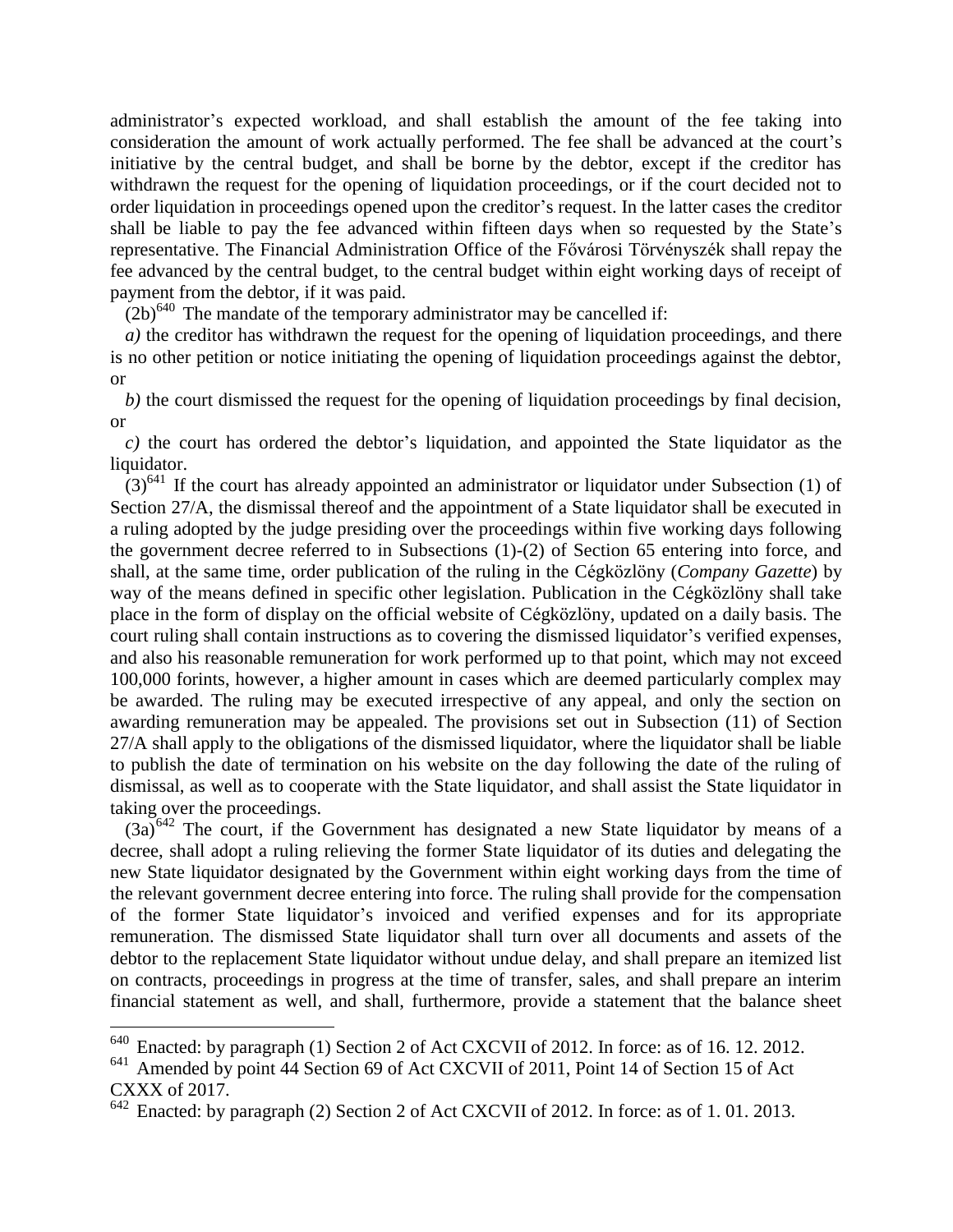administrator's expected workload, and shall establish the amount of the fee taking into consideration the amount of work actually performed. The fee shall be advanced at the court's initiative by the central budget, and shall be borne by the debtor, except if the creditor has withdrawn the request for the opening of liquidation proceedings, or if the court decided not to order liquidation in proceedings opened upon the creditor's request. In the latter cases the creditor shall be liable to pay the fee advanced within fifteen days when so requested by the State's representative. The Financial Administration Office of the Fővárosi Törvényszék shall repay the fee advanced by the central budget, to the central budget within eight working days of receipt of payment from the debtor, if it was paid.

 $(2b)^{640}$  The mandate of the temporary administrator may be cancelled if:

*a*) the creditor has withdrawn the request for the opening of liquidation proceedings, and there is no other petition or notice initiating the opening of liquidation proceedings against the debtor, or

*b)* the court dismissed the request for the opening of liquidation proceedings by final decision, or

*c)* the court has ordered the debtor's liquidation, and appointed the State liquidator as the liquidator.

 $(3)^{641}$  If the court has already appointed an administrator or liquidator under Subsection (1) of Section 27/A, the dismissal thereof and the appointment of a State liquidator shall be executed in a ruling adopted by the judge presiding over the proceedings within five working days following the government decree referred to in Subsections (1)-(2) of Section 65 entering into force, and shall, at the same time, order publication of the ruling in the Cégközlöny (*Company Gazette*) by way of the means defined in specific other legislation. Publication in the Cégközlöny shall take place in the form of display on the official website of Cégközlöny, updated on a daily basis. The court ruling shall contain instructions as to covering the dismissed liquidator's verified expenses, and also his reasonable remuneration for work performed up to that point, which may not exceed 100,000 forints, however, a higher amount in cases which are deemed particularly complex may be awarded. The ruling may be executed irrespective of any appeal, and only the section on awarding remuneration may be appealed. The provisions set out in Subsection (11) of Section 27/A shall apply to the obligations of the dismissed liquidator, where the liquidator shall be liable to publish the date of termination on his website on the day following the date of the ruling of dismissal, as well as to cooperate with the State liquidator, and shall assist the State liquidator in taking over the proceedings.

 $(3a)^{642}$  The court, if the Government has designated a new State liquidator by means of a decree, shall adopt a ruling relieving the former State liquidator of its duties and delegating the new State liquidator designated by the Government within eight working days from the time of the relevant government decree entering into force. The ruling shall provide for the compensation of the former State liquidator's invoiced and verified expenses and for its appropriate remuneration. The dismissed State liquidator shall turn over all documents and assets of the debtor to the replacement State liquidator without undue delay, and shall prepare an itemized list on contracts, proceedings in progress at the time of transfer, sales, and shall prepare an interim financial statement as well, and shall, furthermore, provide a statement that the balance sheet

Enacted: by paragraph (1) Section 2 of Act CXCVII of 2012. In force: as of 16. 12. 2012.

<sup>&</sup>lt;sup>641</sup> Amended by point 44 Section 69 of Act CXCVII of 2011, Point 14 of Section 15 of Act CXXX of 2017.

 $\frac{642}{642}$  Enacted: by paragraph (2) Section 2 of Act CXCVII of 2012. In force: as of 1.01.2013.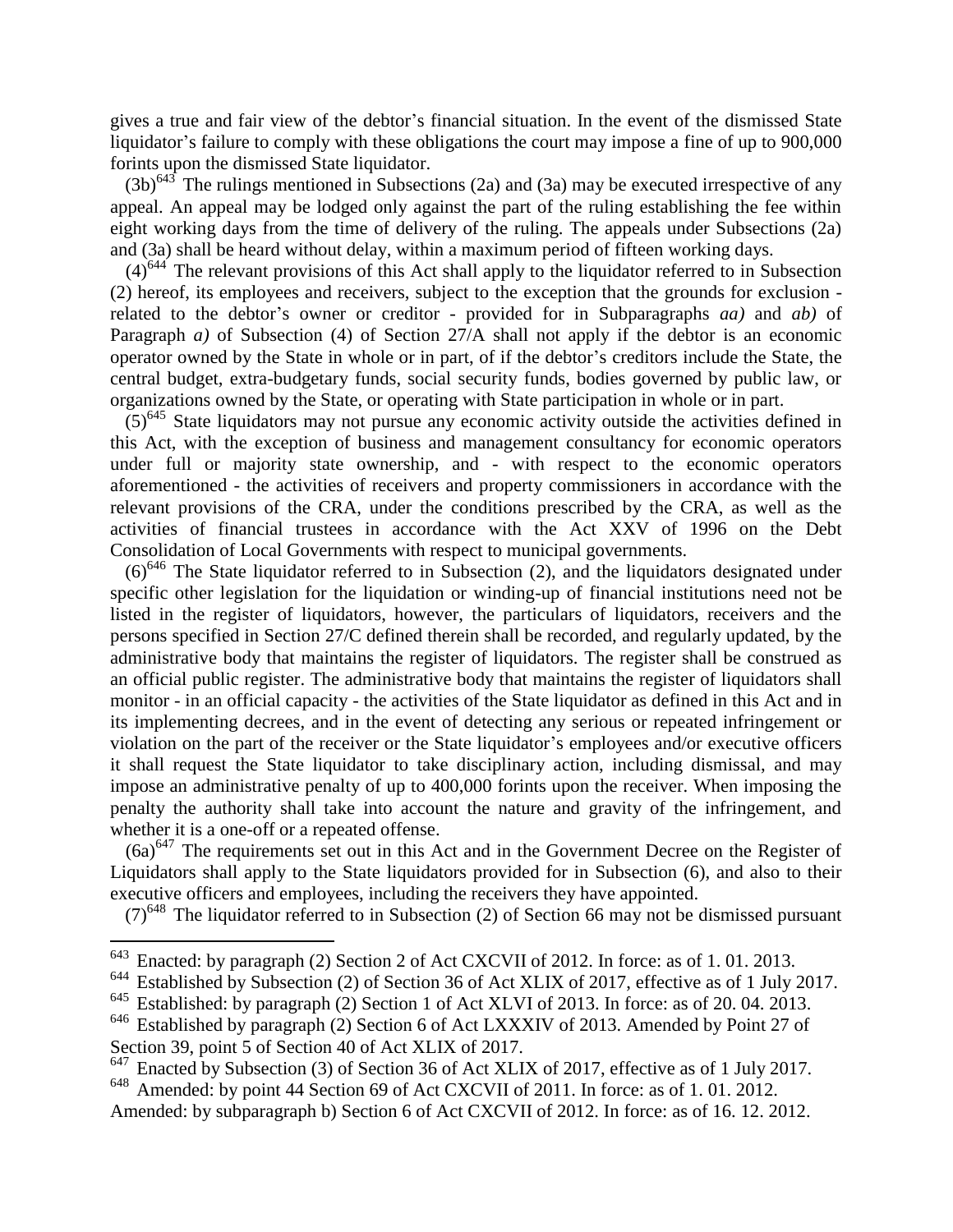gives a true and fair view of the debtor's financial situation. In the event of the dismissed State liquidator's failure to comply with these obligations the court may impose a fine of up to 900,000 forints upon the dismissed State liquidator.

 $(3b)^{643}$  The rulings mentioned in Subsections (2a) and (3a) may be executed irrespective of any appeal. An appeal may be lodged only against the part of the ruling establishing the fee within eight working days from the time of delivery of the ruling. The appeals under Subsections (2a) and (3a) shall be heard without delay, within a maximum period of fifteen working days.

 $(4)^{644}$  The relevant provisions of this Act shall apply to the liquidator referred to in Subsection (2) hereof, its employees and receivers, subject to the exception that the grounds for exclusion related to the debtor's owner or creditor - provided for in Subparagraphs *aa)* and *ab)* of Paragraph *a*) of Subsection (4) of Section 27/A shall not apply if the debtor is an economic operator owned by the State in whole or in part, of if the debtor's creditors include the State, the central budget, extra-budgetary funds, social security funds, bodies governed by public law, or organizations owned by the State, or operating with State participation in whole or in part.

 $(5)^{645}$  State liquidators may not pursue any economic activity outside the activities defined in this Act, with the exception of business and management consultancy for economic operators under full or majority state ownership, and - with respect to the economic operators aforementioned - the activities of receivers and property commissioners in accordance with the relevant provisions of the CRA, under the conditions prescribed by the CRA, as well as the activities of financial trustees in accordance with the Act XXV of 1996 on the Debt Consolidation of Local Governments with respect to municipal governments.

 $(6)^{646}$  The State liquidator referred to in Subsection (2), and the liquidators designated under specific other legislation for the liquidation or winding-up of financial institutions need not be listed in the register of liquidators, however, the particulars of liquidators, receivers and the persons specified in Section 27/C defined therein shall be recorded, and regularly updated, by the administrative body that maintains the register of liquidators. The register shall be construed as an official public register. The administrative body that maintains the register of liquidators shall monitor - in an official capacity - the activities of the State liquidator as defined in this Act and in its implementing decrees, and in the event of detecting any serious or repeated infringement or violation on the part of the receiver or the State liquidator's employees and/or executive officers it shall request the State liquidator to take disciplinary action, including dismissal, and may impose an administrative penalty of up to 400,000 forints upon the receiver. When imposing the penalty the authority shall take into account the nature and gravity of the infringement, and whether it is a one-off or a repeated offense.

 $(6a)^{647}$  The requirements set out in this Act and in the Government Decree on the Register of Liquidators shall apply to the State liquidators provided for in Subsection (6), and also to their executive officers and employees, including the receivers they have appointed.

 $(7)^{648}$  The liquidator referred to in Subsection (2) of Section 66 may not be dismissed pursuant

<sup>&</sup>lt;sup>643</sup> Enacted: by paragraph (2) Section 2 of Act CXCVII of 2012. In force: as of 1.01.2013.

<sup>&</sup>lt;sup>644</sup> Established by Subsection (2) of Section 36 of Act XLIX of 2017, effective as of 1 July 2017.

<sup>&</sup>lt;sup>645</sup> Established: by paragraph (2) Section 1 of Act XLVI of 2013. In force: as of 20. 04. 2013.

<sup>&</sup>lt;sup>646</sup> Established by paragraph (2) Section 6 of Act LXXXIV of 2013. Amended by Point 27 of Section 39, point 5 of Section 40 of Act XLIX of 2017.

<sup>&</sup>lt;sup>647</sup> Enacted by Subsection (3) of Section 36 of Act XLIX of 2017, effective as of 1 July 2017. <sup>648</sup> Amended: by point 44 Section 69 of Act CXCVII of 2011. In force: as of 1. 01. 2012.

Amended: by subparagraph b) Section 6 of Act CXCVII of 2012. In force: as of 16. 12. 2012.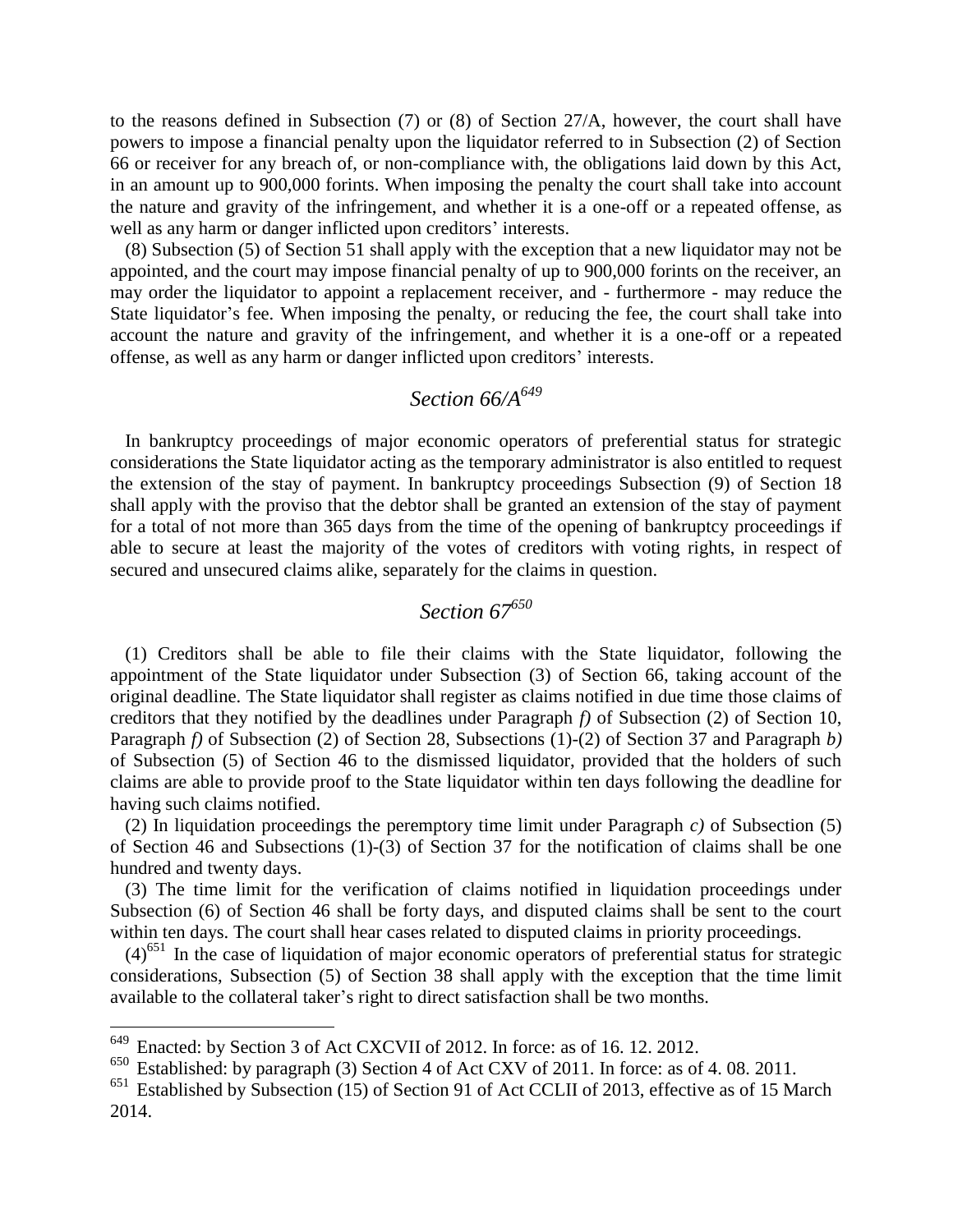to the reasons defined in Subsection (7) or (8) of Section 27/A, however, the court shall have powers to impose a financial penalty upon the liquidator referred to in Subsection (2) of Section 66 or receiver for any breach of, or non-compliance with, the obligations laid down by this Act, in an amount up to 900,000 forints. When imposing the penalty the court shall take into account the nature and gravity of the infringement, and whether it is a one-off or a repeated offense, as well as any harm or danger inflicted upon creditors' interests.

(8) Subsection (5) of Section 51 shall apply with the exception that a new liquidator may not be appointed, and the court may impose financial penalty of up to 900,000 forints on the receiver, an may order the liquidator to appoint a replacement receiver, and - furthermore - may reduce the State liquidator's fee. When imposing the penalty, or reducing the fee, the court shall take into account the nature and gravity of the infringement, and whether it is a one-off or a repeated offense, as well as any harm or danger inflicted upon creditors' interests.

### *Section 66/A<sup>649</sup>*

In bankruptcy proceedings of major economic operators of preferential status for strategic considerations the State liquidator acting as the temporary administrator is also entitled to request the extension of the stay of payment. In bankruptcy proceedings Subsection (9) of Section 18 shall apply with the proviso that the debtor shall be granted an extension of the stay of payment for a total of not more than 365 days from the time of the opening of bankruptcy proceedings if able to secure at least the majority of the votes of creditors with voting rights, in respect of secured and unsecured claims alike, separately for the claims in question.

## *Section 67<sup>650</sup>*

(1) Creditors shall be able to file their claims with the State liquidator, following the appointment of the State liquidator under Subsection (3) of Section 66, taking account of the original deadline. The State liquidator shall register as claims notified in due time those claims of creditors that they notified by the deadlines under Paragraph *f)* of Subsection (2) of Section 10, Paragraph *f)* of Subsection (2) of Section 28, Subsections (1)-(2) of Section 37 and Paragraph *b)* of Subsection (5) of Section 46 to the dismissed liquidator, provided that the holders of such claims are able to provide proof to the State liquidator within ten days following the deadline for having such claims notified.

(2) In liquidation proceedings the peremptory time limit under Paragraph *c)* of Subsection (5) of Section 46 and Subsections (1)-(3) of Section 37 for the notification of claims shall be one hundred and twenty days.

(3) The time limit for the verification of claims notified in liquidation proceedings under Subsection (6) of Section 46 shall be forty days, and disputed claims shall be sent to the court within ten days. The court shall hear cases related to disputed claims in priority proceedings.

 $(4)$ <sup>651</sup> In the case of liquidation of major economic operators of preferential status for strategic considerations, Subsection (5) of Section 38 shall apply with the exception that the time limit available to the collateral taker's right to direct satisfaction shall be two months.

Enacted: by Section 3 of Act CXCVII of 2012. In force: as of 16. 12. 2012.

<sup>650</sup> Established: by paragraph (3) Section 4 of Act CXV of 2011. In force: as of 4. 08. 2011.

<sup>&</sup>lt;sup>651</sup> Established by Subsection (15) of Section 91 of Act CCLII of 2013, effective as of 15 March 2014.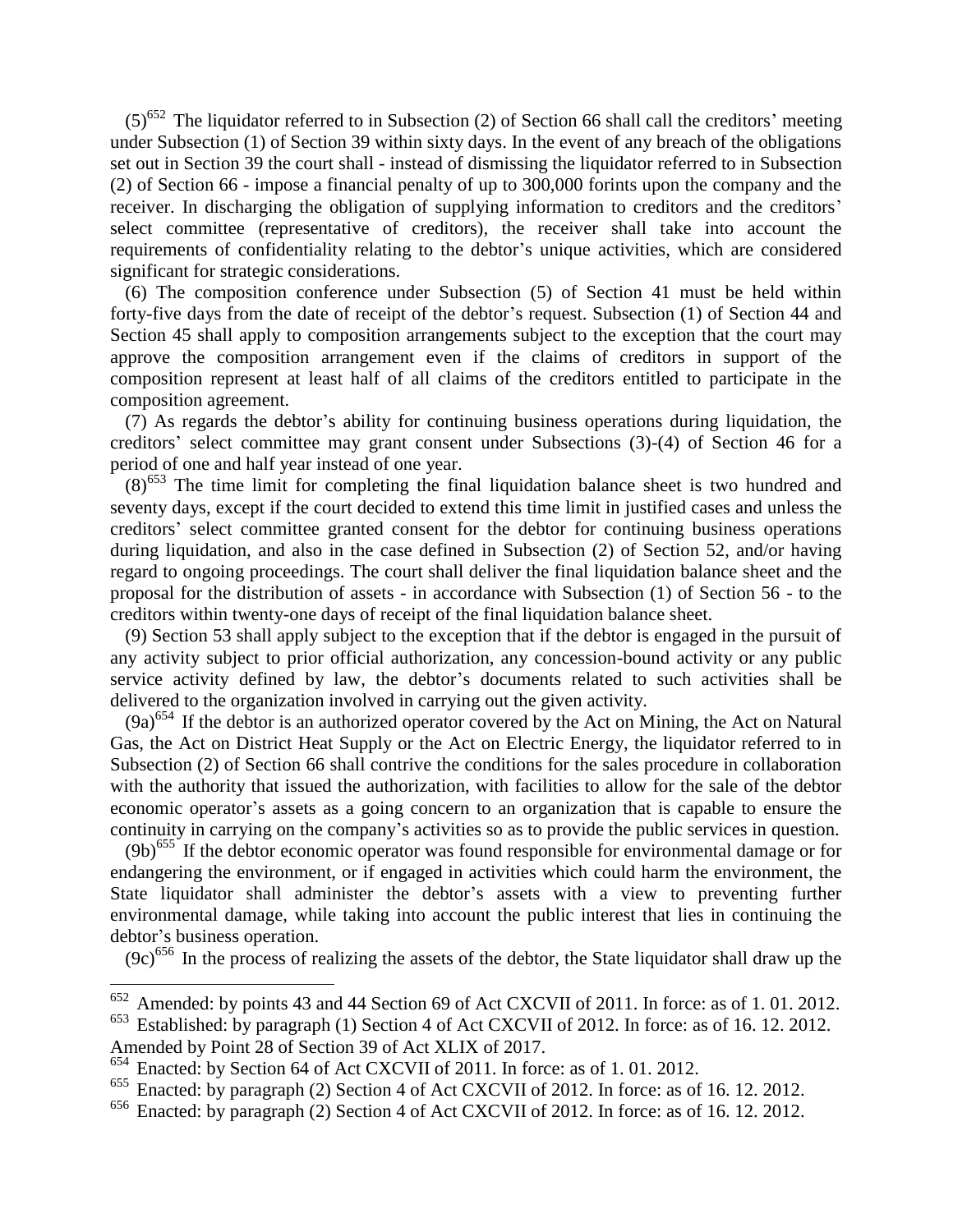$(5)^{652}$  The liquidator referred to in Subsection (2) of Section 66 shall call the creditors' meeting under Subsection (1) of Section 39 within sixty days. In the event of any breach of the obligations set out in Section 39 the court shall - instead of dismissing the liquidator referred to in Subsection (2) of Section 66 - impose a financial penalty of up to 300,000 forints upon the company and the receiver. In discharging the obligation of supplying information to creditors and the creditors' select committee (representative of creditors), the receiver shall take into account the requirements of confidentiality relating to the debtor's unique activities, which are considered significant for strategic considerations.

(6) The composition conference under Subsection (5) of Section 41 must be held within forty-five days from the date of receipt of the debtor's request. Subsection (1) of Section 44 and Section 45 shall apply to composition arrangements subject to the exception that the court may approve the composition arrangement even if the claims of creditors in support of the composition represent at least half of all claims of the creditors entitled to participate in the composition agreement.

(7) As regards the debtor's ability for continuing business operations during liquidation, the creditors' select committee may grant consent under Subsections (3)-(4) of Section 46 for a period of one and half year instead of one year.

 $(8)^{653}$  The time limit for completing the final liquidation balance sheet is two hundred and seventy days, except if the court decided to extend this time limit in justified cases and unless the creditors' select committee granted consent for the debtor for continuing business operations during liquidation, and also in the case defined in Subsection (2) of Section 52, and/or having regard to ongoing proceedings. The court shall deliver the final liquidation balance sheet and the proposal for the distribution of assets - in accordance with Subsection (1) of Section 56 - to the creditors within twenty-one days of receipt of the final liquidation balance sheet.

(9) Section 53 shall apply subject to the exception that if the debtor is engaged in the pursuit of any activity subject to prior official authorization, any concession-bound activity or any public service activity defined by law, the debtor's documents related to such activities shall be delivered to the organization involved in carrying out the given activity.

 $(9a)^{654}$  If the debtor is an authorized operator covered by the Act on Mining, the Act on Natural Gas, the Act on District Heat Supply or the Act on Electric Energy, the liquidator referred to in Subsection (2) of Section 66 shall contrive the conditions for the sales procedure in collaboration with the authority that issued the authorization, with facilities to allow for the sale of the debtor economic operator's assets as a going concern to an organization that is capable to ensure the continuity in carrying on the company's activities so as to provide the public services in question.

 $(9b)^{655}$  If the debtor economic operator was found responsible for environmental damage or for endangering the environment, or if engaged in activities which could harm the environment, the State liquidator shall administer the debtor's assets with a view to preventing further environmental damage, while taking into account the public interest that lies in continuing the debtor's business operation.

 $(9c)$ <sup>656</sup> In the process of realizing the assets of the debtor, the State liquidator shall draw up the

 $652$  Amended: by points 43 and 44 Section 69 of Act CXCVII of 2011. In force: as of 1.01.2012.

<sup>&</sup>lt;sup>653</sup> Established: by paragraph (1) Section 4 of Act CXCVII of 2012. In force: as of 16. 12. 2012. Amended by Point 28 of Section 39 of Act XLIX of 2017.

<sup>654</sup> Enacted: by Section 64 of Act CXCVII of 2011. In force: as of 1. 01. 2012.

<sup>655</sup> Enacted: by paragraph (2) Section 4 of Act CXCVII of 2012. In force: as of 16. 12. 2012.

 $656$  Enacted: by paragraph (2) Section 4 of Act CXCVII of 2012. In force: as of 16. 12. 2012.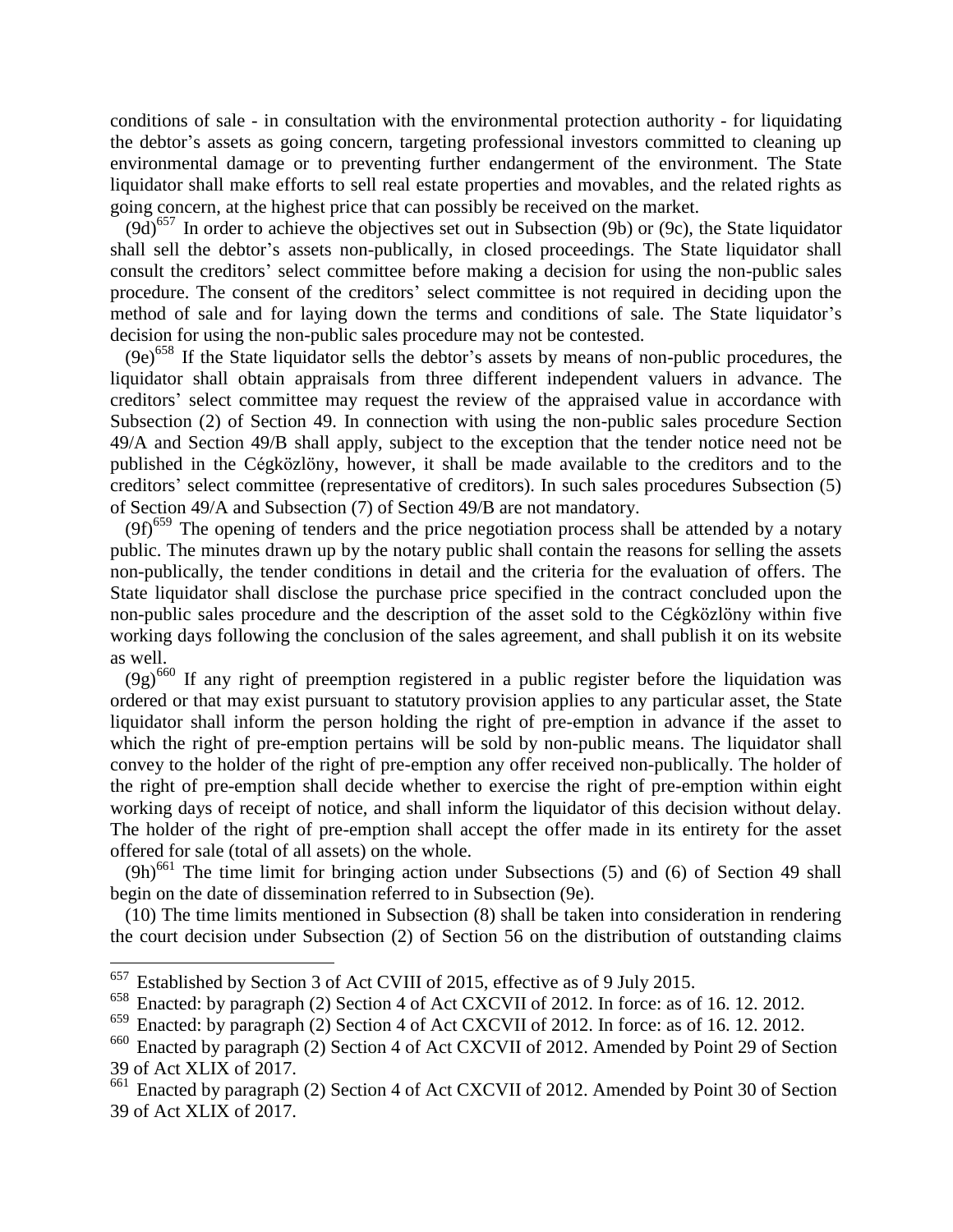conditions of sale - in consultation with the environmental protection authority - for liquidating the debtor's assets as going concern, targeting professional investors committed to cleaning up environmental damage or to preventing further endangerment of the environment. The State liquidator shall make efforts to sell real estate properties and movables, and the related rights as going concern, at the highest price that can possibly be received on the market.

 $(9d)$ <sup>657</sup> In order to achieve the objectives set out in Subsection (9b) or (9c), the State liquidator shall sell the debtor's assets non-publically, in closed proceedings. The State liquidator shall consult the creditors' select committee before making a decision for using the non-public sales procedure. The consent of the creditors' select committee is not required in deciding upon the method of sale and for laying down the terms and conditions of sale. The State liquidator's decision for using the non-public sales procedure may not be contested.

 $(9e)^{658}$  If the State liquidator sells the debtor's assets by means of non-public procedures, the liquidator shall obtain appraisals from three different independent valuers in advance. The creditors' select committee may request the review of the appraised value in accordance with Subsection (2) of Section 49. In connection with using the non-public sales procedure Section 49/A and Section 49/B shall apply, subject to the exception that the tender notice need not be published in the Cégközlöny, however, it shall be made available to the creditors and to the creditors' select committee (representative of creditors). In such sales procedures Subsection (5) of Section 49/A and Subsection (7) of Section 49/B are not mandatory.

 $(9f)^{659}$  The opening of tenders and the price negotiation process shall be attended by a notary public. The minutes drawn up by the notary public shall contain the reasons for selling the assets non-publically, the tender conditions in detail and the criteria for the evaluation of offers. The State liquidator shall disclose the purchase price specified in the contract concluded upon the non-public sales procedure and the description of the asset sold to the Cégközlöny within five working days following the conclusion of the sales agreement, and shall publish it on its website as well.

 $(9g)^{660}$  If any right of preemption registered in a public register before the liquidation was ordered or that may exist pursuant to statutory provision applies to any particular asset, the State liquidator shall inform the person holding the right of pre-emption in advance if the asset to which the right of pre-emption pertains will be sold by non-public means. The liquidator shall convey to the holder of the right of pre-emption any offer received non-publically. The holder of the right of pre-emption shall decide whether to exercise the right of pre-emption within eight working days of receipt of notice, and shall inform the liquidator of this decision without delay. The holder of the right of pre-emption shall accept the offer made in its entirety for the asset offered for sale (total of all assets) on the whole.

 $(9h)$ <sup>661</sup> The time limit for bringing action under Subsections (5) and (6) of Section 49 shall begin on the date of dissemination referred to in Subsection (9e).

(10) The time limits mentioned in Subsection (8) shall be taken into consideration in rendering the court decision under Subsection (2) of Section 56 on the distribution of outstanding claims

 $657$  Established by Section 3 of Act CVIII of 2015, effective as of 9 July 2015.

<sup>658</sup> Enacted: by paragraph (2) Section 4 of Act CXCVII of 2012. In force: as of 16. 12. 2012.

<sup>&</sup>lt;sup>659</sup> Enacted: by paragraph (2) Section 4 of Act CXCVII of 2012. In force: as of 16. 12. 2012.<br><sup>660</sup> Enacted by paragraph (2) Section 4 of Act CXCVII of 2012. Amended by Point 29 of Sec

Enacted by paragraph (2) Section 4 of Act CXCVII of 2012. Amended by Point 29 of Section 39 of Act XLIX of 2017.

<sup>&</sup>lt;sup>661</sup> Enacted by paragraph (2) Section 4 of Act CXCVII of 2012. Amended by Point 30 of Section 39 of Act XLIX of 2017.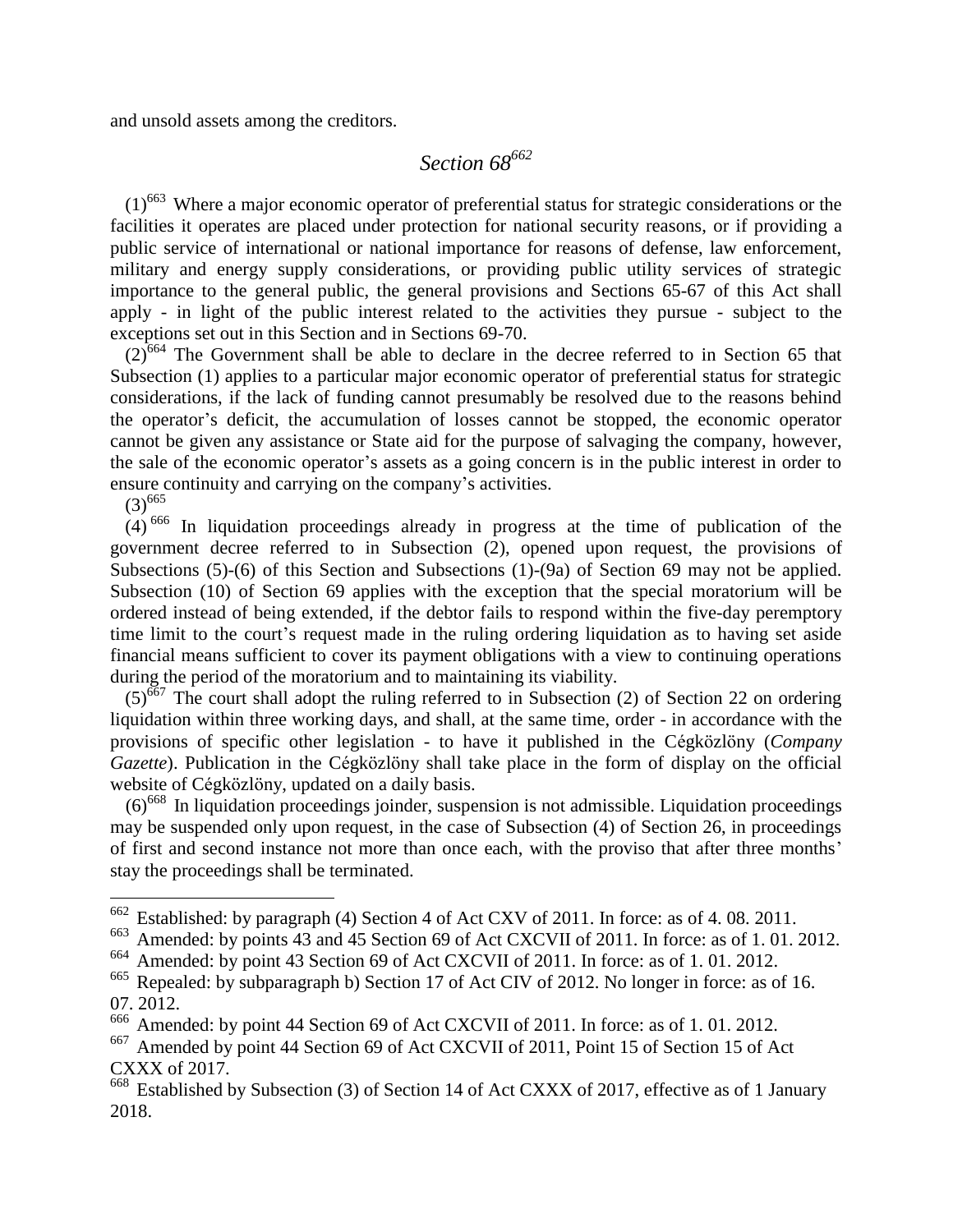and unsold assets among the creditors.

# *Section 68<sup>662</sup>*

 $(1)$ <sup>663</sup> Where a major economic operator of preferential status for strategic considerations or the facilities it operates are placed under protection for national security reasons, or if providing a public service of international or national importance for reasons of defense, law enforcement, military and energy supply considerations, or providing public utility services of strategic importance to the general public, the general provisions and Sections 65-67 of this Act shall apply - in light of the public interest related to the activities they pursue - subject to the exceptions set out in this Section and in Sections 69-70.

 $(2)^{664}$  The Government shall be able to declare in the decree referred to in Section 65 that Subsection (1) applies to a particular major economic operator of preferential status for strategic considerations, if the lack of funding cannot presumably be resolved due to the reasons behind the operator's deficit, the accumulation of losses cannot be stopped, the economic operator cannot be given any assistance or State aid for the purpose of salvaging the company, however, the sale of the economic operator's assets as a going concern is in the public interest in order to ensure continuity and carrying on the company's activities.

 $(3)^{665}$ 

 $\overline{a}$ 

 $(4)$ <sup>666</sup> In liquidation proceedings already in progress at the time of publication of the government decree referred to in Subsection (2), opened upon request, the provisions of Subsections (5)-(6) of this Section and Subsections (1)-(9a) of Section 69 may not be applied. Subsection (10) of Section 69 applies with the exception that the special moratorium will be ordered instead of being extended, if the debtor fails to respond within the five-day peremptory time limit to the court's request made in the ruling ordering liquidation as to having set aside financial means sufficient to cover its payment obligations with a view to continuing operations during the period of the moratorium and to maintaining its viability.

 $(5)^{667}$  The court shall adopt the ruling referred to in Subsection (2) of Section 22 on ordering liquidation within three working days, and shall, at the same time, order - in accordance with the provisions of specific other legislation - to have it published in the Cégközlöny (*Company Gazette*). Publication in the Cégközlöny shall take place in the form of display on the official website of Cégközlöny, updated on a daily basis.

 $(6)^{668}$  In liquidation proceedings joinder, suspension is not admissible. Liquidation proceedings may be suspended only upon request, in the case of Subsection (4) of Section 26, in proceedings of first and second instance not more than once each, with the proviso that after three months' stay the proceedings shall be terminated.

 $662$  Established: by paragraph (4) Section 4 of Act CXV of 2011. In force: as of 4.08. 2011.

 $\frac{663}{663}$  Amended: by points 43 and 45 Section 69 of Act CXCVII of 2011. In force: as of 1.01.2012.

<sup>664</sup> Amended: by point 43 Section 69 of Act CXCVII of 2011. In force: as of 1. 01. 2012.

<sup>&</sup>lt;sup>665</sup> Repealed: by subparagraph b) Section 17 of Act CIV of 2012. No longer in force: as of 16. 07. 2012.

<sup>&</sup>lt;sup>666</sup> Amended: by point 44 Section 69 of Act CXCVII of 2011. In force: as of 1.01.2012.

<sup>667</sup> Amended by point 44 Section 69 of Act CXCVII of 2011, Point 15 of Section 15 of Act CXXX of 2017.

<sup>&</sup>lt;sup>668</sup> Established by Subsection (3) of Section 14 of Act CXXX of 2017, effective as of 1 January 2018.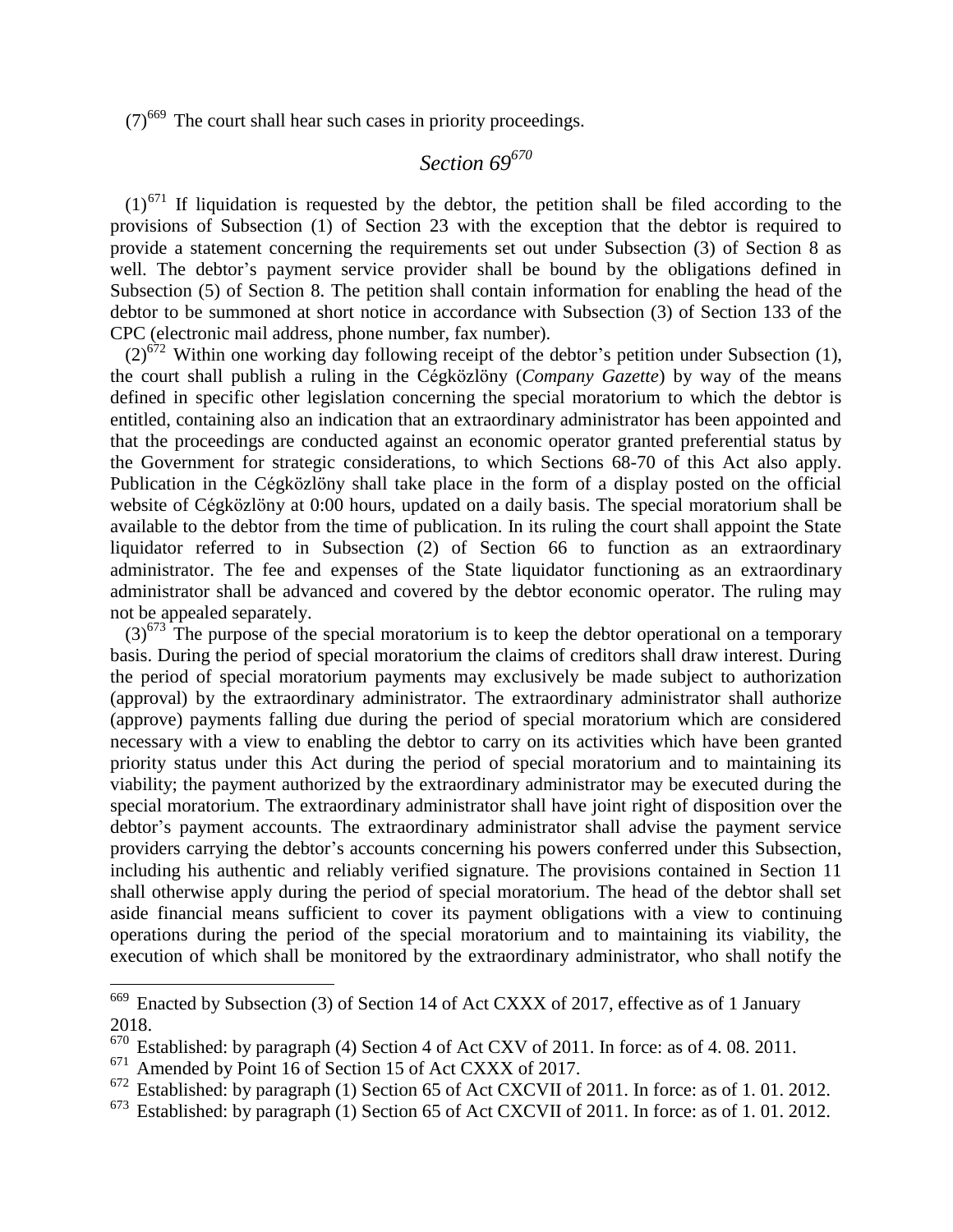$(7)$ <sup>669</sup> The court shall hear such cases in priority proceedings.

# *Section 69<sup>670</sup>*

 $(1)^{671}$  If liquidation is requested by the debtor, the petition shall be filed according to the provisions of Subsection (1) of Section 23 with the exception that the debtor is required to provide a statement concerning the requirements set out under Subsection (3) of Section 8 as well. The debtor's payment service provider shall be bound by the obligations defined in Subsection (5) of Section 8. The petition shall contain information for enabling the head of the debtor to be summoned at short notice in accordance with Subsection (3) of Section 133 of the CPC (electronic mail address, phone number, fax number).

 $(2)^{672}$  Within one working day following receipt of the debtor's petition under Subsection (1), the court shall publish a ruling in the Cégközlöny (*Company Gazette*) by way of the means defined in specific other legislation concerning the special moratorium to which the debtor is entitled, containing also an indication that an extraordinary administrator has been appointed and that the proceedings are conducted against an economic operator granted preferential status by the Government for strategic considerations, to which Sections 68-70 of this Act also apply. Publication in the Cégközlöny shall take place in the form of a display posted on the official website of Cégközlöny at 0:00 hours, updated on a daily basis. The special moratorium shall be available to the debtor from the time of publication. In its ruling the court shall appoint the State liquidator referred to in Subsection (2) of Section 66 to function as an extraordinary administrator. The fee and expenses of the State liquidator functioning as an extraordinary administrator shall be advanced and covered by the debtor economic operator. The ruling may not be appealed separately.

 $(3)^{673}$  The purpose of the special moratorium is to keep the debtor operational on a temporary basis. During the period of special moratorium the claims of creditors shall draw interest. During the period of special moratorium payments may exclusively be made subject to authorization (approval) by the extraordinary administrator. The extraordinary administrator shall authorize (approve) payments falling due during the period of special moratorium which are considered necessary with a view to enabling the debtor to carry on its activities which have been granted priority status under this Act during the period of special moratorium and to maintaining its viability; the payment authorized by the extraordinary administrator may be executed during the special moratorium. The extraordinary administrator shall have joint right of disposition over the debtor's payment accounts. The extraordinary administrator shall advise the payment service providers carrying the debtor's accounts concerning his powers conferred under this Subsection, including his authentic and reliably verified signature. The provisions contained in Section 11 shall otherwise apply during the period of special moratorium. The head of the debtor shall set aside financial means sufficient to cover its payment obligations with a view to continuing operations during the period of the special moratorium and to maintaining its viability, the execution of which shall be monitored by the extraordinary administrator, who shall notify the

 $669$  Enacted by Subsection (3) of Section 14 of Act CXXX of 2017, effective as of 1 January 2018.

Established: by paragraph (4) Section 4 of Act CXV of 2011. In force: as of 4.08. 2011.

<sup>671</sup> Amended by Point 16 of Section 15 of Act CXXX of 2017.

<sup>&</sup>lt;sup>672</sup> Established: by paragraph (1) Section 65 of Act CXCVII of 2011. In force: as of 1.01.2012.

 $673$  Established: by paragraph (1) Section 65 of Act CXCVII of 2011. In force: as of 1.01.2012.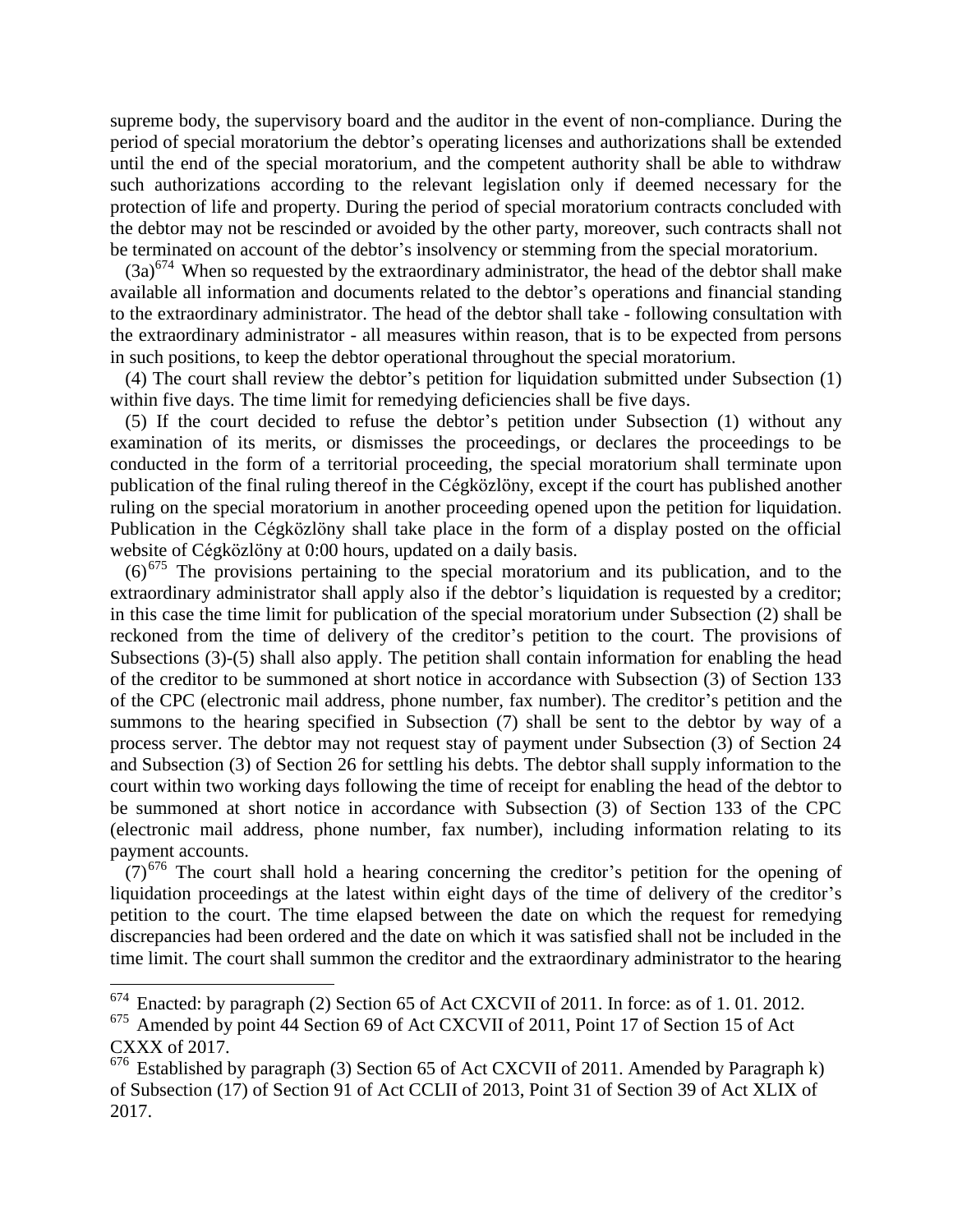supreme body, the supervisory board and the auditor in the event of non-compliance. During the period of special moratorium the debtor's operating licenses and authorizations shall be extended until the end of the special moratorium, and the competent authority shall be able to withdraw such authorizations according to the relevant legislation only if deemed necessary for the protection of life and property. During the period of special moratorium contracts concluded with the debtor may not be rescinded or avoided by the other party, moreover, such contracts shall not be terminated on account of the debtor's insolvency or stemming from the special moratorium.

 $(3a)^{674}$  When so requested by the extraordinary administrator, the head of the debtor shall make available all information and documents related to the debtor's operations and financial standing to the extraordinary administrator. The head of the debtor shall take - following consultation with the extraordinary administrator - all measures within reason, that is to be expected from persons in such positions, to keep the debtor operational throughout the special moratorium.

(4) The court shall review the debtor's petition for liquidation submitted under Subsection (1) within five days. The time limit for remedying deficiencies shall be five days.

(5) If the court decided to refuse the debtor's petition under Subsection (1) without any examination of its merits, or dismisses the proceedings, or declares the proceedings to be conducted in the form of a territorial proceeding, the special moratorium shall terminate upon publication of the final ruling thereof in the Cégközlöny, except if the court has published another ruling on the special moratorium in another proceeding opened upon the petition for liquidation. Publication in the Cégközlöny shall take place in the form of a display posted on the official website of Cégközlöny at 0:00 hours, updated on a daily basis.

 $(6)^{675}$  The provisions pertaining to the special moratorium and its publication, and to the extraordinary administrator shall apply also if the debtor's liquidation is requested by a creditor; in this case the time limit for publication of the special moratorium under Subsection (2) shall be reckoned from the time of delivery of the creditor's petition to the court. The provisions of Subsections (3)-(5) shall also apply. The petition shall contain information for enabling the head of the creditor to be summoned at short notice in accordance with Subsection (3) of Section 133 of the CPC (electronic mail address, phone number, fax number). The creditor's petition and the summons to the hearing specified in Subsection (7) shall be sent to the debtor by way of a process server. The debtor may not request stay of payment under Subsection (3) of Section 24 and Subsection (3) of Section 26 for settling his debts. The debtor shall supply information to the court within two working days following the time of receipt for enabling the head of the debtor to be summoned at short notice in accordance with Subsection (3) of Section 133 of the CPC (electronic mail address, phone number, fax number), including information relating to its payment accounts.

 $(7)$ <sup>676</sup> The court shall hold a hearing concerning the creditor's petition for the opening of liquidation proceedings at the latest within eight days of the time of delivery of the creditor's petition to the court. The time elapsed between the date on which the request for remedying discrepancies had been ordered and the date on which it was satisfied shall not be included in the time limit. The court shall summon the creditor and the extraordinary administrator to the hearing

 $674$  Enacted: by paragraph (2) Section 65 of Act CXCVII of 2011. In force: as of 1.01.2012.

<sup>675</sup> Amended by point 44 Section 69 of Act CXCVII of 2011, Point 17 of Section 15 of Act CXXX of 2017.

 $676$  Established by paragraph (3) Section 65 of Act CXCVII of 2011. Amended by Paragraph k) of Subsection (17) of Section 91 of Act CCLII of 2013, Point 31 of Section 39 of Act XLIX of 2017.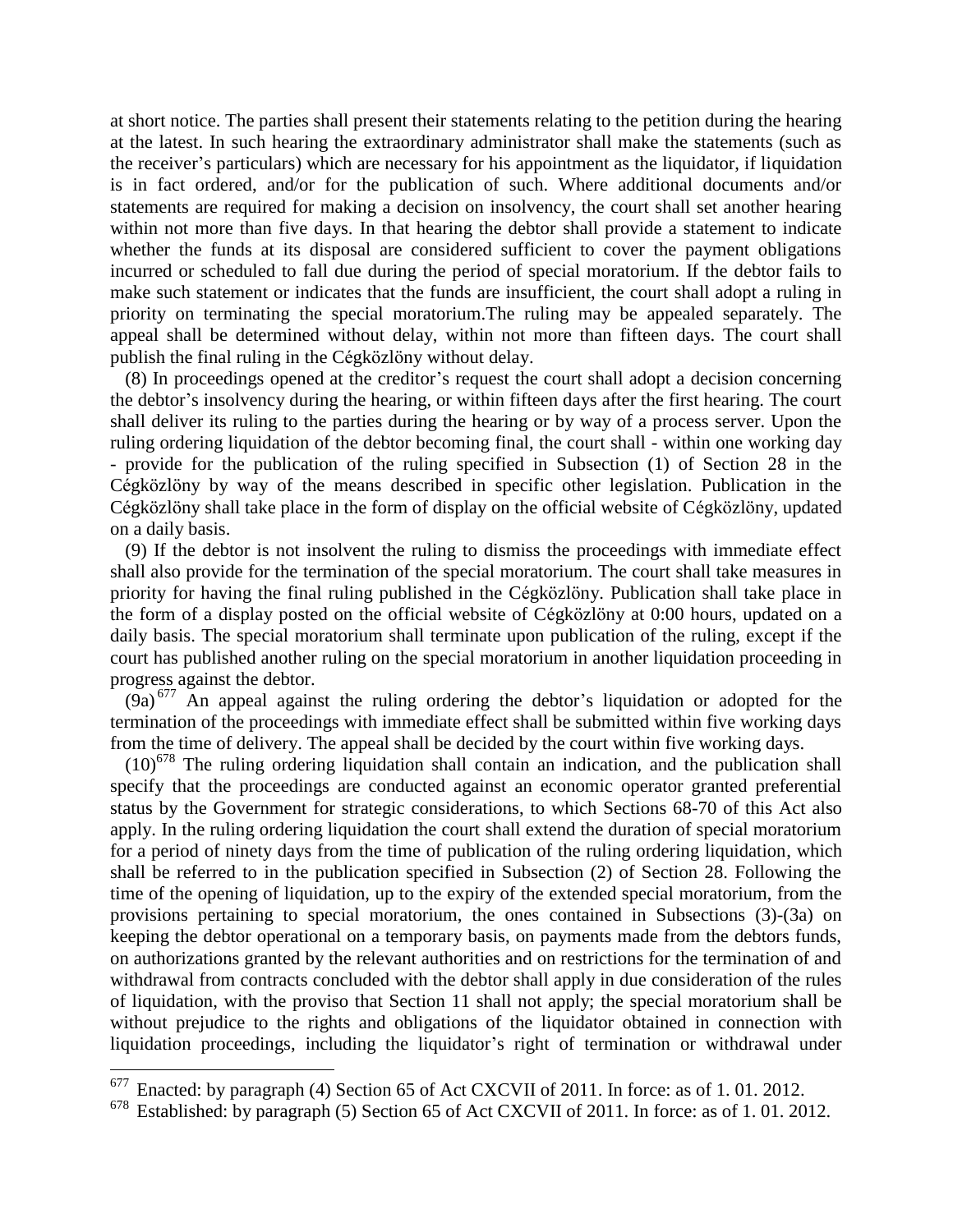at short notice. The parties shall present their statements relating to the petition during the hearing at the latest. In such hearing the extraordinary administrator shall make the statements (such as the receiver's particulars) which are necessary for his appointment as the liquidator, if liquidation is in fact ordered, and/or for the publication of such. Where additional documents and/or statements are required for making a decision on insolvency, the court shall set another hearing within not more than five days. In that hearing the debtor shall provide a statement to indicate whether the funds at its disposal are considered sufficient to cover the payment obligations incurred or scheduled to fall due during the period of special moratorium. If the debtor fails to make such statement or indicates that the funds are insufficient, the court shall adopt a ruling in priority on terminating the special moratorium.The ruling may be appealed separately. The appeal shall be determined without delay, within not more than fifteen days. The court shall publish the final ruling in the Cégközlöny without delay.

(8) In proceedings opened at the creditor's request the court shall adopt a decision concerning the debtor's insolvency during the hearing, or within fifteen days after the first hearing. The court shall deliver its ruling to the parties during the hearing or by way of a process server. Upon the ruling ordering liquidation of the debtor becoming final, the court shall - within one working day - provide for the publication of the ruling specified in Subsection (1) of Section 28 in the Cégközlöny by way of the means described in specific other legislation. Publication in the Cégközlöny shall take place in the form of display on the official website of Cégközlöny, updated on a daily basis.

(9) If the debtor is not insolvent the ruling to dismiss the proceedings with immediate effect shall also provide for the termination of the special moratorium. The court shall take measures in priority for having the final ruling published in the Cégközlöny. Publication shall take place in the form of a display posted on the official website of Cégközlöny at 0:00 hours, updated on a daily basis. The special moratorium shall terminate upon publication of the ruling, except if the court has published another ruling on the special moratorium in another liquidation proceeding in progress against the debtor.

 $(9a)^{677}$  An appeal against the ruling ordering the debtor's liquidation or adopted for the termination of the proceedings with immediate effect shall be submitted within five working days from the time of delivery. The appeal shall be decided by the court within five working days.

 $(10)^{678}$  The ruling ordering liquidation shall contain an indication, and the publication shall specify that the proceedings are conducted against an economic operator granted preferential status by the Government for strategic considerations, to which Sections 68-70 of this Act also apply. In the ruling ordering liquidation the court shall extend the duration of special moratorium for a period of ninety days from the time of publication of the ruling ordering liquidation, which shall be referred to in the publication specified in Subsection (2) of Section 28. Following the time of the opening of liquidation, up to the expiry of the extended special moratorium, from the provisions pertaining to special moratorium, the ones contained in Subsections (3)-(3a) on keeping the debtor operational on a temporary basis, on payments made from the debtors funds, on authorizations granted by the relevant authorities and on restrictions for the termination of and withdrawal from contracts concluded with the debtor shall apply in due consideration of the rules of liquidation, with the proviso that Section 11 shall not apply; the special moratorium shall be without prejudice to the rights and obligations of the liquidator obtained in connection with liquidation proceedings, including the liquidator's right of termination or withdrawal under

 $677$  Enacted: by paragraph (4) Section 65 of Act CXCVII of 2011. In force: as of 1.01.2012.

Established: by paragraph (5) Section 65 of Act CXCVII of 2011. In force: as of 1.01.2012.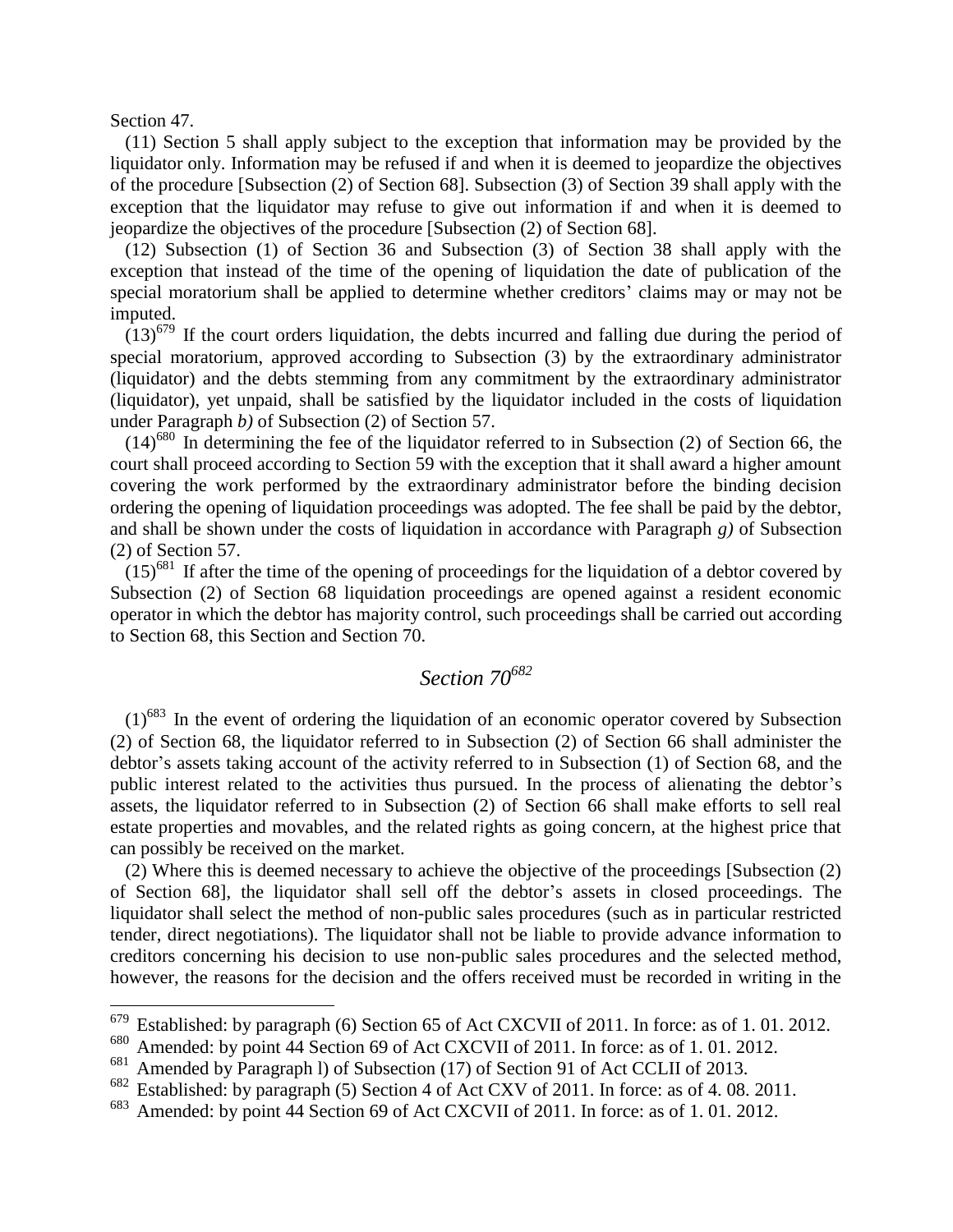Section 47.

 $\overline{a}$ 

(11) Section 5 shall apply subject to the exception that information may be provided by the liquidator only. Information may be refused if and when it is deemed to jeopardize the objectives of the procedure [Subsection (2) of Section 68]. Subsection (3) of Section 39 shall apply with the exception that the liquidator may refuse to give out information if and when it is deemed to jeopardize the objectives of the procedure [Subsection (2) of Section 68].

(12) Subsection (1) of Section 36 and Subsection (3) of Section 38 shall apply with the exception that instead of the time of the opening of liquidation the date of publication of the special moratorium shall be applied to determine whether creditors' claims may or may not be imputed.

 $(13)^{679}$  If the court orders liquidation, the debts incurred and falling due during the period of special moratorium, approved according to Subsection (3) by the extraordinary administrator (liquidator) and the debts stemming from any commitment by the extraordinary administrator (liquidator), yet unpaid, shall be satisfied by the liquidator included in the costs of liquidation under Paragraph *b)* of Subsection (2) of Section 57.

 $(14)$ <sup>680</sup> In determining the fee of the liquidator referred to in Subsection (2) of Section 66, the court shall proceed according to Section 59 with the exception that it shall award a higher amount covering the work performed by the extraordinary administrator before the binding decision ordering the opening of liquidation proceedings was adopted. The fee shall be paid by the debtor, and shall be shown under the costs of liquidation in accordance with Paragraph *g)* of Subsection (2) of Section 57.

 $(15)^{681}$  If after the time of the opening of proceedings for the liquidation of a debtor covered by Subsection (2) of Section 68 liquidation proceedings are opened against a resident economic operator in which the debtor has majority control, such proceedings shall be carried out according to Section 68, this Section and Section 70.

### *Section 70<sup>682</sup>*

 $(1)^{683}$  In the event of ordering the liquidation of an economic operator covered by Subsection (2) of Section 68, the liquidator referred to in Subsection (2) of Section 66 shall administer the debtor's assets taking account of the activity referred to in Subsection (1) of Section 68, and the public interest related to the activities thus pursued. In the process of alienating the debtor's assets, the liquidator referred to in Subsection (2) of Section 66 shall make efforts to sell real estate properties and movables, and the related rights as going concern, at the highest price that can possibly be received on the market.

(2) Where this is deemed necessary to achieve the objective of the proceedings [Subsection (2) of Section 68], the liquidator shall sell off the debtor's assets in closed proceedings. The liquidator shall select the method of non-public sales procedures (such as in particular restricted tender, direct negotiations). The liquidator shall not be liable to provide advance information to creditors concerning his decision to use non-public sales procedures and the selected method, however, the reasons for the decision and the offers received must be recorded in writing in the

 $679$  Established: by paragraph (6) Section 65 of Act CXCVII of 2011. In force: as of 1.01.2012.

<sup>&</sup>lt;sup>680</sup> Amended: by point 44 Section 69 of Act CXCVII of 2011. In force: as of 1. 01. 2012.

Amended by Paragraph 1) of Subsection (17) of Section 91 of Act CCLII of 2013.

<sup>682</sup> Established: by paragraph (5) Section 4 of Act CXV of 2011. In force: as of 4. 08. 2011.

<sup>683</sup> Amended: by point 44 Section 69 of Act CXCVII of 2011. In force: as of 1. 01. 2012.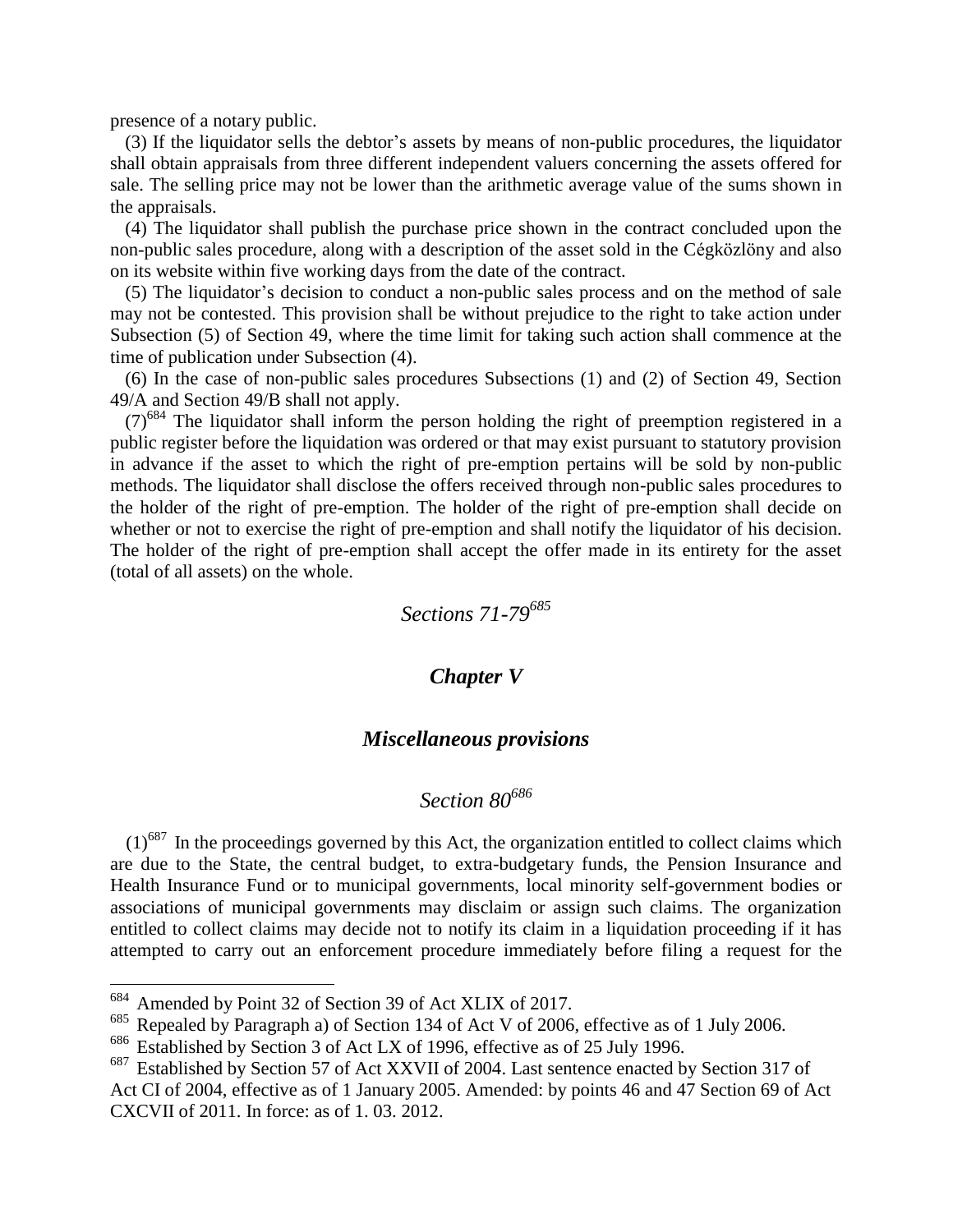presence of a notary public.

(3) If the liquidator sells the debtor's assets by means of non-public procedures, the liquidator shall obtain appraisals from three different independent valuers concerning the assets offered for sale. The selling price may not be lower than the arithmetic average value of the sums shown in the appraisals.

(4) The liquidator shall publish the purchase price shown in the contract concluded upon the non-public sales procedure, along with a description of the asset sold in the Cégközlöny and also on its website within five working days from the date of the contract.

(5) The liquidator's decision to conduct a non-public sales process and on the method of sale may not be contested. This provision shall be without prejudice to the right to take action under Subsection (5) of Section 49, where the time limit for taking such action shall commence at the time of publication under Subsection (4).

(6) In the case of non-public sales procedures Subsections (1) and (2) of Section 49, Section 49/A and Section 49/B shall not apply.

 $(7)^{684}$  The liquidator shall inform the person holding the right of preemption registered in a public register before the liquidation was ordered or that may exist pursuant to statutory provision in advance if the asset to which the right of pre-emption pertains will be sold by non-public methods. The liquidator shall disclose the offers received through non-public sales procedures to the holder of the right of pre-emption. The holder of the right of pre-emption shall decide on whether or not to exercise the right of pre-emption and shall notify the liquidator of his decision. The holder of the right of pre-emption shall accept the offer made in its entirety for the asset (total of all assets) on the whole.

*Sections 71-79<sup>685</sup>*

#### *Chapter V*

#### *Miscellaneous provisions*

## *Section 80<sup>686</sup>*

 $(1)$ <sup>687</sup> In the proceedings governed by this Act, the organization entitled to collect claims which are due to the State, the central budget, to extra-budgetary funds, the Pension Insurance and Health Insurance Fund or to municipal governments, local minority self-government bodies or associations of municipal governments may disclaim or assign such claims. The organization entitled to collect claims may decide not to notify its claim in a liquidation proceeding if it has attempted to carry out an enforcement procedure immediately before filing a request for the

<sup>684</sup> Amended by Point 32 of Section 39 of Act XLIX of 2017.

<sup>&</sup>lt;sup>685</sup> Repealed by Paragraph a) of Section 134 of Act V of 2006, effective as of 1 July 2006.<br><sup>686</sup> Established by Section 3 of Act LX of 1996 effective as of 25 July 1996

Established by Section 3 of Act LX of 1996, effective as of 25 July 1996.

<sup>&</sup>lt;sup>687</sup> Established by Section 57 of Act XXVII of 2004. Last sentence enacted by Section 317 of Act CI of 2004, effective as of 1 January 2005. Amended: by points 46 and 47 Section 69 of Act CXCVII of 2011. In force: as of 1. 03. 2012.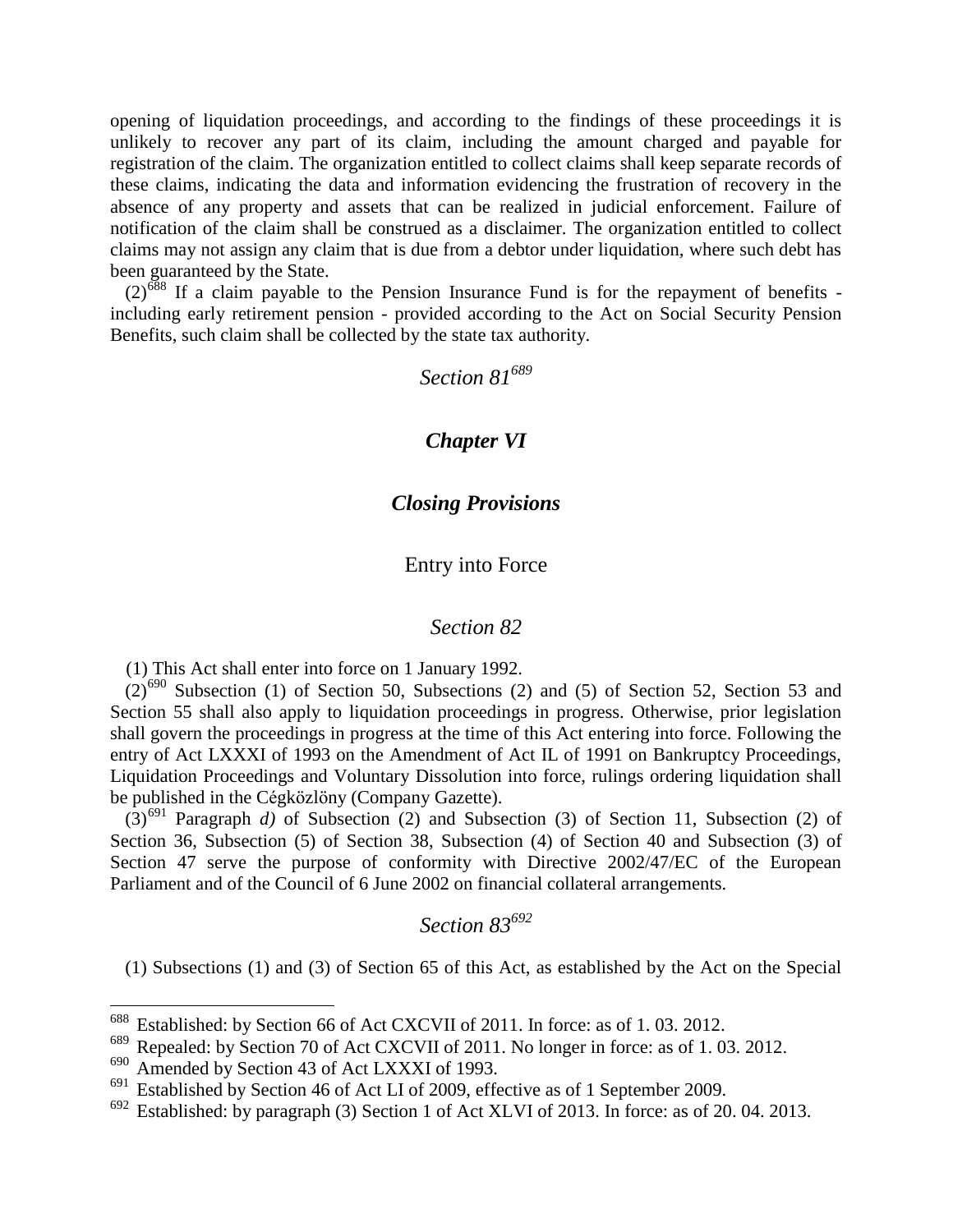opening of liquidation proceedings, and according to the findings of these proceedings it is unlikely to recover any part of its claim, including the amount charged and payable for registration of the claim. The organization entitled to collect claims shall keep separate records of these claims, indicating the data and information evidencing the frustration of recovery in the absence of any property and assets that can be realized in judicial enforcement. Failure of notification of the claim shall be construed as a disclaimer. The organization entitled to collect claims may not assign any claim that is due from a debtor under liquidation, where such debt has been guaranteed by the State.

 $(2)^{688}$  If a claim payable to the Pension Insurance Fund is for the repayment of benefits including early retirement pension - provided according to the Act on Social Security Pension Benefits, such claim shall be collected by the state tax authority.

*Section 81<sup>689</sup>*

#### *Chapter VI*

#### *Closing Provisions*

#### Entry into Force

#### *Section 82*

(1) This Act shall enter into force on 1 January 1992.

 $(2)^{690}$  Subsection (1) of Section 50, Subsections (2) and (5) of Section 52, Section 53 and Section 55 shall also apply to liquidation proceedings in progress. Otherwise, prior legislation shall govern the proceedings in progress at the time of this Act entering into force. Following the entry of Act LXXXI of 1993 on the Amendment of Act IL of 1991 on Bankruptcy Proceedings, Liquidation Proceedings and Voluntary Dissolution into force, rulings ordering liquidation shall be published in the Cégközlöny (Company Gazette).

 $(3)^{691}$  Paragraph *d*) of Subsection (2) and Subsection (3) of Section 11, Subsection (2) of Section 36, Subsection (5) of Section 38, Subsection (4) of Section 40 and Subsection (3) of Section 47 serve the purpose of conformity with Directive 2002/47/EC of the European Parliament and of the Council of 6 June 2002 on financial collateral arrangements.

### *Section 83<sup>692</sup>*

(1) Subsections (1) and (3) of Section 65 of this Act, as established by the Act on the Special

<sup>&</sup>lt;sup>688</sup> Established: by Section 66 of Act CXCVII of 2011. In force: as of 1.03. 2012.

<sup>689</sup> Repealed: by Section 70 of Act CXCVII of 2011. No longer in force: as of 1. 03. 2012.

Amended by Section 43 of Act LXXXI of 1993.

<sup>&</sup>lt;sup>691</sup> Established by Section 46 of Act LI of 2009, effective as of 1 September 2009.<br><sup>692</sup> Established: by paragraph (3) Section 1 of Act VI VI of 2013. In force: as of 20

Established: by paragraph (3) Section 1 of Act XLVI of 2013. In force: as of 20. 04. 2013.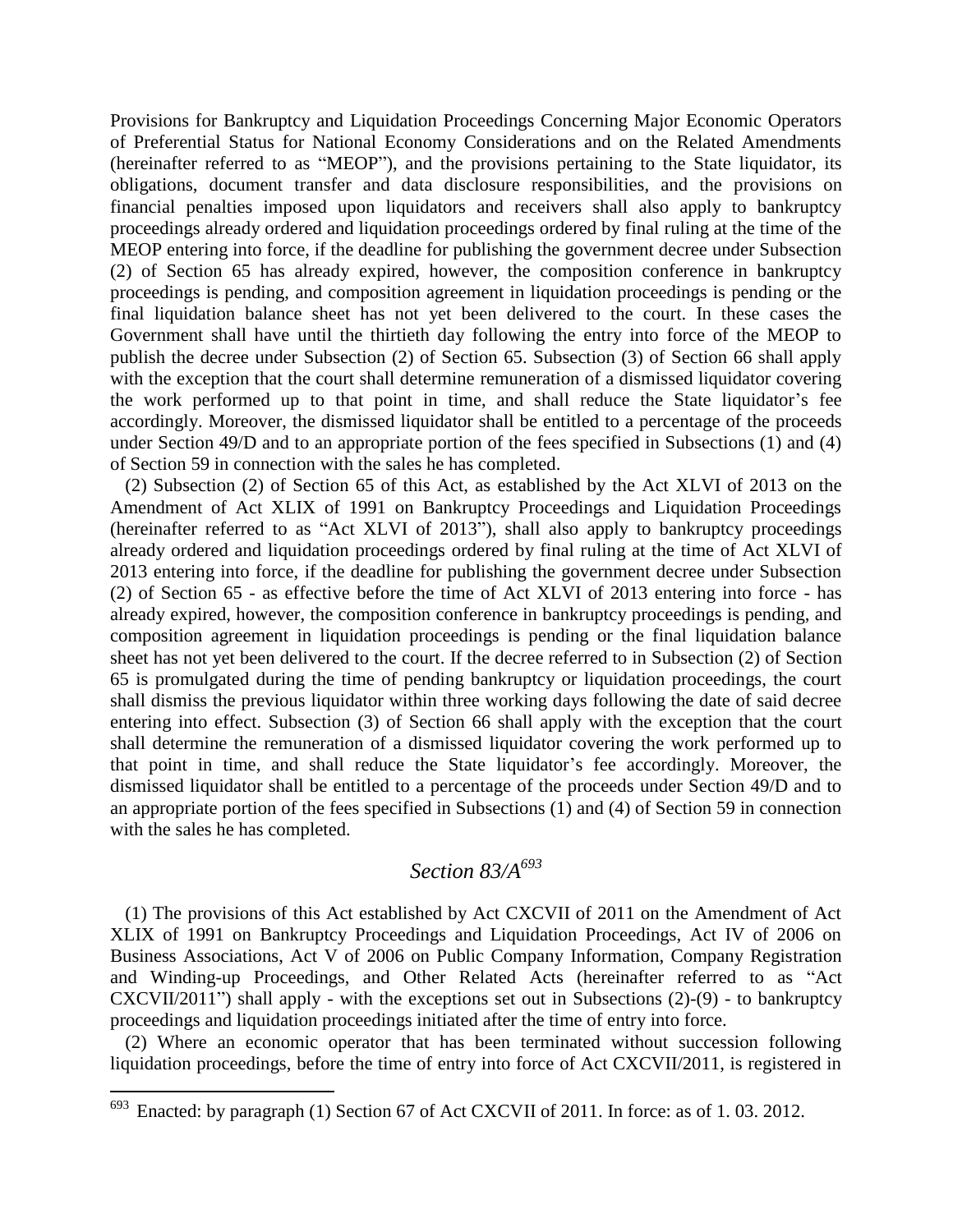Provisions for Bankruptcy and Liquidation Proceedings Concerning Major Economic Operators of Preferential Status for National Economy Considerations and on the Related Amendments (hereinafter referred to as "MEOP"), and the provisions pertaining to the State liquidator, its obligations, document transfer and data disclosure responsibilities, and the provisions on financial penalties imposed upon liquidators and receivers shall also apply to bankruptcy proceedings already ordered and liquidation proceedings ordered by final ruling at the time of the MEOP entering into force, if the deadline for publishing the government decree under Subsection (2) of Section 65 has already expired, however, the composition conference in bankruptcy proceedings is pending, and composition agreement in liquidation proceedings is pending or the final liquidation balance sheet has not yet been delivered to the court. In these cases the Government shall have until the thirtieth day following the entry into force of the MEOP to publish the decree under Subsection (2) of Section 65. Subsection (3) of Section 66 shall apply with the exception that the court shall determine remuneration of a dismissed liquidator covering the work performed up to that point in time, and shall reduce the State liquidator's fee accordingly. Moreover, the dismissed liquidator shall be entitled to a percentage of the proceeds under Section 49/D and to an appropriate portion of the fees specified in Subsections (1) and (4) of Section 59 in connection with the sales he has completed.

(2) Subsection (2) of Section 65 of this Act, as established by the Act XLVI of 2013 on the Amendment of Act XLIX of 1991 on Bankruptcy Proceedings and Liquidation Proceedings (hereinafter referred to as "Act XLVI of 2013"), shall also apply to bankruptcy proceedings already ordered and liquidation proceedings ordered by final ruling at the time of Act XLVI of 2013 entering into force, if the deadline for publishing the government decree under Subsection (2) of Section 65 - as effective before the time of Act XLVI of 2013 entering into force - has already expired, however, the composition conference in bankruptcy proceedings is pending, and composition agreement in liquidation proceedings is pending or the final liquidation balance sheet has not yet been delivered to the court. If the decree referred to in Subsection (2) of Section 65 is promulgated during the time of pending bankruptcy or liquidation proceedings, the court shall dismiss the previous liquidator within three working days following the date of said decree entering into effect. Subsection (3) of Section 66 shall apply with the exception that the court shall determine the remuneration of a dismissed liquidator covering the work performed up to that point in time, and shall reduce the State liquidator's fee accordingly. Moreover, the dismissed liquidator shall be entitled to a percentage of the proceeds under Section 49/D and to an appropriate portion of the fees specified in Subsections (1) and (4) of Section 59 in connection with the sales he has completed.

### *Section 83/A<sup>693</sup>*

(1) The provisions of this Act established by Act CXCVII of 2011 on the Amendment of Act XLIX of 1991 on Bankruptcy Proceedings and Liquidation Proceedings, Act IV of 2006 on Business Associations, Act V of 2006 on Public Company Information, Company Registration and Winding-up Proceedings, and Other Related Acts (hereinafter referred to as "Act CXCVII/2011") shall apply - with the exceptions set out in Subsections (2)-(9) - to bankruptcy proceedings and liquidation proceedings initiated after the time of entry into force.

(2) Where an economic operator that has been terminated without succession following liquidation proceedings, before the time of entry into force of Act CXCVII/2011, is registered in

 $693$  Enacted: by paragraph (1) Section 67 of Act CXCVII of 2011. In force: as of 1.03. 2012.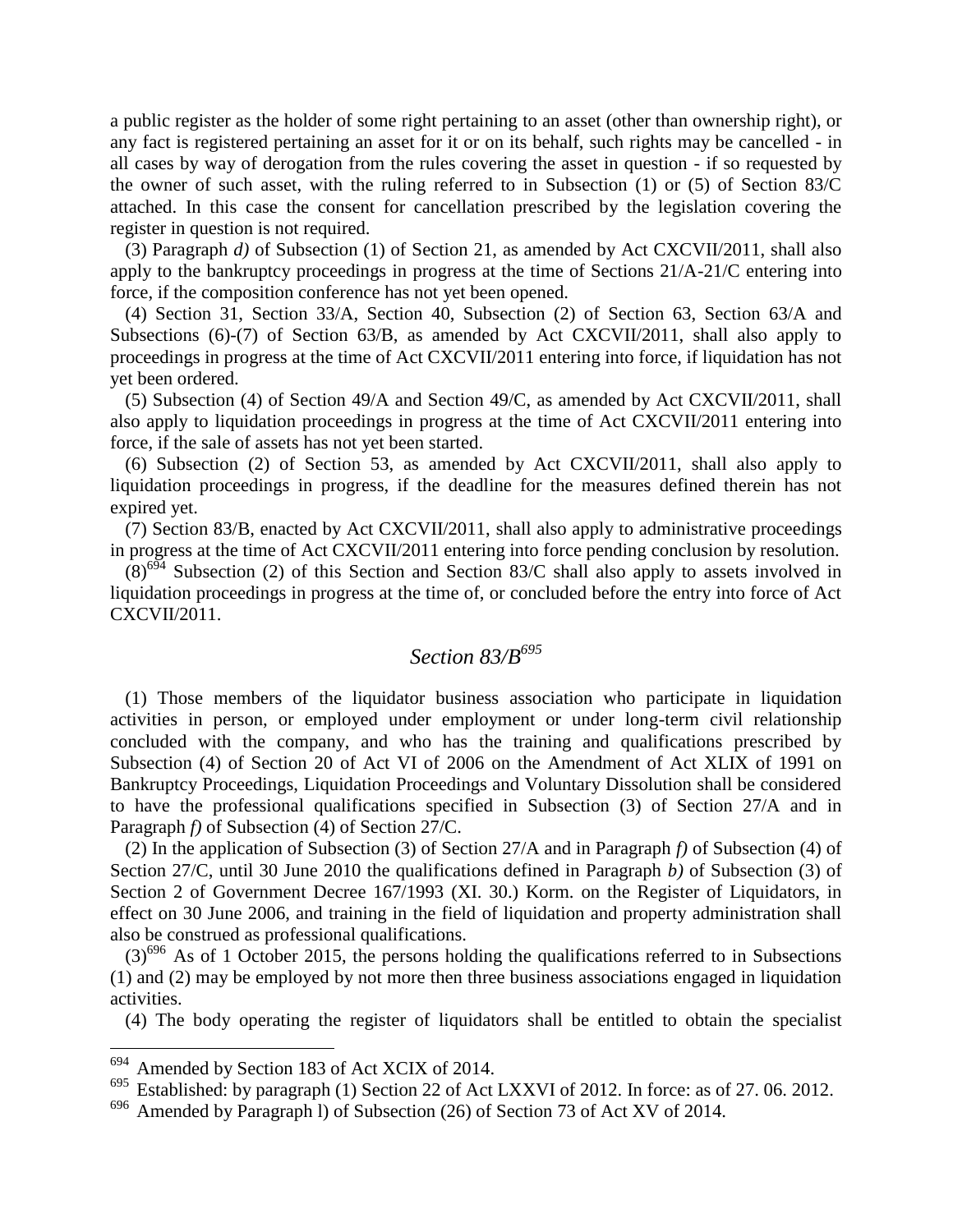a public register as the holder of some right pertaining to an asset (other than ownership right), or any fact is registered pertaining an asset for it or on its behalf, such rights may be cancelled - in all cases by way of derogation from the rules covering the asset in question - if so requested by the owner of such asset, with the ruling referred to in Subsection (1) or (5) of Section 83/C attached. In this case the consent for cancellation prescribed by the legislation covering the register in question is not required.

(3) Paragraph *d)* of Subsection (1) of Section 21, as amended by Act CXCVII/2011, shall also apply to the bankruptcy proceedings in progress at the time of Sections 21/A-21/C entering into force, if the composition conference has not yet been opened.

(4) Section 31, Section 33/A, Section 40, Subsection (2) of Section 63, Section 63/A and Subsections (6)-(7) of Section 63/B, as amended by Act CXCVII/2011, shall also apply to proceedings in progress at the time of Act CXCVII/2011 entering into force, if liquidation has not yet been ordered.

(5) Subsection (4) of Section 49/A and Section 49/C, as amended by Act CXCVII/2011, shall also apply to liquidation proceedings in progress at the time of Act CXCVII/2011 entering into force, if the sale of assets has not yet been started.

(6) Subsection (2) of Section 53, as amended by Act CXCVII/2011, shall also apply to liquidation proceedings in progress, if the deadline for the measures defined therein has not expired yet.

(7) Section 83/B, enacted by Act CXCVII/2011, shall also apply to administrative proceedings in progress at the time of Act CXCVII/2011 entering into force pending conclusion by resolution.

 $(8)^{694}$  Subsection (2) of this Section and Section 83/C shall also apply to assets involved in liquidation proceedings in progress at the time of, or concluded before the entry into force of Act CXCVII/2011.

## *Section 83/B<sup>695</sup>*

(1) Those members of the liquidator business association who participate in liquidation activities in person, or employed under employment or under long-term civil relationship concluded with the company, and who has the training and qualifications prescribed by Subsection (4) of Section 20 of Act VI of 2006 on the Amendment of Act XLIX of 1991 on Bankruptcy Proceedings, Liquidation Proceedings and Voluntary Dissolution shall be considered to have the professional qualifications specified in Subsection (3) of Section 27/A and in Paragraph *f)* of Subsection (4) of Section 27/C.

(2) In the application of Subsection (3) of Section 27/A and in Paragraph *f)* of Subsection (4) of Section 27/C, until 30 June 2010 the qualifications defined in Paragraph *b)* of Subsection (3) of Section 2 of Government Decree 167/1993 (XI. 30.) Korm. on the Register of Liquidators, in effect on 30 June 2006, and training in the field of liquidation and property administration shall also be construed as professional qualifications.

 $(3)^{696}$  As of 1 October 2015, the persons holding the qualifications referred to in Subsections (1) and (2) may be employed by not more then three business associations engaged in liquidation activities.

(4) The body operating the register of liquidators shall be entitled to obtain the specialist

<sup>694</sup> Amended by Section 183 of Act XCIX of 2014.

<sup>&</sup>lt;sup>695</sup> Established: by paragraph (1) Section 22 of Act LXXVI of 2012. In force: as of 27.06.2012.

 $696$  Amended by Paragraph 1) of Subsection (26) of Section 73 of Act XV of 2014.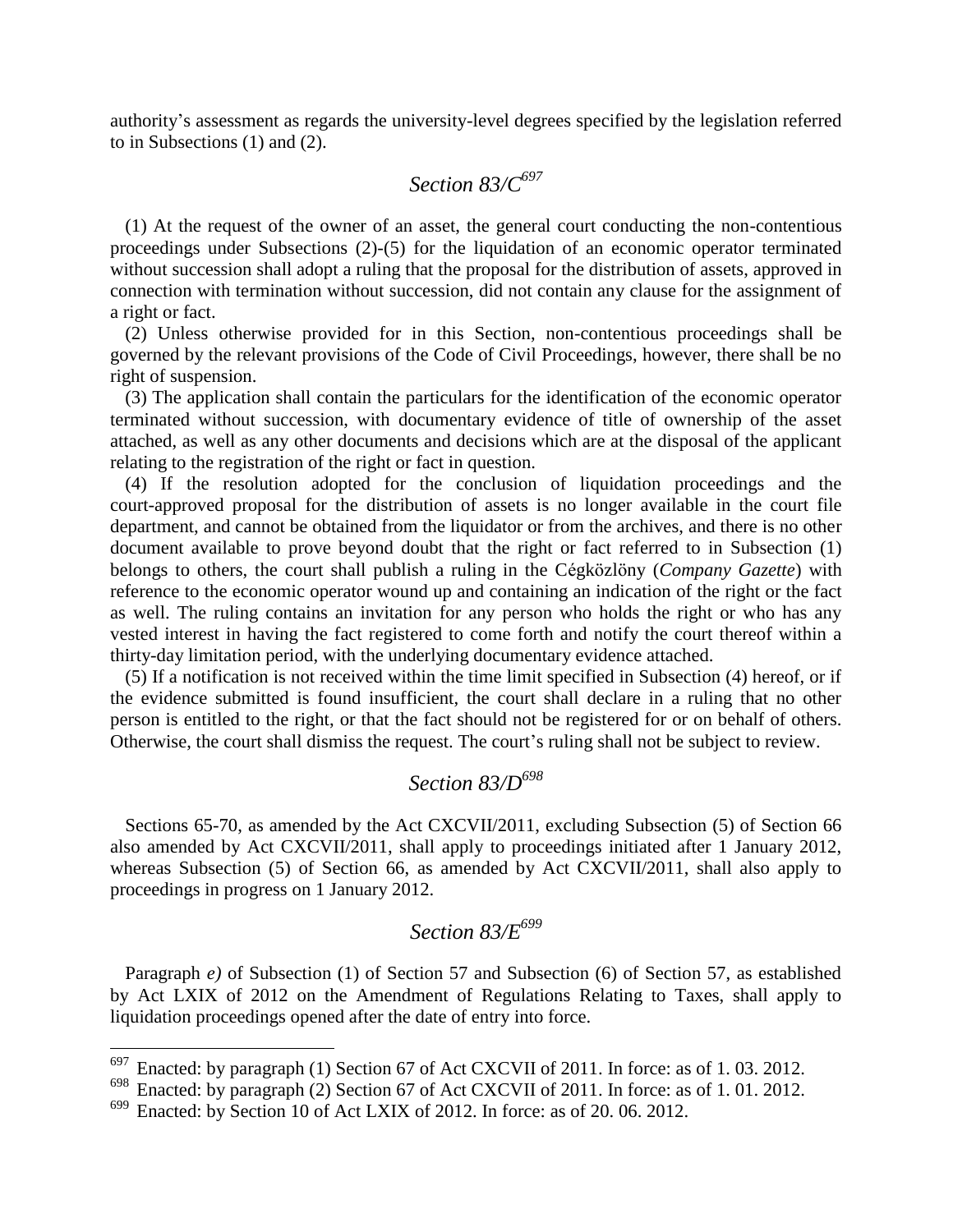authority's assessment as regards the university-level degrees specified by the legislation referred to in Subsections (1) and (2).

### *Section 83/C<sup>697</sup>*

(1) At the request of the owner of an asset, the general court conducting the non-contentious proceedings under Subsections (2)-(5) for the liquidation of an economic operator terminated without succession shall adopt a ruling that the proposal for the distribution of assets, approved in connection with termination without succession, did not contain any clause for the assignment of a right or fact.

(2) Unless otherwise provided for in this Section, non-contentious proceedings shall be governed by the relevant provisions of the Code of Civil Proceedings, however, there shall be no right of suspension.

(3) The application shall contain the particulars for the identification of the economic operator terminated without succession, with documentary evidence of title of ownership of the asset attached, as well as any other documents and decisions which are at the disposal of the applicant relating to the registration of the right or fact in question.

(4) If the resolution adopted for the conclusion of liquidation proceedings and the court-approved proposal for the distribution of assets is no longer available in the court file department, and cannot be obtained from the liquidator or from the archives, and there is no other document available to prove beyond doubt that the right or fact referred to in Subsection (1) belongs to others, the court shall publish a ruling in the Cégközlöny (*Company Gazette*) with reference to the economic operator wound up and containing an indication of the right or the fact as well. The ruling contains an invitation for any person who holds the right or who has any vested interest in having the fact registered to come forth and notify the court thereof within a thirty-day limitation period, with the underlying documentary evidence attached.

(5) If a notification is not received within the time limit specified in Subsection (4) hereof, or if the evidence submitted is found insufficient, the court shall declare in a ruling that no other person is entitled to the right, or that the fact should not be registered for or on behalf of others. Otherwise, the court shall dismiss the request. The court's ruling shall not be subject to review.

### *Section 83/D<sup>698</sup>*

Sections 65-70, as amended by the Act CXCVII/2011, excluding Subsection (5) of Section 66 also amended by Act CXCVII/2011, shall apply to proceedings initiated after 1 January 2012, whereas Subsection (5) of Section 66, as amended by Act CXCVII/2011, shall also apply to proceedings in progress on 1 January 2012.

## *Section 83/E<sup>699</sup>*

Paragraph *e*) of Subsection (1) of Section 57 and Subsection (6) of Section 57, as established by Act LXIX of 2012 on the Amendment of Regulations Relating to Taxes, shall apply to liquidation proceedings opened after the date of entry into force.

 $697$  Enacted: by paragraph (1) Section 67 of Act CXCVII of 2011. In force: as of 1.03. 2012.

 $698$  Enacted: by paragraph (2) Section 67 of Act CXCVII of 2011. In force: as of 1.01.2012.

Enacted: by Section 10 of Act LXIX of 2012. In force: as of 20. 06. 2012.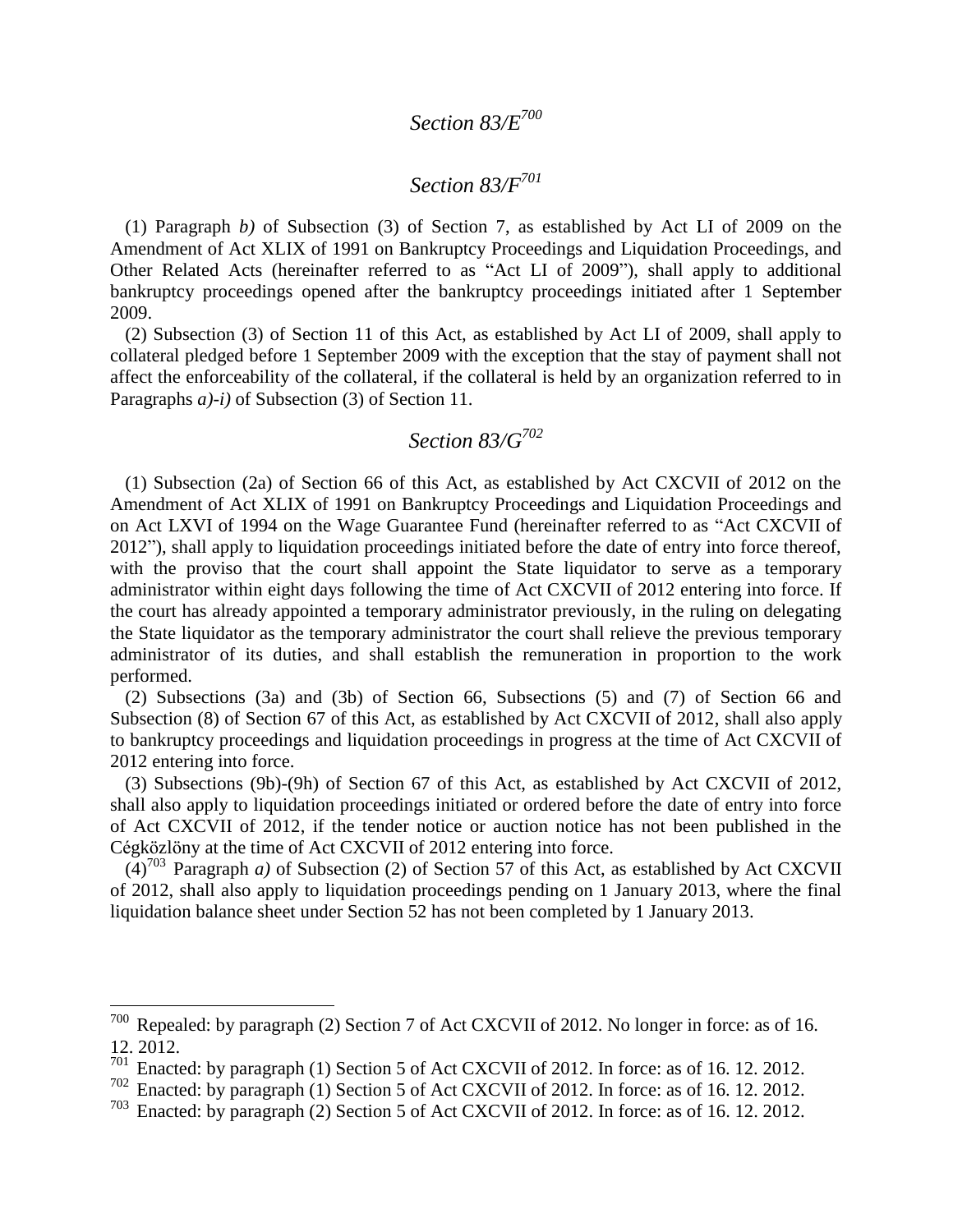# *Section 83/E<sup>700</sup>*

## *Section 83/F<sup>701</sup>*

(1) Paragraph *b)* of Subsection (3) of Section 7, as established by Act LI of 2009 on the Amendment of Act XLIX of 1991 on Bankruptcy Proceedings and Liquidation Proceedings, and Other Related Acts (hereinafter referred to as "Act LI of 2009"), shall apply to additional bankruptcy proceedings opened after the bankruptcy proceedings initiated after 1 September 2009.

(2) Subsection (3) of Section 11 of this Act, as established by Act LI of 2009, shall apply to collateral pledged before 1 September 2009 with the exception that the stay of payment shall not affect the enforceability of the collateral, if the collateral is held by an organization referred to in Paragraphs *a)-i)* of Subsection (3) of Section 11.

# *Section 83/G<sup>702</sup>*

(1) Subsection (2a) of Section 66 of this Act, as established by Act CXCVII of 2012 on the Amendment of Act XLIX of 1991 on Bankruptcy Proceedings and Liquidation Proceedings and on Act LXVI of 1994 on the Wage Guarantee Fund (hereinafter referred to as "Act CXCVII of 2012"), shall apply to liquidation proceedings initiated before the date of entry into force thereof, with the proviso that the court shall appoint the State liquidator to serve as a temporary administrator within eight days following the time of Act CXCVII of 2012 entering into force. If the court has already appointed a temporary administrator previously, in the ruling on delegating the State liquidator as the temporary administrator the court shall relieve the previous temporary administrator of its duties, and shall establish the remuneration in proportion to the work performed.

(2) Subsections (3a) and (3b) of Section 66, Subsections (5) and (7) of Section 66 and Subsection (8) of Section 67 of this Act, as established by Act CXCVII of 2012, shall also apply to bankruptcy proceedings and liquidation proceedings in progress at the time of Act CXCVII of 2012 entering into force.

(3) Subsections (9b)-(9h) of Section 67 of this Act, as established by Act CXCVII of 2012, shall also apply to liquidation proceedings initiated or ordered before the date of entry into force of Act CXCVII of 2012, if the tender notice or auction notice has not been published in the Cégközlöny at the time of Act CXCVII of 2012 entering into force.

 $(4)^{703}$  Paragraph *a*) of Subsection (2) of Section 57 of this Act, as established by Act CXCVII of 2012, shall also apply to liquidation proceedings pending on 1 January 2013, where the final liquidation balance sheet under Section 52 has not been completed by 1 January 2013.

 $700$  Repealed: by paragraph (2) Section 7 of Act CXCVII of 2012. No longer in force: as of 16. 12. 2012.

 $701$  Enacted: by paragraph (1) Section 5 of Act CXCVII of 2012. In force: as of 16. 12. 2012.

<sup>702</sup> Enacted: by paragraph (1) Section 5 of Act CXCVII of 2012. In force: as of 16. 12. 2012.

 $703$  Enacted: by paragraph (2) Section 5 of Act CXCVII of 2012. In force: as of 16. 12. 2012.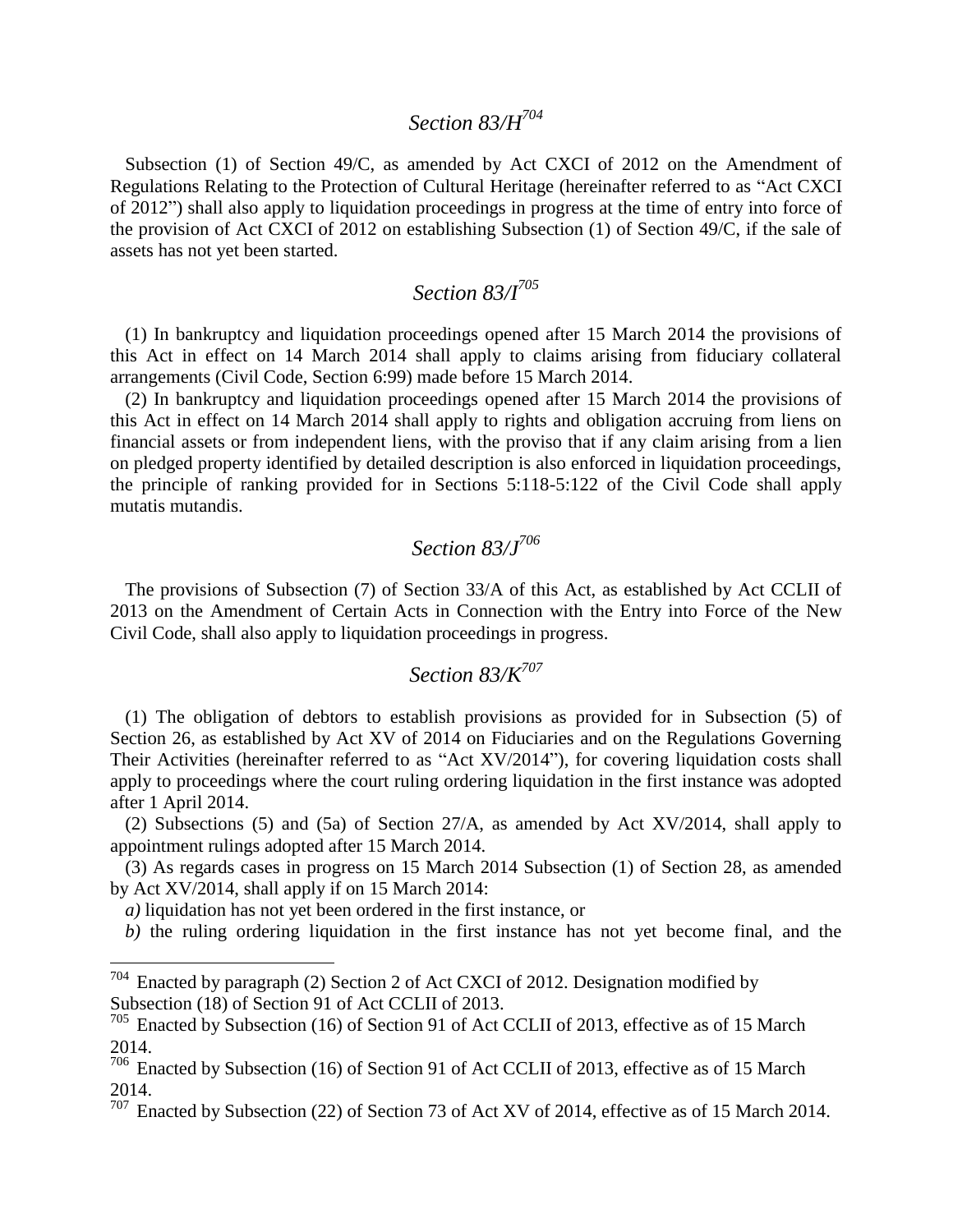### *Section 83/H<sup>704</sup>*

Subsection (1) of Section 49/C, as amended by Act CXCI of 2012 on the Amendment of Regulations Relating to the Protection of Cultural Heritage (hereinafter referred to as "Act CXCI of 2012") shall also apply to liquidation proceedings in progress at the time of entry into force of the provision of Act CXCI of 2012 on establishing Subsection (1) of Section 49/C, if the sale of assets has not yet been started.

### *Section 83/I<sup>705</sup>*

(1) In bankruptcy and liquidation proceedings opened after 15 March 2014 the provisions of this Act in effect on 14 March 2014 shall apply to claims arising from fiduciary collateral arrangements (Civil Code, Section 6:99) made before 15 March 2014.

(2) In bankruptcy and liquidation proceedings opened after 15 March 2014 the provisions of this Act in effect on 14 March 2014 shall apply to rights and obligation accruing from liens on financial assets or from independent liens, with the proviso that if any claim arising from a lien on pledged property identified by detailed description is also enforced in liquidation proceedings, the principle of ranking provided for in Sections 5:118-5:122 of the Civil Code shall apply mutatis mutandis.

### *Section 83/J<sup>706</sup>*

The provisions of Subsection (7) of Section 33/A of this Act, as established by Act CCLII of 2013 on the Amendment of Certain Acts in Connection with the Entry into Force of the New Civil Code, shall also apply to liquidation proceedings in progress.

## *Section 83/K<sup>707</sup>*

(1) The obligation of debtors to establish provisions as provided for in Subsection (5) of Section 26, as established by Act XV of 2014 on Fiduciaries and on the Regulations Governing Their Activities (hereinafter referred to as "Act XV/2014"), for covering liquidation costs shall apply to proceedings where the court ruling ordering liquidation in the first instance was adopted after 1 April 2014.

(2) Subsections (5) and (5a) of Section 27/A, as amended by Act XV/2014, shall apply to appointment rulings adopted after 15 March 2014.

(3) As regards cases in progress on 15 March 2014 Subsection (1) of Section 28, as amended by Act XV/2014, shall apply if on 15 March 2014:

*a)* liquidation has not yet been ordered in the first instance, or

 $\overline{a}$ 

*b)* the ruling ordering liquidation in the first instance has not yet become final, and the

 $704$  Enacted by paragraph (2) Section 2 of Act CXCI of 2012. Designation modified by Subsection (18) of Section 91 of Act CCLII of 2013.

<sup>705</sup> Enacted by Subsection (16) of Section 91 of Act CCLII of 2013, effective as of 15 March 2014.

<sup>706</sup> Enacted by Subsection (16) of Section 91 of Act CCLII of 2013, effective as of 15 March 2014.

 $707$  Enacted by Subsection (22) of Section 73 of Act XV of 2014, effective as of 15 March 2014.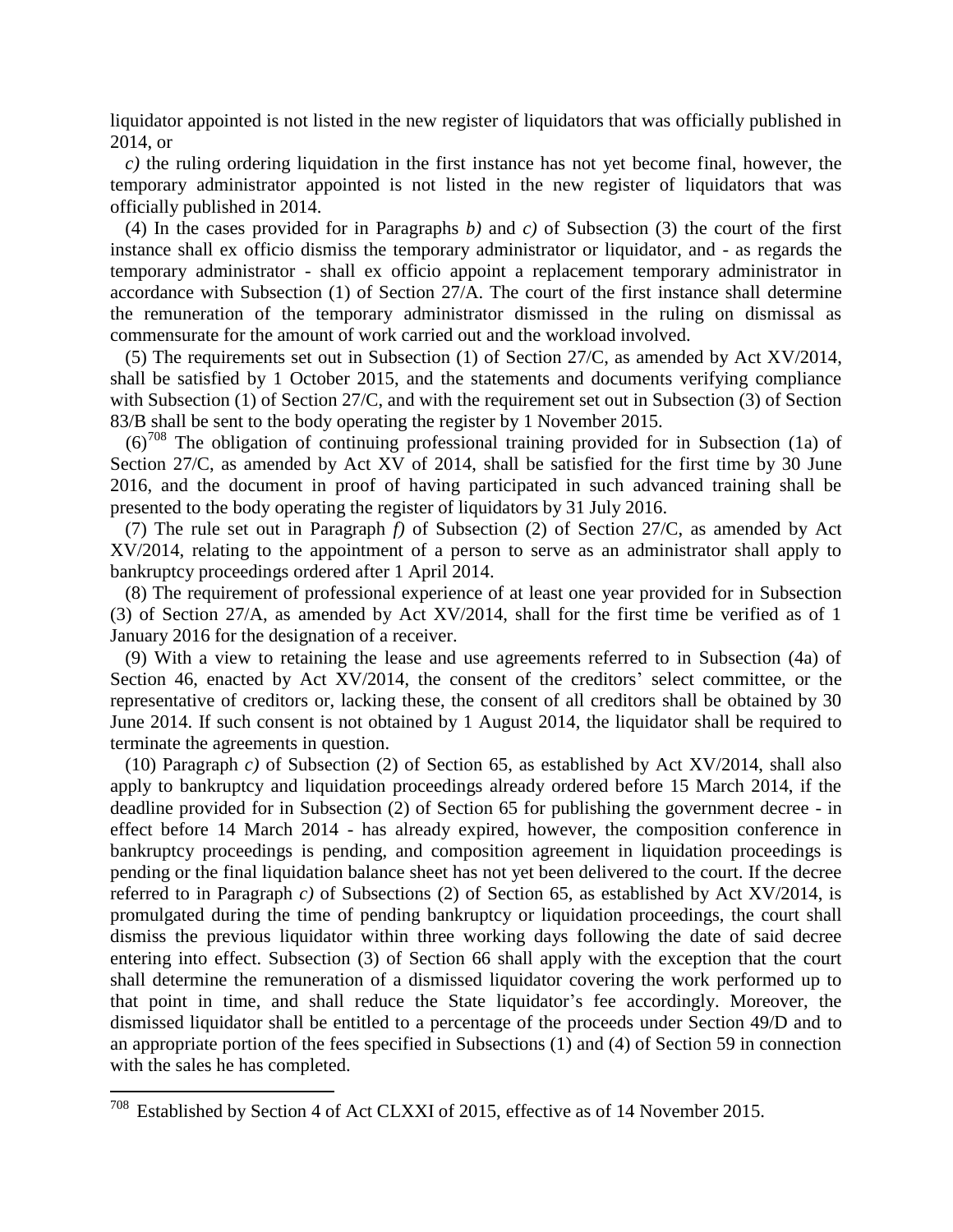liquidator appointed is not listed in the new register of liquidators that was officially published in 2014, or

*c)* the ruling ordering liquidation in the first instance has not yet become final, however, the temporary administrator appointed is not listed in the new register of liquidators that was officially published in 2014.

(4) In the cases provided for in Paragraphs *b)* and *c)* of Subsection (3) the court of the first instance shall ex officio dismiss the temporary administrator or liquidator, and - as regards the temporary administrator - shall ex officio appoint a replacement temporary administrator in accordance with Subsection (1) of Section 27/A. The court of the first instance shall determine the remuneration of the temporary administrator dismissed in the ruling on dismissal as commensurate for the amount of work carried out and the workload involved.

(5) The requirements set out in Subsection (1) of Section 27/C, as amended by Act XV/2014, shall be satisfied by 1 October 2015, and the statements and documents verifying compliance with Subsection (1) of Section 27/C, and with the requirement set out in Subsection (3) of Section 83/B shall be sent to the body operating the register by 1 November 2015.

 $(6)^{708}$  The obligation of continuing professional training provided for in Subsection (1a) of Section 27/C, as amended by Act XV of 2014, shall be satisfied for the first time by 30 June 2016, and the document in proof of having participated in such advanced training shall be presented to the body operating the register of liquidators by 31 July 2016.

(7) The rule set out in Paragraph *f)* of Subsection (2) of Section 27/C, as amended by Act XV/2014, relating to the appointment of a person to serve as an administrator shall apply to bankruptcy proceedings ordered after 1 April 2014.

(8) The requirement of professional experience of at least one year provided for in Subsection (3) of Section 27/A, as amended by Act XV/2014, shall for the first time be verified as of 1 January 2016 for the designation of a receiver.

(9) With a view to retaining the lease and use agreements referred to in Subsection (4a) of Section 46, enacted by Act XV/2014, the consent of the creditors' select committee, or the representative of creditors or, lacking these, the consent of all creditors shall be obtained by 30 June 2014. If such consent is not obtained by 1 August 2014, the liquidator shall be required to terminate the agreements in question.

(10) Paragraph *c)* of Subsection (2) of Section 65, as established by Act XV/2014, shall also apply to bankruptcy and liquidation proceedings already ordered before 15 March 2014, if the deadline provided for in Subsection (2) of Section 65 for publishing the government decree - in effect before 14 March 2014 - has already expired, however, the composition conference in bankruptcy proceedings is pending, and composition agreement in liquidation proceedings is pending or the final liquidation balance sheet has not yet been delivered to the court. If the decree referred to in Paragraph *c)* of Subsections (2) of Section 65, as established by Act XV/2014, is promulgated during the time of pending bankruptcy or liquidation proceedings, the court shall dismiss the previous liquidator within three working days following the date of said decree entering into effect. Subsection (3) of Section 66 shall apply with the exception that the court shall determine the remuneration of a dismissed liquidator covering the work performed up to that point in time, and shall reduce the State liquidator's fee accordingly. Moreover, the dismissed liquidator shall be entitled to a percentage of the proceeds under Section 49/D and to an appropriate portion of the fees specified in Subsections (1) and (4) of Section 59 in connection with the sales he has completed.

 $708$  Established by Section 4 of Act CLXXI of 2015, effective as of 14 November 2015.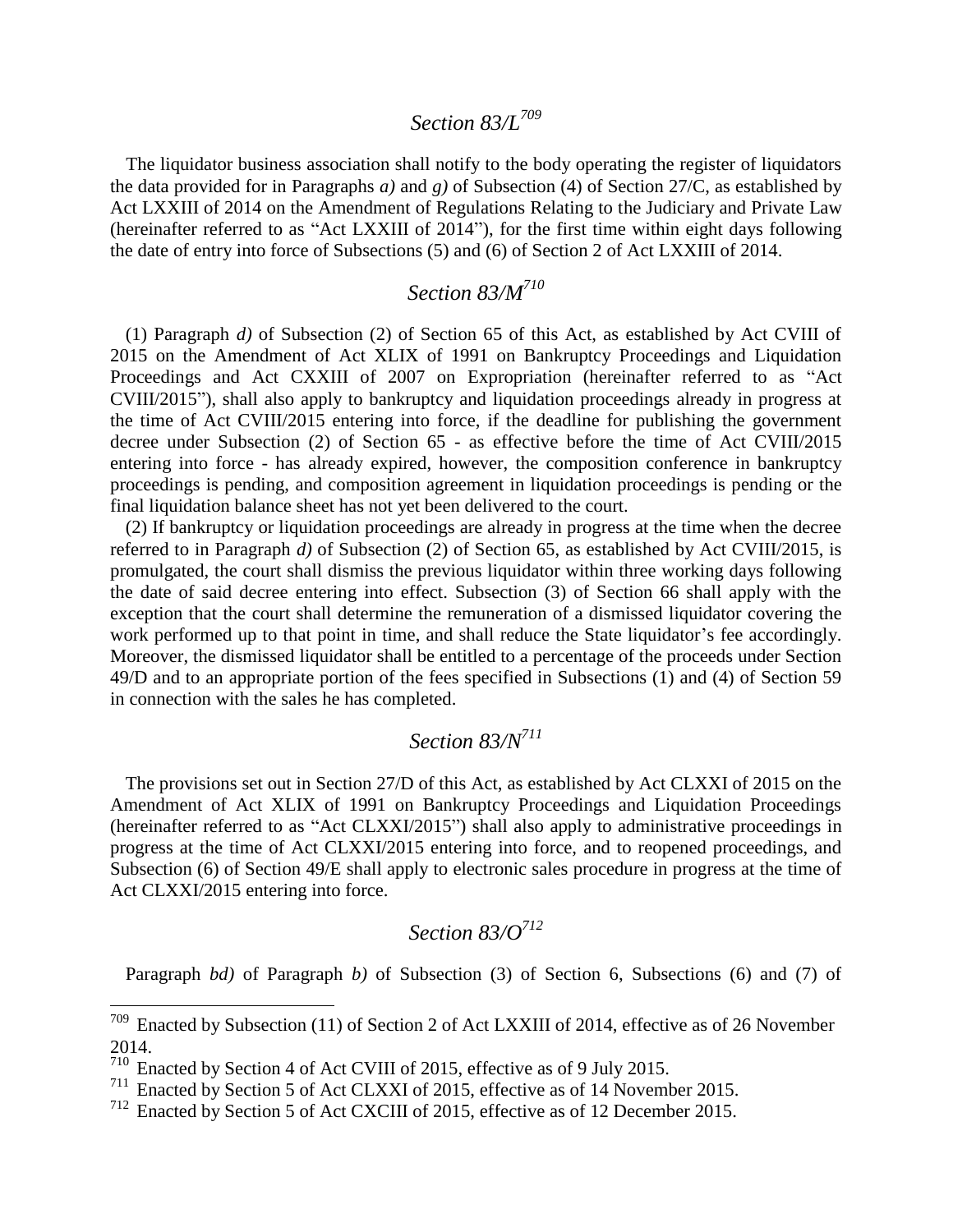#### *Section 83/L<sup>709</sup>*

The liquidator business association shall notify to the body operating the register of liquidators the data provided for in Paragraphs *a)* and *g)* of Subsection (4) of Section 27/C, as established by Act LXXIII of 2014 on the Amendment of Regulations Relating to the Judiciary and Private Law (hereinafter referred to as "Act LXXIII of 2014"), for the first time within eight days following the date of entry into force of Subsections (5) and (6) of Section 2 of Act LXXIII of 2014.

## *Section 83/M<sup>710</sup>*

(1) Paragraph *d)* of Subsection (2) of Section 65 of this Act, as established by Act CVIII of 2015 on the Amendment of Act XLIX of 1991 on Bankruptcy Proceedings and Liquidation Proceedings and Act CXXIII of 2007 on Expropriation (hereinafter referred to as "Act CVIII/2015"), shall also apply to bankruptcy and liquidation proceedings already in progress at the time of Act CVIII/2015 entering into force, if the deadline for publishing the government decree under Subsection (2) of Section 65 - as effective before the time of Act CVIII/2015 entering into force - has already expired, however, the composition conference in bankruptcy proceedings is pending, and composition agreement in liquidation proceedings is pending or the final liquidation balance sheet has not yet been delivered to the court.

(2) If bankruptcy or liquidation proceedings are already in progress at the time when the decree referred to in Paragraph *d)* of Subsection (2) of Section 65, as established by Act CVIII/2015, is promulgated, the court shall dismiss the previous liquidator within three working days following the date of said decree entering into effect. Subsection (3) of Section 66 shall apply with the exception that the court shall determine the remuneration of a dismissed liquidator covering the work performed up to that point in time, and shall reduce the State liquidator's fee accordingly. Moreover, the dismissed liquidator shall be entitled to a percentage of the proceeds under Section 49/D and to an appropriate portion of the fees specified in Subsections (1) and (4) of Section 59 in connection with the sales he has completed.

# *Section 83/N<sup>711</sup>*

The provisions set out in Section 27/D of this Act, as established by Act CLXXI of 2015 on the Amendment of Act XLIX of 1991 on Bankruptcy Proceedings and Liquidation Proceedings (hereinafter referred to as "Act CLXXI/2015") shall also apply to administrative proceedings in progress at the time of Act CLXXI/2015 entering into force, and to reopened proceedings, and Subsection (6) of Section 49/E shall apply to electronic sales procedure in progress at the time of Act CLXXI/2015 entering into force.

## *Section 83/O<sup>712</sup>*

Paragraph *bd)* of Paragraph *b)* of Subsection (3) of Section 6, Subsections (6) and (7) of

 $709$  Enacted by Subsection (11) of Section 2 of Act LXXIII of 2014, effective as of 26 November 2014.

<sup>710</sup> Enacted by Section 4 of Act CVIII of 2015, effective as of 9 July 2015.

<sup>&</sup>lt;sup>711</sup> Enacted by Section 5 of Act CLXXI of 2015, effective as of 14 November 2015.

<sup>712</sup> Enacted by Section 5 of Act CXCIII of 2015, effective as of 12 December 2015.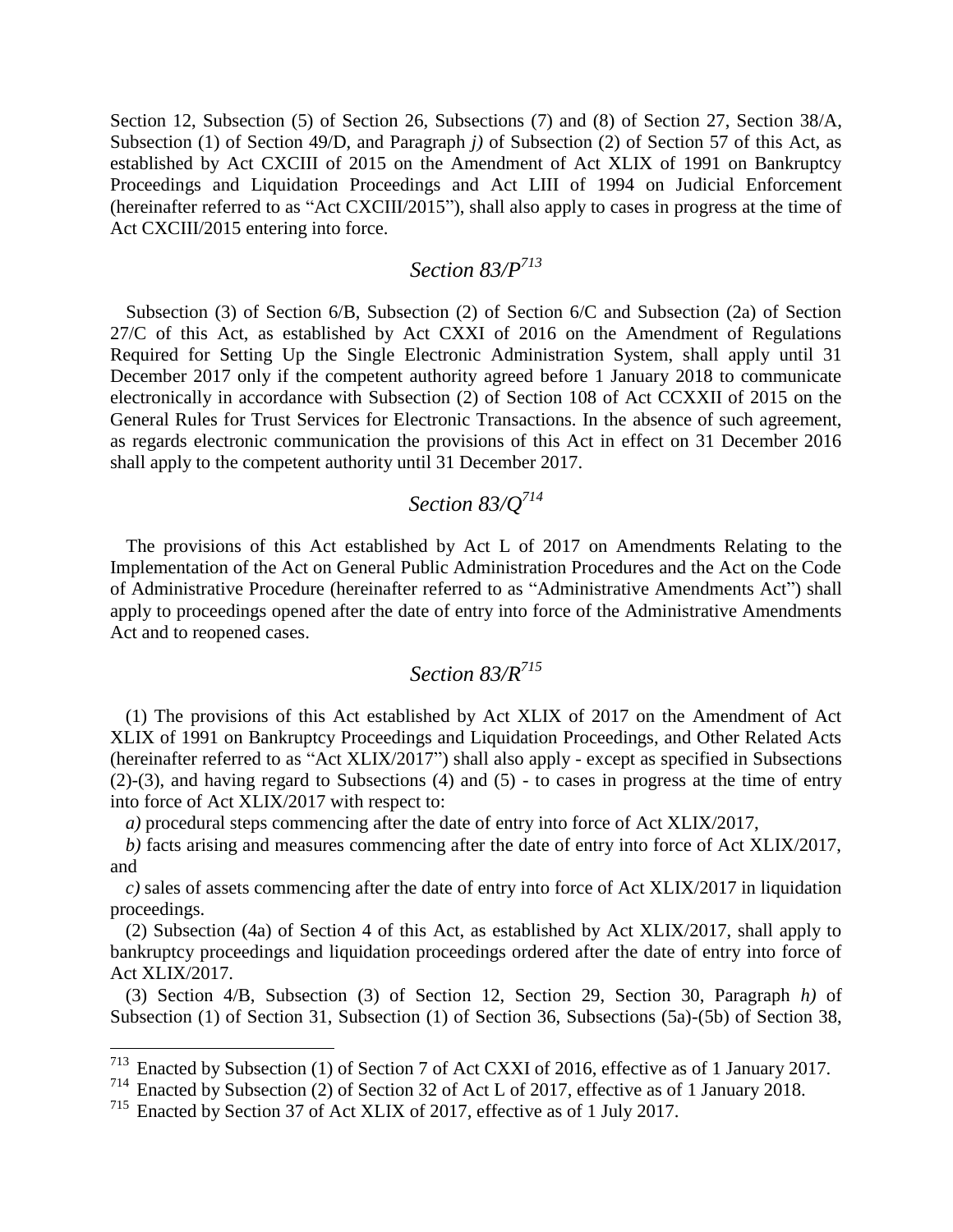Section 12, Subsection (5) of Section 26, Subsections (7) and (8) of Section 27, Section 38/A, Subsection (1) of Section 49/D, and Paragraph *j)* of Subsection (2) of Section 57 of this Act, as established by Act CXCIII of 2015 on the Amendment of Act XLIX of 1991 on Bankruptcy Proceedings and Liquidation Proceedings and Act LIII of 1994 on Judicial Enforcement (hereinafter referred to as "Act CXCIII/2015"), shall also apply to cases in progress at the time of Act CXCIII/2015 entering into force.

## *Section 83/P<sup>713</sup>*

Subsection (3) of Section 6/B, Subsection (2) of Section 6/C and Subsection (2a) of Section 27/C of this Act, as established by Act CXXI of 2016 on the Amendment of Regulations Required for Setting Up the Single Electronic Administration System, shall apply until 31 December 2017 only if the competent authority agreed before 1 January 2018 to communicate electronically in accordance with Subsection (2) of Section 108 of Act CCXXII of 2015 on the General Rules for Trust Services for Electronic Transactions. In the absence of such agreement, as regards electronic communication the provisions of this Act in effect on 31 December 2016 shall apply to the competent authority until 31 December 2017.

## *Section 83/Q<sup>714</sup>*

The provisions of this Act established by Act L of 2017 on Amendments Relating to the Implementation of the Act on General Public Administration Procedures and the Act on the Code of Administrative Procedure (hereinafter referred to as "Administrative Amendments Act") shall apply to proceedings opened after the date of entry into force of the Administrative Amendments Act and to reopened cases.

### *Section 83/R<sup>715</sup>*

(1) The provisions of this Act established by Act XLIX of 2017 on the Amendment of Act XLIX of 1991 on Bankruptcy Proceedings and Liquidation Proceedings, and Other Related Acts (hereinafter referred to as "Act XLIX/2017") shall also apply - except as specified in Subsections (2)-(3), and having regard to Subsections (4) and (5) - to cases in progress at the time of entry into force of Act XLIX/2017 with respect to:

*a)* procedural steps commencing after the date of entry into force of Act XLIX/2017,

*b)* facts arising and measures commencing after the date of entry into force of Act XLIX/2017, and

*c)* sales of assets commencing after the date of entry into force of Act XLIX/2017 in liquidation proceedings.

(2) Subsection (4a) of Section 4 of this Act, as established by Act XLIX/2017, shall apply to bankruptcy proceedings and liquidation proceedings ordered after the date of entry into force of Act XLIX/2017.

(3) Section 4/B, Subsection (3) of Section 12, Section 29, Section 30, Paragraph *h)* of Subsection (1) of Section 31, Subsection (1) of Section 36, Subsections (5a)-(5b) of Section 38,

 $^{713}$  Enacted by Subsection (1) of Section 7 of Act CXXI of 2016, effective as of 1 January 2017.

<sup>714</sup> Enacted by Subsection (2) of Section 32 of Act L of 2017, effective as of 1 January 2018.

<sup>715</sup> Enacted by Section 37 of Act XLIX of 2017, effective as of 1 July 2017.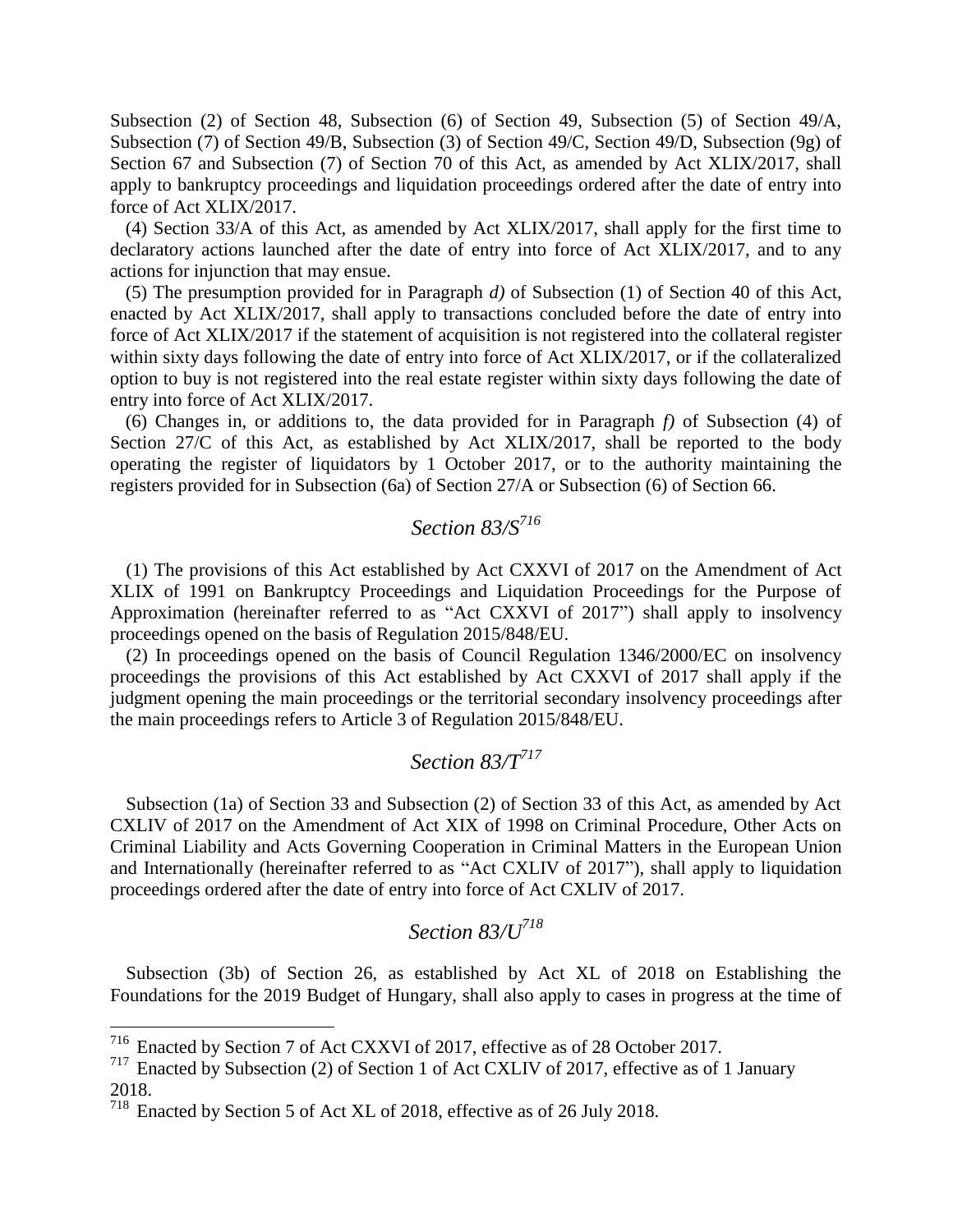Subsection (2) of Section 48, Subsection (6) of Section 49, Subsection (5) of Section 49/A, Subsection (7) of Section 49/B, Subsection (3) of Section 49/C, Section 49/D, Subsection (9g) of Section 67 and Subsection (7) of Section 70 of this Act, as amended by Act XLIX/2017, shall apply to bankruptcy proceedings and liquidation proceedings ordered after the date of entry into force of Act XLIX/2017.

(4) Section 33/A of this Act, as amended by Act XLIX/2017, shall apply for the first time to declaratory actions launched after the date of entry into force of Act XLIX/2017, and to any actions for injunction that may ensue.

(5) The presumption provided for in Paragraph *d)* of Subsection (1) of Section 40 of this Act, enacted by Act XLIX/2017, shall apply to transactions concluded before the date of entry into force of Act XLIX/2017 if the statement of acquisition is not registered into the collateral register within sixty days following the date of entry into force of Act XLIX/2017, or if the collateralized option to buy is not registered into the real estate register within sixty days following the date of entry into force of Act XLIX/2017.

(6) Changes in, or additions to, the data provided for in Paragraph *f)* of Subsection (4) of Section 27/C of this Act, as established by Act XLIX/2017, shall be reported to the body operating the register of liquidators by 1 October 2017, or to the authority maintaining the registers provided for in Subsection (6a) of Section 27/A or Subsection (6) of Section 66.

# *Section 83/S<sup>716</sup>*

(1) The provisions of this Act established by Act CXXVI of 2017 on the Amendment of Act XLIX of 1991 on Bankruptcy Proceedings and Liquidation Proceedings for the Purpose of Approximation (hereinafter referred to as "Act CXXVI of 2017") shall apply to insolvency proceedings opened on the basis of Regulation 2015/848/EU.

(2) In proceedings opened on the basis of Council Regulation 1346/2000/EC on insolvency proceedings the provisions of this Act established by Act CXXVI of 2017 shall apply if the judgment opening the main proceedings or the territorial secondary insolvency proceedings after the main proceedings refers to Article 3 of Regulation 2015/848/EU.

### *Section 83/T<sup>717</sup>*

Subsection (1a) of Section 33 and Subsection (2) of Section 33 of this Act, as amended by Act CXLIV of 2017 on the Amendment of Act XIX of 1998 on Criminal Procedure, Other Acts on Criminal Liability and Acts Governing Cooperation in Criminal Matters in the European Union and Internationally (hereinafter referred to as "Act CXLIV of 2017"), shall apply to liquidation proceedings ordered after the date of entry into force of Act CXLIV of 2017.

## *Section 83/U<sup>718</sup>*

Subsection (3b) of Section 26, as established by Act XL of 2018 on Establishing the Foundations for the 2019 Budget of Hungary, shall also apply to cases in progress at the time of

<sup>716</sup> Enacted by Section 7 of Act CXXVI of 2017, effective as of 28 October 2017.

 $717$  Enacted by Subsection (2) of Section 1 of Act CXLIV of 2017, effective as of 1 January 2018.

<sup>718</sup> Enacted by Section 5 of Act XL of 2018, effective as of 26 July 2018.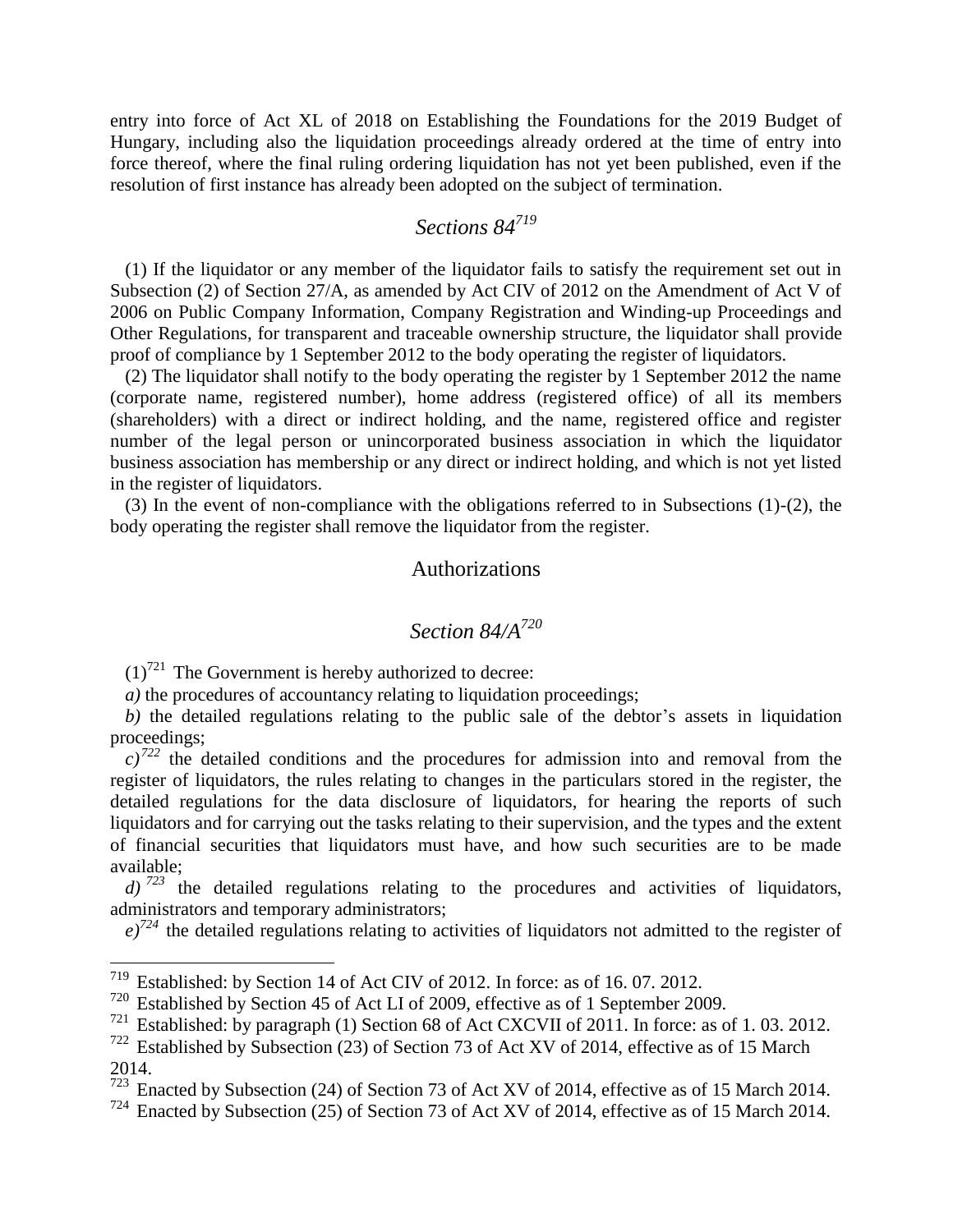entry into force of Act XL of 2018 on Establishing the Foundations for the 2019 Budget of Hungary, including also the liquidation proceedings already ordered at the time of entry into force thereof, where the final ruling ordering liquidation has not yet been published, even if the resolution of first instance has already been adopted on the subject of termination.

### *Sections 84<sup>719</sup>*

(1) If the liquidator or any member of the liquidator fails to satisfy the requirement set out in Subsection (2) of Section 27/A, as amended by Act CIV of 2012 on the Amendment of Act V of 2006 on Public Company Information, Company Registration and Winding-up Proceedings and Other Regulations, for transparent and traceable ownership structure, the liquidator shall provide proof of compliance by 1 September 2012 to the body operating the register of liquidators.

(2) The liquidator shall notify to the body operating the register by 1 September 2012 the name (corporate name, registered number), home address (registered office) of all its members (shareholders) with a direct or indirect holding, and the name, registered office and register number of the legal person or unincorporated business association in which the liquidator business association has membership or any direct or indirect holding, and which is not yet listed in the register of liquidators.

(3) In the event of non-compliance with the obligations referred to in Subsections (1)-(2), the body operating the register shall remove the liquidator from the register.

#### Authorizations

#### *Section 84/A<sup>720</sup>*

 $(1)^{721}$  The Government is hereby authorized to decree:

 $\overline{a}$ 

*a*) the procedures of accountancy relating to liquidation proceedings;

*b)* the detailed regulations relating to the public sale of the debtor's assets in liquidation proceedings;

 $c^{272}$  the detailed conditions and the procedures for admission into and removal from the register of liquidators, the rules relating to changes in the particulars stored in the register, the detailed regulations for the data disclosure of liquidators, for hearing the reports of such liquidators and for carrying out the tasks relating to their supervision, and the types and the extent of financial securities that liquidators must have, and how such securities are to be made available;

 $d$ )<sup>723</sup> the detailed regulations relating to the procedures and activities of liquidators, administrators and temporary administrators;

 $e^{i\pi/24}$  the detailed regulations relating to activities of liquidators not admitted to the register of

 $719$  Established: by Section 14 of Act CIV of 2012. In force: as of 16.07.2012.

<sup>720</sup> Established by Section 45 of Act LI of 2009, effective as of 1 September 2009.

<sup>&</sup>lt;sup>721</sup> Established: by paragraph (1) Section 68 of Act CXCVII of 2011. In force: as of 1.03. 2012.

 $722$  Established by Subsection (23) of Section 73 of Act XV of 2014, effective as of 15 March 2014.

 $\frac{723}{723}$  Enacted by Subsection (24) of Section 73 of Act XV of 2014, effective as of 15 March 2014.

<sup>&</sup>lt;sup>724</sup> Enacted by Subsection  $(25)$  of Section 73 of Act XV of 2014, effective as of 15 March 2014.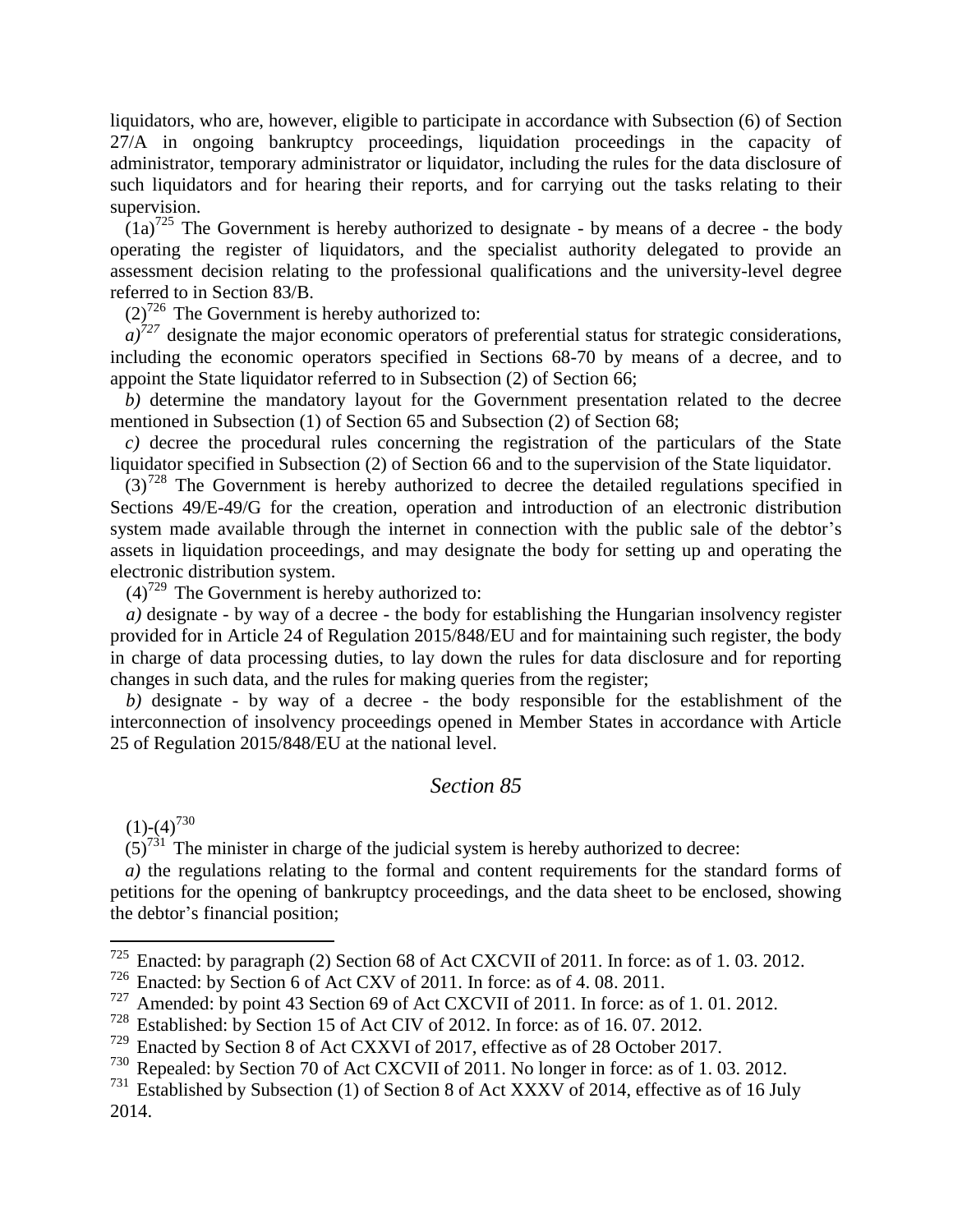liquidators, who are, however, eligible to participate in accordance with Subsection (6) of Section 27/A in ongoing bankruptcy proceedings, liquidation proceedings in the capacity of administrator, temporary administrator or liquidator, including the rules for the data disclosure of such liquidators and for hearing their reports, and for carrying out the tasks relating to their supervision.

 $(1a)^{725}$  The Government is hereby authorized to designate - by means of a decree - the body operating the register of liquidators, and the specialist authority delegated to provide an assessment decision relating to the professional qualifications and the university-level degree referred to in Section 83/B.

 $(2)^{726}$  The Government is hereby authorized to:

 $a^{27}$  designate the major economic operators of preferential status for strategic considerations, including the economic operators specified in Sections 68-70 by means of a decree, and to appoint the State liquidator referred to in Subsection (2) of Section 66;

*b)* determine the mandatory layout for the Government presentation related to the decree mentioned in Subsection (1) of Section 65 and Subsection (2) of Section 68;

*c)* decree the procedural rules concerning the registration of the particulars of the State liquidator specified in Subsection (2) of Section 66 and to the supervision of the State liquidator.

 $(3)^{728}$  The Government is hereby authorized to decree the detailed regulations specified in Sections 49/E-49/G for the creation, operation and introduction of an electronic distribution system made available through the internet in connection with the public sale of the debtor's assets in liquidation proceedings, and may designate the body for setting up and operating the electronic distribution system.

 $(4)^{729}$  The Government is hereby authorized to:

*a)* designate - by way of a decree - the body for establishing the Hungarian insolvency register provided for in Article 24 of Regulation 2015/848/EU and for maintaining such register, the body in charge of data processing duties, to lay down the rules for data disclosure and for reporting changes in such data, and the rules for making queries from the register;

*b)* designate - by way of a decree - the body responsible for the establishment of the interconnection of insolvency proceedings opened in Member States in accordance with Article 25 of Regulation 2015/848/EU at the national level.

#### *Section 85*

 $(1)-(4)^{730}$ 

 $\overline{a}$ 

 $(5)^{731}$  The minister in charge of the judicial system is hereby authorized to decree:

*a)* the regulations relating to the formal and content requirements for the standard forms of petitions for the opening of bankruptcy proceedings, and the data sheet to be enclosed, showing the debtor's financial position;

<sup>&</sup>lt;sup>725</sup> Enacted: by paragraph (2) Section 68 of Act CXCVII of 2011. In force: as of 1. 03. 2012.<br><sup>726</sup> Enacted: by Section 6 of Act CXV of 2011. In force: as of 4, 08, 2011.

Enacted: by Section 6 of Act CXV of 2011. In force: as of 4.08. 2011.

 $\frac{727}{728}$  Amended: by point 43 Section 69 of Act CXCVII of 2011. In force: as of 1. 01. 2012.

<sup>&</sup>lt;sup>728</sup> Established: by Section 15 of Act CIV of 2012. In force: as of 16. 07. 2012.<br><sup>729</sup> Enacted by Section 8 of Act CXXVI of 2017 effective as of 28 October 201

Enacted by Section 8 of Act CXXVI of 2017, effective as of 28 October 2017.

<sup>730</sup> Repealed: by Section 70 of Act CXCVII of 2011. No longer in force: as of 1. 03. 2012.

 $731$  Established by Subsection (1) of Section 8 of Act XXXV of 2014, effective as of 16 July 2014.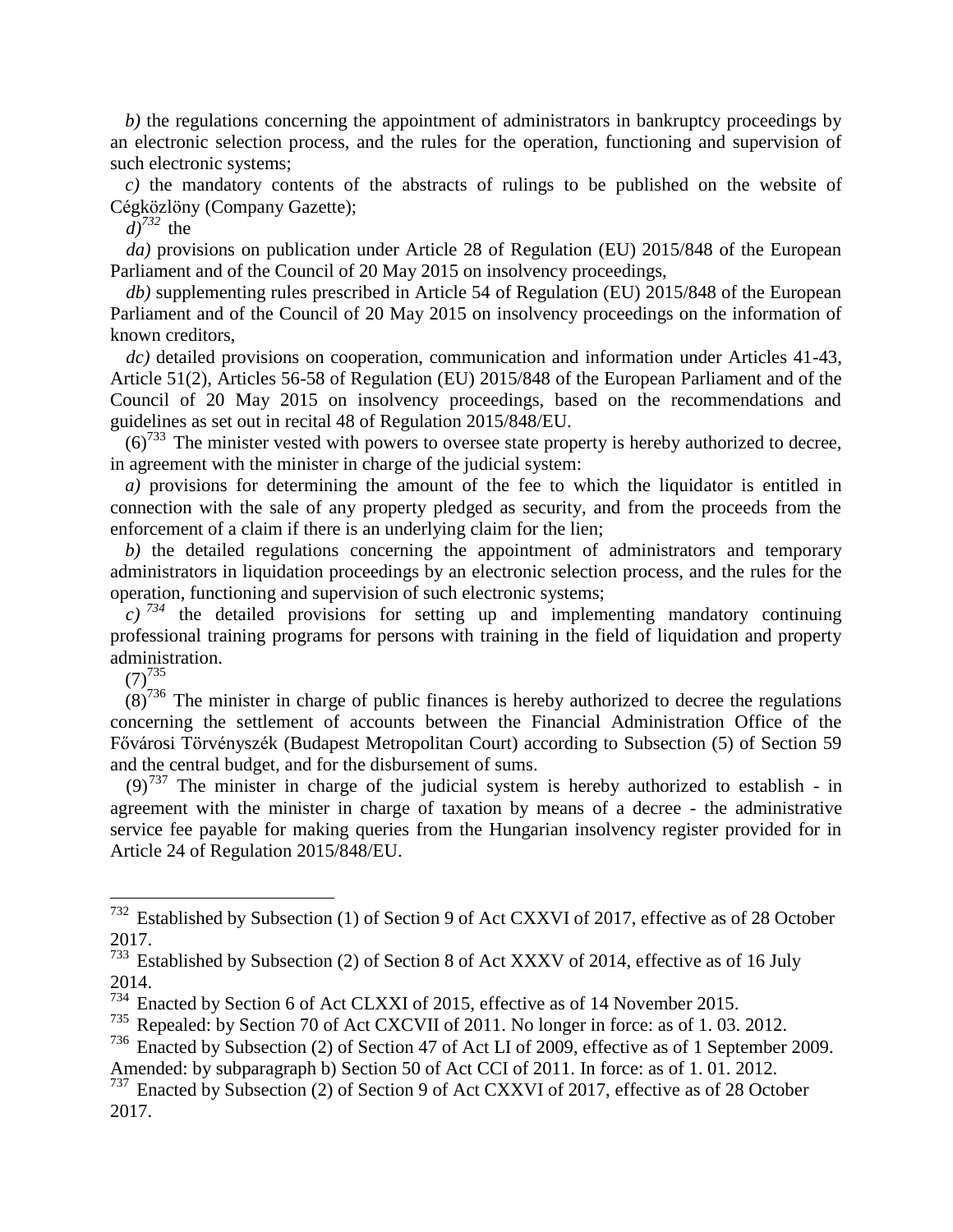*b*) the regulations concerning the appointment of administrators in bankruptcy proceedings by an electronic selection process, and the rules for the operation, functioning and supervision of such electronic systems;

*c)* the mandatory contents of the abstracts of rulings to be published on the website of Cégközlöny (Company Gazette);

 $d$ <sup> $732$ </sup> the

*da)* provisions on publication under Article 28 of Regulation (EU) 2015/848 of the European Parliament and of the Council of 20 May 2015 on insolvency proceedings,

*db)* supplementing rules prescribed in Article 54 of Regulation (EU) 2015/848 of the European Parliament and of the Council of 20 May 2015 on insolvency proceedings on the information of known creditors,

*dc)* detailed provisions on cooperation, communication and information under Articles 41-43, Article 51(2), Articles 56-58 of Regulation (EU) 2015/848 of the European Parliament and of the Council of 20 May 2015 on insolvency proceedings, based on the recommendations and guidelines as set out in recital 48 of Regulation 2015/848/EU.

 $(6)^{733}$  The minister vested with powers to oversee state property is hereby authorized to decree, in agreement with the minister in charge of the judicial system:

*a)* provisions for determining the amount of the fee to which the liquidator is entitled in connection with the sale of any property pledged as security, and from the proceeds from the enforcement of a claim if there is an underlying claim for the lien;

*b)* the detailed regulations concerning the appointment of administrators and temporary administrators in liquidation proceedings by an electronic selection process, and the rules for the operation, functioning and supervision of such electronic systems;

 $c)$  <sup>734</sup> the detailed provisions for setting up and implementing mandatory continuing professional training programs for persons with training in the field of liquidation and property administration.

 $(7)^{735}$ 

 $\overline{a}$ 

 $(8)^{736}$  The minister in charge of public finances is hereby authorized to decree the regulations concerning the settlement of accounts between the Financial Administration Office of the Fővárosi Törvényszék (Budapest Metropolitan Court) according to Subsection (5) of Section 59 and the central budget, and for the disbursement of sums.

 $(9)^{737}$  The minister in charge of the judicial system is hereby authorized to establish - in agreement with the minister in charge of taxation by means of a decree - the administrative service fee payable for making queries from the Hungarian insolvency register provided for in Article 24 of Regulation 2015/848/EU.

<sup>732</sup> Established by Subsection (1) of Section 9 of Act CXXVI of 2017, effective as of 28 October 2017.

 $733$  Established by Subsection (2) of Section 8 of Act XXXV of 2014, effective as of 16 July 2014.

<sup>&</sup>lt;sup>734</sup> Enacted by Section 6 of Act CLXXI of 2015, effective as of 14 November 2015.

<sup>735</sup> Repealed: by Section 70 of Act CXCVII of 2011. No longer in force: as of 1. 03. 2012.

<sup>736</sup> Enacted by Subsection (2) of Section 47 of Act LI of 2009, effective as of 1 September 2009. Amended: by subparagraph b) Section 50 of Act CCI of 2011. In force: as of 1. 01. 2012.

<sup>737</sup> Enacted by Subsection (2) of Section 9 of Act CXXVI of 2017, effective as of 28 October 2017.